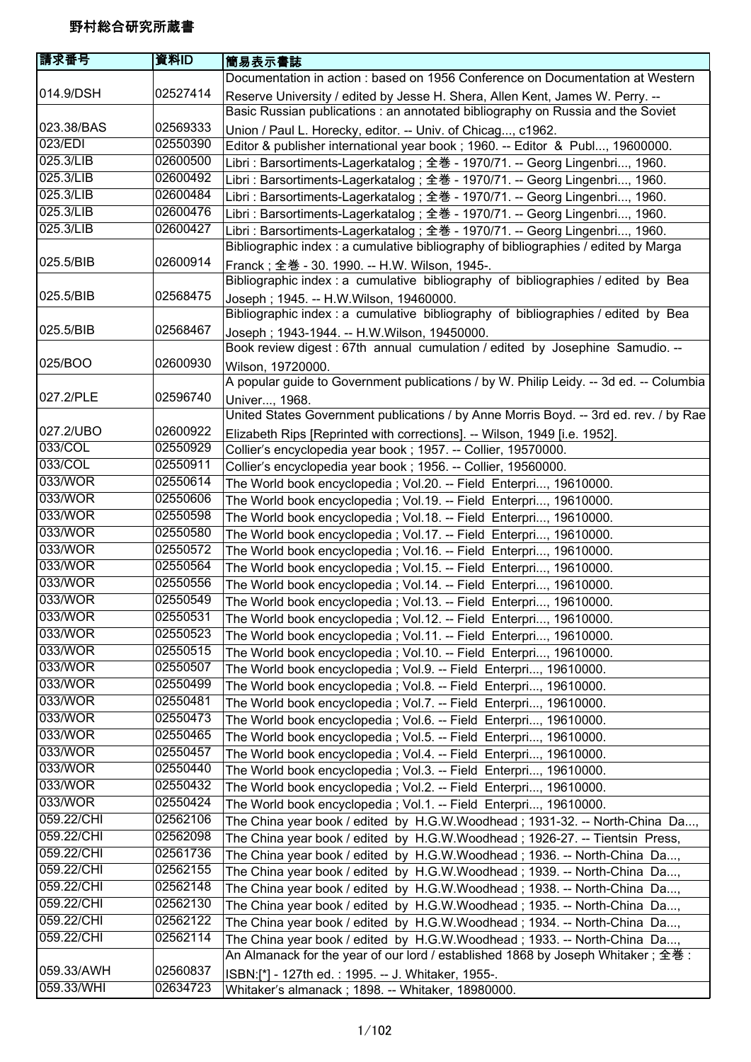| 請求番号       | 資料ID     | 簡易表示書誌                                                                                                                                                          |
|------------|----------|-----------------------------------------------------------------------------------------------------------------------------------------------------------------|
|            |          | Documentation in action : based on 1956 Conference on Documentation at Western                                                                                  |
| 014.9/DSH  | 02527414 | Reserve University / edited by Jesse H. Shera, Allen Kent, James W. Perry. --<br>Basic Russian publications: an annotated bibliography on Russia and the Soviet |
| 023.38/BAS | 02569333 | Union / Paul L. Horecky, editor. -- Univ. of Chicag, c1962.                                                                                                     |
| 023/EDI    | 02550390 | Editor & publisher international year book ; 1960. -- Editor & Publ, 19600000.                                                                                  |
| 025.3/LIB  | 02600500 | Libri: Barsortiments-Lagerkatalog; 全巻 - 1970/71. -- Georg Lingenbri, 1960.                                                                                      |
| 025.3/LIB  | 02600492 | Libri: Barsortiments-Lagerkatalog; 全巻 - 1970/71. -- Georg Lingenbri, 1960.                                                                                      |
| 025.3/LIB  | 02600484 | Libri: Barsortiments-Lagerkatalog; 全巻 - 1970/71. -- Georg Lingenbri, 1960.                                                                                      |
| 025.3/LIB  | 02600476 | Libri: Barsortiments-Lagerkatalog ; 全巻 - 1970/71. -- Georg Lingenbri, 1960.                                                                                     |
| 025.3/LIB  | 02600427 | Libri: Barsortiments-Lagerkatalog; 全巻 - 1970/71. -- Georg Lingenbri, 1960.                                                                                      |
|            |          | Bibliographic index: a cumulative bibliography of bibliographies / edited by Marga                                                                              |
| 025.5/BIB  | 02600914 | Franck; 全巻 - 30. 1990. -- H.W. Wilson, 1945-.<br>Bibliographic index : a cumulative bibliography of bibliographies / edited by Bea                              |
| 025.5/BIB  | 02568475 | Joseph; 1945. -- H.W.Wilson, 19460000.<br>Bibliographic index: a cumulative bibliography of bibliographies / edited by Bea                                      |
| 025.5/BIB  | 02568467 | Joseph; 1943-1944. -- H.W.Wilson, 19450000.                                                                                                                     |
|            |          | Book review digest : 67th annual cumulation / edited by Josephine Samudio. --                                                                                   |
| 025/BOO    | 02600930 | Wilson, 19720000.                                                                                                                                               |
|            |          | A popular guide to Government publications / by W. Philip Leidy. -- 3d ed. -- Columbia                                                                          |
| 027.2/PLE  | 02596740 | Univer, 1968.                                                                                                                                                   |
|            |          | United States Government publications / by Anne Morris Boyd. -- 3rd ed. rev. / by Rae                                                                           |
| 027.2/UBO  | 02600922 | Elizabeth Rips [Reprinted with corrections]. -- Wilson, 1949 [i.e. 1952].                                                                                       |
| 033/COL    | 02550929 | Collier's encyclopedia year book ; 1957. -- Collier, 19570000.                                                                                                  |
| 033/COL    | 02550911 | Collier's encyclopedia year book ; 1956. -- Collier, 19560000.                                                                                                  |
| 033/WOR    | 02550614 | The World book encyclopedia; Vol.20. -- Field Enterpri, 19610000.                                                                                               |
| 033/WOR    | 02550606 | The World book encyclopedia; Vol.19. -- Field Enterpri, 19610000.                                                                                               |
| 033/WOR    | 02550598 | The World book encyclopedia; Vol.18. -- Field Enterpri, 19610000.                                                                                               |
| 033/WOR    | 02550580 | The World book encyclopedia; Vol.17. -- Field Enterpri, 19610000.                                                                                               |
| 033/WOR    | 02550572 | The World book encyclopedia; Vol.16. -- Field Enterpri, 19610000.                                                                                               |
| 033/WOR    | 02550564 | The World book encyclopedia; Vol.15. -- Field Enterpri, 19610000.                                                                                               |
| 033/WOR    | 02550556 | The World book encyclopedia; Vol.14. -- Field Enterpri, 19610000.                                                                                               |
| 033/WOR    | 02550549 | The World book encyclopedia; Vol.13. -- Field Enterpri, 19610000.                                                                                               |
| 033/WOR    | 02550531 | The World book encyclopedia; Vol.12. -- Field Enterpri, 19610000.                                                                                               |
| 033/WOR    | 02550523 | The World book encyclopedia; Vol.11. -- Field Enterpri, 19610000.                                                                                               |
| 033/WOR    | 02550515 | The World book encyclopedia ; Vol.10. -- Field Enterpri, 19610000.                                                                                              |
| 033/WOR    | 02550507 | The World book encyclopedia; Vol.9. -- Field Enterpri, 19610000.                                                                                                |
| 033/WOR    | 02550499 | The World book encyclopedia; Vol.8. -- Field Enterpri, 19610000.                                                                                                |
| 033/WOR    | 02550481 | The World book encyclopedia; Vol.7. -- Field Enterpri, 19610000.                                                                                                |
| 033/WOR    | 02550473 | The World book encyclopedia; Vol.6. -- Field Enterpri, 19610000.                                                                                                |
| 033/WOR    | 02550465 | The World book encyclopedia; Vol.5. -- Field Enterpri, 19610000.                                                                                                |
| 033/WOR    | 02550457 | The World book encyclopedia; Vol.4. -- Field Enterpri, 19610000.                                                                                                |
| 033/WOR    | 02550440 | The World book encyclopedia; Vol.3. -- Field Enterpri, 19610000.                                                                                                |
| 033/WOR    | 02550432 | The World book encyclopedia; Vol.2. -- Field Enterpri, 19610000.                                                                                                |
| 033/WOR    | 02550424 | The World book encyclopedia; Vol.1. -- Field Enterpri, 19610000.                                                                                                |
| 059.22/CHI | 02562106 | The China year book / edited by H.G.W.Woodhead; 1931-32. -- North-China Da,                                                                                     |
| 059.22/CHI | 02562098 | The China year book / edited by H.G.W.Woodhead; 1926-27. -- Tientsin Press,                                                                                     |
| 059.22/CHI | 02561736 | The China year book / edited by H.G.W.Woodhead; 1936. -- North-China Da,                                                                                        |
| 059.22/CHI | 02562155 | The China year book / edited by H.G.W.Woodhead; 1939. -- North-China Da,                                                                                        |
| 059.22/CHI | 02562148 | The China year book / edited by H.G.W.Woodhead; 1938. -- North-China Da,                                                                                        |
| 059.22/CHI | 02562130 | The China year book / edited by H.G.W.Woodhead; 1935. -- North-China Da,                                                                                        |
| 059.22/CHI | 02562122 | The China year book / edited by H.G.W.Woodhead; 1934. -- North-China Da,                                                                                        |
| 059.22/CHI | 02562114 | The China year book / edited by H.G.W.Woodhead; 1933. -- North-China Da,                                                                                        |
|            |          | An Almanack for the year of our lord / established 1868 by Joseph Whitaker; 全巻:                                                                                 |
| 059.33/AWH | 02560837 | ISBN:[*] - 127th ed.: 1995. -- J. Whitaker, 1955-.                                                                                                              |
| 059.33/WHI | 02634723 | Whitaker's almanack; 1898. -- Whitaker, 18980000.                                                                                                               |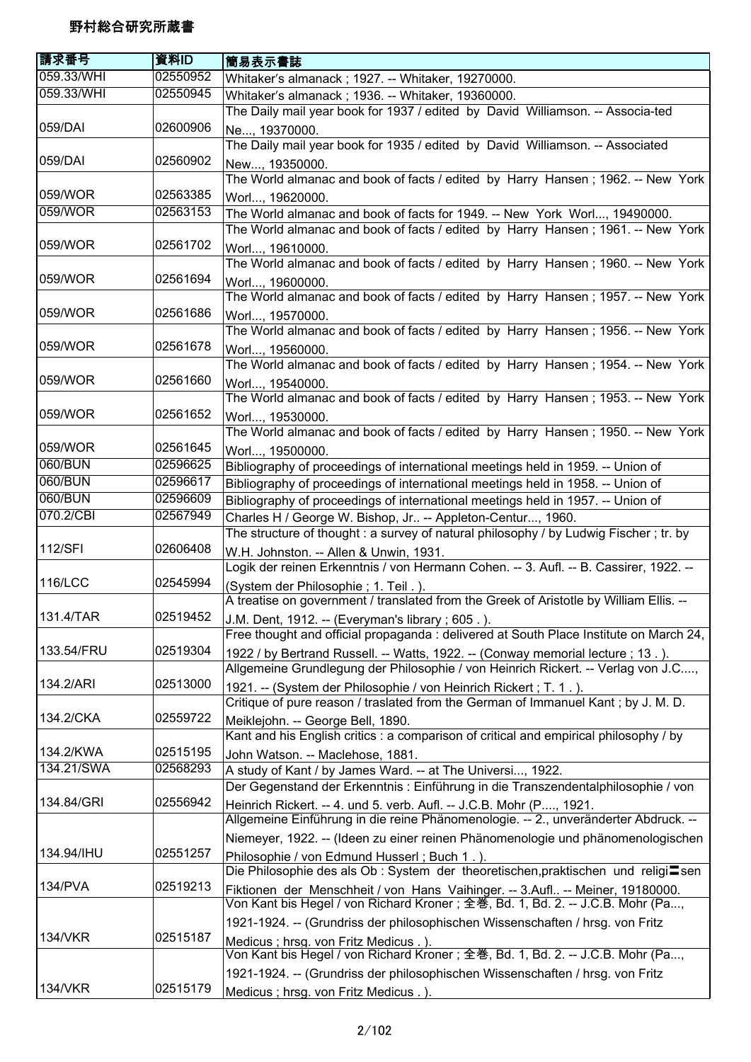| 請求番号           | 資料ID     | 簡易表示書誌                                                                                                                                                     |
|----------------|----------|------------------------------------------------------------------------------------------------------------------------------------------------------------|
| 059.33/WHI     | 02550952 | Whitaker's almanack ; 1927. -- Whitaker, 19270000.                                                                                                         |
| 059.33/WHI     | 02550945 | Whitaker's almanack; 1936. -- Whitaker, 19360000.                                                                                                          |
|                |          | The Daily mail year book for 1937 / edited by David Williamson. -- Associa-ted                                                                             |
| 059/DAI        | 02600906 | Ne, 19370000.                                                                                                                                              |
|                |          | The Daily mail year book for 1935 / edited by David Williamson. -- Associated                                                                              |
| 059/DAI        | 02560902 | New, 19350000.                                                                                                                                             |
|                |          | The World almanac and book of facts / edited by Harry Hansen; 1962. -- New York                                                                            |
| 059/WOR        | 02563385 | Worl, 19620000.                                                                                                                                            |
| 059/WOR        | 02563153 | The World almanac and book of facts for 1949. -- New York Worl, 19490000.                                                                                  |
|                |          | The World almanac and book of facts / edited by Harry Hansen; 1961. -- New York                                                                            |
| 059/WOR        | 02561702 | Worl, 19610000.<br>The World almanac and book of facts / edited by Harry Hansen; 1960. -- New York                                                         |
| 059/WOR        | 02561694 | Worl, 19600000.                                                                                                                                            |
|                |          | The World almanac and book of facts / edited by Harry Hansen; 1957. -- New York                                                                            |
| 059/WOR        | 02561686 | Worl, 19570000.                                                                                                                                            |
|                |          | The World almanac and book of facts / edited by Harry Hansen; 1956. -- New York                                                                            |
| 059/WOR        | 02561678 | Worl, 19560000.                                                                                                                                            |
|                |          | The World almanac and book of facts / edited by Harry Hansen; 1954. -- New York                                                                            |
| 059/WOR        | 02561660 | Worl, 19540000.                                                                                                                                            |
|                |          | The World almanac and book of facts / edited by Harry Hansen; 1953. -- New York                                                                            |
| 059/WOR        | 02561652 | Worl, 19530000.                                                                                                                                            |
|                |          | The World almanac and book of facts / edited by Harry Hansen; 1950. -- New York                                                                            |
| 059/WOR        | 02561645 | Worl, 19500000.                                                                                                                                            |
| 060/BUN        | 02596625 | Bibliography of proceedings of international meetings held in 1959. -- Union of                                                                            |
| 060/BUN        | 02596617 | Bibliography of proceedings of international meetings held in 1958. -- Union of                                                                            |
| 060/BUN        | 02596609 | Bibliography of proceedings of international meetings held in 1957. -- Union of                                                                            |
| 070.2/CBI      | 02567949 | Charles H / George W. Bishop, Jr -- Appleton-Centur, 1960.                                                                                                 |
|                |          | The structure of thought: a survey of natural philosophy / by Ludwig Fischer; tr. by                                                                       |
| 112/SFI        | 02606408 | W.H. Johnston. -- Allen & Unwin, 1931.                                                                                                                     |
|                |          | Logik der reinen Erkenntnis / von Hermann Cohen. -- 3. Aufl. -- B. Cassirer, 1922. --                                                                      |
| <b>116/LCC</b> | 02545994 | (System der Philosophie; 1. Teil.).                                                                                                                        |
|                |          | A treatise on government / translated from the Greek of Aristotle by William Ellis. --                                                                     |
| 131.4/TAR      | 02519452 | J.M. Dent, 1912. -- (Everyman's library; 605.).                                                                                                            |
|                |          | Free thought and official propaganda : delivered at South Place Institute on March 24,                                                                     |
| 133.54/FRU     | 02519304 | 1922 / by Bertrand Russell. -- Watts, 1922. -- (Conway memorial lecture; 13.).                                                                             |
|                |          | Allgemeine Grundlegung der Philosophie / von Heinrich Rickert. -- Verlag von J.C,                                                                          |
| 134.2/ARI      | 02513000 | 1921. -- (System der Philosophie / von Heinrich Rickert; T. 1.).                                                                                           |
|                |          | Critique of pure reason / traslated from the German of Immanuel Kant; by J. M. D.                                                                          |
| 134.2/CKA      | 02559722 | Meiklejohn. -- George Bell, 1890.                                                                                                                          |
|                |          | Kant and his English critics : a comparison of critical and empirical philosophy / by                                                                      |
| 134.2/KWA      | 02515195 | John Watson. -- Maclehose, 1881.                                                                                                                           |
| 134.21/SWA     | 02568293 | A study of Kant / by James Ward. -- at The Universi, 1922.                                                                                                 |
|                |          | Der Gegenstand der Erkenntnis: Einführung in die Transzendentalphilosophie / von                                                                           |
| 134.84/GRI     | 02556942 | Heinrich Rickert. -- 4. und 5. verb. Aufl. -- J.C.B. Mohr (P, 1921.<br>Allgemeine Einführung in die reine Phänomenologie. -- 2., unveränderter Abdruck. -- |
|                |          | Niemeyer, 1922. -- (Ideen zu einer reinen Phänomenologie und phänomenologischen                                                                            |
| 134.94/IHU     | 02551257 | Philosophie / von Edmund Husserl; Buch 1.).                                                                                                                |
|                |          | Die Philosophie des als Ob : System der theoretischen, praktischen und religi∎sen                                                                          |
| 134/PVA        | 02519213 | Fiktionen der Menschheit / von Hans Vaihinger. -- 3.Aufl -- Meiner, 19180000.                                                                              |
|                |          | Von Kant bis Hegel / von Richard Kroner; 全巻, Bd. 1, Bd. 2. -- J.C.B. Mohr (Pa,                                                                             |
|                |          | 1921-1924. -- (Grundriss der philosophischen Wissenschaften / hrsg. von Fritz                                                                              |
| 134/VKR        | 02515187 | Medicus ; hrsg. von Fritz Medicus.)                                                                                                                        |
|                |          | Von Kant bis Hegel / von Richard Kroner; 全巻, Bd. 1, Bd. 2. -- J.C.B. Mohr (Pa,                                                                             |
|                |          | 1921-1924. -- (Grundriss der philosophischen Wissenschaften / hrsg. von Fritz                                                                              |
| <b>134/VKR</b> | 02515179 | Medicus ; hrsg. von Fritz Medicus.).                                                                                                                       |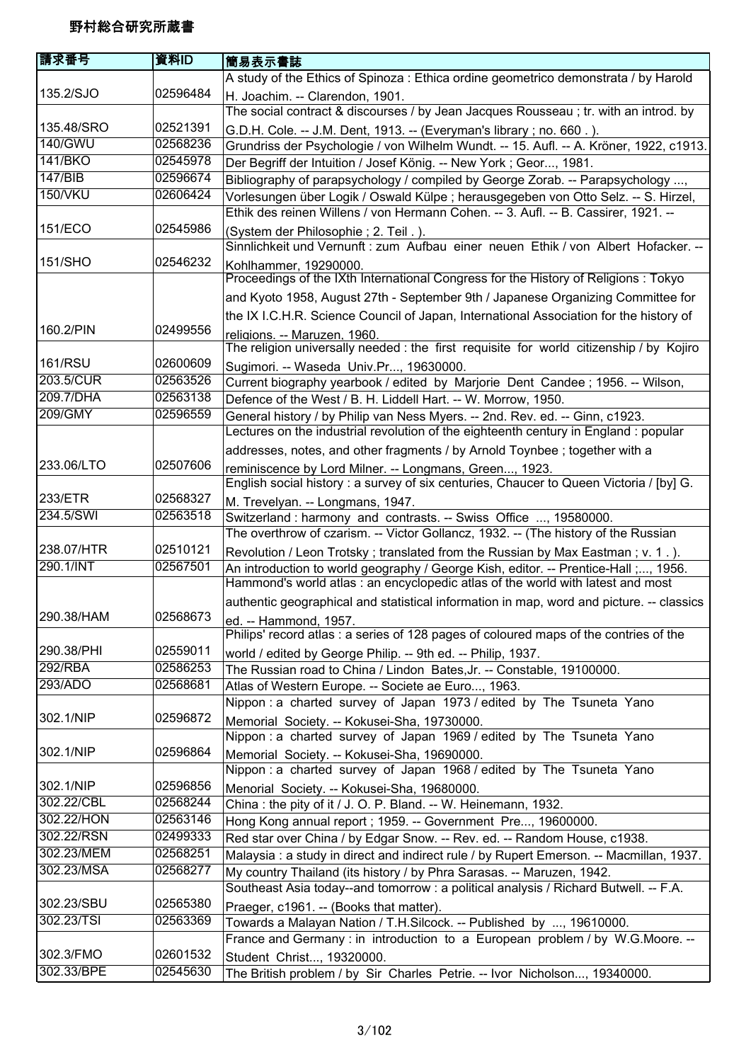| 請求番号                     | 資料ID     | 簡易表示書誌                                                                                   |
|--------------------------|----------|------------------------------------------------------------------------------------------|
|                          |          | A study of the Ethics of Spinoza : Ethica ordine geometrico demonstrata / by Harold      |
| 135.2/SJO                | 02596484 | H. Joachim. -- Clarendon, 1901.                                                          |
|                          |          | The social contract & discourses / by Jean Jacques Rousseau; tr. with an introd. by      |
| 135.48/SRO               | 02521391 | G.D.H. Cole. -- J.M. Dent, 1913. -- (Everyman's library; no. 660.).                      |
| 140/GWU                  | 02568236 | Grundriss der Psychologie / von Wilhelm Wundt. -- 15. Aufl. -- A. Kröner, 1922, c1913.   |
| <b>141/BKO</b>           | 02545978 | Der Begriff der Intuition / Josef König. -- New York; Geor, 1981.                        |
| 147/BIB                  | 02596674 | Bibliography of parapsychology / compiled by George Zorab. -- Parapsychology ,           |
| <b>150/VKU</b>           | 02606424 | Vorlesungen über Logik / Oswald Külpe; herausgegeben von Otto Selz. -- S. Hirzel,        |
|                          |          | Ethik des reinen Willens / von Hermann Cohen. -- 3. Aufl. -- B. Cassirer, 1921. --       |
| 151/ECO                  | 02545986 | (System der Philosophie; 2. Teil.).                                                      |
|                          |          | Sinnlichkeit und Vernunft : zum Aufbau einer neuen Ethik / von Albert Hofacker. --       |
| 151/SHO                  | 02546232 | Kohlhammer, 19290000.                                                                    |
|                          |          | Proceedings of the IXth International Congress for the History of Religions: Tokyo       |
|                          |          | and Kyoto 1958, August 27th - September 9th / Japanese Organizing Committee for          |
|                          |          | the IX I.C.H.R. Science Council of Japan, International Association for the history of   |
| 160.2/PIN                | 02499556 | religions. -- Maruzen, 1960.                                                             |
|                          |          | The religion universally needed : the first requisite for world citizenship / by Kojiro  |
| <b>161/RSU</b>           | 02600609 | Sugimori. -- Waseda Univ.Pr, 19630000.                                                   |
| 203.5/CUR                | 02563526 | Current biography yearbook / edited by Marjorie Dent Candee; 1956. -- Wilson,            |
| 209.7/DHA                | 02563138 | Defence of the West / B. H. Liddell Hart. -- W. Morrow, 1950.                            |
| 209/GMY                  | 02596559 | General history / by Philip van Ness Myers. -- 2nd. Rev. ed. -- Ginn, c1923.             |
|                          |          | Lectures on the industrial revolution of the eighteenth century in England : popular     |
|                          |          | addresses, notes, and other fragments / by Arnold Toynbee ; together with a              |
| 233.06/LTO               | 02507606 | reminiscence by Lord Milner. -- Longmans, Green, 1923.                                   |
|                          |          | English social history : a survey of six centuries, Chaucer to Queen Victoria / [by] G.  |
| 233/ETR                  | 02568327 | M. Trevelyan. -- Longmans, 1947.                                                         |
| 234.5/SWI                | 02563518 | Switzerland : harmony and contrasts. -- Swiss Office , 19580000.                         |
|                          |          | The overthrow of czarism. -- Victor Gollancz, 1932. -- (The history of the Russian       |
| 238.07/HTR               | 02510121 | Revolution / Leon Trotsky; translated from the Russian by Max Eastman; v. 1.).           |
| 290.1/INT                | 02567501 | An introduction to world geography / George Kish, editor. -- Prentice-Hall ;, 1956.      |
|                          |          | Hammond's world atlas : an encyclopedic atlas of the world with latest and most          |
|                          |          | authentic geographical and statistical information in map, word and picture. -- classics |
| 290.38/HAM               | 02568673 | ed. -- Hammond, 1957.                                                                    |
|                          |          | Philips' record atlas: a series of 128 pages of coloured maps of the contries of the     |
| 290.38/PHI               | 02559011 | world / edited by George Philip. -- 9th ed. -- Philip, 1937.                             |
| 292/RBA                  | 02586253 | The Russian road to China / Lindon Bates, Jr. -- Constable, 19100000.                    |
| 293/ADO                  | 02568681 | Atlas of Western Europe. -- Societe ae Euro, 1963.                                       |
|                          |          | Nippon: a charted survey of Japan 1973 / edited by The Tsuneta Yano                      |
| 302.1/NIP                | 02596872 | Memorial Society. -- Kokusei-Sha, 19730000.                                              |
|                          |          | Nippon : a charted survey of Japan 1969 / edited by The Tsuneta Yano                     |
| 302.1/NIP                | 02596864 | Memorial Society. -- Kokusei-Sha, 19690000.                                              |
|                          |          | Nippon : a charted survey of Japan 1968 / edited by The Tsuneta Yano                     |
| 302.1/NIP                | 02596856 | Menorial Society. -- Kokusei-Sha, 19680000.                                              |
| 302.22/CBL<br>302.22/HON | 02568244 | China: the pity of it / J. O. P. Bland. -- W. Heinemann, 1932.                           |
|                          | 02563146 | Hong Kong annual report; 1959. -- Government Pre, 19600000.                              |
| 302.22/RSN               | 02499333 | Red star over China / by Edgar Snow. -- Rev. ed. -- Random House, c1938.                 |
| 302.23/MEM               | 02568251 | Malaysia : a study in direct and indirect rule / by Rupert Emerson. -- Macmillan, 1937.  |
| 302.23/MSA               | 02568277 | My country Thailand (its history / by Phra Sarasas. -- Maruzen, 1942.                    |
|                          |          | Southeast Asia today--and tomorrow : a political analysis / Richard Butwell. -- F.A.     |
| 302.23/SBU               | 02565380 | Praeger, c1961. -- (Books that matter).                                                  |
| 302.23/TSI               | 02563369 | Towards a Malayan Nation / T.H.Silcock. -- Published by , 19610000.                      |
|                          |          | France and Germany : in introduction to a European problem / by W.G.Moore. --            |
| 302.3/FMO                | 02601532 | Student Christ, 19320000.                                                                |
| 302.33/BPE               | 02545630 | The British problem / by Sir Charles Petrie. -- Ivor Nicholson, 19340000.                |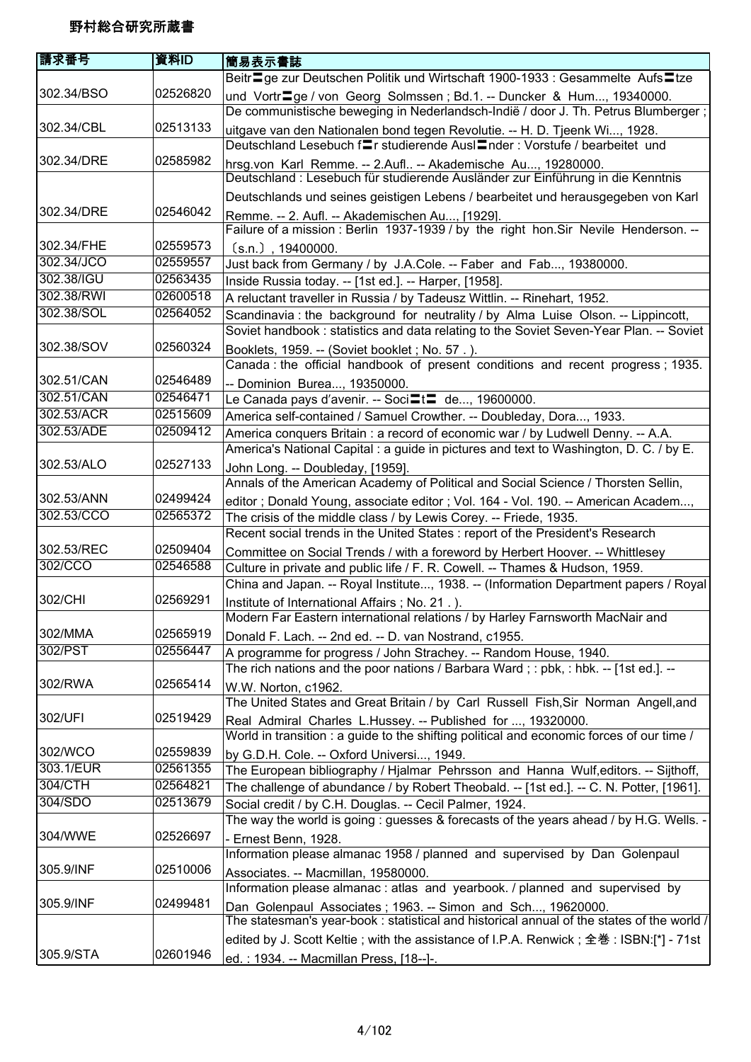| 請求番号                     | 資料ID                 | 簡易表示書誌                                                                                                                                                        |
|--------------------------|----------------------|---------------------------------------------------------------------------------------------------------------------------------------------------------------|
|                          |                      | Beitr <sup>■</sup> ge zur Deutschen Politik und Wirtschaft 1900-1933 : Gesammelte Aufs <sup>■</sup> tze                                                       |
| 302.34/BSO               | 02526820             | und Vortr <sup>-</sup> ge / von Georg Solmssen; Bd.1. -- Duncker & Hum, 19340000.                                                                             |
|                          |                      | De communistische beweging in Nederlandsch-Indië / door J. Th. Petrus Blumberger;                                                                             |
| 302.34/CBL               | 02513133             | uitgave van den Nationalen bond tegen Revolutie. -- H. D. Tjeenk Wi, 1928.                                                                                    |
|                          |                      | Deutschland Lesebuch f≡r studierende Ausl=nder : Vorstufe / bearbeitet und                                                                                    |
| 302.34/DRE               | 02585982             | hrsg.von Karl Remme. -- 2.Aufl -- Akademische Au, 19280000.                                                                                                   |
|                          |                      | Deutschland : Lesebuch für studierende Ausländer zur Einführung in die Kenntnis                                                                               |
|                          |                      | Deutschlands und seines geistigen Lebens / bearbeitet und herausgegeben von Karl                                                                              |
| 302.34/DRE               | 02546042             | Remme. -- 2. Aufl. -- Akademischen Au, [1929].                                                                                                                |
|                          |                      | Failure of a mission : Berlin 1937-1939 / by the right hon. Sir Nevile Henderson. --                                                                          |
| 302.34/FHE               | 02559573             | $(s.n.)$ , 19400000.                                                                                                                                          |
| 302.34/JCO               | 02559557             | Just back from Germany / by J.A.Cole. -- Faber and Fab, 19380000.                                                                                             |
| 302.38/IGU               | 02563435             | Inside Russia today. -- [1st ed.]. -- Harper, [1958].                                                                                                         |
| 302.38/RWI               | 02600518             | A reluctant traveller in Russia / by Tadeusz Wittlin. -- Rinehart, 1952.                                                                                      |
| 302.38/SOL               | 02564052             | Scandinavia: the background for neutrality / by Alma Luise Olson. -- Lippincott,                                                                              |
|                          |                      | Soviet handbook : statistics and data relating to the Soviet Seven-Year Plan. -- Soviet                                                                       |
| 302.38/SOV               | 02560324             | Booklets, 1959. -- (Soviet booklet; No. 57.).                                                                                                                 |
|                          |                      | Canada: the official handbook of present conditions and recent progress; 1935.                                                                                |
| 302.51/CAN<br>302.51/CAN | 02546489<br>02546471 | -- Dominion Burea, 19350000.                                                                                                                                  |
| 302.53/ACR               | 02515609             | Le Canada pays d'avenir. -- Soci=t= de, 19600000.                                                                                                             |
| 302.53/ADE               | 02509412             | America self-contained / Samuel Crowther. -- Doubleday, Dora, 1933.                                                                                           |
|                          |                      | America conquers Britain: a record of economic war / by Ludwell Denny. -- A.A.                                                                                |
| 302.53/ALO               | 02527133             | America's National Capital : a guide in pictures and text to Washington, D. C. / by E.                                                                        |
|                          |                      | John Long. -- Doubleday, [1959].<br>Annals of the American Academy of Political and Social Science / Thorsten Sellin,                                         |
| 302.53/ANN               | 02499424             |                                                                                                                                                               |
| 302.53/CCO               | 02565372             | editor; Donald Young, associate editor; Vol. 164 - Vol. 190. -- American Academ,                                                                              |
|                          |                      | The crisis of the middle class / by Lewis Corey. -- Friede, 1935.<br>Recent social trends in the United States : report of the President's Research           |
| 302.53/REC               | 02509404             |                                                                                                                                                               |
| 302/CCO                  | 02546588             | Committee on Social Trends / with a foreword by Herbert Hoover. -- Whittlesey<br>Culture in private and public life / F. R. Cowell. -- Thames & Hudson, 1959. |
|                          |                      | China and Japan. -- Royal Institute, 1938. -- (Information Department papers / Royal                                                                          |
| 302/CHI                  | 02569291             | Institute of International Affairs ; No. 21.).                                                                                                                |
|                          |                      | Modern Far Eastern international relations / by Harley Farnsworth MacNair and                                                                                 |
| 302/MMA                  | 02565919             | Donald F. Lach. -- 2nd ed. -- D. van Nostrand, c1955.                                                                                                         |
| 302/PST                  | 02556447             | A programme for progress / John Strachey. -- Random House, 1940.                                                                                              |
|                          |                      | The rich nations and the poor nations / Barbara Ward; : pbk, : hbk. -- [1st ed.]. --                                                                          |
| 302/RWA                  | 02565414             | W.W. Norton, c1962.                                                                                                                                           |
|                          |                      | The United States and Great Britain / by Carl Russell Fish, Sir Norman Angell, and                                                                            |
| 302/UFI                  | 02519429             | Real Admiral Charles L.Hussey. -- Published for , 19320000.                                                                                                   |
|                          |                      | World in transition : a guide to the shifting political and economic forces of our time /                                                                     |
| 302/WCO                  | 02559839             | by G.D.H. Cole. -- Oxford Universi, 1949.                                                                                                                     |
| 303.1/EUR                | 02561355             | The European bibliography / Hjalmar Pehrsson and Hanna Wulf, editors. -- Sijthoff,                                                                            |
| 304/CTH                  | 02564821             | The challenge of abundance / by Robert Theobald. -- [1st ed.]. -- C. N. Potter, [1961].                                                                       |
| 304/SDO                  | 02513679             | Social credit / by C.H. Douglas. -- Cecil Palmer, 1924.                                                                                                       |
|                          |                      | The way the world is going : guesses & forecasts of the years ahead / by H.G. Wells. -                                                                        |
| 304/WWE                  | 02526697             | - Ernest Benn, 1928.                                                                                                                                          |
|                          |                      | Information please almanac 1958 / planned and supervised by Dan Golenpaul                                                                                     |
| 305.9/INF                | 02510006             | Associates. -- Macmillan, 19580000.                                                                                                                           |
|                          |                      | Information please almanac: atlas and yearbook. / planned and supervised by                                                                                   |
| 305.9/INF                | 02499481             | Dan Golenpaul Associates; 1963. -- Simon and Sch, 19620000.<br>The statesman's year-book : statistical and historical annual of the states of the world /     |
|                          |                      | edited by J. Scott Keltie; with the assistance of I.P.A. Renwick; 全巻: ISBN:[*] - 71st                                                                         |
| 305.9/STA                | 02601946             | ed.: 1934. -- Macmillan Press, [18--]-.                                                                                                                       |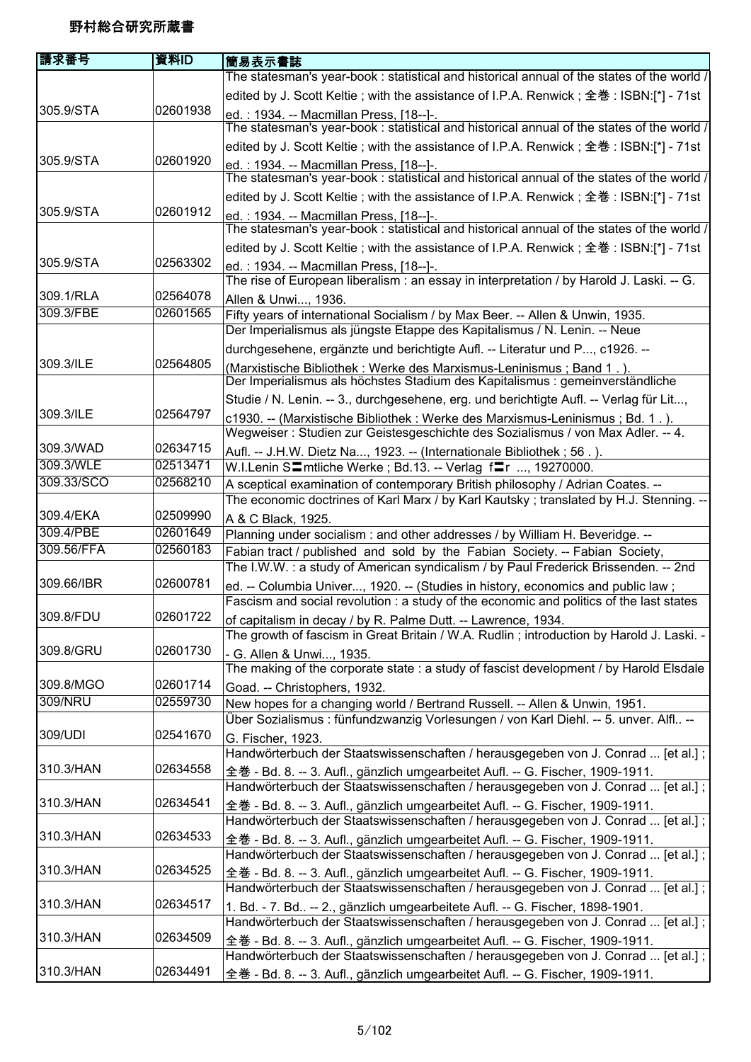| 請求番号                 | 資料ID     | 簡易表示書誌                                                                                                                                                             |
|----------------------|----------|--------------------------------------------------------------------------------------------------------------------------------------------------------------------|
|                      |          | The statesman's year-book : statistical and historical annual of the states of the world /                                                                         |
|                      |          | edited by J. Scott Keltie; with the assistance of I.P.A. Renwick; 全巻: ISBN:[*] - 71st                                                                              |
| 305.9/STA            | 02601938 |                                                                                                                                                                    |
|                      |          | ed.: 1934. -- Macmillan Press, [18--]-.<br>The statesman's year-book: statistical and historical annual of the states of the world /                               |
|                      |          | edited by J. Scott Keltie; with the assistance of I.P.A. Renwick; 全巻: ISBN:[*] - 71st                                                                              |
| 305.9/STA            | 02601920 | ed.: 1934. -- Macmillan Press, [18--]-.                                                                                                                            |
|                      |          | The statesman's year-book: statistical and historical annual of the states of the world /                                                                          |
|                      |          | edited by J. Scott Keltie; with the assistance of I.P.A. Renwick; 全巻: ISBN:[*] - 71st                                                                              |
| 305.9/STA            | 02601912 | ed.: 1934. -- Macmillan Press, [18--]-.                                                                                                                            |
|                      |          | The statesman's year-book : statistical and historical annual of the states of the world /                                                                         |
|                      |          | edited by J. Scott Keltie; with the assistance of I.P.A. Renwick; 全巻: ISBN:[*] - 71st                                                                              |
| 305.9/STA            | 02563302 | ed.: 1934. -- Macmillan Press, [18--]-.<br>The rise of European liberalism : an essay in interpretation / by Harold J. Laski. -- G.                                |
| 309.1/RLA            | 02564078 | Allen & Unwi, 1936.                                                                                                                                                |
| 309.3/FBE            | 02601565 | Fifty years of international Socialism / by Max Beer. -- Allen & Unwin, 1935.                                                                                      |
|                      |          | Der Imperialismus als jüngste Etappe des Kapitalismus / N. Lenin. -- Neue                                                                                          |
|                      |          | durchgesehene, ergänzte und berichtigte Aufl. -- Literatur und P, c1926. --                                                                                        |
| 309.3/ILE            | 02564805 | (Marxistische Bibliothek: Werke des Marxismus-Leninismus; Band 1.).                                                                                                |
|                      |          | Der Imperialismus als höchstes Stadium des Kapitalismus : gemeinverständliche                                                                                      |
|                      |          | Studie / N. Lenin. -- 3., durchgesehene, erg. und berichtigte Aufl. -- Verlag für Lit,                                                                             |
| 309.3/ILE            | 02564797 | c1930. -- (Marxistische Bibliothek : Werke des Marxismus-Leninismus ; Bd. 1.).                                                                                     |
|                      |          | Wegweiser: Studien zur Geistesgeschichte des Sozialismus / von Max Adler. -- 4.                                                                                    |
| 309.3/WAD            | 02634715 | Aufl. -- J.H.W. Dietz Na, 1923. -- (Internationale Bibliothek; 56.).                                                                                               |
| 309.3/WLE            | 02513471 | W.I.Lenin S〓mtliche Werke ; Bd.13. -- Verlag f〓r , 19270000.                                                                                                       |
| 309.33/SCO           | 02568210 | A sceptical examination of contemporary British philosophy / Adrian Coates. --                                                                                     |
|                      |          | The economic doctrines of Karl Marx / by Karl Kautsky; translated by H.J. Stenning. --                                                                             |
| 309.4/EKA            | 02509990 | A & C Black, 1925.                                                                                                                                                 |
| 309.4/PBE            | 02601649 | Planning under socialism : and other addresses / by William H. Beveridge. --                                                                                       |
| 309.56/FFA           | 02560183 | Fabian tract / published and sold by the Fabian Society. -- Fabian Society,                                                                                        |
|                      |          | The I.W.W.: a study of American syndicalism / by Paul Frederick Brissenden. -- 2nd                                                                                 |
| 309.66/IBR           | 02600781 | ed. -- Columbia Univer, 1920. -- (Studies in history, economics and public law;                                                                                    |
|                      |          | Fascism and social revolution : a study of the economic and politics of the last states                                                                            |
| 309.8/FDU            | 02601722 | of capitalism in decay / by R. Palme Dutt. -- Lawrence, 1934.                                                                                                      |
|                      |          | The growth of fascism in Great Britain / W.A. Rudlin; introduction by Harold J. Laski. -                                                                           |
| 309.8/GRU            | 02601730 | - G. Allen & Unwi, 1935.                                                                                                                                           |
|                      |          | The making of the corporate state : a study of fascist development / by Harold Elsdale                                                                             |
| 309.8/MGO<br>309/NRU | 02601714 | Goad. -- Christophers, 1932.                                                                                                                                       |
|                      | 02559730 | New hopes for a changing world / Bertrand Russell. -- Allen & Unwin, 1951.                                                                                         |
| 309/UDI              | 02541670 | Über Sozialismus : fünfundzwanzig Vorlesungen / von Karl Diehl. -- 5. unver. Alfl --                                                                               |
|                      |          | G. Fischer, 1923.<br>Handwörterbuch der Staatswissenschaften / herausgegeben von J. Conrad  [et al.];                                                              |
| 310.3/HAN            | 02634558 |                                                                                                                                                                    |
|                      |          | 全巻 - Bd. 8. -- 3. Aufl., gänzlich umgearbeitet Aufl. -- G. Fischer, 1909-1911.<br>Handwörterbuch der Staatswissenschaften / herausgegeben von J. Conrad  [et al.]; |
| 310.3/HAN            | 02634541 |                                                                                                                                                                    |
|                      |          | 全巻 - Bd. 8. -- 3. Aufl., gänzlich umgearbeitet Aufl. -- G. Fischer, 1909-1911.<br>Handwörterbuch der Staatswissenschaften / herausgegeben von J. Conrad  [et al.]; |
| 310.3/HAN            | 02634533 |                                                                                                                                                                    |
|                      |          | 全巻 - Bd. 8. -- 3. Aufl., gänzlich umgearbeitet Aufl. -- G. Fischer, 1909-1911.<br>Handwörterbuch der Staatswissenschaften / herausgegeben von J. Conrad  [et al.]; |
| 310.3/HAN            | 02634525 |                                                                                                                                                                    |
|                      |          | 全巻 - Bd. 8. -- 3. Aufl., gänzlich umgearbeitet Aufl. -- G. Fischer, 1909-1911.<br>Handwörterbuch der Staatswissenschaften / herausgegeben von J. Conrad  [et al.]; |
| 310.3/HAN            | 02634517 |                                                                                                                                                                    |
|                      |          | 1. Bd. - 7. Bd -- 2., gänzlich umgearbeitete Aufl. -- G. Fischer, 1898-1901.<br>Handwörterbuch der Staatswissenschaften / herausgegeben von J. Conrad  [et al.];   |
| 310.3/HAN            | 02634509 | 全巻 - Bd. 8. -- 3. Aufl., gänzlich umgearbeitet Aufl. -- G. Fischer, 1909-1911.                                                                                     |
|                      |          | Handwörterbuch der Staatswissenschaften / herausgegeben von J. Conrad  [et al.];                                                                                   |
| 310.3/HAN            | 02634491 | 全巻 - Bd. 8. -- 3. Aufl., gänzlich umgearbeitet Aufl. -- G. Fischer, 1909-1911.                                                                                     |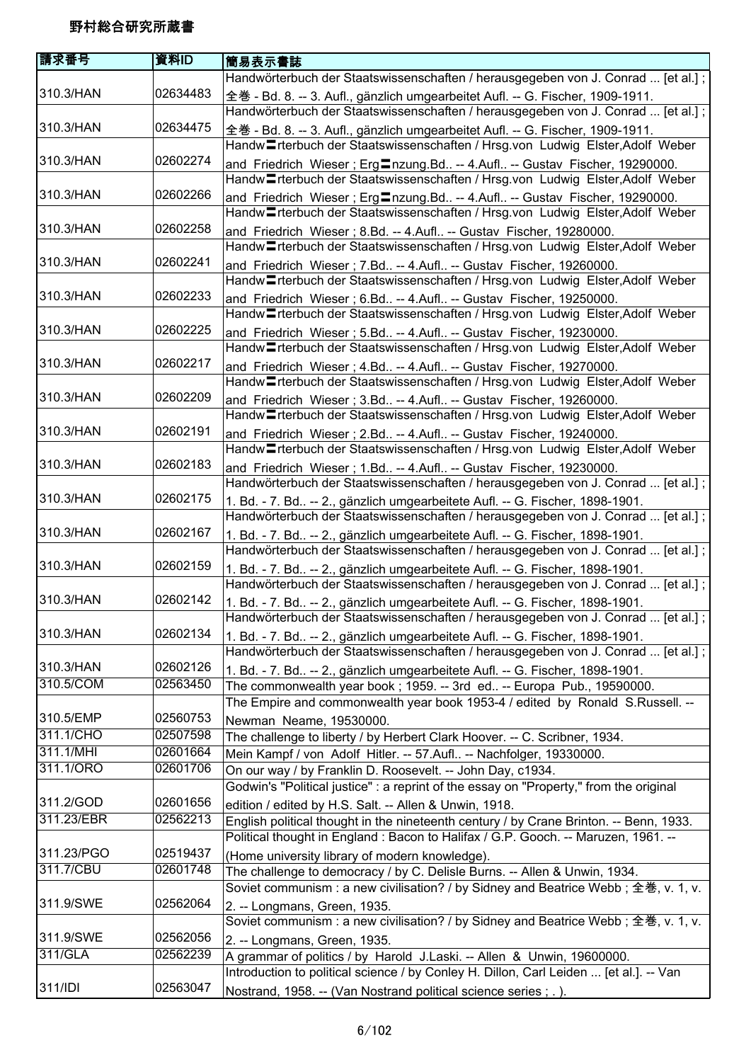| 請求番号       | 資料ID     | 簡易表示書誌                                                                                      |
|------------|----------|---------------------------------------------------------------------------------------------|
|            |          | Handwörterbuch der Staatswissenschaften / herausgegeben von J. Conrad  [et al.];            |
| 310.3/HAN  | 02634483 | 全巻 - Bd. 8. -- 3. Aufl., gänzlich umgearbeitet Aufl. -- G. Fischer, 1909-1911.              |
|            |          | Handwörterbuch der Staatswissenschaften / herausgegeben von J. Conrad  [et al.];            |
| 310.3/HAN  | 02634475 | 全巻 - Bd. 8. -- 3. Aufl., gänzlich umgearbeitet Aufl. -- G. Fischer, 1909-1911.              |
|            |          | Handw <sup>-</sup> Trterbuch der Staatswissenschaften / Hrsg.von Ludwig Elster, Adolf Weber |
| 310.3/HAN  | 02602274 | and Friedrich Wieser; Erg <sup>n</sup> zung.Bd -- 4.Aufl -- Gustav Fischer, 19290000.       |
|            |          | Handw <sup>-</sup> Trterbuch der Staatswissenschaften / Hrsg.von Ludwig Elster, Adolf Weber |
| 310.3/HAN  | 02602266 | and Friedrich Wieser; Erg nzung.Bd -- 4.Aufl -- Gustav Fischer, 19290000.                   |
|            |          | Handw <sup>-</sup> rterbuch der Staatswissenschaften / Hrsg.von Ludwig Elster, Adolf Weber  |
| 310.3/HAN  | 02602258 | and Friedrich Wieser; 8.Bd. -- 4.Aufl -- Gustav Fischer, 19280000.                          |
|            |          | Handw <sup>T</sup> rterbuch der Staatswissenschaften / Hrsg.von Ludwig Elster, Adolf Weber  |
| 310.3/HAN  | 02602241 | and Friedrich Wieser; 7.Bd -- 4.Aufl -- Gustav Fischer, 19260000.                           |
|            |          | Handw <sup>-</sup> Trterbuch der Staatswissenschaften / Hrsg.von Ludwig Elster, Adolf Weber |
| 310.3/HAN  | 02602233 | and Friedrich Wieser; 6.Bd -- 4.Aufl -- Gustav Fischer, 19250000.                           |
|            |          | Handw <sup>-</sup> rterbuch der Staatswissenschaften / Hrsg.von Ludwig Elster, Adolf Weber  |
| 310.3/HAN  | 02602225 | and Friedrich Wieser; 5.Bd -- 4.Aufl -- Gustav Fischer, 19230000.                           |
|            |          | Handw <sup>-</sup> rterbuch der Staatswissenschaften / Hrsg.von Ludwig Elster, Adolf Weber  |
| 310.3/HAN  | 02602217 | and Friedrich Wieser; 4.Bd -- 4.Aufl -- Gustav Fischer, 19270000.                           |
|            |          | Handw <sup>T</sup> rterbuch der Staatswissenschaften / Hrsg.von Ludwig Elster, Adolf Weber  |
| 310.3/HAN  | 02602209 | and Friedrich Wieser; 3.Bd -- 4.Aufl -- Gustav Fischer, 19260000.                           |
|            |          | Handw <sup>-</sup> Trterbuch der Staatswissenschaften / Hrsg.von Ludwig Elster, Adolf Weber |
| 310.3/HAN  | 02602191 | and Friedrich Wieser; 2.Bd -- 4.Aufl -- Gustav Fischer, 19240000.                           |
|            |          | Handw <sup>-</sup> Trterbuch der Staatswissenschaften / Hrsg.von Ludwig Elster, Adolf Weber |
| 310.3/HAN  | 02602183 | and Friedrich Wieser; 1.Bd -- 4.Aufl -- Gustav Fischer, 19230000.                           |
|            |          | Handwörterbuch der Staatswissenschaften / herausgegeben von J. Conrad  [et al.];            |
| 310.3/HAN  | 02602175 | 1. Bd. - 7. Bd -- 2., gänzlich umgearbeitete Aufl. -- G. Fischer, 1898-1901.                |
|            |          | Handwörterbuch der Staatswissenschaften / herausgegeben von J. Conrad  [et al.];            |
| 310.3/HAN  | 02602167 | 1. Bd. - 7. Bd -- 2., gänzlich umgearbeitete Aufl. -- G. Fischer, 1898-1901.                |
|            |          | Handwörterbuch der Staatswissenschaften / herausgegeben von J. Conrad  [et al.];            |
| 310.3/HAN  | 02602159 | 1. Bd. - 7. Bd -- 2., gänzlich umgearbeitete Aufl. -- G. Fischer, 1898-1901.                |
|            |          | Handwörterbuch der Staatswissenschaften / herausgegeben von J. Conrad  [et al.];            |
| 310.3/HAN  | 02602142 | 1. Bd. - 7. Bd -- 2., gänzlich umgearbeitete Aufl. -- G. Fischer, 1898-1901.                |
|            |          | Handwörterbuch der Staatswissenschaften / herausgegeben von J. Conrad  [et al.];            |
| 310.3/HAN  | 02602134 | 1. Bd. - 7. Bd -- 2., gänzlich umgearbeitete Aufl. -- G. Fischer, 1898-1901.                |
|            |          | Handwörterbuch der Staatswissenschaften / herausgegeben von J. Conrad  [et al.];            |
| 310.3/HAN  | 02602126 | 1. Bd. - 7. Bd -- 2., gänzlich umgearbeitete Aufl. -- G. Fischer, 1898-1901.                |
| 310.5/COM  | 02563450 | The commonwealth year book; 1959. -- 3rd ed -- Europa Pub., 19590000.                       |
|            |          | The Empire and commonwealth year book 1953-4 / edited by Ronald S.Russell. --               |
| 310.5/EMP  | 02560753 | Newman Neame, 19530000.                                                                     |
| 311.1/CHO  | 02507598 | The challenge to liberty / by Herbert Clark Hoover. -- C. Scribner, 1934.                   |
| 311.1/MHI  | 02601664 | Mein Kampf / von Adolf Hitler. -- 57.Aufl -- Nachfolger, 19330000.                          |
| 311.1/ORO  | 02601706 | On our way / by Franklin D. Roosevelt. -- John Day, c1934.                                  |
|            |          | Godwin's "Political justice" : a reprint of the essay on "Property," from the original      |
| 311.2/GOD  | 02601656 | edition / edited by H.S. Salt. -- Allen & Unwin, 1918.                                      |
| 311.23/EBR | 02562213 | English political thought in the nineteenth century / by Crane Brinton. -- Benn, 1933.      |
|            |          | Political thought in England: Bacon to Halifax / G.P. Gooch. -- Maruzen, 1961. --           |
| 311.23/PGO | 02519437 | (Home university library of modern knowledge).                                              |
| 311.7/CBU  | 02601748 | The challenge to democracy / by C. Delisle Burns. -- Allen & Unwin, 1934.                   |
|            |          | Soviet communism : a new civilisation? / by Sidney and Beatrice Webb ; 全巻, v. 1, v.         |
| 311.9/SWE  | 02562064 | 2. -- Longmans, Green, 1935.                                                                |
|            |          | Soviet communism : a new civilisation? / by Sidney and Beatrice Webb; 全巻, v. 1, v.          |
| 311.9/SWE  | 02562056 | 2. -- Longmans, Green, 1935.                                                                |
| 311/GLA    | 02562239 | A grammar of politics / by Harold J.Laski. -- Allen & Unwin, 19600000.                      |
|            |          | Introduction to political science / by Conley H. Dillon, Carl Leiden  [et al.]. -- Van      |
| 311/IDI    | 02563047 | Nostrand, 1958. -- (Van Nostrand political science series ; . ).                            |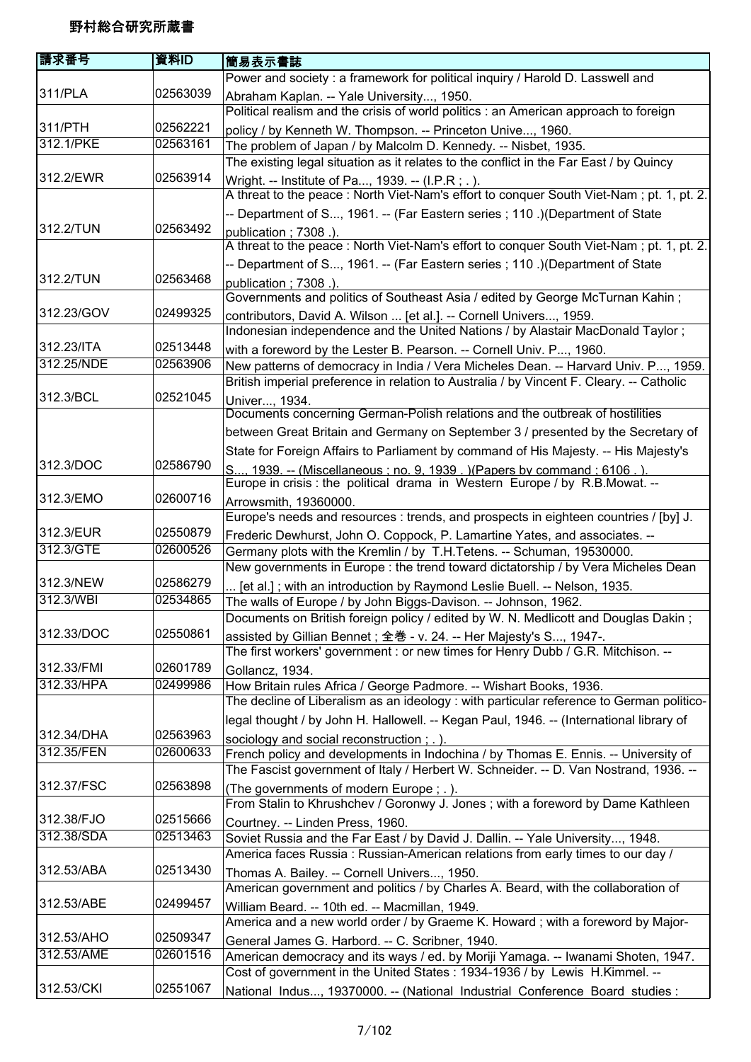| 請求番号                   | 資料ID     | 簡易表示書誌                                                                                                                                                 |
|------------------------|----------|--------------------------------------------------------------------------------------------------------------------------------------------------------|
|                        |          | Power and society : a framework for political inquiry / Harold D. Lasswell and                                                                         |
| 311/PLA                | 02563039 | Abraham Kaplan. -- Yale University, 1950.                                                                                                              |
|                        |          | Political realism and the crisis of world politics : an American approach to foreign                                                                   |
| 311/PTH                | 02562221 | policy / by Kenneth W. Thompson. -- Princeton Unive, 1960.                                                                                             |
| 312.1/PKE              | 02563161 | The problem of Japan / by Malcolm D. Kennedy. -- Nisbet, 1935.                                                                                         |
|                        |          | The existing legal situation as it relates to the conflict in the Far East / by Quincy                                                                 |
| 312.2/EWR              | 02563914 | Wright. -- Institute of Pa, 1939. -- (I.P.R; .).                                                                                                       |
|                        |          | A threat to the peace: North Viet-Nam's effort to conquer South Viet-Nam; pt. 1, pt. 2.                                                                |
|                        |          | -- Department of S, 1961. -- (Far Eastern series ; 110 .) (Department of State                                                                         |
| 312.2/TUN              | 02563492 | publication; 7308.).                                                                                                                                   |
|                        |          | A threat to the peace: North Viet-Nam's effort to conquer South Viet-Nam; pt. 1, pt. 2.                                                                |
|                        |          | -- Department of S, 1961. -- (Far Eastern series ; 110 .) (Department of State                                                                         |
| 312.2/TUN              | 02563468 | publication; 7308.).                                                                                                                                   |
|                        |          | Governments and politics of Southeast Asia / edited by George McTurnan Kahin;                                                                          |
| 312.23/GOV             | 02499325 | contributors, David A. Wilson  [et al.]. -- Cornell Univers, 1959.                                                                                     |
|                        |          | Indonesian independence and the United Nations / by Alastair MacDonald Taylor;                                                                         |
| 312.23/ITA             | 02513448 | with a foreword by the Lester B. Pearson. -- Cornell Univ. P, 1960.                                                                                    |
| 312.25/NDE             | 02563906 | New patterns of democracy in India / Vera Micheles Dean. -- Harvard Univ. P, 1959.                                                                     |
|                        |          | British imperial preference in relation to Australia / by Vincent F. Cleary. -- Catholic                                                               |
| 312.3/BCL              | 02521045 | Univer, 1934.                                                                                                                                          |
|                        |          | Documents concerning German-Polish relations and the outbreak of hostilities                                                                           |
|                        |          | between Great Britain and Germany on September 3 / presented by the Secretary of                                                                       |
|                        |          | State for Foreign Affairs to Parliament by command of His Majesty. -- His Majesty's                                                                    |
| 312.3/DOC              | 02586790 | S, 1939. -- (Miscellaneous ; no. 9, 1939.) (Papers by command ; 6106.).                                                                                |
|                        |          | Europe in crisis : the political drama in Western Europe / by R.B.Mowat. --                                                                            |
| 312.3/EMO              | 02600716 | Arrowsmith, 19360000.                                                                                                                                  |
|                        |          | Europe's needs and resources : trends, and prospects in eighteen countries / [by] J.                                                                   |
| 312.3/EUR<br>312.3/GTE | 02550879 | Frederic Dewhurst, John O. Coppock, P. Lamartine Yates, and associates. --                                                                             |
|                        | 02600526 | Germany plots with the Kremlin / by T.H.Tetens. -- Schuman, 19530000.                                                                                  |
| 312.3/NEW              | 02586279 | New governments in Europe : the trend toward dictatorship / by Vera Micheles Dean                                                                      |
| 312.3/WBI              | 02534865 | [et al.]; with an introduction by Raymond Leslie Buell. -- Nelson, 1935.                                                                               |
|                        |          | The walls of Europe / by John Biggs-Davison. -- Johnson, 1962.<br>Documents on British foreign policy / edited by W. N. Medlicott and Douglas Dakin;   |
| 312.33/DOC             | 02550861 |                                                                                                                                                        |
|                        |          | assisted by Gillian Bennet; 全巻 - v. 24. -- Her Majesty's S, 1947-.<br>The first workers' government : or new times for Henry Dubb / G.R. Mitchison. -- |
| 312.33/FMI             | 02601789 | Gollancz, 1934.                                                                                                                                        |
| 312.33/HPA             | 02499986 | How Britain rules Africa / George Padmore. -- Wishart Books, 1936.                                                                                     |
|                        |          | The decline of Liberalism as an ideology : with particular reference to German politico-                                                               |
|                        |          | legal thought / by John H. Hallowell. -- Kegan Paul, 1946. -- (International library of                                                                |
| 312.34/DHA             | 02563963 | sociology and social reconstruction; .).                                                                                                               |
| 312.35/FEN             | 02600633 | French policy and developments in Indochina / by Thomas E. Ennis. -- University of                                                                     |
|                        |          | The Fascist government of Italy / Herbert W. Schneider. -- D. Van Nostrand, 1936. --                                                                   |
| 312.37/FSC             | 02563898 | (The governments of modern Europe; .).                                                                                                                 |
|                        |          | From Stalin to Khrushchev / Goronwy J. Jones ; with a foreword by Dame Kathleen                                                                        |
| 312.38/FJO             | 02515666 | Courtney. -- Linden Press, 1960.                                                                                                                       |
| 312.38/SDA             | 02513463 | Soviet Russia and the Far East / by David J. Dallin. -- Yale University, 1948.                                                                         |
|                        |          | America faces Russia: Russian-American relations from early times to our day /                                                                         |
| 312.53/ABA             | 02513430 | Thomas A. Bailey. -- Cornell Univers, 1950.                                                                                                            |
|                        |          | American government and politics / by Charles A. Beard, with the collaboration of                                                                      |
| 312.53/ABE             | 02499457 | William Beard. -- 10th ed. -- Macmillan, 1949.                                                                                                         |
|                        |          | America and a new world order / by Graeme K. Howard ; with a foreword by Major-                                                                        |
| 312.53/AHO             | 02509347 | General James G. Harbord. -- C. Scribner, 1940.                                                                                                        |
| 312.53/AME             | 02601516 | American democracy and its ways / ed. by Moriji Yamaga. -- Iwanami Shoten, 1947.                                                                       |
|                        |          | Cost of government in the United States : 1934-1936 / by Lewis H.Kimmel. --                                                                            |
| 312.53/CKI             | 02551067 | National Indus, 19370000. -- (National Industrial Conference Board studies :                                                                           |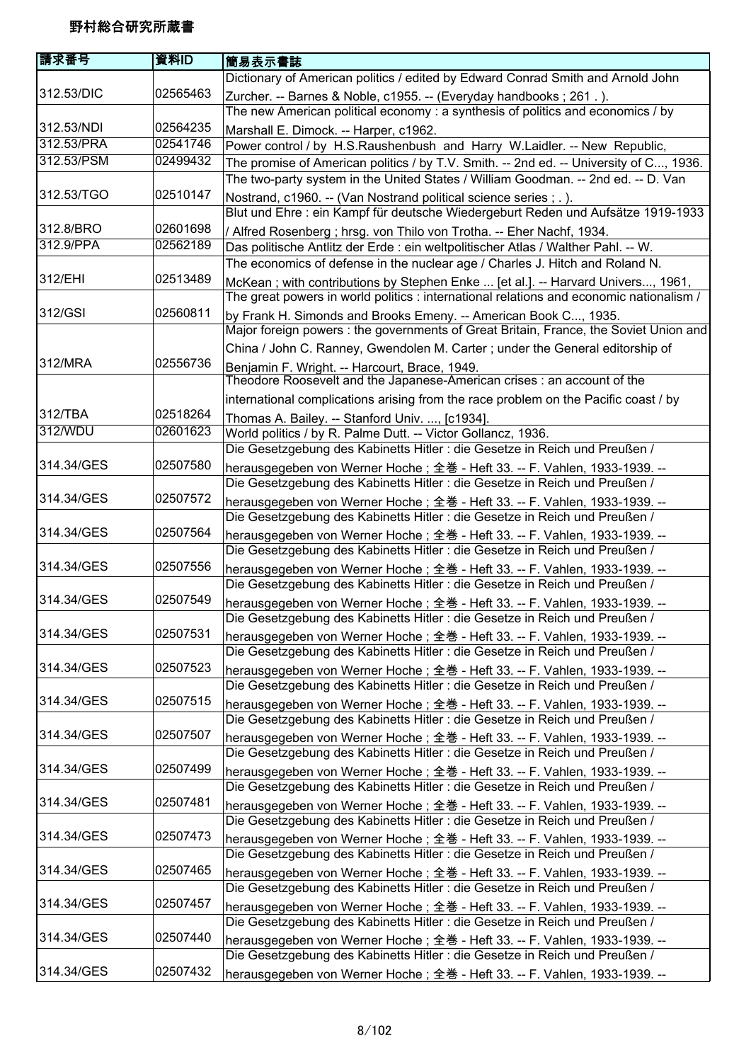| 請求番号       | 資料ID     | 簡易表示書誌                                                                                  |
|------------|----------|-----------------------------------------------------------------------------------------|
|            |          | Dictionary of American politics / edited by Edward Conrad Smith and Arnold John         |
| 312.53/DIC | 02565463 | Zurcher. -- Barnes & Noble, c1955. -- (Everyday handbooks; 261.).                       |
|            |          | The new American political economy : a synthesis of politics and economics / by         |
| 312.53/NDI | 02564235 | Marshall E. Dimock. -- Harper, c1962.                                                   |
| 312.53/PRA | 02541746 | Power control / by H.S.Raushenbush and Harry W.Laidler. -- New Republic,                |
| 312.53/PSM | 02499432 | The promise of American politics / by T.V. Smith. -- 2nd ed. -- University of C, 1936.  |
|            |          | The two-party system in the United States / William Goodman. -- 2nd ed. -- D. Van       |
| 312.53/TGO | 02510147 | Nostrand, c1960. -- (Van Nostrand political science series; .).                         |
|            |          | Blut und Ehre : ein Kampf für deutsche Wiedergeburt Reden und Aufsätze 1919-1933        |
| 312.8/BRO  | 02601698 | / Alfred Rosenberg ; hrsg. von Thilo von Trotha. -- Eher Nachf, 1934.                   |
| 312.9/PPA  | 02562189 | Das politische Antlitz der Erde : ein weltpolitischer Atlas / Walther Pahl. -- W.       |
|            |          | The economics of defense in the nuclear age / Charles J. Hitch and Roland N.            |
| 312/EHI    | 02513489 | McKean; with contributions by Stephen Enke  [et al.]. -- Harvard Univers, 1961,         |
|            |          | The great powers in world politics : international relations and economic nationalism / |
| 312/GSI    | 02560811 | by Frank H. Simonds and Brooks Emeny. -- American Book C, 1935.                         |
|            |          | Major foreign powers : the governments of Great Britain, France, the Soviet Union and   |
|            |          | China / John C. Ranney, Gwendolen M. Carter ; under the General editorship of           |
| 312/MRA    | 02556736 | Benjamin F. Wright. -- Harcourt, Brace, 1949.                                           |
|            |          | Theodore Roosevelt and the Japanese-American crises : an account of the                 |
|            |          | international complications arising from the race problem on the Pacific coast / by     |
| 312/TBA    | 02518264 | Thomas A. Bailey. -- Stanford Univ. , [c1934].                                          |
| 312/WDU    | 02601623 | World politics / by R. Palme Dutt. -- Victor Gollancz, 1936.                            |
|            |          | Die Gesetzgebung des Kabinetts Hitler : die Gesetze in Reich und Preußen /              |
| 314.34/GES | 02507580 | herausgegeben von Werner Hoche; 全巻 - Heft 33. -- F. Vahlen, 1933-1939. --               |
|            |          | Die Gesetzgebung des Kabinetts Hitler : die Gesetze in Reich und Preußen /              |
| 314.34/GES | 02507572 | herausgegeben von Werner Hoche; 全巻 - Heft 33. -- F. Vahlen, 1933-1939. --               |
|            |          | Die Gesetzgebung des Kabinetts Hitler : die Gesetze in Reich und Preußen /              |
| 314.34/GES | 02507564 | herausgegeben von Werner Hoche; 全巻 - Heft 33. -- F. Vahlen, 1933-1939. --               |
|            |          | Die Gesetzgebung des Kabinetts Hitler : die Gesetze in Reich und Preußen /              |
| 314.34/GES | 02507556 | herausgegeben von Werner Hoche; 全巻 - Heft 33. -- F. Vahlen, 1933-1939. --               |
|            |          | Die Gesetzgebung des Kabinetts Hitler : die Gesetze in Reich und Preußen /              |
| 314.34/GES | 02507549 | herausgegeben von Werner Hoche; 全巻 - Heft 33. -- F. Vahlen, 1933-1939. --               |
|            |          | Die Gesetzgebung des Kabinetts Hitler : die Gesetze in Reich und Preußen /              |
| 314.34/GES | 02507531 | herausgegeben von Werner Hoche; 全巻 - Heft 33. -- F. Vahlen, 1933-1939. --               |
|            |          | Die Gesetzgebung des Kabinetts Hitler : die Gesetze in Reich und Preußen /              |
| 314.34/GES | 02507523 | herausgegeben von Werner Hoche; 全巻 - Heft 33. -- F. Vahlen, 1933-1939. --               |
|            |          | Die Gesetzgebung des Kabinetts Hitler : die Gesetze in Reich und Preußen /              |
| 314.34/GES | 02507515 | herausgegeben von Werner Hoche; 全巻 - Heft 33. -- F. Vahlen, 1933-1939. --               |
|            |          | Die Gesetzgebung des Kabinetts Hitler : die Gesetze in Reich und Preußen /              |
| 314.34/GES | 02507507 | herausgegeben von Werner Hoche; 全巻 - Heft 33. -- F. Vahlen, 1933-1939. --               |
|            |          | Die Gesetzgebung des Kabinetts Hitler : die Gesetze in Reich und Preußen /              |
| 314.34/GES | 02507499 | herausgegeben von Werner Hoche; 全巻 - Heft 33. -- F. Vahlen, 1933-1939. --               |
|            |          | Die Gesetzgebung des Kabinetts Hitler : die Gesetze in Reich und Preußen /              |
| 314.34/GES | 02507481 | herausgegeben von Werner Hoche; 全巻 - Heft 33. -- F. Vahlen, 1933-1939. --               |
|            |          | Die Gesetzgebung des Kabinetts Hitler : die Gesetze in Reich und Preußen /              |
| 314.34/GES | 02507473 | herausgegeben von Werner Hoche; 全巻 - Heft 33. -- F. Vahlen, 1933-1939. --               |
|            |          | Die Gesetzgebung des Kabinetts Hitler : die Gesetze in Reich und Preußen /              |
| 314.34/GES | 02507465 | herausgegeben von Werner Hoche; 全巻 - Heft 33. -- F. Vahlen, 1933-1939. --               |
|            |          | Die Gesetzgebung des Kabinetts Hitler : die Gesetze in Reich und Preußen /              |
| 314.34/GES | 02507457 | herausgegeben von Werner Hoche; 全巻 - Heft 33. -- F. Vahlen, 1933-1939. --               |
|            |          | Die Gesetzgebung des Kabinetts Hitler : die Gesetze in Reich und Preußen /              |
| 314.34/GES | 02507440 | herausgegeben von Werner Hoche; 全巻 - Heft 33. -- F. Vahlen, 1933-1939. --               |
|            |          | Die Gesetzgebung des Kabinetts Hitler : die Gesetze in Reich und Preußen /              |
| 314.34/GES | 02507432 | herausgegeben von Werner Hoche; 全巻 - Heft 33. -- F. Vahlen, 1933-1939. --               |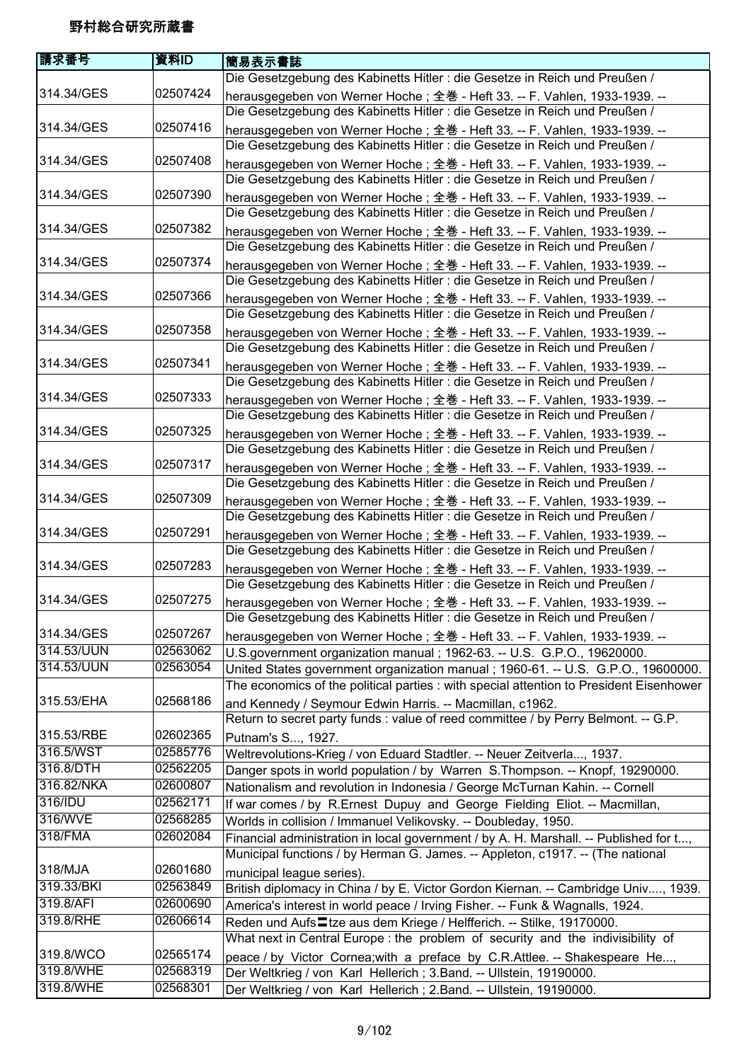| 請求番号       | 資料ID     | 簡易表示書誌                                                                                                                                                  |
|------------|----------|---------------------------------------------------------------------------------------------------------------------------------------------------------|
|            |          | Die Gesetzgebung des Kabinetts Hitler : die Gesetze in Reich und Preußen /                                                                              |
| 314.34/GES | 02507424 | herausgegeben von Werner Hoche; 全巻 - Heft 33. -- F. Vahlen, 1933-1939. --<br>Die Gesetzgebung des Kabinetts Hitler : die Gesetze in Reich und Preußen / |
| 314.34/GES | 02507416 |                                                                                                                                                         |
|            |          | herausgegeben von Werner Hoche; 全巻 - Heft 33. -- F. Vahlen, 1933-1939. --<br>Die Gesetzgebung des Kabinetts Hitler : die Gesetze in Reich und Preußen / |
| 314.34/GES | 02507408 |                                                                                                                                                         |
|            |          | herausgegeben von Werner Hoche; 全巻 - Heft 33. -- F. Vahlen, 1933-1939. --<br>Die Gesetzgebung des Kabinetts Hitler : die Gesetze in Reich und Preußen / |
| 314.34/GES | 02507390 |                                                                                                                                                         |
|            |          | herausgegeben von Werner Hoche; 全巻 - Heft 33. -- F. Vahlen, 1933-1939. --<br>Die Gesetzgebung des Kabinetts Hitler : die Gesetze in Reich und Preußen / |
| 314.34/GES | 02507382 | herausgegeben von Werner Hoche; 全巻 - Heft 33. -- F. Vahlen, 1933-1939. --                                                                               |
|            |          | Die Gesetzgebung des Kabinetts Hitler : die Gesetze in Reich und Preußen /                                                                              |
| 314.34/GES | 02507374 | herausgegeben von Werner Hoche; 全巻 - Heft 33. -- F. Vahlen, 1933-1939. --                                                                               |
|            |          | Die Gesetzgebung des Kabinetts Hitler : die Gesetze in Reich und Preußen /                                                                              |
| 314.34/GES | 02507366 | herausgegeben von Werner Hoche; 全巻 - Heft 33. -- F. Vahlen, 1933-1939. --                                                                               |
|            |          | Die Gesetzgebung des Kabinetts Hitler : die Gesetze in Reich und Preußen /                                                                              |
| 314.34/GES | 02507358 | herausgegeben von Werner Hoche; 全巻 - Heft 33. -- F. Vahlen, 1933-1939. --                                                                               |
|            |          | Die Gesetzgebung des Kabinetts Hitler : die Gesetze in Reich und Preußen /                                                                              |
| 314.34/GES | 02507341 | herausgegeben von Werner Hoche; 全巻 - Heft 33. -- F. Vahlen, 1933-1939. --                                                                               |
|            |          | Die Gesetzgebung des Kabinetts Hitler : die Gesetze in Reich und Preußen /                                                                              |
| 314.34/GES | 02507333 | herausgegeben von Werner Hoche; 全巻 - Heft 33. -- F. Vahlen, 1933-1939. --                                                                               |
|            |          | Die Gesetzgebung des Kabinetts Hitler : die Gesetze in Reich und Preußen /                                                                              |
| 314.34/GES | 02507325 | herausgegeben von Werner Hoche; 全巻 - Heft 33. -- F. Vahlen, 1933-1939. --                                                                               |
|            |          | Die Gesetzgebung des Kabinetts Hitler : die Gesetze in Reich und Preußen /                                                                              |
| 314.34/GES | 02507317 | herausgegeben von Werner Hoche; 全巻 - Heft 33. -- F. Vahlen, 1933-1939. --                                                                               |
|            |          | Die Gesetzgebung des Kabinetts Hitler : die Gesetze in Reich und Preußen /                                                                              |
| 314.34/GES | 02507309 | herausgegeben von Werner Hoche; 全巻 - Heft 33. -- F. Vahlen, 1933-1939. --                                                                               |
|            |          | Die Gesetzgebung des Kabinetts Hitler : die Gesetze in Reich und Preußen /                                                                              |
| 314.34/GES | 02507291 | herausgegeben von Werner Hoche; 全巻 - Heft 33. -- F. Vahlen, 1933-1939. --                                                                               |
|            |          | Die Gesetzgebung des Kabinetts Hitler : die Gesetze in Reich und Preußen /                                                                              |
| 314.34/GES | 02507283 | herausgegeben von Werner Hoche; 全巻 - Heft 33. -- F. Vahlen, 1933-1939. --                                                                               |
|            |          | Die Gesetzgebung des Kabinetts Hitler : die Gesetze in Reich und Preußen /                                                                              |
| 314.34/GES | 02507275 | herausgegeben von Werner Hoche; 全巻 - Heft 33. -- F. Vahlen, 1933-1939. --                                                                               |
|            |          | Die Gesetzgebung des Kabinetts Hitler : die Gesetze in Reich und Preußen /                                                                              |
| 314.34/GES | 02507267 | herausgegeben von Werner Hoche; 全巻 - Heft 33. -- F. Vahlen, 1933-1939. --                                                                               |
| 314.53/UUN | 02563062 | U.S.government organization manual; 1962-63. -- U.S. G.P.O., 19620000.                                                                                  |
| 314.53/UUN | 02563054 | United States government organization manual ; 1960-61. -- U.S. G.P.O., 19600000.                                                                       |
| 315.53/EHA | 02568186 | The economics of the political parties : with special attention to President Eisenhower                                                                 |
|            |          | and Kennedy / Seymour Edwin Harris. -- Macmillan, c1962.                                                                                                |
| 315.53/RBE | 02602365 | Return to secret party funds : value of reed committee / by Perry Belmont. -- G.P.                                                                      |
| 316.5/WST  | 02585776 | Putnam's S, 1927.                                                                                                                                       |
| 316.8/DTH  | 02562205 | Weltrevolutions-Krieg / von Eduard Stadtler. -- Neuer Zeitverla, 1937.<br>Danger spots in world population / by Warren S. Thompson. -- Knopf, 19290000. |
| 316.82/NKA | 02600807 | Nationalism and revolution in Indonesia / George McTurnan Kahin. -- Cornell                                                                             |
| 316/IDU    | 02562171 | If war comes / by R.Ernest Dupuy and George Fielding Eliot. -- Macmillan,                                                                               |
| 316/WVE    | 02568285 | Worlds in collision / Immanuel Velikovsky. -- Doubleday, 1950.                                                                                          |
| 318/FMA    | 02602084 | Financial administration in local government / by A. H. Marshall. -- Published for t,                                                                   |
|            |          | Municipal functions / by Herman G. James. -- Appleton, c1917. -- (The national                                                                          |
| 318/MJA    | 02601680 | municipal league series).                                                                                                                               |
| 319.33/BKI | 02563849 | British diplomacy in China / by E. Victor Gordon Kiernan. -- Cambridge Univ, 1939.                                                                      |
| 319.8/AFI  | 02600690 | America's interest in world peace / Irving Fisher. -- Funk & Wagnalls, 1924.                                                                            |
| 319.8/RHE  | 02606614 | Reden und Aufs Ltze aus dem Kriege / Helfferich. -- Stilke, 19170000.                                                                                   |
|            |          | What next in Central Europe : the problem of security and the indivisibility of                                                                         |
| 319.8/WCO  | 02565174 | peace / by Victor Cornea; with a preface by C.R.Attlee. -- Shakespeare He,                                                                              |
| 319.8/WHE  | 02568319 | Der Weltkrieg / von Karl Hellerich; 3.Band. -- Ullstein, 19190000.                                                                                      |
| 319.8/WHE  | 02568301 | Der Weltkrieg / von Karl Hellerich; 2.Band. -- Ullstein, 19190000.                                                                                      |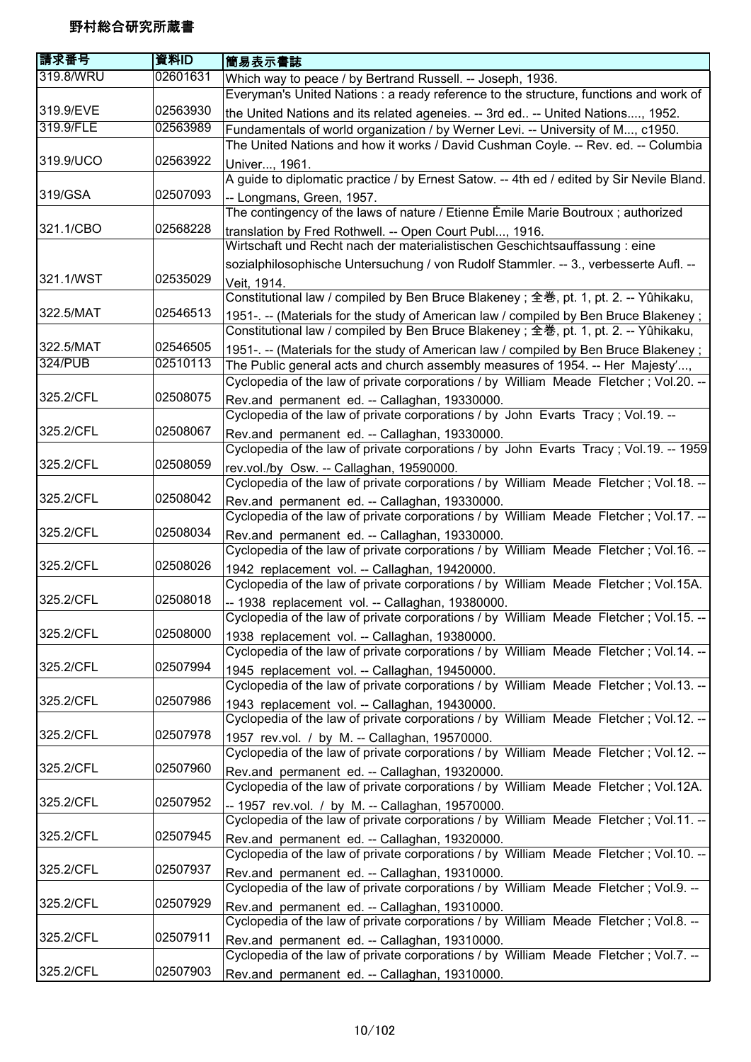| 請求番号      | 資料ID     | 簡易表示書誌                                                                                                                                    |
|-----------|----------|-------------------------------------------------------------------------------------------------------------------------------------------|
| 319.8/WRU | 02601631 | Which way to peace / by Bertrand Russell. -- Joseph, 1936.                                                                                |
|           |          | Everyman's United Nations : a ready reference to the structure, functions and work of                                                     |
| 319.9/EVE | 02563930 | the United Nations and its related ageneies. -- 3rd ed -- United Nations, 1952.                                                           |
| 319.9/FLE | 02563989 | Fundamentals of world organization / by Werner Levi. -- University of M, c1950.                                                           |
|           |          | The United Nations and how it works / David Cushman Coyle. -- Rev. ed. -- Columbia                                                        |
| 319.9/UCO | 02563922 | Univer, 1961.                                                                                                                             |
|           |          | A guide to diplomatic practice / by Ernest Satow. -- 4th ed / edited by Sir Nevile Bland.                                                 |
| 319/GSA   | 02507093 | -- Longmans, Green, 1957.                                                                                                                 |
|           |          | The contingency of the laws of nature / Etienne Émile Marie Boutroux ; authorized                                                         |
| 321.1/CBO | 02568228 | translation by Fred Rothwell. -- Open Court Publ, 1916.                                                                                   |
|           |          | Wirtschaft und Recht nach der materialistischen Geschichtsauffassung : eine                                                               |
|           |          | sozialphilosophische Untersuchung / von Rudolf Stammler. -- 3., verbesserte Aufl. --                                                      |
| 321.1/WST | 02535029 | Veit, 1914.                                                                                                                               |
|           |          | Constitutional law / compiled by Ben Bruce Blakeney; 全巻, pt. 1, pt. 2. -- Yûhikaku,                                                       |
| 322.5/MAT | 02546513 | 1951-. -- (Materials for the study of American law / compiled by Ben Bruce Blakeney;                                                      |
|           |          | Constitutional law / compiled by Ben Bruce Blakeney; 全巻, pt. 1, pt. 2. -- Yûhikaku,                                                       |
| 322.5/MAT | 02546505 | 1951-. -- (Materials for the study of American law / compiled by Ben Bruce Blakeney;                                                      |
| 324/PUB   | 02510113 | The Public general acts and church assembly measures of 1954. -- Her Majesty',                                                            |
|           |          | Cyclopedia of the law of private corporations / by William Meade Fletcher; Vol.20. --                                                     |
| 325.2/CFL | 02508075 | Rev.and permanent ed. -- Callaghan, 19330000.                                                                                             |
|           |          | Cyclopedia of the law of private corporations / by John Evarts Tracy; Vol.19. --                                                          |
| 325.2/CFL | 02508067 |                                                                                                                                           |
|           |          | Rev.and permanent ed. -- Callaghan, 19330000.<br>Cyclopedia of the law of private corporations / by John Evarts Tracy ; Vol.19. -- 1959   |
| 325.2/CFL | 02508059 |                                                                                                                                           |
|           |          | rev.vol./by Osw. -- Callaghan, 19590000.<br>Cyclopedia of the law of private corporations / by William Meade Fletcher; Vol.18. --         |
| 325.2/CFL | 02508042 |                                                                                                                                           |
|           |          | Rev.and permanent ed. -- Callaghan, 19330000.<br>Cyclopedia of the law of private corporations / by William Meade Fletcher; Vol.17. --    |
| 325.2/CFL | 02508034 |                                                                                                                                           |
|           |          | Rev.and permanent ed. -- Callaghan, 19330000.<br>Cyclopedia of the law of private corporations / by William Meade Fletcher; Vol.16. --    |
| 325.2/CFL | 02508026 |                                                                                                                                           |
|           |          | 1942 replacement vol. -- Callaghan, 19420000.<br>Cyclopedia of the law of private corporations / by William Meade Fletcher; Vol.15A.      |
| 325.2/CFL | 02508018 |                                                                                                                                           |
|           |          | -- 1938 replacement vol. -- Callaghan, 19380000.<br>Cyclopedia of the law of private corporations / by William Meade Fletcher; Vol.15.--  |
| 325.2/CFL | 02508000 |                                                                                                                                           |
|           |          | 1938 replacement vol. -- Callaghan, 19380000.<br>Cyclopedia of the law of private corporations / by William Meade Fletcher; Vol.14. --    |
| 325.2/CFL | 02507994 |                                                                                                                                           |
|           |          | 1945 replacement vol. -- Callaghan, 19450000.<br>Cyclopedia of the law of private corporations / by William Meade Fletcher; Vol.13. --    |
| 325.2/CFL | 02507986 |                                                                                                                                           |
|           |          | 1943 replacement vol. -- Callaghan, 19430000.<br>Cyclopedia of the law of private corporations / by William Meade Fletcher; Vol.12. --    |
| 325.2/CFL | 02507978 |                                                                                                                                           |
|           |          | 1957 rev.vol. / by M. -- Callaghan, 19570000.<br>Cyclopedia of the law of private corporations / by William Meade Fletcher; Vol.12. --    |
| 325.2/CFL | 02507960 |                                                                                                                                           |
|           |          | Rev.and permanent ed. -- Callaghan, 19320000.<br>Cyclopedia of the law of private corporations / by William Meade Fletcher; Vol.12A.      |
| 325.2/CFL | 02507952 |                                                                                                                                           |
|           |          | -- 1957 rev.vol. / by M. -- Callaghan, 19570000.<br>Cyclopedia of the law of private corporations / by William Meade Fletcher; Vol.11. -- |
| 325.2/CFL | 02507945 |                                                                                                                                           |
|           |          | Rev.and permanent ed. -- Callaghan, 19320000.                                                                                             |
| 325.2/CFL | 02507937 | Cyclopedia of the law of private corporations / by William Meade Fletcher; Vol.10. --                                                     |
|           |          | Rev.and permanent ed. -- Callaghan, 19310000.                                                                                             |
| 325.2/CFL | 02507929 | Cyclopedia of the law of private corporations / by William Meade Fletcher; Vol.9. --                                                      |
|           |          | Rev.and permanent ed. -- Callaghan, 19310000.                                                                                             |
| 325.2/CFL | 02507911 | Cyclopedia of the law of private corporations / by William Meade Fletcher; Vol.8. --                                                      |
|           |          | Rev.and permanent ed. -- Callaghan, 19310000.                                                                                             |
|           |          | Cyclopedia of the law of private corporations / by William Meade Fletcher; Vol.7. --                                                      |
| 325.2/CFL | 02507903 | Rev.and permanent ed. -- Callaghan, 19310000.                                                                                             |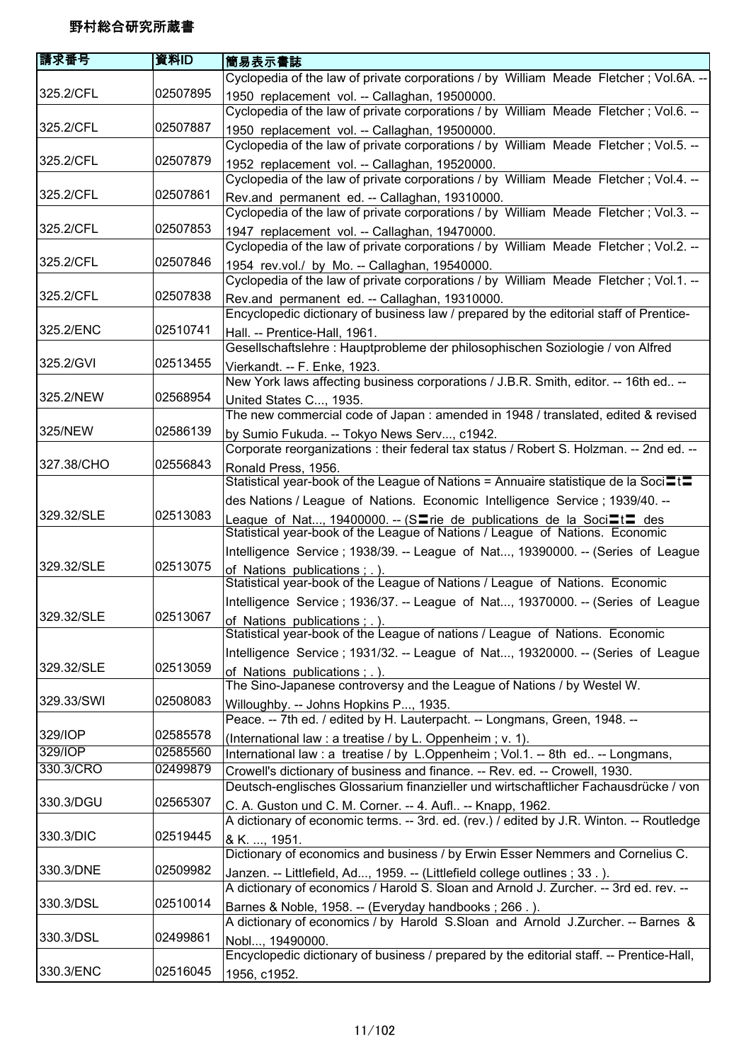| 請求番号       | 資料ID     | <b> 簡易表示書誌</b>                                                                                                                                       |
|------------|----------|------------------------------------------------------------------------------------------------------------------------------------------------------|
|            |          | Cyclopedia of the law of private corporations / by William Meade Fletcher; Vol.6A. --                                                                |
| 325.2/CFL  | 02507895 | 1950 replacement vol. -- Callaghan, 19500000.<br>Cyclopedia of the law of private corporations / by William Meade Fletcher; Vol.6. --                |
| 325.2/CFL  | 02507887 | 1950 replacement vol. -- Callaghan, 19500000.<br>Cyclopedia of the law of private corporations / by William Meade Fletcher; Vol.5. --                |
| 325.2/CFL  | 02507879 | 1952 replacement vol. -- Callaghan, 19520000.                                                                                                        |
| 325.2/CFL  | 02507861 | Cyclopedia of the law of private corporations / by William Meade Fletcher; Vol.4. --<br>Rev.and permanent ed. -- Callaghan, 19310000.                |
| 325.2/CFL  | 02507853 | Cyclopedia of the law of private corporations / by William Meade Fletcher; Vol.3. --<br>1947 replacement vol. -- Callaghan, 19470000.                |
|            |          | Cyclopedia of the law of private corporations / by William Meade Fletcher; Vol.2. --                                                                 |
| 325.2/CFL  | 02507846 | 1954 rev.vol./ by Mo. -- Callaghan, 19540000.<br>Cyclopedia of the law of private corporations / by William Meade Fletcher; Vol.1. --                |
| 325.2/CFL  | 02507838 | Rev.and permanent ed. -- Callaghan, 19310000.<br>Encyclopedic dictionary of business law / prepared by the editorial staff of Prentice-              |
| 325.2/ENC  | 02510741 | Hall. -- Prentice-Hall, 1961.                                                                                                                        |
|            |          | Gesellschaftslehre : Hauptprobleme der philosophischen Soziologie / von Alfred                                                                       |
| 325.2/GVI  | 02513455 | Vierkandt. -- F. Enke, 1923.                                                                                                                         |
|            |          | New York laws affecting business corporations / J.B.R. Smith, editor. -- 16th ed --                                                                  |
| 325.2/NEW  | 02568954 | United States C, 1935.                                                                                                                               |
|            |          | The new commercial code of Japan: amended in 1948 / translated, edited & revised                                                                     |
| 325/NEW    | 02586139 | by Sumio Fukuda. -- Tokyo News Serv, c1942.                                                                                                          |
|            | 02556843 | Corporate reorganizations : their federal tax status / Robert S. Holzman. -- 2nd ed. --                                                              |
| 327.38/CHO |          | Ronald Press, 1956.<br>Statistical year-book of the League of Nations = Annuaire statistique de la Soci $\square \square$                            |
|            |          | des Nations / League of Nations. Economic Intelligence Service ; 1939/40. --                                                                         |
| 329.32/SLE | 02513083 | League of Nat, 19400000. -- (SIrie de publications de la SociItI des<br>Statistical year-book of the League of Nations / League of Nations. Economic |
|            |          | Intelligence Service; 1938/39. -- League of Nat, 19390000. -- (Series of League                                                                      |
| 329.32/SLE | 02513075 | of Nations publications; .).<br>Statistical year-book of the League of Nations / League of Nations. Economic                                         |
|            |          | Intelligence Service; 1936/37. -- League of Nat, 19370000. -- (Series of League                                                                      |
| 329.32/SLE | 02513067 | of Nations publications; .).<br>Statistical year-book of the League of nations / League of Nations. Economic                                         |
|            |          | Intelligence Service; 1931/32. -- League of Nat, 19320000. -- (Series of League                                                                      |
| 329.32/SLE | 02513059 | of Nations publications; .).                                                                                                                         |
|            |          | The Sino-Japanese controversy and the League of Nations / by Westel W.                                                                               |
| 329.33/SWI | 02508083 | Willoughby. -- Johns Hopkins P, 1935.                                                                                                                |
|            |          | Peace. -- 7th ed. / edited by H. Lauterpacht. -- Longmans, Green, 1948. --                                                                           |
| 329/IOP    | 02585578 | (International law : a treatise / by L. Oppenheim ; v. 1).                                                                                           |
| 329/IOP    | 02585560 | International law: a treatise / by L.Oppenheim; Vol.1. -- 8th ed -- Longmans,                                                                        |
| 330.3/CRO  | 02499879 | Crowell's dictionary of business and finance. -- Rev. ed. -- Crowell, 1930.                                                                          |
|            |          | Deutsch-englisches Glossarium finanzieller und wirtschaftlicher Fachausdrücke / von                                                                  |
| 330.3/DGU  | 02565307 | C. A. Guston und C. M. Corner. -- 4. Aufl -- Knapp, 1962.                                                                                            |
|            |          | A dictionary of economic terms. -- 3rd. ed. (rev.) / edited by J.R. Winton. -- Routledge                                                             |
| 330.3/DIC  | 02519445 | & K. , 1951.                                                                                                                                         |
|            |          | Dictionary of economics and business / by Erwin Esser Nemmers and Cornelius C.                                                                       |
| 330.3/DNE  | 02509982 | Janzen. -- Littlefield, Ad, 1959. -- (Littlefield college outlines ; 33.).                                                                           |
| 330.3/DSL  | 02510014 | A dictionary of economics / Harold S. Sloan and Arnold J. Zurcher. -- 3rd ed. rev. --                                                                |
|            |          | Barnes & Noble, 1958. -- (Everyday handbooks; 266.).                                                                                                 |
| 330.3/DSL  | 02499861 | A dictionary of economics / by Harold S.Sloan and Arnold J.Zurcher. -- Barnes &                                                                      |
|            |          | Nobl, 19490000.<br>Encyclopedic dictionary of business / prepared by the editorial staff. -- Prentice-Hall,                                          |
| 330.3/ENC  | 02516045 | 1956, c1952.                                                                                                                                         |
|            |          |                                                                                                                                                      |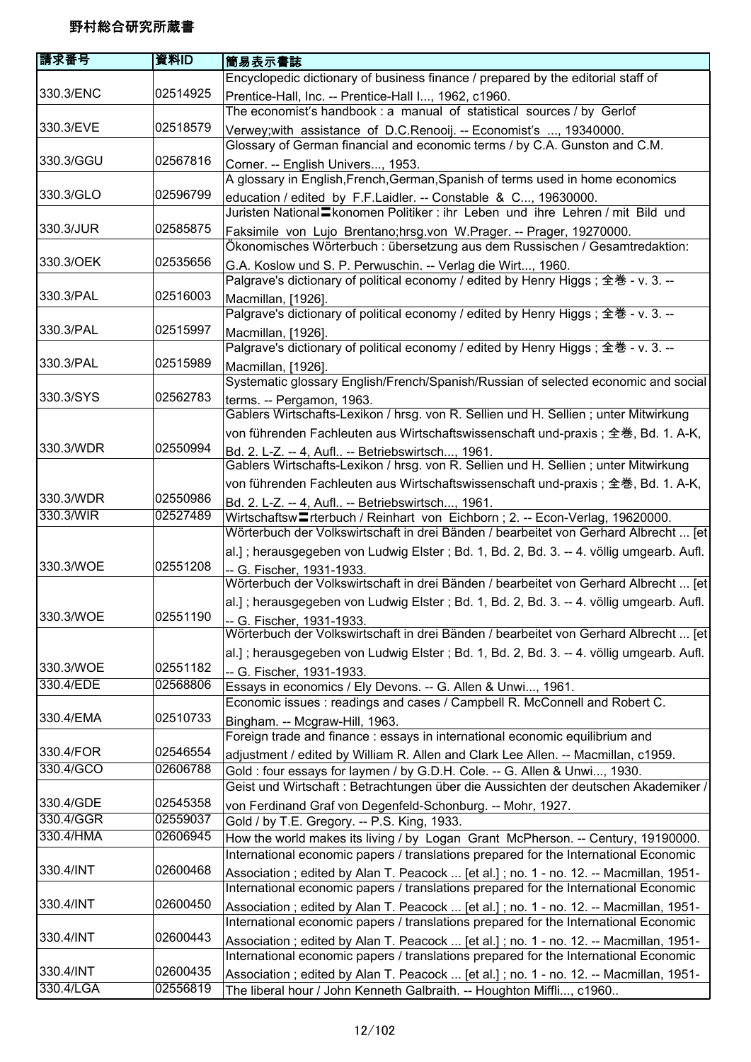| 請求番号                   | 資料ID     | 簡易表示書誌                                                                                                                                                                        |
|------------------------|----------|-------------------------------------------------------------------------------------------------------------------------------------------------------------------------------|
|                        |          | Encyclopedic dictionary of business finance / prepared by the editorial staff of                                                                                              |
| 330.3/ENC              | 02514925 | Prentice-Hall, Inc. -- Prentice-Hall I, 1962, c1960.                                                                                                                          |
|                        |          | The economist's handbook : a manual of statistical sources / by Gerlof                                                                                                        |
| 330.3/EVE              | 02518579 | Verwey; with assistance of D.C.Renooij. -- Economist's , 19340000.                                                                                                            |
|                        |          | Glossary of German financial and economic terms / by C.A. Gunston and C.M.                                                                                                    |
| 330.3/GGU              | 02567816 | Corner. -- English Univers, 1953.                                                                                                                                             |
|                        |          | A glossary in English, French, German, Spanish of terms used in home economics                                                                                                |
| 330.3/GLO              | 02596799 | education / edited by F.F.Laidler. -- Constable & C, 19630000.                                                                                                                |
|                        |          | Juristen National Ekonomen Politiker: ihr Leben und ihre Lehren / mit Bild und                                                                                                |
| 330.3/JUR              | 02585875 | Faksimile von Lujo Brentano;hrsg.von W.Prager. -- Prager, 19270000.                                                                                                           |
|                        |          | Ökonomisches Wörterbuch : übersetzung aus dem Russischen / Gesamtredaktion:                                                                                                   |
| 330.3/OEK              | 02535656 | G.A. Koslow und S. P. Perwuschin. -- Verlag die Wirt, 1960.                                                                                                                   |
|                        |          | Palgrave's dictionary of political economy / edited by Henry Higgs; 全巻 - v. 3. --                                                                                             |
| 330.3/PAL              | 02516003 | Macmillan, [1926].                                                                                                                                                            |
|                        |          | Palgrave's dictionary of political economy / edited by Henry Higgs; 全巻 - v. 3. --                                                                                             |
| 330.3/PAL              | 02515997 | Macmillan, [1926].                                                                                                                                                            |
|                        |          | Palgrave's dictionary of political economy / edited by Henry Higgs; 全巻 - v. 3. --                                                                                             |
| 330.3/PAL              | 02515989 | Macmillan, [1926].                                                                                                                                                            |
|                        |          | Systematic glossary English/French/Spanish/Russian of selected economic and social                                                                                            |
| 330.3/SYS              | 02562783 | terms. -- Pergamon, 1963.                                                                                                                                                     |
|                        |          | Gablers Wirtschafts-Lexikon / hrsg. von R. Sellien und H. Sellien; unter Mitwirkung                                                                                           |
|                        |          | von führenden Fachleuten aus Wirtschaftswissenschaft und-praxis; 全巻, Bd. 1. A-K,                                                                                              |
| 330.3/WDR              | 02550994 | Bd. 2. L-Z. -- 4, Aufl -- Betriebswirtsch, 1961.                                                                                                                              |
|                        |          | Gablers Wirtschafts-Lexikon / hrsg. von R. Sellien und H. Sellien; unter Mitwirkung                                                                                           |
|                        |          | von führenden Fachleuten aus Wirtschaftswissenschaft und-praxis; 全巻, Bd. 1. A-K,                                                                                              |
| 330.3/WDR              | 02550986 | Bd. 2. L-Z. -- 4, Aufl -- Betriebswirtsch, 1961.                                                                                                                              |
| 330.3/WIR              | 02527489 | Wirtschaftsw <sup>-</sup> rterbuch / Reinhart von Eichborn; 2. -- Econ-Verlag, 19620000.                                                                                      |
|                        |          | Wörterbuch der Volkswirtschaft in drei Bänden / bearbeitet von Gerhard Albrecht  [et]                                                                                         |
|                        |          | al.]; herausgegeben von Ludwig Elster; Bd. 1, Bd. 2, Bd. 3. -- 4. völlig umgearb. Aufl.                                                                                       |
| 330.3/WOE              | 02551208 | -- G. Fischer, 1931-1933.                                                                                                                                                     |
|                        |          | Wörterbuch der Volkswirtschaft in drei Bänden / bearbeitet von Gerhard Albrecht  [et]                                                                                         |
|                        |          | al.]; herausgegeben von Ludwig Elster; Bd. 1, Bd. 2, Bd. 3. -- 4. völlig umgearb. Aufl.                                                                                       |
| 330.3/WOE              | 02551190 | -- G. Fischer, 1931-1933.                                                                                                                                                     |
|                        |          | Wörterbuch der Volkswirtschaft in drei Bänden / bearbeitet von Gerhard Albrecht  [et]                                                                                         |
|                        |          | al.]; herausgegeben von Ludwig Elster; Bd. 1, Bd. 2, Bd. 3. -- 4. völlig umgearb. Aufl.                                                                                       |
| 330.3/WOE              | 02551182 | -- G. Fischer, 1931-1933.                                                                                                                                                     |
| 330.4/EDE              | 02568806 | Essays in economics / Ely Devons. -- G. Allen & Unwi, 1961.                                                                                                                   |
|                        |          | Economic issues : readings and cases / Campbell R. McConnell and Robert C.                                                                                                    |
| 330.4/EMA              | 02510733 | Bingham. -- Mcgraw-Hill, 1963.                                                                                                                                                |
|                        |          | Foreign trade and finance : essays in international economic equilibrium and                                                                                                  |
| 330.4/FOR<br>330.4/GCO | 02546554 | adjustment / edited by William R. Allen and Clark Lee Allen. -- Macmillan, c1959.                                                                                             |
|                        | 02606788 | Gold: four essays for laymen / by G.D.H. Cole. -- G. Allen & Unwi, 1930.                                                                                                      |
| 330.4/GDE              | 02545358 | Geist und Wirtschaft : Betrachtungen über die Aussichten der deutschen Akademiker /                                                                                           |
| 330.4/GGR              | 02559037 | von Ferdinand Graf von Degenfeld-Schonburg. -- Mohr, 1927.                                                                                                                    |
| 330.4/HMA              | 02606945 | Gold / by T.E. Gregory. -- P.S. King, 1933.                                                                                                                                   |
|                        |          | How the world makes its living / by Logan Grant McPherson. -- Century, 19190000.                                                                                              |
| 330.4/INT              | 02600468 | International economic papers / translations prepared for the International Economic                                                                                          |
|                        |          | Association; edited by Alan T. Peacock  [et al.]; no. 1 - no. 12. -- Macmillan, 1951-                                                                                         |
| 330.4/INT              | 02600450 | International economic papers / translations prepared for the International Economic                                                                                          |
|                        |          | Association; edited by Alan T. Peacock  [et al.]; no. 1 - no. 12. -- Macmillan, 1951-<br>International economic papers / translations prepared for the International Economic |
| 330.4/INT              | 02600443 |                                                                                                                                                                               |
|                        |          | Association; edited by Alan T. Peacock  [et al.]; no. 1 - no. 12. -- Macmillan, 1951-<br>International economic papers / translations prepared for the International Economic |
| 330.4/INT              | 02600435 |                                                                                                                                                                               |
| 330.4/LGA              | 02556819 | Association; edited by Alan T. Peacock  [et al.]; no. 1 - no. 12. -- Macmillan, 1951-                                                                                         |
|                        |          | The liberal hour / John Kenneth Galbraith. -- Houghton Miffli, c1960                                                                                                          |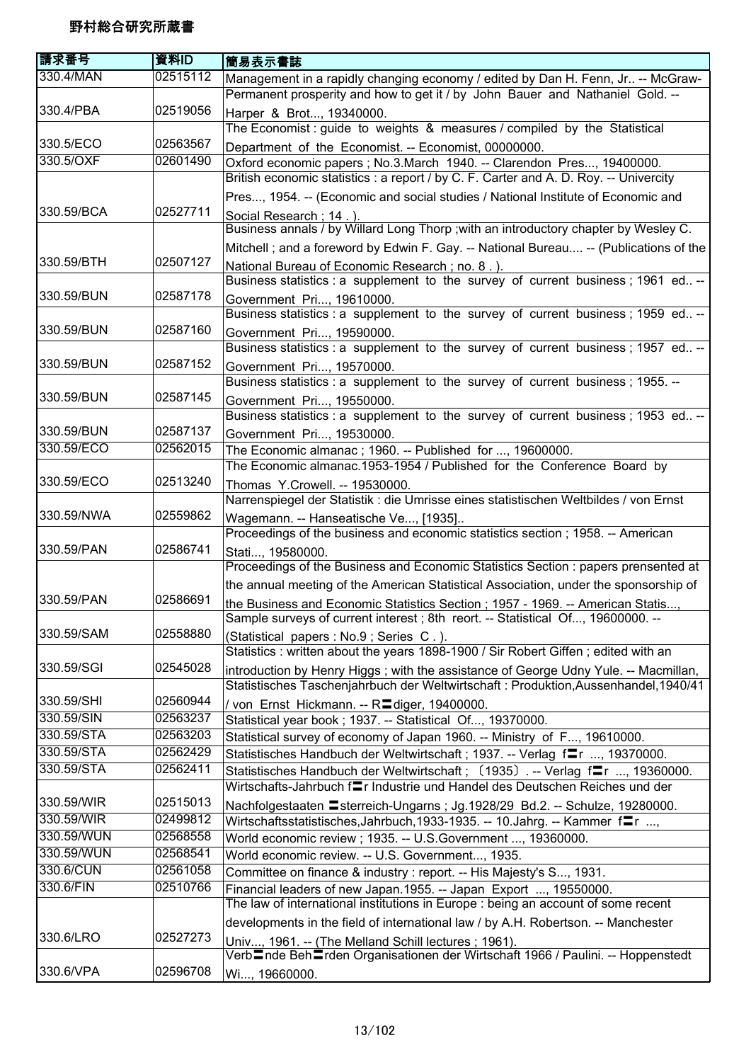| 請求番号       | 資料ID     | 簡易表示書誌                                                                                                                                                          |
|------------|----------|-----------------------------------------------------------------------------------------------------------------------------------------------------------------|
| 330.4/MAN  | 02515112 | Management in a rapidly changing economy / edited by Dan H. Fenn, Jr -- McGraw-                                                                                 |
|            |          | Permanent prosperity and how to get it / by John Bauer and Nathaniel Gold. --                                                                                   |
| 330.4/PBA  | 02519056 | Harper & Brot, 19340000.                                                                                                                                        |
|            |          | The Economist : guide to weights & measures / compiled by the Statistical                                                                                       |
| 330.5/ECO  | 02563567 | Department of the Economist. -- Economist, 00000000.                                                                                                            |
| 330.5/OXF  | 02601490 | Oxford economic papers ; No.3.March 1940. -- Clarendon Pres, 19400000.                                                                                          |
|            |          | British economic statistics : a report / by C. F. Carter and A. D. Roy. -- Univercity                                                                           |
|            |          | Pres, 1954. -- (Economic and social studies / National Institute of Economic and                                                                                |
| 330.59/BCA | 02527711 | Social Research; 14.).                                                                                                                                          |
|            |          | Business annals / by Willard Long Thorp ; with an introductory chapter by Wesley C.                                                                             |
|            |          | Mitchell; and a foreword by Edwin F. Gay. -- National Bureau -- (Publications of the                                                                            |
| 330.59/BTH | 02507127 | National Bureau of Economic Research; no. 8.).                                                                                                                  |
|            |          | Business statistics : a supplement to the survey of current business ; 1961 ed --                                                                               |
| 330.59/BUN | 02587178 | Government Pri, 19610000.                                                                                                                                       |
|            |          | Business statistics : a supplement to the survey of current business; 1959 ed --                                                                                |
| 330.59/BUN | 02587160 | Government Pri, 19590000.                                                                                                                                       |
|            |          | Business statistics : a supplement to the survey of current business; 1957 ed --                                                                                |
| 330.59/BUN | 02587152 | Government Pri, 19570000.                                                                                                                                       |
|            |          | Business statistics : a supplement to the survey of current business; 1955. --                                                                                  |
| 330.59/BUN | 02587145 | Government Pri, 19550000.                                                                                                                                       |
|            |          | Business statistics : a supplement to the survey of current business; 1953 ed --                                                                                |
| 330.59/BUN | 02587137 | Government Pri, 19530000.                                                                                                                                       |
| 330.59/ECO | 02562015 | The Economic almanac; 1960. -- Published for , 19600000.                                                                                                        |
|            |          | The Economic almanac.1953-1954 / Published for the Conference Board by                                                                                          |
| 330.59/ECO | 02513240 | Thomas Y.Crowell. -- 19530000.                                                                                                                                  |
|            |          | Narrenspiegel der Statistik : die Umrisse eines statistischen Weltbildes / von Ernst                                                                            |
| 330.59/NWA | 02559862 | Wagemann. -- Hanseatische Ve, [1935]                                                                                                                            |
|            |          | Proceedings of the business and economic statistics section; 1958. -- American                                                                                  |
| 330.59/PAN | 02586741 | Stati, 19580000.                                                                                                                                                |
|            |          | Proceedings of the Business and Economic Statistics Section : papers prensented at                                                                              |
|            |          | the annual meeting of the American Statistical Association, under the sponsorship of                                                                            |
| 330.59/PAN | 02586691 | the Business and Economic Statistics Section ; 1957 - 1969. -- American Statis,                                                                                 |
|            |          | Sample surveys of current interest ; 8th reort. -- Statistical Of, 19600000. -                                                                                  |
| 330.59/SAM | 02558880 | (Statistical papers : No.9; Series C.).                                                                                                                         |
|            |          | Statistics : written about the years 1898-1900 / Sir Robert Giffen; edited with an                                                                              |
| 330.59/SGI | 02545028 | introduction by Henry Higgs; with the assistance of George Udny Yule. -- Macmillan,                                                                             |
|            |          | Statistisches Taschenjahrbuch der Weltwirtschaft : Produktion, Aussenhandel, 1940/41                                                                            |
| 330.59/SHI | 02560944 | / von Ernst Hickmann. -- Radiger, 19400000.                                                                                                                     |
| 330.59/SIN | 02563237 | Statistical year book ; 1937. -- Statistical Of, 19370000.                                                                                                      |
| 330.59/STA | 02563203 | Statistical survey of economy of Japan 1960. -- Ministry of F, 19610000.                                                                                        |
| 330.59/STA | 02562429 | Statistisches Handbuch der Weltwirtschaft; 1937. -- Verlag fr , 19370000.                                                                                       |
| 330.59/STA | 02562411 | Statistisches Handbuch der Weltwirtschaft; (1935). -- Verlag fram., 19360000.                                                                                   |
|            |          | Wirtschafts-Jahrbuch f=r Industrie und Handel des Deutschen Reiches und der                                                                                     |
| 330.59/WIR | 02515013 | Nachfolgestaaten Esterreich-Ungarns; Jg.1928/29 Bd.2. -- Schulze, 19280000.                                                                                     |
| 330.59/WIR | 02499812 | Wirtschaftsstatistisches, Jahrbuch, 1933-1935. -- 10. Jahrg. -- Kammer fre                                                                                      |
| 330.59/WUN | 02568558 | World economic review ; 1935. -- U.S. Government , 19360000.                                                                                                    |
| 330.59/WUN | 02568541 | World economic review. -- U.S. Government, 1935.                                                                                                                |
| 330.6/CUN  | 02561058 | Committee on finance & industry : report. -- His Majesty's S, 1931.                                                                                             |
| 330.6/FIN  | 02510766 | Financial leaders of new Japan.1955. -- Japan Export , 19550000.                                                                                                |
|            |          | The law of international institutions in Europe : being an account of some recent                                                                               |
|            |          | developments in the field of international law / by A.H. Robertson. -- Manchester                                                                               |
| 330.6/LRO  | 02527273 | Univ, 1961. -- (The Melland Schill lectures; 1961).<br>Verb <sup>l</sup> nde Beh <sup>l</sup> rden Organisationen der Wirtschaft 1966 / Paulini. -- Hoppenstedt |
| 330.6/VPA  | 02596708 | Wi, 19660000.                                                                                                                                                   |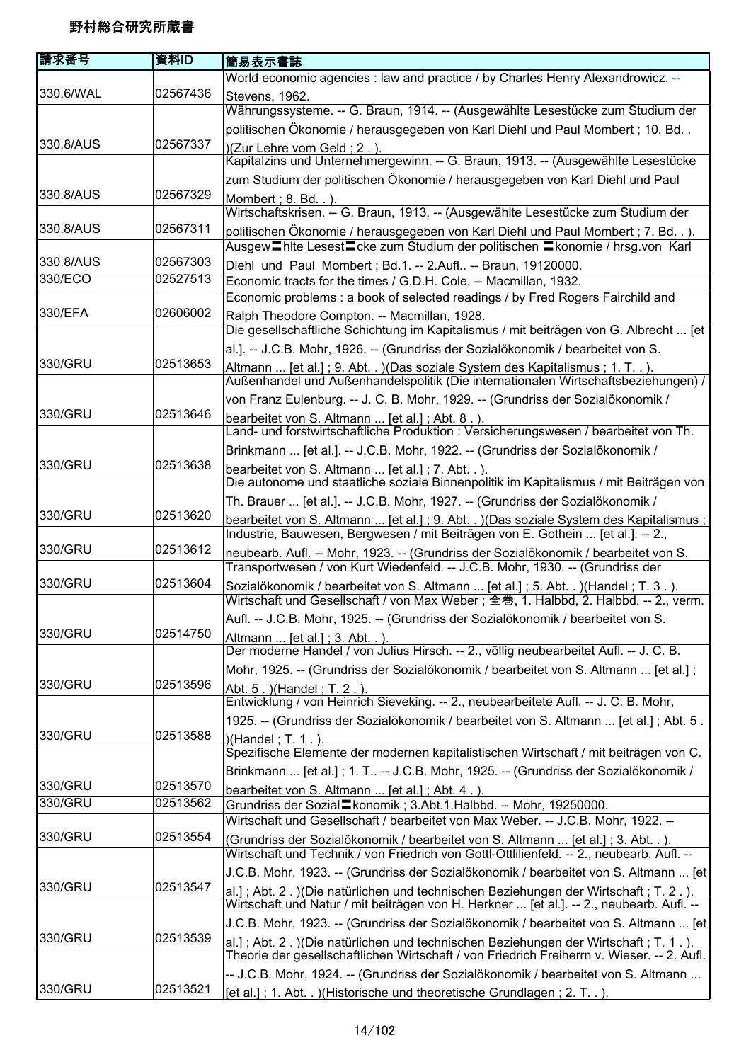| 請求番号      | 資料ID     | 簡易表示書誌                                                                                                                                                                                              |
|-----------|----------|-----------------------------------------------------------------------------------------------------------------------------------------------------------------------------------------------------|
|           |          | World economic agencies : law and practice / by Charles Henry Alexandrowicz. --                                                                                                                     |
| 330.6/WAL | 02567436 | Stevens, 1962.                                                                                                                                                                                      |
|           |          | Währungssysteme. -- G. Braun, 1914. -- (Ausgewählte Lesestücke zum Studium der                                                                                                                      |
|           |          | politischen Ökonomie / herausgegeben von Karl Diehl und Paul Mombert; 10. Bd                                                                                                                        |
| 330.8/AUS | 02567337 | )(Zur Lehre vom Geld; 2.).<br><br>Kapitalzins und Unternehmergewinn. -- G. Braun, 1913. -- (Ausgewählte Lesestücke                                                                                  |
|           |          | zum Studium der politischen Ökonomie / herausgegeben von Karl Diehl und Paul                                                                                                                        |
| 330.8/AUS | 02567329 | Mombert : 8. Bd. . ).<br>Wirtschaftskrisen. -- G. Braun, 1913. -- (Ausgewählte Lesestücke zum Studium der                                                                                           |
| 330.8/AUS | 02567311 | politischen Ökonomie / herausgegeben von Karl Diehl und Paul Mombert; 7. Bd).<br>Ausgew <sup>-</sup> Thite Lesest <sup>-</sup> Cke zum Studium der politischen <sup>-</sup> Konomie / hrsg.von Karl |
| 330.8/AUS | 02567303 | Diehl und Paul Mombert; Bd.1. -- 2.Aufl -- Braun, 19120000.                                                                                                                                         |
| 330/ECO   | 02527513 | Economic tracts for the times / G.D.H. Cole. -- Macmillan, 1932.                                                                                                                                    |
|           |          | Economic problems : a book of selected readings / by Fred Rogers Fairchild and                                                                                                                      |
| 330/EFA   | 02606002 | Ralph Theodore Compton. -- Macmillan, 1928.                                                                                                                                                         |
|           |          | Die gesellschaftliche Schichtung im Kapitalismus / mit beiträgen von G. Albrecht  [et                                                                                                               |
|           |          | al.]. -- J.C.B. Mohr, 1926. -- (Grundriss der Sozialökonomik / bearbeitet von S.                                                                                                                    |
| 330/GRU   | 02513653 | Altmann  [et al.]; 9. Abt. . ) (Das soziale System des Kapitalismus; 1. T. . ).                                                                                                                     |
|           |          | Außenhandel und Außenhandelspolitik (Die internationalen Wirtschaftsbeziehungen) /                                                                                                                  |
|           |          | von Franz Eulenburg. -- J. C. B. Mohr, 1929. -- (Grundriss der Sozialökonomik /                                                                                                                     |
| 330/GRU   | 02513646 | bearbeitet von S. Altmann  [et al.]; Abt. 8.).                                                                                                                                                      |
|           |          | Land- und forstwirtschaftliche Produktion : Versicherungswesen / bearbeitet von Th.                                                                                                                 |
|           |          | Brinkmann  [et al.]. -- J.C.B. Mohr, 1922. -- (Grundriss der Sozialökonomik /                                                                                                                       |
| 330/GRU   | 02513638 | bearbeitet von S. Altmann  [et al.]; 7. Abt. . ).<br>Die autonome und staatliche soziale Binnenpolitik im Kapitalismus / mit Beiträgen von                                                          |
|           |          | Th. Brauer  [et al.]. -- J.C.B. Mohr, 1927. -- (Grundriss der Sozialökonomik /                                                                                                                      |
| 330/GRU   | 02513620 | bearbeitet von S. Altmann  [et al.] ; 9. Abt. . )(Das soziale System des Kapitalismus ;<br>Industrie, Bauwesen, Bergwesen / mit Beiträgen von E. Gothein  [et al.]. -- 2.,                          |
| 330/GRU   | 02513612 | neubearb. Aufl. -- Mohr, 1923. -- (Grundriss der Sozialökonomik / bearbeitet von S.<br>Transportwesen / von Kurt Wiedenfeld. -- J.C.B. Mohr, 1930. -- (Grundriss der                                |
| 330/GRU   | 02513604 | Sozialökonomik / bearbeitet von S. Altmann  [et al.]; 5. Abt. . ) (Handel; T. 3.).<br>Wirtschaft und Gesellschaft / von Max Weber ; 全巻, 1. Halbbd, 2. Halbbd. -- 2., verm.                          |
|           |          | Aufl. -- J.C.B. Mohr, 1925. -- (Grundriss der Sozialökonomik / bearbeitet von S.                                                                                                                    |
| 330/GRU   | 02514750 | Altmann  [et al.]; 3. Abt. . ).                                                                                                                                                                     |
|           |          | Der moderne Handel / von Julius Hirsch. -- 2., völlig neubearbeitet Aufl. -- J. C. B.                                                                                                               |
|           |          | Mohr, 1925. -- (Grundriss der Sozialökonomik / bearbeitet von S. Altmann  [et al.];                                                                                                                 |
| 330/GRU   | 02513596 | Abt. 5. ) (Handel; T. 2.).<br>Entwicklung / von Heinrich Sieveking. -- 2., neubearbeitete Aufl. -- J. C. B. Mohr,                                                                                   |
|           |          |                                                                                                                                                                                                     |
| 330/GRU   | 02513588 | 1925. -- (Grundriss der Sozialökonomik / bearbeitet von S. Altmann  [et al.]; Abt. 5.                                                                                                               |
|           |          | )(Handel; T. 1.).<br>Spezifische Elemente der modernen kapitalistischen Wirtschaft / mit beiträgen von C.                                                                                           |
|           |          | Brinkmann  [et al.]; 1. T -- J.C.B. Mohr, 1925. -- (Grundriss der Sozialökonomik /                                                                                                                  |
| 330/GRU   | 02513570 | bearbeitet von S. Altmann  [et al.]; Abt. 4.).                                                                                                                                                      |
| 330/GRU   | 02513562 | Grundriss der Sozial Ekonomik; 3.Abt.1.Halbbd. -- Mohr, 19250000.                                                                                                                                   |
|           |          | Wirtschaft und Gesellschaft / bearbeitet von Max Weber. -- J.C.B. Mohr, 1922. --                                                                                                                    |
| 330/GRU   | 02513554 | (Grundriss der Sozialökonomik / bearbeitet von S. Altmann  [et al.]; 3. Abt. .).                                                                                                                    |
|           |          | Wirtschaft und Technik / von Friedrich von Gottl-Ottlilienfeld. -- 2., neubearb. Aufl. --                                                                                                           |
| 330/GRU   | 02513547 | J.C.B. Mohr, 1923. -- (Grundriss der Sozialökonomik / bearbeitet von S. Altmann  [et]                                                                                                               |
|           |          | al.]; Abt. 2. )(Die natürlichen und technischen Beziehungen der Wirtschaft; T. 2.).<br>Wirtschaft und Natur / mit beiträgen von H. Herkner  [et al.]. -- 2., neubearb. Aufl. --                     |
|           |          | J.C.B. Mohr, 1923. -- (Grundriss der Sozialökonomik / bearbeitet von S. Altmann  [et]                                                                                                               |
| 330/GRU   | 02513539 | al.]; Abt. 2. )(Die natürlichen und technischen Beziehungen der Wirtschaft; T. 1.).<br>Theorie der gesellschaftlichen Wirtschaft / von Friedrich Freiherrn v. Wieser. -- 2. Aufl.                   |
|           |          | -- J.C.B. Mohr, 1924. -- (Grundriss der Sozialökonomik / bearbeitet von S. Altmann                                                                                                                  |
| 330/GRU   | 02513521 | [et al.]; 1. Abt) (Historische und theoretische Grundlagen; 2. T).                                                                                                                                  |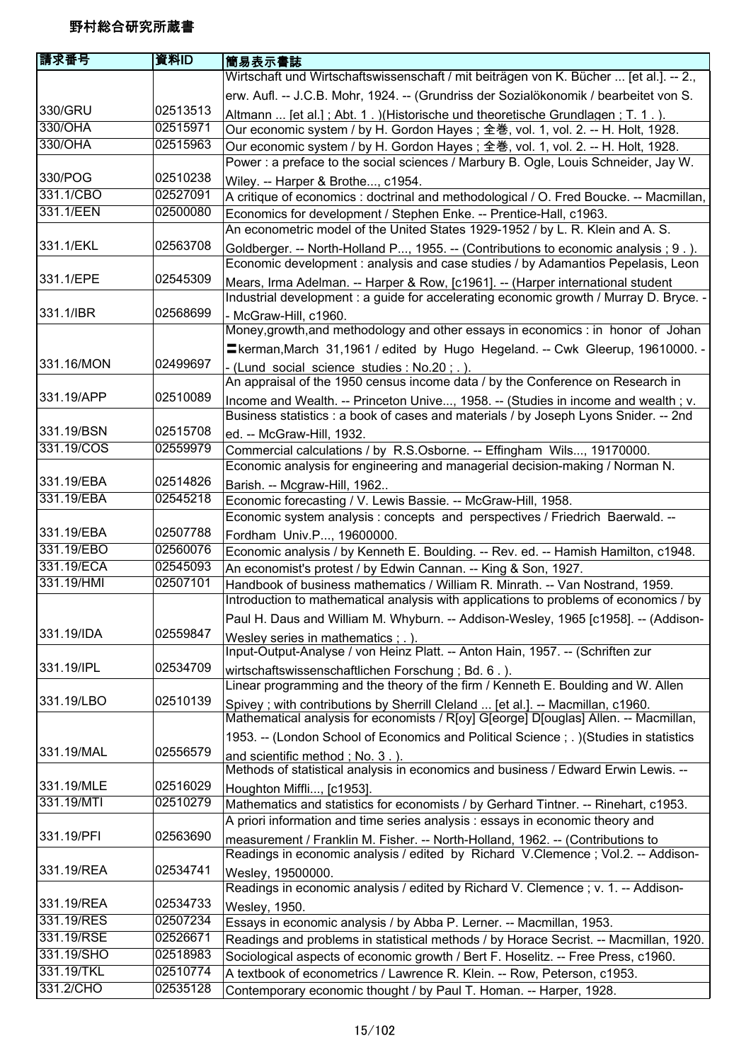| 請求番号                     | 資料ID     | 簡易表示書誌                                                                                                                                                                 |
|--------------------------|----------|------------------------------------------------------------------------------------------------------------------------------------------------------------------------|
|                          |          | Wirtschaft und Wirtschaftswissenschaft / mit beiträgen von K. Bücher  [et al.]. -- 2.,                                                                                 |
|                          |          | erw. Aufl. -- J.C.B. Mohr, 1924. -- (Grundriss der Sozialökonomik / bearbeitet von S.                                                                                  |
| 330/GRU                  | 02513513 | Altmann  [et al.]; Abt. 1. )(Historische und theoretische Grundlagen; T. 1.).                                                                                          |
| 330/OHA                  | 02515971 | Our economic system / by H. Gordon Hayes; 全巻, vol. 1, vol. 2. -- H. Holt, 1928.                                                                                        |
| 330/OHA                  | 02515963 | Our economic system / by H. Gordon Hayes; 全巻, vol. 1, vol. 2. -- H. Holt, 1928.                                                                                        |
|                          |          | Power : a preface to the social sciences / Marbury B. Ogle, Louis Schneider, Jay W.                                                                                    |
| 330/POG                  | 02510238 | Wiley. -- Harper & Brothe, c1954.                                                                                                                                      |
| 331.1/CBO                | 02527091 | A critique of economics : doctrinal and methodological / O. Fred Boucke. -- Macmillan,                                                                                 |
| 331.1/EEN                | 02500080 | Economics for development / Stephen Enke. -- Prentice-Hall, c1963.                                                                                                     |
|                          |          | An econometric model of the United States 1929-1952 / by L. R. Klein and A. S.                                                                                         |
| 331.1/EKL                | 02563708 | Goldberger. -- North-Holland P, 1955. -- (Contributions to economic analysis; 9.).<br>Economic development : analysis and case studies / by Adamantios Pepelasis, Leon |
| 331.1/EPE                | 02545309 | Mears, Irma Adelman. -- Harper & Row, [c1961]. -- (Harper international student                                                                                        |
|                          |          | Industrial development : a guide for accelerating economic growth / Murray D. Bryce. -                                                                                 |
| 331.1/IBR                | 02568699 | - McGraw-Hill, c1960.                                                                                                                                                  |
|                          |          | Money, growth, and methodology and other essays in economics : in honor of Johan                                                                                       |
|                          |          | = kerman, March 31, 1961 / edited by Hugo Hegeland. -- Cwk Gleerup, 19610000. -                                                                                        |
| 331.16/MON               | 02499697 | - (Lund social science studies : No.20; .).                                                                                                                            |
|                          |          | An appraisal of the 1950 census income data / by the Conference on Research in                                                                                         |
| 331.19/APP               | 02510089 | Income and Wealth. -- Princeton Unive, 1958. -- (Studies in income and wealth ; v.                                                                                     |
|                          |          | Business statistics : a book of cases and materials / by Joseph Lyons Snider. -- 2nd                                                                                   |
| 331.19/BSN               | 02515708 | ed. -- McGraw-Hill, 1932.                                                                                                                                              |
| 331.19/COS               | 02559979 | Commercial calculations / by R.S.Osborne. -- Effingham Wils, 19170000.                                                                                                 |
|                          |          | Economic analysis for engineering and managerial decision-making / Norman N.                                                                                           |
| 331.19/EBA               | 02514826 | Barish. -- Mcgraw-Hill, 1962                                                                                                                                           |
| 331.19/EBA               | 02545218 | Economic forecasting / V. Lewis Bassie. -- McGraw-Hill, 1958.                                                                                                          |
|                          |          | Economic system analysis : concepts and perspectives / Friedrich Baerwald. --                                                                                          |
| 331.19/EBA               | 02507788 | Fordham Univ.P, 19600000.                                                                                                                                              |
| 331.19/EBO               | 02560076 | Economic analysis / by Kenneth E. Boulding. -- Rev. ed. -- Hamish Hamilton, c1948.                                                                                     |
| 331.19/ECA<br>331.19/HMI | 02545093 | An economist's protest / by Edwin Cannan. -- King & Son, 1927.                                                                                                         |
|                          | 02507101 | Handbook of business mathematics / William R. Minrath. -- Van Nostrand, 1959.<br>Introduction to mathematical analysis with applications to problems of economics / by |
|                          |          | Paul H. Daus and William M. Whyburn. -- Addison-Wesley, 1965 [c1958]. -- (Addison-                                                                                     |
| 331.19/IDA               | 02559847 | Wesley series in mathematics ; . ).<br>Input-Output-Analyse / von Heinz Platt. -- Anton Hain, 1957. -- (Schriften zur                                                  |
| 331.19/IPL               | 02534709 | wirtschaftswissenschaftlichen Forschung; Bd. 6.).                                                                                                                      |
|                          |          | Linear programming and the theory of the firm / Kenneth E. Boulding and W. Allen                                                                                       |
| 331.19/LBO               | 02510139 | Spivey; with contributions by Sherrill Cleland  [et al.]. -- Macmillan, c1960.<br>Mathematical analysis for economists / R[oy] G[eorge] D[ouglas] Allen. -- Macmillan, |
|                          |          | 1953. -- (London School of Economics and Political Science; .) (Studies in statistics                                                                                  |
| 331.19/MAL               | 02556579 | and scientific method; No. 3.).                                                                                                                                        |
|                          |          | Methods of statistical analysis in economics and business / Edward Erwin Lewis. --                                                                                     |
| 331.19/MLE               | 02516029 | Houghton Miffli, [c1953].                                                                                                                                              |
| 331.19/MTI               | 02510279 | Mathematics and statistics for economists / by Gerhard Tintner. -- Rinehart, c1953.<br>A priori information and time series analysis : essays in economic theory and   |
| 331.19/PFI               | 02563690 | measurement / Franklin M. Fisher. -- North-Holland, 1962. -- (Contributions to                                                                                         |
|                          |          | Readings in economic analysis / edited by Richard V.Clemence; Vol.2. -- Addison-                                                                                       |
| 331.19/REA               | 02534741 | Wesley, 19500000.                                                                                                                                                      |
|                          |          | Readings in economic analysis / edited by Richard V. Clemence ; v. 1. -- Addison-                                                                                      |
| 331.19/REA               | 02534733 | Wesley, 1950.                                                                                                                                                          |
| 331.19/RES               | 02507234 | Essays in economic analysis / by Abba P. Lerner. -- Macmillan, 1953.                                                                                                   |
| 331.19/RSE               | 02526671 | Readings and problems in statistical methods / by Horace Secrist. -- Macmillan, 1920.                                                                                  |
| 331.19/SHO               | 02518983 | Sociological aspects of economic growth / Bert F. Hoselitz. -- Free Press, c1960.                                                                                      |
| 331.19/TKL               | 02510774 | A textbook of econometrics / Lawrence R. Klein. -- Row, Peterson, c1953.                                                                                               |
| 331.2/CHO                | 02535128 | Contemporary economic thought / by Paul T. Homan. -- Harper, 1928.                                                                                                     |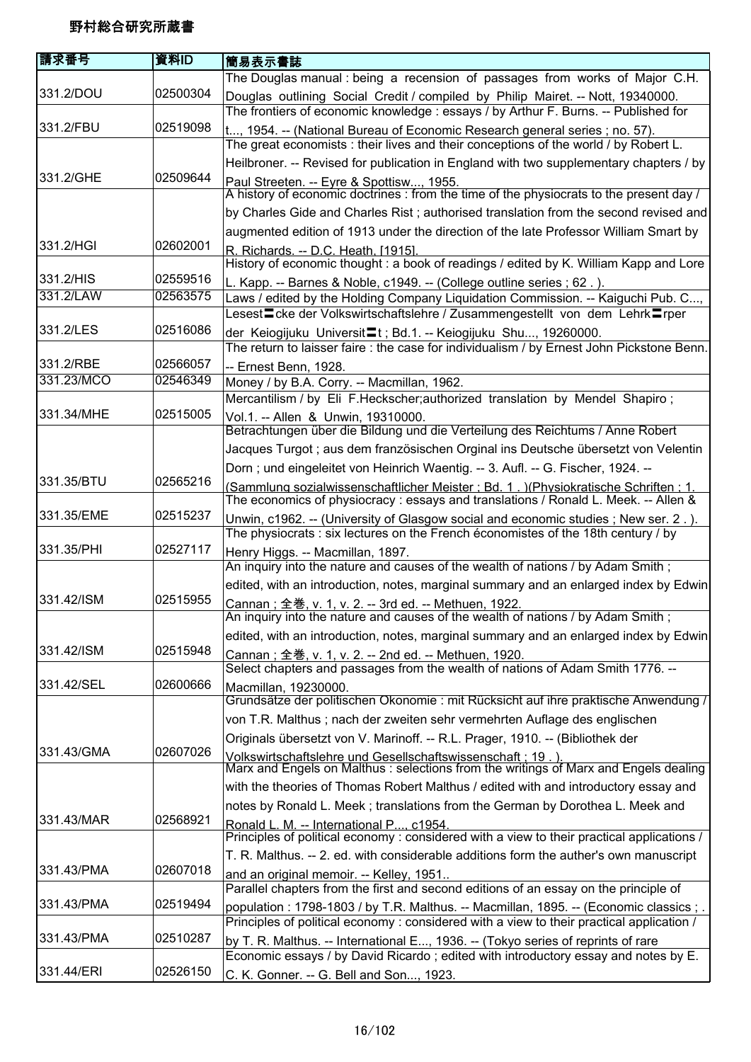| 請求番号       | 資料ID     | <b> 簡易表示書誌</b>                                                                                                                                                                       |
|------------|----------|--------------------------------------------------------------------------------------------------------------------------------------------------------------------------------------|
|            |          | The Douglas manual: being a recension of passages from works of Major C.H.                                                                                                           |
| 331.2/DOU  | 02500304 | Douglas outlining Social Credit / compiled by Philip Mairet. -- Nott, 19340000.                                                                                                      |
|            |          | The frontiers of economic knowledge : essays / by Arthur F. Burns. -- Published for                                                                                                  |
| 331.2/FBU  | 02519098 | t, 1954. -- (National Bureau of Economic Research general series; no. 57).                                                                                                           |
|            |          | The great economists: their lives and their conceptions of the world / by Robert L.                                                                                                  |
|            |          | Heilbroner. -- Revised for publication in England with two supplementary chapters / by                                                                                               |
| 331.2/GHE  | 02509644 | Paul Streeten. -- Eyre & Spottisw, 1955.<br>A history of economic doctrines : from the time of the physiocrats to the present day /                                                  |
|            |          | by Charles Gide and Charles Rist; authorised translation from the second revised and                                                                                                 |
|            |          | augmented edition of 1913 under the direction of the late Professor William Smart by                                                                                                 |
| 331.2/HGI  | 02602001 | R. Richards. -- D.C. Heath, [1915].                                                                                                                                                  |
|            |          | History of economic thought : a book of readings / edited by K. William Kapp and Lore                                                                                                |
| 331.2/HIS  | 02559516 | L. Kapp. -- Barnes & Noble, c1949. -- (College outline series ; 62.).                                                                                                                |
| 331.2/LAW  | 02563575 | Laws / edited by the Holding Company Liquidation Commission. -- Kaiguchi Pub. C,                                                                                                     |
|            |          | Lesest〓cke der Volkswirtschaftslehre / Zusammengestellt von dem Lehrk〓rper                                                                                                           |
| 331.2/LES  | 02516086 | der Keiogijuku Universit <sup>1</sup> t; Bd.1. -- Keiogijuku Shu, 19260000.                                                                                                          |
|            |          | The return to laisser faire : the case for individualism / by Ernest John Pickstone Benn.                                                                                            |
| 331.2/RBE  | 02566057 | -- Ernest Benn, 1928.                                                                                                                                                                |
| 331.23/MCO | 02546349 | Money / by B.A. Corry. -- Macmillan, 1962.                                                                                                                                           |
| 331.34/MHE | 02515005 | Mercantilism / by Eli F.Heckscher; authorized translation by Mendel Shapiro;                                                                                                         |
|            |          | Vol.1. -- Allen & Unwin, 19310000.<br>Betrachtungen über die Bildung und die Verteilung des Reichtums / Anne Robert                                                                  |
|            |          | Jacques Turgot ; aus dem französischen Orginal ins Deutsche übersetzt von Velentin                                                                                                   |
|            |          | Dorn; und eingeleitet von Heinrich Waentig. -- 3. Aufl. -- G. Fischer, 1924. --                                                                                                      |
| 331.35/BTU | 02565216 | (Sammlung sozialwissenschaftlicher Meister: Bd. 1.) (Physiokratische Schriften: 1.<br>The economics of physiocracy : essays and translations / Ronald L. Meek. -- Allen &            |
| 331.35/EME | 02515237 | Unwin, c1962. -- (University of Glasgow social and economic studies; New ser. 2.).                                                                                                   |
|            |          | The physiocrats : six lectures on the French économistes of the 18th century / by                                                                                                    |
| 331.35/PHI | 02527117 | Henry Higgs. -- Macmillan, 1897.<br>An inquiry into the nature and causes of the wealth of nations / by Adam Smith;                                                                  |
|            |          | edited, with an introduction, notes, marginal summary and an enlarged index by Edwin                                                                                                 |
| 331.42/ISM | 02515955 | Cannan ; 全巻, v. 1, v. 2. -- 3rd ed. -- Methuen, 1922.<br>An inquiry into the nature and causes of the wealth of nations / by Adam Smith ;                                            |
|            |          |                                                                                                                                                                                      |
|            |          | edited, with an introduction, notes, marginal summary and an enlarged index by Edwin                                                                                                 |
| 331.42/ISM | 02515948 | Cannan; 全巻, v. 1, v. 2. -- 2nd ed. -- Methuen, 1920.                                                                                                                                 |
| 331.42/SEL | 02600666 | Select chapters and passages from the wealth of nations of Adam Smith 1776. --                                                                                                       |
|            |          | Macmillan, 19230000.<br>Grundsätze der politischen Okonomie : mit Rücksicht auf ihre praktische Anwendung /                                                                          |
|            |          | von T.R. Malthus ; nach der zweiten sehr vermehrten Auflage des englischen                                                                                                           |
|            |          | Originals übersetzt von V. Marinoff. -- R.L. Prager, 1910. -- (Bibliothek der                                                                                                        |
| 331.43/GMA | 02607026 | Volkswirtschaftslehre und Gesellschaftswissenschaft : 19 . ).<br>Marx and Engels on Malthus : selections from the writings of Marx and Engels dealing                                |
|            |          | with the theories of Thomas Robert Malthus / edited with and introductory essay and                                                                                                  |
|            |          | notes by Ronald L. Meek; translations from the German by Dorothea L. Meek and                                                                                                        |
| 331.43/MAR | 02568921 | Ronald L. M. -- International P, c1954.                                                                                                                                              |
|            |          | Principles of political economy: considered with a view to their practical applications /                                                                                            |
|            |          | T. R. Malthus. -- 2. ed. with considerable additions form the auther's own manuscript                                                                                                |
| 331.43/PMA | 02607018 | and an original memoir. -- Kelley, 1951                                                                                                                                              |
|            |          | Parallel chapters from the first and second editions of an essay on the principle of                                                                                                 |
| 331.43/PMA | 02519494 | population:1798-1803 / by T.R. Malthus. -- Macmillan, 1895. -- (Economic classics ; .  <br>Principles of political economy : considered with a view to their practical application / |
| 331.43/PMA | 02510287 |                                                                                                                                                                                      |
|            |          | by T. R. Malthus. -- International E, 1936. -- (Tokyo series of reprints of rare<br>Economic essays / by David Ricardo; edited with introductory essay and notes by E.               |
| 331.44/ERI | 02526150 | C. K. Gonner. -- G. Bell and Son, 1923.                                                                                                                                              |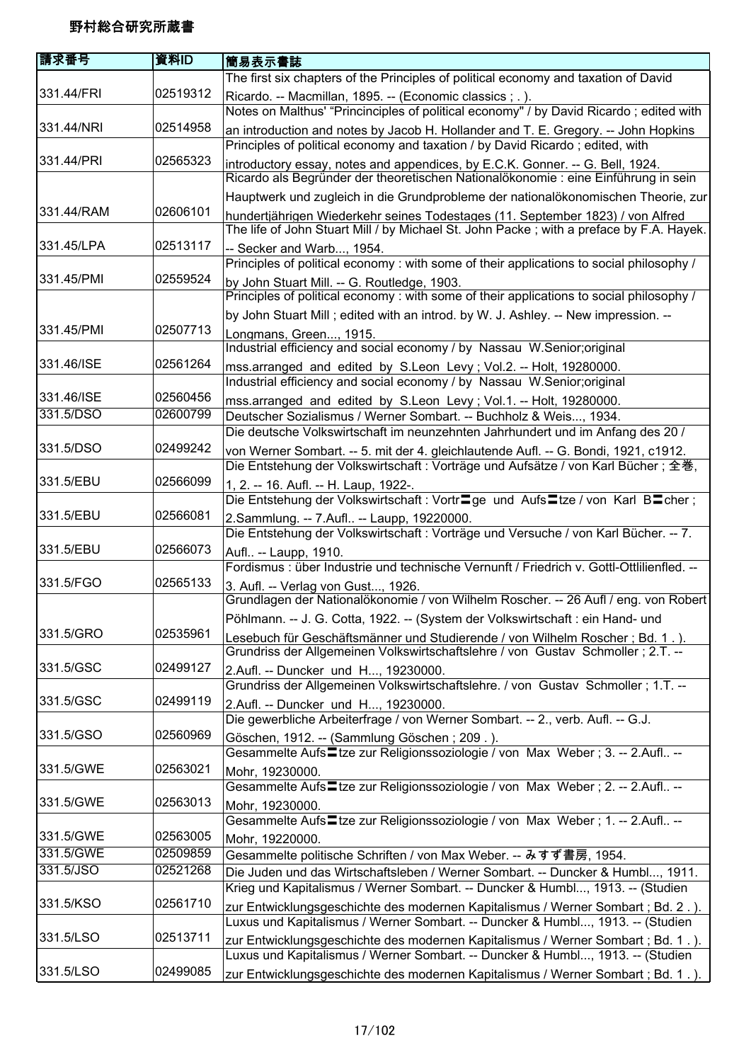| 請求番号       | 資料ID     | <b> 簡易表示書誌</b>                                                                                                                                                            |
|------------|----------|---------------------------------------------------------------------------------------------------------------------------------------------------------------------------|
|            |          | The first six chapters of the Principles of political economy and taxation of David                                                                                       |
| 331.44/FRI | 02519312 | Ricardo. -- Macmillan, 1895. -- (Economic classics ; .).<br>Notes on Malthus' "Princinciples of political economy" / by David Ricardo; edited with                        |
| 331.44/NRI | 02514958 | an introduction and notes by Jacob H. Hollander and T. E. Gregory. -- John Hopkins<br>Principles of political economy and taxation / by David Ricardo; edited, with       |
| 331.44/PRI | 02565323 | introductory essay, notes and appendices, by E.C.K. Gonner. -- G. Bell, 1924.                                                                                             |
|            |          | Ricardo als Begründer der theoretischen Nationalökonomie : eine Einführung in sein<br>Hauptwerk und zugleich in die Grundprobleme der nationalökonomischen Theorie, zur   |
| 331.44/RAM | 02606101 | hundertjährigen Wiederkehr seines Todestages (11. September 1823) / von Alfred                                                                                            |
|            |          | The life of John Stuart Mill / by Michael St. John Packe; with a preface by F.A. Hayek.                                                                                   |
| 331.45/LPA | 02513117 | -- Secker and Warb, 1954.                                                                                                                                                 |
|            |          | Principles of political economy : with some of their applications to social philosophy /                                                                                  |
| 331.45/PMI | 02559524 | by John Stuart Mill. -- G. Routledge, 1903.<br>Principles of political economy: with some of their applications to social philosophy /                                    |
|            |          | by John Stuart Mill; edited with an introd. by W. J. Ashley. -- New impression. --                                                                                        |
| 331.45/PMI | 02507713 | Longmans, Green, 1915.                                                                                                                                                    |
|            |          | Industrial efficiency and social economy / by Nassau W.Senior; original                                                                                                   |
| 331.46/ISE | 02561264 | mss.arranged and edited by S.Leon Levy; Vol.2. -- Holt, 19280000.                                                                                                         |
|            |          | Industrial efficiency and social economy / by Nassau W.Senior; original                                                                                                   |
| 331.46/ISE | 02560456 | mss.arranged and edited by S.Leon Levy; Vol.1. -- Holt, 19280000.                                                                                                         |
| 331.5/DSO  | 02600799 | Deutscher Sozialismus / Werner Sombart. -- Buchholz & Weis, 1934.                                                                                                         |
|            |          | Die deutsche Volkswirtschaft im neunzehnten Jahrhundert und im Anfang des 20 /                                                                                            |
| 331.5/DSO  | 02499242 | von Werner Sombart. -- 5. mit der 4. gleichlautende Aufl. -- G. Bondi, 1921, c1912.<br>Die Entstehung der Volkswirtschaft : Vorträge und Aufsätze / von Karl Bücher ; 全巻, |
| 331.5/EBU  | 02566099 | 1, 2. -- 16. Aufl. -- H. Laup, 1922-.<br>Die Entstehung der Volkswirtschaft : Vortr <sup>o</sup> ge und Aufs <sup>ot</sup> tze / von Karl Botcher;                        |
| 331.5/EBU  | 02566081 | 2.Sammlung. -- 7.Aufl -- Laupp, 19220000.                                                                                                                                 |
|            |          | Die Entstehung der Volkswirtschaft : Vorträge und Versuche / von Karl Bücher. -- 7.                                                                                       |
| 331.5/EBU  | 02566073 | Aufl -- Laupp, 1910.                                                                                                                                                      |
|            |          | Fordismus : über Industrie und technische Vernunft / Friedrich v. Gottl-Ottlilienfled. --                                                                                 |
| 331.5/FGO  | 02565133 | 3. Aufl. -- Verlag von Gust, 1926.<br>Grundlagen der Nationalökonomie / von Wilhelm Roscher. -- 26 Aufl / eng. von Robert                                                 |
|            |          | Pöhlmann. -- J. G. Cotta, 1922. -- (System der Volkswirtschaft : ein Hand- und                                                                                            |
| 331.5/GRO  | 02535961 | Lesebuch für Geschäftsmänner und Studierende / von Wilhelm Roscher; Bd. 1.).                                                                                              |
|            |          | Grundriss der Allgemeinen Volkswirtschaftslehre / von Gustav Schmoller; 2.T. --                                                                                           |
| 331.5/GSC  | 02499127 | 2.Aufl. -- Duncker und H, 19230000.                                                                                                                                       |
|            |          | Grundriss der Allgemeinen Volkswirtschaftslehre. / von Gustav Schmoller ; 1.T. --                                                                                         |
| 331.5/GSC  | 02499119 | 2.Aufl. -- Duncker und H, 19230000.                                                                                                                                       |
|            |          | Die gewerbliche Arbeiterfrage / von Werner Sombart. -- 2., verb. Aufl. -- G.J.                                                                                            |
| 331.5/GSO  | 02560969 | Göschen, 1912. -- (Sammlung Göschen; 209.).                                                                                                                               |
|            |          | Gesammelte Aufs Ltze zur Religionssoziologie / von Max Weber; 3. -- 2.Aufl --                                                                                             |
| 331.5/GWE  | 02563021 | Mohr, 19230000.                                                                                                                                                           |
|            |          | Gesammelte Aufs Ltze zur Religionssoziologie / von Max Weber; 2. -- 2.Aufl --                                                                                             |
| 331.5/GWE  | 02563013 | Mohr, 19230000.                                                                                                                                                           |
|            |          | Gesammelte Aufs <sup>1</sup> tze zur Religionssoziologie / von Max Weber; 1. -- 2.Aufl --                                                                                 |
| 331.5/GWE  | 02563005 | Mohr, 19220000.                                                                                                                                                           |
| 331.5/GWE  | 02509859 | Gesammelte politische Schriften / von Max Weber. -- みすず書房, 1954.                                                                                                          |
| 331.5/JSO  | 02521268 | Die Juden und das Wirtschaftsleben / Werner Sombart. -- Duncker & Humbl, 1911.                                                                                            |
|            |          | Krieg und Kapitalismus / Werner Sombart. -- Duncker & Humbl, 1913. -- (Studien                                                                                            |
| 331.5/KSO  | 02561710 | zur Entwicklungsgeschichte des modernen Kapitalismus / Werner Sombart ; Bd. 2.).                                                                                          |
|            |          | Luxus und Kapitalismus / Werner Sombart. -- Duncker & Humbl, 1913. -- (Studien                                                                                            |
| 331.5/LSO  | 02513711 | zur Entwicklungsgeschichte des modernen Kapitalismus / Werner Sombart; Bd. 1.).                                                                                           |
|            |          | Luxus und Kapitalismus / Werner Sombart. -- Duncker & Humbl, 1913. -- (Studien                                                                                            |
| 331.5/LSO  | 02499085 | zur Entwicklungsgeschichte des modernen Kapitalismus / Werner Sombart ; Bd. 1.).                                                                                          |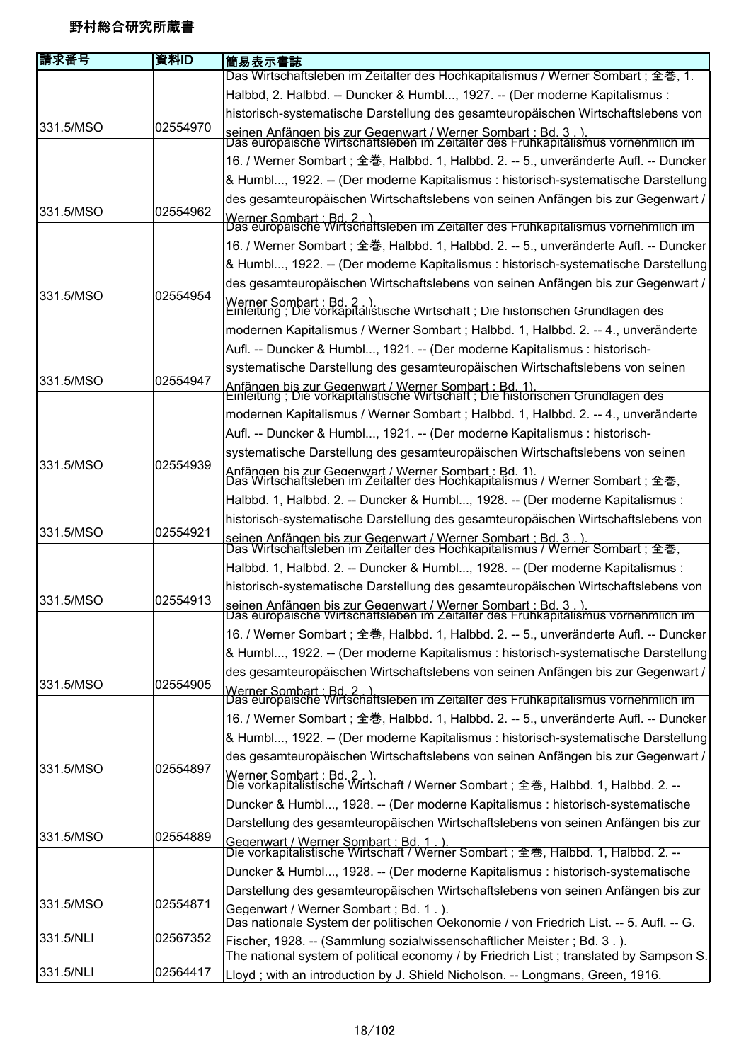| 請求番号      | 資料ID     | 簡易表示書誌                                                                                                                                              |
|-----------|----------|-----------------------------------------------------------------------------------------------------------------------------------------------------|
|           |          | Das Wirtschaftsleben im Zeitalter des Hochkapitalismus / Werner Sombart; 全巻, 1.                                                                     |
|           |          | Halbbd, 2. Halbbd. -- Duncker & Humbl, 1927. -- (Der moderne Kapitalismus :                                                                         |
|           |          | historisch-systematische Darstellung des gesamteuropäischen Wirtschaftslebens von                                                                   |
| 331.5/MSO | 02554970 | seinen Anfängen bis zur Gegenwart / Werner Sombart : Bd. 3. ).<br>Das europäische Wirtschaftsleben im Zeitalter des Frühkapitalismus vornehmlich im |
|           |          | 16. / Werner Sombart; 全巻, Halbbd. 1, Halbbd. 2. -- 5., unveränderte Aufl. -- Duncker                                                                |
|           |          | & Humbl, 1922. -- (Der moderne Kapitalismus : historisch-systematische Darstellung                                                                  |
|           |          | des gesamteuropäischen Wirtschaftslebens von seinen Anfängen bis zur Gegenwart /                                                                    |
| 331.5/MSO | 02554962 | Werner Sombart : Bd. 2.).<br>Das europäische Wirtschaftsleben im Zeitalter des Frühkapitalismus vornehmlich im                                      |
|           |          | 16. / Werner Sombart; 全巻, Halbbd. 1, Halbbd. 2. -- 5., unveränderte Aufl. -- Duncker                                                                |
|           |          | & Humbl, 1922. -- (Der moderne Kapitalismus : historisch-systematische Darstellung                                                                  |
|           |          | des gesamteuropäischen Wirtschaftslebens von seinen Anfängen bis zur Gegenwart /                                                                    |
| 331.5/MSO | 02554954 | Werner Sombart : Bd. 2. ).<br>Einleitung ; Die vorkapitalistische Wirtschaft ; Die historischen Grundlagen des                                      |
|           |          | modernen Kapitalismus / Werner Sombart ; Halbbd. 1, Halbbd. 2. -- 4., unveränderte                                                                  |
|           |          | Aufl. -- Duncker & Humbl, 1921. -- (Der moderne Kapitalismus : historisch-                                                                          |
|           |          | systematische Darstellung des gesamteuropäischen Wirtschaftslebens von seinen                                                                       |
| 331.5/MSO | 02554947 |                                                                                                                                                     |
|           |          | Anfängen bis zur Gegenwart / Werner Sombart : Bd. 1).<br>Einleitung ; Die vorkapitalistische Wirtschaft ; Die historischen Grundlagen des           |
|           |          | modernen Kapitalismus / Werner Sombart ; Halbbd. 1, Halbbd. 2. -- 4., unveränderte                                                                  |
|           |          | Aufl. -- Duncker & Humbl, 1921. -- (Der moderne Kapitalismus : historisch-                                                                          |
|           |          | systematische Darstellung des gesamteuropäischen Wirtschaftslebens von seinen                                                                       |
| 331.5/MSO | 02554939 | Anfängen bis zur Gegenwart / Werner Sombart : Bd. 1).<br>Das Wirtschaftsleben im Zeitalter des Hochkapitalismus / Werner Sombart ; 全巻,              |
|           |          | Halbbd. 1, Halbbd. 2. -- Duncker & Humbl, 1928. -- (Der moderne Kapitalismus:                                                                       |
|           |          | historisch-systematische Darstellung des gesamteuropäischen Wirtschaftslebens von                                                                   |
| 331.5/MSO | 02554921 | seinen Anfängen bis zur Gegenwart / Werner Sombart : Bd. 3 . ).<br>Das Wirtschaftsleben im Zeitalter des Hochkapitalismus / Werner Sombart ; 全巻,    |
|           |          | Halbbd. 1, Halbbd. 2. -- Duncker & Humbl, 1928. -- (Der moderne Kapitalismus:                                                                       |
|           |          | historisch-systematische Darstellung des gesamteuropäischen Wirtschaftslebens von                                                                   |
| 331.5/MSO | 02554913 | seinen Anfängen bis zur Gegenwart / Werner Sombart : Bd. 3.).<br>Das europäische Wirtschaftsleben im Zeitalter des Frühkapitalismus vornehmlich im  |
|           |          | 16. / Werner Sombart; 全巻, Halbbd. 1, Halbbd. 2. -- 5., unveränderte Aufl. -- Duncker                                                                |
|           |          | & Humbl, 1922. -- (Der moderne Kapitalismus : historisch-systematische Darstellung                                                                  |
|           |          | des gesamteuropäischen Wirtschaftslebens von seinen Anfängen bis zur Gegenwart /                                                                    |
| 331.5/MSO | 02554905 | Werner Sombart : Bd. 2.)<br>Das europäische Wirtschaftsleben im Zeitalter des Frühkapitalismus vornehmlich im                                       |
|           |          | 16. / Werner Sombart ; 全巻, Halbbd. 1, Halbbd. 2. -- 5., unveränderte Aufl. -- Duncker                                                               |
|           |          | & Humbl, 1922. -- (Der moderne Kapitalismus : historisch-systematische Darstellung                                                                  |
|           |          | des gesamteuropäischen Wirtschaftslebens von seinen Anfängen bis zur Gegenwart /                                                                    |
| 331.5/MSO | 02554897 | <u>Werner Sombart : Bd. 2 . ).</u><br>Die vorkapitalistische Wirtschaft / Werner Sombart ; 全巻, Halbbd. 1, Halbbd. 2. --                             |
|           |          | Duncker & Humbl, 1928. -- (Der moderne Kapitalismus : historisch-systematische                                                                      |
|           |          | Darstellung des gesamteuropäischen Wirtschaftslebens von seinen Anfängen bis zur                                                                    |
| 331.5/MSO | 02554889 | Gegenwart / Werner Sombart : Bd. 1 . ).<br>Die vorkapitalistische Wirtschaft / Werner Sombart ; 全巻, Halbbd. 1, Halbbd. 2. --                        |
|           |          | Duncker & Humbl, 1928. -- (Der moderne Kapitalismus : historisch-systematische                                                                      |
|           |          | Darstellung des gesamteuropäischen Wirtschaftslebens von seinen Anfängen bis zur                                                                    |
| 331.5/MSO | 02554871 | Gegenwart / Werner Sombart ; Bd. 1.)                                                                                                                |
|           |          | Das nationale System der politischen Oekonomie / von Friedrich List. -- 5. Aufl. -- G.                                                              |
| 331.5/NLI | 02567352 | Fischer, 1928. -- (Sammlung sozialwissenschaftlicher Meister; Bd. 3.).                                                                              |
|           |          | The national system of political economy / by Friedrich List; translated by Sampson S.                                                              |
| 331.5/NLI | 02564417 | Lloyd; with an introduction by J. Shield Nicholson. -- Longmans, Green, 1916.                                                                       |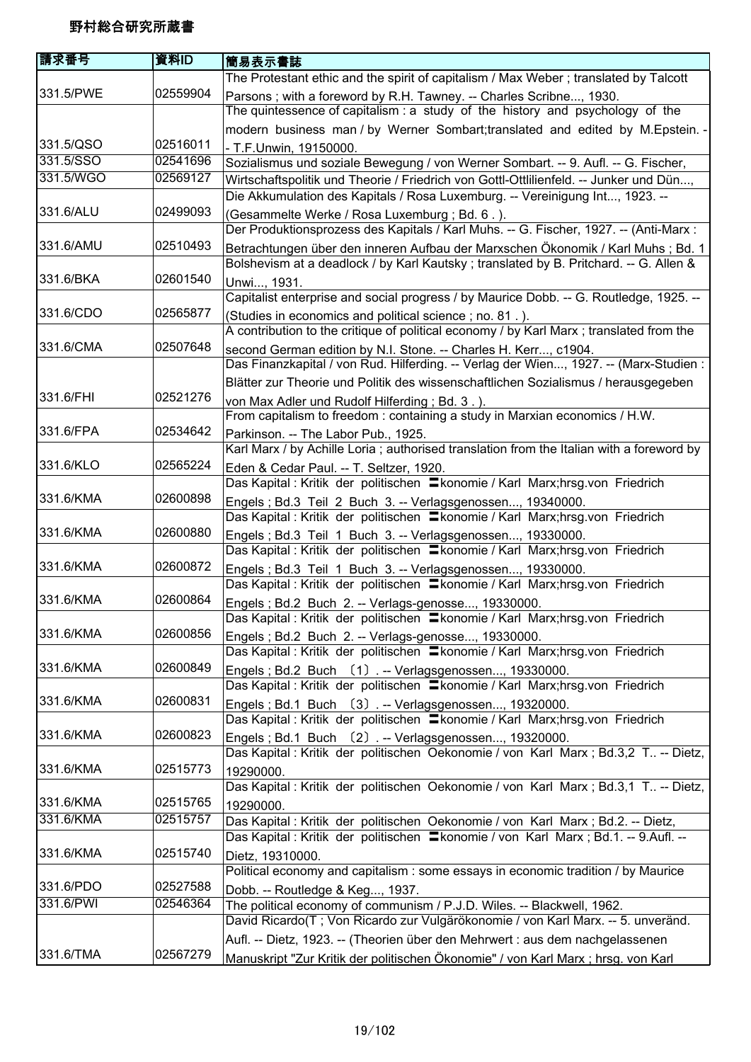| 請求番号      | 資料ID     | 簡易表示書誌                                                                                                                                     |
|-----------|----------|--------------------------------------------------------------------------------------------------------------------------------------------|
|           |          | The Protestant ethic and the spirit of capitalism / Max Weber; translated by Talcott                                                       |
| 331.5/PWE | 02559904 | Parsons; with a foreword by R.H. Tawney. -- Charles Scribne, 1930.                                                                         |
|           |          | The quintessence of capitalism: a study of the history and psychology of the                                                               |
|           |          | modern business man / by Werner Sombart; translated and edited by M. Epstein. -                                                            |
| 331.5/QSO | 02516011 | - T.F.Unwin, 19150000.                                                                                                                     |
| 331.5/SSO | 02541696 | Sozialismus und soziale Bewegung / von Werner Sombart. -- 9. Aufl. -- G. Fischer,                                                          |
| 331.5/WGO | 02569127 | Wirtschaftspolitik und Theorie / Friedrich von Gottl-Ottlilienfeld. -- Junker und Dün,                                                     |
|           |          | Die Akkumulation des Kapitals / Rosa Luxemburg. -- Vereinigung Int, 1923. --                                                               |
| 331.6/ALU | 02499093 | (Gesammelte Werke / Rosa Luxemburg ; Bd. 6.).                                                                                              |
|           |          | Der Produktionsprozess des Kapitals / Karl Muhs. -- G. Fischer, 1927. -- (Anti-Marx:                                                       |
| 331.6/AMU | 02510493 | Betrachtungen über den inneren Aufbau der Marxschen Ökonomik / Karl Muhs; Bd. 1                                                            |
|           |          | Bolshevism at a deadlock / by Karl Kautsky; translated by B. Pritchard. -- G. Allen &                                                      |
| 331.6/BKA | 02601540 | Unwi, 1931.                                                                                                                                |
|           |          | Capitalist enterprise and social progress / by Maurice Dobb. -- G. Routledge, 1925. --                                                     |
| 331.6/CDO | 02565877 | (Studies in economics and political science; no. 81.).                                                                                     |
|           |          | A contribution to the critique of political economy / by Karl Marx ; translated from the                                                   |
| 331.6/CMA | 02507648 | second German edition by N.I. Stone. -- Charles H. Kerr, c1904.                                                                            |
|           |          | Das Finanzkapital / von Rud. Hilferding. -- Verlag der Wien, 1927. -- (Marx-Studien:                                                       |
|           |          | Blätter zur Theorie und Politik des wissenschaftlichen Sozialismus / herausgegeben                                                         |
| 331.6/FHI | 02521276 | von Max Adler und Rudolf Hilferding; Bd. 3.).                                                                                              |
| 331.6/FPA | 02534642 | From capitalism to freedom: containing a study in Marxian economics / H.W.                                                                 |
|           |          | Parkinson. -- The Labor Pub., 1925.                                                                                                        |
| 331.6/KLO | 02565224 | Karl Marx / by Achille Loria; authorised translation from the Italian with a foreword by                                                   |
|           |          | Eden & Cedar Paul. -- T. Seltzer, 1920.<br>Das Kapital : Kritik der politischen Ekonomie / Karl Marx;hrsg.von Friedrich                    |
| 331.6/KMA | 02600898 |                                                                                                                                            |
|           |          | Engels; Bd.3 Teil 2 Buch 3. -- Verlagsgenossen, 19340000.<br>Das Kapital : Kritik der politischen = konomie / Karl Marx;hrsg.von Friedrich |
| 331.6/KMA | 02600880 |                                                                                                                                            |
|           |          | Engels; Bd.3 Teil 1 Buch 3. -- Verlagsgenossen, 19330000.<br>Das Kapital : Kritik der politischen = konomie / Karl Marx;hrsg.von Friedrich |
| 331.6/KMA | 02600872 | Engels; Bd.3 Teil 1 Buch 3. -- Verlagsgenossen, 19330000.                                                                                  |
|           |          | Das Kapital : Kritik der politischen = konomie / Karl Marx;hrsg.von Friedrich                                                              |
| 331.6/KMA | 02600864 | Engels ; Bd.2 Buch 2. -- Verlags-genosse, 19330000.                                                                                        |
|           |          | Das Kapital : Kritik der politischen = konomie / Karl Marx;hrsg.von Friedrich                                                              |
| 331.6/KMA | 02600856 | Engels; Bd.2 Buch 2. -- Verlags-genosse, 19330000.                                                                                         |
|           |          | Das Kapital : Kritik der politischen Ekonomie / Karl Marx;hrsg.von Friedrich                                                               |
| 331.6/KMA | 02600849 | Engels; Bd.2 Buch (1). -- Verlagsgenossen, 19330000.                                                                                       |
|           |          | Das Kapital : Kritik der politischen = konomie / Karl Marx;hrsg.von Friedrich                                                              |
| 331.6/KMA | 02600831 | Engels; Bd.1 Buch (3). -- Verlagsgenossen, 19320000.                                                                                       |
|           |          | Das Kapital : Kritik der politischen = konomie / Karl Marx; hrsg.von Friedrich                                                             |
| 331.6/KMA | 02600823 | Engels; Bd.1 Buch (2). -- Verlagsgenossen, 19320000.                                                                                       |
|           |          | Das Kapital : Kritik der politischen Oekonomie / von Karl Marx ; Bd.3,2 T -- Dietz,                                                        |
| 331.6/KMA | 02515773 | 19290000.                                                                                                                                  |
|           |          | Das Kapital : Kritik der politischen Oekonomie / von Karl Marx ; Bd.3,1 T -- Dietz,                                                        |
| 331.6/KMA | 02515765 | 19290000.                                                                                                                                  |
| 331.6/KMA | 02515757 | Das Kapital : Kritik der politischen Oekonomie / von Karl Marx ; Bd.2. -- Dietz,                                                           |
|           |          | Das Kapital : Kritik der politischen <b>E</b> konomie / von Karl Marx ; Bd.1. -- 9.Aufl. --                                                |
| 331.6/KMA | 02515740 | Dietz, 19310000.                                                                                                                           |
|           |          | Political economy and capitalism: some essays in economic tradition / by Maurice                                                           |
| 331.6/PDO | 02527588 | Dobb. -- Routledge & Keg, 1937.                                                                                                            |
| 331.6/PWI | 02546364 | The political economy of communism / P.J.D. Wiles. -- Blackwell, 1962.                                                                     |
|           |          | David Ricardo(T; Von Ricardo zur Vulgärökonomie / von Karl Marx. -- 5. unveränd.                                                           |
|           |          | Aufl. -- Dietz, 1923. -- (Theorien über den Mehrwert : aus dem nachgelassenen                                                              |
| 331.6/TMA | 02567279 | Manuskript "Zur Kritik der politischen Ökonomie" / von Karl Marx ; hrsg. von Karl                                                          |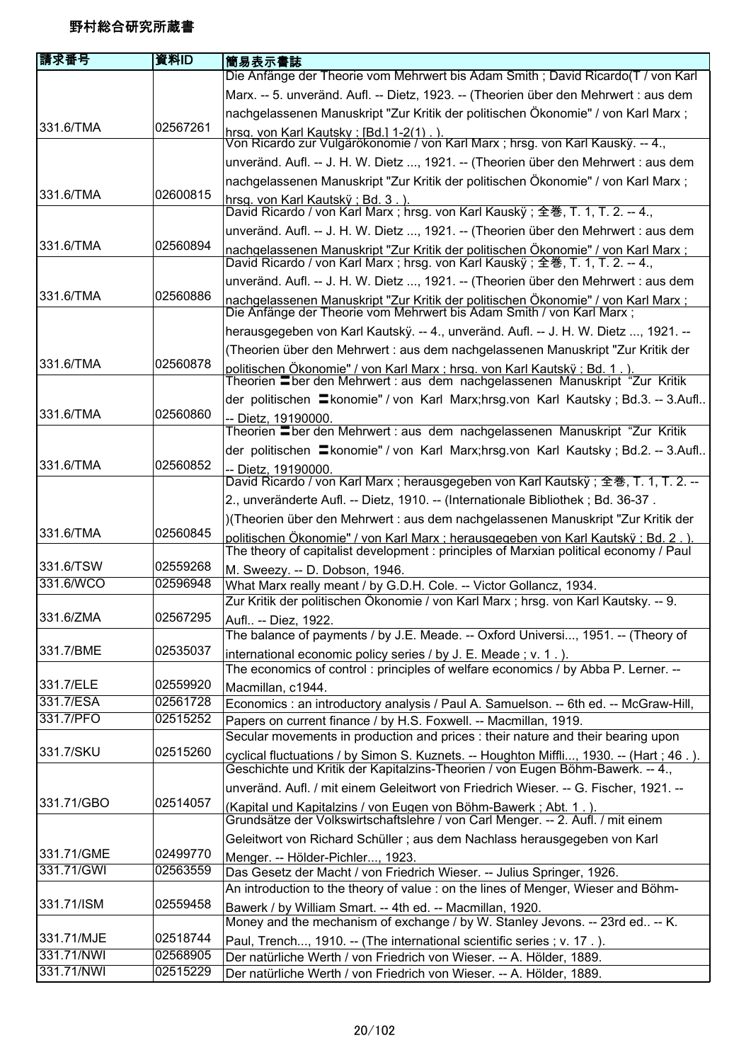| 請求番号       | 資料ID     | 簡易表示書誌                                                                                                                                                                     |
|------------|----------|----------------------------------------------------------------------------------------------------------------------------------------------------------------------------|
|            |          | Die Anfänge der Theorie vom Mehrwert bis Adam Smith; David Ricardo(T / von Karl                                                                                            |
|            |          | Marx. -- 5. unveränd. Aufl. -- Dietz, 1923. -- (Theorien über den Mehrwert : aus dem                                                                                       |
|            |          | nachgelassenen Manuskript "Zur Kritik der politischen Ökonomie" / von Karl Marx;                                                                                           |
| 331.6/TMA  | 02567261 | <u>hrsg. von Karl Kautsky : [Bd.] 1-2(1) . ).</u><br>Von Ricardo zur Vulgärökonomie / von Karl Marx ; hrsg. von Karl Kauskÿ. -- 4.,                                        |
|            |          |                                                                                                                                                                            |
|            |          | unveränd. Aufl. -- J. H. W. Dietz , 1921. -- (Theorien über den Mehrwert : aus dem                                                                                         |
|            |          | nachgelassenen Manuskript "Zur Kritik der politischen Ökonomie" / von Karl Marx;                                                                                           |
| 331.6/TMA  | 02600815 | hrsa. von Karl Kautsk $\ddot{v}$ : Bd. 3.).                                                                                                                                |
|            |          | David Ricardo / von Karl Marx ; hrsg. von Karl Kauskÿ ; 全巻, T. 1, T. 2. -- 4.,                                                                                             |
| 331.6/TMA  | 02560894 | unveränd. Aufl. -- J. H. W. Dietz , 1921. -- (Theorien über den Mehrwert : aus dem                                                                                         |
|            |          | nachgelassenen Manuskript "Zur Kritik der politischen Ökonomie" / von Karl Marx;<br>David Ricardo / von Karl Marx; hrsg. von Karl Kausky; 全巻, T. 1, T. 2. -- 4.,           |
|            |          | unveränd. Aufl. -- J. H. W. Dietz , 1921. -- (Theorien über den Mehrwert : aus dem                                                                                         |
| 331.6/TMA  | 02560886 | <u>nachgelassenen Manuskript "Zur Kritik der politischen Ökonomie" / von Karl Marx ;</u><br>Die Anfänge der Theorie vom Mehrwert bis Adam Smith / von Karl Marx ;          |
|            |          | herausgegeben von Karl Kautskÿ. -- 4., unveränd. Aufl. -- J. H. W. Dietz , 1921. --                                                                                        |
|            |          | (Theorien über den Mehrwert : aus dem nachgelassenen Manuskript "Zur Kritik der                                                                                            |
| 331.6/TMA  | 02560878 | politischen Ökonomie" / von Karl Marx ; hrsg. von Karl Kautskÿ ; Bd. 1.).                                                                                                  |
|            |          | Theorien Eber den Mehrwert : aus dem nachgelassenen Manuskript "Zur Kritik                                                                                                 |
|            |          | der politischen = konomie" / von Karl Marx; hrsg. von Karl Kautsky; Bd. 3. -- 3. Aufl                                                                                      |
| 331.6/TMA  | 02560860 | -- Dietz, 19190000.                                                                                                                                                        |
|            |          | Theorien Eber den Mehrwert : aus dem nachgelassenen Manuskript "Zur Kritik                                                                                                 |
|            |          | der politischen = konomie" / von Karl Marx;hrsg.von Karl Kautsky; Bd.2. -- 3.Aufl                                                                                          |
| 331.6/TMA  | 02560852 | -- Dietz, 19190000.<br>David Ricardo / von Karl Marx ; herausgegeben von Karl Kautskÿ ; 全巻, T. 1, T. 2. --                                                                 |
|            |          |                                                                                                                                                                            |
|            |          | 2., unveränderte Aufl. -- Dietz, 1910. -- (Internationale Bibliothek; Bd. 36-37.                                                                                           |
| 331.6/TMA  | 02560845 | )(Theorien über den Mehrwert : aus dem nachgelassenen Manuskript "Zur Kritik der                                                                                           |
|            |          | politischen Ökonomie" / von Karl Marx : herausgegeben von Karl Kautskÿ : Bd. 2.).<br>The theory of capitalist development : principles of Marxian political economy / Paul |
| 331.6/TSW  | 02559268 | M. Sweezy. -- D. Dobson, 1946.                                                                                                                                             |
| 331.6/WCO  | 02596948 | What Marx really meant / by G.D.H. Cole. -- Victor Gollancz, 1934.                                                                                                         |
| 331.6/ZMA  | 02567295 | Zur Kritik der politischen Ökonomie / von Karl Marx; hrsg. von Karl Kautsky. -- 9.                                                                                         |
|            |          | Aufl -- Diez, 1922.                                                                                                                                                        |
| 331.7/BME  | 02535037 | The balance of payments / by J.E. Meade. -- Oxford Universi, 1951. -- (Theory of                                                                                           |
|            |          | international economic policy series / by J. E. Meade; v. 1.).<br>The economics of control: principles of welfare economics / by Abba P. Lerner. --                        |
| 331.7/ELE  | 02559920 | Macmillan, c1944.                                                                                                                                                          |
| 331.7/ESA  | 02561728 | Economics : an introductory analysis / Paul A. Samuelson. -- 6th ed. -- McGraw-Hill,                                                                                       |
| 331.7/PFO  | 02515252 | Papers on current finance / by H.S. Foxwell. -- Macmillan, 1919.                                                                                                           |
|            |          | Secular movements in production and prices : their nature and their bearing upon                                                                                           |
| 331.7/SKU  | 02515260 | cyclical fluctuations / by Simon S. Kuznets. -- Houghton Miffli, 1930. -- (Hart; 46.).<br>Geschichte und Kritik der Kapitalzins-Theorien / von Eugen Böhm-Bawerk. -- 4.,   |
|            |          | unveränd. Aufl. / mit einem Geleitwort von Friedrich Wieser. -- G. Fischer, 1921. --                                                                                       |
| 331.71/GBO | 02514057 | (Kapital und Kapitalzins / von Eugen von Böhm-Bawerk ; Abt. 1.).                                                                                                           |
|            |          | Grundsätze der Volkswirtschaftslehre / von Carl Menger. -- 2. Aufl. / mit einem                                                                                            |
|            |          | Geleitwort von Richard Schüller; aus dem Nachlass herausgegeben von Karl                                                                                                   |
| 331.71/GME | 02499770 | Menger. -- Hölder-Pichler, 1923.                                                                                                                                           |
| 331.71/GWI | 02563559 | Das Gesetz der Macht / von Friedrich Wieser. -- Julius Springer, 1926.                                                                                                     |
|            |          | An introduction to the theory of value : on the lines of Menger, Wieser and Böhm-                                                                                          |
| 331.71/ISM | 02559458 | Bawerk / by William Smart. -- 4th ed. -- Macmillan, 1920.                                                                                                                  |
|            |          | Money and the mechanism of exchange / by W. Stanley Jevons. -- 23rd ed -- K.                                                                                               |
| 331.71/MJE | 02518744 | Paul, Trench, 1910. -- (The international scientific series; v. 17.).                                                                                                      |
| 331.71/NWI | 02568905 | Der natürliche Werth / von Friedrich von Wieser. -- A. Hölder, 1889.                                                                                                       |
| 331.71/NWI | 02515229 | Der natürliche Werth / von Friedrich von Wieser. -- A. Hölder, 1889.                                                                                                       |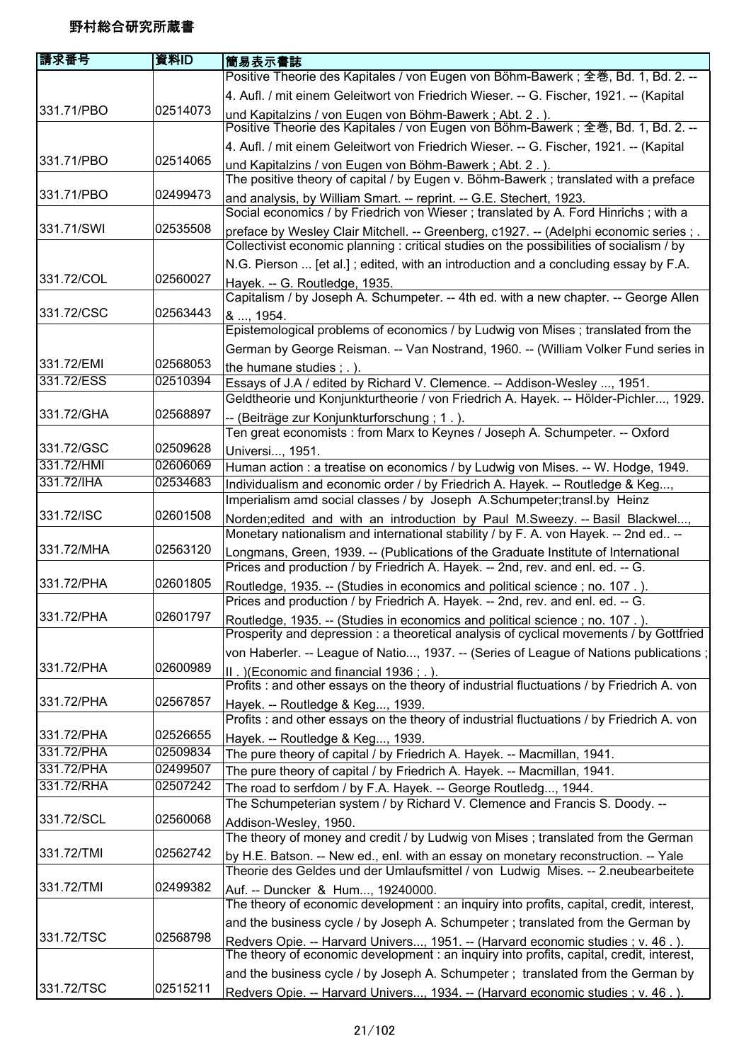| 請求番号       | 資料ID     | 簡易表示書誌                                                                                                                                                                      |
|------------|----------|-----------------------------------------------------------------------------------------------------------------------------------------------------------------------------|
|            |          | Positive Theorie des Kapitales / von Eugen von Böhm-Bawerk; 全巻, Bd. 1, Bd. 2. --                                                                                            |
|            |          | 4. Aufl. / mit einem Geleitwort von Friedrich Wieser. -- G. Fischer, 1921. -- (Kapital                                                                                      |
| 331.71/PBO | 02514073 | und Kapitalzins / von Eugen von Böhm-Bawerk; Abt. 2.).                                                                                                                      |
|            |          | Positive Theorie des Kapitales / von Eugen von Böhm-Bawerk; 全巻, Bd. 1, Bd. 2. --                                                                                            |
|            |          | 4. Aufl. / mit einem Geleitwort von Friedrich Wieser. -- G. Fischer, 1921. -- (Kapital                                                                                      |
| 331.71/PBO | 02514065 | und Kapitalzins / von Eugen von Böhm-Bawerk; Abt. 2.).                                                                                                                      |
|            |          | The positive theory of capital / by Eugen v. Böhm-Bawerk; translated with a preface                                                                                         |
| 331.71/PBO | 02499473 | and analysis, by William Smart. -- reprint. -- G.E. Stechert, 1923.                                                                                                         |
|            |          | Social economics / by Friedrich von Wieser; translated by A. Ford Hinrichs; with a                                                                                          |
| 331.71/SWI | 02535508 | preface by Wesley Clair Mitchell. -- Greenberg, c1927. -- (Adelphi economic series; .                                                                                       |
|            |          | Collectivist economic planning : critical studies on the possibilities of socialism / by                                                                                    |
|            |          | N.G. Pierson  [et al.]; edited, with an introduction and a concluding essay by F.A.                                                                                         |
| 331.72/COL | 02560027 | Hayek. -- G. Routledge, 1935.                                                                                                                                               |
|            |          | Capitalism / by Joseph A. Schumpeter. -- 4th ed. with a new chapter. -- George Allen                                                                                        |
| 331.72/CSC | 02563443 | & , 1954.                                                                                                                                                                   |
|            |          | Epistemological problems of economics / by Ludwig von Mises ; translated from the                                                                                           |
|            |          | German by George Reisman. -- Van Nostrand, 1960. -- (William Volker Fund series in                                                                                          |
| 331.72/EMI | 02568053 | the humane studies $;$ $\ldots$ ).                                                                                                                                          |
| 331.72/ESS | 02510394 | Essays of J.A / edited by Richard V. Clemence. -- Addison-Wesley , 1951.                                                                                                    |
|            |          | Geldtheorie und Konjunkturtheorie / von Friedrich A. Hayek. -- Hölder-Pichler, 1929.                                                                                        |
| 331.72/GHA | 02568897 | -- (Beiträge zur Konjunkturforschung; 1.).                                                                                                                                  |
|            |          | Ten great economists : from Marx to Keynes / Joseph A. Schumpeter. -- Oxford                                                                                                |
| 331.72/GSC | 02509628 | Universi, 1951.                                                                                                                                                             |
| 331.72/HMI | 02606069 | Human action : a treatise on economics / by Ludwig von Mises. -- W. Hodge, 1949.                                                                                            |
| 331.72/IHA | 02534683 | Individualism and economic order / by Friedrich A. Hayek. -- Routledge & Keg,                                                                                               |
|            |          | Imperialism amd social classes / by Joseph A.Schumpeter;transl.by Heinz                                                                                                     |
| 331.72/ISC | 02601508 | Norden;edited and with an introduction by Paul M.Sweezy. -- Basil Blackwel,                                                                                                 |
|            |          | Monetary nationalism and international stability / by F. A. von Hayek. -- 2nd ed --                                                                                         |
| 331.72/MHA | 02563120 | Longmans, Green, 1939. -- (Publications of the Graduate Institute of International                                                                                          |
|            |          | Prices and production / by Friedrich A. Hayek. -- 2nd, rev. and enl. ed. -- G.                                                                                              |
| 331.72/PHA | 02601805 | Routledge, 1935. -- (Studies in economics and political science; no. 107.).                                                                                                 |
|            |          | Prices and production / by Friedrich A. Hayek. -- 2nd, rev. and enl. ed. -- G.                                                                                              |
| 331.72/PHA | 02601797 | Routledge, 1935. -- (Studies in economics and political science; no. 107.).<br>Prosperity and depression: a theoretical analysis of cyclical movements / by Gottfried       |
|            |          |                                                                                                                                                                             |
| 331.72/PHA | 02600989 | von Haberler. -- League of Natio, 1937. -- (Series of League of Nations publications;                                                                                       |
|            |          | II. ) (Economic and financial 1936; .).                                                                                                                                     |
| 331.72/PHA | 02567857 | Profits : and other essays on the theory of industrial fluctuations / by Friedrich A. von                                                                                   |
|            |          | Hayek. -- Routledge & Keg, 1939.<br>Profits : and other essays on the theory of industrial fluctuations / by Friedrich A. von                                               |
| 331.72/PHA | 02526655 |                                                                                                                                                                             |
| 331.72/PHA | 02509834 | Hayek. -- Routledge & Keg, 1939.<br>The pure theory of capital / by Friedrich A. Hayek. -- Macmillan, 1941.                                                                 |
| 331.72/PHA | 02499507 | The pure theory of capital / by Friedrich A. Hayek. -- Macmillan, 1941.                                                                                                     |
| 331.72/RHA | 02507242 | The road to serfdom / by F.A. Hayek. -- George Routledg, 1944.                                                                                                              |
|            |          | The Schumpeterian system / by Richard V. Clemence and Francis S. Doody. --                                                                                                  |
| 331.72/SCL | 02560068 |                                                                                                                                                                             |
|            |          | Addison-Wesley, 1950.<br>The theory of money and credit / by Ludwig von Mises; translated from the German                                                                   |
| 331.72/TMI | 02562742 |                                                                                                                                                                             |
|            |          | by H.E. Batson. -- New ed., enl. with an essay on monetary reconstruction. -- Yale<br>Theorie des Geldes und der Umlaufsmittel / von Ludwig Mises. -- 2.neubearbeitete      |
| 331.72/TMI | 02499382 | Auf. -- Duncker & Hum, 19240000.                                                                                                                                            |
|            |          | The theory of economic development : an inquiry into profits, capital, credit, interest,                                                                                    |
|            |          | and the business cycle / by Joseph A. Schumpeter ; translated from the German by                                                                                            |
| 331.72/TSC | 02568798 |                                                                                                                                                                             |
|            |          | Redvers Opie. -- Harvard Univers, 1951. -- (Harvard economic studies ; v. 46.).<br>The theory of economic development : an inquiry into profits, capital, credit, interest, |
|            |          | and the business cycle / by Joseph A. Schumpeter ; translated from the German by                                                                                            |
| 331.72/TSC | 02515211 | Redvers Opie. -- Harvard Univers, 1934. -- (Harvard economic studies ; v. 46.).                                                                                             |
|            |          |                                                                                                                                                                             |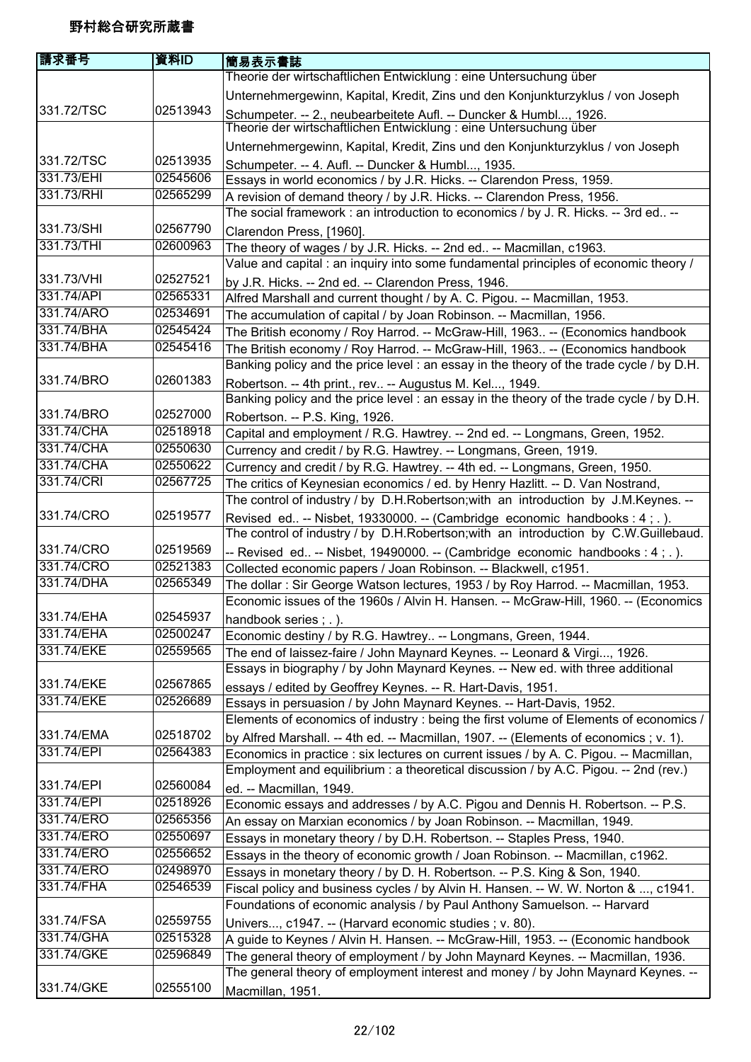| 請求番号                     | 資料ID                 | 簡易表示書誌                                                                                                                                                         |
|--------------------------|----------------------|----------------------------------------------------------------------------------------------------------------------------------------------------------------|
|                          |                      | Theorie der wirtschaftlichen Entwicklung : eine Untersuchung über                                                                                              |
|                          |                      | Unternehmergewinn, Kapital, Kredit, Zins und den Konjunkturzyklus / von Joseph                                                                                 |
| 331.72/TSC               | 02513943             | Schumpeter. -- 2., neubearbeitete Aufl. -- Duncker & Humbl, 1926.                                                                                              |
|                          |                      | Theorie der wirtschaftlichen Entwicklung : eine Untersuchung über                                                                                              |
|                          |                      | Unternehmergewinn, Kapital, Kredit, Zins und den Konjunkturzyklus / von Joseph                                                                                 |
| 331.72/TSC               | 02513935             | Schumpeter. -- 4. Aufl. -- Duncker & Humbl, 1935.                                                                                                              |
| 331.73/EHI               | 02545606             | Essays in world economics / by J.R. Hicks. -- Clarendon Press, 1959.                                                                                           |
| 331.73/RHI               | 02565299             | A revision of demand theory / by J.R. Hicks. -- Clarendon Press, 1956.                                                                                         |
|                          |                      | The social framework : an introduction to economics / by J. R. Hicks. -- 3rd ed --                                                                             |
| 331.73/SHI               | 02567790             | Clarendon Press, [1960].                                                                                                                                       |
| 331.73/THI               | 02600963             | The theory of wages / by J.R. Hicks. -- 2nd ed -- Macmillan, c1963.                                                                                            |
|                          |                      | Value and capital : an inquiry into some fundamental principles of economic theory /                                                                           |
| 331.73/VHI               | 02527521             | by J.R. Hicks. -- 2nd ed. -- Clarendon Press, 1946.                                                                                                            |
| 331.74/API               | 02565331             | Alfred Marshall and current thought / by A. C. Pigou. -- Macmillan, 1953.                                                                                      |
| 331.74/ARO               | 02534691             | The accumulation of capital / by Joan Robinson. -- Macmillan, 1956.                                                                                            |
| 331.74/BHA               | 02545424             | The British economy / Roy Harrod. -- McGraw-Hill, 1963 -- (Economics handbook                                                                                  |
| 331.74/BHA               | 02545416             | The British economy / Roy Harrod. -- McGraw-Hill, 1963 -- (Economics handbook                                                                                  |
| 331.74/BRO               | 02601383             | Banking policy and the price level : an essay in the theory of the trade cycle / by D.H.                                                                       |
|                          |                      | Robertson. -- 4th print., rev -- Augustus M. Kel, 1949.<br>Banking policy and the price level : an essay in the theory of the trade cycle / by D.H.            |
| 331.74/BRO               | 02527000             |                                                                                                                                                                |
| 331.74/CHA               | 02518918             | Robertson. -- P.S. King, 1926.                                                                                                                                 |
| 331.74/CHA               | 02550630             | Capital and employment / R.G. Hawtrey. -- 2nd ed. -- Longmans, Green, 1952.                                                                                    |
| 331.74/CHA               | 02550622             | Currency and credit / by R.G. Hawtrey. -- Longmans, Green, 1919.<br>Currency and credit / by R.G. Hawtrey. -- 4th ed. -- Longmans, Green, 1950.                |
| 331.74/CRI               | 02567725             | The critics of Keynesian economics / ed. by Henry Hazlitt. -- D. Van Nostrand,                                                                                 |
|                          |                      | The control of industry / by D.H.Robertson; with an introduction by J.M.Keynes. --                                                                             |
| 331.74/CRO               | 02519577             | Revised ed -- Nisbet, 19330000. -- (Cambridge economic handbooks : 4 ; . ).                                                                                    |
|                          |                      | The control of industry / by D.H.Robertson; with an introduction by C.W.Guillebaud.                                                                            |
| 331.74/CRO               | 02519569             | -- Revised ed -- Nisbet, 19490000. -- (Cambridge economic handbooks : 4; .).                                                                                   |
| 331.74/CRO               | 02521383             | Collected economic papers / Joan Robinson. -- Blackwell, c1951.                                                                                                |
| 331.74/DHA               | 02565349             | The dollar: Sir George Watson lectures, 1953 / by Roy Harrod. -- Macmillan, 1953.                                                                              |
|                          |                      | Economic issues of the 1960s / Alvin H. Hansen. -- McGraw-Hill, 1960. -- (Economics                                                                            |
| 331.74/EHA               | 02545937             | handbook series; .).                                                                                                                                           |
| 331.74/EHA               | 02500247             | Economic destiny / by R.G. Hawtrey -- Longmans, Green, 1944.                                                                                                   |
| 331.74/EKE               | 02559565             | The end of laissez-faire / John Maynard Keynes. -- Leonard & Virgi, 1926.                                                                                      |
|                          |                      | Essays in biography / by John Maynard Keynes. -- New ed. with three additional                                                                                 |
| 331.74/EKE               | 02567865             | essays / edited by Geoffrey Keynes. -- R. Hart-Davis, 1951.                                                                                                    |
| 331.74/EKE               | 02526689             | Essays in persuasion / by John Maynard Keynes. -- Hart-Davis, 1952.                                                                                            |
|                          |                      | Elements of economics of industry : being the first volume of Elements of economics /                                                                          |
| 331.74/EMA               | 02518702             | by Alfred Marshall. -- 4th ed. -- Macmillan, 1907. -- (Elements of economics ; v. 1).                                                                          |
| 331.74/EPI               | 02564383             | Economics in practice : six lectures on current issues / by A. C. Pigou. -- Macmillan,                                                                         |
|                          |                      | Employment and equilibrium: a theoretical discussion / by A.C. Pigou. -- 2nd (rev.)                                                                            |
| 331.74/EPI               | 02560084             | ed. -- Macmillan, 1949.                                                                                                                                        |
| 331.74/EPI<br>331.74/ERO | 02518926<br>02565356 | Economic essays and addresses / by A.C. Pigou and Dennis H. Robertson. -- P.S.                                                                                 |
| 331.74/ERO               | 02550697             | An essay on Marxian economics / by Joan Robinson. -- Macmillan, 1949.                                                                                          |
| 331.74/ERO               | 02556652             | Essays in monetary theory / by D.H. Robertson. -- Staples Press, 1940.                                                                                         |
| 331.74/ERO               | 02498970             | Essays in the theory of economic growth / Joan Robinson. -- Macmillan, c1962.                                                                                  |
| 331.74/FHA               | 02546539             | Essays in monetary theory / by D. H. Robertson. -- P.S. King & Son, 1940.                                                                                      |
|                          |                      | Fiscal policy and business cycles / by Alvin H. Hansen. -- W. W. Norton & , c1941.<br>Foundations of economic analysis / by Paul Anthony Samuelson. -- Harvard |
| 331.74/FSA               | 02559755             |                                                                                                                                                                |
| 331.74/GHA               | 02515328             | Univers, c1947. -- (Harvard economic studies ; v. 80).<br>A guide to Keynes / Alvin H. Hansen. -- McGraw-Hill, 1953. -- (Economic handbook                     |
| 331.74/GKE               | 02596849             | The general theory of employment / by John Maynard Keynes. -- Macmillan, 1936.                                                                                 |
|                          |                      | The general theory of employment interest and money / by John Maynard Keynes. --                                                                               |
| 331.74/GKE               | 02555100             | Macmillan, 1951.                                                                                                                                               |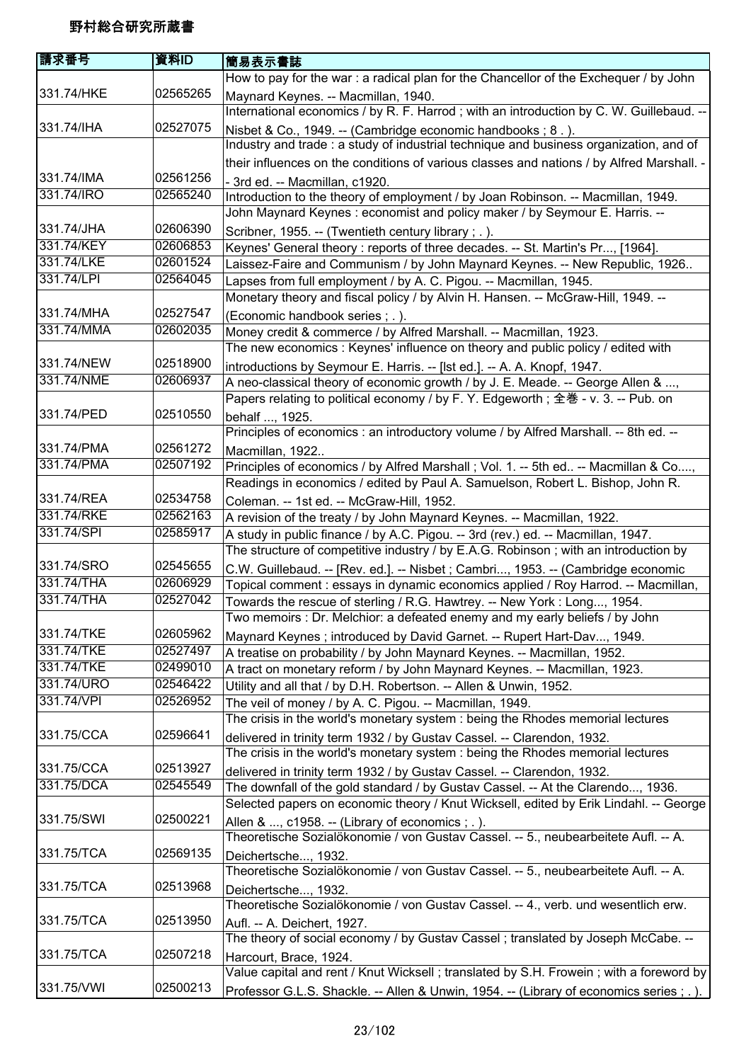| 請求番号       | 資料ID     | 簡易表示書誌                                                                                    |
|------------|----------|-------------------------------------------------------------------------------------------|
|            |          | How to pay for the war: a radical plan for the Chancellor of the Exchequer / by John      |
| 331.74/HKE | 02565265 | Maynard Keynes. -- Macmillan, 1940.                                                       |
|            |          | International economics / by R. F. Harrod; with an introduction by C. W. Guillebaud. --   |
| 331.74/IHA | 02527075 | Nisbet & Co., 1949. -- (Cambridge economic handbooks; 8.).                                |
|            |          | Industry and trade : a study of industrial technique and business organization, and of    |
|            |          | their influences on the conditions of various classes and nations / by Alfred Marshall. - |
| 331.74/IMA | 02561256 | - 3rd ed. -- Macmillan, c1920.                                                            |
| 331.74/IRO | 02565240 | Introduction to the theory of employment / by Joan Robinson. -- Macmillan, 1949.          |
|            |          | John Maynard Keynes: economist and policy maker / by Seymour E. Harris. --                |
| 331.74/JHA | 02606390 | Scribner, 1955. -- (Twentieth century library; .).                                        |
| 331.74/KEY | 02606853 | Keynes' General theory : reports of three decades. -- St. Martin's Pr, [1964].            |
| 331.74/LKE | 02601524 | Laissez-Faire and Communism / by John Maynard Keynes. -- New Republic, 1926               |
| 331.74/LPI | 02564045 | Lapses from full employment / by A. C. Pigou. -- Macmillan, 1945.                         |
|            |          | Monetary theory and fiscal policy / by Alvin H. Hansen. -- McGraw-Hill, 1949. --          |
| 331.74/MHA | 02527547 | (Economic handbook series : .).                                                           |
| 331.74/MMA | 02602035 | Money credit & commerce / by Alfred Marshall. -- Macmillan, 1923.                         |
|            |          | The new economics : Keynes' influence on theory and public policy / edited with           |
| 331.74/NEW | 02518900 | introductions by Seymour E. Harris. -- [Ist ed.]. -- A. A. Knopf, 1947.                   |
| 331.74/NME | 02606937 | A neo-classical theory of economic growth / by J. E. Meade. -- George Allen & ,           |
|            |          | Papers relating to political economy / by F. Y. Edgeworth; 全巻 - v. 3. -- Pub. on          |
| 331.74/PED | 02510550 | behalf , 1925.                                                                            |
|            |          | Principles of economics : an introductory volume / by Alfred Marshall. -- 8th ed. --      |
| 331.74/PMA | 02561272 | Macmillan, 1922                                                                           |
| 331.74/PMA | 02507192 | Principles of economics / by Alfred Marshall ; Vol. 1. -- 5th ed -- Macmillan & Co,       |
|            |          | Readings in economics / edited by Paul A. Samuelson, Robert L. Bishop, John R.            |
| 331.74/REA | 02534758 | Coleman. -- 1st ed. -- McGraw-Hill, 1952.                                                 |
| 331.74/RKE | 02562163 | A revision of the treaty / by John Maynard Keynes. -- Macmillan, 1922.                    |
| 331.74/SPI | 02585917 | A study in public finance / by A.C. Pigou. -- 3rd (rev.) ed. -- Macmillan, 1947.          |
|            |          | The structure of competitive industry / by E.A.G. Robinson; with an introduction by       |
| 331.74/SRO | 02545655 | C.W. Guillebaud. -- [Rev. ed.]. -- Nisbet ; Cambri, 1953. -- (Cambridge economic          |
| 331.74/THA | 02606929 | Topical comment : essays in dynamic economics applied / Roy Harrod. -- Macmillan,         |
| 331.74/THA | 02527042 | Towards the rescue of sterling / R.G. Hawtrey. -- New York: Long, 1954.                   |
|            |          | Two memoirs : Dr. Melchior: a defeated enemy and my early beliefs / by John               |
| 331.74/TKE | 02605962 | Maynard Keynes; introduced by David Garnet. -- Rupert Hart-Dav, 1949.                     |
| 331.74/TKE | 02527497 | A treatise on probability / by John Maynard Keynes. -- Macmillan, 1952.                   |
| 331.74/TKE | 02499010 | A tract on monetary reform / by John Maynard Keynes. -- Macmillan, 1923.                  |
| 331.74/URO | 02546422 | Utility and all that / by D.H. Robertson. -- Allen & Unwin, 1952.                         |
| 331.74/VPI | 02526952 | The veil of money / by A. C. Pigou. -- Macmillan, 1949.                                   |
|            |          | The crisis in the world's monetary system : being the Rhodes memorial lectures            |
| 331.75/CCA | 02596641 | delivered in trinity term 1932 / by Gustav Cassel. -- Clarendon, 1932.                    |
|            |          | The crisis in the world's monetary system : being the Rhodes memorial lectures            |
| 331.75/CCA | 02513927 | delivered in trinity term 1932 / by Gustav Cassel. -- Clarendon, 1932.                    |
| 331.75/DCA | 02545549 | The downfall of the gold standard / by Gustav Cassel. -- At the Clarendo, 1936.           |
|            |          | Selected papers on economic theory / Knut Wicksell, edited by Erik Lindahl. -- George     |
| 331.75/SWI | 02500221 | Allen & , c1958. -- (Library of economics ; . ).                                          |
|            |          | Theoretische Sozialökonomie / von Gustav Cassel. -- 5., neubearbeitete Aufl. -- A.        |
| 331.75/TCA | 02569135 | Deichertsche, 1932.                                                                       |
|            |          | Theoretische Sozialökonomie / von Gustav Cassel. -- 5., neubearbeitete Aufl. -- A.        |
| 331.75/TCA | 02513968 | Deichertsche, 1932.                                                                       |
|            |          | Theoretische Sozialökonomie / von Gustav Cassel. -- 4., verb. und wesentlich erw.         |
| 331.75/TCA | 02513950 | Aufl. -- A. Deichert, 1927.                                                               |
|            |          | The theory of social economy / by Gustav Cassel; translated by Joseph McCabe. --          |
| 331.75/TCA | 02507218 | Harcourt, Brace, 1924.                                                                    |
|            |          | Value capital and rent / Knut Wicksell; translated by S.H. Frowein; with a foreword by    |
| 331.75/VWI | 02500213 | Professor G.L.S. Shackle. -- Allen & Unwin, 1954. -- (Library of economics series ; . ).  |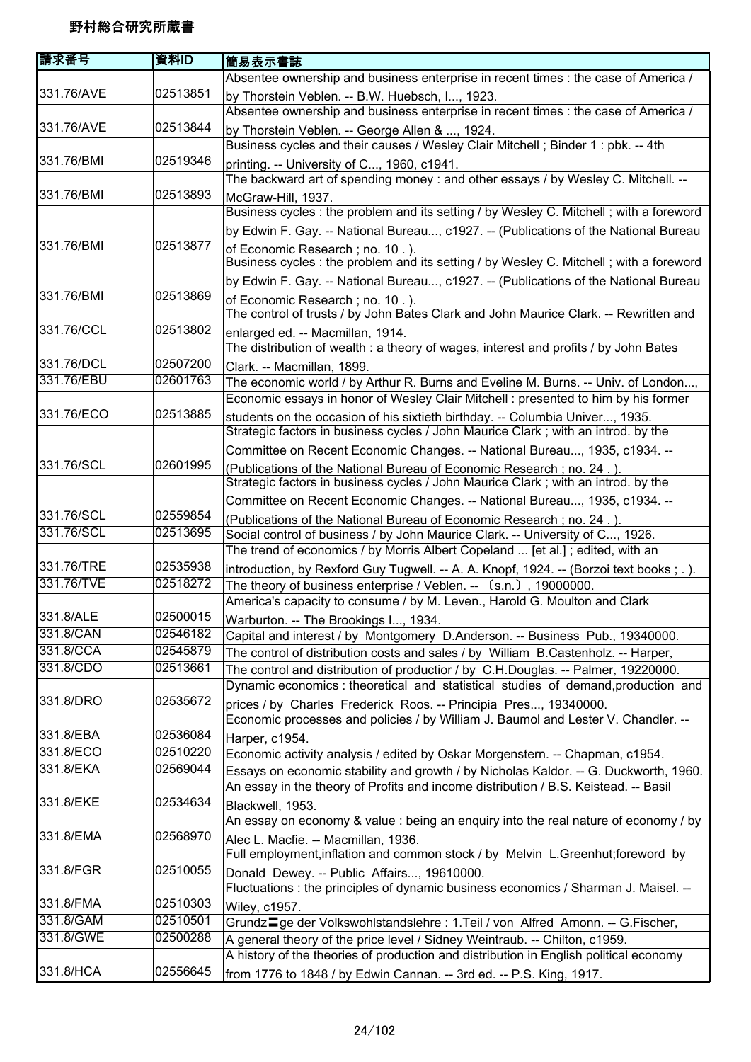| 請求番号       | 資料ID     | 簡易表示書誌                                                                                                                  |
|------------|----------|-------------------------------------------------------------------------------------------------------------------------|
|            |          | Absentee ownership and business enterprise in recent times : the case of America /                                      |
| 331.76/AVE | 02513851 | by Thorstein Veblen. -- B.W. Huebsch, I, 1923.                                                                          |
|            |          | Absentee ownership and business enterprise in recent times : the case of America /                                      |
| 331.76/AVE | 02513844 | by Thorstein Veblen. -- George Allen & , 1924.                                                                          |
|            |          | Business cycles and their causes / Wesley Clair Mitchell ; Binder 1 : pbk. -- 4th                                       |
| 331.76/BMI | 02519346 | printing. -- University of C, 1960, c1941.                                                                              |
|            |          | The backward art of spending money : and other essays / by Wesley C. Mitchell. --                                       |
| 331.76/BMI | 02513893 | McGraw-Hill, 1937.                                                                                                      |
|            |          | Business cycles : the problem and its setting / by Wesley C. Mitchell ; with a foreword                                 |
|            |          | by Edwin F. Gay. -- National Bureau, c1927. -- (Publications of the National Bureau                                     |
| 331.76/BMI | 02513877 | of Economic Research; no. 10.).                                                                                         |
|            |          | Business cycles : the problem and its setting / by Wesley C. Mitchell ; with a foreword                                 |
|            |          | by Edwin F. Gay. -- National Bureau, c1927. -- (Publications of the National Bureau                                     |
| 331.76/BMI | 02513869 | of Economic Research; no. 10.).                                                                                         |
| 331.76/CCL | 02513802 | The control of trusts / by John Bates Clark and John Maurice Clark. -- Rewritten and                                    |
|            |          | enlarged ed. -- Macmillan, 1914.<br>The distribution of wealth: a theory of wages, interest and profits / by John Bates |
| 331.76/DCL | 02507200 |                                                                                                                         |
| 331.76/EBU | 02601763 | Clark. -- Macmillan, 1899.<br>The economic world / by Arthur R. Burns and Eveline M. Burns. -- Univ. of London,         |
|            |          | Economic essays in honor of Wesley Clair Mitchell : presented to him by his former                                      |
| 331.76/ECO | 02513885 | students on the occasion of his sixtieth birthday. -- Columbia Univer, 1935.                                            |
|            |          | Strategic factors in business cycles / John Maurice Clark; with an introd. by the                                       |
|            |          | Committee on Recent Economic Changes. -- National Bureau, 1935, c1934. --                                               |
| 331.76/SCL | 02601995 | (Publications of the National Bureau of Economic Research; no. 24.).                                                    |
|            |          | Strategic factors in business cycles / John Maurice Clark; with an introd. by the                                       |
|            |          | Committee on Recent Economic Changes. -- National Bureau, 1935, c1934. --                                               |
| 331.76/SCL | 02559854 | (Publications of the National Bureau of Economic Research; no. 24.).                                                    |
| 331.76/SCL | 02513695 | Social control of business / by John Maurice Clark. -- University of C, 1926.                                           |
|            |          | The trend of economics / by Morris Albert Copeland  [et al.]; edited, with an                                           |
| 331.76/TRE | 02535938 | introduction, by Rexford Guy Tugwell. -- A. A. Knopf, 1924. -- (Borzoi text books;.).                                   |
| 331.76/TVE | 02518272 | The theory of business enterprise / Veblen. -- (s.n.), 19000000.                                                        |
|            |          | America's capacity to consume / by M. Leven., Harold G. Moulton and Clark                                               |
| 331.8/ALE  | 02500015 | Warburton. -- The Brookings I, 1934.                                                                                    |
| 331.8/CAN  | 02546182 | Capital and interest / by Montgomery D.Anderson. -- Business Pub., 19340000.                                            |
| 331.8/CCA  | 02545879 | The control of distribution costs and sales / by William B.Castenholz. -- Harper,                                       |
| 331.8/CDO  | 02513661 | The control and distribution of productior / by C.H.Douglas. -- Palmer, 19220000.                                       |
|            |          | Dynamic economics : theoretical and statistical studies of demand, production and                                       |
| 331.8/DRO  | 02535672 | prices / by Charles Frederick Roos. -- Principia Pres, 19340000.                                                        |
| 331.8/EBA  | 02536084 | Economic processes and policies / by William J. Baumol and Lester V. Chandler. --                                       |
| 331.8/ECO  | 02510220 | Harper, c1954.<br>Economic activity analysis / edited by Oskar Morgenstern. -- Chapman, c1954.                          |
| 331.8/EKA  | 02569044 | Essays on economic stability and growth / by Nicholas Kaldor. -- G. Duckworth, 1960.                                    |
|            |          | An essay in the theory of Profits and income distribution / B.S. Keistead. -- Basil                                     |
| 331.8/EKE  | 02534634 | Blackwell, 1953.                                                                                                        |
|            |          | An essay on economy & value : being an enquiry into the real nature of economy / by                                     |
| 331.8/EMA  | 02568970 | Alec L. Macfie. -- Macmillan, 1936.                                                                                     |
|            |          | Full employment, inflation and common stock / by Melvin L.Greenhut; foreword by                                         |
| 331.8/FGR  | 02510055 | Donald Dewey. -- Public Affairs, 19610000.                                                                              |
|            |          | Fluctuations : the principles of dynamic business economics / Sharman J. Maisel. --                                     |
| 331.8/FMA  | 02510303 | Wiley, c1957.                                                                                                           |
| 331.8/GAM  | 02510501 | Grundz <sup>-</sup> ge der Volkswohlstandslehre: 1.Teil / von Alfred Amonn. -- G.Fischer,                               |
| 331.8/GWE  | 02500288 | A general theory of the price level / Sidney Weintraub. -- Chilton, c1959.                                              |
|            |          | A history of the theories of production and distribution in English political economy                                   |
| 331.8/HCA  | 02556645 | from 1776 to 1848 / by Edwin Cannan. -- 3rd ed. -- P.S. King, 1917.                                                     |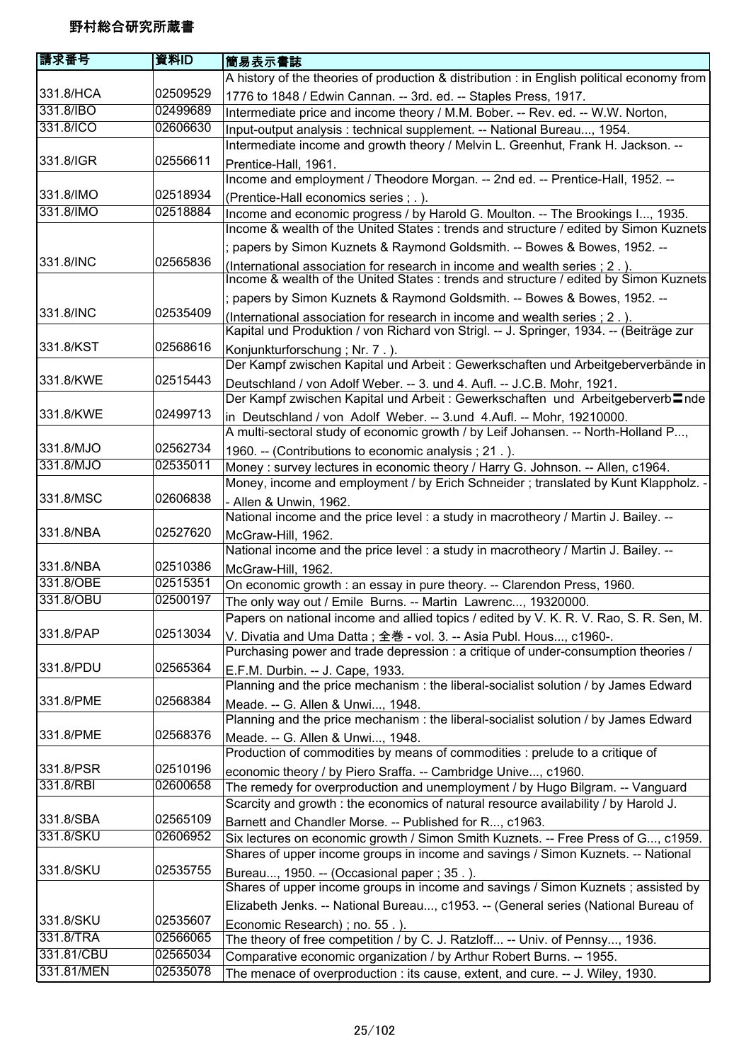| 請求番号       | 資料ID     | 簡易表示書誌                                                                                        |
|------------|----------|-----------------------------------------------------------------------------------------------|
|            |          | A history of the theories of production & distribution : in English political economy from    |
| 331.8/HCA  | 02509529 | 1776 to 1848 / Edwin Cannan. -- 3rd. ed. -- Staples Press, 1917.                              |
| 331.8/IBO  | 02499689 | Intermediate price and income theory / M.M. Bober. -- Rev. ed. -- W.W. Norton,                |
| 331.8/ICO  | 02606630 | Input-output analysis : technical supplement. -- National Bureau, 1954.                       |
|            |          | Intermediate income and growth theory / Melvin L. Greenhut, Frank H. Jackson. --              |
| 331.8/IGR  | 02556611 | Prentice-Hall, 1961.                                                                          |
|            |          | Income and employment / Theodore Morgan. -- 2nd ed. -- Prentice-Hall, 1952. --                |
| 331.8/IMO  | 02518934 | (Prentice-Hall economics series ; .).                                                         |
| 331.8/IMO  | 02518884 | Income and economic progress / by Harold G. Moulton. -- The Brookings I, 1935.                |
|            |          | Income & wealth of the United States : trends and structure / edited by Simon Kuznets         |
|            |          | ; papers by Simon Kuznets & Raymond Goldsmith. -- Bowes & Bowes, 1952. --                     |
| 331.8/INC  | 02565836 | (International association for research in income and wealth series ; 2.).                    |
|            |          | Income & wealth of the United States : trends and structure / edited by Simon Kuznets         |
|            |          | ; papers by Simon Kuznets & Raymond Goldsmith. -- Bowes & Bowes, 1952. --                     |
| 331.8/INC  | 02535409 | (International association for research in income and wealth series ; 2.).                    |
|            |          | Kapital und Produktion / von Richard von Strigl. -- J. Springer, 1934. -- (Beiträge zur       |
| 331.8/KST  | 02568616 | Konjunkturforschung; Nr. 7.).                                                                 |
|            |          | Der Kampf zwischen Kapital und Arbeit : Gewerkschaften und Arbeitgeberverbände in             |
| 331.8/KWE  | 02515443 | Deutschland / von Adolf Weber. -- 3. und 4. Aufl. -- J.C.B. Mohr, 1921.                       |
|            |          | Der Kampf zwischen Kapital und Arbeit : Gewerkschaften und Arbeitgeberverb $\blacksquare$ nde |
| 331.8/KWE  | 02499713 | in Deutschland / von Adolf Weber. -- 3.und 4.Aufl. -- Mohr, 19210000.                         |
|            |          | A multi-sectoral study of economic growth / by Leif Johansen. -- North-Holland P,             |
| 331.8/MJO  | 02562734 | 1960. -- (Contributions to economic analysis; 21.).                                           |
| 331.8/MJO  | 02535011 | Money : survey lectures in economic theory / Harry G. Johnson. -- Allen, c1964.               |
|            |          | Money, income and employment / by Erich Schneider ; translated by Kunt Klappholz. -           |
| 331.8/MSC  | 02606838 | - Allen & Unwin, 1962.                                                                        |
|            |          | National income and the price level : a study in macrotheory / Martin J. Bailey. --           |
| 331.8/NBA  | 02527620 | McGraw-Hill, 1962.                                                                            |
|            |          | National income and the price level : a study in macrotheory / Martin J. Bailey. --           |
| 331.8/NBA  | 02510386 | McGraw-Hill, 1962.                                                                            |
| 331.8/OBE  | 02515351 | On economic growth : an essay in pure theory. -- Clarendon Press, 1960.                       |
| 331.8/OBU  | 02500197 | The only way out / Emile Burns. -- Martin Lawrenc, 19320000.                                  |
|            |          | Papers on national income and allied topics / edited by V. K. R. V. Rao, S. R. Sen, M.        |
| 331.8/PAP  | 02513034 | V. Divatia and Uma Datta; 全巻 - vol. 3. -- Asia Publ. Hous, c1960-.                            |
|            |          | Purchasing power and trade depression : a critique of under-consumption theories /            |
| 331.8/PDU  | 02565364 | E.F.M. Durbin. -- J. Cape, 1933.                                                              |
|            |          | Planning and the price mechanism : the liberal-socialist solution / by James Edward           |
| 331.8/PME  | 02568384 | Meade. -- G. Allen & Unwi, 1948.                                                              |
|            |          | Planning and the price mechanism : the liberal-socialist solution / by James Edward           |
| 331.8/PME  | 02568376 | Meade. -- G. Allen & Unwi, 1948.                                                              |
|            |          | Production of commodities by means of commodities : prelude to a critique of                  |
| 331.8/PSR  | 02510196 | economic theory / by Piero Sraffa. -- Cambridge Unive, c1960.                                 |
| 331.8/RBI  | 02600658 | The remedy for overproduction and unemployment / by Hugo Bilgram. -- Vanguard                 |
|            |          | Scarcity and growth : the economics of natural resource availability / by Harold J.           |
| 331.8/SBA  | 02565109 | Barnett and Chandler Morse. -- Published for R, c1963.                                        |
| 331.8/SKU  | 02606952 | Six lectures on economic growth / Simon Smith Kuznets. -- Free Press of G, c1959.             |
|            |          | Shares of upper income groups in income and savings / Simon Kuznets. -- National              |
| 331.8/SKU  | 02535755 | Bureau, 1950. -- (Occasional paper ; 35.).                                                    |
|            |          | Shares of upper income groups in income and savings / Simon Kuznets; assisted by              |
|            |          | Elizabeth Jenks. -- National Bureau, c1953. -- (General series (National Bureau of            |
| 331.8/SKU  | 02535607 | Economic Research); no. 55. ).                                                                |
| 331.8/TRA  | 02566065 | The theory of free competition / by C. J. Ratzloff -- Univ. of Pennsy, 1936.                  |
| 331.81/CBU | 02565034 | Comparative economic organization / by Arthur Robert Burns. -- 1955.                          |
| 331.81/MEN | 02535078 | The menace of overproduction : its cause, extent, and cure. -- J. Wiley, 1930.                |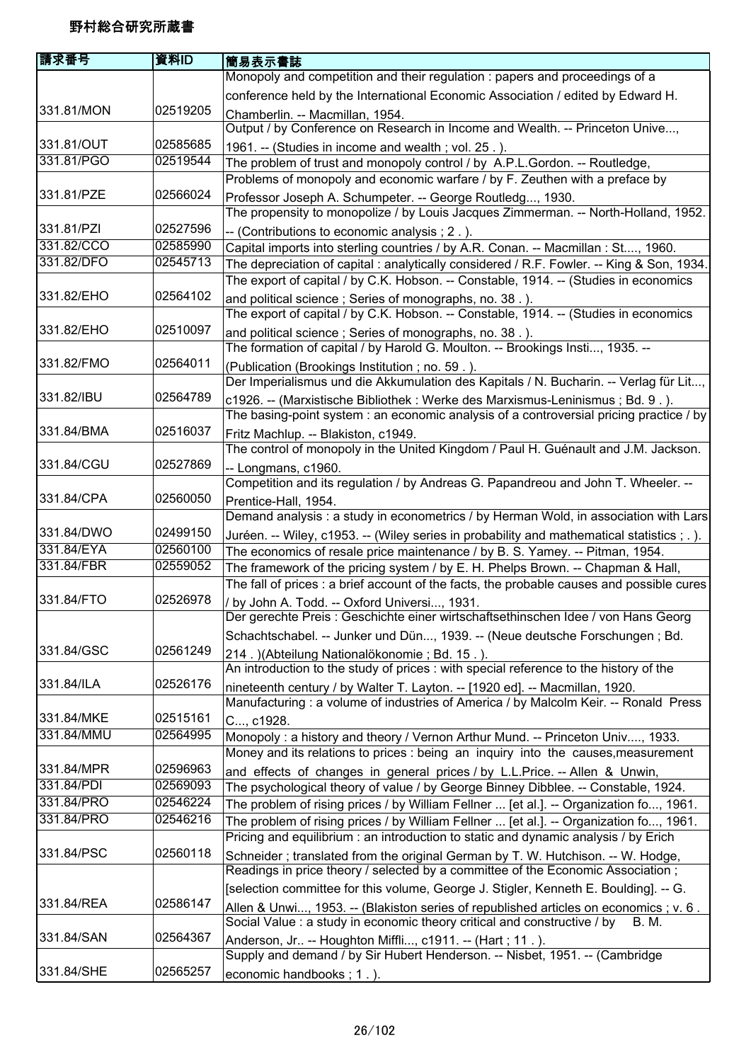| 請求番号       | 資料ID     | 簡易表示書誌                                                                                      |
|------------|----------|---------------------------------------------------------------------------------------------|
|            |          | Monopoly and competition and their regulation : papers and proceedings of a                 |
|            |          | conference held by the International Economic Association / edited by Edward H.             |
| 331.81/MON | 02519205 | Chamberlin. -- Macmillan, 1954.                                                             |
|            |          | Output / by Conference on Research in Income and Wealth. -- Princeton Unive,                |
| 331.81/OUT | 02585685 | 1961. -- (Studies in income and wealth; vol. 25.).                                          |
| 331.81/PGO | 02519544 | The problem of trust and monopoly control / by A.P.L.Gordon. -- Routledge,                  |
|            |          | Problems of monopoly and economic warfare / by F. Zeuthen with a preface by                 |
| 331.81/PZE | 02566024 | Professor Joseph A. Schumpeter. -- George Routledg, 1930.                                   |
|            |          | The propensity to monopolize / by Louis Jacques Zimmerman. -- North-Holland, 1952.          |
| 331.81/PZI | 02527596 | -- (Contributions to economic analysis ; 2.).                                               |
| 331.82/CCO | 02585990 | Capital imports into sterling countries / by A.R. Conan. -- Macmillan : St, 1960.           |
| 331.82/DFO | 02545713 | The depreciation of capital : analytically considered / R.F. Fowler. -- King & Son, 1934.   |
|            |          | The export of capital / by C.K. Hobson. -- Constable, 1914. -- (Studies in economics        |
| 331.82/EHO | 02564102 | and political science; Series of monographs, no. 38.).                                      |
|            |          | The export of capital / by C.K. Hobson. -- Constable, 1914. -- (Studies in economics        |
| 331.82/EHO | 02510097 | and political science; Series of monographs, no. 38.).                                      |
|            |          | The formation of capital / by Harold G. Moulton. -- Brookings Insti, 1935. --               |
| 331.82/FMO | 02564011 | (Publication (Brookings Institution; no. 59.).                                              |
|            |          | Der Imperialismus und die Akkumulation des Kapitals / N. Bucharin. -- Verlag für Lit,       |
| 331.82/IBU | 02564789 | c1926. -- (Marxistische Bibliothek : Werke des Marxismus-Leninismus ; Bd. 9.).              |
|            |          | The basing-point system : an economic analysis of a controversial pricing practice / by     |
| 331.84/BMA | 02516037 | Fritz Machlup. -- Blakiston, c1949.                                                         |
|            |          | The control of monopoly in the United Kingdom / Paul H. Guénault and J.M. Jackson.          |
| 331.84/CGU | 02527869 | -- Longmans, c1960.                                                                         |
|            |          | Competition and its regulation / by Andreas G. Papandreou and John T. Wheeler. --           |
| 331.84/CPA | 02560050 | Prentice-Hall, 1954.                                                                        |
|            |          | Demand analysis : a study in econometrics / by Herman Wold, in association with Lars        |
| 331.84/DWO | 02499150 | Juréen. -- Wiley, c1953. -- (Wiley series in probability and mathematical statistics ; . ). |
| 331.84/EYA | 02560100 | The economics of resale price maintenance / by B. S. Yamey. -- Pitman, 1954.                |
| 331.84/FBR | 02559052 | The framework of the pricing system / by E. H. Phelps Brown. -- Chapman & Hall,             |
|            |          | The fall of prices : a brief account of the facts, the probable causes and possible cures   |
| 331.84/FTO | 02526978 | / by John A. Todd. -- Oxford Universi, 1931.                                                |
|            |          | Der gerechte Preis : Geschichte einer wirtschaftsethinschen Idee / von Hans Georg           |
|            |          | Schachtschabel. -- Junker und Dün, 1939. -- (Neue deutsche Forschungen; Bd.                 |
| 331.84/GSC | 02561249 | 214.) (Abteilung Nationalökonomie; Bd. 15.).                                                |
|            |          | An introduction to the study of prices : with special reference to the history of the       |
| 331.84/ILA | 02526176 | nineteenth century / by Walter T. Layton. -- [1920 ed]. -- Macmillan, 1920.                 |
|            |          | Manufacturing : a volume of industries of America / by Malcolm Keir. -- Ronald Press        |
| 331.84/MKE | 02515161 | C, c1928.                                                                                   |
| 331.84/MMU | 02564995 | Monopoly: a history and theory / Vernon Arthur Mund. -- Princeton Univ, 1933.               |
|            |          | Money and its relations to prices : being an inquiry into the causes, measurement           |
| 331.84/MPR | 02596963 | and effects of changes in general prices / by L.L.Price. -- Allen & Unwin,                  |
| 331.84/PDI | 02569093 | The psychological theory of value / by George Binney Dibblee. -- Constable, 1924.           |
| 331.84/PRO | 02546224 | The problem of rising prices / by William Fellner  [et al.]. -- Organization fo, 1961.      |
| 331.84/PRO | 02546216 | The problem of rising prices / by William Fellner  [et al.]. -- Organization fo, 1961.      |
|            |          | Pricing and equilibrium: an introduction to static and dynamic analysis / by Erich          |
| 331.84/PSC | 02560118 | Schneider; translated from the original German by T. W. Hutchison. -- W. Hodge,             |
|            |          | Readings in price theory / selected by a committee of the Economic Association;             |
|            |          | [selection committee for this volume, George J. Stigler, Kenneth E. Boulding]. -- G.        |
| 331.84/REA | 02586147 | Allen & Unwi, 1953. -- (Blakiston series of republished articles on economics ; v. 6.       |
|            |          | Social Value : a study in economic theory critical and constructive / by<br>B. M.           |
| 331.84/SAN | 02564367 | Anderson, Jr -- Houghton Miffli, c1911. -- (Hart; 11.).                                     |
|            |          | Supply and demand / by Sir Hubert Henderson. -- Nisbet, 1951. -- (Cambridge                 |
| 331.84/SHE | 02565257 | economic handbooks; 1.).                                                                    |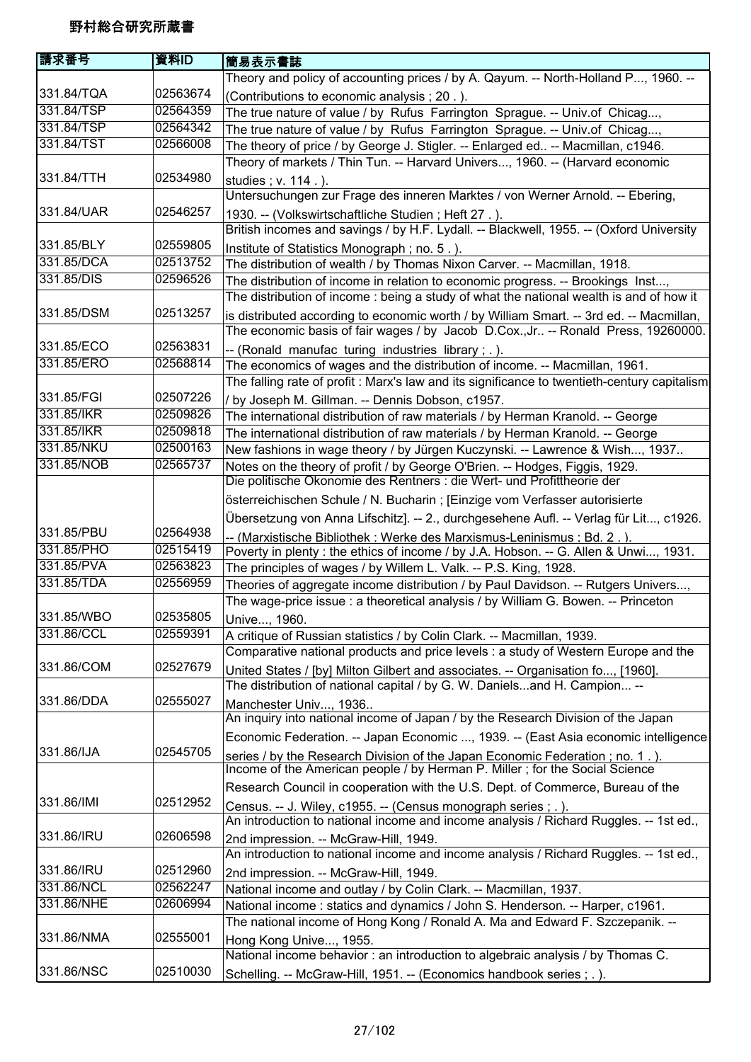| 請求番号       | 資料ID     | 簡易表示書誌                                                                                                                                                                 |
|------------|----------|------------------------------------------------------------------------------------------------------------------------------------------------------------------------|
|            |          | Theory and policy of accounting prices / by A. Qayum. -- North-Holland P, 1960. --                                                                                     |
| 331.84/TQA | 02563674 | (Contributions to economic analysis; 20.).                                                                                                                             |
| 331.84/TSP | 02564359 | The true nature of value / by Rufus Farrington Sprague. -- Univ.of Chicag,                                                                                             |
| 331.84/TSP | 02564342 | The true nature of value / by Rufus Farrington Sprague. -- Univ.of Chicag,                                                                                             |
| 331.84/TST | 02566008 | The theory of price / by George J. Stigler. -- Enlarged ed -- Macmillan, c1946.                                                                                        |
|            |          | Theory of markets / Thin Tun. -- Harvard Univers, 1960. -- (Harvard economic                                                                                           |
| 331.84/TTH | 02534980 | studies; v. 114.).                                                                                                                                                     |
|            |          | Untersuchungen zur Frage des inneren Marktes / von Werner Arnold. -- Ebering,                                                                                          |
| 331.84/UAR | 02546257 | 1930. -- (Volkswirtschaftliche Studien; Heft 27.).                                                                                                                     |
|            |          | British incomes and savings / by H.F. Lydall. -- Blackwell, 1955. -- (Oxford University                                                                                |
| 331.85/BLY | 02559805 | Institute of Statistics Monograph; no. 5.).                                                                                                                            |
| 331.85/DCA | 02513752 | The distribution of wealth / by Thomas Nixon Carver. -- Macmillan, 1918.                                                                                               |
| 331.85/DIS | 02596526 | The distribution of income in relation to economic progress. -- Brookings Inst,                                                                                        |
|            |          | The distribution of income: being a study of what the national wealth is and of how it                                                                                 |
| 331.85/DSM | 02513257 | is distributed according to economic worth / by William Smart. -- 3rd ed. -- Macmillan,                                                                                |
|            |          | The economic basis of fair wages / by Jacob D.Cox.,Jr -- Ronald Press, 19260000.                                                                                       |
| 331.85/ECO | 02563831 | -- (Ronald manufac turing industries library; .).                                                                                                                      |
| 331.85/ERO | 02568814 | The economics of wages and the distribution of income. -- Macmillan, 1961.                                                                                             |
|            |          | The falling rate of profit : Marx's law and its significance to twentieth-century capitalism                                                                           |
| 331.85/FGI | 02507226 | / by Joseph M. Gillman. -- Dennis Dobson, c1957.                                                                                                                       |
| 331.85/IKR | 02509826 | The international distribution of raw materials / by Herman Kranold. -- George                                                                                         |
| 331.85/IKR | 02509818 | The international distribution of raw materials / by Herman Kranold. -- George                                                                                         |
| 331.85/NKU | 02500163 | New fashions in wage theory / by Jürgen Kuczynski. -- Lawrence & Wish, 1937                                                                                            |
| 331.85/NOB | 02565737 | Notes on the theory of profit / by George O'Brien. -- Hodges, Figgis, 1929.                                                                                            |
|            |          | Die politische Okonomie des Rentners : die Wert- und Profittheorie der                                                                                                 |
|            |          | österreichischen Schule / N. Bucharin ; [Einzige vom Verfasser autorisierte                                                                                            |
|            |          |                                                                                                                                                                        |
| 331.85/PBU | 02564938 | Übersetzung von Anna Lifschitz]. -- 2., durchgesehene Aufl. -- Verlag für Lit, c1926.                                                                                  |
| 331.85/PHO | 02515419 | -- (Marxistische Bibliothek: Werke des Marxismus-Leninismus ; Bd. 2.)                                                                                                  |
| 331.85/PVA | 02563823 | Poverty in plenty : the ethics of income / by J.A. Hobson. -- G. Allen & Unwi, 1931.                                                                                   |
| 331.85/TDA | 02556959 | The principles of wages / by Willem L. Valk. -- P.S. King, 1928.                                                                                                       |
|            |          | Theories of aggregate income distribution / by Paul Davidson. -- Rutgers Univers,<br>The wage-price issue : a theoretical analysis / by William G. Bowen. -- Princeton |
| 331.85/WBO | 02535805 |                                                                                                                                                                        |
| 331.86/CCL | 02559391 | Unive, 1960.                                                                                                                                                           |
|            |          | A critique of Russian statistics / by Colin Clark. -- Macmillan, 1939.<br>Comparative national products and price levels : a study of Western Europe and the           |
| 331.86/COM | 02527679 |                                                                                                                                                                        |
|            |          | United States / [by] Milton Gilbert and associates. -- Organisation fo, [1960].<br>The distribution of national capital / by G. W. Danielsand H. Campion --            |
| 331.86/DDA | 02555027 |                                                                                                                                                                        |
|            |          | Manchester Univ, 1936<br>An inquiry into national income of Japan / by the Research Division of the Japan                                                              |
|            |          |                                                                                                                                                                        |
| 331.86/IJA | 02545705 | Economic Federation. -- Japan Economic , 1939. -- (East Asia economic intelligence                                                                                     |
|            |          | series / by the Research Division of the Japan Economic Federation; no. 1.).<br>Income of the American people / by Herman P. Miller; for the Social Science            |
|            |          |                                                                                                                                                                        |
|            |          | Research Council in cooperation with the U.S. Dept. of Commerce, Bureau of the                                                                                         |
| 331.86/IMI | 02512952 | Census. -- J. Wiley, c1955. -- (Census monograph series ; .).                                                                                                          |
|            | 02606598 | An introduction to national income and income analysis / Richard Ruggles. -- 1st ed.,                                                                                  |
| 331.86/IRU |          | 2nd impression. -- McGraw-Hill, 1949.                                                                                                                                  |
|            |          | An introduction to national income and income analysis / Richard Ruggles. -- 1st ed.,                                                                                  |
| 331.86/IRU | 02512960 | 2nd impression. -- McGraw-Hill, 1949.                                                                                                                                  |
| 331.86/NCL | 02562247 | National income and outlay / by Colin Clark. -- Macmillan, 1937.                                                                                                       |
| 331.86/NHE | 02606994 | National income: statics and dynamics / John S. Henderson. -- Harper, c1961.                                                                                           |
|            |          | The national income of Hong Kong / Ronald A. Ma and Edward F. Szczepanik. --                                                                                           |
| 331.86/NMA | 02555001 | Hong Kong Unive, 1955.                                                                                                                                                 |
|            |          | National income behavior: an introduction to algebraic analysis / by Thomas C.                                                                                         |
| 331.86/NSC | 02510030 | Schelling. -- McGraw-Hill, 1951. -- (Economics handbook series ; . ).                                                                                                  |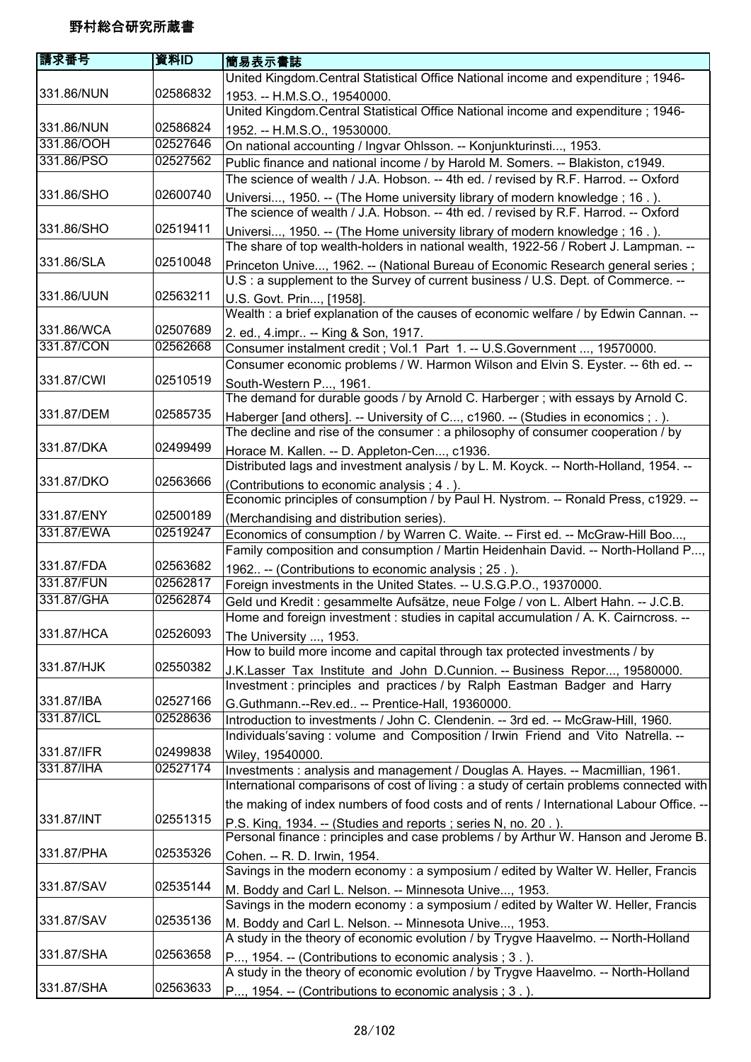| 請求番号       | 資料ID     | 簡易表示書誌                                                                                   |
|------------|----------|------------------------------------------------------------------------------------------|
|            |          | United Kingdom.Central Statistical Office National income and expenditure; 1946-         |
| 331.86/NUN | 02586832 | 1953. -- H.M.S.O., 19540000.                                                             |
|            |          | United Kingdom.Central Statistical Office National income and expenditure; 1946-         |
| 331.86/NUN | 02586824 | 1952. -- H.M.S.O., 19530000.                                                             |
| 331.86/OOH | 02527646 | On national accounting / Ingvar Ohlsson. -- Konjunkturinsti, 1953.                       |
| 331.86/PSO | 02527562 | Public finance and national income / by Harold M. Somers. -- Blakiston, c1949.           |
|            |          | The science of wealth / J.A. Hobson. -- 4th ed. / revised by R.F. Harrod. -- Oxford      |
| 331.86/SHO | 02600740 | Universi, 1950. -- (The Home university library of modern knowledge; 16.).               |
|            |          | The science of wealth / J.A. Hobson. -- 4th ed. / revised by R.F. Harrod. -- Oxford      |
| 331.86/SHO | 02519411 | Universi, 1950. -- (The Home university library of modern knowledge; 16.).               |
|            |          | The share of top wealth-holders in national wealth, 1922-56 / Robert J. Lampman. --      |
| 331.86/SLA | 02510048 | Princeton Unive, 1962. -- (National Bureau of Economic Research general series;          |
|            |          | U.S: a supplement to the Survey of current business / U.S. Dept. of Commerce. --         |
| 331.86/UUN | 02563211 | U.S. Govt. Prin, [1958].                                                                 |
|            |          | Wealth : a brief explanation of the causes of economic welfare / by Edwin Cannan. --     |
| 331.86/WCA | 02507689 | 2. ed., 4. impr -- King & Son, 1917.                                                     |
| 331.87/CON | 02562668 | Consumer instalment credit ; Vol.1 Part 1. -- U.S. Government , 19570000.                |
|            |          | Consumer economic problems / W. Harmon Wilson and Elvin S. Eyster. -- 6th ed. --         |
| 331.87/CWI | 02510519 | South-Western P, 1961.                                                                   |
|            |          | The demand for durable goods / by Arnold C. Harberger; with essays by Arnold C.          |
| 331.87/DEM | 02585735 | Haberger [and others]. -- University of C, c1960. -- (Studies in economics ; . ).        |
|            |          | The decline and rise of the consumer: a philosophy of consumer cooperation / by          |
| 331.87/DKA | 02499499 | Horace M. Kallen. -- D. Appleton-Cen, c1936.                                             |
|            |          | Distributed lags and investment analysis / by L. M. Koyck. -- North-Holland, 1954. --    |
| 331.87/DKO | 02563666 | (Contributions to economic analysis; 4.).                                                |
|            |          | Economic principles of consumption / by Paul H. Nystrom. -- Ronald Press, c1929. --      |
| 331.87/ENY | 02500189 | (Merchandising and distribution series).                                                 |
| 331.87/EWA | 02519247 | Economics of consumption / by Warren C. Waite. -- First ed. -- McGraw-Hill Boo,          |
|            |          | Family composition and consumption / Martin Heidenhain David. -- North-Holland P,        |
| 331.87/FDA | 02563682 | 1962 -- (Contributions to economic analysis; 25.).                                       |
| 331.87/FUN | 02562817 | Foreign investments in the United States. -- U.S.G.P.O., 19370000.                       |
| 331.87/GHA | 02562874 | Geld und Kredit : gesammelte Aufsätze, neue Folge / von L. Albert Hahn. -- J.C.B.        |
|            |          | Home and foreign investment : studies in capital accumulation / A. K. Cairncross. --     |
| 331.87/HCA | 02526093 | The University , 1953.                                                                   |
|            |          | How to build more income and capital through tax protected investments / by              |
| 331.87/HJK | 02550382 | J.K.Lasser Tax Institute and John D.Cunnion. -- Business Repor, 19580000.                |
|            |          | Investment : principles and practices / by Ralph Eastman Badger and Harry                |
| 331.87/IBA | 02527166 | G.Guthmann.--Rev.ed -- Prentice-Hall, 19360000.                                          |
| 331.87/ICL | 02528636 | Introduction to investments / John C. Clendenin. -- 3rd ed. -- McGraw-Hill, 1960.        |
|            |          | Individuals'saving : volume and Composition / Irwin Friend and Vito Natrella. --         |
| 331.87/IFR | 02499838 | Wiley, 19540000.                                                                         |
| 331.87/IHA | 02527174 | Investments : analysis and management / Douglas A. Hayes. -- Macmillian, 1961.           |
|            |          | International comparisons of cost of living : a study of certain problems connected with |
|            |          | the making of index numbers of food costs and of rents / International Labour Office. -- |
| 331.87/INT | 02551315 | P.S. King, 1934. -- (Studies and reports; series N, no. 20.).                            |
|            |          | Personal finance : principles and case problems / by Arthur W. Hanson and Jerome B.      |
| 331.87/PHA | 02535326 | Cohen. -- R. D. Irwin, 1954.                                                             |
|            |          | Savings in the modern economy : a symposium / edited by Walter W. Heller, Francis        |
| 331.87/SAV | 02535144 | M. Boddy and Carl L. Nelson. -- Minnesota Unive, 1953.                                   |
|            |          | Savings in the modern economy: a symposium / edited by Walter W. Heller, Francis         |
| 331.87/SAV | 02535136 | M. Boddy and Carl L. Nelson. -- Minnesota Unive, 1953.                                   |
|            |          | A study in the theory of economic evolution / by Trygve Haavelmo. -- North-Holland       |
| 331.87/SHA | 02563658 | P, 1954. -- (Contributions to economic analysis; 3.).                                    |
|            |          | A study in the theory of economic evolution / by Trygve Haavelmo. -- North-Holland       |
| 331.87/SHA | 02563633 | P, 1954. -- (Contributions to economic analysis; 3.).                                    |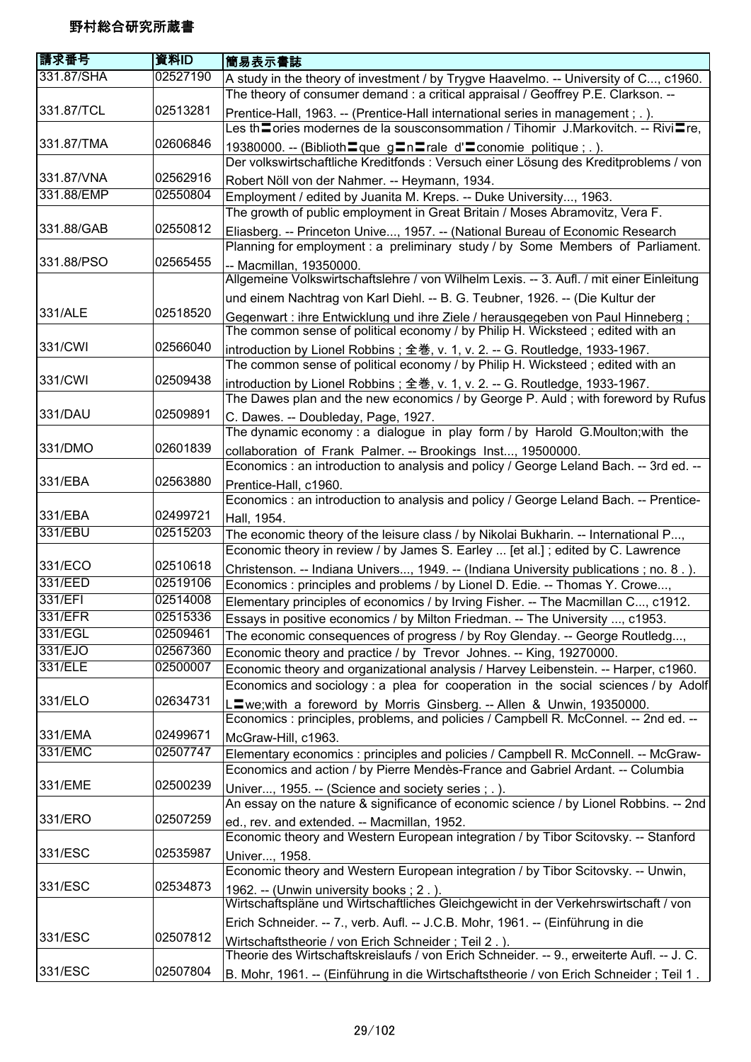| 請求番号       | 資料ID     | 簡易表示書誌                                                                                                                                                                     |
|------------|----------|----------------------------------------------------------------------------------------------------------------------------------------------------------------------------|
| 331.87/SHA | 02527190 | A study in the theory of investment / by Trygve Haavelmo. -- University of C, c1960.<br>The theory of consumer demand : a critical appraisal / Geoffrey P.E. Clarkson. --  |
| 331.87/TCL | 02513281 | Prentice-Hall, 1963. -- (Prentice-Hall international series in management; .).<br>Les th <b></b> ories modernes de la sousconsommation / Tihomir J.Markovitch. -- Rivi∎re, |
| 331.87/TMA | 02606846 | 19380000. -- (Biblioth = que g = n = rale d' = conomie politique ; . ).                                                                                                    |
|            |          | Der volkswirtschaftliche Kreditfonds : Versuch einer Lösung des Kreditproblems / von                                                                                       |
| 331.87/VNA | 02562916 | Robert Nöll von der Nahmer. -- Heymann, 1934.                                                                                                                              |
| 331.88/EMP | 02550804 | Employment / edited by Juanita M. Kreps. -- Duke University, 1963.                                                                                                         |
|            |          | The growth of public employment in Great Britain / Moses Abramovitz, Vera F.                                                                                               |
| 331.88/GAB | 02550812 | Eliasberg. -- Princeton Unive, 1957. -- (National Bureau of Economic Research                                                                                              |
|            |          | Planning for employment : a preliminary study / by Some Members of Parliament.                                                                                             |
| 331.88/PSO | 02565455 | -- Macmillan, 19350000.<br>Allgemeine Volkswirtschaftslehre / von Wilhelm Lexis. -- 3. Aufl. / mit einer Einleitung                                                        |
|            |          | und einem Nachtrag von Karl Diehl. -- B. G. Teubner, 1926. -- (Die Kultur der                                                                                              |
| 331/ALE    | 02518520 | Gegenwart: ihre Entwicklung und ihre Ziele / herausgegeben von Paul Hinneberg;<br>The common sense of political economy / by Philip H. Wicksteed; edited with an           |
| 331/CWI    | 02566040 | introduction by Lionel Robbins; 全巻, v. 1, v. 2. -- G. Routledge, 1933-1967.<br>The common sense of political economy / by Philip H. Wicksteed; edited with an              |
| 331/CWI    | 02509438 | introduction by Lionel Robbins; 全巻, v. 1, v. 2. -- G. Routledge, 1933-1967.<br>The Dawes plan and the new economics / by George P. Auld; with foreword by Rufus            |
| 331/DAU    | 02509891 | C. Dawes. -- Doubleday, Page, 1927.                                                                                                                                        |
|            |          | The dynamic economy: a dialogue in play form / by Harold G.Moulton; with the                                                                                               |
| 331/DMO    | 02601839 | collaboration of Frank Palmer. -- Brookings Inst, 19500000.                                                                                                                |
|            |          | Economics : an introduction to analysis and policy / George Leland Bach. -- 3rd ed. --                                                                                     |
| 331/EBA    | 02563880 | Prentice-Hall, c1960.                                                                                                                                                      |
|            |          | Economics : an introduction to analysis and policy / George Leland Bach. -- Prentice-                                                                                      |
| 331/EBA    | 02499721 | Hall, 1954.                                                                                                                                                                |
| 331/EBU    | 02515203 | The economic theory of the leisure class / by Nikolai Bukharin. -- International P,                                                                                        |
|            |          | Economic theory in review / by James S. Earley  [et al.]; edited by C. Lawrence                                                                                            |
| 331/ECO    | 02510618 | Christenson. -- Indiana Univers, 1949. -- (Indiana University publications ; no. 8.).                                                                                      |
| 331/EED    | 02519106 | Economics : principles and problems / by Lionel D. Edie. -- Thomas Y. Crowe,                                                                                               |
| 331/EFI    | 02514008 | Elementary principles of economics / by Irving Fisher. -- The Macmillan C, c1912.                                                                                          |
| 331/EFR    | 02515336 | Essays in positive economics / by Milton Friedman. -- The University , c1953.                                                                                              |
| 331/EGL    | 02509461 | The economic consequences of progress / by Roy Glenday. -- George Routledg,                                                                                                |
| 331/EJO    | 02567360 | Economic theory and practice / by Trevor Johnes. -- King, 19270000.                                                                                                        |
| 331/ELE    | 02500007 | Economic theory and organizational analysis / Harvey Leibenstein. -- Harper, c1960.                                                                                        |
|            |          | Economics and sociology : a plea for cooperation in the social sciences / by Adolf                                                                                         |
| 331/ELO    | 02634731 | L≣we;with a foreword by Morris Ginsberg. -- Allen & Unwin, 19350000.                                                                                                       |
|            |          | Economics : principles, problems, and policies / Campbell R. McConnel. -- 2nd ed. --                                                                                       |
| 331/EMA    | 02499671 | McGraw-Hill, c1963.                                                                                                                                                        |
| 331/EMC    | 02507747 | Elementary economics : principles and policies / Campbell R. McConnell. -- McGraw-                                                                                         |
|            |          | Economics and action / by Pierre Mendès-France and Gabriel Ardant. -- Columbia                                                                                             |
| 331/EME    | 02500239 | Univer, 1955. -- (Science and society series; .).                                                                                                                          |
|            |          | An essay on the nature & significance of economic science / by Lionel Robbins. -- 2nd                                                                                      |
| 331/ERO    | 02507259 | ed., rev. and extended. -- Macmillan, 1952.                                                                                                                                |
|            |          | Economic theory and Western European integration / by Tibor Scitovsky. -- Stanford                                                                                         |
| 331/ESC    | 02535987 | Univer, 1958.                                                                                                                                                              |
|            |          | Economic theory and Western European integration / by Tibor Scitovsky. -- Unwin,                                                                                           |
| 331/ESC    | 02534873 | 1962. -- (Unwin university books; 2.).<br>Wirtschaftspläne und Wirtschaftliches Gleichgewicht in der Verkehrswirtschaft / von                                              |
|            |          | Erich Schneider. -- 7., verb. Aufl. -- J.C.B. Mohr, 1961. -- (Einführung in die                                                                                            |
| 331/ESC    | 02507812 | Wirtschaftstheorie / von Erich Schneider ; Teil 2.).                                                                                                                       |
|            |          | Theorie des Wirtschaftskreislaufs / von Erich Schneider. -- 9., erweiterte Aufl. -- J. C.                                                                                  |
| 331/ESC    | 02507804 | B. Mohr, 1961. -- (Einführung in die Wirtschaftstheorie / von Erich Schneider ; Teil 1.                                                                                    |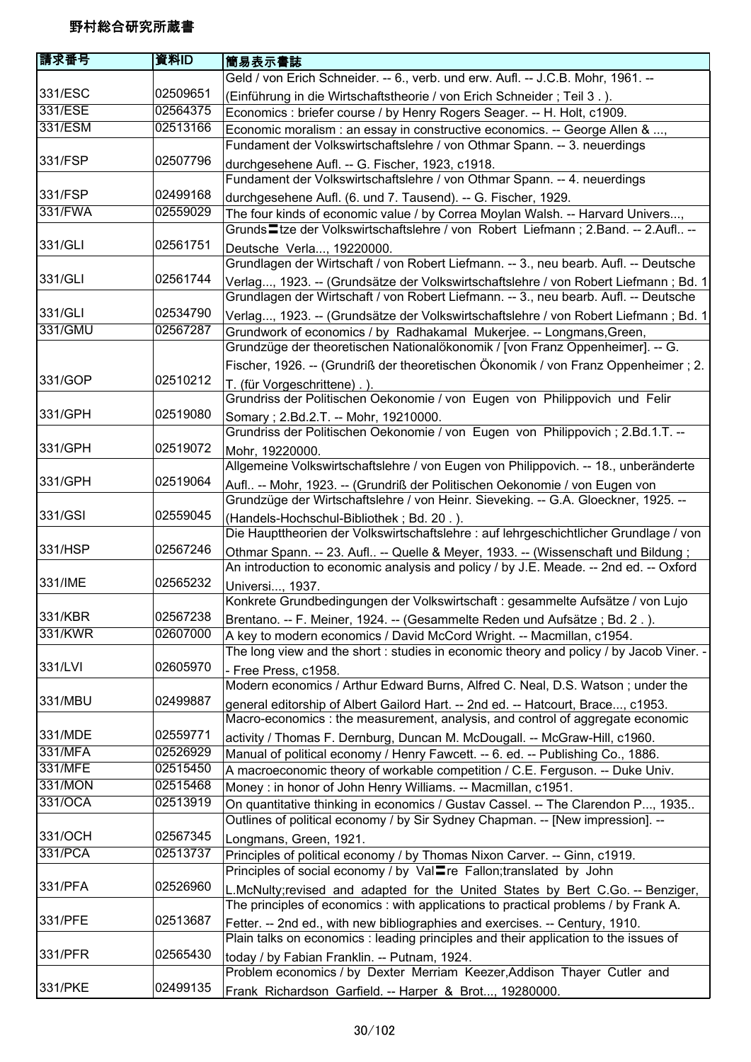| 請求番号    | 資料ID     | 簡易表示書誌                                                                                                                                                               |
|---------|----------|----------------------------------------------------------------------------------------------------------------------------------------------------------------------|
|         |          | Geld / von Erich Schneider. -- 6., verb. und erw. Aufl. -- J.C.B. Mohr, 1961. --                                                                                     |
| 331/ESC | 02509651 | (Einführung in die Wirtschaftstheorie / von Erich Schneider; Teil 3.).                                                                                               |
| 331/ESE | 02564375 | Economics : briefer course / by Henry Rogers Seager. -- H. Holt, c1909.                                                                                              |
| 331/ESM | 02513166 | Economic moralism : an essay in constructive economics. -- George Allen & ,                                                                                          |
|         |          | Fundament der Volkswirtschaftslehre / von Othmar Spann. -- 3. neuerdings                                                                                             |
| 331/FSP | 02507796 |                                                                                                                                                                      |
|         |          | durchgesehene Aufl. -- G. Fischer, 1923, c1918.<br>Fundament der Volkswirtschaftslehre / von Othmar Spann. -- 4. neuerdings                                          |
| 331/FSP | 02499168 |                                                                                                                                                                      |
| 331/FWA | 02559029 | durchgesehene Aufl. (6. und 7. Tausend). -- G. Fischer, 1929.                                                                                                        |
|         |          | The four kinds of economic value / by Correa Moylan Walsh. -- Harvard Univers,<br>Grunds - tze der Volkswirtschaftslehre / von Robert Liefmann; 2.Band. -- 2.Aufl -- |
| 331/GLI | 02561751 |                                                                                                                                                                      |
|         |          | Deutsche Verla, 19220000.                                                                                                                                            |
|         |          | Grundlagen der Wirtschaft / von Robert Liefmann. -- 3., neu bearb. Aufl. -- Deutsche                                                                                 |
| 331/GLI | 02561744 | Verlag, 1923. -- (Grundsätze der Volkswirtschaftslehre / von Robert Liefmann ; Bd. 1                                                                                 |
|         |          | Grundlagen der Wirtschaft / von Robert Liefmann. -- 3., neu bearb. Aufl. -- Deutsche                                                                                 |
| 331/GLI | 02534790 | Verlag, 1923. -- (Grundsätze der Volkswirtschaftslehre / von Robert Liefmann ; Bd. 1                                                                                 |
| 331/GMU | 02567287 | Grundwork of economics / by Radhakamal Mukerjee. -- Longmans, Green,                                                                                                 |
|         |          | Grundzüge der theoretischen Nationalökonomik / [von Franz Oppenheimer]. -- G.                                                                                        |
|         |          | Fischer, 1926. -- (Grundriß der theoretischen Ökonomik / von Franz Oppenheimer; 2.                                                                                   |
| 331/GOP | 02510212 | T. (für Vorgeschrittene).).                                                                                                                                          |
|         |          | Grundriss der Politischen Oekonomie / von Eugen von Philippovich und Felir                                                                                           |
| 331/GPH | 02519080 | Somary ; 2.Bd.2.T. -- Mohr, 19210000.                                                                                                                                |
|         |          | Grundriss der Politischen Oekonomie / von Eugen von Philippovich; 2.Bd.1.T. --                                                                                       |
| 331/GPH | 02519072 | Mohr, 19220000.                                                                                                                                                      |
|         |          | Allgemeine Volkswirtschaftslehre / von Eugen von Philippovich. -- 18., unberänderte                                                                                  |
| 331/GPH | 02519064 | Aufl -- Mohr, 1923. -- (Grundriß der Politischen Oekonomie / von Eugen von                                                                                           |
|         |          | Grundzüge der Wirtschaftslehre / von Heinr. Sieveking. -- G.A. Gloeckner, 1925. --                                                                                   |
| 331/GSI | 02559045 | (Handels-Hochschul-Bibliothek; Bd. 20.).                                                                                                                             |
|         |          | Die Haupttheorien der Volkswirtschaftslehre : auf lehrgeschichtlicher Grundlage / von                                                                                |
| 331/HSP | 02567246 | Othmar Spann. -- 23. Aufl -- Quelle & Meyer, 1933. -- (Wissenschaft und Bildung;                                                                                     |
|         |          | An introduction to economic analysis and policy / by J.E. Meade. -- 2nd ed. -- Oxford                                                                                |
| 331/IME | 02565232 | Universi, 1937.                                                                                                                                                      |
|         |          | Konkrete Grundbedingungen der Volkswirtschaft : gesammelte Aufsätze / von Lujo                                                                                       |
| 331/KBR | 02567238 | Brentano. -- F. Meiner, 1924. -- (Gesammelte Reden und Aufsätze; Bd. 2.).                                                                                            |
| 331/KWR | 02607000 |                                                                                                                                                                      |
|         |          | A key to modern economics / David McCord Wright. -- Macmillan, c1954.<br>The long view and the short : studies in economic theory and policy / by Jacob Viner. -     |
| 331/LVI | 02605970 |                                                                                                                                                                      |
|         |          | - Free Press, c1958.<br>Modern economics / Arthur Edward Burns, Alfred C. Neal, D.S. Watson; under the                                                               |
| 331/MBU | 02499887 |                                                                                                                                                                      |
|         |          | general editorship of Albert Gailord Hart. -- 2nd ed. -- Hatcourt, Brace, c1953.                                                                                     |
|         |          | Macro-economics : the measurement, analysis, and control of aggregate economic                                                                                       |
| 331/MDE | 02559771 | activity / Thomas F. Dernburg, Duncan M. McDougall. -- McGraw-Hill, c1960.                                                                                           |
| 331/MFA | 02526929 | Manual of political economy / Henry Fawcett. -- 6. ed. -- Publishing Co., 1886.                                                                                      |
| 331/MFE | 02515450 | A macroeconomic theory of workable competition / C.E. Ferguson. -- Duke Univ.                                                                                        |
| 331/MON | 02515468 | Money: in honor of John Henry Williams. -- Macmillan, c1951.                                                                                                         |
| 331/OCA | 02513919 | On quantitative thinking in economics / Gustav Cassel. -- The Clarendon P, 1935                                                                                      |
|         |          | Outlines of political economy / by Sir Sydney Chapman. -- [New impression]. --                                                                                       |
| 331/OCH | 02567345 | Longmans, Green, 1921.                                                                                                                                               |
| 331/PCA | 02513737 | Principles of political economy / by Thomas Nixon Carver. -- Ginn, c1919.                                                                                            |
|         |          | Principles of social economy / by Val≣re Fallon;translated by John                                                                                                   |
| 331/PFA | 02526960 | L.McNulty;revised and adapted for the United States by Bert C.Go. -- Benziger,                                                                                       |
|         |          | The principles of economics: with applications to practical problems / by Frank A.                                                                                   |
| 331/PFE | 02513687 | Fetter. -- 2nd ed., with new bibliographies and exercises. -- Century, 1910.                                                                                         |
|         |          | Plain talks on economics : leading principles and their application to the issues of                                                                                 |
| 331/PFR | 02565430 | today / by Fabian Franklin. -- Putnam, 1924.                                                                                                                         |
|         |          | Problem economics / by Dexter Merriam Keezer, Addison Thayer Cutler and                                                                                              |
| 331/PKE | 02499135 | Frank Richardson Garfield. -- Harper & Brot, 19280000.                                                                                                               |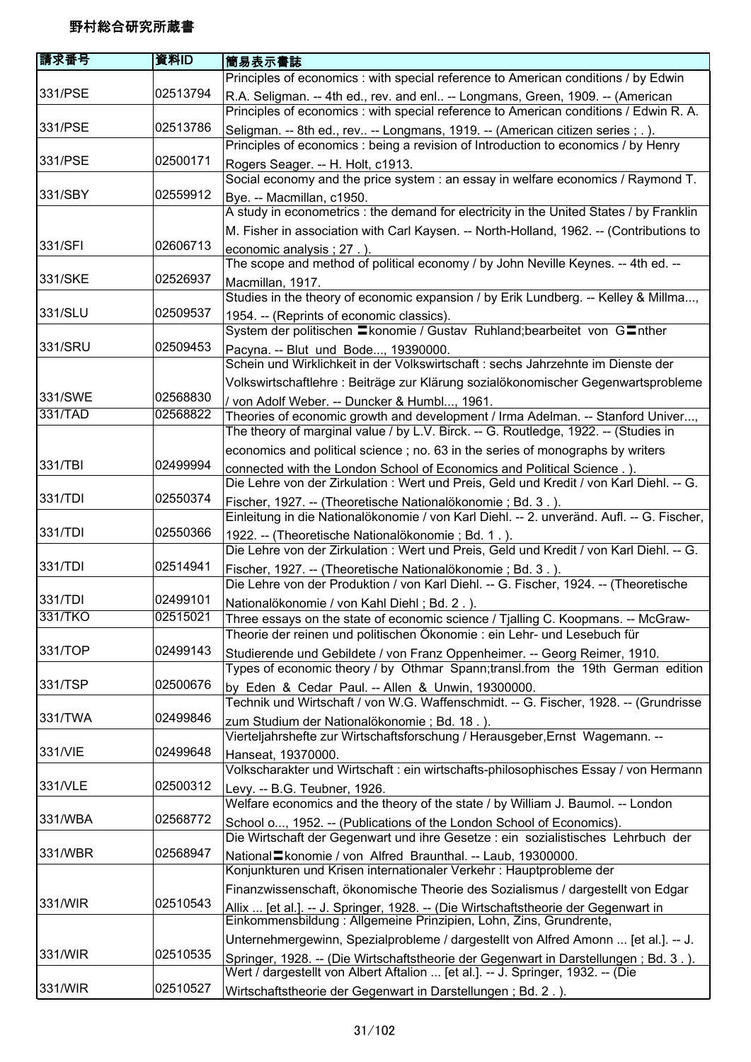| 請求番号    | 資料ID     | 簡易表示書誌                                                                                    |
|---------|----------|-------------------------------------------------------------------------------------------|
|         |          | Principles of economics : with special reference to American conditions / by Edwin        |
| 331/PSE | 02513794 | R.A. Seligman. -- 4th ed., rev. and enl -- Longmans, Green, 1909. -- (American            |
|         |          | Principles of economics : with special reference to American conditions / Edwin R. A.     |
| 331/PSE | 02513786 | Seligman. -- 8th ed., rev -- Longmans, 1919. -- (American citizen series ; .).            |
|         |          | Principles of economics: being a revision of Introduction to economics / by Henry         |
| 331/PSE | 02500171 | Rogers Seager. -- H. Holt, c1913.                                                         |
|         |          | Social economy and the price system : an essay in welfare economics / Raymond T.          |
| 331/SBY | 02559912 | Bye. -- Macmillan, c1950.                                                                 |
|         |          | A study in econometrics : the demand for electricity in the United States / by Franklin   |
|         |          | M. Fisher in association with Carl Kaysen. -- North-Holland, 1962. -- (Contributions to   |
| 331/SFI | 02606713 | economic analysis ; 27. ).                                                                |
|         |          | The scope and method of political economy / by John Neville Keynes. -- 4th ed. --         |
| 331/SKE | 02526937 | Macmillan, 1917.                                                                          |
|         |          | Studies in the theory of economic expansion / by Erik Lundberg. -- Kelley & Millma,       |
| 331/SLU | 02509537 | 1954. -- (Reprints of economic classics).                                                 |
|         |          | System der politischen Ekonomie / Gustav Ruhland; bearbeitet von GEnther                  |
| 331/SRU | 02509453 | Pacyna. -- Blut und Bode, 19390000.                                                       |
|         |          | Schein und Wirklichkeit in der Volkswirtschaft : sechs Jahrzehnte im Dienste der          |
|         |          | Volkswirtschaftlehre : Beiträge zur Klärung sozialökonomischer Gegenwartsprobleme         |
| 331/SWE | 02568830 | / von Adolf Weber. -- Duncker & Humbl, 1961.                                              |
| 331/TAD | 02568822 | Theories of economic growth and development / Irma Adelman. -- Stanford Univer,           |
|         |          | The theory of marginal value / by L.V. Birck. -- G. Routledge, 1922. -- (Studies in       |
|         |          | economics and political science; no. 63 in the series of monographs by writers            |
| 331/TBI | 02499994 | connected with the London School of Economics and Political Science.).                    |
|         |          | Die Lehre von der Zirkulation : Wert und Preis, Geld und Kredit / von Karl Diehl. -- G.   |
| 331/TDI | 02550374 | Fischer, 1927. -- (Theoretische Nationalökonomie ; Bd. 3.)                                |
|         |          | Einleitung in die Nationalökonomie / von Karl Diehl. -- 2. unveränd. Aufl. -- G. Fischer, |
| 331/TDI | 02550366 | 1922. -- (Theoretische Nationalökonomie ; Bd. 1.).                                        |
|         |          | Die Lehre von der Zirkulation : Wert und Preis, Geld und Kredit / von Karl Diehl. -- G.   |
| 331/TDI | 02514941 | Fischer, 1927. -- (Theoretische Nationalökonomie ; Bd. 3.).                               |
|         |          | Die Lehre von der Produktion / von Karl Diehl. -- G. Fischer, 1924. -- (Theoretische      |
| 331/TDI | 02499101 | Nationalökonomie / von Kahl Diehl; Bd. 2.).                                               |
| 331/TKO | 02515021 | Three essays on the state of economic science / Tjalling C. Koopmans. -- McGraw-          |
|         |          | Theorie der reinen und politischen Ökonomie : ein Lehr- und Lesebuch für                  |
| 331/TOP | 02499143 | Studierende und Gebildete / von Franz Oppenheimer. -- Georg Reimer, 1910.                 |
|         |          | Types of economic theory / by Othmar Spann;transl.from the 19th German edition            |
| 331/TSP | 02500676 | by Eden & Cedar Paul. -- Allen & Unwin, 19300000.                                         |
|         |          | Technik und Wirtschaft / von W.G. Waffenschmidt. -- G. Fischer, 1928. -- (Grundrisse      |
| 331/TWA | 02499846 | zum Studium der Nationalökonomie; Bd. 18.).                                               |
|         |          | Vierteljahrshefte zur Wirtschaftsforschung / Herausgeber, Ernst Wagemann. --              |
| 331/VIE | 02499648 | Hanseat, 19370000.                                                                        |
|         |          | Volkscharakter und Wirtschaft : ein wirtschafts-philosophisches Essay / von Hermann       |
| 331/VLE | 02500312 | Levy. -- B.G. Teubner, 1926.                                                              |
|         |          | Welfare economics and the theory of the state / by William J. Baumol. -- London           |
| 331/WBA | 02568772 | School o, 1952. -- (Publications of the London School of Economics).                      |
|         |          | Die Wirtschaft der Gegenwart und ihre Gesetze : ein sozialistisches Lehrbuch der          |
| 331/WBR | 02568947 | National Ekonomie / von Alfred Braunthal. -- Laub, 19300000.                              |
|         |          | Konjunkturen und Krisen internationaler Verkehr : Hauptprobleme der                       |
|         |          | Finanzwissenschaft, ökonomische Theorie des Sozialismus / dargestellt von Edgar           |
| 331/WIR | 02510543 | Allix  [et al.]. -- J. Springer, 1928. -- (Die Wirtschaftstheorie der Gegenwart in        |
|         |          | Einkommensbildung: Allgemeine Prinzipien, Lohn, Zins, Grundrente,                         |
|         |          | Unternehmergewinn, Spezialprobleme / dargestellt von Alfred Amonn  [et al.]. -- J.        |
| 331/WIR | 02510535 | Springer, 1928. -- (Die Wirtschaftstheorie der Gegenwart in Darstellungen; Bd. 3.).       |
|         |          | Wert / dargestellt von Albert Aftalion  [et al.]. -- J. Springer, 1932. -- (Die           |
| 331/WIR | 02510527 | Wirtschaftstheorie der Gegenwart in Darstellungen; Bd. 2.).                               |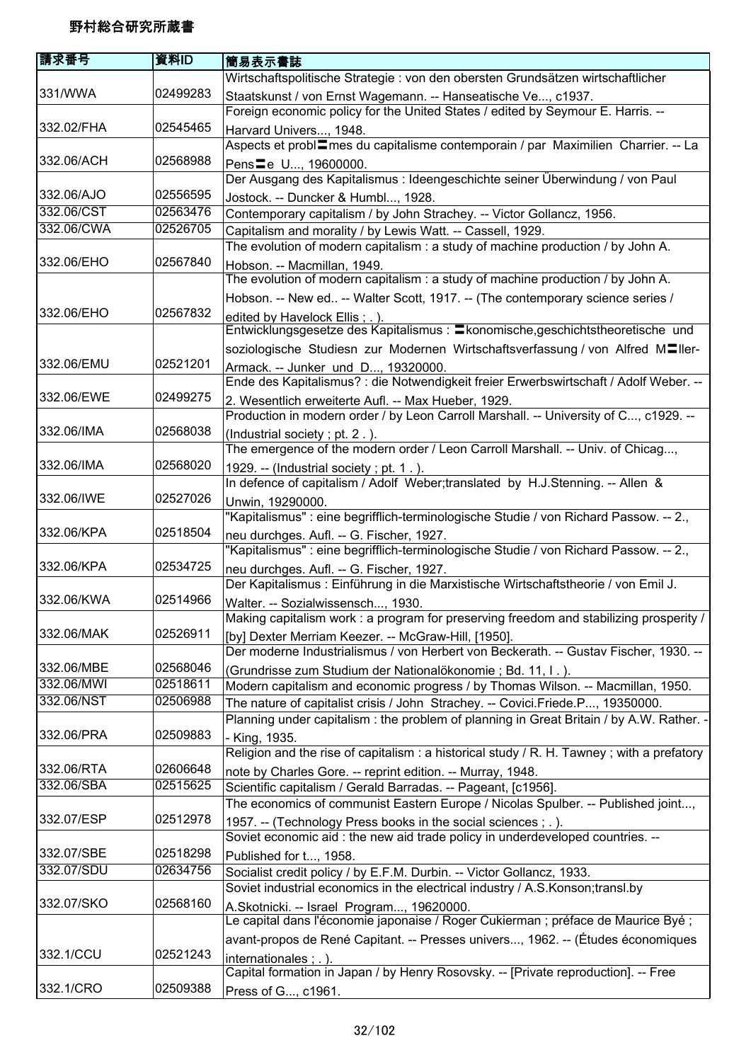| 請求番号       | 資料ID     | 簡易表示書誌                                                                                     |
|------------|----------|--------------------------------------------------------------------------------------------|
|            |          | Wirtschaftspolitische Strategie : von den obersten Grundsätzen wirtschaftlicher            |
| 331/WWA    | 02499283 | Staatskunst / von Ernst Wagemann. -- Hanseatische Ve, c1937.                               |
|            |          | Foreign economic policy for the United States / edited by Seymour E. Harris. --            |
| 332.02/FHA | 02545465 | Harvard Univers, 1948.                                                                     |
|            |          | Aspects et probl=mes du capitalisme contemporain / par Maximilien Charrier. -- La          |
| 332.06/ACH | 02568988 | Pens Le U, 19600000.                                                                       |
|            |          | Der Ausgang des Kapitalismus : Ideengeschichte seiner Überwindung / von Paul               |
| 332.06/AJO | 02556595 | Jostock. -- Duncker & Humbl, 1928.                                                         |
| 332.06/CST | 02563476 | Contemporary capitalism / by John Strachey. -- Victor Gollancz, 1956.                      |
| 332.06/CWA | 02526705 | Capitalism and morality / by Lewis Watt. -- Cassell, 1929.                                 |
|            |          | The evolution of modern capitalism : a study of machine production / by John A.            |
| 332.06/EHO | 02567840 | Hobson. -- Macmillan, 1949.                                                                |
|            |          | The evolution of modern capitalism : a study of machine production / by John A.            |
|            |          | Hobson. -- New ed -- Walter Scott, 1917. -- (The contemporary science series /             |
| 332.06/EHO | 02567832 | edited by Havelock Ellis; .).                                                              |
|            |          | Entwicklungsgesetze des Kapitalismus : Ekonomische, geschichtstheoretische und             |
|            |          | soziologische Studiesn zur Modernen Wirtschaftsverfassung / von Alfred M <sup>ller-</sup>  |
| 332.06/EMU | 02521201 | Armack. -- Junker und D, 19320000.                                                         |
|            |          | Ende des Kapitalismus? : die Notwendigkeit freier Erwerbswirtschaft / Adolf Weber. --      |
| 332.06/EWE | 02499275 | 2. Wesentlich erweiterte Aufl. -- Max Hueber, 1929.                                        |
|            |          | Production in modern order / by Leon Carroll Marshall. -- University of C, c1929. --       |
| 332.06/IMA | 02568038 | (Industrial society; pt. 2.).                                                              |
|            |          | The emergence of the modern order / Leon Carroll Marshall. -- Univ. of Chicag,             |
| 332.06/IMA | 02568020 | 1929. -- (Industrial society; pt. 1.).                                                     |
|            |          | In defence of capitalism / Adolf Weber; translated by H.J.Stenning. -- Allen &             |
| 332.06/IWE | 02527026 | Unwin, 19290000.                                                                           |
|            |          | "Kapitalismus" : eine begrifflich-terminologische Studie / von Richard Passow. -- 2.,      |
| 332.06/KPA | 02518504 | neu durchges. Aufl. -- G. Fischer, 1927.                                                   |
|            |          | "Kapitalismus" : eine begrifflich-terminologische Studie / von Richard Passow. -- 2.,      |
| 332.06/KPA | 02534725 | neu durchges. Aufl. -- G. Fischer, 1927.                                                   |
|            |          | Der Kapitalismus : Einführung in die Marxistische Wirtschaftstheorie / von Emil J.         |
| 332.06/KWA | 02514966 | Walter. -- Sozialwissensch, 1930.                                                          |
|            |          | Making capitalism work: a program for preserving freedom and stabilizing prosperity /      |
| 332.06/MAK | 02526911 | [by] Dexter Merriam Keezer. -- McGraw-Hill, [1950].                                        |
|            |          | Der moderne Industrialismus / von Herbert von Beckerath. -- Gustav Fischer, 1930. --       |
| 332.06/MBE | 02568046 | (Grundrisse zum Studium der Nationalökonomie ; Bd. 11, I.).                                |
| 332.06/MWI | 02518611 | Modern capitalism and economic progress / by Thomas Wilson. -- Macmillan, 1950.            |
| 332.06/NST | 02506988 | The nature of capitalist crisis / John Strachey. -- Covici.Friede.P, 19350000.             |
|            |          | Planning under capitalism : the problem of planning in Great Britain / by A.W. Rather. -   |
| 332.06/PRA | 02509883 | - King, 1935.                                                                              |
|            |          | Religion and the rise of capitalism: a historical study $/$ R. H. Tawney; with a prefatory |
| 332.06/RTA | 02606648 | note by Charles Gore. -- reprint edition. -- Murray, 1948.                                 |
| 332.06/SBA | 02515625 | Scientific capitalism / Gerald Barradas. -- Pageant, [c1956].                              |
|            |          | The economics of communist Eastern Europe / Nicolas Spulber. -- Published joint,           |
| 332.07/ESP | 02512978 | 1957. -- (Technology Press books in the social sciences ; . ).                             |
|            |          | Soviet economic aid : the new aid trade policy in underdeveloped countries. --             |
| 332.07/SBE | 02518298 | Published for t, 1958.                                                                     |
| 332.07/SDU | 02634756 | Socialist credit policy / by E.F.M. Durbin. -- Victor Gollancz, 1933.                      |
|            |          | Soviet industrial economics in the electrical industry / A.S.Konson; transl.by             |
| 332.07/SKO | 02568160 | A.Skotnicki. -- Israel Program, 19620000.                                                  |
|            |          | Le capital dans l'économie japonaise / Roger Cukierman ; préface de Maurice Byé ;          |
|            |          | avant-propos de René Capitant. -- Presses univers, 1962. -- (Études économiques            |
| 332.1/CCU  | 02521243 | internationales; .).                                                                       |
|            |          | Capital formation in Japan / by Henry Rosovsky. -- [Private reproduction]. -- Free         |
| 332.1/CRO  | 02509388 | Press of G, c1961.                                                                         |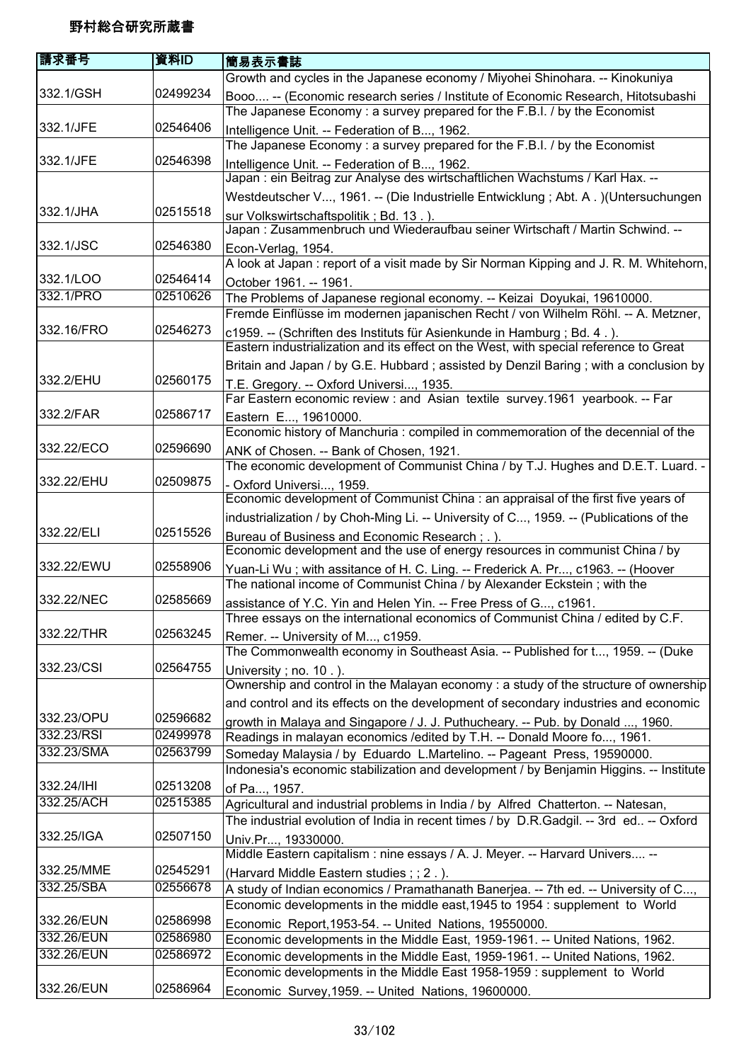| 請求番号       | 資料ID     | 簡易表示書誌                                                                                                                        |
|------------|----------|-------------------------------------------------------------------------------------------------------------------------------|
|            |          | Growth and cycles in the Japanese economy / Miyohei Shinohara. -- Kinokuniya                                                  |
| 332.1/GSH  | 02499234 | Booo -- (Economic research series / Institute of Economic Research, Hitotsubashi                                              |
|            |          | The Japanese Economy: a survey prepared for the F.B.I. / by the Economist                                                     |
| 332.1/JFE  | 02546406 | Intelligence Unit. -- Federation of B, 1962.                                                                                  |
|            |          | The Japanese Economy: a survey prepared for the F.B.I. / by the Economist                                                     |
| 332.1/JFE  | 02546398 | Intelligence Unit. -- Federation of B, 1962.                                                                                  |
|            |          | Japan : ein Beitrag zur Analyse des wirtschaftlichen Wachstums / Karl Hax. --                                                 |
|            |          | Westdeutscher V, 1961. -- (Die Industrielle Entwicklung ; Abt. A.) (Untersuchungen                                            |
| 332.1/JHA  | 02515518 | sur Volkswirtschaftspolitik; Bd. 13.).                                                                                        |
|            |          | Japan: Zusammenbruch und Wiederaufbau seiner Wirtschaft / Martin Schwind. --                                                  |
| 332.1/JSC  | 02546380 | Econ-Verlag, 1954.                                                                                                            |
|            |          | A look at Japan: report of a visit made by Sir Norman Kipping and J. R. M. Whitehorn,                                         |
| 332.1/LOO  | 02546414 | October 1961. -- 1961.                                                                                                        |
| 332.1/PRO  | 02510626 | The Problems of Japanese regional economy. -- Keizai Doyukai, 19610000.                                                       |
|            |          | Fremde Einflüsse im modernen japanischen Recht / von Wilhelm Röhl. -- A. Metzner,                                             |
| 332.16/FRO | 02546273 | c1959. -- (Schriften des Instituts für Asienkunde in Hamburg ; Bd. 4.).                                                       |
|            |          | Eastern industrialization and its effect on the West, with special reference to Great                                         |
| 332.2/EHU  | 02560175 | Britain and Japan / by G.E. Hubbard; assisted by Denzil Baring; with a conclusion by                                          |
|            |          | T.E. Gregory. -- Oxford Universi, 1935.                                                                                       |
| 332.2/FAR  | 02586717 | Far Eastern economic review : and Asian textile survey.1961 yearbook. -- Far                                                  |
|            |          | Eastern E, 19610000.<br>Economic history of Manchuria : compiled in commemoration of the decennial of the                     |
| 332.22/ECO | 02596690 |                                                                                                                               |
|            |          | ANK of Chosen. -- Bank of Chosen, 1921.<br>The economic development of Communist China / by T.J. Hughes and D.E.T. Luard. -   |
| 332.22/EHU | 02509875 |                                                                                                                               |
|            |          | - Oxford Universi, 1959.<br>Economic development of Communist China : an appraisal of the first five years of                 |
|            |          | industrialization / by Choh-Ming Li. -- University of C, 1959. -- (Publications of the                                        |
| 332.22/ELI | 02515526 |                                                                                                                               |
|            |          | Bureau of Business and Economic Research; .).<br>Economic development and the use of energy resources in communist China / by |
| 332.22/EWU | 02558906 | Yuan-Li Wu; with assitance of H. C. Ling. -- Frederick A. Pr, c1963. -- (Hoover                                               |
|            |          | The national income of Communist China / by Alexander Eckstein; with the                                                      |
| 332.22/NEC | 02585669 | assistance of Y.C. Yin and Helen Yin. -- Free Press of G, c1961.                                                              |
|            |          | Three essays on the international economics of Communist China / edited by C.F.                                               |
| 332.22/THR | 02563245 | Remer. -- University of M, c1959.                                                                                             |
|            |          | The Commonwealth economy in Southeast Asia. -- Published for t, 1959. -- (Duke                                                |
| 332.23/CSI | 02564755 | University; no. 10.).                                                                                                         |
|            |          | Ownership and control in the Malayan economy: a study of the structure of ownership                                           |
|            |          | and control and its effects on the development of secondary industries and economic                                           |
| 332.23/OPU | 02596682 | growth in Malaya and Singapore / J. J. Puthucheary. -- Pub. by Donald , 1960.                                                 |
| 332.23/RSI | 02499978 | Readings in malayan economics / edited by T.H. -- Donald Moore fo, 1961.                                                      |
| 332.23/SMA | 02563799 | Someday Malaysia / by Eduardo L.Martelino. -- Pageant Press, 19590000.                                                        |
|            |          | Indonesia's economic stabilization and development / by Benjamin Higgins. -- Institute                                        |
| 332.24/IHI | 02513208 | of Pa, 1957.                                                                                                                  |
| 332.25/ACH | 02515385 | Agricultural and industrial problems in India / by Alfred Chatterton. -- Natesan,                                             |
|            |          | The industrial evolution of India in recent times / by D.R.Gadgil. -- 3rd ed -- Oxford                                        |
| 332.25/IGA | 02507150 | Univ.Pr, 19330000.                                                                                                            |
|            |          | Middle Eastern capitalism : nine essays / A. J. Meyer. -- Harvard Univers --                                                  |
| 332.25/MME | 02545291 | (Harvard Middle Eastern studies; ; 2.).                                                                                       |
| 332.25/SBA | 02556678 | A study of Indian economics / Pramathanath Banerjea. -- 7th ed. -- University of C,                                           |
|            |          | Economic developments in the middle east, 1945 to 1954 : supplement to World                                                  |
| 332.26/EUN | 02586998 | Economic Report, 1953-54. -- United Nations, 19550000.                                                                        |
| 332.26/EUN | 02586980 | Economic developments in the Middle East, 1959-1961. -- United Nations, 1962.                                                 |
| 332.26/EUN | 02586972 | Economic developments in the Middle East, 1959-1961. -- United Nations, 1962.                                                 |
|            |          | Economic developments in the Middle East 1958-1959 : supplement to World                                                      |
| 332.26/EUN | 02586964 | Economic Survey, 1959. -- United Nations, 19600000.                                                                           |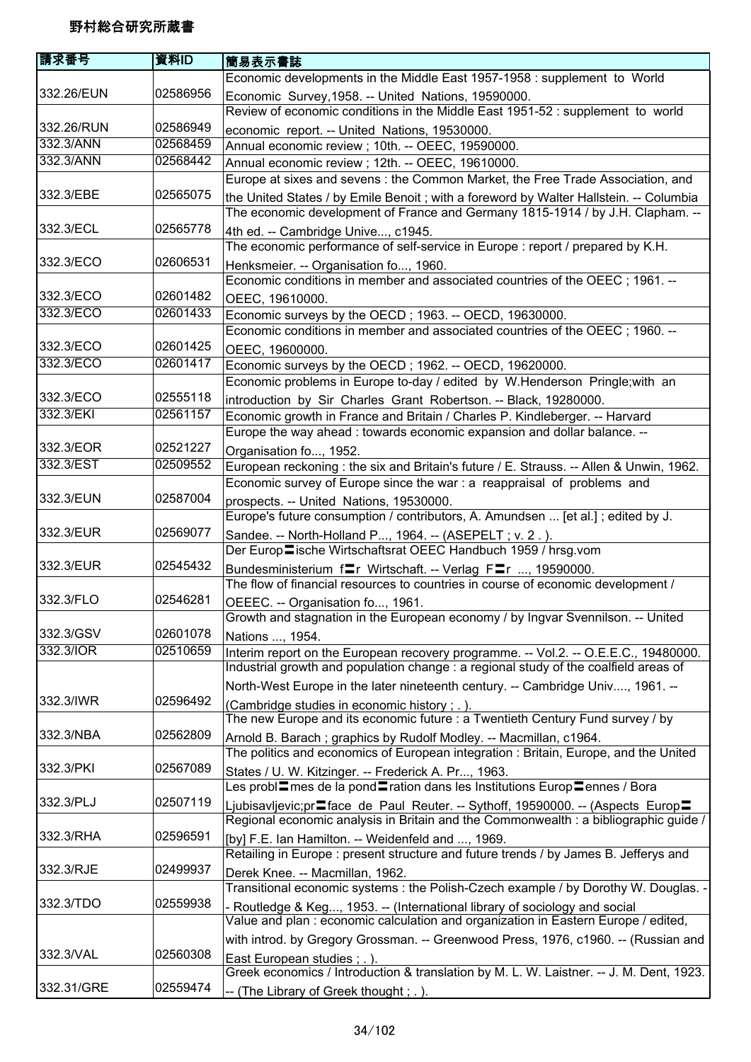| 請求番号       | 資料ID     | 簡易表示書誌                                                                                                          |
|------------|----------|-----------------------------------------------------------------------------------------------------------------|
|            |          | Economic developments in the Middle East 1957-1958 : supplement to World                                        |
| 332.26/EUN | 02586956 | Economic Survey, 1958. -- United Nations, 19590000.                                                             |
|            |          | Review of economic conditions in the Middle East 1951-52 : supplement to world                                  |
| 332.26/RUN | 02586949 | economic report. -- United Nations, 19530000.                                                                   |
| 332.3/ANN  | 02568459 | Annual economic review ; 10th. -- OEEC, 19590000.                                                               |
| 332.3/ANN  | 02568442 | Annual economic review ; 12th. -- OEEC, 19610000.                                                               |
|            |          | Europe at sixes and sevens: the Common Market, the Free Trade Association, and                                  |
| 332.3/EBE  | 02565075 | the United States / by Emile Benoit ; with a foreword by Walter Hallstein. -- Columbia                          |
|            |          | The economic development of France and Germany 1815-1914 / by J.H. Clapham. --                                  |
| 332.3/ECL  | 02565778 | 4th ed. -- Cambridge Unive, c1945.                                                                              |
|            |          | The economic performance of self-service in Europe : report / prepared by K.H.                                  |
| 332.3/ECO  | 02606531 | Henksmeier. -- Organisation fo, 1960.                                                                           |
|            |          | Economic conditions in member and associated countries of the OEEC; 1961. --                                    |
| 332.3/ECO  | 02601482 | OEEC, 19610000.                                                                                                 |
| 332.3/ECO  | 02601433 | Economic surveys by the OECD; 1963. -- OECD, 19630000.                                                          |
|            |          | Economic conditions in member and associated countries of the OEEC; 1960. --                                    |
| 332.3/ECO  | 02601425 | OEEC, 19600000.                                                                                                 |
| 332.3/ECO  | 02601417 | Economic surveys by the OECD; 1962. -- OECD, 19620000.                                                          |
|            |          | Economic problems in Europe to-day / edited by W.Henderson Pringle; with an                                     |
| 332.3/ECO  | 02555118 | introduction by Sir Charles Grant Robertson. -- Black, 19280000.                                                |
| 332.3/EKI  | 02561157 | Economic growth in France and Britain / Charles P. Kindleberger. -- Harvard                                     |
|            |          | Europe the way ahead : towards economic expansion and dollar balance. --                                        |
| 332.3/EOR  | 02521227 | Organisation fo, 1952.                                                                                          |
| 332.3/EST  | 02509552 | European reckoning: the six and Britain's future / E. Strauss. -- Allen & Unwin, 1962.                          |
|            |          | Economic survey of Europe since the war : a reappraisal of problems and                                         |
| 332.3/EUN  | 02587004 | prospects. -- United Nations, 19530000.                                                                         |
|            |          | Europe's future consumption / contributors, A. Amundsen  [et al.]; edited by J.                                 |
| 332.3/EUR  | 02569077 | Sandee. -- North-Holland P, 1964. -- (ASEPELT ; v. 2.).                                                         |
|            |          | Der Europ lische Wirtschaftsrat OEEC Handbuch 1959 / hrsg.vom                                                   |
| 332.3/EUR  | 02545432 | Bundesministerium fret Wirtschaft. -- Verlag Frett, 19590000.                                                   |
|            |          | The flow of financial resources to countries in course of economic development /                                |
| 332.3/FLO  | 02546281 | OEEEC. -- Organisation fo, 1961.                                                                                |
|            |          | Growth and stagnation in the European economy / by Ingvar Svennilson. -- United                                 |
| 332.3/GSV  | 02601078 | Nations , 1954.                                                                                                 |
| 332.3/IOR  | 02510659 | Interim report on the European recovery programme. -- Vol.2. -- O.E.E.C., 19480000.                             |
|            |          | Industrial growth and population change : a regional study of the coalfield areas of                            |
|            |          | North-West Europe in the later nineteenth century. -- Cambridge Univ, 1961. --                                  |
| 332.3/IWR  | 02596492 | (Cambridge studies in economic history ; .).                                                                    |
|            |          | The new Europe and its economic future : a Twentieth Century Fund survey / by                                   |
| 332.3/NBA  | 02562809 | Arnold B. Barach; graphics by Rudolf Modley. -- Macmillan, c1964.                                               |
|            |          | The politics and economics of European integration : Britain, Europe, and the United                            |
| 332.3/PKI  | 02567089 | States / U. W. Kitzinger. -- Frederick A. Pr, 1963.                                                             |
|            |          | Les probl <sup>-</sup> mes de la pond <sup>-</sup> ration dans les Institutions Europ <sup>-</sup> ennes / Bora |
| 332.3/PLJ  | 02507119 | Ljubisavljevic;pr≣face de Paul Reuter. -- Sythoff, 19590000. -- (Aspects Europ=                                 |
|            |          | Regional economic analysis in Britain and the Commonwealth : a bibliographic guide /                            |
| 332.3/RHA  | 02596591 | [by] F.E. Ian Hamilton. -- Weidenfeld and , 1969.                                                               |
|            |          | Retailing in Europe : present structure and future trends / by James B. Jefferys and                            |
| 332.3/RJE  | 02499937 | Derek Knee. -- Macmillan, 1962.                                                                                 |
|            |          | Transitional economic systems : the Polish-Czech example / by Dorothy W. Douglas. -                             |
| 332.3/TDO  | 02559938 | - Routledge & Keg, 1953. -- (International library of sociology and social                                      |
|            |          | Value and plan : economic calculation and organization in Eastern Europe / edited,                              |
|            |          | with introd. by Gregory Grossman. -- Greenwood Press, 1976, c1960. -- (Russian and                              |
| 332.3/VAL  | 02560308 | East European studies; .).                                                                                      |
|            |          | Greek economics / Introduction & translation by M. L. W. Laistner. -- J. M. Dent, 1923.                         |
| 332.31/GRE | 02559474 | -- (The Library of Greek thought; .).                                                                           |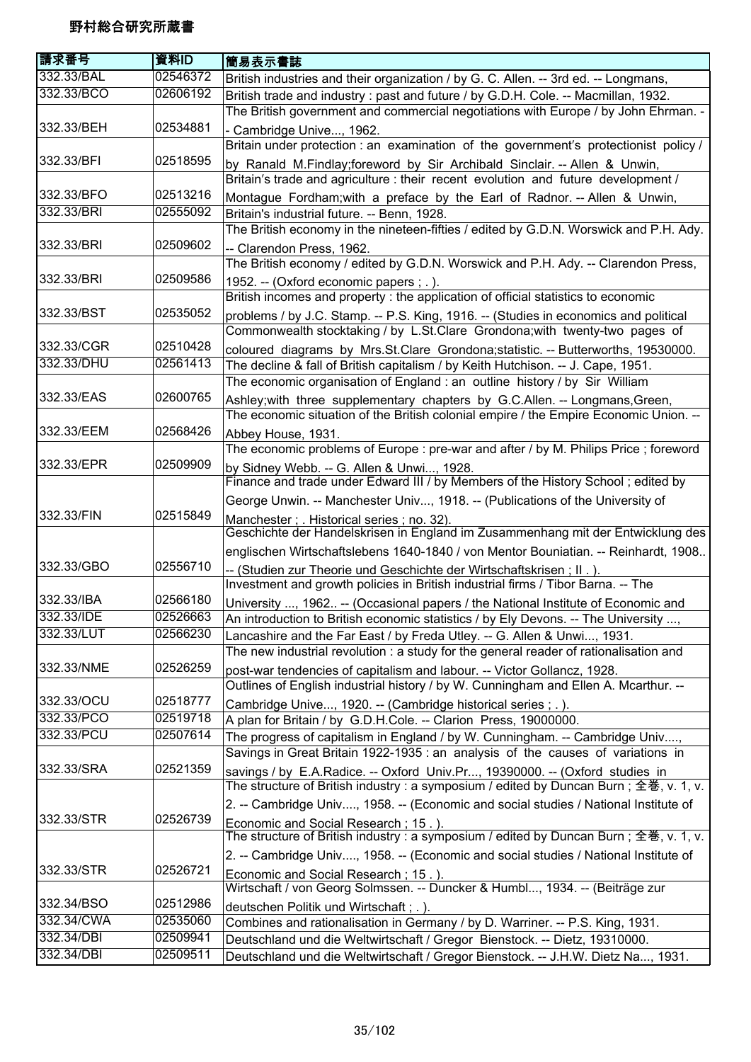| 請求番号       | 資料ID     | 簡易表示書誌                                                                                                                                                               |
|------------|----------|----------------------------------------------------------------------------------------------------------------------------------------------------------------------|
| 332.33/BAL | 02546372 | British industries and their organization / by G. C. Allen. -- 3rd ed. -- Longmans,                                                                                  |
| 332.33/BCO | 02606192 | British trade and industry: past and future / by G.D.H. Cole. -- Macmillan, 1932.                                                                                    |
|            |          | The British government and commercial negotiations with Europe / by John Ehrman. -                                                                                   |
| 332.33/BEH | 02534881 | - Cambridge Unive, 1962.                                                                                                                                             |
|            |          | Britain under protection : an examination of the government's protectionist policy /                                                                                 |
| 332.33/BFI | 02518595 | by Ranald M.Findlay; foreword by Sir Archibald Sinclair. -- Allen & Unwin,                                                                                           |
|            |          | Britain's trade and agriculture : their recent evolution and future development /                                                                                    |
| 332.33/BFO | 02513216 | Montague Fordham; with a preface by the Earl of Radnor. -- Allen & Unwin,                                                                                            |
| 332.33/BRI | 02555092 | Britain's industrial future. -- Benn, 1928.                                                                                                                          |
|            |          | The British economy in the nineteen-fifties / edited by G.D.N. Worswick and P.H. Ady.                                                                                |
| 332.33/BRI | 02509602 | -- Clarendon Press, 1962.                                                                                                                                            |
|            |          | The British economy / edited by G.D.N. Worswick and P.H. Ady. -- Clarendon Press,                                                                                    |
| 332.33/BRI | 02509586 | 1952. -- (Oxford economic papers ; .).                                                                                                                               |
|            |          | British incomes and property: the application of official statistics to economic                                                                                     |
| 332.33/BST | 02535052 |                                                                                                                                                                      |
|            |          | problems / by J.C. Stamp. -- P.S. King, 1916. -- (Studies in economics and political<br>Commonwealth stocktaking / by L.St.Clare Grondona; with twenty-two pages of  |
| 332.33/CGR | 02510428 |                                                                                                                                                                      |
| 332.33/DHU | 02561413 | coloured diagrams by Mrs.St.Clare Grondona;statistic. -- Butterworths, 19530000.<br>The decline & fall of British capitalism / by Keith Hutchison. -- J. Cape, 1951. |
|            |          | The economic organisation of England : an outline history / by Sir William                                                                                           |
| 332.33/EAS | 02600765 |                                                                                                                                                                      |
|            |          | Ashley; with three supplementary chapters by G.C.Allen. -- Longmans, Green,                                                                                          |
| 332.33/EEM | 02568426 | The economic situation of the British colonial empire / the Empire Economic Union. --                                                                                |
|            |          | Abbey House, 1931.                                                                                                                                                   |
| 332.33/EPR | 02509909 | The economic problems of Europe : pre-war and after / by M. Philips Price ; foreword                                                                                 |
|            |          | by Sidney Webb. -- G. Allen & Unwi, 1928.<br>Finance and trade under Edward III / by Members of the History School; edited by                                        |
|            |          |                                                                                                                                                                      |
|            |          | George Unwin. -- Manchester Univ, 1918. -- (Publications of the University of                                                                                        |
| 332.33/FIN | 02515849 | Manchester; Historical series; no. 32).                                                                                                                              |
|            |          | Geschichte der Handelskrisen in England im Zusammenhang mit der Entwicklung des                                                                                      |
|            |          | englischen Wirtschaftslebens 1640-1840 / von Mentor Bouniatian. -- Reinhardt, 1908                                                                                   |
| 332.33/GBO | 02556710 | -- (Studien zur Theorie und Geschichte der Wirtschaftskrisen; II.).                                                                                                  |
| 332.33/IBA |          | Investment and growth policies in British industrial firms / Tibor Barna. -- The                                                                                     |
| 332.33/IDE | 02566180 | University , 1962. -- (Occasional papers / the National Institute of Economic and                                                                                    |
|            | 02526663 | An introduction to British economic statistics / by Ely Devons. -- The University ,                                                                                  |
| 332.33/LUT | 02566230 | Lancashire and the Far East / by Freda Utley. -- G. Allen & Unwi, 1931.                                                                                              |
|            |          | The new industrial revolution : a study for the general reader of rationalisation and                                                                                |
| 332.33/NME | 02526259 | post-war tendencies of capitalism and labour. -- Victor Gollancz, 1928.                                                                                              |
|            |          | Outlines of English industrial history / by W. Cunningham and Ellen A. Mcarthur. --                                                                                  |
| 332.33/OCU | 02518777 | Cambridge Unive, 1920. -- (Cambridge historical series; .).                                                                                                          |
| 332.33/PCO | 02519718 | A plan for Britain / by G.D.H.Cole. -- Clarion Press, 19000000.                                                                                                      |
| 332.33/PCU | 02507614 | The progress of capitalism in England / by W. Cunningham. -- Cambridge Univ,                                                                                         |
|            |          | Savings in Great Britain 1922-1935 : an analysis of the causes of variations in                                                                                      |
| 332.33/SRA | 02521359 | savings / by E.A.Radice. -- Oxford Univ.Pr, 19390000. -- (Oxford studies in                                                                                          |
|            |          | The structure of British industry : a symposium / edited by Duncan Burn ; 全巻, v. 1, v.                                                                               |
|            |          | 2. -- Cambridge Univ, 1958. -- (Economic and social studies / National Institute of                                                                                  |
| 332.33/STR | 02526739 | Economic and Social Research; 15.).                                                                                                                                  |
|            |          | The structure of British industry : a symposium / edited by Duncan Burn ; 全巻, v. 1, v.                                                                               |
|            |          | 2. -- Cambridge Univ, 1958. -- (Economic and social studies / National Institute of                                                                                  |
| 332.33/STR | 02526721 | Economic and Social Research; 15.).                                                                                                                                  |
|            |          | Wirtschaft / von Georg Solmssen. -- Duncker & Humbl, 1934. -- (Beiträge zur                                                                                          |
| 332.34/BSO | 02512986 | deutschen Politik und Wirtschaft; .).                                                                                                                                |
| 332.34/CWA | 02535060 | Combines and rationalisation in Germany / by D. Warriner. -- P.S. King, 1931.                                                                                        |
| 332.34/DBI | 02509941 | Deutschland und die Weltwirtschaft / Gregor Bienstock. -- Dietz, 19310000.                                                                                           |
| 332.34/DBI | 02509511 | Deutschland und die Weltwirtschaft / Gregor Bienstock. -- J.H.W. Dietz Na, 1931.                                                                                     |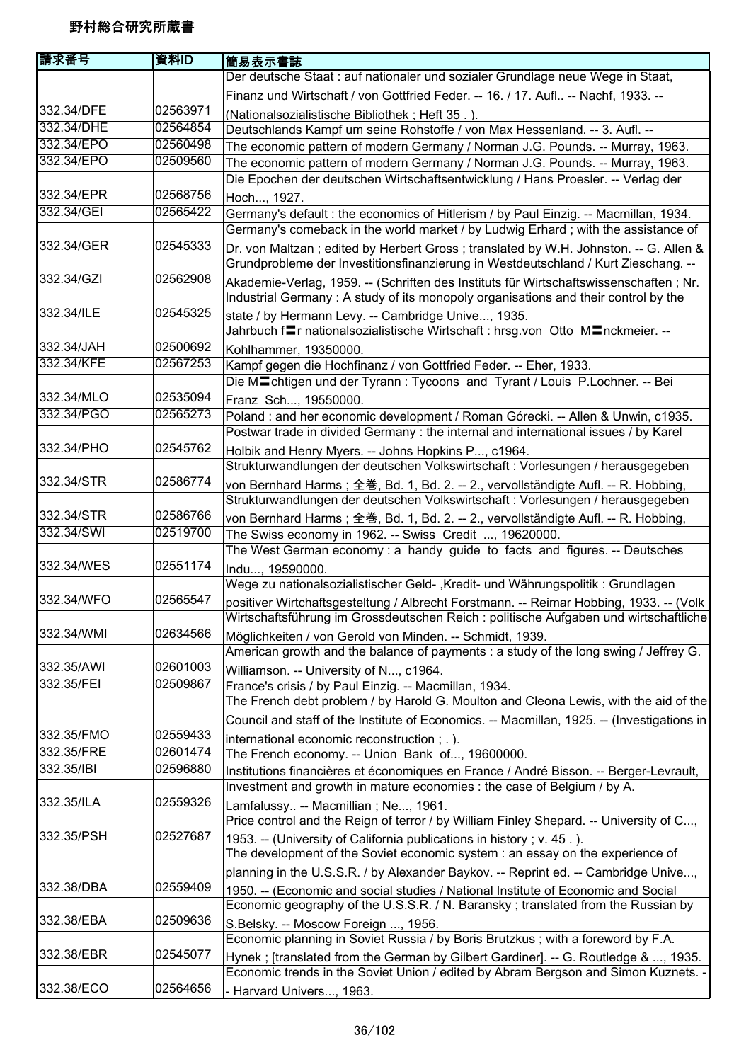| Der deutsche Staat : auf nationaler und sozialer Grundlage neue Wege in Staat,<br>Finanz und Wirtschaft / von Gottfried Feder. -- 16. / 17. Aufl -- Nachf, 1933. --<br>332.34/DFE<br>02563971<br>(Nationalsozialistische Bibliothek; Heft 35.).<br>332.34/DHE<br>02564854<br>Deutschlands Kampf um seine Rohstoffe / von Max Hessenland. -- 3. Aufl. --<br>332.34/EPO<br>02560498<br>The economic pattern of modern Germany / Norman J.G. Pounds. -- Murray, 1963.<br>332.34/EPO<br>02509560<br>The economic pattern of modern Germany / Norman J.G. Pounds. -- Murray, 1963.<br>Die Epochen der deutschen Wirtschaftsentwicklung / Hans Proesler. -- Verlag der<br>332.34/EPR<br>02568756<br>Hoch, 1927.<br>332.34/GEI<br>02565422<br>Germany's default : the economics of Hitlerism / by Paul Einzig. -- Macmillan, 1934.<br>Germany's comeback in the world market / by Ludwig Erhard; with the assistance of<br>02545333<br>332.34/GER<br>Dr. von Maltzan; edited by Herbert Gross; translated by W.H. Johnston. -- G. Allen &<br>Grundprobleme der Investitionsfinanzierung in Westdeutschland / Kurt Zieschang. --<br>332.34/GZI<br>02562908<br>Akademie-Verlag, 1959. -- (Schriften des Instituts für Wirtschaftswissenschaften; Nr.<br>Industrial Germany: A study of its monopoly organisations and their control by the<br>332.34/ILE<br>02545325<br>state / by Hermann Levy. -- Cambridge Unive, 1935.<br>Jahrbuch fra nationalsozialistische Wirtschaft: hrsg.von Otto Manckmeier. --<br>332.34/JAH<br>02500692<br>Kohlhammer, 19350000.<br>332.34/KFE<br>02567253<br>Kampf gegen die Hochfinanz / von Gottfried Feder. -- Eher, 1933.<br>Die M <sup>n</sup> chtigen und der Tyrann: Tycoons and Tyrant / Louis P. Lochner. -- Bei<br>332.34/MLO<br>02535094<br>Franz Sch, 19550000.<br>332.34/PGO<br>02565273<br>Poland : and her economic development / Roman Górecki. -- Allen & Unwin, c1935.<br>Postwar trade in divided Germany : the internal and international issues / by Karel<br>332.34/PHO<br>02545762<br>Holbik and Henry Myers. -- Johns Hopkins P, c1964.<br>Strukturwandlungen der deutschen Volkswirtschaft : Vorlesungen / herausgegeben<br>332.34/STR<br>02586774<br>von Bernhard Harms; 全巻, Bd. 1, Bd. 2. -- 2., vervollständigte Aufl. -- R. Hobbing,<br>Strukturwandlungen der deutschen Volkswirtschaft : Vorlesungen / herausgegeben<br>332.34/STR<br>02586766<br>von Bernhard Harms; 全巻, Bd. 1, Bd. 2. -- 2., vervollständigte Aufl. -- R. Hobbing,<br>332.34/SWI<br>02519700<br>The Swiss economy in 1962. -- Swiss Credit , 19620000.<br>The West German economy : a handy guide to facts and figures. -- Deutsches<br>332.34/WES<br>02551174<br>Indu, 19590000.<br>Wege zu nationalsozialistischer Geld-, Kredit- und Währungspolitik: Grundlagen<br>332.34/WFO<br>02565547<br>positiver Wirtchaftsgesteltung / Albrecht Forstmann. -- Reimar Hobbing, 1933. -- (Volk<br>Wirtschaftsführung im Grossdeutschen Reich : politische Aufgaben und wirtschaftliche<br>332.34/WMI<br>02634566<br>Möglichkeiten / von Gerold von Minden. -- Schmidt, 1939.<br>American growth and the balance of payments : a study of the long swing / Jeffrey G.<br>02601003<br>332.35/AWI<br>Williamson. -- University of N, c1964.<br>332.35/FEI<br>02509867<br>France's crisis / by Paul Einzig. -- Macmillan, 1934.<br>The French debt problem / by Harold G. Moulton and Cleona Lewis, with the aid of the<br>Council and staff of the Institute of Economics. -- Macmillan, 1925. -- (Investigations in<br>332.35/FMO<br>02559433<br>international economic reconstruction; .).<br>332.35/FRE<br>02601474<br>The French economy. -- Union Bank of, 19600000.<br>332.35/IBI<br>02596880<br>Institutions financières et économiques en France / André Bisson. -- Berger-Levrault,<br>Investment and growth in mature economies : the case of Belgium / by A.<br>332.35/ILA<br>02559326<br>Lamfalussy -- Macmillian; Ne, 1961.<br>Price control and the Reign of terror / by William Finley Shepard. -- University of C,<br>332.35/PSH<br>02527687<br>1953. -- (University of California publications in history ; v. 45.).<br>The development of the Soviet economic system : an essay on the experience of<br>planning in the U.S.S.R. / by Alexander Baykov. -- Reprint ed. -- Cambridge Unive,<br>332.38/DBA<br>02559409<br>1950. -- (Economic and social studies / National Institute of Economic and Social<br>Economic geography of the U.S.S.R. / N. Baransky; translated from the Russian by<br>332.38/EBA<br>02509636<br>S.Belsky. -- Moscow Foreign , 1956.<br>Economic planning in Soviet Russia / by Boris Brutzkus; with a foreword by F.A.<br>332.38/EBR<br>02545077<br>Hynek; [translated from the German by Gilbert Gardiner]. -- G. Routledge & , 1935.<br>Economic trends in the Soviet Union / edited by Abram Bergson and Simon Kuznets. - | 請求番号       | 資料ID | <b> 簡易表示書誌</b> |
|---------------------------------------------------------------------------------------------------------------------------------------------------------------------------------------------------------------------------------------------------------------------------------------------------------------------------------------------------------------------------------------------------------------------------------------------------------------------------------------------------------------------------------------------------------------------------------------------------------------------------------------------------------------------------------------------------------------------------------------------------------------------------------------------------------------------------------------------------------------------------------------------------------------------------------------------------------------------------------------------------------------------------------------------------------------------------------------------------------------------------------------------------------------------------------------------------------------------------------------------------------------------------------------------------------------------------------------------------------------------------------------------------------------------------------------------------------------------------------------------------------------------------------------------------------------------------------------------------------------------------------------------------------------------------------------------------------------------------------------------------------------------------------------------------------------------------------------------------------------------------------------------------------------------------------------------------------------------------------------------------------------------------------------------------------------------------------------------------------------------------------------------------------------------------------------------------------------------------------------------------------------------------------------------------------------------------------------------------------------------------------------------------------------------------------------------------------------------------------------------------------------------------------------------------------------------------------------------------------------------------------------------------------------------------------------------------------------------------------------------------------------------------------------------------------------------------------------------------------------------------------------------------------------------------------------------------------------------------------------------------------------------------------------------------------------------------------------------------------------------------------------------------------------------------------------------------------------------------------------------------------------------------------------------------------------------------------------------------------------------------------------------------------------------------------------------------------------------------------------------------------------------------------------------------------------------------------------------------------------------------------------------------------------------------------------------------------------------------------------------------------------------------------------------------------------------------------------------------------------------------------------------------------------------------------------------------------------------------------------------------------------------------------------------------------------------------------------------------------------------------------------------------------------------------------------------------------------------------------------------------------------------------------------------------------------------------------------------------------------------------------------------------------------------------------------------------------------------------------------------------------------------------------------------------------------------------------------------------------------------------------------------------------------------------------------------------------------------------------------------------------------------------------------------------------------------------------------------------------------------------------------|------------|------|----------------|
|                                                                                                                                                                                                                                                                                                                                                                                                                                                                                                                                                                                                                                                                                                                                                                                                                                                                                                                                                                                                                                                                                                                                                                                                                                                                                                                                                                                                                                                                                                                                                                                                                                                                                                                                                                                                                                                                                                                                                                                                                                                                                                                                                                                                                                                                                                                                                                                                                                                                                                                                                                                                                                                                                                                                                                                                                                                                                                                                                                                                                                                                                                                                                                                                                                                                                                                                                                                                                                                                                                                                                                                                                                                                                                                                                                                                                                                                                                                                                                                                                                                                                                                                                                                                                                                                                                                                                                                                                                                                                                                                                                                                                                                                                                                                                                                                                                                                                       |            |      |                |
|                                                                                                                                                                                                                                                                                                                                                                                                                                                                                                                                                                                                                                                                                                                                                                                                                                                                                                                                                                                                                                                                                                                                                                                                                                                                                                                                                                                                                                                                                                                                                                                                                                                                                                                                                                                                                                                                                                                                                                                                                                                                                                                                                                                                                                                                                                                                                                                                                                                                                                                                                                                                                                                                                                                                                                                                                                                                                                                                                                                                                                                                                                                                                                                                                                                                                                                                                                                                                                                                                                                                                                                                                                                                                                                                                                                                                                                                                                                                                                                                                                                                                                                                                                                                                                                                                                                                                                                                                                                                                                                                                                                                                                                                                                                                                                                                                                                                                       |            |      |                |
|                                                                                                                                                                                                                                                                                                                                                                                                                                                                                                                                                                                                                                                                                                                                                                                                                                                                                                                                                                                                                                                                                                                                                                                                                                                                                                                                                                                                                                                                                                                                                                                                                                                                                                                                                                                                                                                                                                                                                                                                                                                                                                                                                                                                                                                                                                                                                                                                                                                                                                                                                                                                                                                                                                                                                                                                                                                                                                                                                                                                                                                                                                                                                                                                                                                                                                                                                                                                                                                                                                                                                                                                                                                                                                                                                                                                                                                                                                                                                                                                                                                                                                                                                                                                                                                                                                                                                                                                                                                                                                                                                                                                                                                                                                                                                                                                                                                                                       |            |      |                |
|                                                                                                                                                                                                                                                                                                                                                                                                                                                                                                                                                                                                                                                                                                                                                                                                                                                                                                                                                                                                                                                                                                                                                                                                                                                                                                                                                                                                                                                                                                                                                                                                                                                                                                                                                                                                                                                                                                                                                                                                                                                                                                                                                                                                                                                                                                                                                                                                                                                                                                                                                                                                                                                                                                                                                                                                                                                                                                                                                                                                                                                                                                                                                                                                                                                                                                                                                                                                                                                                                                                                                                                                                                                                                                                                                                                                                                                                                                                                                                                                                                                                                                                                                                                                                                                                                                                                                                                                                                                                                                                                                                                                                                                                                                                                                                                                                                                                                       |            |      |                |
|                                                                                                                                                                                                                                                                                                                                                                                                                                                                                                                                                                                                                                                                                                                                                                                                                                                                                                                                                                                                                                                                                                                                                                                                                                                                                                                                                                                                                                                                                                                                                                                                                                                                                                                                                                                                                                                                                                                                                                                                                                                                                                                                                                                                                                                                                                                                                                                                                                                                                                                                                                                                                                                                                                                                                                                                                                                                                                                                                                                                                                                                                                                                                                                                                                                                                                                                                                                                                                                                                                                                                                                                                                                                                                                                                                                                                                                                                                                                                                                                                                                                                                                                                                                                                                                                                                                                                                                                                                                                                                                                                                                                                                                                                                                                                                                                                                                                                       |            |      |                |
|                                                                                                                                                                                                                                                                                                                                                                                                                                                                                                                                                                                                                                                                                                                                                                                                                                                                                                                                                                                                                                                                                                                                                                                                                                                                                                                                                                                                                                                                                                                                                                                                                                                                                                                                                                                                                                                                                                                                                                                                                                                                                                                                                                                                                                                                                                                                                                                                                                                                                                                                                                                                                                                                                                                                                                                                                                                                                                                                                                                                                                                                                                                                                                                                                                                                                                                                                                                                                                                                                                                                                                                                                                                                                                                                                                                                                                                                                                                                                                                                                                                                                                                                                                                                                                                                                                                                                                                                                                                                                                                                                                                                                                                                                                                                                                                                                                                                                       |            |      |                |
|                                                                                                                                                                                                                                                                                                                                                                                                                                                                                                                                                                                                                                                                                                                                                                                                                                                                                                                                                                                                                                                                                                                                                                                                                                                                                                                                                                                                                                                                                                                                                                                                                                                                                                                                                                                                                                                                                                                                                                                                                                                                                                                                                                                                                                                                                                                                                                                                                                                                                                                                                                                                                                                                                                                                                                                                                                                                                                                                                                                                                                                                                                                                                                                                                                                                                                                                                                                                                                                                                                                                                                                                                                                                                                                                                                                                                                                                                                                                                                                                                                                                                                                                                                                                                                                                                                                                                                                                                                                                                                                                                                                                                                                                                                                                                                                                                                                                                       |            |      |                |
|                                                                                                                                                                                                                                                                                                                                                                                                                                                                                                                                                                                                                                                                                                                                                                                                                                                                                                                                                                                                                                                                                                                                                                                                                                                                                                                                                                                                                                                                                                                                                                                                                                                                                                                                                                                                                                                                                                                                                                                                                                                                                                                                                                                                                                                                                                                                                                                                                                                                                                                                                                                                                                                                                                                                                                                                                                                                                                                                                                                                                                                                                                                                                                                                                                                                                                                                                                                                                                                                                                                                                                                                                                                                                                                                                                                                                                                                                                                                                                                                                                                                                                                                                                                                                                                                                                                                                                                                                                                                                                                                                                                                                                                                                                                                                                                                                                                                                       |            |      |                |
|                                                                                                                                                                                                                                                                                                                                                                                                                                                                                                                                                                                                                                                                                                                                                                                                                                                                                                                                                                                                                                                                                                                                                                                                                                                                                                                                                                                                                                                                                                                                                                                                                                                                                                                                                                                                                                                                                                                                                                                                                                                                                                                                                                                                                                                                                                                                                                                                                                                                                                                                                                                                                                                                                                                                                                                                                                                                                                                                                                                                                                                                                                                                                                                                                                                                                                                                                                                                                                                                                                                                                                                                                                                                                                                                                                                                                                                                                                                                                                                                                                                                                                                                                                                                                                                                                                                                                                                                                                                                                                                                                                                                                                                                                                                                                                                                                                                                                       |            |      |                |
|                                                                                                                                                                                                                                                                                                                                                                                                                                                                                                                                                                                                                                                                                                                                                                                                                                                                                                                                                                                                                                                                                                                                                                                                                                                                                                                                                                                                                                                                                                                                                                                                                                                                                                                                                                                                                                                                                                                                                                                                                                                                                                                                                                                                                                                                                                                                                                                                                                                                                                                                                                                                                                                                                                                                                                                                                                                                                                                                                                                                                                                                                                                                                                                                                                                                                                                                                                                                                                                                                                                                                                                                                                                                                                                                                                                                                                                                                                                                                                                                                                                                                                                                                                                                                                                                                                                                                                                                                                                                                                                                                                                                                                                                                                                                                                                                                                                                                       |            |      |                |
|                                                                                                                                                                                                                                                                                                                                                                                                                                                                                                                                                                                                                                                                                                                                                                                                                                                                                                                                                                                                                                                                                                                                                                                                                                                                                                                                                                                                                                                                                                                                                                                                                                                                                                                                                                                                                                                                                                                                                                                                                                                                                                                                                                                                                                                                                                                                                                                                                                                                                                                                                                                                                                                                                                                                                                                                                                                                                                                                                                                                                                                                                                                                                                                                                                                                                                                                                                                                                                                                                                                                                                                                                                                                                                                                                                                                                                                                                                                                                                                                                                                                                                                                                                                                                                                                                                                                                                                                                                                                                                                                                                                                                                                                                                                                                                                                                                                                                       |            |      |                |
|                                                                                                                                                                                                                                                                                                                                                                                                                                                                                                                                                                                                                                                                                                                                                                                                                                                                                                                                                                                                                                                                                                                                                                                                                                                                                                                                                                                                                                                                                                                                                                                                                                                                                                                                                                                                                                                                                                                                                                                                                                                                                                                                                                                                                                                                                                                                                                                                                                                                                                                                                                                                                                                                                                                                                                                                                                                                                                                                                                                                                                                                                                                                                                                                                                                                                                                                                                                                                                                                                                                                                                                                                                                                                                                                                                                                                                                                                                                                                                                                                                                                                                                                                                                                                                                                                                                                                                                                                                                                                                                                                                                                                                                                                                                                                                                                                                                                                       |            |      |                |
|                                                                                                                                                                                                                                                                                                                                                                                                                                                                                                                                                                                                                                                                                                                                                                                                                                                                                                                                                                                                                                                                                                                                                                                                                                                                                                                                                                                                                                                                                                                                                                                                                                                                                                                                                                                                                                                                                                                                                                                                                                                                                                                                                                                                                                                                                                                                                                                                                                                                                                                                                                                                                                                                                                                                                                                                                                                                                                                                                                                                                                                                                                                                                                                                                                                                                                                                                                                                                                                                                                                                                                                                                                                                                                                                                                                                                                                                                                                                                                                                                                                                                                                                                                                                                                                                                                                                                                                                                                                                                                                                                                                                                                                                                                                                                                                                                                                                                       |            |      |                |
|                                                                                                                                                                                                                                                                                                                                                                                                                                                                                                                                                                                                                                                                                                                                                                                                                                                                                                                                                                                                                                                                                                                                                                                                                                                                                                                                                                                                                                                                                                                                                                                                                                                                                                                                                                                                                                                                                                                                                                                                                                                                                                                                                                                                                                                                                                                                                                                                                                                                                                                                                                                                                                                                                                                                                                                                                                                                                                                                                                                                                                                                                                                                                                                                                                                                                                                                                                                                                                                                                                                                                                                                                                                                                                                                                                                                                                                                                                                                                                                                                                                                                                                                                                                                                                                                                                                                                                                                                                                                                                                                                                                                                                                                                                                                                                                                                                                                                       |            |      |                |
|                                                                                                                                                                                                                                                                                                                                                                                                                                                                                                                                                                                                                                                                                                                                                                                                                                                                                                                                                                                                                                                                                                                                                                                                                                                                                                                                                                                                                                                                                                                                                                                                                                                                                                                                                                                                                                                                                                                                                                                                                                                                                                                                                                                                                                                                                                                                                                                                                                                                                                                                                                                                                                                                                                                                                                                                                                                                                                                                                                                                                                                                                                                                                                                                                                                                                                                                                                                                                                                                                                                                                                                                                                                                                                                                                                                                                                                                                                                                                                                                                                                                                                                                                                                                                                                                                                                                                                                                                                                                                                                                                                                                                                                                                                                                                                                                                                                                                       |            |      |                |
|                                                                                                                                                                                                                                                                                                                                                                                                                                                                                                                                                                                                                                                                                                                                                                                                                                                                                                                                                                                                                                                                                                                                                                                                                                                                                                                                                                                                                                                                                                                                                                                                                                                                                                                                                                                                                                                                                                                                                                                                                                                                                                                                                                                                                                                                                                                                                                                                                                                                                                                                                                                                                                                                                                                                                                                                                                                                                                                                                                                                                                                                                                                                                                                                                                                                                                                                                                                                                                                                                                                                                                                                                                                                                                                                                                                                                                                                                                                                                                                                                                                                                                                                                                                                                                                                                                                                                                                                                                                                                                                                                                                                                                                                                                                                                                                                                                                                                       |            |      |                |
|                                                                                                                                                                                                                                                                                                                                                                                                                                                                                                                                                                                                                                                                                                                                                                                                                                                                                                                                                                                                                                                                                                                                                                                                                                                                                                                                                                                                                                                                                                                                                                                                                                                                                                                                                                                                                                                                                                                                                                                                                                                                                                                                                                                                                                                                                                                                                                                                                                                                                                                                                                                                                                                                                                                                                                                                                                                                                                                                                                                                                                                                                                                                                                                                                                                                                                                                                                                                                                                                                                                                                                                                                                                                                                                                                                                                                                                                                                                                                                                                                                                                                                                                                                                                                                                                                                                                                                                                                                                                                                                                                                                                                                                                                                                                                                                                                                                                                       |            |      |                |
|                                                                                                                                                                                                                                                                                                                                                                                                                                                                                                                                                                                                                                                                                                                                                                                                                                                                                                                                                                                                                                                                                                                                                                                                                                                                                                                                                                                                                                                                                                                                                                                                                                                                                                                                                                                                                                                                                                                                                                                                                                                                                                                                                                                                                                                                                                                                                                                                                                                                                                                                                                                                                                                                                                                                                                                                                                                                                                                                                                                                                                                                                                                                                                                                                                                                                                                                                                                                                                                                                                                                                                                                                                                                                                                                                                                                                                                                                                                                                                                                                                                                                                                                                                                                                                                                                                                                                                                                                                                                                                                                                                                                                                                                                                                                                                                                                                                                                       |            |      |                |
|                                                                                                                                                                                                                                                                                                                                                                                                                                                                                                                                                                                                                                                                                                                                                                                                                                                                                                                                                                                                                                                                                                                                                                                                                                                                                                                                                                                                                                                                                                                                                                                                                                                                                                                                                                                                                                                                                                                                                                                                                                                                                                                                                                                                                                                                                                                                                                                                                                                                                                                                                                                                                                                                                                                                                                                                                                                                                                                                                                                                                                                                                                                                                                                                                                                                                                                                                                                                                                                                                                                                                                                                                                                                                                                                                                                                                                                                                                                                                                                                                                                                                                                                                                                                                                                                                                                                                                                                                                                                                                                                                                                                                                                                                                                                                                                                                                                                                       |            |      |                |
|                                                                                                                                                                                                                                                                                                                                                                                                                                                                                                                                                                                                                                                                                                                                                                                                                                                                                                                                                                                                                                                                                                                                                                                                                                                                                                                                                                                                                                                                                                                                                                                                                                                                                                                                                                                                                                                                                                                                                                                                                                                                                                                                                                                                                                                                                                                                                                                                                                                                                                                                                                                                                                                                                                                                                                                                                                                                                                                                                                                                                                                                                                                                                                                                                                                                                                                                                                                                                                                                                                                                                                                                                                                                                                                                                                                                                                                                                                                                                                                                                                                                                                                                                                                                                                                                                                                                                                                                                                                                                                                                                                                                                                                                                                                                                                                                                                                                                       |            |      |                |
|                                                                                                                                                                                                                                                                                                                                                                                                                                                                                                                                                                                                                                                                                                                                                                                                                                                                                                                                                                                                                                                                                                                                                                                                                                                                                                                                                                                                                                                                                                                                                                                                                                                                                                                                                                                                                                                                                                                                                                                                                                                                                                                                                                                                                                                                                                                                                                                                                                                                                                                                                                                                                                                                                                                                                                                                                                                                                                                                                                                                                                                                                                                                                                                                                                                                                                                                                                                                                                                                                                                                                                                                                                                                                                                                                                                                                                                                                                                                                                                                                                                                                                                                                                                                                                                                                                                                                                                                                                                                                                                                                                                                                                                                                                                                                                                                                                                                                       |            |      |                |
|                                                                                                                                                                                                                                                                                                                                                                                                                                                                                                                                                                                                                                                                                                                                                                                                                                                                                                                                                                                                                                                                                                                                                                                                                                                                                                                                                                                                                                                                                                                                                                                                                                                                                                                                                                                                                                                                                                                                                                                                                                                                                                                                                                                                                                                                                                                                                                                                                                                                                                                                                                                                                                                                                                                                                                                                                                                                                                                                                                                                                                                                                                                                                                                                                                                                                                                                                                                                                                                                                                                                                                                                                                                                                                                                                                                                                                                                                                                                                                                                                                                                                                                                                                                                                                                                                                                                                                                                                                                                                                                                                                                                                                                                                                                                                                                                                                                                                       |            |      |                |
|                                                                                                                                                                                                                                                                                                                                                                                                                                                                                                                                                                                                                                                                                                                                                                                                                                                                                                                                                                                                                                                                                                                                                                                                                                                                                                                                                                                                                                                                                                                                                                                                                                                                                                                                                                                                                                                                                                                                                                                                                                                                                                                                                                                                                                                                                                                                                                                                                                                                                                                                                                                                                                                                                                                                                                                                                                                                                                                                                                                                                                                                                                                                                                                                                                                                                                                                                                                                                                                                                                                                                                                                                                                                                                                                                                                                                                                                                                                                                                                                                                                                                                                                                                                                                                                                                                                                                                                                                                                                                                                                                                                                                                                                                                                                                                                                                                                                                       |            |      |                |
|                                                                                                                                                                                                                                                                                                                                                                                                                                                                                                                                                                                                                                                                                                                                                                                                                                                                                                                                                                                                                                                                                                                                                                                                                                                                                                                                                                                                                                                                                                                                                                                                                                                                                                                                                                                                                                                                                                                                                                                                                                                                                                                                                                                                                                                                                                                                                                                                                                                                                                                                                                                                                                                                                                                                                                                                                                                                                                                                                                                                                                                                                                                                                                                                                                                                                                                                                                                                                                                                                                                                                                                                                                                                                                                                                                                                                                                                                                                                                                                                                                                                                                                                                                                                                                                                                                                                                                                                                                                                                                                                                                                                                                                                                                                                                                                                                                                                                       |            |      |                |
|                                                                                                                                                                                                                                                                                                                                                                                                                                                                                                                                                                                                                                                                                                                                                                                                                                                                                                                                                                                                                                                                                                                                                                                                                                                                                                                                                                                                                                                                                                                                                                                                                                                                                                                                                                                                                                                                                                                                                                                                                                                                                                                                                                                                                                                                                                                                                                                                                                                                                                                                                                                                                                                                                                                                                                                                                                                                                                                                                                                                                                                                                                                                                                                                                                                                                                                                                                                                                                                                                                                                                                                                                                                                                                                                                                                                                                                                                                                                                                                                                                                                                                                                                                                                                                                                                                                                                                                                                                                                                                                                                                                                                                                                                                                                                                                                                                                                                       |            |      |                |
|                                                                                                                                                                                                                                                                                                                                                                                                                                                                                                                                                                                                                                                                                                                                                                                                                                                                                                                                                                                                                                                                                                                                                                                                                                                                                                                                                                                                                                                                                                                                                                                                                                                                                                                                                                                                                                                                                                                                                                                                                                                                                                                                                                                                                                                                                                                                                                                                                                                                                                                                                                                                                                                                                                                                                                                                                                                                                                                                                                                                                                                                                                                                                                                                                                                                                                                                                                                                                                                                                                                                                                                                                                                                                                                                                                                                                                                                                                                                                                                                                                                                                                                                                                                                                                                                                                                                                                                                                                                                                                                                                                                                                                                                                                                                                                                                                                                                                       |            |      |                |
|                                                                                                                                                                                                                                                                                                                                                                                                                                                                                                                                                                                                                                                                                                                                                                                                                                                                                                                                                                                                                                                                                                                                                                                                                                                                                                                                                                                                                                                                                                                                                                                                                                                                                                                                                                                                                                                                                                                                                                                                                                                                                                                                                                                                                                                                                                                                                                                                                                                                                                                                                                                                                                                                                                                                                                                                                                                                                                                                                                                                                                                                                                                                                                                                                                                                                                                                                                                                                                                                                                                                                                                                                                                                                                                                                                                                                                                                                                                                                                                                                                                                                                                                                                                                                                                                                                                                                                                                                                                                                                                                                                                                                                                                                                                                                                                                                                                                                       |            |      |                |
|                                                                                                                                                                                                                                                                                                                                                                                                                                                                                                                                                                                                                                                                                                                                                                                                                                                                                                                                                                                                                                                                                                                                                                                                                                                                                                                                                                                                                                                                                                                                                                                                                                                                                                                                                                                                                                                                                                                                                                                                                                                                                                                                                                                                                                                                                                                                                                                                                                                                                                                                                                                                                                                                                                                                                                                                                                                                                                                                                                                                                                                                                                                                                                                                                                                                                                                                                                                                                                                                                                                                                                                                                                                                                                                                                                                                                                                                                                                                                                                                                                                                                                                                                                                                                                                                                                                                                                                                                                                                                                                                                                                                                                                                                                                                                                                                                                                                                       |            |      |                |
|                                                                                                                                                                                                                                                                                                                                                                                                                                                                                                                                                                                                                                                                                                                                                                                                                                                                                                                                                                                                                                                                                                                                                                                                                                                                                                                                                                                                                                                                                                                                                                                                                                                                                                                                                                                                                                                                                                                                                                                                                                                                                                                                                                                                                                                                                                                                                                                                                                                                                                                                                                                                                                                                                                                                                                                                                                                                                                                                                                                                                                                                                                                                                                                                                                                                                                                                                                                                                                                                                                                                                                                                                                                                                                                                                                                                                                                                                                                                                                                                                                                                                                                                                                                                                                                                                                                                                                                                                                                                                                                                                                                                                                                                                                                                                                                                                                                                                       |            |      |                |
|                                                                                                                                                                                                                                                                                                                                                                                                                                                                                                                                                                                                                                                                                                                                                                                                                                                                                                                                                                                                                                                                                                                                                                                                                                                                                                                                                                                                                                                                                                                                                                                                                                                                                                                                                                                                                                                                                                                                                                                                                                                                                                                                                                                                                                                                                                                                                                                                                                                                                                                                                                                                                                                                                                                                                                                                                                                                                                                                                                                                                                                                                                                                                                                                                                                                                                                                                                                                                                                                                                                                                                                                                                                                                                                                                                                                                                                                                                                                                                                                                                                                                                                                                                                                                                                                                                                                                                                                                                                                                                                                                                                                                                                                                                                                                                                                                                                                                       |            |      |                |
|                                                                                                                                                                                                                                                                                                                                                                                                                                                                                                                                                                                                                                                                                                                                                                                                                                                                                                                                                                                                                                                                                                                                                                                                                                                                                                                                                                                                                                                                                                                                                                                                                                                                                                                                                                                                                                                                                                                                                                                                                                                                                                                                                                                                                                                                                                                                                                                                                                                                                                                                                                                                                                                                                                                                                                                                                                                                                                                                                                                                                                                                                                                                                                                                                                                                                                                                                                                                                                                                                                                                                                                                                                                                                                                                                                                                                                                                                                                                                                                                                                                                                                                                                                                                                                                                                                                                                                                                                                                                                                                                                                                                                                                                                                                                                                                                                                                                                       |            |      |                |
|                                                                                                                                                                                                                                                                                                                                                                                                                                                                                                                                                                                                                                                                                                                                                                                                                                                                                                                                                                                                                                                                                                                                                                                                                                                                                                                                                                                                                                                                                                                                                                                                                                                                                                                                                                                                                                                                                                                                                                                                                                                                                                                                                                                                                                                                                                                                                                                                                                                                                                                                                                                                                                                                                                                                                                                                                                                                                                                                                                                                                                                                                                                                                                                                                                                                                                                                                                                                                                                                                                                                                                                                                                                                                                                                                                                                                                                                                                                                                                                                                                                                                                                                                                                                                                                                                                                                                                                                                                                                                                                                                                                                                                                                                                                                                                                                                                                                                       |            |      |                |
|                                                                                                                                                                                                                                                                                                                                                                                                                                                                                                                                                                                                                                                                                                                                                                                                                                                                                                                                                                                                                                                                                                                                                                                                                                                                                                                                                                                                                                                                                                                                                                                                                                                                                                                                                                                                                                                                                                                                                                                                                                                                                                                                                                                                                                                                                                                                                                                                                                                                                                                                                                                                                                                                                                                                                                                                                                                                                                                                                                                                                                                                                                                                                                                                                                                                                                                                                                                                                                                                                                                                                                                                                                                                                                                                                                                                                                                                                                                                                                                                                                                                                                                                                                                                                                                                                                                                                                                                                                                                                                                                                                                                                                                                                                                                                                                                                                                                                       |            |      |                |
|                                                                                                                                                                                                                                                                                                                                                                                                                                                                                                                                                                                                                                                                                                                                                                                                                                                                                                                                                                                                                                                                                                                                                                                                                                                                                                                                                                                                                                                                                                                                                                                                                                                                                                                                                                                                                                                                                                                                                                                                                                                                                                                                                                                                                                                                                                                                                                                                                                                                                                                                                                                                                                                                                                                                                                                                                                                                                                                                                                                                                                                                                                                                                                                                                                                                                                                                                                                                                                                                                                                                                                                                                                                                                                                                                                                                                                                                                                                                                                                                                                                                                                                                                                                                                                                                                                                                                                                                                                                                                                                                                                                                                                                                                                                                                                                                                                                                                       |            |      |                |
|                                                                                                                                                                                                                                                                                                                                                                                                                                                                                                                                                                                                                                                                                                                                                                                                                                                                                                                                                                                                                                                                                                                                                                                                                                                                                                                                                                                                                                                                                                                                                                                                                                                                                                                                                                                                                                                                                                                                                                                                                                                                                                                                                                                                                                                                                                                                                                                                                                                                                                                                                                                                                                                                                                                                                                                                                                                                                                                                                                                                                                                                                                                                                                                                                                                                                                                                                                                                                                                                                                                                                                                                                                                                                                                                                                                                                                                                                                                                                                                                                                                                                                                                                                                                                                                                                                                                                                                                                                                                                                                                                                                                                                                                                                                                                                                                                                                                                       |            |      |                |
|                                                                                                                                                                                                                                                                                                                                                                                                                                                                                                                                                                                                                                                                                                                                                                                                                                                                                                                                                                                                                                                                                                                                                                                                                                                                                                                                                                                                                                                                                                                                                                                                                                                                                                                                                                                                                                                                                                                                                                                                                                                                                                                                                                                                                                                                                                                                                                                                                                                                                                                                                                                                                                                                                                                                                                                                                                                                                                                                                                                                                                                                                                                                                                                                                                                                                                                                                                                                                                                                                                                                                                                                                                                                                                                                                                                                                                                                                                                                                                                                                                                                                                                                                                                                                                                                                                                                                                                                                                                                                                                                                                                                                                                                                                                                                                                                                                                                                       |            |      |                |
|                                                                                                                                                                                                                                                                                                                                                                                                                                                                                                                                                                                                                                                                                                                                                                                                                                                                                                                                                                                                                                                                                                                                                                                                                                                                                                                                                                                                                                                                                                                                                                                                                                                                                                                                                                                                                                                                                                                                                                                                                                                                                                                                                                                                                                                                                                                                                                                                                                                                                                                                                                                                                                                                                                                                                                                                                                                                                                                                                                                                                                                                                                                                                                                                                                                                                                                                                                                                                                                                                                                                                                                                                                                                                                                                                                                                                                                                                                                                                                                                                                                                                                                                                                                                                                                                                                                                                                                                                                                                                                                                                                                                                                                                                                                                                                                                                                                                                       |            |      |                |
|                                                                                                                                                                                                                                                                                                                                                                                                                                                                                                                                                                                                                                                                                                                                                                                                                                                                                                                                                                                                                                                                                                                                                                                                                                                                                                                                                                                                                                                                                                                                                                                                                                                                                                                                                                                                                                                                                                                                                                                                                                                                                                                                                                                                                                                                                                                                                                                                                                                                                                                                                                                                                                                                                                                                                                                                                                                                                                                                                                                                                                                                                                                                                                                                                                                                                                                                                                                                                                                                                                                                                                                                                                                                                                                                                                                                                                                                                                                                                                                                                                                                                                                                                                                                                                                                                                                                                                                                                                                                                                                                                                                                                                                                                                                                                                                                                                                                                       |            |      |                |
|                                                                                                                                                                                                                                                                                                                                                                                                                                                                                                                                                                                                                                                                                                                                                                                                                                                                                                                                                                                                                                                                                                                                                                                                                                                                                                                                                                                                                                                                                                                                                                                                                                                                                                                                                                                                                                                                                                                                                                                                                                                                                                                                                                                                                                                                                                                                                                                                                                                                                                                                                                                                                                                                                                                                                                                                                                                                                                                                                                                                                                                                                                                                                                                                                                                                                                                                                                                                                                                                                                                                                                                                                                                                                                                                                                                                                                                                                                                                                                                                                                                                                                                                                                                                                                                                                                                                                                                                                                                                                                                                                                                                                                                                                                                                                                                                                                                                                       |            |      |                |
|                                                                                                                                                                                                                                                                                                                                                                                                                                                                                                                                                                                                                                                                                                                                                                                                                                                                                                                                                                                                                                                                                                                                                                                                                                                                                                                                                                                                                                                                                                                                                                                                                                                                                                                                                                                                                                                                                                                                                                                                                                                                                                                                                                                                                                                                                                                                                                                                                                                                                                                                                                                                                                                                                                                                                                                                                                                                                                                                                                                                                                                                                                                                                                                                                                                                                                                                                                                                                                                                                                                                                                                                                                                                                                                                                                                                                                                                                                                                                                                                                                                                                                                                                                                                                                                                                                                                                                                                                                                                                                                                                                                                                                                                                                                                                                                                                                                                                       |            |      |                |
|                                                                                                                                                                                                                                                                                                                                                                                                                                                                                                                                                                                                                                                                                                                                                                                                                                                                                                                                                                                                                                                                                                                                                                                                                                                                                                                                                                                                                                                                                                                                                                                                                                                                                                                                                                                                                                                                                                                                                                                                                                                                                                                                                                                                                                                                                                                                                                                                                                                                                                                                                                                                                                                                                                                                                                                                                                                                                                                                                                                                                                                                                                                                                                                                                                                                                                                                                                                                                                                                                                                                                                                                                                                                                                                                                                                                                                                                                                                                                                                                                                                                                                                                                                                                                                                                                                                                                                                                                                                                                                                                                                                                                                                                                                                                                                                                                                                                                       |            |      |                |
|                                                                                                                                                                                                                                                                                                                                                                                                                                                                                                                                                                                                                                                                                                                                                                                                                                                                                                                                                                                                                                                                                                                                                                                                                                                                                                                                                                                                                                                                                                                                                                                                                                                                                                                                                                                                                                                                                                                                                                                                                                                                                                                                                                                                                                                                                                                                                                                                                                                                                                                                                                                                                                                                                                                                                                                                                                                                                                                                                                                                                                                                                                                                                                                                                                                                                                                                                                                                                                                                                                                                                                                                                                                                                                                                                                                                                                                                                                                                                                                                                                                                                                                                                                                                                                                                                                                                                                                                                                                                                                                                                                                                                                                                                                                                                                                                                                                                                       |            |      |                |
|                                                                                                                                                                                                                                                                                                                                                                                                                                                                                                                                                                                                                                                                                                                                                                                                                                                                                                                                                                                                                                                                                                                                                                                                                                                                                                                                                                                                                                                                                                                                                                                                                                                                                                                                                                                                                                                                                                                                                                                                                                                                                                                                                                                                                                                                                                                                                                                                                                                                                                                                                                                                                                                                                                                                                                                                                                                                                                                                                                                                                                                                                                                                                                                                                                                                                                                                                                                                                                                                                                                                                                                                                                                                                                                                                                                                                                                                                                                                                                                                                                                                                                                                                                                                                                                                                                                                                                                                                                                                                                                                                                                                                                                                                                                                                                                                                                                                                       |            |      |                |
|                                                                                                                                                                                                                                                                                                                                                                                                                                                                                                                                                                                                                                                                                                                                                                                                                                                                                                                                                                                                                                                                                                                                                                                                                                                                                                                                                                                                                                                                                                                                                                                                                                                                                                                                                                                                                                                                                                                                                                                                                                                                                                                                                                                                                                                                                                                                                                                                                                                                                                                                                                                                                                                                                                                                                                                                                                                                                                                                                                                                                                                                                                                                                                                                                                                                                                                                                                                                                                                                                                                                                                                                                                                                                                                                                                                                                                                                                                                                                                                                                                                                                                                                                                                                                                                                                                                                                                                                                                                                                                                                                                                                                                                                                                                                                                                                                                                                                       |            |      |                |
|                                                                                                                                                                                                                                                                                                                                                                                                                                                                                                                                                                                                                                                                                                                                                                                                                                                                                                                                                                                                                                                                                                                                                                                                                                                                                                                                                                                                                                                                                                                                                                                                                                                                                                                                                                                                                                                                                                                                                                                                                                                                                                                                                                                                                                                                                                                                                                                                                                                                                                                                                                                                                                                                                                                                                                                                                                                                                                                                                                                                                                                                                                                                                                                                                                                                                                                                                                                                                                                                                                                                                                                                                                                                                                                                                                                                                                                                                                                                                                                                                                                                                                                                                                                                                                                                                                                                                                                                                                                                                                                                                                                                                                                                                                                                                                                                                                                                                       |            |      |                |
|                                                                                                                                                                                                                                                                                                                                                                                                                                                                                                                                                                                                                                                                                                                                                                                                                                                                                                                                                                                                                                                                                                                                                                                                                                                                                                                                                                                                                                                                                                                                                                                                                                                                                                                                                                                                                                                                                                                                                                                                                                                                                                                                                                                                                                                                                                                                                                                                                                                                                                                                                                                                                                                                                                                                                                                                                                                                                                                                                                                                                                                                                                                                                                                                                                                                                                                                                                                                                                                                                                                                                                                                                                                                                                                                                                                                                                                                                                                                                                                                                                                                                                                                                                                                                                                                                                                                                                                                                                                                                                                                                                                                                                                                                                                                                                                                                                                                                       |            |      |                |
|                                                                                                                                                                                                                                                                                                                                                                                                                                                                                                                                                                                                                                                                                                                                                                                                                                                                                                                                                                                                                                                                                                                                                                                                                                                                                                                                                                                                                                                                                                                                                                                                                                                                                                                                                                                                                                                                                                                                                                                                                                                                                                                                                                                                                                                                                                                                                                                                                                                                                                                                                                                                                                                                                                                                                                                                                                                                                                                                                                                                                                                                                                                                                                                                                                                                                                                                                                                                                                                                                                                                                                                                                                                                                                                                                                                                                                                                                                                                                                                                                                                                                                                                                                                                                                                                                                                                                                                                                                                                                                                                                                                                                                                                                                                                                                                                                                                                                       |            |      |                |
|                                                                                                                                                                                                                                                                                                                                                                                                                                                                                                                                                                                                                                                                                                                                                                                                                                                                                                                                                                                                                                                                                                                                                                                                                                                                                                                                                                                                                                                                                                                                                                                                                                                                                                                                                                                                                                                                                                                                                                                                                                                                                                                                                                                                                                                                                                                                                                                                                                                                                                                                                                                                                                                                                                                                                                                                                                                                                                                                                                                                                                                                                                                                                                                                                                                                                                                                                                                                                                                                                                                                                                                                                                                                                                                                                                                                                                                                                                                                                                                                                                                                                                                                                                                                                                                                                                                                                                                                                                                                                                                                                                                                                                                                                                                                                                                                                                                                                       |            |      |                |
|                                                                                                                                                                                                                                                                                                                                                                                                                                                                                                                                                                                                                                                                                                                                                                                                                                                                                                                                                                                                                                                                                                                                                                                                                                                                                                                                                                                                                                                                                                                                                                                                                                                                                                                                                                                                                                                                                                                                                                                                                                                                                                                                                                                                                                                                                                                                                                                                                                                                                                                                                                                                                                                                                                                                                                                                                                                                                                                                                                                                                                                                                                                                                                                                                                                                                                                                                                                                                                                                                                                                                                                                                                                                                                                                                                                                                                                                                                                                                                                                                                                                                                                                                                                                                                                                                                                                                                                                                                                                                                                                                                                                                                                                                                                                                                                                                                                                                       |            |      |                |
|                                                                                                                                                                                                                                                                                                                                                                                                                                                                                                                                                                                                                                                                                                                                                                                                                                                                                                                                                                                                                                                                                                                                                                                                                                                                                                                                                                                                                                                                                                                                                                                                                                                                                                                                                                                                                                                                                                                                                                                                                                                                                                                                                                                                                                                                                                                                                                                                                                                                                                                                                                                                                                                                                                                                                                                                                                                                                                                                                                                                                                                                                                                                                                                                                                                                                                                                                                                                                                                                                                                                                                                                                                                                                                                                                                                                                                                                                                                                                                                                                                                                                                                                                                                                                                                                                                                                                                                                                                                                                                                                                                                                                                                                                                                                                                                                                                                                                       |            |      |                |
|                                                                                                                                                                                                                                                                                                                                                                                                                                                                                                                                                                                                                                                                                                                                                                                                                                                                                                                                                                                                                                                                                                                                                                                                                                                                                                                                                                                                                                                                                                                                                                                                                                                                                                                                                                                                                                                                                                                                                                                                                                                                                                                                                                                                                                                                                                                                                                                                                                                                                                                                                                                                                                                                                                                                                                                                                                                                                                                                                                                                                                                                                                                                                                                                                                                                                                                                                                                                                                                                                                                                                                                                                                                                                                                                                                                                                                                                                                                                                                                                                                                                                                                                                                                                                                                                                                                                                                                                                                                                                                                                                                                                                                                                                                                                                                                                                                                                                       |            |      |                |
|                                                                                                                                                                                                                                                                                                                                                                                                                                                                                                                                                                                                                                                                                                                                                                                                                                                                                                                                                                                                                                                                                                                                                                                                                                                                                                                                                                                                                                                                                                                                                                                                                                                                                                                                                                                                                                                                                                                                                                                                                                                                                                                                                                                                                                                                                                                                                                                                                                                                                                                                                                                                                                                                                                                                                                                                                                                                                                                                                                                                                                                                                                                                                                                                                                                                                                                                                                                                                                                                                                                                                                                                                                                                                                                                                                                                                                                                                                                                                                                                                                                                                                                                                                                                                                                                                                                                                                                                                                                                                                                                                                                                                                                                                                                                                                                                                                                                                       |            |      |                |
|                                                                                                                                                                                                                                                                                                                                                                                                                                                                                                                                                                                                                                                                                                                                                                                                                                                                                                                                                                                                                                                                                                                                                                                                                                                                                                                                                                                                                                                                                                                                                                                                                                                                                                                                                                                                                                                                                                                                                                                                                                                                                                                                                                                                                                                                                                                                                                                                                                                                                                                                                                                                                                                                                                                                                                                                                                                                                                                                                                                                                                                                                                                                                                                                                                                                                                                                                                                                                                                                                                                                                                                                                                                                                                                                                                                                                                                                                                                                                                                                                                                                                                                                                                                                                                                                                                                                                                                                                                                                                                                                                                                                                                                                                                                                                                                                                                                                                       |            |      |                |
|                                                                                                                                                                                                                                                                                                                                                                                                                                                                                                                                                                                                                                                                                                                                                                                                                                                                                                                                                                                                                                                                                                                                                                                                                                                                                                                                                                                                                                                                                                                                                                                                                                                                                                                                                                                                                                                                                                                                                                                                                                                                                                                                                                                                                                                                                                                                                                                                                                                                                                                                                                                                                                                                                                                                                                                                                                                                                                                                                                                                                                                                                                                                                                                                                                                                                                                                                                                                                                                                                                                                                                                                                                                                                                                                                                                                                                                                                                                                                                                                                                                                                                                                                                                                                                                                                                                                                                                                                                                                                                                                                                                                                                                                                                                                                                                                                                                                                       |            |      |                |
| 02564656<br>- Harvard Univers, 1963.                                                                                                                                                                                                                                                                                                                                                                                                                                                                                                                                                                                                                                                                                                                                                                                                                                                                                                                                                                                                                                                                                                                                                                                                                                                                                                                                                                                                                                                                                                                                                                                                                                                                                                                                                                                                                                                                                                                                                                                                                                                                                                                                                                                                                                                                                                                                                                                                                                                                                                                                                                                                                                                                                                                                                                                                                                                                                                                                                                                                                                                                                                                                                                                                                                                                                                                                                                                                                                                                                                                                                                                                                                                                                                                                                                                                                                                                                                                                                                                                                                                                                                                                                                                                                                                                                                                                                                                                                                                                                                                                                                                                                                                                                                                                                                                                                                                  | 332.38/ECO |      |                |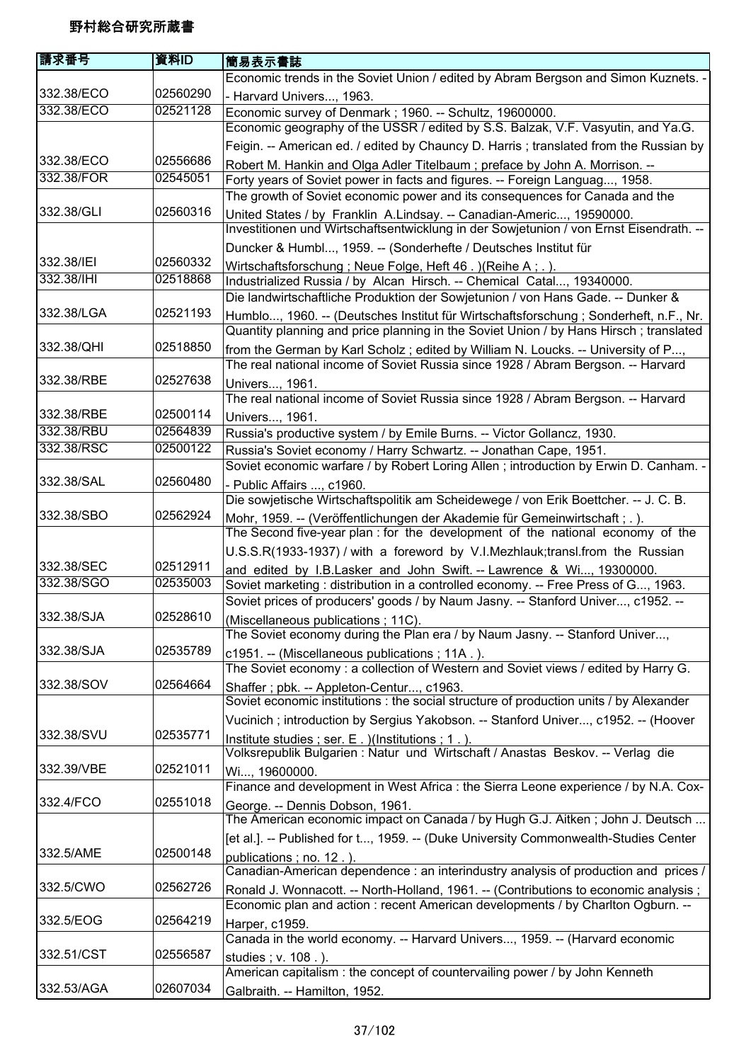| 請求番号       | 資料ID     | 簡易表示書誌                                                                                                                                                                   |
|------------|----------|--------------------------------------------------------------------------------------------------------------------------------------------------------------------------|
|            |          | Economic trends in the Soviet Union / edited by Abram Bergson and Simon Kuznets. -                                                                                       |
| 332.38/ECO | 02560290 | - Harvard Univers, 1963.                                                                                                                                                 |
| 332.38/ECO | 02521128 | Economic survey of Denmark ; 1960. -- Schultz, 19600000.                                                                                                                 |
|            |          | Economic geography of the USSR / edited by S.S. Balzak, V.F. Vasyutin, and Ya.G.                                                                                         |
|            |          | Feigin. -- American ed. / edited by Chauncy D. Harris; translated from the Russian by                                                                                    |
| 332.38/ECO | 02556686 | Robert M. Hankin and Olga Adler Titelbaum; preface by John A. Morrison. --                                                                                               |
| 332.38/FOR | 02545051 | Forty years of Soviet power in facts and figures. -- Foreign Languag, 1958.                                                                                              |
|            |          | The growth of Soviet economic power and its consequences for Canada and the                                                                                              |
| 332.38/GLI | 02560316 | United States / by Franklin A.Lindsay. -- Canadian-Americ, 19590000.                                                                                                     |
|            |          | Investitionen und Wirtschaftsentwicklung in der Sowjetunion / von Ernst Eisendrath. --                                                                                   |
|            |          | Duncker & Humbl, 1959. -- (Sonderhefte / Deutsches Institut für                                                                                                          |
| 332.38/IEI | 02560332 |                                                                                                                                                                          |
| 332.38/IHI | 02518868 | Wirtschaftsforschung; Neue Folge, Heft 46. ) (Reihe A; .).                                                                                                               |
|            |          | Industrialized Russia / by Alcan Hirsch. -- Chemical Catal, 19340000.                                                                                                    |
|            |          | Die landwirtschaftliche Produktion der Sowjetunion / von Hans Gade. -- Dunker &                                                                                          |
| 332.38/LGA | 02521193 | Humblo, 1960. -- (Deutsches Institut für Wirtschaftsforschung; Sonderheft, n.F., Nr.                                                                                     |
|            |          | Quantity planning and price planning in the Soviet Union / by Hans Hirsch; translated                                                                                    |
| 332.38/QHI | 02518850 | from the German by Karl Scholz; edited by William N. Loucks. -- University of P,                                                                                         |
|            |          | The real national income of Soviet Russia since 1928 / Abram Bergson. -- Harvard                                                                                         |
| 332.38/RBE | 02527638 | Univers, 1961.                                                                                                                                                           |
|            |          | The real national income of Soviet Russia since 1928 / Abram Bergson. -- Harvard                                                                                         |
| 332.38/RBE | 02500114 | Univers, 1961.                                                                                                                                                           |
| 332.38/RBU | 02564839 | Russia's productive system / by Emile Burns. -- Victor Gollancz, 1930.                                                                                                   |
| 332.38/RSC | 02500122 | Russia's Soviet economy / Harry Schwartz. -- Jonathan Cape, 1951.                                                                                                        |
|            |          | Soviet economic warfare / by Robert Loring Allen; introduction by Erwin D. Canham. -                                                                                     |
| 332.38/SAL | 02560480 | - Public Affairs , c1960.                                                                                                                                                |
|            |          | Die sowjetische Wirtschaftspolitik am Scheidewege / von Erik Boettcher. -- J. C. B.                                                                                      |
| 332.38/SBO | 02562924 | Mohr, 1959. -- (Veröffentlichungen der Akademie für Gemeinwirtschaft; .).                                                                                                |
|            |          | The Second five-year plan : for the development of the national economy of the                                                                                           |
|            |          | U.S.S.R(1933-1937) / with a foreword by V.I.Mezhlauk;transl.from the Russian                                                                                             |
| 332.38/SEC | 02512911 |                                                                                                                                                                          |
| 332.38/SGO | 02535003 | and edited by I.B.Lasker and John Swift. -- Lawrence & Wi, 19300000.                                                                                                     |
|            |          | Soviet marketing: distribution in a controlled economy. -- Free Press of G, 1963.                                                                                        |
| 332.38/SJA | 02528610 | Soviet prices of producers' goods / by Naum Jasny. -- Stanford Univer, c1952. --                                                                                         |
|            |          | (Miscellaneous publications ; 11C).                                                                                                                                      |
|            |          | The Soviet economy during the Plan era / by Naum Jasny. -- Stanford Univer,                                                                                              |
| 332.38/SJA | 02535789 | c1951. -- (Miscellaneous publications; 11A.).                                                                                                                            |
|            |          | The Soviet economy : a collection of Western and Soviet views / edited by Harry G.                                                                                       |
| 332.38/SOV | 02564664 | Shaffer; pbk. -- Appleton-Centur, c1963.                                                                                                                                 |
|            |          | Soviet economic institutions : the social structure of production units / by Alexander                                                                                   |
|            |          | Vucinich; introduction by Sergius Yakobson. -- Stanford Univer, c1952. -- (Hoover                                                                                        |
| 332.38/SVU | 02535771 | Institute studies; ser. E. )(Institutions; 1.).                                                                                                                          |
|            |          | Volksrepublik Bulgarien : Natur und Wirtschaft / Anastas Beskov. -- Verlag die                                                                                           |
| 332.39/VBE | 02521011 | Wi, 19600000.                                                                                                                                                            |
|            |          | Finance and development in West Africa : the Sierra Leone experience / by N.A. Cox-                                                                                      |
| 332.4/FCO  | 02551018 | George. -- Dennis Dobson, 1961.                                                                                                                                          |
|            |          | The American economic impact on Canada / by Hugh G.J. Aitken; John J. Deutsch                                                                                            |
|            |          | [et al.]. -- Published for t, 1959. -- (Duke University Commonwealth-Studies Center                                                                                      |
| 332.5/AME  | 02500148 | publications; no. 12.).                                                                                                                                                  |
|            |          | Canadian-American dependence : an interindustry analysis of production and prices /                                                                                      |
| 332.5/CWO  | 02562726 |                                                                                                                                                                          |
|            |          | Ronald J. Wonnacott. -- North-Holland, 1961. -- (Contributions to economic analysis;<br>Economic plan and action : recent American developments / by Charlton Ogburn. -- |
| 332.5/EOG  | 02564219 |                                                                                                                                                                          |
|            |          | Harper, c1959.                                                                                                                                                           |
|            |          | Canada in the world economy. -- Harvard Univers, 1959. -- (Harvard economic                                                                                              |
| 332.51/CST | 02556587 | studies; v. 108.).                                                                                                                                                       |
|            |          | American capitalism: the concept of countervailing power / by John Kenneth                                                                                               |
| 332.53/AGA | 02607034 | Galbraith. -- Hamilton, 1952.                                                                                                                                            |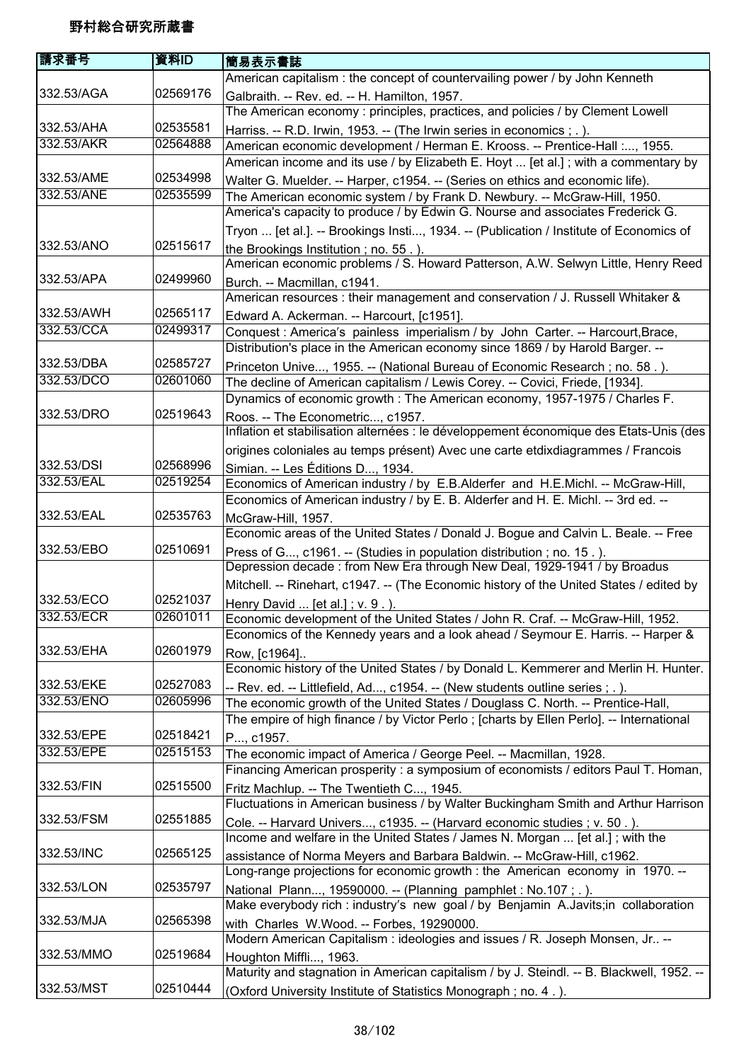| 請求番号                     | 資料ID     | 簡易表示書誌                                                                                                                                                                     |
|--------------------------|----------|----------------------------------------------------------------------------------------------------------------------------------------------------------------------------|
|                          |          | American capitalism : the concept of countervailing power / by John Kenneth                                                                                                |
| 332.53/AGA               | 02569176 | Galbraith. -- Rev. ed. -- H. Hamilton, 1957.                                                                                                                               |
|                          |          | The American economy: principles, practices, and policies / by Clement Lowell                                                                                              |
| 332.53/AHA               | 02535581 | Harriss. -- R.D. Irwin, 1953. -- (The Irwin series in economics ; . ).                                                                                                     |
| 332.53/AKR               | 02564888 | American economic development / Herman E. Krooss. -- Prentice-Hall :, 1955.                                                                                                |
|                          |          | American income and its use / by Elizabeth E. Hoyt  [et al.]; with a commentary by                                                                                         |
| 332.53/AME               | 02534998 | Walter G. Muelder. -- Harper, c1954. -- (Series on ethics and economic life).                                                                                              |
| 332.53/ANE               | 02535599 | The American economic system / by Frank D. Newbury. -- McGraw-Hill, 1950.                                                                                                  |
|                          |          | America's capacity to produce / by Edwin G. Nourse and associates Frederick G.                                                                                             |
|                          |          | Tryon  [et al.]. -- Brookings Insti, 1934. -- (Publication / Institute of Economics of                                                                                     |
| 332.53/ANO               | 02515617 | the Brookings Institution; no. 55.).                                                                                                                                       |
|                          |          | American economic problems / S. Howard Patterson, A.W. Selwyn Little, Henry Reed                                                                                           |
| 332.53/APA               | 02499960 | Burch. -- Macmillan, c1941.                                                                                                                                                |
| 332.53/AWH               | 02565117 | American resources : their management and conservation / J. Russell Whitaker &                                                                                             |
| 332.53/CCA               | 02499317 | Edward A. Ackerman. -- Harcourt, [c1951].                                                                                                                                  |
|                          |          | Conquest: America's painless imperialism / by John Carter. -- Harcourt, Brace,                                                                                             |
| 332.53/DBA               | 02585727 | Distribution's place in the American economy since 1869 / by Harold Barger. --                                                                                             |
| 332.53/DCO               | 02601060 | Princeton Unive, 1955. -- (National Bureau of Economic Research; no. 58.).                                                                                                 |
|                          |          | The decline of American capitalism / Lewis Corey. -- Covici, Friede, [1934].<br>Dynamics of economic growth: The American economy, 1957-1975 / Charles F.                  |
| 332.53/DRO               | 02519643 | Roos. -- The Econometric, c1957.                                                                                                                                           |
|                          |          | Inflation et stabilisation alternées : le développement économique des États-Unis (des                                                                                     |
|                          |          | origines coloniales au temps présent) Avec une carte etdixdiagrammes / Francois                                                                                            |
| 332.53/DSI               | 02568996 | Simian. -- Les Éditions D, 1934.                                                                                                                                           |
| 332.53/EAL               | 02519254 | Economics of American industry / by E.B.Alderfer and H.E.Michl. -- McGraw-Hill,                                                                                            |
|                          |          | Economics of American industry / by E. B. Alderfer and H. E. Michl. -- 3rd ed. --                                                                                          |
| 332.53/EAL               | 02535763 | McGraw-Hill, 1957.                                                                                                                                                         |
|                          |          | Economic areas of the United States / Donald J. Bogue and Calvin L. Beale. -- Free                                                                                         |
| 332.53/EBO               | 02510691 | Press of G, c1961. -- (Studies in population distribution; no. 15.).                                                                                                       |
|                          |          | Depression decade: from New Era through New Deal, 1929-1941 / by Broadus                                                                                                   |
|                          |          | Mitchell. -- Rinehart, c1947. -- (The Economic history of the United States / edited by                                                                                    |
| 332.53/ECO               | 02521037 | Henry David  [et al.]; $v. 9.$ ).                                                                                                                                          |
| 332.53/ECR               | 02601011 | Economic development of the United States / John R. Craf. -- McGraw-Hill, 1952.                                                                                            |
|                          |          | Economics of the Kennedy years and a look ahead / Seymour E. Harris. -- Harper &                                                                                           |
| 332.53/EHA               | 02601979 | Row, [c1964]                                                                                                                                                               |
|                          | 02527083 | Economic history of the United States / by Donald L. Kemmerer and Merlin H. Hunter.                                                                                        |
| 332.53/EKE<br>332.53/ENO | 02605996 | -- Rev. ed. -- Littlefield, Ad, c1954. -- (New students outline series ; . ).                                                                                              |
|                          |          | The economic growth of the United States / Douglass C. North. -- Prentice-Hall,<br>The empire of high finance / by Victor Perlo; [charts by Ellen Perlo]. -- International |
| 332.53/EPE               | 02518421 |                                                                                                                                                                            |
| 332.53/EPE               | 02515153 | P, c1957.<br>The economic impact of America / George Peel. -- Macmillan, 1928.                                                                                             |
|                          |          | Financing American prosperity: a symposium of economists / editors Paul T. Homan,                                                                                          |
| 332.53/FIN               | 02515500 | Fritz Machlup. -- The Twentieth C, 1945.                                                                                                                                   |
|                          |          | Fluctuations in American business / by Walter Buckingham Smith and Arthur Harrison                                                                                         |
| 332.53/FSM               | 02551885 | Cole. -- Harvard Univers, c1935. -- (Harvard economic studies ; v. 50.).                                                                                                   |
|                          |          | Income and welfare in the United States / James N. Morgan  [et al.]; with the                                                                                              |
| 332.53/INC               | 02565125 | assistance of Norma Meyers and Barbara Baldwin. -- McGraw-Hill, c1962.                                                                                                     |
|                          |          | Long-range projections for economic growth : the American economy in 1970. --                                                                                              |
| 332.53/LON               | 02535797 | National Plann, 19590000. -- (Planning pamphlet : No.107; .).                                                                                                              |
|                          |          | Make everybody rich : industry's new goal / by Benjamin A.Javits;in collaboration                                                                                          |
| 332.53/MJA               | 02565398 | with Charles W.Wood. -- Forbes, 19290000.                                                                                                                                  |
|                          |          | Modern American Capitalism : ideologies and issues / R. Joseph Monsen, Jr --                                                                                               |
| 332.53/MMO               | 02519684 | Houghton Miffli, 1963.                                                                                                                                                     |
|                          |          | Maturity and stagnation in American capitalism / by J. Steindl. -- B. Blackwell, 1952. --                                                                                  |
| 332.53/MST               | 02510444 | (Oxford University Institute of Statistics Monograph; no. 4.).                                                                                                             |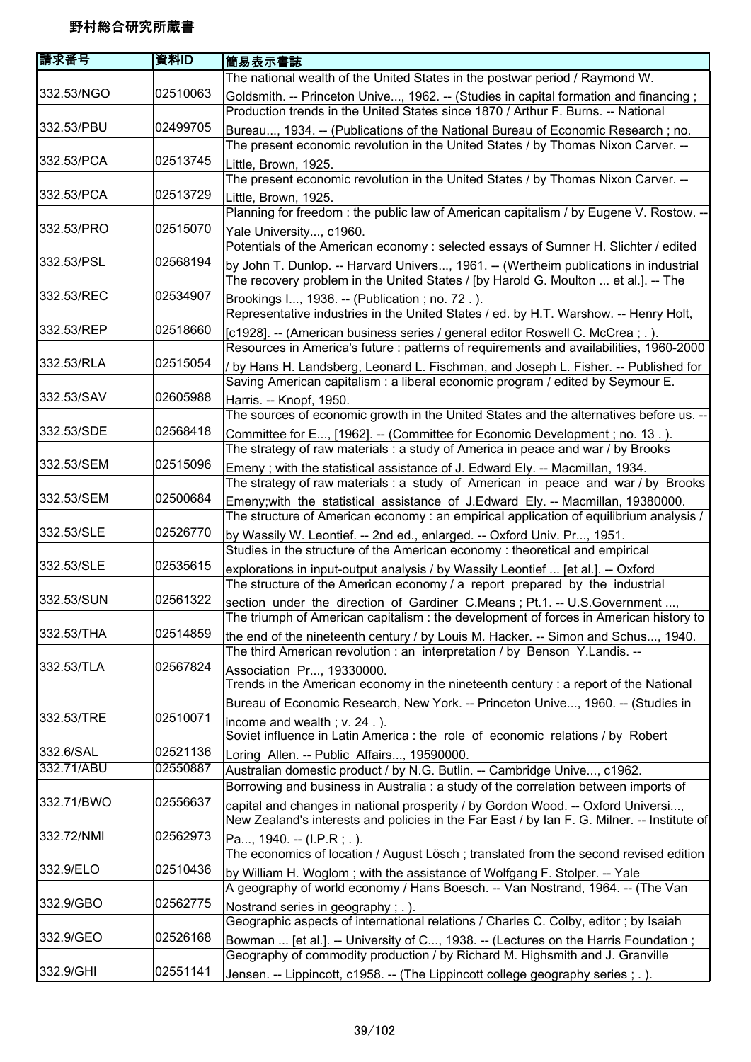| 請求番号       | 資料ID     | 簡易表示書誌                                                                                                                                                             |
|------------|----------|--------------------------------------------------------------------------------------------------------------------------------------------------------------------|
|            |          | The national wealth of the United States in the postwar period / Raymond W.                                                                                        |
| 332.53/NGO | 02510063 | Goldsmith. -- Princeton Unive, 1962. -- (Studies in capital formation and financing;                                                                               |
|            |          | Production trends in the United States since 1870 / Arthur F. Burns. -- National                                                                                   |
| 332.53/PBU | 02499705 | Bureau, 1934. -- (Publications of the National Bureau of Economic Research; no.                                                                                    |
|            |          | The present economic revolution in the United States / by Thomas Nixon Carver. --                                                                                  |
| 332.53/PCA | 02513745 | Little, Brown, 1925.                                                                                                                                               |
|            |          | The present economic revolution in the United States / by Thomas Nixon Carver. --                                                                                  |
| 332.53/PCA | 02513729 | Little, Brown, 1925.                                                                                                                                               |
|            |          | Planning for freedom: the public law of American capitalism / by Eugene V. Rostow. --                                                                              |
| 332.53/PRO | 02515070 | Yale University, c1960.                                                                                                                                            |
|            |          | Potentials of the American economy : selected essays of Sumner H. Slichter / edited                                                                                |
| 332.53/PSL | 02568194 | by John T. Dunlop. -- Harvard Univers, 1961. -- (Wertheim publications in industrial                                                                               |
|            |          | The recovery problem in the United States / [by Harold G. Moulton  et al.]. -- The                                                                                 |
| 332.53/REC | 02534907 | Brookings I, 1936. -- (Publication; no. 72.).                                                                                                                      |
|            |          | Representative industries in the United States / ed. by H.T. Warshow. -- Henry Holt,                                                                               |
| 332.53/REP | 02518660 | [c1928]. -- (American business series / general editor Roswell C. McCrea; .).                                                                                      |
|            |          | Resources in America's future : patterns of requirements and availabilities, 1960-2000                                                                             |
| 332.53/RLA | 02515054 | / by Hans H. Landsberg, Leonard L. Fischman, and Joseph L. Fisher. -- Published for                                                                                |
|            |          | Saving American capitalism : a liberal economic program / edited by Seymour E.                                                                                     |
| 332.53/SAV | 02605988 | Harris. -- Knopf, 1950.                                                                                                                                            |
|            |          | The sources of economic growth in the United States and the alternatives before us. --                                                                             |
| 332.53/SDE | 02568418 | Committee for E, [1962]. -- (Committee for Economic Development; no. 13.).                                                                                         |
|            |          | The strategy of raw materials : a study of America in peace and war / by Brooks                                                                                    |
| 332.53/SEM | 02515096 | Emeny; with the statistical assistance of J. Edward Ely. -- Macmillan, 1934.                                                                                       |
|            |          | The strategy of raw materials : a study of American in peace and war / by Brooks                                                                                   |
| 332.53/SEM | 02500684 | Emeny; with the statistical assistance of J. Edward Ely. -- Macmillan, 19380000.                                                                                   |
|            |          | The structure of American economy: an empirical application of equilibrium analysis /                                                                              |
| 332.53/SLE | 02526770 | by Wassily W. Leontief. -- 2nd ed., enlarged. -- Oxford Univ. Pr, 1951.                                                                                            |
|            |          | Studies in the structure of the American economy : theoretical and empirical                                                                                       |
| 332.53/SLE | 02535615 | explorations in input-output analysis / by Wassily Leontief  [et al.]. -- Oxford                                                                                   |
|            |          | The structure of the American economy / a report prepared by the industrial                                                                                        |
| 332.53/SUN | 02561322 | section under the direction of Gardiner C.Means; Pt.1. -- U.S.Government ,                                                                                         |
|            |          | The triumph of American capitalism : the development of forces in American history to                                                                              |
| 332.53/THA | 02514859 | the end of the nineteenth century / by Louis M. Hacker. -- Simon and Schus, 1940.                                                                                  |
|            |          | The third American revolution : an interpretation / by Benson Y. Landis. --                                                                                        |
| 332.53/TLA | 02567824 | Association Pr, 19330000.                                                                                                                                          |
|            |          | Trends in the American economy in the nineteenth century : a report of the National                                                                                |
|            |          | Bureau of Economic Research, New York. -- Princeton Unive, 1960. -- (Studies in                                                                                    |
| 332.53/TRE | 02510071 | income and wealth; v. 24.).                                                                                                                                        |
|            |          | Soviet influence in Latin America : the role of economic relations / by Robert                                                                                     |
| 332.6/SAL  | 02521136 | Loring Allen. -- Public Affairs, 19590000.                                                                                                                         |
| 332.71/ABU | 02550887 | Australian domestic product / by N.G. Butlin. -- Cambridge Unive, c1962.                                                                                           |
|            |          | Borrowing and business in Australia : a study of the correlation between imports of                                                                                |
| 332.71/BWO | 02556637 | capital and changes in national prosperity / by Gordon Wood. -- Oxford Universi,                                                                                   |
|            |          | New Zealand's interests and policies in the Far East / by Ian F. G. Milner. -- Institute of                                                                        |
| 332.72/NMI | 02562973 | Pa, 1940. -- $(I.P.R ; .)$ .                                                                                                                                       |
|            |          | The economics of location / August Lösch; translated from the second revised edition                                                                               |
| 332.9/ELO  | 02510436 | by William H. Woglom; with the assistance of Wolfgang F. Stolper. -- Yale                                                                                          |
| 332.9/GBO  | 02562775 | A geography of world economy / Hans Boesch. -- Van Nostrand, 1964. -- (The Van                                                                                     |
|            |          | Nostrand series in geography; .).                                                                                                                                  |
| 332.9/GEO  | 02526168 | Geographic aspects of international relations / Charles C. Colby, editor; by Isaiah                                                                                |
|            |          | Bowman  [et al.]. -- University of C, 1938. -- (Lectures on the Harris Foundation;<br>Geography of commodity production / by Richard M. Highsmith and J. Granville |
| 332.9/GHI  | 02551141 |                                                                                                                                                                    |
|            |          | Jensen. -- Lippincott, c1958. -- (The Lippincott college geography series ; . ).                                                                                   |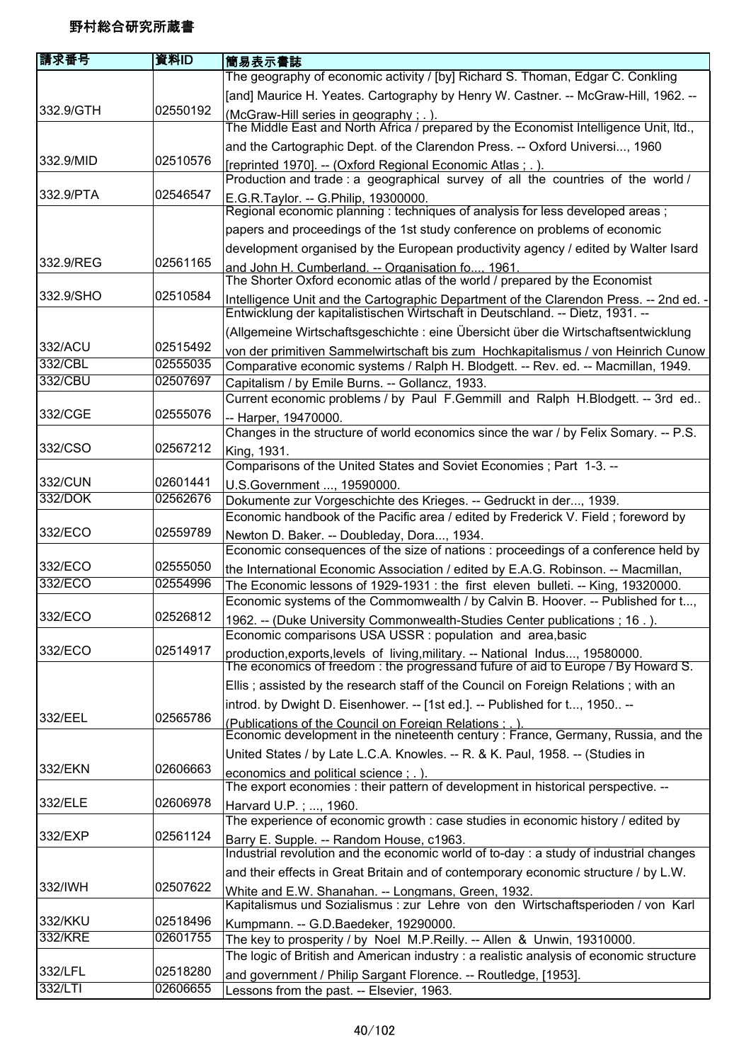| 請求番号               | 資料ID                 | 簡易表示書誌                                                                                                                                        |
|--------------------|----------------------|-----------------------------------------------------------------------------------------------------------------------------------------------|
|                    |                      | The geography of economic activity / [by] Richard S. Thoman, Edgar C. Conkling                                                                |
|                    |                      | [and] Maurice H. Yeates. Cartography by Henry W. Castner. -- McGraw-Hill, 1962. --                                                            |
| 332.9/GTH          | 02550192             | (McGraw-Hill series in geography; .).                                                                                                         |
|                    |                      | The Middle East and North Africa / prepared by the Economist Intelligence Unit, Itd.,                                                         |
|                    |                      | and the Cartographic Dept. of the Clarendon Press. -- Oxford Universi, 1960                                                                   |
| 332.9/MID          | 02510576             | [reprinted 1970]. -- (Oxford Regional Economic Atlas; .).                                                                                     |
|                    |                      | Production and trade: a geographical survey of all the countries of the world /                                                               |
| 332.9/PTA          | 02546547             | E.G.R.Taylor. -- G.Philip, 19300000.<br>Regional economic planning: techniques of analysis for less developed areas;                          |
|                    |                      |                                                                                                                                               |
|                    |                      | papers and proceedings of the 1st study conference on problems of economic                                                                    |
| 332.9/REG          | 02561165             | development organised by the European productivity agency / edited by Walter Isard                                                            |
|                    |                      | and John H. Cumberland. -- Organisation fo 1961.<br>The Shorter Oxford economic atlas of the world / prepared by the Economist                |
| 332.9/SHO          | 02510584             | Intelligence Unit and the Cartographic Department of the Clarendon Press. -- 2nd ed. -                                                        |
|                    |                      | Entwicklung der kapitalistischen Wirtschaft in Deutschland. -- Dietz, 1931. --                                                                |
|                    |                      | (Allgemeine Wirtschaftsgeschichte : eine Übersicht über die Wirtschaftsentwicklung                                                            |
| 332/ACU<br>332/CBL | 02515492<br>02555035 | von der primitiven Sammelwirtschaft bis zum Hochkapitalismus / von Heinrich Cunow                                                             |
| 332/CBU            | 02507697             | Comparative economic systems / Ralph H. Blodgett. -- Rev. ed. -- Macmillan, 1949.                                                             |
|                    |                      | Capitalism / by Emile Burns. -- Gollancz, 1933.<br>Current economic problems / by Paul F.Gemmill and Ralph H.Blodgett. -- 3rd ed              |
| 332/CGE            | 02555076             | -- Harper, 19470000.                                                                                                                          |
|                    |                      | Changes in the structure of world economics since the war / by Felix Somary. -- P.S.                                                          |
| 332/CSO            | 02567212             | King, 1931.                                                                                                                                   |
|                    |                      | Comparisons of the United States and Soviet Economies; Part 1-3. --                                                                           |
| 332/CUN            | 02601441             | U.S.Government , 19590000.                                                                                                                    |
| 332/DOK            | 02562676             | Dokumente zur Vorgeschichte des Krieges. -- Gedruckt in der, 1939.                                                                            |
|                    |                      | Economic handbook of the Pacific area / edited by Frederick V. Field; foreword by                                                             |
| 332/ECO            | 02559789             | Newton D. Baker. -- Doubleday, Dora, 1934.                                                                                                    |
|                    |                      | Economic consequences of the size of nations : proceedings of a conference held by                                                            |
| 332/ECO            | 02555050             | the International Economic Association / edited by E.A.G. Robinson. -- Macmillan,                                                             |
| 332/ECO            | 02554996             | The Economic lessons of 1929-1931 : the first eleven bulleti. -- King, 19320000.                                                              |
| 332/ECO            | 02526812             | Economic systems of the Commomwealth / by Calvin B. Hoover. -- Published for t,                                                               |
|                    |                      | 1962. -- (Duke University Commonwealth-Studies Center publications ; 16.).<br>Economic comparisons USA USSR : population and area, basic      |
| 332/ECO            | 02514917             | production, exports, levels of living, military. -- National Indus, 19580000.                                                                 |
|                    |                      | The economics of freedom: the progressand fufure of aid to Europe / By Howard S.                                                              |
|                    |                      | Ellis; assisted by the research staff of the Council on Foreign Relations; with an                                                            |
|                    |                      | introd. by Dwight D. Eisenhower. -- [1st ed.]. -- Published for t, 1950 --                                                                    |
| 332/EEL            | 02565786             | (Publications of the Council on Foreign Relations : . ).<br>Economic development in the nineteenth century : France, Germany, Russia, and the |
|                    |                      | United States / by Late L.C.A. Knowles. -- R. & K. Paul, 1958. -- (Studies in                                                                 |
| 332/EKN            | 02606663             | economics and political science; .).                                                                                                          |
|                    |                      | The export economies : their pattern of development in historical perspective. --                                                             |
| 332/ELE            | 02606978             | Harvard U.P.; , 1960.                                                                                                                         |
|                    |                      | The experience of economic growth : case studies in economic history / edited by                                                              |
| 332/EXP            | 02561124             | Barry E. Supple. -- Random House, c1963.<br>Industrial revolution and the economic world of to-day : a study of industrial changes            |
|                    |                      | and their effects in Great Britain and of contemporary economic structure / by L.W.                                                           |
| 332/IWH            | 02507622             | White and E.W. Shanahan. -- Longmans, Green, 1932.                                                                                            |
|                    |                      | Kapitalismus und Sozialismus : zur Lehre von den Wirtschaftsperioden / von Karl                                                               |
| 332/KKU            | 02518496             | Kumpmann. -- G.D.Baedeker, 19290000.                                                                                                          |
| 332/KRE            | 02601755             | The key to prosperity / by Noel M.P.Reilly. -- Allen & Unwin, 19310000.                                                                       |
|                    |                      | The logic of British and American industry : a realistic analysis of economic structure                                                       |
| 332/LFL            | 02518280             | and government / Philip Sargant Florence. -- Routledge, [1953].                                                                               |
| 332/LTI            | 02606655             | Lessons from the past. -- Elsevier, 1963.                                                                                                     |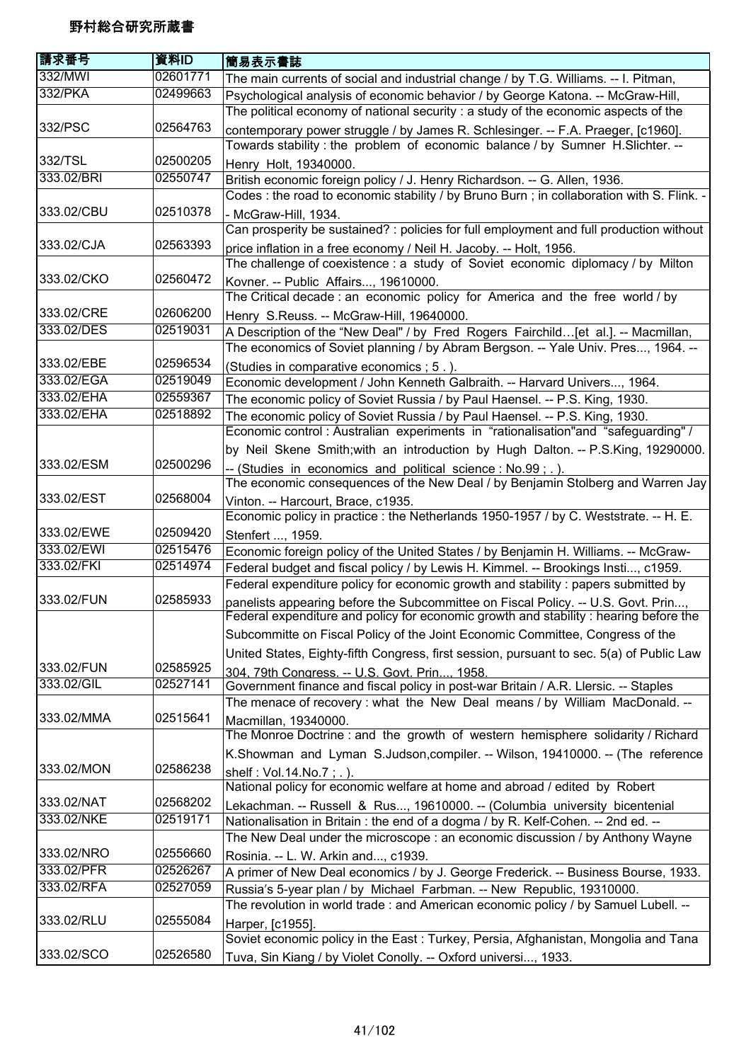| 請求番号       | 資料ID     | 簡易表示書誌                                                                                                                                                                     |
|------------|----------|----------------------------------------------------------------------------------------------------------------------------------------------------------------------------|
| 332/MWI    | 02601771 | The main currents of social and industrial change / by T.G. Williams. -- I. Pitman,                                                                                        |
| 332/PKA    | 02499663 | Psychological analysis of economic behavior / by George Katona. -- McGraw-Hill,                                                                                            |
|            |          | The political economy of national security : a study of the economic aspects of the                                                                                        |
| 332/PSC    | 02564763 | contemporary power struggle / by James R. Schlesinger. -- F.A. Praeger, [c1960].                                                                                           |
|            |          | Towards stability: the problem of economic balance / by Sumner H.Slichter. --                                                                                              |
| 332/TSL    | 02500205 | Henry Holt, 19340000.                                                                                                                                                      |
| 333.02/BRI | 02550747 | British economic foreign policy / J. Henry Richardson. -- G. Allen, 1936.                                                                                                  |
|            |          | Codes : the road to economic stability / by Bruno Burn ; in collaboration with S. Flink.                                                                                   |
| 333.02/CBU | 02510378 | - McGraw-Hill, 1934.                                                                                                                                                       |
|            |          | Can prosperity be sustained? : policies for full employment and full production without                                                                                    |
| 333.02/CJA | 02563393 | price inflation in a free economy / Neil H. Jacoby. -- Holt, 1956.                                                                                                         |
|            |          | The challenge of coexistence : a study of Soviet economic diplomacy / by Milton                                                                                            |
| 333.02/CKO | 02560472 | Kovner. -- Public Affairs, 19610000.                                                                                                                                       |
|            |          | The Critical decade : an economic policy for America and the free world / by                                                                                               |
| 333.02/CRE | 02606200 | Henry S.Reuss. -- McGraw-Hill, 19640000.                                                                                                                                   |
| 333.02/DES | 02519031 | A Description of the "New Deal" / by Fred Rogers Fairchild[et al.]. -- Macmillan,                                                                                          |
|            |          | The economics of Soviet planning / by Abram Bergson. -- Yale Univ. Pres, 1964. --                                                                                          |
| 333.02/EBE | 02596534 | (Studies in comparative economics ; 5.).                                                                                                                                   |
| 333.02/EGA | 02519049 | Economic development / John Kenneth Galbraith. -- Harvard Univers, 1964.                                                                                                   |
| 333.02/EHA | 02559367 | The economic policy of Soviet Russia / by Paul Haensel. -- P.S. King, 1930.                                                                                                |
| 333.02/EHA | 02518892 | The economic policy of Soviet Russia / by Paul Haensel. -- P.S. King, 1930.                                                                                                |
|            |          | Economic control: Australian experiments in "rationalisation"and "safeguarding" /                                                                                          |
|            |          | by Neil Skene Smith; with an introduction by Hugh Dalton. -- P.S.King, 19290000.                                                                                           |
| 333.02/ESM | 02500296 | -- (Studies in economics and political science: No.99; .).                                                                                                                 |
|            |          | The economic consequences of the New Deal / by Benjamin Stolberg and Warren Jay                                                                                            |
| 333.02/EST | 02568004 | Vinton. -- Harcourt, Brace, c1935.                                                                                                                                         |
| 333.02/EWE | 02509420 | Economic policy in practice : the Netherlands 1950-1957 / by C. Weststrate. -- H. E.                                                                                       |
| 333.02/EWI | 02515476 | Stenfert , 1959.                                                                                                                                                           |
| 333.02/FKI | 02514974 | Economic foreign policy of the United States / by Benjamin H. Williams. -- McGraw-                                                                                         |
|            |          | Federal budget and fiscal policy / by Lewis H. Kimmel. -- Brookings Insti, c1959.<br>Federal expenditure policy for economic growth and stability : papers submitted by    |
| 333.02/FUN | 02585933 |                                                                                                                                                                            |
|            |          | panelists appearing before the Subcommittee on Fiscal Policy. -- U.S. Govt. Prin,<br>Federal expenditure and policy for economic growth and stability : hearing before the |
|            |          | Subcommitte on Fiscal Policy of the Joint Economic Committee, Congress of the                                                                                              |
|            |          | United States, Eighty-fifth Congress, first session, pursuant to sec. 5(a) of Public Law                                                                                   |
| 333.02/FUN | 02585925 |                                                                                                                                                                            |
| 333.02/GIL | 02527141 | 304, 79th Congress. -- U.S. Govt. Prin, 1958.<br>Government finance and fiscal policy in post-war Britain / A.R. Llersic. -- Staples                                       |
|            |          | The menace of recovery : what the New Deal means / by William MacDonald. --                                                                                                |
| 333.02/MMA | 02515641 | Macmillan, 19340000.                                                                                                                                                       |
|            |          | The Monroe Doctrine : and the growth of western hemisphere solidarity / Richard                                                                                            |
|            |          | K.Showman and Lyman S.Judson, compiler. -- Wilson, 19410000. -- (The reference                                                                                             |
| 333.02/MON | 02586238 | shelf: Vol.14.No.7; .).                                                                                                                                                    |
|            |          | National policy for economic welfare at home and abroad / edited by Robert                                                                                                 |
| 333.02/NAT | 02568202 | Lekachman. -- Russell & Rus, 19610000. -- (Columbia university bicentenial                                                                                                 |
| 333.02/NKE | 02519171 | Nationalisation in Britain : the end of a dogma / by R. Kelf-Cohen. -- 2nd ed. --                                                                                          |
|            |          | The New Deal under the microscope : an economic discussion / by Anthony Wayne                                                                                              |
| 333.02/NRO | 02556660 | Rosinia. -- L. W. Arkin and, c1939.                                                                                                                                        |
| 333.02/PFR | 02526267 | A primer of New Deal economics / by J. George Frederick. -- Business Bourse, 1933.                                                                                         |
| 333.02/RFA | 02527059 | Russia's 5-year plan / by Michael Farbman. -- New Republic, 19310000.                                                                                                      |
|            |          | The revolution in world trade : and American economic policy / by Samuel Lubell. --                                                                                        |
| 333.02/RLU | 02555084 | Harper, [c1955].                                                                                                                                                           |
|            |          | Soviet economic policy in the East : Turkey, Persia, Afghanistan, Mongolia and Tana                                                                                        |
| 333.02/SCO | 02526580 | Tuva, Sin Kiang / by Violet Conolly. -- Oxford universi, 1933.                                                                                                             |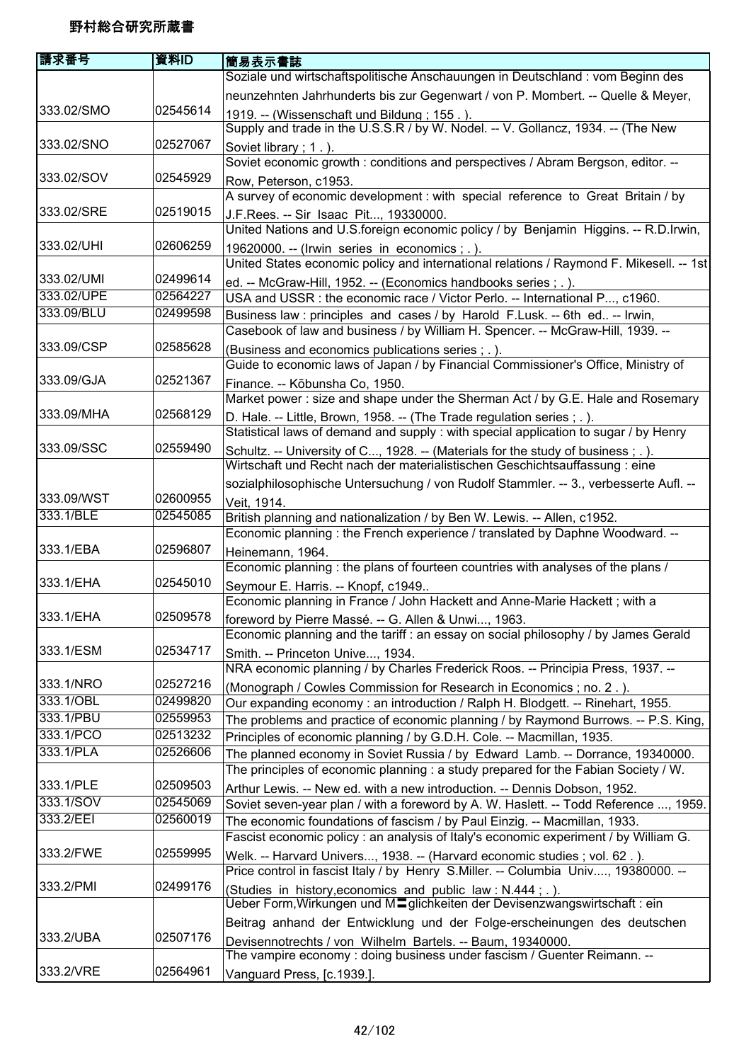| 請求番号       | 資料ID     | 簡易表示書誌                                                                                  |
|------------|----------|-----------------------------------------------------------------------------------------|
|            |          | Soziale und wirtschaftspolitische Anschauungen in Deutschland : vom Beginn des          |
|            |          | neunzehnten Jahrhunderts bis zur Gegenwart / von P. Mombert. -- Quelle & Meyer,         |
| 333.02/SMO | 02545614 | 1919. -- (Wissenschaft und Bildung; 155.).                                              |
|            |          | Supply and trade in the U.S.S.R / by W. Nodel. -- V. Gollancz, 1934. -- (The New        |
| 333.02/SNO | 02527067 | Soviet library; 1.).                                                                    |
|            |          | Soviet economic growth : conditions and perspectives / Abram Bergson, editor. --        |
| 333.02/SOV | 02545929 | Row, Peterson, c1953.                                                                   |
|            |          | A survey of economic development : with special reference to Great Britain / by         |
| 333.02/SRE | 02519015 | J.F.Rees. -- Sir Isaac Pit, 19330000.                                                   |
|            |          | United Nations and U.S.foreign economic policy / by Benjamin Higgins. -- R.D.Irwin,     |
| 333.02/UHI | 02606259 | 19620000. -- (Irwin series in economics; .).                                            |
|            |          | United States economic policy and international relations / Raymond F. Mikesell. -- 1st |
| 333.02/UMI | 02499614 | ed. -- McGraw-Hill, 1952. -- (Economics handbooks series; .).                           |
| 333.02/UPE | 02564227 | USA and USSR : the economic race / Victor Perlo. -- International P, c1960.             |
| 333.09/BLU | 02499598 | Business law : principles and cases / by Harold F.Lusk. -- 6th ed -- Irwin,             |
|            |          | Casebook of law and business / by William H. Spencer. -- McGraw-Hill, 1939. --          |
| 333.09/CSP | 02585628 | (Business and economics publications series; .).                                        |
|            |          | Guide to economic laws of Japan / by Financial Commissioner's Office, Ministry of       |
| 333.09/GJA | 02521367 | Finance. -- Kōbunsha Co, 1950.                                                          |
|            |          | Market power: size and shape under the Sherman Act / by G.E. Hale and Rosemary          |
| 333.09/MHA | 02568129 | D. Hale. -- Little, Brown, 1958. -- (The Trade regulation series ; . ).                 |
|            |          | Statistical laws of demand and supply : with special application to sugar / by Henry    |
| 333.09/SSC | 02559490 | Schultz. -- University of C, 1928. -- (Materials for the study of business ; . ).       |
|            |          | Wirtschaft und Recht nach der materialistischen Geschichtsauffassung : eine             |
|            |          | sozialphilosophische Untersuchung / von Rudolf Stammler. -- 3., verbesserte Aufl. --    |
| 333.09/WST | 02600955 | Veit, 1914.                                                                             |
| 333.1/BLE  | 02545085 | British planning and nationalization / by Ben W. Lewis. -- Allen, c1952.                |
|            |          | Economic planning: the French experience / translated by Daphne Woodward. --            |
| 333.1/EBA  | 02596807 | Heinemann, 1964.                                                                        |
|            |          | Economic planning : the plans of fourteen countries with analyses of the plans /        |
| 333.1/EHA  | 02545010 | Seymour E. Harris. -- Knopf, c1949                                                      |
|            |          | Economic planning in France / John Hackett and Anne-Marie Hackett; with a               |
| 333.1/EHA  | 02509578 | foreword by Pierre Massé. -- G. Allen & Unwi, 1963.                                     |
|            |          | Economic planning and the tariff : an essay on social philosophy / by James Gerald      |
| 333.1/ESM  | 02534717 | Smith. -- Princeton Unive, 1934.                                                        |
|            |          | NRA economic planning / by Charles Frederick Roos. -- Principia Press, 1937. --         |
| 333.1/NRO  | 02527216 | (Monograph / Cowles Commission for Research in Economics; no. 2.).                      |
| 333.1/OBL  | 02499820 | Our expanding economy: an introduction / Ralph H. Blodgett. -- Rinehart, 1955.          |
| 333.1/PBU  | 02559953 | The problems and practice of economic planning / by Raymond Burrows. -- P.S. King,      |
| 333.1/PCO  | 02513232 | Principles of economic planning / by G.D.H. Cole. -- Macmillan, 1935.                   |
| 333.1/PLA  | 02526606 | The planned economy in Soviet Russia / by Edward Lamb. -- Dorrance, 19340000.           |
|            |          | The principles of economic planning : a study prepared for the Fabian Society / W.      |
| 333.1/PLE  | 02509503 | Arthur Lewis. -- New ed. with a new introduction. -- Dennis Dobson, 1952.               |
| 333.1/SOV  | 02545069 | Soviet seven-year plan / with a foreword by A. W. Haslett. -- Todd Reference , 1959.    |
| 333.2/EEI  | 02560019 | The economic foundations of fascism / by Paul Einzig. -- Macmillan, 1933.               |
|            |          | Fascist economic policy : an analysis of Italy's economic experiment / by William G.    |
| 333.2/FWE  | 02559995 | Welk. -- Harvard Univers, 1938. -- (Harvard economic studies; vol. 62.).                |
|            |          | Price control in fascist Italy / by Henry S.Miller. -- Columbia Univ, 19380000. --      |
| 333.2/PMI  | 02499176 | (Studies in history, economics and public law: N.444; .).                               |
|            |          | Ueber Form, Wirkungen und MIglichkeiten der Devisenzwangswirtschaft : ein               |
|            |          | Beitrag anhand der Entwicklung und der Folge-erscheinungen des deutschen                |
| 333.2/UBA  | 02507176 | Devisennotrechts / von Wilhelm Bartels. -- Baum, 19340000.                              |
|            |          | The vampire economy : doing business under fascism / Guenter Reimann. --                |
| 333.2/VRE  | 02564961 | Vanguard Press, [c.1939.].                                                              |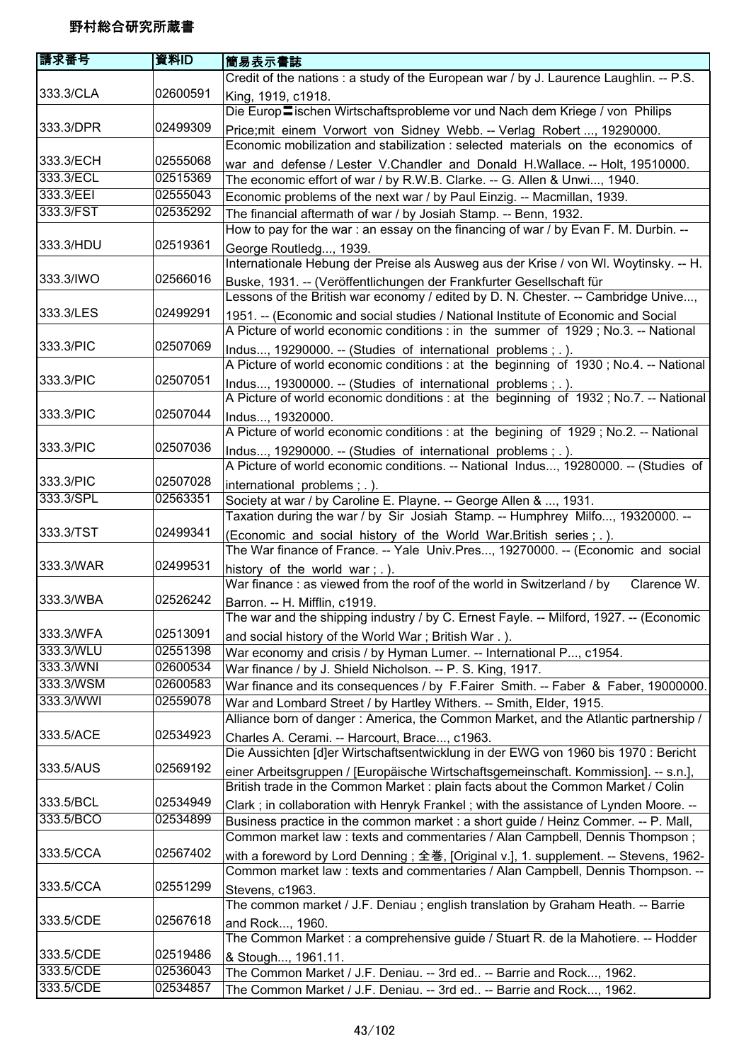| 請求番号      | 資料ID     | 簡易表示書誌                                                                                 |
|-----------|----------|----------------------------------------------------------------------------------------|
|           |          | Credit of the nations : a study of the European war / by J. Laurence Laughlin. -- P.S. |
| 333.3/CLA | 02600591 | King, 1919, c1918.                                                                     |
|           |          | Die Europ lischen Wirtschaftsprobleme vor und Nach dem Kriege / von Philips            |
| 333.3/DPR | 02499309 | Price; mit einem Vorwort von Sidney Webb. -- Verlag Robert , 19290000.                 |
|           |          | Economic mobilization and stabilization : selected materials on the economics of       |
| 333.3/ECH | 02555068 | war and defense / Lester V.Chandler and Donald H.Wallace. -- Holt, 19510000.           |
| 333.3/ECL | 02515369 | The economic effort of war / by R.W.B. Clarke. -- G. Allen & Unwi, 1940.               |
| 333.3/EEI | 02555043 | Economic problems of the next war / by Paul Einzig. -- Macmillan, 1939.                |
| 333.3/FST | 02535292 | The financial aftermath of war / by Josiah Stamp. -- Benn, 1932.                       |
|           |          | How to pay for the war: an essay on the financing of war / by Evan F. M. Durbin. --    |
| 333.3/HDU | 02519361 | George Routledg, 1939.                                                                 |
|           |          | Internationale Hebung der Preise als Ausweg aus der Krise / von Wl. Woytinsky. -- H.   |
| 333.3/IWO | 02566016 | Buske, 1931. -- (Veröffentlichungen der Frankfurter Gesellschaft für                   |
|           |          | Lessons of the British war economy / edited by D. N. Chester. -- Cambridge Unive,      |
| 333.3/LES | 02499291 | 1951. -- (Economic and social studies / National Institute of Economic and Social      |
|           |          | A Picture of world economic conditions : in the summer of 1929; No.3. -- National      |
| 333.3/PIC | 02507069 | Indus, 19290000. -- (Studies of international problems; .).                            |
|           |          | A Picture of world economic conditions : at the beginning of 1930; No.4. -- National   |
| 333.3/PIC | 02507051 | Indus, 19300000. -- (Studies of international problems; .).                            |
|           |          | A Picture of world economic donditions : at the beginning of 1932; No.7. -- National   |
| 333.3/PIC | 02507044 | Indus, 19320000.                                                                       |
|           |          | A Picture of world economic conditions : at the begining of 1929; No.2. -- National    |
| 333.3/PIC | 02507036 | Indus, 19290000. -- (Studies of international problems; .).                            |
|           |          | A Picture of world economic conditions. -- National Indus, 19280000. -- (Studies of    |
| 333.3/PIC | 02507028 | international problems; .).                                                            |
| 333.3/SPL | 02563351 | Society at war / by Caroline E. Playne. -- George Allen & , 1931.                      |
|           |          | Taxation during the war / by Sir Josiah Stamp. -- Humphrey Milfo, 19320000. --         |
| 333.3/TST | 02499341 | (Economic and social history of the World War. British series ; . ).                   |
|           |          | The War finance of France. -- Yale Univ.Pres, 19270000. -- (Economic and social        |
| 333.3/WAR | 02499531 | history of the world war; .).                                                          |
|           |          | War finance: as viewed from the roof of the world in Switzerland / by<br>Clarence W.   |
| 333.3/WBA | 02526242 | Barron. -- H. Mifflin, c1919.                                                          |
|           |          | The war and the shipping industry / by C. Ernest Fayle. -- Milford, 1927. -- (Economic |
| 333.3/WFA | 02513091 | and social history of the World War; British War.).                                    |
| 333.3/WLU | 02551398 | War economy and crisis / by Hyman Lumer. -- International P, c1954.                    |
| 333.3/WNI | 02600534 | War finance / by J. Shield Nicholson. -- P. S. King, 1917.                             |
| 333.3/WSM | 02600583 | War finance and its consequences / by F.Fairer Smith. -- Faber & Faber, 19000000.      |
| 333.3/WWI | 02559078 | War and Lombard Street / by Hartley Withers. -- Smith, Elder, 1915.                    |
|           |          | Alliance born of danger: America, the Common Market, and the Atlantic partnership /    |
| 333.5/ACE | 02534923 | Charles A. Cerami. -- Harcourt, Brace, c1963.                                          |
|           |          | Die Aussichten [d]er Wirtschaftsentwicklung in der EWG von 1960 bis 1970 : Bericht     |
| 333.5/AUS | 02569192 | einer Arbeitsgruppen / [Europäische Wirtschaftsgemeinschaft. Kommission]. -- s.n.],    |
|           |          | British trade in the Common Market : plain facts about the Common Market / Colin       |
| 333.5/BCL | 02534949 | Clark; in collaboration with Henryk Frankel; with the assistance of Lynden Moore. --   |
| 333.5/BCO | 02534899 | Business practice in the common market : a short guide / Heinz Commer. -- P. Mall,     |
|           |          | Common market law: texts and commentaries / Alan Campbell, Dennis Thompson;            |
| 333.5/CCA | 02567402 | with a foreword by Lord Denning ; 全巻, [Original v.], 1. supplement. -- Stevens, 1962-  |
|           |          | Common market law : texts and commentaries / Alan Campbell, Dennis Thompson. --        |
| 333.5/CCA | 02551299 | Stevens, c1963.                                                                        |
|           |          | The common market / J.F. Deniau; english translation by Graham Heath. -- Barrie        |
| 333.5/CDE | 02567618 | and Rock, 1960.                                                                        |
|           |          | The Common Market : a comprehensive guide / Stuart R. de la Mahotiere. -- Hodder       |
| 333.5/CDE | 02519486 | & Stough, 1961.11.                                                                     |
| 333.5/CDE | 02536043 | The Common Market / J.F. Deniau. -- 3rd ed -- Barrie and Rock, 1962.                   |
| 333.5/CDE | 02534857 | The Common Market / J.F. Deniau. -- 3rd ed -- Barrie and Rock, 1962.                   |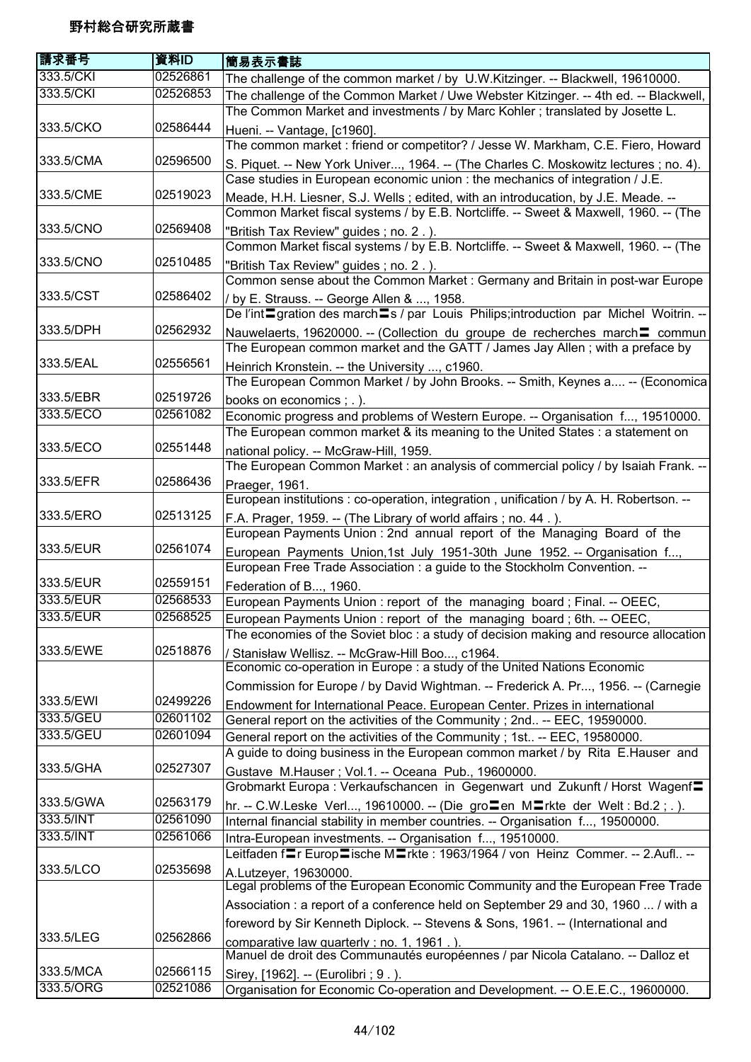| 請求番号      | 資料ID     | 簡易表示書誌                                                                                                                                                                    |
|-----------|----------|---------------------------------------------------------------------------------------------------------------------------------------------------------------------------|
| 333.5/CKI | 02526861 | The challenge of the common market / by U.W.Kitzinger. -- Blackwell, 19610000.                                                                                            |
| 333.5/CKI | 02526853 | The challenge of the Common Market / Uwe Webster Kitzinger. -- 4th ed. -- Blackwell,<br>The Common Market and investments / by Marc Kohler; translated by Josette L.      |
| 333.5/CKO | 02586444 | Hueni. -- Vantage, [c1960].                                                                                                                                               |
|           |          | The common market : friend or competitor? / Jesse W. Markham, C.E. Fiero, Howard                                                                                          |
| 333.5/CMA | 02596500 | S. Piquet. -- New York Univer, 1964. -- (The Charles C. Moskowitz lectures ; no. 4).<br>Case studies in European economic union : the mechanics of integration / J.E.     |
| 333.5/CME | 02519023 | Meade, H.H. Liesner, S.J. Wells; edited, with an introducation, by J.E. Meade. --<br>Common Market fiscal systems / by E.B. Nortcliffe. -- Sweet & Maxwell, 1960. -- (The |
| 333.5/CNO | 02569408 | "British Tax Review" guides; no. 2.).<br>Common Market fiscal systems / by E.B. Nortcliffe. -- Sweet & Maxwell, 1960. -- (The                                             |
| 333.5/CNO | 02510485 | "British Tax Review" guides; no. 2.).                                                                                                                                     |
|           |          | Common sense about the Common Market : Germany and Britain in post-war Europe                                                                                             |
| 333.5/CST | 02586402 | / by E. Strauss. -- George Allen & , 1958.<br>De l'int <sup>-</sup> gration des march <sup>-</sup> s / par Louis Philips; introduction par Michel Woitrin. --             |
| 333.5/DPH | 02562932 | Nauwelaerts, 19620000. -- (Collection du groupe de recherches march = commun<br>The European common market and the GATT / James Jay Allen; with a preface by              |
| 333.5/EAL | 02556561 | Heinrich Kronstein. -- the University , c1960.                                                                                                                            |
|           |          | The European Common Market / by John Brooks. -- Smith, Keynes a -- (Economica                                                                                             |
| 333.5/EBR | 02519726 | books on economics ; . ).                                                                                                                                                 |
| 333.5/ECO | 02561082 | Economic progress and problems of Western Europe. -- Organisation f, 19510000.                                                                                            |
|           |          | The European common market & its meaning to the United States : a statement on                                                                                            |
| 333.5/ECO | 02551448 | national policy. -- McGraw-Hill, 1959.<br>The European Common Market : an analysis of commercial policy / by Isaiah Frank. --                                             |
| 333.5/EFR | 02586436 | Praeger, 1961.                                                                                                                                                            |
|           |          | European institutions : co-operation, integration, unification / by A. H. Robertson. --                                                                                   |
| 333.5/ERO | 02513125 | F.A. Prager, 1959. -- (The Library of world affairs; no. 44.).                                                                                                            |
|           |          | European Payments Union : 2nd annual report of the Managing Board of the                                                                                                  |
| 333.5/EUR | 02561074 | European Payments Union, 1st July 1951-30th June 1952. -- Organisation f,<br>European Free Trade Association : a guide to the Stockholm Convention. --                    |
| 333.5/EUR | 02559151 | Federation of B, 1960.                                                                                                                                                    |
| 333.5/EUR | 02568533 | European Payments Union: report of the managing board; Final. -- OEEC,                                                                                                    |
| 333.5/EUR | 02568525 | European Payments Union: report of the managing board; 6th. -- OEEC,                                                                                                      |
|           |          | The economies of the Soviet bloc : a study of decision making and resource allocation                                                                                     |
| 333.5/EWE | 02518876 | / Stanisław Wellisz. -- McGraw-Hill Boo, c1964.                                                                                                                           |
|           |          | Economic co-operation in Europe : a study of the United Nations Economic                                                                                                  |
|           |          | Commission for Europe / by David Wightman. -- Frederick A. Pr, 1956. -- (Carnegie                                                                                         |
| 333.5/EWI | 02499226 | Endowment for International Peace. European Center. Prizes in international                                                                                               |
| 333.5/GEU | 02601102 | General report on the activities of the Community; 2nd -- EEC, 19590000.                                                                                                  |
| 333.5/GEU | 02601094 | General report on the activities of the Community; 1st -- EEC, 19580000.                                                                                                  |
|           |          | A guide to doing business in the European common market / by Rita E.Hauser and                                                                                            |
| 333.5/GHA | 02527307 | Gustave M.Hauser; Vol.1. -- Oceana Pub., 19600000.                                                                                                                        |
|           |          | Grobmarkt Europa: Verkaufschancen in Gegenwart und Zukunft / Horst Wagenf=                                                                                                |
| 333.5/GWA | 02563179 | hr. -- C.W.Leske Verl, 19610000. -- (Die gro $\Xi$ en M $\Xi$ rkte der Welt: Bd.2;.).                                                                                     |
| 333.5/INT | 02561090 | Internal financial stability in member countries. -- Organisation f, 19500000.                                                                                            |
| 333.5/INT | 02561066 | Intra-European investments. -- Organisation f, 19510000.                                                                                                                  |
|           |          | Leitfaden flr Europlische Mlrkte: 1963/1964 / von Heinz Commer. -- 2.Aufl --                                                                                              |
| 333.5/LCO | 02535698 | A.Lutzeyer, 19630000.<br>Legal problems of the European Economic Community and the European Free Trade                                                                    |
|           |          | Association : a report of a conference held on September 29 and 30, 1960  / with a                                                                                        |
|           |          | foreword by Sir Kenneth Diplock. -- Stevens & Sons, 1961. -- (International and                                                                                           |
| 333.5/LEG | 02562866 | comparative law quarterly; no. 1, 1961.)                                                                                                                                  |
|           |          | Manuel de droit des Communautés européennes / par Nicola Catalano. -- Dalloz et                                                                                           |
| 333.5/MCA | 02566115 | Sirey, [1962]. -- (Eurolibri ; 9.).                                                                                                                                       |
| 333.5/ORG | 02521086 | Organisation for Economic Co-operation and Development. -- O.E.E.C., 19600000.                                                                                            |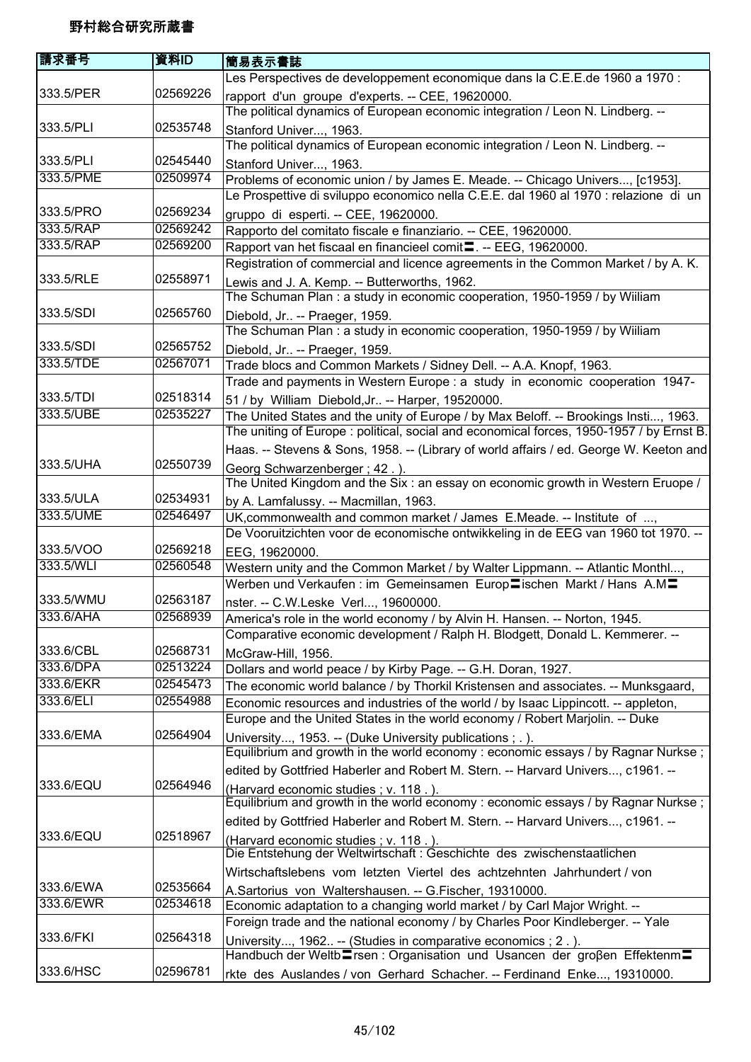| 請求番号                   | 資料ID     | 簡易表示書誌                                                                                                                             |
|------------------------|----------|------------------------------------------------------------------------------------------------------------------------------------|
|                        |          | Les Perspectives de developpement economique dans la C.E.E.de 1960 a 1970 :                                                        |
| 333.5/PER              | 02569226 | rapport d'un groupe d'experts. -- CEE, 19620000.<br>The political dynamics of European economic integration / Leon N. Lindberg. -- |
| 333.5/PLI              | 02535748 |                                                                                                                                    |
|                        |          | Stanford Univer, 1963.<br>The political dynamics of European economic integration / Leon N. Lindberg. --                           |
| 333.5/PLI              | 02545440 |                                                                                                                                    |
| 333.5/PME              | 02509974 | Stanford Univer, 1963.                                                                                                             |
|                        |          | Problems of economic union / by James E. Meade. -- Chicago Univers, [c1953].                                                       |
|                        |          | Le Prospettive di sviluppo economico nella C.E.E. dal 1960 al 1970 : relazione di un                                               |
| 333.5/PRO<br>333.5/RAP | 02569234 | gruppo di esperti. -- CEE, 19620000.                                                                                               |
|                        | 02569242 | Rapporto del comitato fiscale e finanziario. -- CEE, 19620000.                                                                     |
| 333.5/RAP              | 02569200 | Rapport van het fiscaal en financieel comit . -- EEG, 19620000.                                                                    |
|                        |          | Registration of commercial and licence agreements in the Common Market / by A. K.                                                  |
| 333.5/RLE              | 02558971 | Lewis and J. A. Kemp. -- Butterworths, 1962.                                                                                       |
|                        |          | The Schuman Plan: a study in economic cooperation, 1950-1959 / by Wiiliam                                                          |
| 333.5/SDI              | 02565760 | Diebold, Jr -- Praeger, 1959.                                                                                                      |
|                        |          | The Schuman Plan: a study in economic cooperation, 1950-1959 / by Wiiliam                                                          |
| 333.5/SDI              | 02565752 | Diebold, Jr -- Praeger, 1959.                                                                                                      |
| 333.5/TDE              | 02567071 | Trade blocs and Common Markets / Sidney Dell. -- A.A. Knopf, 1963.                                                                 |
|                        |          | Trade and payments in Western Europe : a study in economic cooperation 1947-                                                       |
| 333.5/TDI              | 02518314 | 51 / by William Diebold, Jr -- Harper, 19520000.                                                                                   |
| 333.5/UBE              | 02535227 | The United States and the unity of Europe / by Max Beloff. -- Brookings Insti, 1963.                                               |
|                        |          | The uniting of Europe: political, social and economical forces, 1950-1957 / by Ernst B.                                            |
|                        |          | Haas. -- Stevens & Sons, 1958. -- (Library of world affairs / ed. George W. Keeton and                                             |
| 333.5/UHA              | 02550739 | Georg Schwarzenberger; 42.).                                                                                                       |
|                        |          | The United Kingdom and the Six: an essay on economic growth in Western Eruope /                                                    |
| 333.5/ULA              | 02534931 | by A. Lamfalussy. -- Macmillan, 1963.                                                                                              |
| 333.5/UME              | 02546497 | UK, commonwealth and common market / James E.Meade. -- Institute of ,                                                              |
|                        |          | De Vooruitzichten voor de economische ontwikkeling in de EEG van 1960 tot 1970. --                                                 |
| 333.5/VOO              | 02569218 | EEG, 19620000.                                                                                                                     |
| 333.5/WLI              | 02560548 | Western unity and the Common Market / by Walter Lippmann. -- Atlantic Monthl,                                                      |
|                        |          | Werben und Verkaufen : im Gemeinsamen Europ $\equiv$ ischen Markt / Hans A.M $\equiv$                                              |
| 333.5/WMU              | 02563187 | nster. -- C.W.Leske Verl, 19600000.                                                                                                |
| 333.6/AHA              | 02568939 | America's role in the world economy / by Alvin H. Hansen. -- Norton, 1945.                                                         |
|                        |          | Comparative economic development / Ralph H. Blodgett, Donald L. Kemmerer. --                                                       |
| 333.6/CBL              | 02568731 | McGraw-Hill, 1956.                                                                                                                 |
| 333.6/DPA              | 02513224 | Dollars and world peace / by Kirby Page. -- G.H. Doran, 1927.                                                                      |
| 333.6/EKR              | 02545473 | The economic world balance / by Thorkil Kristensen and associates. -- Munksgaard,                                                  |
| 333.6/ELI              | 02554988 | Economic resources and industries of the world / by Isaac Lippincott. -- appleton,                                                 |
|                        |          | Europe and the United States in the world economy / Robert Marjolin. -- Duke                                                       |
| 333.6/EMA              | 02564904 | University, 1953. -- (Duke University publications; .).                                                                            |
|                        |          | Equilibrium and growth in the world economy: economic essays / by Ragnar Nurkse;                                                   |
|                        |          | edited by Gottfried Haberler and Robert M. Stern. -- Harvard Univers, c1961. --                                                    |
| 333.6/EQU              | 02564946 |                                                                                                                                    |
|                        |          | (Harvard economic studies; v. 118.).<br>Equilibrium and growth in the world economy : economic essays / by Ragnar Nurkse;          |
|                        |          |                                                                                                                                    |
| 333.6/EQU              | 02518967 | edited by Gottfried Haberler and Robert M. Stern. -- Harvard Univers, c1961. --                                                    |
|                        |          | (Harvard economic studies; v. 118.).                                                                                               |
|                        |          | Die Entstehung der Weltwirtschaft : Geschichte des zwischenstaatlichen                                                             |
|                        |          | Wirtschaftslebens vom letzten Viertel des achtzehnten Jahrhundert / von                                                            |
| 333.6/EWA              | 02535664 | A.Sartorius von Waltershausen. -- G.Fischer, 19310000.                                                                             |
| 333.6/EWR              | 02534618 | Economic adaptation to a changing world market / by Carl Major Wright. --                                                          |
|                        |          | Foreign trade and the national economy / by Charles Poor Kindleberger. -- Yale                                                     |
| 333.6/FKI              | 02564318 | University, 1962. -- (Studies in comparative economics ; 2.).                                                                      |
|                        |          | Handbuch der Weltb <sup>l</sup> arsen : Organisation und Usancen der großen Effektenm <sup>1</sup>                                 |
| 333.6/HSC              | 02596781 | rkte des Auslandes / von Gerhard Schacher. -- Ferdinand Enke, 19310000.                                                            |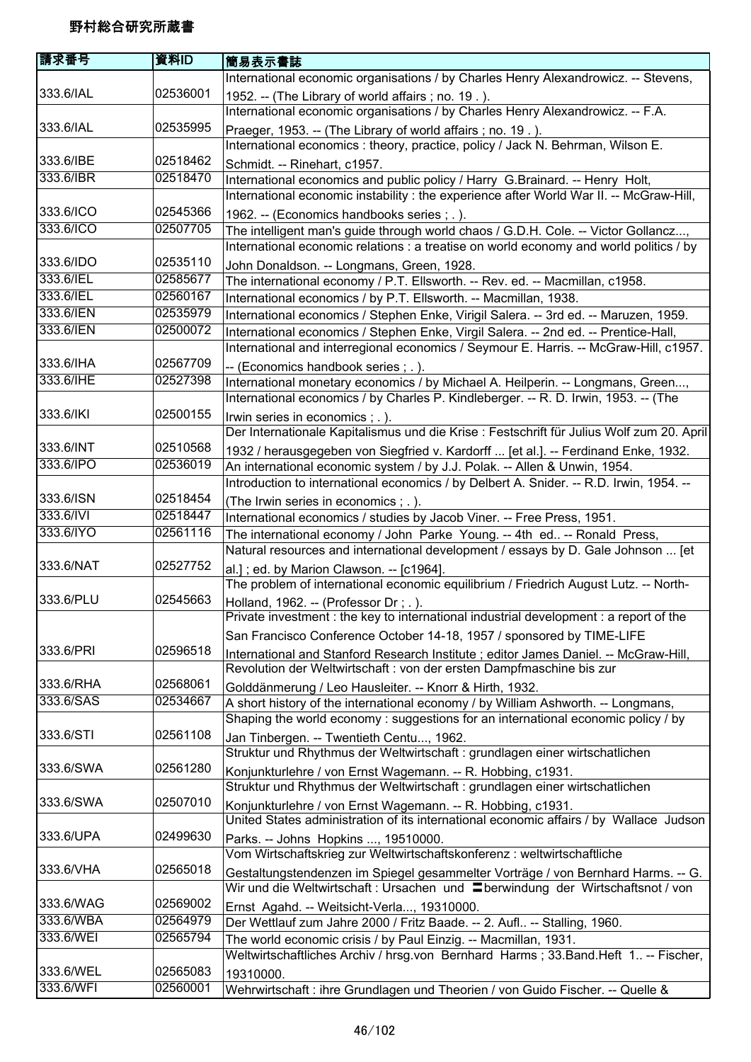| 請求番号                   | 資料ID     | 簡易表示書誌                                                                                    |
|------------------------|----------|-------------------------------------------------------------------------------------------|
|                        |          | International economic organisations / by Charles Henry Alexandrowicz. -- Stevens,        |
| 333.6/IAL              | 02536001 | 1952. -- (The Library of world affairs; no. 19.).                                         |
|                        |          | International economic organisations / by Charles Henry Alexandrowicz. -- F.A.            |
| 333.6/IAL              | 02535995 | Praeger, 1953. -- (The Library of world affairs; no. 19.).                                |
|                        |          | International economics : theory, practice, policy / Jack N. Behrman, Wilson E.           |
| 333.6/IBE              | 02518462 | Schmidt. -- Rinehart, c1957.                                                              |
| 333.6/IBR              | 02518470 | International economics and public policy / Harry G.Brainard. -- Henry Holt,              |
|                        |          | International economic instability : the experience after World War II. -- McGraw-Hill,   |
| 333.6/ICO              | 02545366 | 1962. -- (Economics handbooks series; .).                                                 |
| 333.6/ICO              | 02507705 | The intelligent man's guide through world chaos / G.D.H. Cole. -- Victor Gollancz,        |
|                        |          | International economic relations : a treatise on world economy and world politics / by    |
| 333.6/IDO              | 02535110 | John Donaldson. -- Longmans, Green, 1928.                                                 |
| 333.6/IEL              | 02585677 | The international economy / P.T. Ellsworth. -- Rev. ed. -- Macmillan, c1958.              |
| 333.6/IEL              | 02560167 | International economics / by P.T. Ellsworth. -- Macmillan, 1938.                          |
| 333.6/IEN              | 02535979 | International economics / Stephen Enke, Virigil Salera. -- 3rd ed. -- Maruzen, 1959.      |
| 333.6/IEN              | 02500072 | International economics / Stephen Enke, Virgil Salera. -- 2nd ed. -- Prentice-Hall,       |
|                        |          | International and interregional economics / Seymour E. Harris. -- McGraw-Hill, c1957.     |
| 333.6/IHA              | 02567709 | -- (Economics handbook series ; .).                                                       |
| 333.6/IHE              | 02527398 | International monetary economics / by Michael A. Heilperin. -- Longmans, Green,           |
|                        |          | International economics / by Charles P. Kindleberger. -- R. D. Irwin, 1953. -- (The       |
| 333.6/IKI              | 02500155 | Irwin series in economics ; . ).                                                          |
|                        |          | Der Internationale Kapitalismus und die Krise : Festschrift für Julius Wolf zum 20. April |
| 333.6/INT              | 02510568 | 1932 / herausgegeben von Siegfried v. Kardorff  [et al.]. -- Ferdinand Enke, 1932.        |
| 333.6/IPO              | 02536019 | An international economic system / by J.J. Polak. -- Allen & Unwin, 1954.                 |
|                        |          | Introduction to international economics / by Delbert A. Snider. -- R.D. Irwin, 1954. --   |
| 333.6/ISN              | 02518454 | (The Irwin series in economics ; . ).                                                     |
| 333.6/IVI              | 02518447 | International economics / studies by Jacob Viner. -- Free Press, 1951.                    |
| 333.6/IYO              | 02561116 | The international economy / John Parke Young. -- 4th ed -- Ronald Press,                  |
|                        |          | Natural resources and international development / essays by D. Gale Johnson  [et          |
| 333.6/NAT              | 02527752 | al.]; ed. by Marion Clawson. -- [c1964].                                                  |
|                        |          | The problem of international economic equilibrium / Friedrich August Lutz. -- North-      |
| 333.6/PLU              | 02545663 | Holland, 1962. -- (Professor Dr; .).                                                      |
|                        |          | Private investment : the key to international industrial development : a report of the    |
|                        |          | San Francisco Conference October 14-18, 1957 / sponsored by TIME-LIFE                     |
| 333.6/PRI              | 02596518 | International and Stanford Research Institute ; editor James Daniel. -- McGraw-Hill,      |
|                        |          | Revolution der Weltwirtschaft : von der ersten Dampfmaschine bis zur                      |
| 333.6/RHA              | 02568061 | Golddänmerung / Leo Hausleiter. -- Knorr & Hirth, 1932.                                   |
| 333.6/SAS              | 02534667 | A short history of the international economy / by William Ashworth. -- Longmans,          |
|                        |          | Shaping the world economy: suggestions for an international economic policy / by          |
| 333.6/STI              | 02561108 | Jan Tinbergen. -- Twentieth Centu, 1962.                                                  |
| 333.6/SWA              | 02561280 | Struktur und Rhythmus der Weltwirtschaft : grundlagen einer wirtschatlichen               |
|                        |          | Konjunkturlehre / von Ernst Wagemann. -- R. Hobbing, c1931.                               |
| 333.6/SWA              | 02507010 | Struktur und Rhythmus der Weltwirtschaft : grundlagen einer wirtschatlichen               |
|                        |          | Konjunkturlehre / von Ernst Wagemann. -- R. Hobbing, c1931.                               |
|                        | 02499630 | United States administration of its international economic affairs / by Wallace Judson    |
| 333.6/UPA              |          | Parks. -- Johns Hopkins , 19510000.                                                       |
| 333.6/VHA              | 02565018 | Vom Wirtschaftskrieg zur Weltwirtschaftskonferenz: weltwirtschaftliche                    |
|                        |          | Gestaltungstendenzen im Spiegel gesammelter Vorträge / von Bernhard Harms. -- G.          |
|                        | 02569002 | Wir und die Weltwirtschaft : Ursachen und Eberwindung der Wirtschaftsnot / von            |
| 333.6/WAG<br>333.6/WBA | 02564979 | Ernst Agahd. -- Weitsicht-Verla, 19310000.                                                |
| 333.6/WEI              | 02565794 | Der Wettlauf zum Jahre 2000 / Fritz Baade. -- 2. Aufl -- Stalling, 1960.                  |
|                        |          | The world economic crisis / by Paul Einzig. -- Macmillan, 1931.                           |
| 333.6/WEL              | 02565083 | Weltwirtschaftliches Archiv / hrsg.von Bernhard Harms; 33. Band. Heft 1 -- Fischer,       |
| 333.6/WFI              | 02560001 | 19310000.                                                                                 |
|                        |          | Wehrwirtschaft : ihre Grundlagen und Theorien / von Guido Fischer. -- Quelle &            |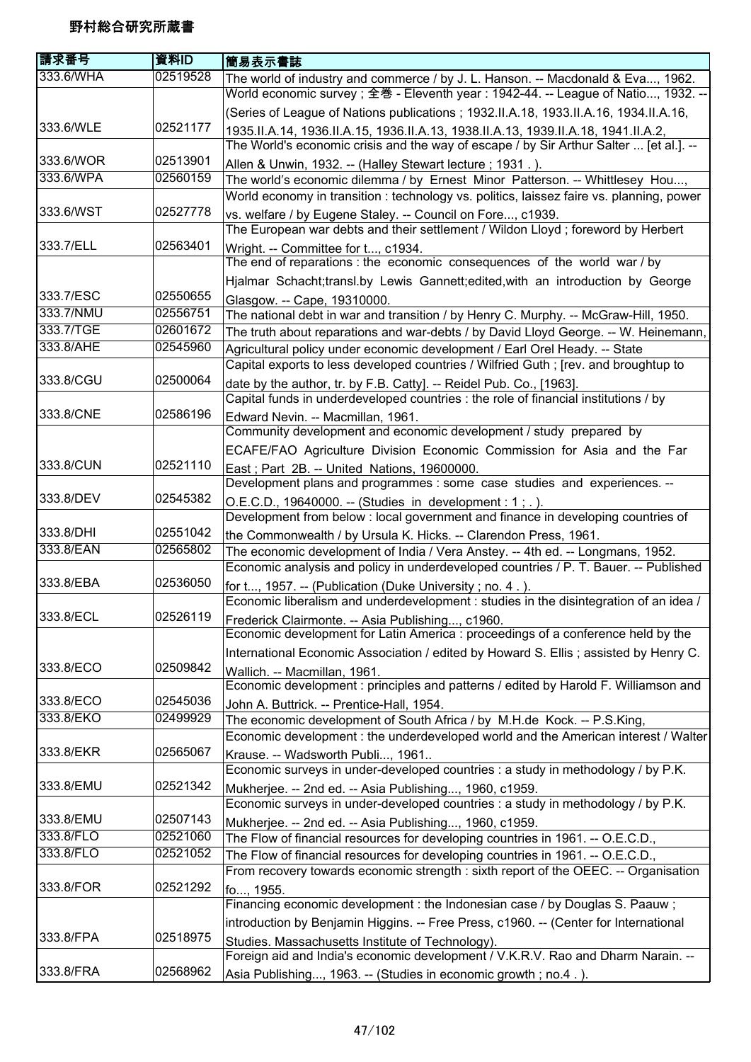| 請求番号      | 資料ID     | 簡易表示書誌                                                                                                         |
|-----------|----------|----------------------------------------------------------------------------------------------------------------|
| 333.6/WHA | 02519528 | The world of industry and commerce / by J. L. Hanson. -- Macdonald & Eva, 1962.                                |
|           |          | World economic survey ; 全巻 - Eleventh year : 1942-44. -- League of Natio, 1932. --                             |
|           |          | (Series of League of Nations publications ; 1932.II.A.18, 1933.II.A.16, 1934.II.A.16,                          |
| 333.6/WLE | 02521177 | 1935.II.A.14, 1936.II.A.15, 1936.II.A.13, 1938.II.A.13, 1939.II.A.18, 1941.II.A.2,                             |
|           |          | The World's economic crisis and the way of escape / by Sir Arthur Salter  [et al.]. --                         |
| 333.6/WOR | 02513901 | Allen & Unwin, 1932. -- (Halley Stewart lecture; 1931.).                                                       |
| 333.6/WPA | 02560159 | The world's economic dilemma / by Ernest Minor Patterson. -- Whittlesey Hou,                                   |
|           |          | World economy in transition: technology vs. politics, laissez faire vs. planning, power                        |
| 333.6/WST | 02527778 | vs. welfare / by Eugene Staley. -- Council on Fore, c1939.                                                     |
|           |          | The European war debts and their settlement / Wildon Lloyd; foreword by Herbert                                |
| 333.7/ELL | 02563401 | Wright. -- Committee for t, c1934.<br>The end of reparations : the economic consequences of the world war / by |
|           |          | Hjalmar Schacht;transl.by Lewis Gannett;edited, with an introduction by George                                 |
| 333.7/ESC | 02550655 | Glasgow. -- Cape, 19310000.                                                                                    |
| 333.7/NMU | 02556751 | The national debt in war and transition / by Henry C. Murphy. -- McGraw-Hill, 1950.                            |
| 333.7/TGE | 02601672 | The truth about reparations and war-debts / by David Lloyd George. -- W. Heinemann,                            |
| 333.8/AHE | 02545960 | Agricultural policy under economic development / Earl Orel Heady. -- State                                     |
|           |          | Capital exports to less developed countries / Wilfried Guth; [rev. and broughtup to                            |
| 333.8/CGU | 02500064 | date by the author, tr. by F.B. Catty]. -- Reidel Pub. Co., [1963].                                            |
|           |          | Capital funds in underdeveloped countries : the role of financial institutions / by                            |
| 333.8/CNE | 02586196 | Edward Nevin. -- Macmillan, 1961.                                                                              |
|           |          | Community development and economic development / study prepared by                                             |
|           |          | ECAFE/FAO Agriculture Division Economic Commission for Asia and the Far                                        |
| 333.8/CUN | 02521110 | East; Part 2B. -- United Nations, 19600000.                                                                    |
|           |          | Development plans and programmes : some case studies and experiences. --                                       |
| 333.8/DEV | 02545382 | O.E.C.D., 19640000. -- (Studies in development : 1; .).                                                        |
|           |          | Development from below : local government and finance in developing countries of                               |
| 333.8/DHI | 02551042 | the Commonwealth / by Ursula K. Hicks. -- Clarendon Press, 1961.                                               |
| 333.8/EAN | 02565802 | The economic development of India / Vera Anstey. -- 4th ed. -- Longmans, 1952.                                 |
|           |          | Economic analysis and policy in underdeveloped countries / P. T. Bauer. -- Published                           |
| 333.8/EBA | 02536050 | for t, 1957. -- (Publication (Duke University; no. 4.).                                                        |
|           |          | Economic liberalism and underdevelopment : studies in the disintegration of an idea /                          |
| 333.8/ECL | 02526119 | Frederick Clairmonte. -- Asia Publishing, c1960.                                                               |
|           |          | Economic development for Latin America : proceedings of a conference held by the                               |
|           |          | International Economic Association / edited by Howard S. Ellis; assisted by Henry C.                           |
| 333.8/ECO | 02509842 | Wallich. -- Macmillan, 1961.                                                                                   |
|           |          | Economic development : principles and patterns / edited by Harold F. Williamson and                            |
| 333.8/ECO | 02545036 | John A. Buttrick. -- Prentice-Hall, 1954.                                                                      |
| 333.8/EKO | 02499929 | The economic development of South Africa / by M.H.de Kock. -- P.S.King,                                        |
|           |          | Economic development : the underdeveloped world and the American interest / Walter                             |
| 333.8/EKR | 02565067 | Krause. -- Wadsworth Publi, 1961                                                                               |
|           |          | Economic surveys in under-developed countries : a study in methodology / by P.K.                               |
| 333.8/EMU | 02521342 | Mukherjee. -- 2nd ed. -- Asia Publishing, 1960, c1959.                                                         |
|           |          | Economic surveys in under-developed countries : a study in methodology / by P.K.                               |
| 333.8/EMU | 02507143 | Mukherjee. -- 2nd ed. -- Asia Publishing, 1960, c1959.                                                         |
| 333.8/FLO | 02521060 | The Flow of financial resources for developing countries in 1961. -- O.E.C.D.,                                 |
| 333.8/FLO | 02521052 | The Flow of financial resources for developing countries in 1961. -- O.E.C.D.,                                 |
|           |          | From recovery towards economic strength : sixth report of the OEEC. -- Organisation                            |
| 333.8/FOR | 02521292 | fo, 1955.                                                                                                      |
|           |          | Financing economic development : the Indonesian case / by Douglas S. Paauw;                                    |
|           |          | introduction by Benjamin Higgins. -- Free Press, c1960. -- (Center for International                           |
| 333.8/FPA | 02518975 | Studies. Massachusetts Institute of Technology).                                                               |
|           |          | Foreign aid and India's economic development / V.K.R.V. Rao and Dharm Narain. --                               |
| 333.8/FRA | 02568962 | Asia Publishing, 1963. -- (Studies in economic growth; no.4.).                                                 |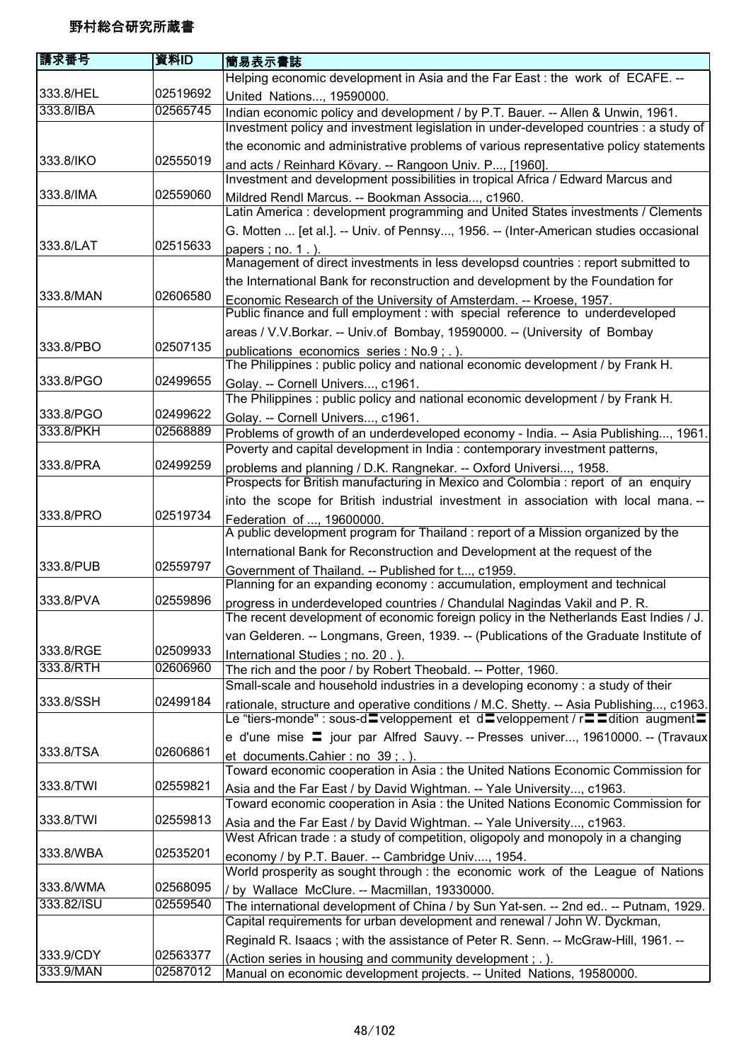| 請求番号       | 資料ID     | 簡易表示書誌                                                                                                                                                                 |
|------------|----------|------------------------------------------------------------------------------------------------------------------------------------------------------------------------|
|            |          | Helping economic development in Asia and the Far East : the work of ECAFE. --                                                                                          |
| 333.8/HEL  | 02519692 | United Nations, 19590000.                                                                                                                                              |
| 333.8/IBA  | 02565745 | Indian economic policy and development / by P.T. Bauer. -- Allen & Unwin, 1961.                                                                                        |
|            |          | Investment policy and investment legislation in under-developed countries : a study of                                                                                 |
|            |          | the economic and administrative problems of various representative policy statements                                                                                   |
| 333.8/IKO  | 02555019 | and acts / Reinhard Kövary. -- Rangoon Univ. P, [1960].                                                                                                                |
|            |          | Investment and development possibilities in tropical Africa / Edward Marcus and                                                                                        |
| 333.8/IMA  | 02559060 | Mildred Rendl Marcus. -- Bookman Associa, c1960.                                                                                                                       |
|            |          | Latin America : development programming and United States investments / Clements                                                                                       |
|            |          | G. Motten  [et al.]. -- Univ. of Pennsy, 1956. -- (Inter-American studies occasional                                                                                   |
| 333.8/LAT  | 02515633 | papers; no. 1.).                                                                                                                                                       |
|            |          | Management of direct investments in less developsd countries : report submitted to                                                                                     |
|            |          | the International Bank for reconstruction and development by the Foundation for                                                                                        |
| 333.8/MAN  | 02606580 | Economic Research of the University of Amsterdam. -- Kroese, 1957.                                                                                                     |
|            |          | Public finance and full employment : with special reference to underdeveloped                                                                                          |
|            |          | areas / V.V.Borkar. -- Univ.of Bombay, 19590000. -- (University of Bombay                                                                                              |
| 333.8/PBO  | 02507135 | publications economics series : No.9; .).                                                                                                                              |
|            |          | The Philippines: public policy and national economic development / by Frank H.                                                                                         |
| 333.8/PGO  | 02499655 | Golay. -- Cornell Univers, c1961.                                                                                                                                      |
|            |          | The Philippines: public policy and national economic development / by Frank H.                                                                                         |
| 333.8/PGO  | 02499622 | Golay. -- Cornell Univers, c1961.                                                                                                                                      |
| 333.8/PKH  | 02568889 | Problems of growth of an underdeveloped economy - India. -- Asia Publishing, 1961.                                                                                     |
|            |          | Poverty and capital development in India : contemporary investment patterns,                                                                                           |
| 333.8/PRA  | 02499259 | problems and planning / D.K. Rangnekar. -- Oxford Universi, 1958.                                                                                                      |
|            |          | Prospects for British manufacturing in Mexico and Colombia : report of an enquiry                                                                                      |
|            |          | into the scope for British industrial investment in association with local mana. --                                                                                    |
| 333.8/PRO  | 02519734 | Federation of , 19600000.                                                                                                                                              |
|            |          | A public development program for Thailand: report of a Mission organized by the                                                                                        |
|            |          | International Bank for Reconstruction and Development at the request of the                                                                                            |
| 333.8/PUB  | 02559797 | Government of Thailand. -- Published for t, c1959.                                                                                                                     |
|            |          | Planning for an expanding economy: accumulation, employment and technical                                                                                              |
| 333.8/PVA  | 02559896 | progress in underdeveloped countries / Chandulal Nagindas Vakil and P. R.                                                                                              |
|            |          | The recent development of economic foreign policy in the Netherlands East Indies / J.                                                                                  |
| 333.8/RGE  | 02509933 | van Gelderen. -- Longmans, Green, 1939. -- (Publications of the Graduate Institute of                                                                                  |
| 333.8/RTH  | 02606960 | International Studies; no. 20.).                                                                                                                                       |
|            |          | The rich and the poor / by Robert Theobald. -- Potter, 1960.<br>Small-scale and household industries in a developing economy: a study of their                         |
| 333.8/SSH  | 02499184 |                                                                                                                                                                        |
|            |          | rationale, structure and operative conditions / M.C. Shetty. -- Asia Publishing, c1963.<br>Le "tiers-monde" : sous-d=veloppement et d=veloppement / r==dition_augment= |
|            |          | e d'une mise $\equiv$ jour par Alfred Sauvy. -- Presses univer, 19610000. -- (Travaux)                                                                                 |
| 333.8/TSA  | 02606861 |                                                                                                                                                                        |
|            |          | et documents.Cahier: no 39; .).<br>Toward economic cooperation in Asia : the United Nations Economic Commission for                                                    |
| 333.8/TWI  | 02559821 | Asia and the Far East / by David Wightman. -- Yale University, c1963.                                                                                                  |
|            |          | Toward economic cooperation in Asia: the United Nations Economic Commission for                                                                                        |
| 333.8/TWI  | 02559813 | Asia and the Far East / by David Wightman. -- Yale University, c1963.                                                                                                  |
|            |          | West African trade: a study of competition, oligopoly and monopoly in a changing                                                                                       |
| 333.8/WBA  | 02535201 | economy / by P.T. Bauer. -- Cambridge Univ, 1954.                                                                                                                      |
|            |          | World prosperity as sought through : the economic work of the League of Nations                                                                                        |
| 333.8/WMA  | 02568095 | / by Wallace McClure. -- Macmillan, 19330000.                                                                                                                          |
| 333.82/ISU | 02559540 | The international development of China / by Sun Yat-sen. -- 2nd ed -- Putnam, 1929.                                                                                    |
|            |          | Capital requirements for urban development and renewal / John W. Dyckman,                                                                                              |
|            |          | Reginald R. Isaacs; with the assistance of Peter R. Senn. -- McGraw-Hill, 1961. --                                                                                     |
| 333.9/CDY  | 02563377 | (Action series in housing and community development; .).                                                                                                               |
| 333.9/MAN  | 02587012 | Manual on economic development projects. -- United Nations, 19580000.                                                                                                  |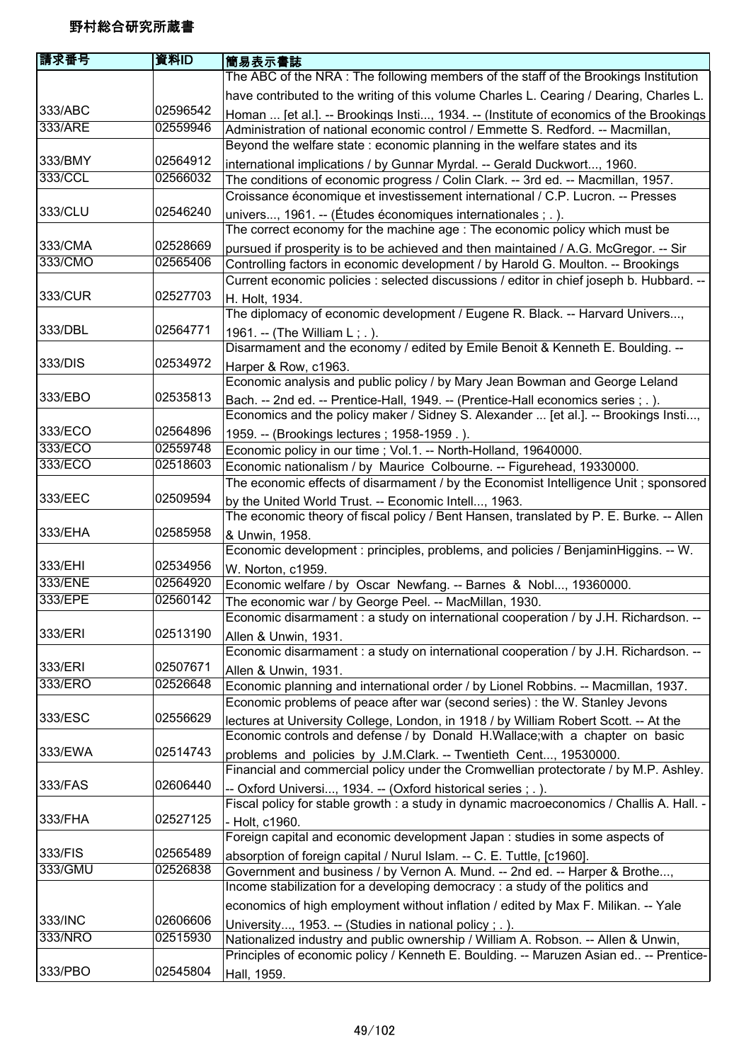| 請求番号               | 資料ID                 | 簡易表示書誌                                                                                                                                                                   |
|--------------------|----------------------|--------------------------------------------------------------------------------------------------------------------------------------------------------------------------|
|                    |                      | The ABC of the NRA: The following members of the staff of the Brookings Institution                                                                                      |
|                    |                      | have contributed to the writing of this volume Charles L. Cearing / Dearing, Charles L.                                                                                  |
| 333/ABC            | 02596542             | Homan  [et al.]. -- Brookings Insti, 1934. -- (Institute of economics of the Brookings                                                                                   |
| 333/ARE            | 02559946             | Administration of national economic control / Emmette S. Redford. -- Macmillan,                                                                                          |
|                    |                      | Beyond the welfare state : economic planning in the welfare states and its                                                                                               |
| 333/BMY            | 02564912             | international implications / by Gunnar Myrdal. -- Gerald Duckwort, 1960.                                                                                                 |
| 333/CCL            | 02566032             | The conditions of economic progress / Colin Clark. -- 3rd ed. -- Macmillan, 1957.                                                                                        |
|                    |                      | Croissance économique et investissement international / C.P. Lucron. -- Presses                                                                                          |
| 333/CLU            | 02546240             | univers, 1961. -- (Études économiques internationales ; .).                                                                                                              |
|                    |                      | The correct economy for the machine age: The economic policy which must be                                                                                               |
| 333/CMA            | 02528669             | pursued if prosperity is to be achieved and then maintained / A.G. McGregor. -- Sir                                                                                      |
| 333/CMO            | 02565406             | Controlling factors in economic development / by Harold G. Moulton. -- Brookings                                                                                         |
|                    |                      | Current economic policies : selected discussions / editor in chief joseph b. Hubbard. --                                                                                 |
| 333/CUR            | 02527703             | H. Holt, 1934.                                                                                                                                                           |
|                    |                      | The diplomacy of economic development / Eugene R. Black. -- Harvard Univers,                                                                                             |
| 333/DBL            | 02564771             | 1961. -- (The William L; .).                                                                                                                                             |
|                    |                      | Disarmament and the economy / edited by Emile Benoit & Kenneth E. Boulding. --                                                                                           |
| 333/DIS            | 02534972             | Harper & Row, c1963.                                                                                                                                                     |
|                    |                      | Economic analysis and public policy / by Mary Jean Bowman and George Leland                                                                                              |
| 333/EBO            | 02535813             |                                                                                                                                                                          |
|                    |                      | Bach. -- 2nd ed. -- Prentice-Hall, 1949. -- (Prentice-Hall economics series ; .).<br>Economics and the policy maker / Sidney S. Alexander  [et al.]. -- Brookings Insti, |
| 333/ECO            | 02564896             |                                                                                                                                                                          |
| 333/ECO            | 02559748             | 1959. -- (Brookings lectures; 1958-1959.).                                                                                                                               |
| 333/ECO            | 02518603             | Economic policy in our time ; Vol.1. -- North-Holland, 19640000.                                                                                                         |
|                    |                      | Economic nationalism / by Maurice Colbourne. -- Figurehead, 19330000.                                                                                                    |
| 333/EEC            | 02509594             | The economic effects of disarmament / by the Economist Intelligence Unit; sponsored                                                                                      |
|                    |                      | by the United World Trust. -- Economic Intell, 1963.                                                                                                                     |
| 333/EHA            | 02585958             | The economic theory of fiscal policy / Bent Hansen, translated by P. E. Burke. -- Allen                                                                                  |
|                    |                      | & Unwin, 1958.                                                                                                                                                           |
|                    |                      | Economic development : principles, problems, and policies / BenjaminHiggins. -- W.                                                                                       |
| 333/EHI<br>333/ENE | 02534956<br>02564920 | W. Norton, c1959.                                                                                                                                                        |
| 333/EPE            | 02560142             | Economic welfare / by Oscar Newfang. -- Barnes & Nobl, 19360000.                                                                                                         |
|                    |                      | The economic war / by George Peel. -- MacMillan, 1930.                                                                                                                   |
|                    |                      | Economic disarmament : a study on international cooperation / by J.H. Richardson. -                                                                                      |
| 333/ERI            | 02513190             | Allen & Unwin, 1931.                                                                                                                                                     |
|                    |                      | Economic disarmament : a study on international cooperation / by J.H. Richardson. --                                                                                     |
| 333/ERI            | 02507671             | Allen & Unwin, 1931.                                                                                                                                                     |
| 333/ERO            | 02526648             | Economic planning and international order / by Lionel Robbins. -- Macmillan, 1937.                                                                                       |
|                    |                      | Economic problems of peace after war (second series) : the W. Stanley Jevons                                                                                             |
| 333/ESC            | 02556629             | lectures at University College, London, in 1918 / by William Robert Scott. -- At the                                                                                     |
|                    |                      | Economic controls and defense / by Donald H.Wallace; with a chapter on basic                                                                                             |
| 333/EWA            | 02514743             | problems and policies by J.M.Clark. -- Twentieth Cent, 19530000.                                                                                                         |
|                    |                      | Financial and commercial policy under the Cromwellian protectorate / by M.P. Ashley.                                                                                     |
| 333/FAS            | 02606440             | -- Oxford Universi, 1934. -- (Oxford historical series ; .).                                                                                                             |
|                    |                      | Fiscal policy for stable growth : a study in dynamic macroeconomics / Challis A. Hall. -                                                                                 |
| 333/FHA            | 02527125             | - Holt, c1960.                                                                                                                                                           |
|                    |                      | Foreign capital and economic development Japan : studies in some aspects of                                                                                              |
| 333/FIS            | 02565489             | absorption of foreign capital / Nurul Islam. -- C. E. Tuttle, [c1960].                                                                                                   |
| 333/GMU            | 02526838             | Government and business / by Vernon A. Mund. -- 2nd ed. -- Harper & Brothe,                                                                                              |
|                    |                      | Income stabilization for a developing democracy : a study of the politics and                                                                                            |
|                    |                      | economics of high employment without inflation / edited by Max F. Milikan. -- Yale                                                                                       |
| 333/INC            | 02606606             | University, 1953. -- (Studies in national policy ; .).                                                                                                                   |
| 333/NRO            | 02515930             | Nationalized industry and public ownership / William A. Robson. -- Allen & Unwin,                                                                                        |
|                    |                      | Principles of economic policy / Kenneth E. Boulding. -- Maruzen Asian ed -- Prentice-                                                                                    |
| 333/PBO            | 02545804             | Hall, 1959.                                                                                                                                                              |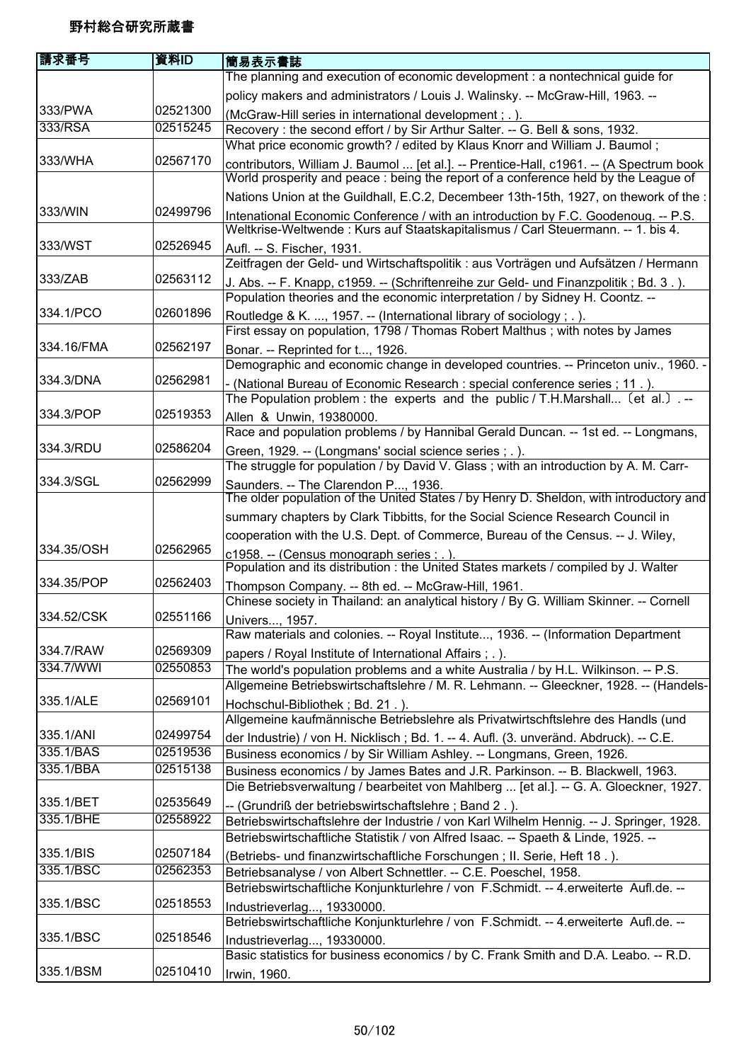| 請求番号       | 資料ID     | 簡易表示書誌                                                                                                                          |
|------------|----------|---------------------------------------------------------------------------------------------------------------------------------|
|            |          | The planning and execution of economic development : a nontechnical guide for                                                   |
|            |          | policy makers and administrators / Louis J. Walinsky. -- McGraw-Hill, 1963. --                                                  |
| 333/PWA    | 02521300 | (McGraw-Hill series in international development ; .).                                                                          |
| 333/RSA    | 02515245 | Recovery : the second effort / by Sir Arthur Salter. -- G. Bell & sons, 1932.                                                   |
|            |          | What price economic growth? / edited by Klaus Knorr and William J. Baumol;                                                      |
| 333/WHA    | 02567170 | contributors, William J. Baumol  [et al.]. -- Prentice-Hall, c1961. -- (A Spectrum book                                         |
|            |          | World prosperity and peace : being the report of a conference held by the League of                                             |
|            |          | Nations Union at the Guildhall, E.C.2, Decembeer 13th-15th, 1927, on thework of the :                                           |
| 333/WIN    | 02499796 | Intenational Economic Conference / with an introduction by F.C. Goodenoug. -- P.S.                                              |
|            |          | Weltkrise-Weltwende: Kurs auf Staatskapitalismus / Carl Steuermann. -- 1. bis 4.                                                |
| 333/WST    | 02526945 | Aufl. -- S. Fischer, 1931.                                                                                                      |
|            |          | Zeitfragen der Geld- und Wirtschaftspolitik : aus Vorträgen und Aufsätzen / Hermann                                             |
| 333/ZAB    | 02563112 | J. Abs. -- F. Knapp, c1959. -- (Schriftenreihe zur Geld- und Finanzpolitik; Bd. 3.).                                            |
|            |          | Population theories and the economic interpretation / by Sidney H. Coontz. --                                                   |
| 334.1/PCO  | 02601896 | Routledge & K. , 1957. -- (International library of sociology; .).                                                              |
|            |          | First essay on population, 1798 / Thomas Robert Malthus ; with notes by James                                                   |
| 334.16/FMA | 02562197 | Bonar. -- Reprinted for t, 1926.                                                                                                |
|            |          | Demographic and economic change in developed countries. -- Princeton univ., 1960. -                                             |
| 334.3/DNA  | 02562981 | - (National Bureau of Economic Research : special conference series ; 11.).                                                     |
|            |          | The Population problem: the experts and the public / T.H.Marshall (et al.).-                                                    |
| 334.3/POP  | 02519353 | Allen & Unwin, 19380000.                                                                                                        |
|            |          | Race and population problems / by Hannibal Gerald Duncan. -- 1st ed. -- Longmans,                                               |
| 334.3/RDU  | 02586204 | Green, 1929. -- (Longmans' social science series ; .).                                                                          |
|            |          | The struggle for population / by David V. Glass; with an introduction by A. M. Carr-                                            |
| 334.3/SGL  | 02562999 | Saunders. -- The Clarendon P, 1936.                                                                                             |
|            |          | The older population of the United States / by Henry D. Sheldon, with introductory and                                          |
|            |          | summary chapters by Clark Tibbitts, for the Social Science Research Council in                                                  |
|            |          | cooperation with the U.S. Dept. of Commerce, Bureau of the Census. -- J. Wiley,                                                 |
| 334.35/OSH | 02562965 |                                                                                                                                 |
|            |          | c1958. -- (Census monograph series : .).<br>Population and its distribution : the United States markets / compiled by J. Walter |
| 334.35/POP | 02562403 | Thompson Company. -- 8th ed. -- McGraw-Hill, 1961.                                                                              |
|            |          | Chinese society in Thailand: an analytical history / By G. William Skinner. -- Cornell                                          |
| 334.52/CSK | 02551166 | Univers, 1957.                                                                                                                  |
|            |          | Raw materials and colonies. -- Royal Institute, 1936. -- (Information Department                                                |
| 334.7/RAW  | 02569309 | papers / Royal Institute of International Affairs ; . ).                                                                        |
| 334.7/WWI  | 02550853 | The world's population problems and a white Australia / by H.L. Wilkinson. -- P.S.                                              |
|            |          | Allgemeine Betriebswirtschaftslehre / M. R. Lehmann. -- Gleeckner, 1928. -- (Handels-                                           |
| 335.1/ALE  | 02569101 | Hochschul-Bibliothek; Bd. 21.).                                                                                                 |
|            |          | Allgemeine kaufmännische Betriebslehre als Privatwirtschftslehre des Handls (und                                                |
| 335.1/ANI  | 02499754 | der Industrie) / von H. Nicklisch; Bd. 1. -- 4. Aufl. (3. unveränd. Abdruck). -- C.E.                                           |
| 335.1/BAS  | 02519536 | Business economics / by Sir William Ashley. -- Longmans, Green, 1926.                                                           |
| 335.1/BBA  | 02515138 | Business economics / by James Bates and J.R. Parkinson. -- B. Blackwell, 1963.                                                  |
|            |          | Die Betriebsverwaltung / bearbeitet von Mahlberg  [et al.]. -- G. A. Gloeckner, 1927.                                           |
| 335.1/BET  | 02535649 | -- (Grundriß der betriebswirtschaftslehre; Band 2.).                                                                            |
| 335.1/BHE  | 02558922 | Betriebswirtschaftslehre der Industrie / von Karl Wilhelm Hennig. -- J. Springer, 1928.                                         |
|            |          | Betriebswirtschaftliche Statistik / von Alfred Isaac. -- Spaeth & Linde, 1925. --                                               |
| 335.1/BIS  | 02507184 | (Betriebs- und finanzwirtschaftliche Forschungen; II. Serie, Heft 18.).                                                         |
| 335.1/BSC  | 02562353 | Betriebsanalyse / von Albert Schnettler. -- C.E. Poeschel, 1958.                                                                |
|            |          | Betriebswirtschaftliche Konjunkturlehre / von F.Schmidt. -- 4. erweiterte Aufl.de. --                                           |
| 335.1/BSC  | 02518553 | Industrieverlag, 19330000.                                                                                                      |
|            |          | Betriebswirtschaftliche Konjunkturlehre / von F.Schmidt. -- 4. erweiterte Aufl.de. --                                           |
| 335.1/BSC  | 02518546 | Industrieverlag, 19330000.                                                                                                      |
|            |          | Basic statistics for business economics / by C. Frank Smith and D.A. Leabo. -- R.D.                                             |
| 335.1/BSM  | 02510410 | Irwin, 1960.                                                                                                                    |
|            |          |                                                                                                                                 |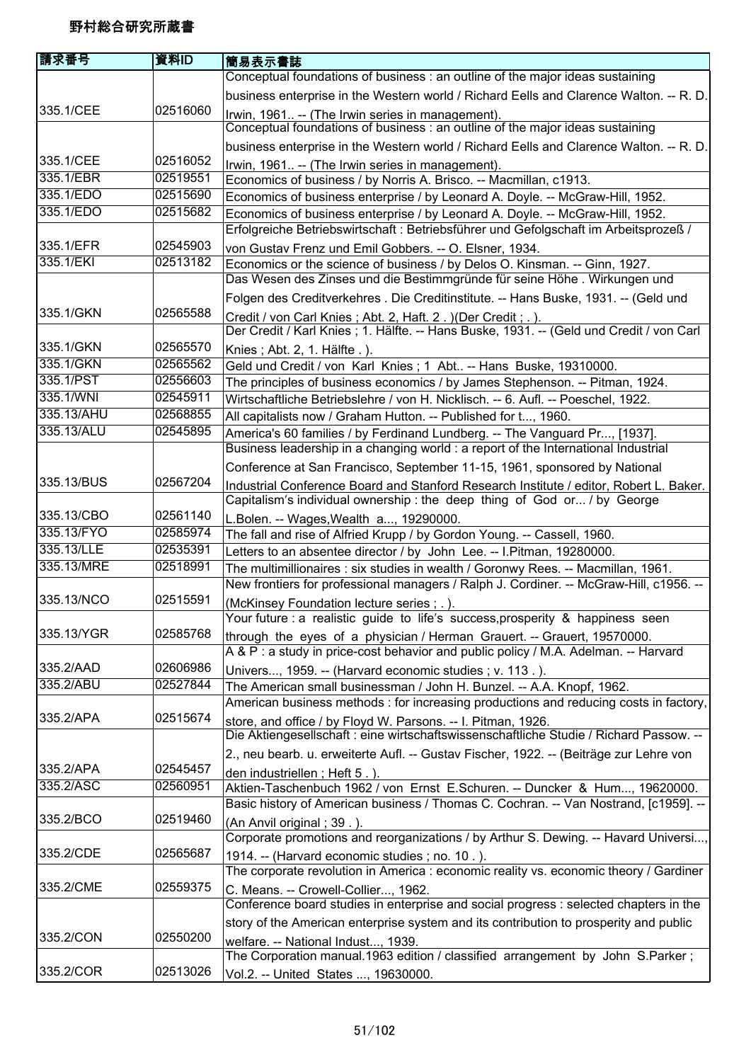| 請求番号       | 資料ID     | 簡易表示書誌                                                                                  |
|------------|----------|-----------------------------------------------------------------------------------------|
|            |          | Conceptual foundations of business: an outline of the major ideas sustaining            |
|            |          | business enterprise in the Western world / Richard Eells and Clarence Walton. -- R. D.  |
| 335.1/CEE  | 02516060 | Irwin, 1961 -- (The Irwin series in management).                                        |
|            |          | Conceptual foundations of business : an outline of the major ideas sustaining           |
|            |          | business enterprise in the Western world / Richard Eells and Clarence Walton. -- R. D.  |
| 335.1/CEE  | 02516052 | Irwin, 1961 -- (The Irwin series in management).                                        |
| 335.1/EBR  | 02519551 | Economics of business / by Norris A. Brisco. -- Macmillan, c1913.                       |
| 335.1/EDO  | 02515690 | Economics of business enterprise / by Leonard A. Doyle. -- McGraw-Hill, 1952.           |
| 335.1/EDO  | 02515682 | Economics of business enterprise / by Leonard A. Doyle. -- McGraw-Hill, 1952.           |
|            |          | Erfolgreiche Betriebswirtschaft : Betriebsführer und Gefolgschaft im Arbeitsprozeß /    |
| 335.1/EFR  | 02545903 | von Gustav Frenz und Emil Gobbers. -- O. Elsner, 1934.                                  |
| 335.1/EKI  | 02513182 | Economics or the science of business / by Delos O. Kinsman. -- Ginn, 1927.              |
|            |          | Das Wesen des Zinses und die Bestimmgründe für seine Höhe. Wirkungen und                |
|            |          | Folgen des Creditverkehres . Die Creditinstitute. -- Hans Buske, 1931. -- (Geld und     |
| 335.1/GKN  | 02565588 | Credit / von Carl Knies; Abt. 2, Haft. 2. ) (Der Credit; .).                            |
|            |          | Der Credit / Karl Knies; 1. Hälfte. -- Hans Buske, 1931. -- (Geld und Credit / von Carl |
| 335.1/GKN  | 02565570 | Knies; Abt. 2, 1. Hälfte.).                                                             |
| 335.1/GKN  | 02565562 | Geld und Credit / von Karl Knies; 1 Abt -- Hans Buske, 19310000.                        |
| 335.1/PST  | 02556603 | The principles of business economics / by James Stephenson. -- Pitman, 1924.            |
| 335.1/WNI  | 02545911 | Wirtschaftliche Betriebslehre / von H. Nicklisch. -- 6. Aufl. -- Poeschel, 1922.        |
| 335.13/AHU | 02568855 | All capitalists now / Graham Hutton. -- Published for t, 1960.                          |
| 335.13/ALU | 02545895 | America's 60 families / by Ferdinand Lundberg. -- The Vanguard Pr, [1937].              |
|            |          | Business leadership in a changing world : a report of the International Industrial      |
|            |          | Conference at San Francisco, September 11-15, 1961, sponsored by National               |
| 335.13/BUS | 02567204 | Industrial Conference Board and Stanford Research Institute / editor, Robert L. Baker.  |
|            |          | Capitalism's individual ownership: the deep thing of God or / by George                 |
| 335.13/CBO | 02561140 | L.Bolen. -- Wages, Wealth a, 19290000.                                                  |
| 335.13/FYO | 02585974 | The fall and rise of Alfried Krupp / by Gordon Young. -- Cassell, 1960.                 |
| 335.13/LLE | 02535391 | Letters to an absentee director / by John Lee. -- I.Pitman, 19280000.                   |
| 335.13/MRE | 02518991 | The multimillionaires : six studies in wealth / Goronwy Rees. -- Macmillan, 1961.       |
|            |          | New frontiers for professional managers / Ralph J. Cordiner. -- McGraw-Hill, c1956. --  |
| 335.13/NCO | 02515591 | (McKinsey Foundation lecture series ; . ).                                              |
|            |          | Your future : a realistic guide to life's success, prosperity & happiness seen          |
| 335.13/YGR | 02585768 | through the eyes of a physician / Herman Grauert. -- Grauert, 19570000.                 |
|            |          | A & P: a study in price-cost behavior and public policy / M.A. Adelman. -- Harvard      |
| 335.2/AAD  | 02606986 | Univers, 1959. -- (Harvard economic studies ; v. 113.).                                 |
| 335.2/ABU  | 02527844 | The American small businessman / John H. Bunzel. -- A.A. Knopf, 1962.                   |
|            |          | American business methods : for increasing productions and reducing costs in factory,   |
| 335.2/APA  | 02515674 | store, and office / by Floyd W. Parsons. -- I. Pitman, 1926.                            |
|            |          | Die Aktiengesellschaft : eine wirtschaftswissenschaftliche Studie / Richard Passow. --  |
|            |          | 2., neu bearb. u. erweiterte Aufl. -- Gustav Fischer, 1922. -- (Beiträge zur Lehre von  |
| 335.2/APA  | 02545457 | den industriellen; Heft 5.)                                                             |
| 335.2/ASC  | 02560951 | Aktien-Taschenbuch 1962 / von Ernst E.Schuren. -- Duncker & Hum, 19620000.              |
|            |          | Basic history of American business / Thomas C. Cochran. -- Van Nostrand, [c1959]. --    |
| 335.2/BCO  | 02519460 | (An Anvil original; 39.).                                                               |
|            |          | Corporate promotions and reorganizations / by Arthur S. Dewing. -- Havard Universi,     |
| 335.2/CDE  | 02565687 | 1914. -- (Harvard economic studies; no. 10.).                                           |
|            |          | The corporate revolution in America : economic reality vs. economic theory / Gardiner   |
| 335.2/CME  | 02559375 | C. Means. -- Crowell-Collier, 1962.                                                     |
|            |          | Conference board studies in enterprise and social progress : selected chapters in the   |
|            |          | story of the American enterprise system and its contribution to prosperity and public   |
| 335.2/CON  | 02550200 | welfare. -- National Indust, 1939.                                                      |
|            |          | The Corporation manual.1963 edition / classified arrangement by John S.Parker;          |
| 335.2/COR  | 02513026 | Vol.2. -- United States , 19630000.                                                     |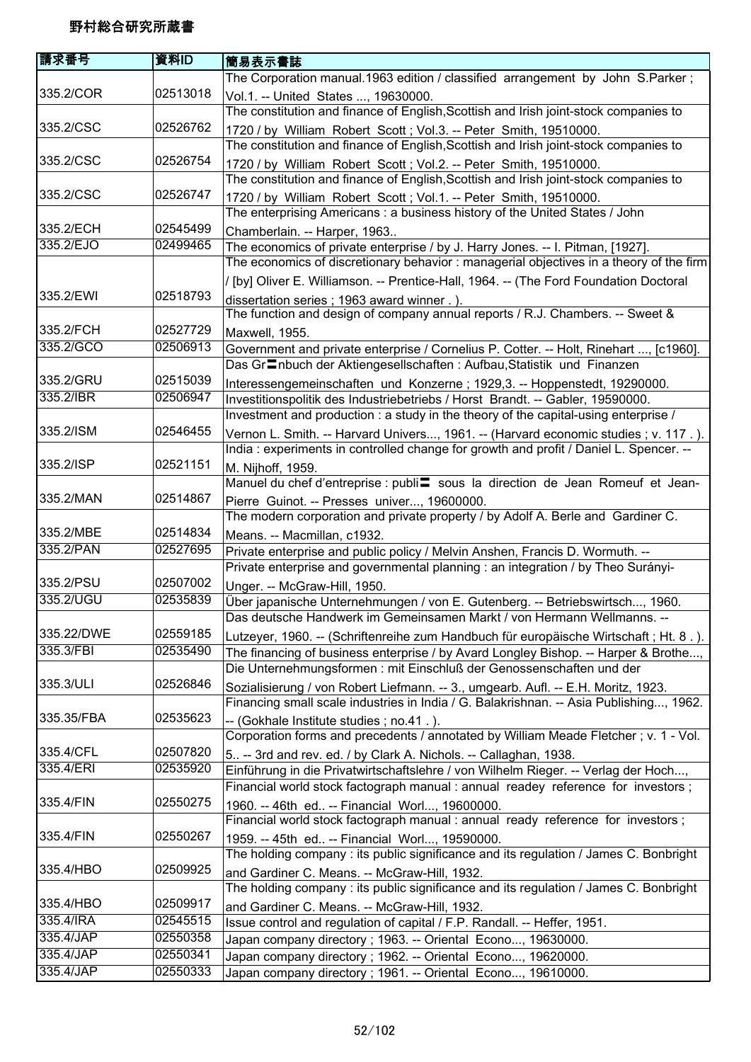| 請求番号       | 資料ID     | 簡易表示書誌                                                                                                                                                                   |
|------------|----------|--------------------------------------------------------------------------------------------------------------------------------------------------------------------------|
|            |          | The Corporation manual.1963 edition / classified arrangement by John S.Parker;                                                                                           |
| 335.2/COR  | 02513018 | Vol.1. -- United States , 19630000.<br>The constitution and finance of English, Scottish and Irish joint-stock companies to                                              |
| 335.2/CSC  | 02526762 |                                                                                                                                                                          |
|            |          | 1720 / by William Robert Scott; Vol.3. -- Peter Smith, 19510000.                                                                                                         |
|            |          | The constitution and finance of English, Scottish and Irish joint-stock companies to                                                                                     |
| 335.2/CSC  | 02526754 | 1720 / by William Robert Scott; Vol.2. -- Peter Smith, 19510000.                                                                                                         |
| 335.2/CSC  | 02526747 | The constitution and finance of English, Scottish and Irish joint-stock companies to                                                                                     |
|            |          | 1720 / by William Robert Scott; Vol.1. -- Peter Smith, 19510000.                                                                                                         |
| 335.2/ECH  | 02545499 | The enterprising Americans: a business history of the United States / John                                                                                               |
| 335.2/EJO  | 02499465 | Chamberlain. -- Harper, 1963                                                                                                                                             |
|            |          | The economics of private enterprise / by J. Harry Jones. -- I. Pitman, [1927].<br>The economics of discretionary behavior: managerial objectives in a theory of the firm |
|            |          |                                                                                                                                                                          |
|            |          | / [by] Oliver E. Williamson. -- Prentice-Hall, 1964. -- (The Ford Foundation Doctoral                                                                                    |
| 335.2/EWI  | 02518793 | dissertation series; 1963 award winner.).                                                                                                                                |
|            |          | The function and design of company annual reports / R.J. Chambers. -- Sweet &                                                                                            |
| 335.2/FCH  | 02527729 | Maxwell, 1955.                                                                                                                                                           |
| 335.2/GCO  | 02506913 | Government and private enterprise / Cornelius P. Cotter. -- Holt, Rinehart , [c1960].                                                                                    |
|            |          | Das Gr <sup>-</sup> nbuch der Aktiengesellschaften : Aufbau, Statistik und Finanzen                                                                                      |
| 335.2/GRU  | 02515039 | Interessengemeinschaften und Konzerne; 1929,3. -- Hoppenstedt, 19290000.                                                                                                 |
| 335.2/IBR  | 02506947 | Investitionspolitik des Industriebetriebs / Horst Brandt. -- Gabler, 19590000.                                                                                           |
|            |          | Investment and production : a study in the theory of the capital-using enterprise /                                                                                      |
| 335.2/ISM  | 02546455 | Vernon L. Smith. -- Harvard Univers, 1961. -- (Harvard economic studies; v. 117.).                                                                                       |
|            |          | India: experiments in controlled change for growth and profit / Daniel L. Spencer. --                                                                                    |
| 335.2/ISP  | 02521151 | M. Nijhoff, 1959.                                                                                                                                                        |
|            |          | Manuel du chef d'entreprise : publi sous la direction de Jean Romeuf et Jean-                                                                                            |
| 335.2/MAN  | 02514867 | Pierre Guinot. -- Presses univer, 19600000.                                                                                                                              |
|            |          | The modern corporation and private property / by Adolf A. Berle and Gardiner C.                                                                                          |
| 335.2/MBE  | 02514834 | Means. -- Macmillan, c1932.                                                                                                                                              |
| 335.2/PAN  | 02527695 | Private enterprise and public policy / Melvin Anshen, Francis D. Wormuth. --                                                                                             |
|            |          | Private enterprise and governmental planning : an integration / by Theo Surányi-                                                                                         |
| 335.2/PSU  | 02507002 | Unger. -- McGraw-Hill, 1950.                                                                                                                                             |
| 335.2/UGU  | 02535839 | Über japanische Unternehmungen / von E. Gutenberg. -- Betriebswirtsch, 1960.                                                                                             |
|            |          | Das deutsche Handwerk im Gemeinsamen Markt / von Hermann Wellmanns. -                                                                                                    |
| 335.22/DWE | 02559185 | Lutzeyer, 1960. -- (Schriftenreihe zum Handbuch für europäische Wirtschaft; Ht. 8.).                                                                                     |
| 335.3/FBI  | 02535490 | The financing of business enterprise / by Avard Longley Bishop. -- Harper & Brothe,                                                                                      |
|            |          | Die Unternehmungsformen : mit Einschluß der Genossenschaften und der                                                                                                     |
| 335.3/ULI  | 02526846 | Sozialisierung / von Robert Liefmann. -- 3., umgearb. Aufl. -- E.H. Moritz, 1923.                                                                                        |
|            |          | Financing small scale industries in India / G. Balakrishnan. -- Asia Publishing, 1962.                                                                                   |
| 335.35/FBA | 02535623 | -- (Gokhale Institute studies; no.41.).                                                                                                                                  |
|            |          | Corporation forms and precedents / annotated by William Meade Fletcher; v. 1 - Vol.                                                                                      |
| 335.4/CFL  | 02507820 | 5 -- 3rd and rev. ed. / by Clark A. Nichols. -- Callaghan, 1938.                                                                                                         |
| 335.4/ERI  | 02535920 | Einführung in die Privatwirtschaftslehre / von Wilhelm Rieger. -- Verlag der Hoch,                                                                                       |
|            |          | Financial world stock factograph manual : annual readey reference for investors;                                                                                         |
| 335.4/FIN  | 02550275 |                                                                                                                                                                          |
|            |          | 1960. -- 46th ed -- Financial Worl, 19600000.<br>Financial world stock factograph manual : annual ready reference for investors;                                         |
| 335.4/FIN  | 02550267 |                                                                                                                                                                          |
|            |          | 1959. -- 45th ed -- Financial Worl, 19590000.<br>The holding company : its public significance and its regulation / James C. Bonbright                                   |
| 335.4/HBO  | 02509925 |                                                                                                                                                                          |
|            |          | and Gardiner C. Means. -- McGraw-Hill, 1932.                                                                                                                             |
|            |          | The holding company : its public significance and its regulation / James $\overline{C}$ . Bonbright                                                                      |
| 335.4/HBO  | 02509917 | and Gardiner C. Means. -- McGraw-Hill, 1932.                                                                                                                             |
| 335.4/IRA  | 02545515 | Issue control and regulation of capital / F.P. Randall. -- Heffer, 1951.                                                                                                 |
| 335.4/JAP  | 02550358 | Japan company directory; 1963. -- Oriental Econo, 19630000.                                                                                                              |
| 335.4/JAP  | 02550341 | Japan company directory; 1962. -- Oriental Econo, 19620000.                                                                                                              |
| 335.4/JAP  | 02550333 | Japan company directory; 1961. -- Oriental Econo, 19610000.                                                                                                              |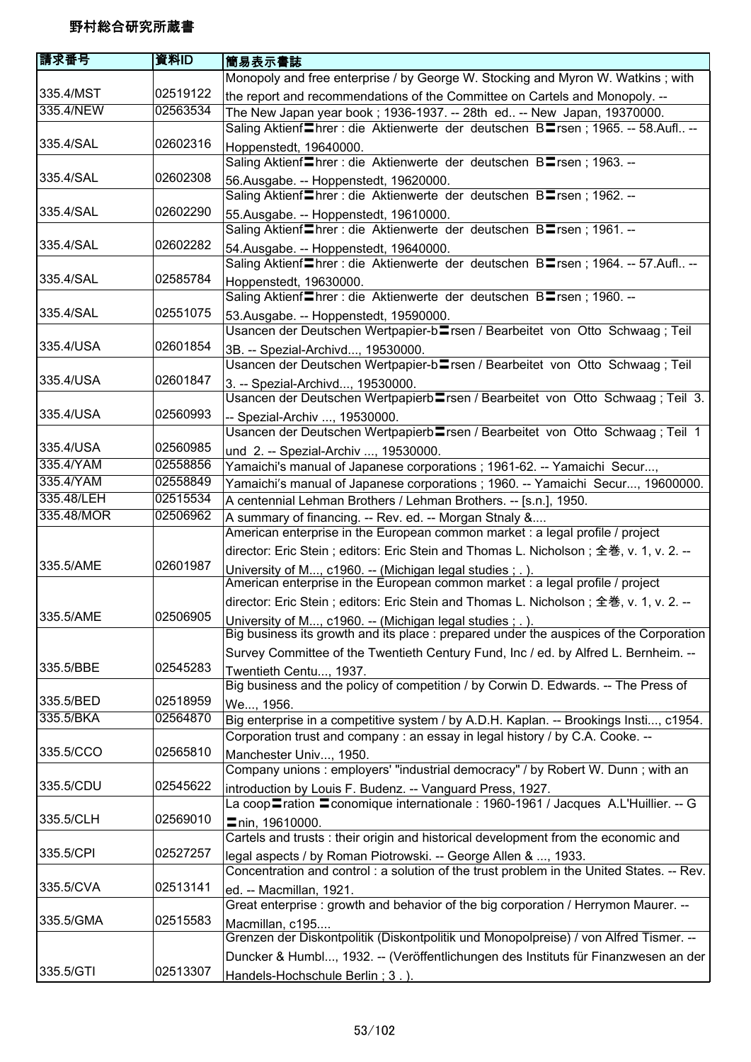| 請求番号       | 資料ID     | 簡易表示書誌                                                                                                    |
|------------|----------|-----------------------------------------------------------------------------------------------------------|
|            |          | Monopoly and free enterprise / by George W. Stocking and Myron W. Watkins; with                           |
| 335.4/MST  | 02519122 | the report and recommendations of the Committee on Cartels and Monopoly. --                               |
| 335.4/NEW  | 02563534 | The New Japan year book; 1936-1937. -- 28th ed -- New Japan, 19370000.                                    |
|            |          | Saling Aktienf <sup>I</sup> hrer : die Aktienwerte der deutschen B <sup>I</sup> rsen; 1965. -- 58.Aufl -- |
| 335.4/SAL  | 02602316 | Hoppenstedt, 19640000.                                                                                    |
|            |          | Saling Aktienf Threr: die Aktienwerte der deutschen BTrsen; 1963. --                                      |
| 335.4/SAL  | 02602308 | 56.Ausgabe. -- Hoppenstedt, 19620000.                                                                     |
|            |          | Saling Aktienf Threr : die Aktienwerte der deutschen BTrsen; 1962. --                                     |
| 335.4/SAL  | 02602290 | 55.Ausgabe. -- Hoppenstedt, 19610000.                                                                     |
|            |          | Saling Aktienf <sup>Inrer: die Aktienwerte der deutschen BInsen; 1961. --</sup>                           |
| 335.4/SAL  | 02602282 | 54. Ausgabe. -- Hoppenstedt, 19640000.                                                                    |
|            |          | Saling Aktienf Threr: die Aktienwerte der deutschen BTrsen; 1964. -- 57.Aufl --                           |
| 335.4/SAL  | 02585784 | Hoppenstedt, 19630000.                                                                                    |
|            |          | Saling Aktienf hrer: die Aktienwerte der deutschen B rsen; 1960. --                                       |
| 335.4/SAL  | 02551075 | 53.Ausgabe. -- Hoppenstedt, 19590000.                                                                     |
|            |          | Usancen der Deutschen Wertpapier-b <sup>log</sup> rsen / Bearbeitet von Otto Schwaag; Teil                |
| 335.4/USA  | 02601854 | 3B. -- Spezial-Archivd, 19530000.                                                                         |
|            |          | Usancen der Deutschen Wertpapier-b <sup>r</sup> sen / Bearbeitet von Otto Schwaag; Teil                   |
| 335.4/USA  | 02601847 | 3. -- Spezial-Archivd, 19530000.                                                                          |
|            |          | Usancen der Deutschen Wertpapierb Trsen / Bearbeitet von Otto Schwaag; Teil 3.                            |
| 335.4/USA  | 02560993 | -- Spezial-Archiv , 19530000.                                                                             |
|            |          | Usancen der Deutschen Wertpapierb <sup>l</sup> rsen / Bearbeitet von Otto Schwaag; Teil 1                 |
| 335.4/USA  | 02560985 | und 2. -- Spezial-Archiv , 19530000.                                                                      |
| 335.4/YAM  | 02558856 | Yamaichi's manual of Japanese corporations ; 1961-62. -- Yamaichi Secur,                                  |
| 335.4/YAM  | 02558849 | Yamaichi's manual of Japanese corporations ; 1960. -- Yamaichi Secur, 19600000.                           |
| 335.48/LEH | 02515534 | A centennial Lehman Brothers / Lehman Brothers. -- [s.n.], 1950.                                          |
| 335.48/MOR | 02506962 | A summary of financing. -- Rev. ed. -- Morgan Stnaly &                                                    |
|            |          | American enterprise in the European common market : a legal profile / project                             |
|            |          | director: Eric Stein; editors: Eric Stein and Thomas L. Nicholson; 全巻, v. 1, v. 2. --                     |
| 335.5/AME  | 02601987 | University of M, c1960. -- (Michigan legal studies; .).                                                   |
|            |          | American enterprise in the European common market : a legal profile / project                             |
|            |          | director: Eric Stein; editors: Eric Stein and Thomas L. Nicholson; 全巻, v. 1, v. 2. --                     |
| 335.5/AME  | 02506905 | University of M, c1960. -- (Michigan legal studies ; . ).                                                 |
|            |          | Big business its growth and its place : prepared under the auspices of the Corporation                    |
|            |          | Survey Committee of the Twentieth Century Fund, Inc / ed. by Alfred L. Bernheim. --                       |
| 335.5/BBE  | 02545283 | Twentieth Centu, 1937.                                                                                    |
|            |          | Big business and the policy of competition / by Corwin D. Edwards. -- The Press of                        |
| 335.5/BED  | 02518959 | We, 1956.                                                                                                 |
| 335.5/BKA  | 02564870 | Big enterprise in a competitive system / by A.D.H. Kaplan. -- Brookings Insti, c1954.                     |
|            |          | Corporation trust and company : an essay in legal history / by C.A. Cooke. --                             |
| 335.5/CCO  | 02565810 | Manchester Univ, 1950.                                                                                    |
|            |          | Company unions: employers' "industrial democracy" / by Robert W. Dunn; with an                            |
| 335.5/CDU  | 02545622 | introduction by Louis F. Budenz. -- Vanguard Press, 1927.                                                 |
|            |          | La coop ration = conomique internationale : 1960-1961 / Jacques A.L'Huillier. -- G                        |
| 335.5/CLH  | 02569010 | ■nin, 19610000.                                                                                           |
|            |          | Cartels and trusts : their origin and historical development from the economic and                        |
| 335.5/CPI  | 02527257 | legal aspects / by Roman Piotrowski. -- George Allen & , 1933.                                            |
|            |          | Concentration and control : a solution of the trust problem in the United States. -- Rev.                 |
| 335.5/CVA  | 02513141 | ed. -- Macmillan, 1921.                                                                                   |
|            |          | Great enterprise : growth and behavior of the big corporation / Herrymon Maurer. --                       |
| 335.5/GMA  | 02515583 | Macmillan, c195                                                                                           |
|            |          | Grenzen der Diskontpolitik (Diskontpolitik und Monopolpreise) / von Alfred Tismer. --                     |
|            |          | Duncker & Humbl, 1932. -- (Veröffentlichungen des Instituts für Finanzwesen an der                        |
| 335.5/GTI  | 02513307 | Handels-Hochschule Berlin; 3.).                                                                           |
|            |          |                                                                                                           |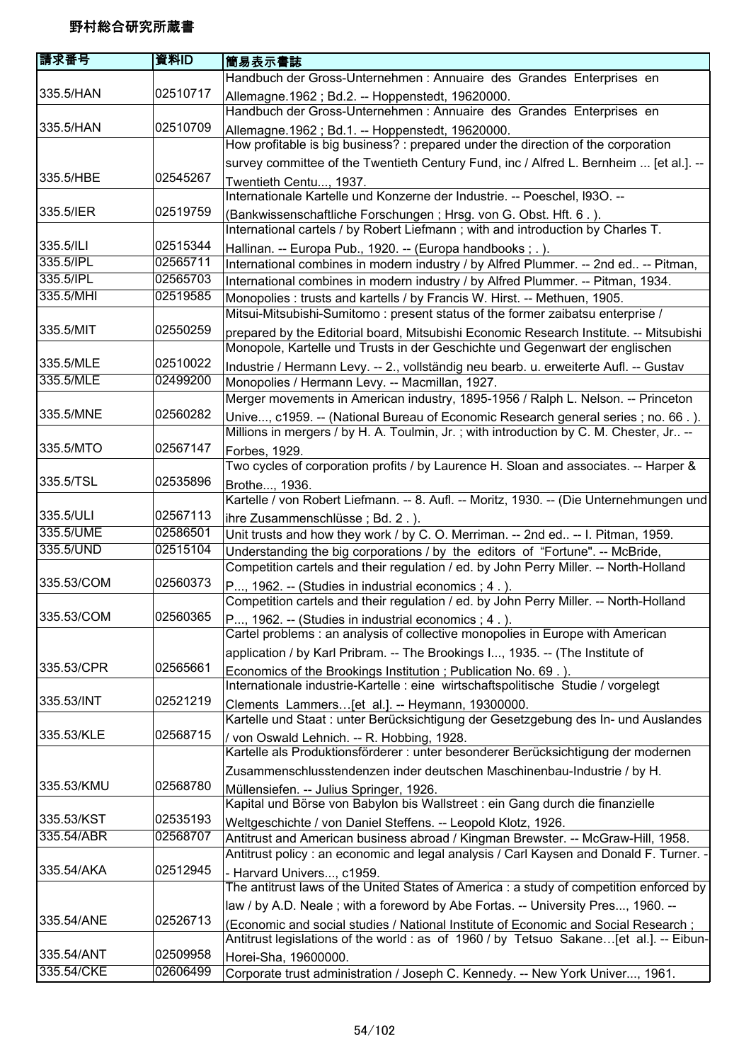| 資料ID     | <b> 簡易表示書誌</b>                                                                                                                                                               |
|----------|------------------------------------------------------------------------------------------------------------------------------------------------------------------------------|
|          | Handbuch der Gross-Unternehmen : Annuaire des Grandes Enterprises en                                                                                                         |
| 02510717 | Allemagne. 1962; Bd.2. -- Hoppenstedt, 19620000.<br>Handbuch der Gross-Unternehmen : Annuaire des Grandes Enterprises en                                                     |
| 02510709 | Allemagne. 1962 ; Bd. 1. -- Hoppenstedt, 19620000.<br>How profitable is big business? : prepared under the direction of the corporation                                      |
|          | survey committee of the Twentieth Century Fund, inc / Alfred L. Bernheim  [et al.]. --                                                                                       |
| 02545267 | Twentieth Centu, 1937.                                                                                                                                                       |
|          | Internationale Kartelle und Konzerne der Industrie. -- Poeschel, I930. --                                                                                                    |
| 02519759 | (Bankwissenschaftliche Forschungen; Hrsg. von G. Obst. Hft. 6.).                                                                                                             |
|          | International cartels / by Robert Liefmann; with and introduction by Charles T.                                                                                              |
| 02515344 | Hallinan. -- Europa Pub., 1920. -- (Europa handbooks;.).                                                                                                                     |
| 02565711 | International combines in modern industry / by Alfred Plummer. -- 2nd ed -- Pitman,                                                                                          |
| 02565703 | International combines in modern industry / by Alfred Plummer. -- Pitman, 1934.                                                                                              |
| 02519585 | Monopolies : trusts and kartells / by Francis W. Hirst. -- Methuen, 1905.                                                                                                    |
|          | Mitsui-Mitsubishi-Sumitomo: present status of the former zaibatsu enterprise /                                                                                               |
| 02550259 | prepared by the Editorial board, Mitsubishi Economic Research Institute. -- Mitsubishi                                                                                       |
|          | Monopole, Kartelle und Trusts in der Geschichte und Gegenwart der englischen                                                                                                 |
|          | Industrie / Hermann Levy. -- 2., vollständig neu bearb. u. erweiterte Aufl. -- Gustav                                                                                        |
|          | Monopolies / Hermann Levy. -- Macmillan, 1927.                                                                                                                               |
|          | Merger movements in American industry, 1895-1956 / Ralph L. Nelson. -- Princeton                                                                                             |
|          | Unive, c1959. -- (National Bureau of Economic Research general series; no. 66.).<br>Millions in mergers / by H. A. Toulmin, Jr.; with introduction by C. M. Chester, Jr --   |
| 02567147 | Forbes, 1929.                                                                                                                                                                |
|          | Two cycles of corporation profits / by Laurence H. Sloan and associates. -- Harper &                                                                                         |
| 02535896 | Brothe, 1936.                                                                                                                                                                |
|          | Kartelle / von Robert Liefmann. -- 8. Aufl. -- Moritz, 1930. -- (Die Unternehmungen und                                                                                      |
| 02567113 | ihre Zusammenschlüsse; Bd. 2.).                                                                                                                                              |
|          | Unit trusts and how they work / by C. O. Merriman. -- 2nd ed -- I. Pitman, 1959.                                                                                             |
|          | Understanding the big corporations / by the editors of "Fortune". -- McBride,                                                                                                |
|          | Competition cartels and their regulation / ed. by John Perry Miller. -- North-Holland                                                                                        |
|          | P, 1962. -- (Studies in industrial economics; 4.).<br>Competition cartels and their regulation / ed. by John Perry Miller. -- North-Holland                                  |
| 02560365 | P, 1962. -- (Studies in industrial economics ; 4.).                                                                                                                          |
|          | Cartel problems : an analysis of collective monopolies in Europe with American                                                                                               |
|          | application / by Karl Pribram. -- The Brookings I, 1935. -- (The Institute of                                                                                                |
| 02565661 | Economics of the Brookings Institution; Publication No. 69.).                                                                                                                |
|          | Internationale industrie-Kartelle : eine wirtschaftspolitische Studie / vorgelegt                                                                                            |
|          | Clements Lammers [et al.]. -- Heymann, 19300000.                                                                                                                             |
|          | Kartelle und Staat : unter Berücksichtigung der Gesetzgebung des In- und Auslandes                                                                                           |
|          | / von Oswald Lehnich. -- R. Hobbing, 1928.                                                                                                                                   |
|          | Kartelle als Produktionsförderer : unter besonderer Berücksichtigung der modernen                                                                                            |
|          | Zusammenschlusstendenzen inder deutschen Maschinenbau-Industrie / by H.                                                                                                      |
|          | Müllensiefen. -- Julius Springer, 1926.                                                                                                                                      |
|          | Kapital und Börse von Babylon bis Wallstreet : ein Gang durch die finanzielle                                                                                                |
|          | Weltgeschichte / von Daniel Steffens. -- Leopold Klotz, 1926.                                                                                                                |
|          | Antitrust and American business abroad / Kingman Brewster. -- McGraw-Hill, 1958.<br>Antitrust policy: an economic and legal analysis / Carl Kaysen and Donald F. Turner.     |
|          |                                                                                                                                                                              |
|          | - Harvard Univers, c1959.<br>The antitrust laws of the United States of America : a study of competition enforced by                                                         |
|          | law / by A.D. Neale; with a foreword by Abe Fortas. -- University Pres, 1960. --                                                                                             |
|          |                                                                                                                                                                              |
|          | (Economic and social studies / National Institute of Economic and Social Research;<br>Antitrust legislations of the world : as of 1960 / by Tetsuo Sakane[et al.]. -- Eibun- |
| 02509958 | Horei-Sha, 19600000.                                                                                                                                                         |
| 02606499 | Corporate trust administration / Joseph C. Kennedy. -- New York Univer, 1961.                                                                                                |
|          | 02510022<br>02499200<br>02560282<br>02586501<br>02515104<br>02560373<br>02521219<br>02568715<br>02568780<br>02535193<br>02568707<br>02512945<br>02526713                     |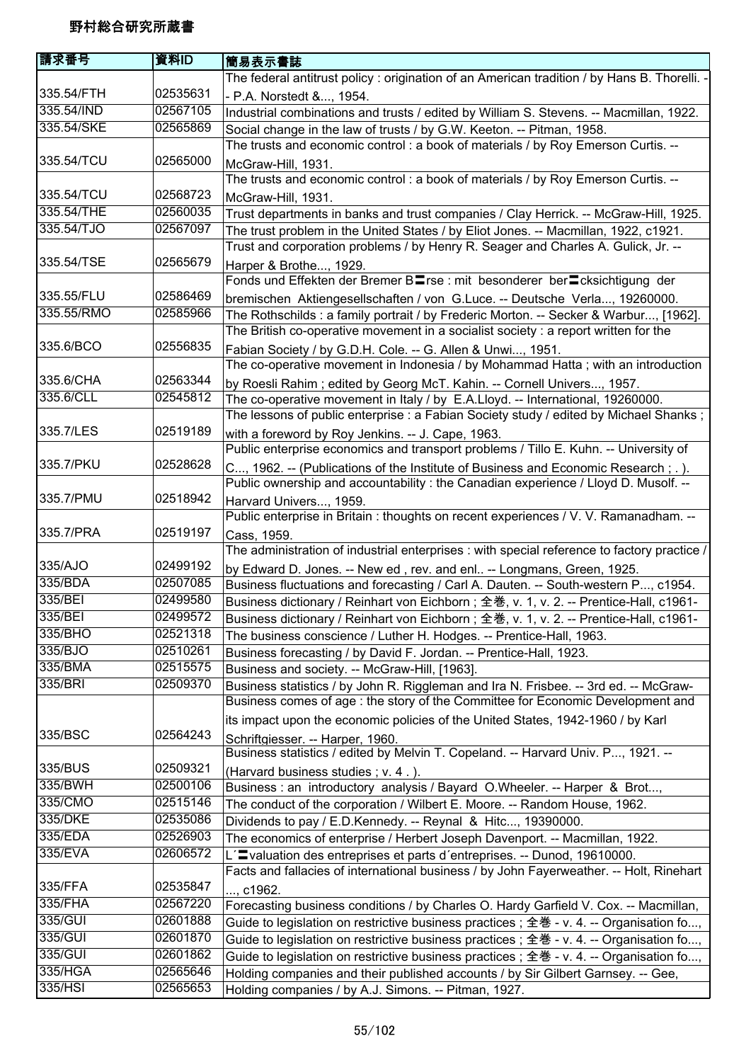| 請求番号       | 資料ID     | 簡易表示書誌                                                                                      |
|------------|----------|---------------------------------------------------------------------------------------------|
|            |          | The federal antitrust policy : origination of an American tradition / by Hans B. Thorelli.  |
| 335.54/FTH | 02535631 | - P.A. Norstedt &, 1954.                                                                    |
| 335.54/IND | 02567105 | Industrial combinations and trusts / edited by William S. Stevens. -- Macmillan, 1922.      |
| 335.54/SKE | 02565869 | Social change in the law of trusts / by G.W. Keeton. -- Pitman, 1958.                       |
|            |          | The trusts and economic control : a book of materials / by Roy Emerson Curtis. --           |
| 335.54/TCU | 02565000 | McGraw-Hill, 1931.                                                                          |
|            |          | The trusts and economic control : a book of materials / by Roy Emerson Curtis. --           |
| 335.54/TCU | 02568723 | McGraw-Hill, 1931.                                                                          |
| 335.54/THE | 02560035 | Trust departments in banks and trust companies / Clay Herrick. -- McGraw-Hill, 1925.        |
| 335.54/TJO | 02567097 | The trust problem in the United States / by Eliot Jones. -- Macmillan, 1922, c1921.         |
|            |          | Trust and corporation problems / by Henry R. Seager and Charles A. Gulick, Jr. --           |
| 335.54/TSE | 02565679 | Harper & Brothe, 1929.                                                                      |
|            |          | Fonds und Effekten der Bremer BIrse : mit besonderer berIcksichtigung der                   |
| 335.55/FLU | 02586469 | bremischen Aktiengesellschaften / von G.Luce. -- Deutsche Verla, 19260000.                  |
| 335.55/RMO | 02585966 | The Rothschilds: a family portrait / by Frederic Morton. -- Secker & Warbur, [1962].        |
|            |          | The British co-operative movement in a socialist society : a report written for the         |
| 335.6/BCO  | 02556835 | Fabian Society / by G.D.H. Cole. -- G. Allen & Unwi, 1951.                                  |
|            |          | The co-operative movement in Indonesia / by Mohammad Hatta; with an introduction            |
| 335.6/CHA  | 02563344 | by Roesli Rahim; edited by Georg McT. Kahin. -- Cornell Univers, 1957.                      |
| 335.6/CLL  | 02545812 | The co-operative movement in Italy / by E.A.Lloyd. -- International, 19260000.              |
|            |          | The lessons of public enterprise : a Fabian Society study / edited by Michael Shanks;       |
| 335.7/LES  | 02519189 | with a foreword by Roy Jenkins. -- J. Cape, 1963.                                           |
|            |          | Public enterprise economics and transport problems / Tillo E. Kuhn. -- University of        |
| 335.7/PKU  | 02528628 | C, 1962. -- (Publications of the Institute of Business and Economic Research; .).           |
|            |          | Public ownership and accountability : the Canadian experience / Lloyd D. Musolf. --         |
| 335.7/PMU  | 02518942 | Harvard Univers, 1959.                                                                      |
|            |          | Public enterprise in Britain : thoughts on recent experiences / V. V. Ramanadham. --        |
| 335.7/PRA  | 02519197 | Cass, 1959.                                                                                 |
|            |          | The administration of industrial enterprises : with special reference to factory practice / |
| 335/AJO    | 02499192 | by Edward D. Jones. -- New ed, rev. and enl -- Longmans, Green, 1925.                       |
| 335/BDA    | 02507085 | Business fluctuations and forecasting / Carl A. Dauten. -- South-western P, c1954.          |
| 335/BEI    | 02499580 | Business dictionary / Reinhart von Eichborn; 全巻, v. 1, v. 2. -- Prentice-Hall, c1961-       |
| 335/BEI    | 02499572 | Business dictionary / Reinhart von Eichborn ; 全巻, v. 1, v. 2. -- Prentice-Hall, c1961-      |
| 335/BHO    | 02521318 | The business conscience / Luther H. Hodges. -- Prentice-Hall, 1963.                         |
| 335/BJO    | 02510261 | Business forecasting / by David F. Jordan. -- Prentice-Hall, 1923.                          |
| 335/BMA    | 02515575 | Business and society. -- McGraw-Hill, [1963].                                               |
| 335/BRI    | 02509370 | Business statistics / by John R. Riggleman and Ira N. Frisbee. -- 3rd ed. -- McGraw-        |
|            |          | Business comes of age : the story of the Committee for Economic Development and             |
|            |          | its impact upon the economic policies of the United States, 1942-1960 / by Karl             |
| 335/BSC    | 02564243 | Schriftgiesser. -- Harper, 1960.                                                            |
|            |          | Business statistics / edited by Melvin T. Copeland. -- Harvard Univ. P, 1921. --            |
| 335/BUS    | 02509321 | (Harvard business studies; v. 4.).                                                          |
| 335/BWH    | 02500106 | Business : an introductory analysis / Bayard O.Wheeler. -- Harper & Brot,                   |
| 335/CMO    | 02515146 | The conduct of the corporation / Wilbert E. Moore. -- Random House, 1962.                   |
| 335/DKE    | 02535086 | Dividends to pay / E.D.Kennedy. -- Reynal & Hitc, 19390000.                                 |
| 335/EDA    | 02526903 | The economics of enterprise / Herbert Joseph Davenport. -- Macmillan, 1922.                 |
| 335/EVA    | 02606572 | L'Evaluation des entreprises et parts d'entreprises. -- Dunod, 19610000.                    |
|            |          | Facts and fallacies of international business / by John Fayerweather. -- Holt, Rinehart     |
| 335/FFA    | 02535847 | , c1962.                                                                                    |
| 335/FHA    | 02567220 | Forecasting business conditions / by Charles O. Hardy Garfield V. Cox. -- Macmillan,        |
| 335/GUI    | 02601888 | Guide to legislation on restrictive business practices ; 全巻 - v. 4. -- Organisation fo,     |
| 335/GUI    | 02601870 | Guide to legislation on restrictive business practices; 全巻 - v. 4. -- Organisation fo,      |
| 335/GUI    | 02601862 | Guide to legislation on restrictive business practices; 全巻 - v. 4. -- Organisation fo,      |
| 335/HGA    | 02565646 | Holding companies and their published accounts / by Sir Gilbert Garnsey. -- Gee,            |
| 335/HSI    | 02565653 | Holding companies / by A.J. Simons. -- Pitman, 1927.                                        |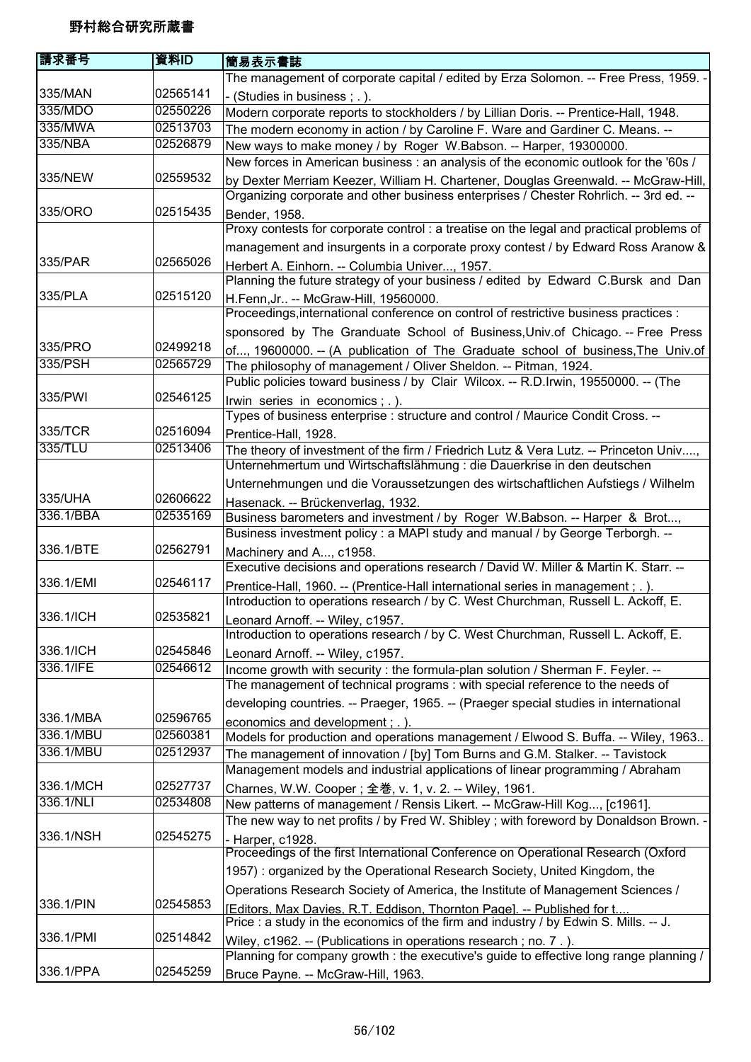| 請求番号      | 資料ID     | 簡易表示書誌                                                                                                                                                           |
|-----------|----------|------------------------------------------------------------------------------------------------------------------------------------------------------------------|
|           |          | The management of corporate capital / edited by Erza Solomon. -- Free Press, 1959. -                                                                             |
| 335/MAN   | 02565141 | - (Studies in business; .).                                                                                                                                      |
| 335/MDO   | 02550226 | Modern corporate reports to stockholders / by Lillian Doris. -- Prentice-Hall, 1948.                                                                             |
| 335/MWA   | 02513703 | The modern economy in action / by Caroline F. Ware and Gardiner C. Means. --                                                                                     |
| 335/NBA   | 02526879 | New ways to make money / by Roger W.Babson. -- Harper, 19300000.                                                                                                 |
|           |          | New forces in American business: an analysis of the economic outlook for the '60s /                                                                              |
| 335/NEW   | 02559532 | by Dexter Merriam Keezer, William H. Chartener, Douglas Greenwald. -- McGraw-Hill,                                                                               |
|           |          | Organizing corporate and other business enterprises / Chester Rohrlich. -- 3rd ed. --                                                                            |
| 335/ORO   | 02515435 | Bender, 1958.                                                                                                                                                    |
|           |          | Proxy contests for corporate control : a treatise on the legal and practical problems of                                                                         |
|           |          | management and insurgents in a corporate proxy contest / by Edward Ross Aranow &                                                                                 |
| 335/PAR   | 02565026 | Herbert A. Einhorn. -- Columbia Univer, 1957.                                                                                                                    |
|           |          | Planning the future strategy of your business / edited by Edward C.Bursk and Dan                                                                                 |
| 335/PLA   | 02515120 | H.Fenn, Jr -- McGraw-Hill, 19560000.                                                                                                                             |
|           |          | Proceedings, international conference on control of restrictive business practices :                                                                             |
|           |          | sponsored by The Granduate School of Business, Univ. of Chicago. -- Free Press                                                                                   |
| 335/PRO   | 02499218 |                                                                                                                                                                  |
| 335/PSH   | 02565729 | of, 19600000. -- (A publication of The Graduate school of business, The Univ.of<br>The philosophy of management / Oliver Sheldon. -- Pitman, 1924.               |
|           |          | Public policies toward business / by Clair Wilcox. -- R.D.Irwin, 19550000. -- (The                                                                               |
| 335/PWI   | 02546125 |                                                                                                                                                                  |
|           |          | Irwin series in economics; .).<br>Types of business enterprise : structure and control / Maurice Condit Cross. --                                                |
| 335/TCR   | 02516094 |                                                                                                                                                                  |
| 335/TLU   | 02513406 | Prentice-Hall, 1928.                                                                                                                                             |
|           |          | The theory of investment of the firm / Friedrich Lutz & Vera Lutz. -- Princeton Univ,<br>Unternehmertum und Wirtschaftslähmung : die Dauerkrise in den deutschen |
|           |          |                                                                                                                                                                  |
| 335/UHA   | 02606622 | Unternehmungen und die Voraussetzungen des wirtschaftlichen Aufstiegs / Wilhelm                                                                                  |
| 336.1/BBA | 02535169 | Hasenack. -- Brückenverlag, 1932.                                                                                                                                |
|           |          | Business barometers and investment / by Roger W.Babson. -- Harper & Brot,                                                                                        |
|           |          | Business investment policy : a MAPI study and manual / by George Terborgh. --                                                                                    |
| 336.1/BTE | 02562791 | Machinery and A, c1958.                                                                                                                                          |
| 336.1/EMI | 02546117 | Executive decisions and operations research / David W. Miller & Martin K. Starr. --                                                                              |
|           |          | Prentice-Hall, 1960. -- (Prentice-Hall international series in management; .).                                                                                   |
|           |          | Introduction to operations research / by C. West Churchman, Russell L. Ackoff, E.                                                                                |
| 336.1/ICH | 02535821 | Leonard Arnoff. -- Wiley, c1957.                                                                                                                                 |
|           |          | Introduction to operations research / by C. West Churchman, Russell L. Ackoff, E.                                                                                |
| 336.1/ICH | 02545846 | Leonard Arnoff. -- Wiley, c1957.                                                                                                                                 |
| 336.1/IFE | 02546612 | Income growth with security : the formula-plan solution / Sherman F. Feyler. --                                                                                  |
|           |          | The management of technical programs: with special reference to the needs of                                                                                     |
|           |          | developing countries. -- Praeger, 1965. -- (Praeger special studies in international                                                                             |
| 336.1/MBA | 02596765 | economics and development; .).                                                                                                                                   |
| 336.1/MBU | 02560381 | Models for production and operations management / Elwood S. Buffa. -- Wiley, 1963                                                                                |
| 336.1/MBU | 02512937 | The management of innovation / [by] Tom Burns and G.M. Stalker. -- Tavistock                                                                                     |
|           |          | Management models and industrial applications of linear programming / Abraham                                                                                    |
| 336.1/MCH | 02527737 | Charnes, W.W. Cooper; 全巻, v. 1, v. 2. -- Wiley, 1961.                                                                                                            |
| 336.1/NLI | 02534808 | New patterns of management / Rensis Likert. -- McGraw-Hill Kog, [c1961].                                                                                         |
|           |          | The new way to net profits / by Fred W. Shibley; with foreword by Donaldson Brown. $\cdot$                                                                       |
| 336.1/NSH | 02545275 | - Harper, c1928.                                                                                                                                                 |
|           |          | Proceedings of the first International Conference on Operational Research (Oxford                                                                                |
|           |          | 1957): organized by the Operational Research Society, United Kingdom, the                                                                                        |
|           |          | Operations Research Society of America, the Institute of Management Sciences /                                                                                   |
| 336.1/PIN | 02545853 | [Editors, Max Davies, R.T. Eddison, Thornton Page]. -- Published for t                                                                                           |
|           |          | Price : a study in the economics of the firm and industry / by Edwin S. Mills. -- J.                                                                             |
| 336.1/PMI | 02514842 | Wiley, c1962. -- (Publications in operations research; no. 7.).                                                                                                  |
|           |          | Planning for company growth : the executive's guide to effective long range planning /                                                                           |
| 336.1/PPA | 02545259 | Bruce Payne. -- McGraw-Hill, 1963.                                                                                                                               |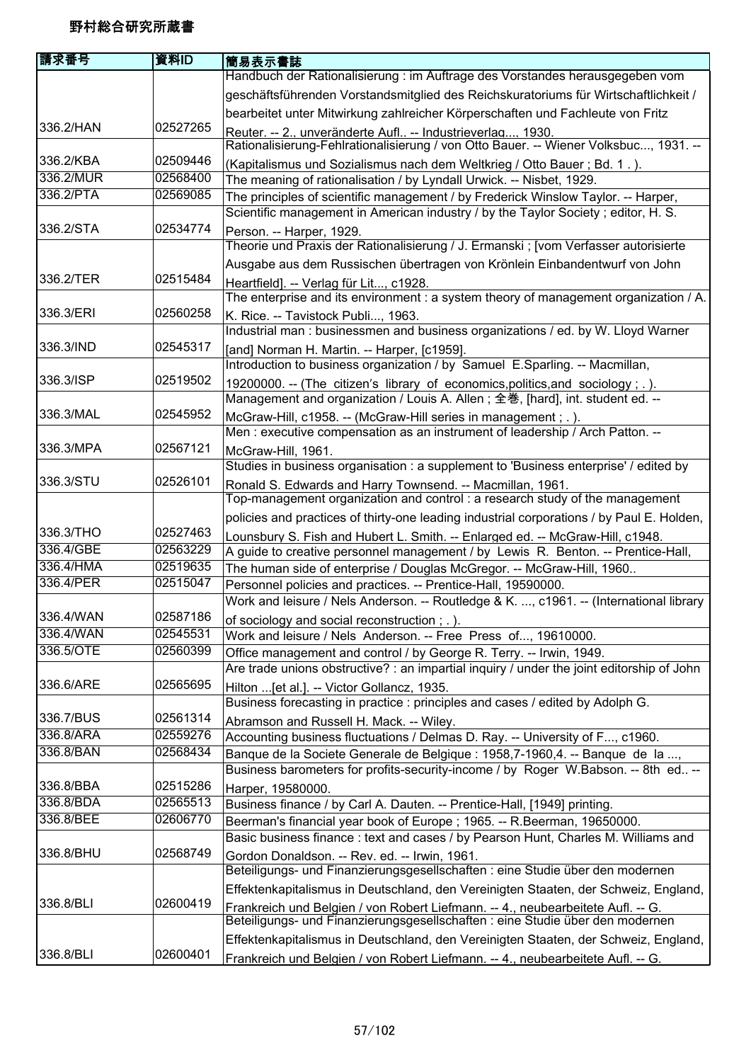| 請求番号      | 資料ID     | 簡易表示書誌                                                                                                                                                          |
|-----------|----------|-----------------------------------------------------------------------------------------------------------------------------------------------------------------|
|           |          | Handbuch der Rationalisierung : im Auftrage des Vorstandes herausgegeben vom                                                                                    |
|           |          | geschäftsführenden Vorstandsmitglied des Reichskuratoriums für Wirtschaftlichkeit /                                                                             |
|           |          | bearbeitet unter Mitwirkung zahlreicher Körperschaften und Fachleute von Fritz                                                                                  |
| 336.2/HAN | 02527265 | Reuter. -- 2., unveränderte Aufl -- Industrieverlag, 1930.<br>Rationalisierung-Fehlrationalisierung / von Otto Bauer. -- Wiener Volksbuc, 1931. --              |
| 336.2/KBA | 02509446 | (Kapitalismus und Sozialismus nach dem Weltkrieg / Otto Bauer ; Bd. 1.).                                                                                        |
| 336.2/MUR | 02568400 | The meaning of rationalisation / by Lyndall Urwick. -- Nisbet, 1929.                                                                                            |
| 336.2/PTA | 02569085 | The principles of scientific management / by Frederick Winslow Taylor. -- Harper,                                                                               |
|           |          | Scientific management in American industry / by the Taylor Society; editor, H. S.                                                                               |
| 336.2/STA | 02534774 | Person. -- Harper, 1929.                                                                                                                                        |
|           |          | Theorie und Praxis der Rationalisierung / J. Ermanski ; [vom Verfasser autorisierte                                                                             |
| 336.2/TER | 02515484 | Ausgabe aus dem Russischen übertragen von Krönlein Einbandentwurf von John                                                                                      |
|           |          | Heartfield]. -- Verlag für Lit, c1928.<br>The enterprise and its environment : a system theory of management organization / A.                                  |
| 336.3/ERI | 02560258 | K. Rice. -- Tavistock Publi, 1963.                                                                                                                              |
|           |          | Industrial man: businessmen and business organizations / ed. by W. Lloyd Warner                                                                                 |
| 336.3/IND | 02545317 | [and] Norman H. Martin. -- Harper, [c1959].                                                                                                                     |
| 336.3/ISP | 02519502 | Introduction to business organization / by Samuel E.Sparling. -- Macmillan,                                                                                     |
|           |          | 19200000. -- (The citizen's library of economics, politics, and sociology; .).<br>Management and organization / Louis A. Allen; 全巻, [hard], int. student ed. -- |
| 336.3/MAL | 02545952 | McGraw-Hill, c1958. -- (McGraw-Hill series in management ; . ).                                                                                                 |
|           |          | Men : executive compensation as an instrument of leadership / Arch Patton. --                                                                                   |
| 336.3/MPA | 02567121 | McGraw-Hill, 1961.                                                                                                                                              |
| 336.3/STU | 02526101 | Studies in business organisation : a supplement to 'Business enterprise' / edited by                                                                            |
|           |          | Ronald S. Edwards and Harry Townsend. -- Macmillan, 1961.<br>Top-management organization and control: a research study of the management                        |
|           |          | policies and practices of thirty-one leading industrial corporations / by Paul E. Holden,                                                                       |
| 336.3/THO | 02527463 | Lounsbury S. Fish and Hubert L. Smith. -- Enlarged ed. -- McGraw-Hill, c1948.                                                                                   |
| 336.4/GBE | 02563229 | A guide to creative personnel management / by Lewis R. Benton. -- Prentice-Hall,                                                                                |
| 336.4/HMA | 02519635 | The human side of enterprise / Douglas McGregor. -- McGraw-Hill, 1960                                                                                           |
| 336.4/PER | 02515047 | Personnel policies and practices. -- Prentice-Hall, 19590000.                                                                                                   |
| 336.4/WAN | 02587186 | Work and leisure / Nels Anderson. -- Routledge & K. , c1961. -- (International library                                                                          |
| 336.4/WAN | 02545531 | of sociology and social reconstruction; .).<br>Work and leisure / Nels Anderson. -- Free Press of, 19610000.                                                    |
| 336.5/OTE | 02560399 | Office management and control / by George R. Terry. -- Irwin, 1949.                                                                                             |
|           |          | Are trade unions obstructive? : an impartial inquiry / under the joint editorship of John                                                                       |
| 336.6/ARE | 02565695 | Hilton  [et al.]. -- Victor Gollancz, 1935.                                                                                                                     |
|           |          | Business forecasting in practice : principles and cases / edited by Adolph G.                                                                                   |
| 336.7/BUS | 02561314 | Abramson and Russell H. Mack. -- Wiley.                                                                                                                         |
| 336.8/ARA | 02559276 | Accounting business fluctuations / Delmas D. Ray. -- University of F, c1960.                                                                                    |
| 336.8/BAN | 02568434 | Banque de la Societe Generale de Belgique : 1958,7-1960,4. -- Banque de la ,                                                                                    |
|           |          | Business barometers for profits-security-income / by Roger W.Babson. -- 8th ed --                                                                               |
| 336.8/BBA | 02515286 | Harper, 19580000.                                                                                                                                               |
| 336.8/BDA | 02565513 | Business finance / by Carl A. Dauten. -- Prentice-Hall, [1949] printing.                                                                                        |
| 336.8/BEE | 02606770 | Beerman's financial year book of Europe; 1965. -- R. Beerman, 19650000.<br>Basic business finance : text and cases / by Pearson Hunt, Charles M. Williams and   |
| 336.8/BHU | 02568749 | Gordon Donaldson. -- Rev. ed. -- Irwin, 1961.                                                                                                                   |
|           |          | Beteiligungs- und Finanzierungsgesellschaften : eine Studie über den modernen                                                                                   |
|           |          | Effektenkapitalismus in Deutschland, den Vereinigten Staaten, der Schweiz, England,                                                                             |
| 336.8/BLI | 02600419 | Frankreich und Belgien / von Robert Liefmann. -- 4., neubearbeitete Aufl. -- G.                                                                                 |
|           |          | Beteiligungs- und Finanzierungsgesellschaften : eine Studie über den modernen                                                                                   |
|           |          | Effektenkapitalismus in Deutschland, den Vereinigten Staaten, der Schweiz, England,                                                                             |
| 336.8/BLI | 02600401 | Frankreich und Belgien / von Robert Liefmann. -- 4., neubearbeitete Aufl. -- G.                                                                                 |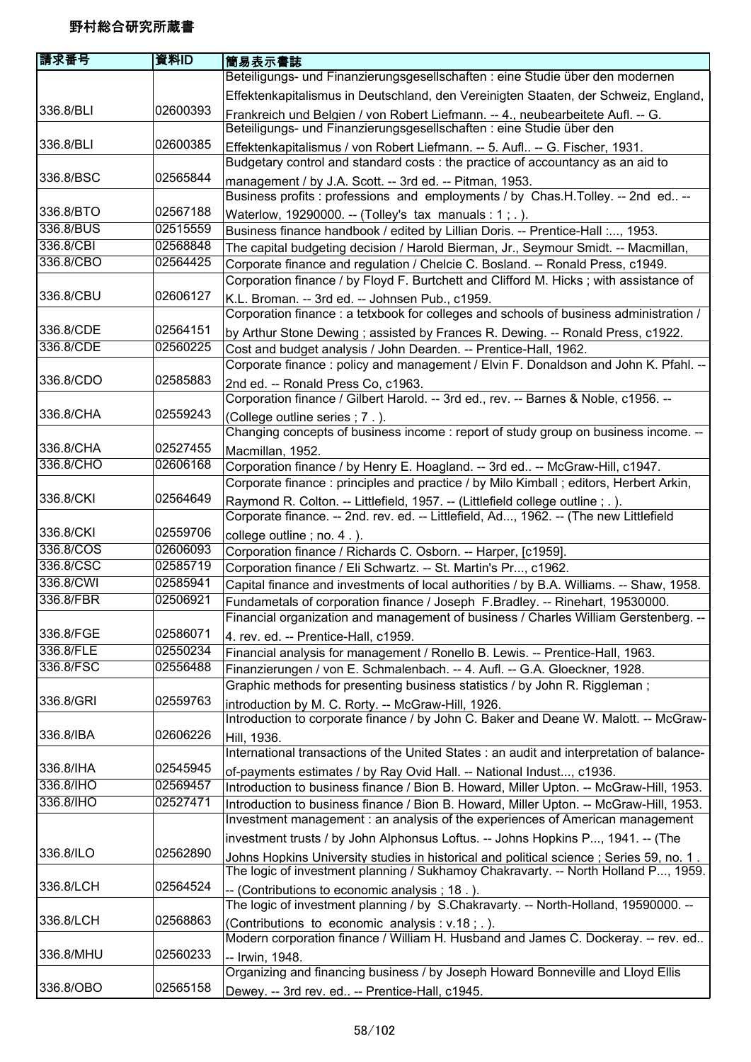| Beteiligungs- und Finanzierungsgesellschaften : eine Studie über den modernen<br>Effektenkapitalismus in Deutschland, den Vereinigten Staaten, der Schweiz, England,<br>336.8/BLI<br>02600393<br>Frankreich und Belgien / von Robert Liefmann. -- 4., neubearbeitete Aufl. -- G.<br>Beteiligungs- und Finanzierungsgesellschaften : eine Studie über den<br>02600385<br>336.8/BLI<br>Effektenkapitalismus / von Robert Liefmann. -- 5. Aufl -- G. Fischer, 1931.<br>Budgetary control and standard costs : the practice of accountancy as an aid to<br>336.8/BSC<br>02565844<br>management / by J.A. Scott. -- 3rd ed. -- Pitman, 1953.<br>Business profits : professions and employments / by Chas.H.Tolley. -- 2nd ed --<br>336.8/BTO<br>02567188<br>Waterlow, 19290000. -- (Tolley's tax manuals : $1$ ; .).<br>336.8/BUS<br>02515559<br>Business finance handbook / edited by Lillian Doris. -- Prentice-Hall :, 1953.<br>336.8/CBI<br>02568848<br>The capital budgeting decision / Harold Bierman, Jr., Seymour Smidt. -- Macmillan,<br>336.8/CBO<br>02564425<br>Corporate finance and regulation / Chelcie C. Bosland. -- Ronald Press, c1949.<br>Corporation finance / by Floyd F. Burtchett and Clifford M. Hicks; with assistance of<br>336.8/CBU<br>02606127<br>K.L. Broman. -- 3rd ed. -- Johnsen Pub., c1959.<br>Corporation finance : a tetxbook for colleges and schools of business administration /<br>336.8/CDE<br>02564151<br>by Arthur Stone Dewing; assisted by Frances R. Dewing. -- Ronald Press, c1922.<br>336.8/CDE<br>02560225<br>Cost and budget analysis / John Dearden. -- Prentice-Hall, 1962.<br>Corporate finance : policy and management / Elvin F. Donaldson and John K. Pfahl. --<br>336.8/CDO<br>02585883<br>2nd ed. -- Ronald Press Co, c1963.<br>Corporation finance / Gilbert Harold. -- 3rd ed., rev. -- Barnes & Noble, c1956. --<br>336.8/CHA<br>02559243<br>(College outline series; 7.).<br>Changing concepts of business income : report of study group on business income. --<br>336.8/CHA<br>02527455<br>Macmillan, 1952.<br>336.8/CHO<br>02606168<br>Corporation finance / by Henry E. Hoagland. -- 3rd ed -- McGraw-Hill, c1947.<br>Corporate finance : principles and practice / by Milo Kimball ; editors, Herbert Arkin,<br>336.8/CKI<br>02564649<br>Raymond R. Colton. -- Littlefield, 1957. -- (Littlefield college outline; .).<br>Corporate finance. -- 2nd. rev. ed. -- Littlefield, Ad, 1962. -- (The new Littlefield<br>336.8/CKI<br>02559706<br>college outline; no. 4.).<br>336.8/COS<br>02606093<br>Corporation finance / Richards C. Osborn. -- Harper, [c1959].<br>336.8/CSC<br>02585719<br>Corporation finance / Eli Schwartz. -- St. Martin's Pr, c1962.<br>336.8/CWI<br>02585941<br>Capital finance and investments of local authorities / by B.A. Williams. -- Shaw, 1958.<br>336.8/FBR<br>02506921<br>Fundametals of corporation finance / Joseph F.Bradley. -- Rinehart, 19530000.<br>Financial organization and management of business / Charles William Gerstenberg. -<br>336.8/FGE<br>02586071<br>4. rev. ed. -- Prentice-Hall, c1959.<br>336.8/FLE<br>02550234<br>Financial analysis for management / Ronello B. Lewis. -- Prentice-Hall, 1963.<br>336.8/FSC<br>02556488<br>Finanzierungen / von E. Schmalenbach. -- 4. Aufl. -- G.A. Gloeckner, 1928.<br>Graphic methods for presenting business statistics / by John R. Riggleman;<br>336.8/GRI<br>02559763<br>introduction by M. C. Rorty. -- McGraw-Hill, 1926.<br>Introduction to corporate finance / by John C. Baker and Deane W. Malott. -- McGraw-<br>336.8/IBA<br>02606226<br>Hill, 1936.<br>International transactions of the United States : an audit and interpretation of balance-<br>336.8/IHA<br>02545945<br>of-payments estimates / by Ray Ovid Hall. -- National Indust, c1936.<br>336.8/IHO<br>02569457<br>Introduction to business finance / Bion B. Howard, Miller Upton. -- McGraw-Hill, 1953.<br>336.8/IHO<br>02527471<br>Introduction to business finance / Bion B. Howard, Miller Upton. -- McGraw-Hill, 1953.<br>Investment management : an analysis of the experiences of American management<br>investment trusts / by John Alphonsus Loftus. -- Johns Hopkins P, 1941. -- (The<br>336.8/ILO<br>02562890<br>Johns Hopkins University studies in historical and political science; Series 59, no. 1.<br>The logic of investment planning / Sukhamoy Chakravarty. -- North Holland P, 1959.<br>336.8/LCH<br>02564524<br>-- (Contributions to economic analysis; 18.).<br>The logic of investment planning / by S.Chakravarty. -- North-Holland, 19590000. --<br>336.8/LCH<br>02568863<br>(Contributions to economic analysis : v.18 ; . ).<br>Modern corporation finance / William H. Husband and James C. Dockeray. -- rev. ed<br>02560233<br>336.8/MHU<br>-- Irwin, 1948. | 請求番号 | 資料ID | 簡易表示書誌 |
|--------------------------------------------------------------------------------------------------------------------------------------------------------------------------------------------------------------------------------------------------------------------------------------------------------------------------------------------------------------------------------------------------------------------------------------------------------------------------------------------------------------------------------------------------------------------------------------------------------------------------------------------------------------------------------------------------------------------------------------------------------------------------------------------------------------------------------------------------------------------------------------------------------------------------------------------------------------------------------------------------------------------------------------------------------------------------------------------------------------------------------------------------------------------------------------------------------------------------------------------------------------------------------------------------------------------------------------------------------------------------------------------------------------------------------------------------------------------------------------------------------------------------------------------------------------------------------------------------------------------------------------------------------------------------------------------------------------------------------------------------------------------------------------------------------------------------------------------------------------------------------------------------------------------------------------------------------------------------------------------------------------------------------------------------------------------------------------------------------------------------------------------------------------------------------------------------------------------------------------------------------------------------------------------------------------------------------------------------------------------------------------------------------------------------------------------------------------------------------------------------------------------------------------------------------------------------------------------------------------------------------------------------------------------------------------------------------------------------------------------------------------------------------------------------------------------------------------------------------------------------------------------------------------------------------------------------------------------------------------------------------------------------------------------------------------------------------------------------------------------------------------------------------------------------------------------------------------------------------------------------------------------------------------------------------------------------------------------------------------------------------------------------------------------------------------------------------------------------------------------------------------------------------------------------------------------------------------------------------------------------------------------------------------------------------------------------------------------------------------------------------------------------------------------------------------------------------------------------------------------------------------------------------------------------------------------------------------------------------------------------------------------------------------------------------------------------------------------------------------------------------------------------------------------------------------------------------------------------------------------------------------------------------------------------------------------------------------------------------------------------------------------------------------------------------------------------------------------------------------------------------------------------------------------------------------------------------------------------------------------------------------------------------------------------------------------------------------------------------------------------------------------------------------------------------------------------------|------|------|--------|
|                                                                                                                                                                                                                                                                                                                                                                                                                                                                                                                                                                                                                                                                                                                                                                                                                                                                                                                                                                                                                                                                                                                                                                                                                                                                                                                                                                                                                                                                                                                                                                                                                                                                                                                                                                                                                                                                                                                                                                                                                                                                                                                                                                                                                                                                                                                                                                                                                                                                                                                                                                                                                                                                                                                                                                                                                                                                                                                                                                                                                                                                                                                                                                                                                                                                                                                                                                                                                                                                                                                                                                                                                                                                                                                                                                                                                                                                                                                                                                                                                                                                                                                                                                                                                                                                                                                                                                                                                                                                                                                                                                                                                                                                                                                                                                                                                                |      |      |        |
|                                                                                                                                                                                                                                                                                                                                                                                                                                                                                                                                                                                                                                                                                                                                                                                                                                                                                                                                                                                                                                                                                                                                                                                                                                                                                                                                                                                                                                                                                                                                                                                                                                                                                                                                                                                                                                                                                                                                                                                                                                                                                                                                                                                                                                                                                                                                                                                                                                                                                                                                                                                                                                                                                                                                                                                                                                                                                                                                                                                                                                                                                                                                                                                                                                                                                                                                                                                                                                                                                                                                                                                                                                                                                                                                                                                                                                                                                                                                                                                                                                                                                                                                                                                                                                                                                                                                                                                                                                                                                                                                                                                                                                                                                                                                                                                                                                |      |      |        |
|                                                                                                                                                                                                                                                                                                                                                                                                                                                                                                                                                                                                                                                                                                                                                                                                                                                                                                                                                                                                                                                                                                                                                                                                                                                                                                                                                                                                                                                                                                                                                                                                                                                                                                                                                                                                                                                                                                                                                                                                                                                                                                                                                                                                                                                                                                                                                                                                                                                                                                                                                                                                                                                                                                                                                                                                                                                                                                                                                                                                                                                                                                                                                                                                                                                                                                                                                                                                                                                                                                                                                                                                                                                                                                                                                                                                                                                                                                                                                                                                                                                                                                                                                                                                                                                                                                                                                                                                                                                                                                                                                                                                                                                                                                                                                                                                                                |      |      |        |
|                                                                                                                                                                                                                                                                                                                                                                                                                                                                                                                                                                                                                                                                                                                                                                                                                                                                                                                                                                                                                                                                                                                                                                                                                                                                                                                                                                                                                                                                                                                                                                                                                                                                                                                                                                                                                                                                                                                                                                                                                                                                                                                                                                                                                                                                                                                                                                                                                                                                                                                                                                                                                                                                                                                                                                                                                                                                                                                                                                                                                                                                                                                                                                                                                                                                                                                                                                                                                                                                                                                                                                                                                                                                                                                                                                                                                                                                                                                                                                                                                                                                                                                                                                                                                                                                                                                                                                                                                                                                                                                                                                                                                                                                                                                                                                                                                                |      |      |        |
|                                                                                                                                                                                                                                                                                                                                                                                                                                                                                                                                                                                                                                                                                                                                                                                                                                                                                                                                                                                                                                                                                                                                                                                                                                                                                                                                                                                                                                                                                                                                                                                                                                                                                                                                                                                                                                                                                                                                                                                                                                                                                                                                                                                                                                                                                                                                                                                                                                                                                                                                                                                                                                                                                                                                                                                                                                                                                                                                                                                                                                                                                                                                                                                                                                                                                                                                                                                                                                                                                                                                                                                                                                                                                                                                                                                                                                                                                                                                                                                                                                                                                                                                                                                                                                                                                                                                                                                                                                                                                                                                                                                                                                                                                                                                                                                                                                |      |      |        |
|                                                                                                                                                                                                                                                                                                                                                                                                                                                                                                                                                                                                                                                                                                                                                                                                                                                                                                                                                                                                                                                                                                                                                                                                                                                                                                                                                                                                                                                                                                                                                                                                                                                                                                                                                                                                                                                                                                                                                                                                                                                                                                                                                                                                                                                                                                                                                                                                                                                                                                                                                                                                                                                                                                                                                                                                                                                                                                                                                                                                                                                                                                                                                                                                                                                                                                                                                                                                                                                                                                                                                                                                                                                                                                                                                                                                                                                                                                                                                                                                                                                                                                                                                                                                                                                                                                                                                                                                                                                                                                                                                                                                                                                                                                                                                                                                                                |      |      |        |
|                                                                                                                                                                                                                                                                                                                                                                                                                                                                                                                                                                                                                                                                                                                                                                                                                                                                                                                                                                                                                                                                                                                                                                                                                                                                                                                                                                                                                                                                                                                                                                                                                                                                                                                                                                                                                                                                                                                                                                                                                                                                                                                                                                                                                                                                                                                                                                                                                                                                                                                                                                                                                                                                                                                                                                                                                                                                                                                                                                                                                                                                                                                                                                                                                                                                                                                                                                                                                                                                                                                                                                                                                                                                                                                                                                                                                                                                                                                                                                                                                                                                                                                                                                                                                                                                                                                                                                                                                                                                                                                                                                                                                                                                                                                                                                                                                                |      |      |        |
|                                                                                                                                                                                                                                                                                                                                                                                                                                                                                                                                                                                                                                                                                                                                                                                                                                                                                                                                                                                                                                                                                                                                                                                                                                                                                                                                                                                                                                                                                                                                                                                                                                                                                                                                                                                                                                                                                                                                                                                                                                                                                                                                                                                                                                                                                                                                                                                                                                                                                                                                                                                                                                                                                                                                                                                                                                                                                                                                                                                                                                                                                                                                                                                                                                                                                                                                                                                                                                                                                                                                                                                                                                                                                                                                                                                                                                                                                                                                                                                                                                                                                                                                                                                                                                                                                                                                                                                                                                                                                                                                                                                                                                                                                                                                                                                                                                |      |      |        |
|                                                                                                                                                                                                                                                                                                                                                                                                                                                                                                                                                                                                                                                                                                                                                                                                                                                                                                                                                                                                                                                                                                                                                                                                                                                                                                                                                                                                                                                                                                                                                                                                                                                                                                                                                                                                                                                                                                                                                                                                                                                                                                                                                                                                                                                                                                                                                                                                                                                                                                                                                                                                                                                                                                                                                                                                                                                                                                                                                                                                                                                                                                                                                                                                                                                                                                                                                                                                                                                                                                                                                                                                                                                                                                                                                                                                                                                                                                                                                                                                                                                                                                                                                                                                                                                                                                                                                                                                                                                                                                                                                                                                                                                                                                                                                                                                                                |      |      |        |
|                                                                                                                                                                                                                                                                                                                                                                                                                                                                                                                                                                                                                                                                                                                                                                                                                                                                                                                                                                                                                                                                                                                                                                                                                                                                                                                                                                                                                                                                                                                                                                                                                                                                                                                                                                                                                                                                                                                                                                                                                                                                                                                                                                                                                                                                                                                                                                                                                                                                                                                                                                                                                                                                                                                                                                                                                                                                                                                                                                                                                                                                                                                                                                                                                                                                                                                                                                                                                                                                                                                                                                                                                                                                                                                                                                                                                                                                                                                                                                                                                                                                                                                                                                                                                                                                                                                                                                                                                                                                                                                                                                                                                                                                                                                                                                                                                                |      |      |        |
|                                                                                                                                                                                                                                                                                                                                                                                                                                                                                                                                                                                                                                                                                                                                                                                                                                                                                                                                                                                                                                                                                                                                                                                                                                                                                                                                                                                                                                                                                                                                                                                                                                                                                                                                                                                                                                                                                                                                                                                                                                                                                                                                                                                                                                                                                                                                                                                                                                                                                                                                                                                                                                                                                                                                                                                                                                                                                                                                                                                                                                                                                                                                                                                                                                                                                                                                                                                                                                                                                                                                                                                                                                                                                                                                                                                                                                                                                                                                                                                                                                                                                                                                                                                                                                                                                                                                                                                                                                                                                                                                                                                                                                                                                                                                                                                                                                |      |      |        |
|                                                                                                                                                                                                                                                                                                                                                                                                                                                                                                                                                                                                                                                                                                                                                                                                                                                                                                                                                                                                                                                                                                                                                                                                                                                                                                                                                                                                                                                                                                                                                                                                                                                                                                                                                                                                                                                                                                                                                                                                                                                                                                                                                                                                                                                                                                                                                                                                                                                                                                                                                                                                                                                                                                                                                                                                                                                                                                                                                                                                                                                                                                                                                                                                                                                                                                                                                                                                                                                                                                                                                                                                                                                                                                                                                                                                                                                                                                                                                                                                                                                                                                                                                                                                                                                                                                                                                                                                                                                                                                                                                                                                                                                                                                                                                                                                                                |      |      |        |
|                                                                                                                                                                                                                                                                                                                                                                                                                                                                                                                                                                                                                                                                                                                                                                                                                                                                                                                                                                                                                                                                                                                                                                                                                                                                                                                                                                                                                                                                                                                                                                                                                                                                                                                                                                                                                                                                                                                                                                                                                                                                                                                                                                                                                                                                                                                                                                                                                                                                                                                                                                                                                                                                                                                                                                                                                                                                                                                                                                                                                                                                                                                                                                                                                                                                                                                                                                                                                                                                                                                                                                                                                                                                                                                                                                                                                                                                                                                                                                                                                                                                                                                                                                                                                                                                                                                                                                                                                                                                                                                                                                                                                                                                                                                                                                                                                                |      |      |        |
|                                                                                                                                                                                                                                                                                                                                                                                                                                                                                                                                                                                                                                                                                                                                                                                                                                                                                                                                                                                                                                                                                                                                                                                                                                                                                                                                                                                                                                                                                                                                                                                                                                                                                                                                                                                                                                                                                                                                                                                                                                                                                                                                                                                                                                                                                                                                                                                                                                                                                                                                                                                                                                                                                                                                                                                                                                                                                                                                                                                                                                                                                                                                                                                                                                                                                                                                                                                                                                                                                                                                                                                                                                                                                                                                                                                                                                                                                                                                                                                                                                                                                                                                                                                                                                                                                                                                                                                                                                                                                                                                                                                                                                                                                                                                                                                                                                |      |      |        |
|                                                                                                                                                                                                                                                                                                                                                                                                                                                                                                                                                                                                                                                                                                                                                                                                                                                                                                                                                                                                                                                                                                                                                                                                                                                                                                                                                                                                                                                                                                                                                                                                                                                                                                                                                                                                                                                                                                                                                                                                                                                                                                                                                                                                                                                                                                                                                                                                                                                                                                                                                                                                                                                                                                                                                                                                                                                                                                                                                                                                                                                                                                                                                                                                                                                                                                                                                                                                                                                                                                                                                                                                                                                                                                                                                                                                                                                                                                                                                                                                                                                                                                                                                                                                                                                                                                                                                                                                                                                                                                                                                                                                                                                                                                                                                                                                                                |      |      |        |
|                                                                                                                                                                                                                                                                                                                                                                                                                                                                                                                                                                                                                                                                                                                                                                                                                                                                                                                                                                                                                                                                                                                                                                                                                                                                                                                                                                                                                                                                                                                                                                                                                                                                                                                                                                                                                                                                                                                                                                                                                                                                                                                                                                                                                                                                                                                                                                                                                                                                                                                                                                                                                                                                                                                                                                                                                                                                                                                                                                                                                                                                                                                                                                                                                                                                                                                                                                                                                                                                                                                                                                                                                                                                                                                                                                                                                                                                                                                                                                                                                                                                                                                                                                                                                                                                                                                                                                                                                                                                                                                                                                                                                                                                                                                                                                                                                                |      |      |        |
|                                                                                                                                                                                                                                                                                                                                                                                                                                                                                                                                                                                                                                                                                                                                                                                                                                                                                                                                                                                                                                                                                                                                                                                                                                                                                                                                                                                                                                                                                                                                                                                                                                                                                                                                                                                                                                                                                                                                                                                                                                                                                                                                                                                                                                                                                                                                                                                                                                                                                                                                                                                                                                                                                                                                                                                                                                                                                                                                                                                                                                                                                                                                                                                                                                                                                                                                                                                                                                                                                                                                                                                                                                                                                                                                                                                                                                                                                                                                                                                                                                                                                                                                                                                                                                                                                                                                                                                                                                                                                                                                                                                                                                                                                                                                                                                                                                |      |      |        |
|                                                                                                                                                                                                                                                                                                                                                                                                                                                                                                                                                                                                                                                                                                                                                                                                                                                                                                                                                                                                                                                                                                                                                                                                                                                                                                                                                                                                                                                                                                                                                                                                                                                                                                                                                                                                                                                                                                                                                                                                                                                                                                                                                                                                                                                                                                                                                                                                                                                                                                                                                                                                                                                                                                                                                                                                                                                                                                                                                                                                                                                                                                                                                                                                                                                                                                                                                                                                                                                                                                                                                                                                                                                                                                                                                                                                                                                                                                                                                                                                                                                                                                                                                                                                                                                                                                                                                                                                                                                                                                                                                                                                                                                                                                                                                                                                                                |      |      |        |
|                                                                                                                                                                                                                                                                                                                                                                                                                                                                                                                                                                                                                                                                                                                                                                                                                                                                                                                                                                                                                                                                                                                                                                                                                                                                                                                                                                                                                                                                                                                                                                                                                                                                                                                                                                                                                                                                                                                                                                                                                                                                                                                                                                                                                                                                                                                                                                                                                                                                                                                                                                                                                                                                                                                                                                                                                                                                                                                                                                                                                                                                                                                                                                                                                                                                                                                                                                                                                                                                                                                                                                                                                                                                                                                                                                                                                                                                                                                                                                                                                                                                                                                                                                                                                                                                                                                                                                                                                                                                                                                                                                                                                                                                                                                                                                                                                                |      |      |        |
|                                                                                                                                                                                                                                                                                                                                                                                                                                                                                                                                                                                                                                                                                                                                                                                                                                                                                                                                                                                                                                                                                                                                                                                                                                                                                                                                                                                                                                                                                                                                                                                                                                                                                                                                                                                                                                                                                                                                                                                                                                                                                                                                                                                                                                                                                                                                                                                                                                                                                                                                                                                                                                                                                                                                                                                                                                                                                                                                                                                                                                                                                                                                                                                                                                                                                                                                                                                                                                                                                                                                                                                                                                                                                                                                                                                                                                                                                                                                                                                                                                                                                                                                                                                                                                                                                                                                                                                                                                                                                                                                                                                                                                                                                                                                                                                                                                |      |      |        |
|                                                                                                                                                                                                                                                                                                                                                                                                                                                                                                                                                                                                                                                                                                                                                                                                                                                                                                                                                                                                                                                                                                                                                                                                                                                                                                                                                                                                                                                                                                                                                                                                                                                                                                                                                                                                                                                                                                                                                                                                                                                                                                                                                                                                                                                                                                                                                                                                                                                                                                                                                                                                                                                                                                                                                                                                                                                                                                                                                                                                                                                                                                                                                                                                                                                                                                                                                                                                                                                                                                                                                                                                                                                                                                                                                                                                                                                                                                                                                                                                                                                                                                                                                                                                                                                                                                                                                                                                                                                                                                                                                                                                                                                                                                                                                                                                                                |      |      |        |
|                                                                                                                                                                                                                                                                                                                                                                                                                                                                                                                                                                                                                                                                                                                                                                                                                                                                                                                                                                                                                                                                                                                                                                                                                                                                                                                                                                                                                                                                                                                                                                                                                                                                                                                                                                                                                                                                                                                                                                                                                                                                                                                                                                                                                                                                                                                                                                                                                                                                                                                                                                                                                                                                                                                                                                                                                                                                                                                                                                                                                                                                                                                                                                                                                                                                                                                                                                                                                                                                                                                                                                                                                                                                                                                                                                                                                                                                                                                                                                                                                                                                                                                                                                                                                                                                                                                                                                                                                                                                                                                                                                                                                                                                                                                                                                                                                                |      |      |        |
|                                                                                                                                                                                                                                                                                                                                                                                                                                                                                                                                                                                                                                                                                                                                                                                                                                                                                                                                                                                                                                                                                                                                                                                                                                                                                                                                                                                                                                                                                                                                                                                                                                                                                                                                                                                                                                                                                                                                                                                                                                                                                                                                                                                                                                                                                                                                                                                                                                                                                                                                                                                                                                                                                                                                                                                                                                                                                                                                                                                                                                                                                                                                                                                                                                                                                                                                                                                                                                                                                                                                                                                                                                                                                                                                                                                                                                                                                                                                                                                                                                                                                                                                                                                                                                                                                                                                                                                                                                                                                                                                                                                                                                                                                                                                                                                                                                |      |      |        |
|                                                                                                                                                                                                                                                                                                                                                                                                                                                                                                                                                                                                                                                                                                                                                                                                                                                                                                                                                                                                                                                                                                                                                                                                                                                                                                                                                                                                                                                                                                                                                                                                                                                                                                                                                                                                                                                                                                                                                                                                                                                                                                                                                                                                                                                                                                                                                                                                                                                                                                                                                                                                                                                                                                                                                                                                                                                                                                                                                                                                                                                                                                                                                                                                                                                                                                                                                                                                                                                                                                                                                                                                                                                                                                                                                                                                                                                                                                                                                                                                                                                                                                                                                                                                                                                                                                                                                                                                                                                                                                                                                                                                                                                                                                                                                                                                                                |      |      |        |
|                                                                                                                                                                                                                                                                                                                                                                                                                                                                                                                                                                                                                                                                                                                                                                                                                                                                                                                                                                                                                                                                                                                                                                                                                                                                                                                                                                                                                                                                                                                                                                                                                                                                                                                                                                                                                                                                                                                                                                                                                                                                                                                                                                                                                                                                                                                                                                                                                                                                                                                                                                                                                                                                                                                                                                                                                                                                                                                                                                                                                                                                                                                                                                                                                                                                                                                                                                                                                                                                                                                                                                                                                                                                                                                                                                                                                                                                                                                                                                                                                                                                                                                                                                                                                                                                                                                                                                                                                                                                                                                                                                                                                                                                                                                                                                                                                                |      |      |        |
|                                                                                                                                                                                                                                                                                                                                                                                                                                                                                                                                                                                                                                                                                                                                                                                                                                                                                                                                                                                                                                                                                                                                                                                                                                                                                                                                                                                                                                                                                                                                                                                                                                                                                                                                                                                                                                                                                                                                                                                                                                                                                                                                                                                                                                                                                                                                                                                                                                                                                                                                                                                                                                                                                                                                                                                                                                                                                                                                                                                                                                                                                                                                                                                                                                                                                                                                                                                                                                                                                                                                                                                                                                                                                                                                                                                                                                                                                                                                                                                                                                                                                                                                                                                                                                                                                                                                                                                                                                                                                                                                                                                                                                                                                                                                                                                                                                |      |      |        |
|                                                                                                                                                                                                                                                                                                                                                                                                                                                                                                                                                                                                                                                                                                                                                                                                                                                                                                                                                                                                                                                                                                                                                                                                                                                                                                                                                                                                                                                                                                                                                                                                                                                                                                                                                                                                                                                                                                                                                                                                                                                                                                                                                                                                                                                                                                                                                                                                                                                                                                                                                                                                                                                                                                                                                                                                                                                                                                                                                                                                                                                                                                                                                                                                                                                                                                                                                                                                                                                                                                                                                                                                                                                                                                                                                                                                                                                                                                                                                                                                                                                                                                                                                                                                                                                                                                                                                                                                                                                                                                                                                                                                                                                                                                                                                                                                                                |      |      |        |
|                                                                                                                                                                                                                                                                                                                                                                                                                                                                                                                                                                                                                                                                                                                                                                                                                                                                                                                                                                                                                                                                                                                                                                                                                                                                                                                                                                                                                                                                                                                                                                                                                                                                                                                                                                                                                                                                                                                                                                                                                                                                                                                                                                                                                                                                                                                                                                                                                                                                                                                                                                                                                                                                                                                                                                                                                                                                                                                                                                                                                                                                                                                                                                                                                                                                                                                                                                                                                                                                                                                                                                                                                                                                                                                                                                                                                                                                                                                                                                                                                                                                                                                                                                                                                                                                                                                                                                                                                                                                                                                                                                                                                                                                                                                                                                                                                                |      |      |        |
|                                                                                                                                                                                                                                                                                                                                                                                                                                                                                                                                                                                                                                                                                                                                                                                                                                                                                                                                                                                                                                                                                                                                                                                                                                                                                                                                                                                                                                                                                                                                                                                                                                                                                                                                                                                                                                                                                                                                                                                                                                                                                                                                                                                                                                                                                                                                                                                                                                                                                                                                                                                                                                                                                                                                                                                                                                                                                                                                                                                                                                                                                                                                                                                                                                                                                                                                                                                                                                                                                                                                                                                                                                                                                                                                                                                                                                                                                                                                                                                                                                                                                                                                                                                                                                                                                                                                                                                                                                                                                                                                                                                                                                                                                                                                                                                                                                |      |      |        |
|                                                                                                                                                                                                                                                                                                                                                                                                                                                                                                                                                                                                                                                                                                                                                                                                                                                                                                                                                                                                                                                                                                                                                                                                                                                                                                                                                                                                                                                                                                                                                                                                                                                                                                                                                                                                                                                                                                                                                                                                                                                                                                                                                                                                                                                                                                                                                                                                                                                                                                                                                                                                                                                                                                                                                                                                                                                                                                                                                                                                                                                                                                                                                                                                                                                                                                                                                                                                                                                                                                                                                                                                                                                                                                                                                                                                                                                                                                                                                                                                                                                                                                                                                                                                                                                                                                                                                                                                                                                                                                                                                                                                                                                                                                                                                                                                                                |      |      |        |
|                                                                                                                                                                                                                                                                                                                                                                                                                                                                                                                                                                                                                                                                                                                                                                                                                                                                                                                                                                                                                                                                                                                                                                                                                                                                                                                                                                                                                                                                                                                                                                                                                                                                                                                                                                                                                                                                                                                                                                                                                                                                                                                                                                                                                                                                                                                                                                                                                                                                                                                                                                                                                                                                                                                                                                                                                                                                                                                                                                                                                                                                                                                                                                                                                                                                                                                                                                                                                                                                                                                                                                                                                                                                                                                                                                                                                                                                                                                                                                                                                                                                                                                                                                                                                                                                                                                                                                                                                                                                                                                                                                                                                                                                                                                                                                                                                                |      |      |        |
|                                                                                                                                                                                                                                                                                                                                                                                                                                                                                                                                                                                                                                                                                                                                                                                                                                                                                                                                                                                                                                                                                                                                                                                                                                                                                                                                                                                                                                                                                                                                                                                                                                                                                                                                                                                                                                                                                                                                                                                                                                                                                                                                                                                                                                                                                                                                                                                                                                                                                                                                                                                                                                                                                                                                                                                                                                                                                                                                                                                                                                                                                                                                                                                                                                                                                                                                                                                                                                                                                                                                                                                                                                                                                                                                                                                                                                                                                                                                                                                                                                                                                                                                                                                                                                                                                                                                                                                                                                                                                                                                                                                                                                                                                                                                                                                                                                |      |      |        |
|                                                                                                                                                                                                                                                                                                                                                                                                                                                                                                                                                                                                                                                                                                                                                                                                                                                                                                                                                                                                                                                                                                                                                                                                                                                                                                                                                                                                                                                                                                                                                                                                                                                                                                                                                                                                                                                                                                                                                                                                                                                                                                                                                                                                                                                                                                                                                                                                                                                                                                                                                                                                                                                                                                                                                                                                                                                                                                                                                                                                                                                                                                                                                                                                                                                                                                                                                                                                                                                                                                                                                                                                                                                                                                                                                                                                                                                                                                                                                                                                                                                                                                                                                                                                                                                                                                                                                                                                                                                                                                                                                                                                                                                                                                                                                                                                                                |      |      |        |
|                                                                                                                                                                                                                                                                                                                                                                                                                                                                                                                                                                                                                                                                                                                                                                                                                                                                                                                                                                                                                                                                                                                                                                                                                                                                                                                                                                                                                                                                                                                                                                                                                                                                                                                                                                                                                                                                                                                                                                                                                                                                                                                                                                                                                                                                                                                                                                                                                                                                                                                                                                                                                                                                                                                                                                                                                                                                                                                                                                                                                                                                                                                                                                                                                                                                                                                                                                                                                                                                                                                                                                                                                                                                                                                                                                                                                                                                                                                                                                                                                                                                                                                                                                                                                                                                                                                                                                                                                                                                                                                                                                                                                                                                                                                                                                                                                                |      |      |        |
|                                                                                                                                                                                                                                                                                                                                                                                                                                                                                                                                                                                                                                                                                                                                                                                                                                                                                                                                                                                                                                                                                                                                                                                                                                                                                                                                                                                                                                                                                                                                                                                                                                                                                                                                                                                                                                                                                                                                                                                                                                                                                                                                                                                                                                                                                                                                                                                                                                                                                                                                                                                                                                                                                                                                                                                                                                                                                                                                                                                                                                                                                                                                                                                                                                                                                                                                                                                                                                                                                                                                                                                                                                                                                                                                                                                                                                                                                                                                                                                                                                                                                                                                                                                                                                                                                                                                                                                                                                                                                                                                                                                                                                                                                                                                                                                                                                |      |      |        |
|                                                                                                                                                                                                                                                                                                                                                                                                                                                                                                                                                                                                                                                                                                                                                                                                                                                                                                                                                                                                                                                                                                                                                                                                                                                                                                                                                                                                                                                                                                                                                                                                                                                                                                                                                                                                                                                                                                                                                                                                                                                                                                                                                                                                                                                                                                                                                                                                                                                                                                                                                                                                                                                                                                                                                                                                                                                                                                                                                                                                                                                                                                                                                                                                                                                                                                                                                                                                                                                                                                                                                                                                                                                                                                                                                                                                                                                                                                                                                                                                                                                                                                                                                                                                                                                                                                                                                                                                                                                                                                                                                                                                                                                                                                                                                                                                                                |      |      |        |
|                                                                                                                                                                                                                                                                                                                                                                                                                                                                                                                                                                                                                                                                                                                                                                                                                                                                                                                                                                                                                                                                                                                                                                                                                                                                                                                                                                                                                                                                                                                                                                                                                                                                                                                                                                                                                                                                                                                                                                                                                                                                                                                                                                                                                                                                                                                                                                                                                                                                                                                                                                                                                                                                                                                                                                                                                                                                                                                                                                                                                                                                                                                                                                                                                                                                                                                                                                                                                                                                                                                                                                                                                                                                                                                                                                                                                                                                                                                                                                                                                                                                                                                                                                                                                                                                                                                                                                                                                                                                                                                                                                                                                                                                                                                                                                                                                                |      |      |        |
|                                                                                                                                                                                                                                                                                                                                                                                                                                                                                                                                                                                                                                                                                                                                                                                                                                                                                                                                                                                                                                                                                                                                                                                                                                                                                                                                                                                                                                                                                                                                                                                                                                                                                                                                                                                                                                                                                                                                                                                                                                                                                                                                                                                                                                                                                                                                                                                                                                                                                                                                                                                                                                                                                                                                                                                                                                                                                                                                                                                                                                                                                                                                                                                                                                                                                                                                                                                                                                                                                                                                                                                                                                                                                                                                                                                                                                                                                                                                                                                                                                                                                                                                                                                                                                                                                                                                                                                                                                                                                                                                                                                                                                                                                                                                                                                                                                |      |      |        |
|                                                                                                                                                                                                                                                                                                                                                                                                                                                                                                                                                                                                                                                                                                                                                                                                                                                                                                                                                                                                                                                                                                                                                                                                                                                                                                                                                                                                                                                                                                                                                                                                                                                                                                                                                                                                                                                                                                                                                                                                                                                                                                                                                                                                                                                                                                                                                                                                                                                                                                                                                                                                                                                                                                                                                                                                                                                                                                                                                                                                                                                                                                                                                                                                                                                                                                                                                                                                                                                                                                                                                                                                                                                                                                                                                                                                                                                                                                                                                                                                                                                                                                                                                                                                                                                                                                                                                                                                                                                                                                                                                                                                                                                                                                                                                                                                                                |      |      |        |
|                                                                                                                                                                                                                                                                                                                                                                                                                                                                                                                                                                                                                                                                                                                                                                                                                                                                                                                                                                                                                                                                                                                                                                                                                                                                                                                                                                                                                                                                                                                                                                                                                                                                                                                                                                                                                                                                                                                                                                                                                                                                                                                                                                                                                                                                                                                                                                                                                                                                                                                                                                                                                                                                                                                                                                                                                                                                                                                                                                                                                                                                                                                                                                                                                                                                                                                                                                                                                                                                                                                                                                                                                                                                                                                                                                                                                                                                                                                                                                                                                                                                                                                                                                                                                                                                                                                                                                                                                                                                                                                                                                                                                                                                                                                                                                                                                                |      |      |        |
|                                                                                                                                                                                                                                                                                                                                                                                                                                                                                                                                                                                                                                                                                                                                                                                                                                                                                                                                                                                                                                                                                                                                                                                                                                                                                                                                                                                                                                                                                                                                                                                                                                                                                                                                                                                                                                                                                                                                                                                                                                                                                                                                                                                                                                                                                                                                                                                                                                                                                                                                                                                                                                                                                                                                                                                                                                                                                                                                                                                                                                                                                                                                                                                                                                                                                                                                                                                                                                                                                                                                                                                                                                                                                                                                                                                                                                                                                                                                                                                                                                                                                                                                                                                                                                                                                                                                                                                                                                                                                                                                                                                                                                                                                                                                                                                                                                |      |      |        |
|                                                                                                                                                                                                                                                                                                                                                                                                                                                                                                                                                                                                                                                                                                                                                                                                                                                                                                                                                                                                                                                                                                                                                                                                                                                                                                                                                                                                                                                                                                                                                                                                                                                                                                                                                                                                                                                                                                                                                                                                                                                                                                                                                                                                                                                                                                                                                                                                                                                                                                                                                                                                                                                                                                                                                                                                                                                                                                                                                                                                                                                                                                                                                                                                                                                                                                                                                                                                                                                                                                                                                                                                                                                                                                                                                                                                                                                                                                                                                                                                                                                                                                                                                                                                                                                                                                                                                                                                                                                                                                                                                                                                                                                                                                                                                                                                                                |      |      |        |
|                                                                                                                                                                                                                                                                                                                                                                                                                                                                                                                                                                                                                                                                                                                                                                                                                                                                                                                                                                                                                                                                                                                                                                                                                                                                                                                                                                                                                                                                                                                                                                                                                                                                                                                                                                                                                                                                                                                                                                                                                                                                                                                                                                                                                                                                                                                                                                                                                                                                                                                                                                                                                                                                                                                                                                                                                                                                                                                                                                                                                                                                                                                                                                                                                                                                                                                                                                                                                                                                                                                                                                                                                                                                                                                                                                                                                                                                                                                                                                                                                                                                                                                                                                                                                                                                                                                                                                                                                                                                                                                                                                                                                                                                                                                                                                                                                                |      |      |        |
|                                                                                                                                                                                                                                                                                                                                                                                                                                                                                                                                                                                                                                                                                                                                                                                                                                                                                                                                                                                                                                                                                                                                                                                                                                                                                                                                                                                                                                                                                                                                                                                                                                                                                                                                                                                                                                                                                                                                                                                                                                                                                                                                                                                                                                                                                                                                                                                                                                                                                                                                                                                                                                                                                                                                                                                                                                                                                                                                                                                                                                                                                                                                                                                                                                                                                                                                                                                                                                                                                                                                                                                                                                                                                                                                                                                                                                                                                                                                                                                                                                                                                                                                                                                                                                                                                                                                                                                                                                                                                                                                                                                                                                                                                                                                                                                                                                |      |      |        |
|                                                                                                                                                                                                                                                                                                                                                                                                                                                                                                                                                                                                                                                                                                                                                                                                                                                                                                                                                                                                                                                                                                                                                                                                                                                                                                                                                                                                                                                                                                                                                                                                                                                                                                                                                                                                                                                                                                                                                                                                                                                                                                                                                                                                                                                                                                                                                                                                                                                                                                                                                                                                                                                                                                                                                                                                                                                                                                                                                                                                                                                                                                                                                                                                                                                                                                                                                                                                                                                                                                                                                                                                                                                                                                                                                                                                                                                                                                                                                                                                                                                                                                                                                                                                                                                                                                                                                                                                                                                                                                                                                                                                                                                                                                                                                                                                                                |      |      |        |
|                                                                                                                                                                                                                                                                                                                                                                                                                                                                                                                                                                                                                                                                                                                                                                                                                                                                                                                                                                                                                                                                                                                                                                                                                                                                                                                                                                                                                                                                                                                                                                                                                                                                                                                                                                                                                                                                                                                                                                                                                                                                                                                                                                                                                                                                                                                                                                                                                                                                                                                                                                                                                                                                                                                                                                                                                                                                                                                                                                                                                                                                                                                                                                                                                                                                                                                                                                                                                                                                                                                                                                                                                                                                                                                                                                                                                                                                                                                                                                                                                                                                                                                                                                                                                                                                                                                                                                                                                                                                                                                                                                                                                                                                                                                                                                                                                                |      |      |        |
|                                                                                                                                                                                                                                                                                                                                                                                                                                                                                                                                                                                                                                                                                                                                                                                                                                                                                                                                                                                                                                                                                                                                                                                                                                                                                                                                                                                                                                                                                                                                                                                                                                                                                                                                                                                                                                                                                                                                                                                                                                                                                                                                                                                                                                                                                                                                                                                                                                                                                                                                                                                                                                                                                                                                                                                                                                                                                                                                                                                                                                                                                                                                                                                                                                                                                                                                                                                                                                                                                                                                                                                                                                                                                                                                                                                                                                                                                                                                                                                                                                                                                                                                                                                                                                                                                                                                                                                                                                                                                                                                                                                                                                                                                                                                                                                                                                |      |      |        |
|                                                                                                                                                                                                                                                                                                                                                                                                                                                                                                                                                                                                                                                                                                                                                                                                                                                                                                                                                                                                                                                                                                                                                                                                                                                                                                                                                                                                                                                                                                                                                                                                                                                                                                                                                                                                                                                                                                                                                                                                                                                                                                                                                                                                                                                                                                                                                                                                                                                                                                                                                                                                                                                                                                                                                                                                                                                                                                                                                                                                                                                                                                                                                                                                                                                                                                                                                                                                                                                                                                                                                                                                                                                                                                                                                                                                                                                                                                                                                                                                                                                                                                                                                                                                                                                                                                                                                                                                                                                                                                                                                                                                                                                                                                                                                                                                                                |      |      |        |
|                                                                                                                                                                                                                                                                                                                                                                                                                                                                                                                                                                                                                                                                                                                                                                                                                                                                                                                                                                                                                                                                                                                                                                                                                                                                                                                                                                                                                                                                                                                                                                                                                                                                                                                                                                                                                                                                                                                                                                                                                                                                                                                                                                                                                                                                                                                                                                                                                                                                                                                                                                                                                                                                                                                                                                                                                                                                                                                                                                                                                                                                                                                                                                                                                                                                                                                                                                                                                                                                                                                                                                                                                                                                                                                                                                                                                                                                                                                                                                                                                                                                                                                                                                                                                                                                                                                                                                                                                                                                                                                                                                                                                                                                                                                                                                                                                                |      |      |        |
|                                                                                                                                                                                                                                                                                                                                                                                                                                                                                                                                                                                                                                                                                                                                                                                                                                                                                                                                                                                                                                                                                                                                                                                                                                                                                                                                                                                                                                                                                                                                                                                                                                                                                                                                                                                                                                                                                                                                                                                                                                                                                                                                                                                                                                                                                                                                                                                                                                                                                                                                                                                                                                                                                                                                                                                                                                                                                                                                                                                                                                                                                                                                                                                                                                                                                                                                                                                                                                                                                                                                                                                                                                                                                                                                                                                                                                                                                                                                                                                                                                                                                                                                                                                                                                                                                                                                                                                                                                                                                                                                                                                                                                                                                                                                                                                                                                |      |      |        |
|                                                                                                                                                                                                                                                                                                                                                                                                                                                                                                                                                                                                                                                                                                                                                                                                                                                                                                                                                                                                                                                                                                                                                                                                                                                                                                                                                                                                                                                                                                                                                                                                                                                                                                                                                                                                                                                                                                                                                                                                                                                                                                                                                                                                                                                                                                                                                                                                                                                                                                                                                                                                                                                                                                                                                                                                                                                                                                                                                                                                                                                                                                                                                                                                                                                                                                                                                                                                                                                                                                                                                                                                                                                                                                                                                                                                                                                                                                                                                                                                                                                                                                                                                                                                                                                                                                                                                                                                                                                                                                                                                                                                                                                                                                                                                                                                                                |      |      |        |
|                                                                                                                                                                                                                                                                                                                                                                                                                                                                                                                                                                                                                                                                                                                                                                                                                                                                                                                                                                                                                                                                                                                                                                                                                                                                                                                                                                                                                                                                                                                                                                                                                                                                                                                                                                                                                                                                                                                                                                                                                                                                                                                                                                                                                                                                                                                                                                                                                                                                                                                                                                                                                                                                                                                                                                                                                                                                                                                                                                                                                                                                                                                                                                                                                                                                                                                                                                                                                                                                                                                                                                                                                                                                                                                                                                                                                                                                                                                                                                                                                                                                                                                                                                                                                                                                                                                                                                                                                                                                                                                                                                                                                                                                                                                                                                                                                                |      |      |        |
|                                                                                                                                                                                                                                                                                                                                                                                                                                                                                                                                                                                                                                                                                                                                                                                                                                                                                                                                                                                                                                                                                                                                                                                                                                                                                                                                                                                                                                                                                                                                                                                                                                                                                                                                                                                                                                                                                                                                                                                                                                                                                                                                                                                                                                                                                                                                                                                                                                                                                                                                                                                                                                                                                                                                                                                                                                                                                                                                                                                                                                                                                                                                                                                                                                                                                                                                                                                                                                                                                                                                                                                                                                                                                                                                                                                                                                                                                                                                                                                                                                                                                                                                                                                                                                                                                                                                                                                                                                                                                                                                                                                                                                                                                                                                                                                                                                |      |      |        |
| Organizing and financing business / by Joseph Howard Bonneville and Lloyd Ellis                                                                                                                                                                                                                                                                                                                                                                                                                                                                                                                                                                                                                                                                                                                                                                                                                                                                                                                                                                                                                                                                                                                                                                                                                                                                                                                                                                                                                                                                                                                                                                                                                                                                                                                                                                                                                                                                                                                                                                                                                                                                                                                                                                                                                                                                                                                                                                                                                                                                                                                                                                                                                                                                                                                                                                                                                                                                                                                                                                                                                                                                                                                                                                                                                                                                                                                                                                                                                                                                                                                                                                                                                                                                                                                                                                                                                                                                                                                                                                                                                                                                                                                                                                                                                                                                                                                                                                                                                                                                                                                                                                                                                                                                                                                                                |      |      |        |
| 336.8/OBO<br>02565158<br>Dewey. -- 3rd rev. ed -- Prentice-Hall, c1945.                                                                                                                                                                                                                                                                                                                                                                                                                                                                                                                                                                                                                                                                                                                                                                                                                                                                                                                                                                                                                                                                                                                                                                                                                                                                                                                                                                                                                                                                                                                                                                                                                                                                                                                                                                                                                                                                                                                                                                                                                                                                                                                                                                                                                                                                                                                                                                                                                                                                                                                                                                                                                                                                                                                                                                                                                                                                                                                                                                                                                                                                                                                                                                                                                                                                                                                                                                                                                                                                                                                                                                                                                                                                                                                                                                                                                                                                                                                                                                                                                                                                                                                                                                                                                                                                                                                                                                                                                                                                                                                                                                                                                                                                                                                                                        |      |      |        |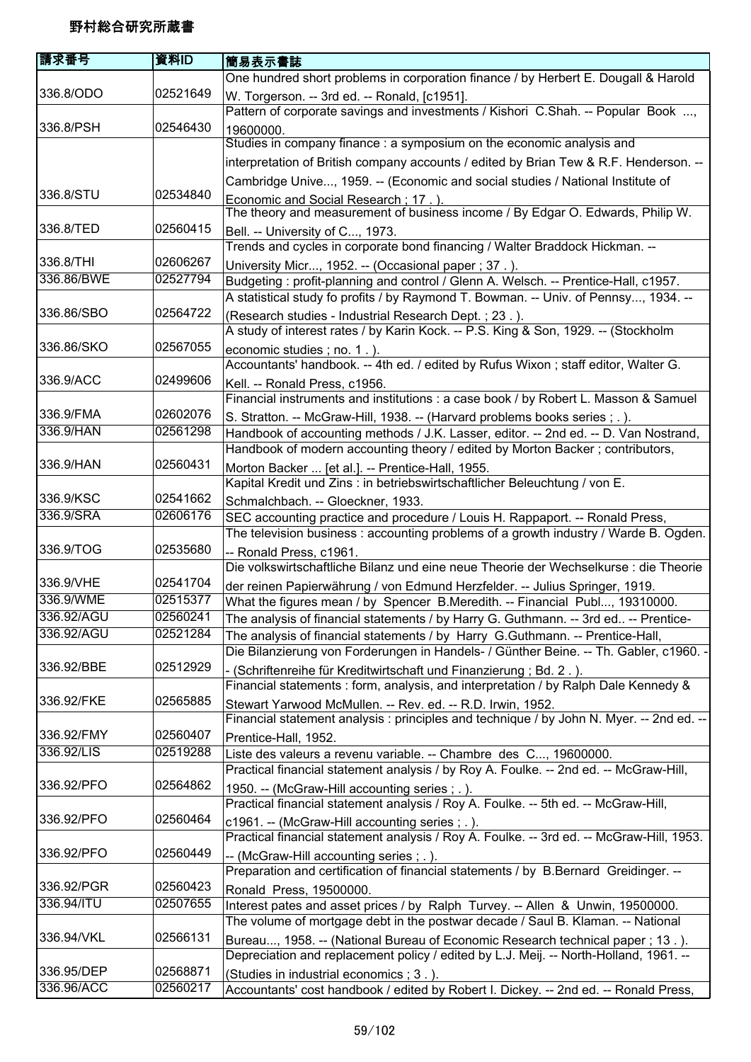| 請求番号       | 資料ID     | 簡易表示書誌                                                                                                                                    |
|------------|----------|-------------------------------------------------------------------------------------------------------------------------------------------|
|            |          | One hundred short problems in corporation finance / by Herbert E. Dougall & Harold                                                        |
| 336.8/ODO  | 02521649 | W. Torgerson. -- 3rd ed. -- Ronald, [c1951].                                                                                              |
|            |          | Pattern of corporate savings and investments / Kishori C.Shah. -- Popular Book ,                                                          |
| 336.8/PSH  | 02546430 | 19600000.                                                                                                                                 |
|            |          | Studies in company finance : a symposium on the economic analysis and                                                                     |
|            |          | interpretation of British company accounts / edited by Brian Tew & R.F. Henderson. --                                                     |
|            |          | Cambridge Unive, 1959. -- (Economic and social studies / National Institute of                                                            |
| 336.8/STU  | 02534840 | Economic and Social Research: 17. ).                                                                                                      |
|            |          | The theory and measurement of business income / By Edgar O. Edwards, Philip W.                                                            |
| 336.8/TED  | 02560415 | Bell. -- University of C, 1973.                                                                                                           |
|            |          | Trends and cycles in corporate bond financing / Walter Braddock Hickman. --                                                               |
| 336.8/THI  | 02606267 | University Micr, 1952. -- (Occasional paper; 37.).                                                                                        |
| 336.86/BWE | 02527794 | Budgeting: profit-planning and control / Glenn A. Welsch. -- Prentice-Hall, c1957.                                                        |
|            |          | A statistical study fo profits / by Raymond T. Bowman. -- Univ. of Pennsy, 1934. --                                                       |
| 336.86/SBO | 02564722 | (Research studies - Industrial Research Dept.; 23.).                                                                                      |
|            |          | A study of interest rates / by Karin Kock. -- P.S. King & Son, 1929. -- (Stockholm                                                        |
| 336.86/SKO | 02567055 | economic studies; no. 1.).                                                                                                                |
|            |          | Accountants' handbook. -- 4th ed. / edited by Rufus Wixon; staff editor, Walter G.                                                        |
| 336.9/ACC  | 02499606 | Kell. -- Ronald Press, c1956.                                                                                                             |
|            |          | Financial instruments and institutions : a case book / by Robert L. Masson & Samuel                                                       |
| 336.9/FMA  | 02602076 | S. Stratton. -- McGraw-Hill, 1938. -- (Harvard problems books series; .).                                                                 |
| 336.9/HAN  | 02561298 | Handbook of accounting methods / J.K. Lasser, editor. -- 2nd ed. -- D. Van Nostrand,                                                      |
|            |          | Handbook of modern accounting theory / edited by Morton Backer; contributors,                                                             |
| 336.9/HAN  | 02560431 | Morton Backer  [et al.]. -- Prentice-Hall, 1955.                                                                                          |
|            |          | Kapital Kredit und Zins : in betriebswirtschaftlicher Beleuchtung / von E.                                                                |
| 336.9/KSC  | 02541662 | Schmalchbach. -- Gloeckner, 1933.                                                                                                         |
| 336.9/SRA  | 02606176 | SEC accounting practice and procedure / Louis H. Rappaport. -- Ronald Press,                                                              |
|            |          | The television business: accounting problems of a growth industry / Warde B. Ogden.                                                       |
| 336.9/TOG  | 02535680 | -- Ronald Press, c1961.                                                                                                                   |
|            |          | Die volkswirtschaftliche Bilanz und eine neue Theorie der Wechselkurse : die Theorie                                                      |
| 336.9/VHE  | 02541704 | der reinen Papierwährung / von Edmund Herzfelder. -- Julius Springer, 1919.                                                               |
| 336.9/WME  | 02515377 | What the figures mean / by Spencer B.Meredith. -- Financial Publ, 19310000.                                                               |
| 336.92/AGU | 02560241 | The analysis of financial statements / by Harry G. Guthmann. -- 3rd ed -- Prentice-                                                       |
| 336.92/AGU | 02521284 | The analysis of financial statements / by Harry G.Guthmann. -- Prentice-Hall,                                                             |
|            |          | Die Bilanzierung von Forderungen in Handels- / Günther Beine. -- Th. Gabler, c1960. -                                                     |
| 336.92/BBE | 02512929 | - (Schriftenreihe für Kreditwirtschaft und Finanzierung; Bd. 2.).                                                                         |
| 336.92/FKE | 02565885 | Financial statements : form, analysis, and interpretation / by Ralph Dale Kennedy &                                                       |
|            |          | Stewart Yarwood McMullen. -- Rev. ed. -- R.D. Irwin, 1952.                                                                                |
| 336.92/FMY | 02560407 | Financial statement analysis : principles and technique / by John N. Myer. -- 2nd ed. --                                                  |
| 336.92/LIS | 02519288 | Prentice-Hall, 1952.<br>Liste des valeurs a revenu variable. -- Chambre des C, 19600000.                                                  |
|            |          | Practical financial statement analysis / by Roy A. Foulke. -- 2nd ed. -- McGraw-Hill,                                                     |
| 336.92/PFO | 02564862 |                                                                                                                                           |
|            |          | 1950. -- (McGraw-Hill accounting series; .).<br>Practical financial statement analysis / Roy A. Foulke. -- 5th ed. -- McGraw-Hill,        |
| 336.92/PFO | 02560464 |                                                                                                                                           |
|            |          | c1961. -- (McGraw-Hill accounting series; .).<br>Practical financial statement analysis / Roy A. Foulke. -- 3rd ed. -- McGraw-Hill, 1953. |
| 336.92/PFO | 02560449 |                                                                                                                                           |
|            |          | -- (McGraw-Hill accounting series; .).<br>Preparation and certification of financial statements / by B.Bernard Greidinger. --             |
| 336.92/PGR | 02560423 | Ronald Press, 19500000.                                                                                                                   |
| 336.94/ITU | 02507655 | Interest pates and asset prices / by Ralph Turvey. -- Allen & Unwin, 19500000.                                                            |
|            |          | The volume of mortgage debt in the postwar decade / Saul B. Klaman. -- National                                                           |
| 336.94/VKL | 02566131 | Bureau, 1958. -- (National Bureau of Economic Research technical paper; 13.).                                                             |
|            |          | Depreciation and replacement policy / edited by L.J. Meij. -- North-Holland, 1961. --                                                     |
| 336.95/DEP | 02568871 | (Studies in industrial economics ; 3.).                                                                                                   |
| 336.96/ACC | 02560217 | Accountants' cost handbook / edited by Robert I. Dickey. -- 2nd ed. -- Ronald Press,                                                      |
|            |          |                                                                                                                                           |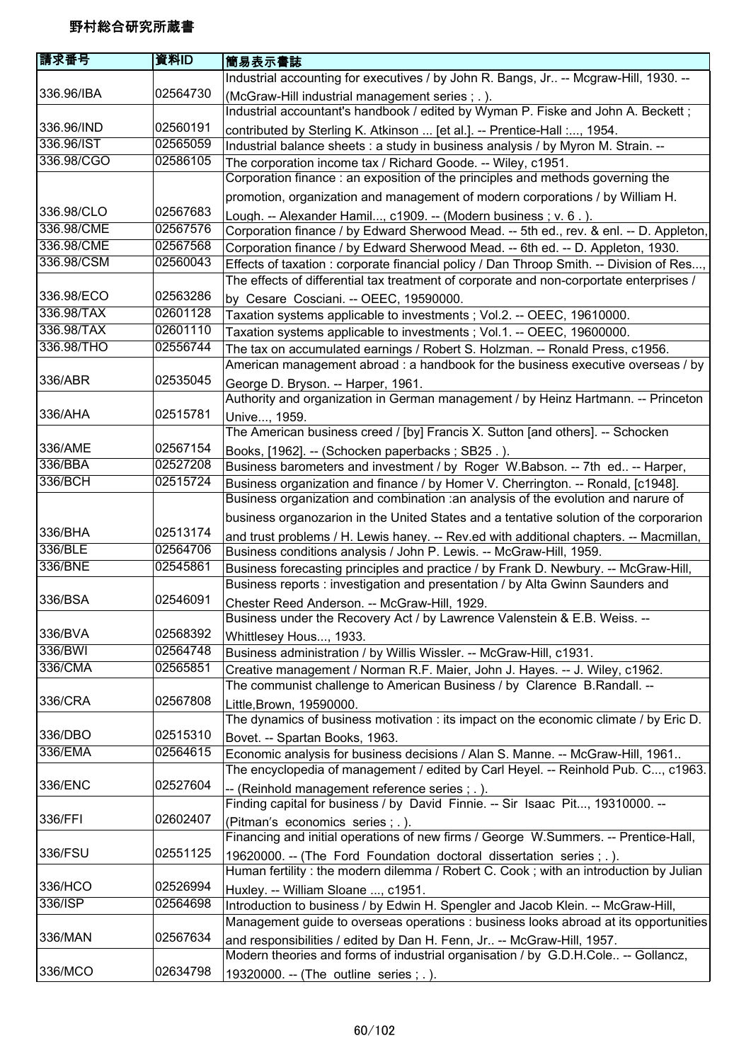| 請求番号               | 資料ID     | 簡易表示書誌                                                                                                                                                                 |
|--------------------|----------|------------------------------------------------------------------------------------------------------------------------------------------------------------------------|
|                    |          | Industrial accounting for executives / by John R. Bangs, Jr -- Mcgraw-Hill, 1930. --                                                                                   |
| 336.96/IBA         | 02564730 | (McGraw-Hill industrial management series; .).<br>Industrial accountant's handbook / edited by Wyman P. Fiske and John A. Beckett;                                     |
| 336.96/IND         | 02560191 | contributed by Sterling K. Atkinson  [et al.]. -- Prentice-Hall :, 1954.                                                                                               |
| 336.96/IST         | 02565059 | Industrial balance sheets : a study in business analysis / by Myron M. Strain. --                                                                                      |
| 336.98/CGO         | 02586105 | The corporation income tax / Richard Goode. -- Wiley, c1951.                                                                                                           |
|                    |          | Corporation finance: an exposition of the principles and methods governing the                                                                                         |
|                    |          | promotion, organization and management of modern corporations / by William H.                                                                                          |
| 336.98/CLO         | 02567683 | Lough. -- Alexander Hamil, c1909. -- (Modern business; v. 6.).                                                                                                         |
| 336.98/CME         | 02567576 | Corporation finance / by Edward Sherwood Mead. -- 5th ed., rev. & enl. -- D. Appleton,                                                                                 |
| 336.98/CME         | 02567568 | Corporation finance / by Edward Sherwood Mead. -- 6th ed. -- D. Appleton, 1930.                                                                                        |
| 336.98/CSM         | 02560043 | Effects of taxation : corporate financial policy / Dan Throop Smith. -- Division of Res,                                                                               |
|                    |          | The effects of differential tax treatment of corporate and non-corportate enterprises /                                                                                |
| 336.98/ECO         | 02563286 | by Cesare Cosciani. -- OEEC, 19590000.                                                                                                                                 |
| 336.98/TAX         | 02601128 | Taxation systems applicable to investments; Vol.2. -- OEEC, 19610000.                                                                                                  |
| 336.98/TAX         | 02601110 | Taxation systems applicable to investments; Vol.1. -- OEEC, 19600000.                                                                                                  |
| 336.98/THO         | 02556744 | The tax on accumulated earnings / Robert S. Holzman. -- Ronald Press, c1956.                                                                                           |
|                    |          | American management abroad : a handbook for the business executive overseas / by                                                                                       |
| 336/ABR            | 02535045 | George D. Bryson. -- Harper, 1961.                                                                                                                                     |
|                    |          | Authority and organization in German management / by Heinz Hartmann. -- Princeton                                                                                      |
| 336/AHA            | 02515781 | Unive, 1959.                                                                                                                                                           |
|                    |          | The American business creed / [by] Francis X. Sutton [and others]. -- Schocken                                                                                         |
| 336/AME            | 02567154 |                                                                                                                                                                        |
| 336/BBA            | 02527208 | Books, [1962]. -- (Schocken paperbacks; SB25.).<br>Business barometers and investment / by Roger W.Babson. -- 7th ed -- Harper,                                        |
| 336/BCH            | 02515724 |                                                                                                                                                                        |
|                    |          | Business organization and finance / by Homer V. Cherrington. -- Ronald, [c1948].<br>Business organization and combination : an analysis of the evolution and narure of |
|                    |          |                                                                                                                                                                        |
| 336/BHA            | 02513174 | business organozarion in the United States and a tentative solution of the corporarion                                                                                 |
| 336/BLE            | 02564706 | and trust problems / H. Lewis haney. -- Rev.ed with additional chapters. -- Macmillan,                                                                                 |
| 336/BNE            | 02545861 | Business conditions analysis / John P. Lewis. -- McGraw-Hill, 1959.                                                                                                    |
|                    |          | Business forecasting principles and practice / by Frank D. Newbury. -- McGraw-Hill,<br>Business reports : investigation and presentation / by Alta Gwinn Saunders and  |
| 336/BSA            | 02546091 |                                                                                                                                                                        |
|                    |          | Chester Reed Anderson. -- McGraw-Hill, 1929.<br>Business under the Recovery Act / by Lawrence Valenstein & E.B. Weiss. -                                               |
| 336/BVA            | 02568392 |                                                                                                                                                                        |
| 336/BWI            | 02564748 | Whittlesey Hous, 1933.                                                                                                                                                 |
| 336/CMA            | 02565851 | Business administration / by Willis Wissler. -- McGraw-Hill, c1931.                                                                                                    |
|                    |          | Creative management / Norman R.F. Maier, John J. Hayes. -- J. Wiley, c1962.                                                                                            |
| 336/CRA            | 02567808 | The communist challenge to American Business / by Clarence B.Randall. --                                                                                               |
|                    |          | Little, Brown, 19590000.                                                                                                                                               |
|                    | 02515310 | The dynamics of business motivation : its impact on the economic climate / by Eric D.                                                                                  |
| 336/DBO<br>336/EMA | 02564615 | Bovet. -- Spartan Books, 1963.                                                                                                                                         |
|                    |          | Economic analysis for business decisions / Alan S. Manne. -- McGraw-Hill, 1961                                                                                         |
|                    |          | The encyclopedia of management / edited by Carl Heyel. -- Reinhold Pub. C, c1963.                                                                                      |
| 336/ENC            | 02527604 | -- (Reinhold management reference series; .).                                                                                                                          |
|                    |          | Finding capital for business / by David Finnie. -- Sir Isaac Pit, 19310000. --                                                                                         |
| 336/FFI            | 02602407 | (Pitman's economics series; .).                                                                                                                                        |
|                    |          | Financing and initial operations of new firms / George W.Summers. -- Prentice-Hall,                                                                                    |
| 336/FSU            | 02551125 | 19620000. -- (The Ford Foundation doctoral dissertation series; .).                                                                                                    |
|                    |          | Human fertility: the modern dilemma / Robert C. Cook; with an introduction by Julian                                                                                   |
| 336/HCO            | 02526994 | Huxley. -- William Sloane , c1951.                                                                                                                                     |
| 336/ISP            | 02564698 | Introduction to business / by Edwin H. Spengler and Jacob Klein. -- McGraw-Hill,                                                                                       |
|                    |          | Management guide to overseas operations : business looks abroad at its opportunities                                                                                   |
| 336/MAN            | 02567634 | and responsibilities / edited by Dan H. Fenn, Jr -- McGraw-Hill, 1957.                                                                                                 |
|                    |          | Modern theories and forms of industrial organisation / by G.D.H.Cole -- Gollancz,                                                                                      |
| 336/MCO            | 02634798 | 19320000. -- (The outline series; .).                                                                                                                                  |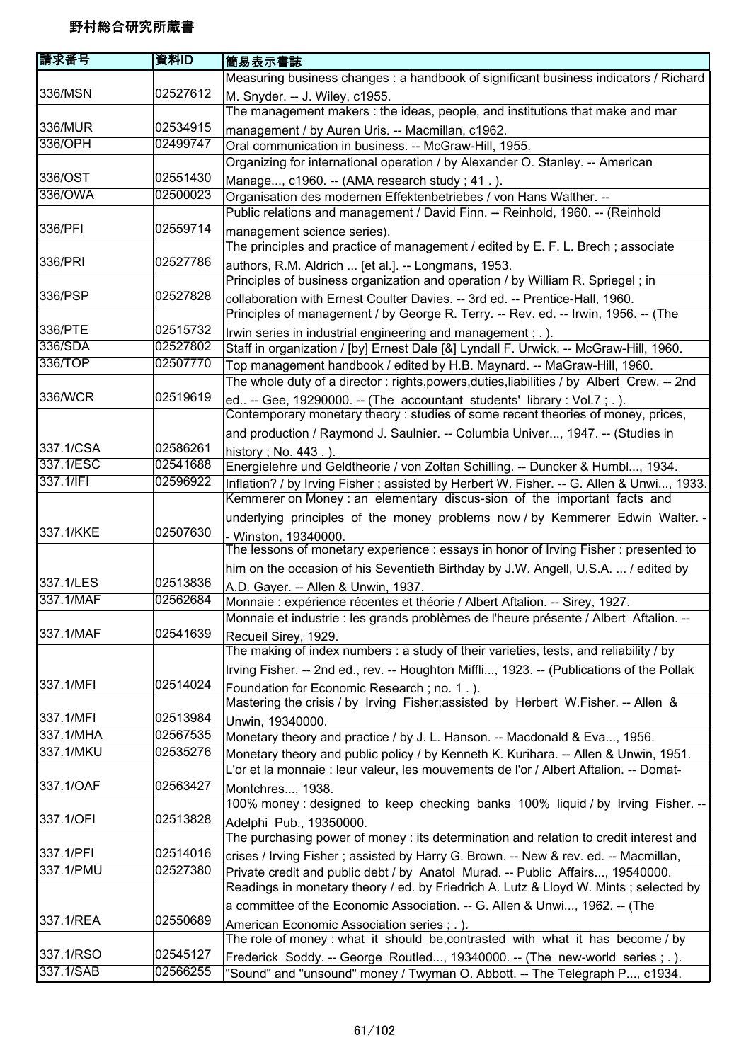| 請求番号      | 資料ID     | 簡易表示書誌                                                                                   |
|-----------|----------|------------------------------------------------------------------------------------------|
|           |          | Measuring business changes: a handbook of significant business indicators / Richard      |
| 336/MSN   | 02527612 | M. Snyder. -- J. Wiley, c1955.                                                           |
|           |          | The management makers : the ideas, people, and institutions that make and mar            |
| 336/MUR   | 02534915 | management / by Auren Uris. -- Macmillan, c1962.                                         |
| 336/OPH   | 02499747 | Oral communication in business. -- McGraw-Hill, 1955.                                    |
|           |          | Organizing for international operation / by Alexander O. Stanley. -- American            |
| 336/OST   | 02551430 | Manage, c1960. -- (AMA research study; 41.).                                             |
| 336/OWA   | 02500023 | Organisation des modernen Effektenbetriebes / von Hans Walther. --                       |
|           |          | Public relations and management / David Finn. -- Reinhold, 1960. -- (Reinhold            |
| 336/PFI   | 02559714 | management science series).                                                              |
|           |          | The principles and practice of management / edited by E. F. L. Brech; associate          |
| 336/PRI   | 02527786 | authors, R.M. Aldrich  [et al.]. -- Longmans, 1953.                                      |
|           |          | Principles of business organization and operation / by William R. Spriegel; in           |
| 336/PSP   | 02527828 | collaboration with Ernest Coulter Davies. -- 3rd ed. -- Prentice-Hall, 1960.             |
|           |          | Principles of management / by George R. Terry. -- Rev. ed. -- Irwin, 1956. -- (The       |
| 336/PTE   | 02515732 | Irwin series in industrial engineering and management; .).                               |
| 336/SDA   | 02527802 | Staff in organization / [by] Ernest Dale [&] Lyndall F. Urwick. -- McGraw-Hill, 1960.    |
| 336/TOP   | 02507770 | Top management handbook / edited by H.B. Maynard. -- MaGraw-Hill, 1960.                  |
|           |          | The whole duty of a director: rights,powers,duties,liabilities / by Albert Crew. -- 2nd  |
| 336/WCR   | 02519619 | ed -- Gee, 19290000. -- (The accountant students' library : Vol.7 ; . ).                 |
|           |          | Contemporary monetary theory : studies of some recent theories of money, prices,         |
|           |          | and production / Raymond J. Saulnier. -- Columbia Univer, 1947. -- (Studies in           |
| 337.1/CSA | 02586261 | history; No. 443.).                                                                      |
| 337.1/ESC | 02541688 | Energielehre und Geldtheorie / von Zoltan Schilling. -- Duncker & Humbl, 1934.           |
| 337.1/IFI | 02596922 | Inflation? / by Irving Fisher; assisted by Herbert W. Fisher. -- G. Allen & Unwi, 1933.  |
|           |          | Kemmerer on Money : an elementary discus-sion of the important facts and                 |
|           |          | underlying principles of the money problems now / by Kemmerer Edwin Walter. -            |
| 337.1/KKE | 02507630 | - Winston, 19340000.                                                                     |
|           |          | The lessons of monetary experience : essays in honor of Irving Fisher : presented to     |
|           |          | him on the occasion of his Seventieth Birthday by J.W. Angell, U.S.A.  / edited by       |
| 337.1/LES | 02513836 | A.D. Gayer. -- Allen & Unwin, 1937.                                                      |
| 337.1/MAF | 02562684 | Monnaie : expérience récentes et théorie / Albert Aftalion. -- Sirey, 1927.              |
|           |          | Monnaie et industrie : les grands problèmes de l'heure présente / Albert Aftalion. --    |
| 337.1/MAF | 02541639 | Recueil Sirey, 1929.                                                                     |
|           |          | The making of index numbers : a study of their varieties, tests, and reliability / by    |
|           |          | Irving Fisher. -- 2nd ed., rev. -- Houghton Miffli, 1923. -- (Publications of the Pollak |
| 337.1/MFI | 02514024 | Foundation for Economic Research; no. 1.).                                               |
|           |          | Mastering the crisis / by Irving Fisher; assisted by Herbert W.Fisher. -- Allen &        |
| 337.1/MFI | 02513984 | Unwin, 19340000.                                                                         |
| 337.1/MHA | 02567535 | Monetary theory and practice / by J. L. Hanson. -- Macdonald & Eva, 1956.                |
| 337.1/MKU | 02535276 | Monetary theory and public policy / by Kenneth K. Kurihara. -- Allen & Unwin, 1951.      |
|           |          | L'or et la monnaie : leur valeur, les mouvements de l'or / Albert Aftalion. -- Domat-    |
| 337.1/OAF | 02563427 | Montchres, 1938.                                                                         |
|           |          | 100% money : designed to keep checking banks 100% liquid / by Irving Fisher. --          |
| 337.1/OFI | 02513828 | Adelphi Pub., 19350000.                                                                  |
|           |          | The purchasing power of money : its determination and relation to credit interest and    |
| 337.1/PFI | 02514016 | crises / Irving Fisher; assisted by Harry G. Brown. -- New & rev. ed. -- Macmillan,      |
| 337.1/PMU | 02527380 | Private credit and public debt / by Anatol Murad. -- Public Affairs, 19540000.           |
|           |          | Readings in monetary theory / ed. by Friedrich A. Lutz & Lloyd W. Mints; selected by     |
|           |          | a committee of the Economic Association. -- G. Allen & Unwi, 1962. -- (The               |
| 337.1/REA | 02550689 | American Economic Association series ; . ).                                              |
|           |          | The role of money: what it should be, contrasted with what it has become / by            |
| 337.1/RSO | 02545127 | Frederick Soddy. -- George Routled, 19340000. -- (The new-world series ; . ).            |
| 337.1/SAB | 02566255 | "Sound" and "unsound" money / Twyman O. Abbott. -- The Telegraph P, c1934.               |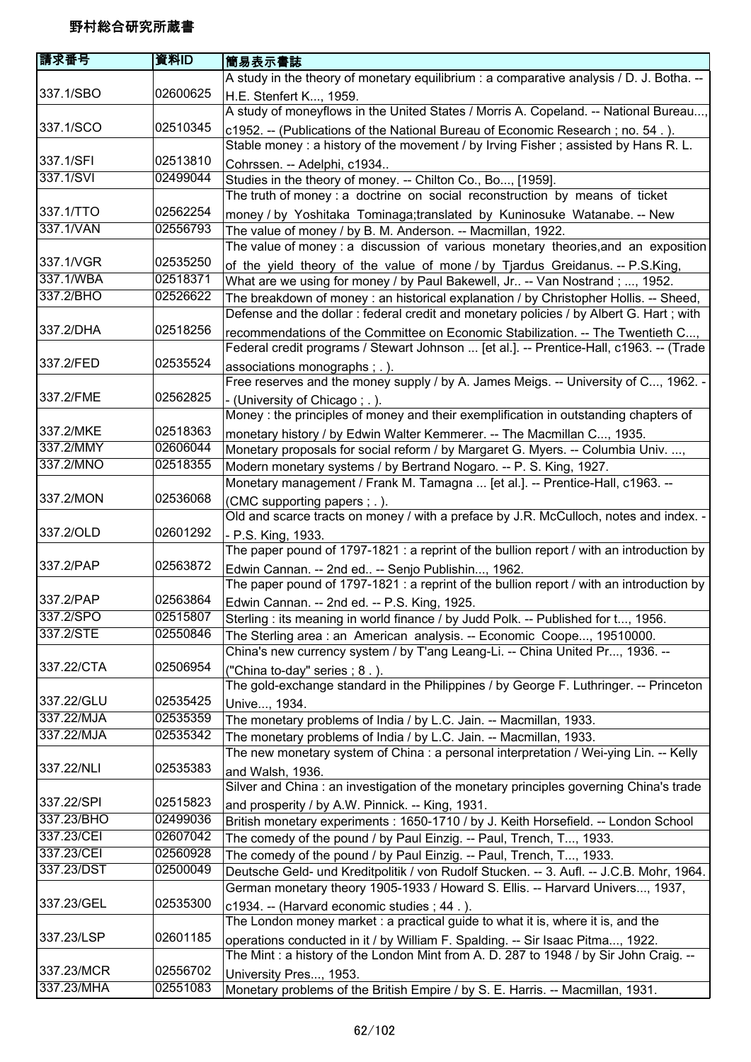| 請求番号       | 資料ID     | 簡易表示書誌                                                                                   |
|------------|----------|------------------------------------------------------------------------------------------|
|            |          | A study in the theory of monetary equilibrium : a comparative analysis / D. J. Botha. -- |
| 337.1/SBO  | 02600625 | H.E. Stenfert K, 1959.                                                                   |
|            |          | A study of moneyflows in the United States / Morris A. Copeland. -- National Bureau,     |
| 337.1/SCO  | 02510345 | c1952. -- (Publications of the National Bureau of Economic Research; no. 54.).           |
|            |          | Stable money : a history of the movement / by Irving Fisher; assisted by Hans R. L.      |
| 337.1/SFI  | 02513810 | Cohrssen. -- Adelphi, c1934                                                              |
| 337.1/SVI  | 02499044 | Studies in the theory of money. -- Chilton Co., Bo, [1959].                              |
|            |          | The truth of money : a doctrine on social reconstruction by means of ticket              |
| 337.1/TTO  | 02562254 | money / by Yoshitaka Tominaga;translated by Kuninosuke Watanabe. -- New                  |
| 337.1/VAN  | 02556793 | The value of money / by B. M. Anderson. -- Macmillan, 1922.                              |
|            |          | The value of money : a discussion of various monetary theories, and an exposition        |
| 337.1/VGR  | 02535250 | of the yield theory of the value of mone / by Tjardus Greidanus. -- P.S.King,            |
| 337.1/WBA  | 02518371 | What are we using for money / by Paul Bakewell, Jr -- Van Nostrand; , 1952.              |
| 337.2/BHO  | 02526622 | The breakdown of money: an historical explanation / by Christopher Hollis. -- Sheed,     |
|            |          | Defense and the dollar : federal credit and monetary policies / by Albert G. Hart ; with |
| 337.2/DHA  | 02518256 | recommendations of the Committee on Economic Stabilization. -- The Twentieth C,          |
|            |          | Federal credit programs / Stewart Johnson  [et al.]. -- Prentice-Hall, c1963. -- (Trade  |
| 337.2/FED  | 02535524 | associations monographs ; . ).                                                           |
|            |          | Free reserves and the money supply / by A. James Meigs. -- University of C, 1962. -      |
| 337.2/FME  | 02562825 | - (University of Chicago; .).                                                            |
|            |          | Money : the principles of money and their exemplification in outstanding chapters of     |
| 337.2/MKE  | 02518363 | monetary history / by Edwin Walter Kemmerer. -- The Macmillan C, 1935.                   |
| 337.2/MMY  | 02606044 | Monetary proposals for social reform / by Margaret G. Myers. -- Columbia Univ. ,         |
| 337.2/MNO  | 02518355 | Modern monetary systems / by Bertrand Nogaro. -- P. S. King, 1927.                       |
|            |          | Monetary management / Frank M. Tamagna  [et al.]. -- Prentice-Hall, c1963. --            |
| 337.2/MON  | 02536068 | (CMC supporting papers ; .).                                                             |
|            |          | Old and scarce tracts on money / with a preface by J.R. McCulloch, notes and index. -    |
| 337.2/OLD  | 02601292 | - P.S. King, 1933.                                                                       |
|            |          | The paper pound of 1797-1821 : a reprint of the bullion report / with an introduction by |
| 337.2/PAP  | 02563872 | Edwin Cannan. -- 2nd ed -- Senjo Publishin, 1962.                                        |
|            |          | The paper pound of 1797-1821 : a reprint of the bullion report / with an introduction by |
| 337.2/PAP  | 02563864 | Edwin Cannan. -- 2nd ed. -- P.S. King, 1925.                                             |
| 337.2/SPO  | 02515807 | Sterling: its meaning in world finance / by Judd Polk. -- Published for t, 1956.         |
| 337.2/STE  | 02550846 | The Sterling area: an American analysis. -- Economic Coope, 19510000.                    |
|            |          | China's new currency system / by T'ang Leang-Li. -- China United Pr, 1936. --            |
| 337.22/CTA | 02506954 | ("China to-day" series; 8.).                                                             |
|            |          | The gold-exchange standard in the Philippines / by George F. Luthringer. -- Princeton    |
| 337.22/GLU | 02535425 | Unive, 1934.                                                                             |
| 337.22/MJA | 02535359 | The monetary problems of India / by L.C. Jain. -- Macmillan, 1933.                       |
| 337.22/MJA | 02535342 | The monetary problems of India / by L.C. Jain. -- Macmillan, 1933.                       |
|            |          | The new monetary system of China : a personal interpretation / Wei-ying Lin. -- Kelly    |
| 337.22/NLI | 02535383 | and Walsh, 1936.                                                                         |
|            |          | Silver and China : an investigation of the monetary principles governing China's trade   |
| 337.22/SPI | 02515823 | and prosperity / by A.W. Pinnick. -- King, 1931.                                         |
| 337.23/BHO | 02499036 | British monetary experiments : 1650-1710 / by J. Keith Horsefield. -- London School      |
| 337.23/CEI | 02607042 | The comedy of the pound / by Paul Einzig. -- Paul, Trench, T, 1933.                      |
| 337.23/CEI | 02560928 | The comedy of the pound / by Paul Einzig. -- Paul, Trench, T, 1933.                      |
| 337.23/DST | 02500049 | Deutsche Geld- und Kreditpolitik / von Rudolf Stucken. -- 3. Aufl. -- J.C.B. Mohr, 1964. |
|            |          | German monetary theory 1905-1933 / Howard S. Ellis. -- Harvard Univers, 1937,            |
| 337.23/GEL | 02535300 | c1934. -- (Harvard economic studies; 44.).                                               |
|            |          | The London money market : a practical guide to what it is, where it is, and the          |
| 337.23/LSP | 02601185 | operations conducted in it / by William F. Spalding. -- Sir Isaac Pitma, 1922.           |
|            |          | The Mint: a history of the London Mint from A. D. 287 to 1948 / by Sir John Craig. --    |
| 337.23/MCR | 02556702 | University Pres, 1953.                                                                   |
| 337.23/MHA | 02551083 | Monetary problems of the British Empire / by S. E. Harris. -- Macmillan, 1931.           |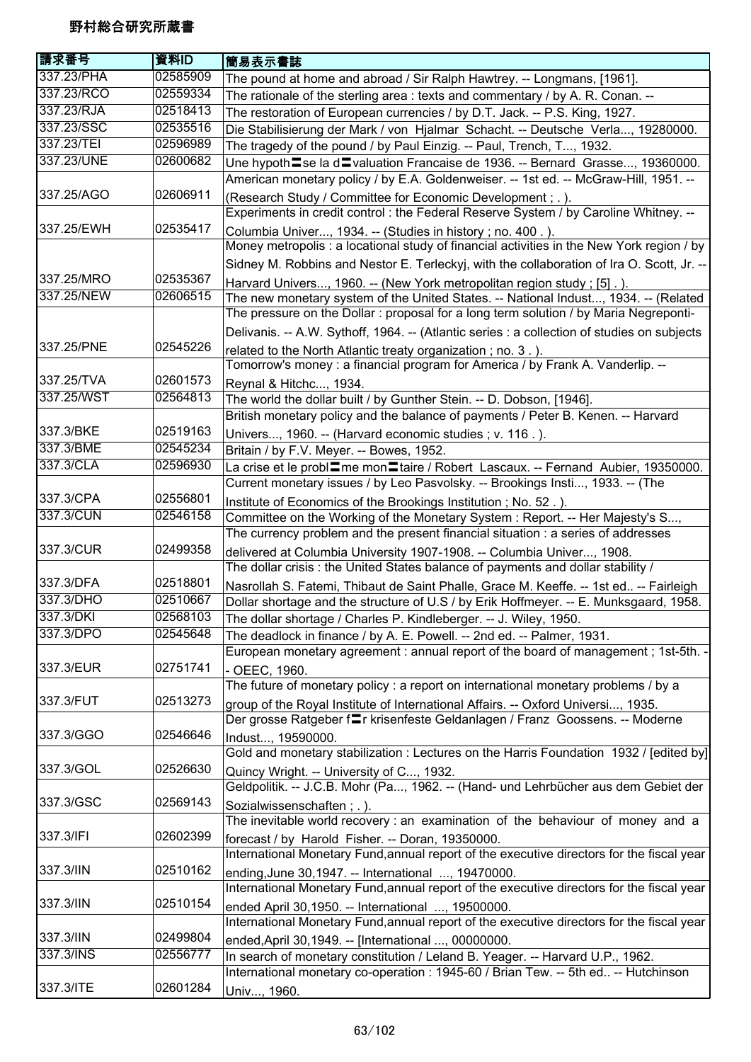| 請求番号       | 資料ID     | 簡易表示書誌                                                                                                                                           |
|------------|----------|--------------------------------------------------------------------------------------------------------------------------------------------------|
| 337.23/PHA | 02585909 | The pound at home and abroad / Sir Ralph Hawtrey. -- Longmans, [1961].                                                                           |
| 337.23/RCO | 02559334 | The rationale of the sterling area: texts and commentary / by A. R. Conan. --                                                                    |
| 337.23/RJA | 02518413 | The restoration of European currencies / by D.T. Jack. -- P.S. King, 1927.                                                                       |
| 337.23/SSC | 02535516 | Die Stabilisierung der Mark / von Hjalmar Schacht. -- Deutsche Verla, 19280000.                                                                  |
| 337.23/TEI | 02596989 | The tragedy of the pound / by Paul Einzig. -- Paul, Trench, T, 1932.                                                                             |
| 337.23/UNE | 02600682 | Une hypoth〓se la d〓valuation Francaise de 1936. -- Bernard Grasse, 19360000.                                                                     |
|            |          | American monetary policy / by E.A. Goldenweiser. -- 1st ed. -- McGraw-Hill, 1951. --                                                             |
| 337.25/AGO | 02606911 | (Research Study / Committee for Economic Development; .).                                                                                        |
|            |          | Experiments in credit control : the Federal Reserve System / by Caroline Whitney. --                                                             |
| 337.25/EWH | 02535417 | Columbia Univer, 1934. -- (Studies in history; no. 400.).                                                                                        |
|            |          | Money metropolis : a locational study of financial activities in the New York region / by                                                        |
|            |          | Sidney M. Robbins and Nestor E. Terleckyj, with the collaboration of Ira O. Scott, Jr. --                                                        |
| 337.25/MRO | 02535367 | Harvard Univers, 1960. -- (New York metropolitan region study; [5].)                                                                             |
| 337.25/NEW | 02606515 | The new monetary system of the United States. -- National Indust, 1934. -- (Related                                                              |
|            |          | The pressure on the Dollar: proposal for a long term solution / by Maria Negreponti-                                                             |
|            |          | Delivanis. -- A.W. Sythoff, 1964. -- (Atlantic series : a collection of studies on subjects                                                      |
| 337.25/PNE | 02545226 | related to the North Atlantic treaty organization; no. 3.).                                                                                      |
|            |          | Tomorrow's money: a financial program for America / by Frank A. Vanderlip. --                                                                    |
| 337.25/TVA | 02601573 | Reynal & Hitchc, 1934.                                                                                                                           |
| 337.25/WST | 02564813 | The world the dollar built / by Gunther Stein. -- D. Dobson, [1946].                                                                             |
|            |          | British monetary policy and the balance of payments / Peter B. Kenen. -- Harvard                                                                 |
| 337.3/BKE  | 02519163 | Univers, 1960. -- (Harvard economic studies; v. 116.).                                                                                           |
| 337.3/BME  | 02545234 | Britain / by F.V. Meyer. -- Bowes, 1952.                                                                                                         |
| 337.3/CLA  | 02596930 | La crise et le probl=me mon=taire / Robert Lascaux. -- Fernand Aubier, 19350000.                                                                 |
|            |          | Current monetary issues / by Leo Pasvolsky. -- Brookings Insti, 1933. -- (The                                                                    |
| 337.3/CPA  | 02556801 | Institute of Economics of the Brookings Institution; No. 52.).                                                                                   |
| 337.3/CUN  | 02546158 | Committee on the Working of the Monetary System: Report. -- Her Majesty's S,                                                                     |
|            |          | The currency problem and the present financial situation : a series of addresses                                                                 |
| 337.3/CUR  | 02499358 | delivered at Columbia University 1907-1908. -- Columbia Univer, 1908.                                                                            |
|            |          | The dollar crisis: the United States balance of payments and dollar stability /                                                                  |
| 337.3/DFA  | 02518801 | Nasrollah S. Fatemi, Thibaut de Saint Phalle, Grace M. Keeffe. -- 1st ed -- Fairleigh                                                            |
| 337.3/DHO  | 02510667 | Dollar shortage and the structure of U.S / by Erik Hoffmeyer. -- E. Munksgaard, 1958.                                                            |
| 337.3/DKI  | 02568103 | The dollar shortage / Charles P. Kindleberger. -- J. Wiley, 1950.                                                                                |
| 337.3/DPO  | 02545648 | The deadlock in finance / by A. E. Powell. -- 2nd ed. -- Palmer, 1931.                                                                           |
|            |          | European monetary agreement : annual report of the board of management; 1st-5th. -                                                               |
| 337.3/EUR  | 02751741 | - OEEC, 1960.                                                                                                                                    |
|            |          | The future of monetary policy : a report on international monetary problems / by a                                                               |
| 337.3/FUT  | 02513273 | group of the Royal Institute of International Affairs. -- Oxford Universi, 1935.                                                                 |
|            |          | Der grosse Ratgeber f=r krisenfeste Geldanlagen / Franz Goossens. -- Moderne                                                                     |
| 337.3/GGO  | 02546646 | Indust, 19590000.                                                                                                                                |
|            |          | Gold and monetary stabilization : Lectures on the Harris Foundation 1932 / [edited by]                                                           |
| 337.3/GOL  | 02526630 |                                                                                                                                                  |
|            |          | Quincy Wright. -- University of C, 1932.<br>Geldpolitik. -- J.C.B. Mohr (Pa, 1962. -- (Hand- und Lehrbücher aus dem Gebiet der                   |
| 337.3/GSC  | 02569143 |                                                                                                                                                  |
|            |          | Sozialwissenschaften; .).<br>The inevitable world recovery : an examination of the behaviour of money and a                                      |
| 337.3/IFI  | 02602399 |                                                                                                                                                  |
|            |          | forecast / by Harold Fisher. -- Doran, 19350000.<br>International Monetary Fund, annual report of the executive directors for the fiscal year    |
| 337.3/IIN  | 02510162 |                                                                                                                                                  |
|            |          | ending, June 30, 1947. -- International , 19470000.<br>International Monetary Fund, annual report of the executive directors for the fiscal year |
| 337.3/IIN  | 02510154 |                                                                                                                                                  |
|            |          | ended April 30,1950. -- International , 19500000.                                                                                                |
|            |          | International Monetary Fund, annual report of the executive directors for the fiscal year                                                        |
| 337.3/IIN  | 02499804 | ended, April 30, 1949. -- [International , 00000000.                                                                                             |
| 337.3/INS  | 02556777 | In search of monetary constitution / Leland B. Yeager. -- Harvard U.P., 1962.                                                                    |
|            |          | International monetary co-operation : 1945-60 / Brian Tew. -- 5th ed -- Hutchinson                                                               |
| 337.3/ITE  | 02601284 | Univ, 1960.                                                                                                                                      |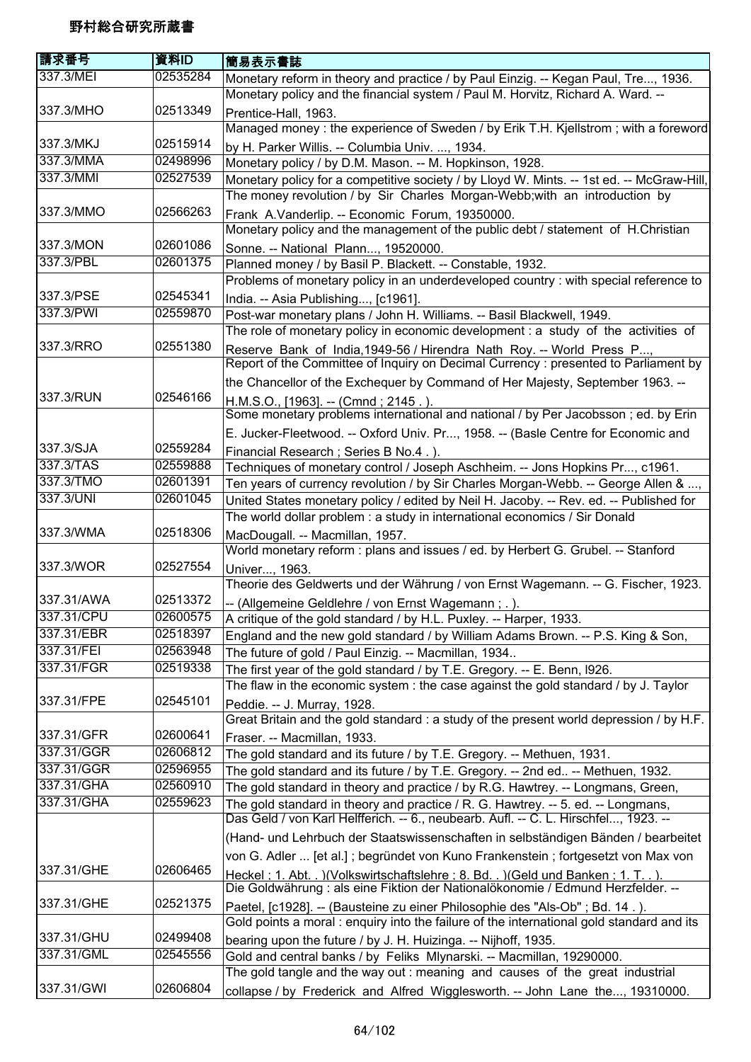| 請求番号       | 資料ID     | 簡易表示書誌                                                                                                                                                                 |
|------------|----------|------------------------------------------------------------------------------------------------------------------------------------------------------------------------|
| 337.3/MEI  | 02535284 | Monetary reform in theory and practice / by Paul Einzig. -- Kegan Paul, Tre, 1936.                                                                                     |
|            |          | Monetary policy and the financial system / Paul M. Horvitz, Richard A. Ward. --                                                                                        |
| 337.3/MHO  | 02513349 | Prentice-Hall, 1963.                                                                                                                                                   |
|            |          | Managed money : the experience of Sweden / by Erik T.H. Kjellstrom; with a foreword                                                                                    |
| 337.3/MKJ  | 02515914 | by H. Parker Willis. -- Columbia Univ. , 1934.                                                                                                                         |
| 337.3/MMA  | 02498996 | Monetary policy / by D.M. Mason. -- M. Hopkinson, 1928.                                                                                                                |
| 337.3/MMI  | 02527539 | Monetary policy for a competitive society / by Lloyd W. Mints. -- 1st ed. -- McGraw-Hill,                                                                              |
|            |          | The money revolution / by Sir Charles Morgan-Webb; with an introduction by                                                                                             |
| 337.3/MMO  | 02566263 | Frank A.Vanderlip. -- Economic Forum, 19350000.                                                                                                                        |
|            |          | Monetary policy and the management of the public debt / statement of H.Christian                                                                                       |
| 337.3/MON  | 02601086 | Sonne. -- National Plann, 19520000.                                                                                                                                    |
| 337.3/PBL  | 02601375 | Planned money / by Basil P. Blackett. -- Constable, 1932.                                                                                                              |
|            |          | Problems of monetary policy in an underdeveloped country : with special reference to                                                                                   |
| 337.3/PSE  | 02545341 | India. -- Asia Publishing, [c1961].                                                                                                                                    |
| 337.3/PWI  | 02559870 | Post-war monetary plans / John H. Williams. -- Basil Blackwell, 1949.                                                                                                  |
|            |          | The role of monetary policy in economic development : a study of the activities of                                                                                     |
| 337.3/RRO  | 02551380 | Reserve Bank of India, 1949-56 / Hirendra Nath Roy. -- World Press P,                                                                                                  |
|            |          | Report of the Committee of Inquiry on Decimal Currency : presented to Parliament by                                                                                    |
|            |          | the Chancellor of the Exchequer by Command of Her Majesty, September 1963. --                                                                                          |
| 337.3/RUN  | 02546166 | H.M.S.O., [1963]. -- (Cmnd; 2145.).                                                                                                                                    |
|            |          | Some monetary problems international and national / by Per Jacobsson ; ed. by Erin                                                                                     |
|            |          | E. Jucker-Fleetwood. -- Oxford Univ. Pr, 1958. -- (Basle Centre for Economic and                                                                                       |
| 337.3/SJA  | 02559284 | Financial Research; Series B No.4.).                                                                                                                                   |
| 337.3/TAS  | 02559888 | Techniques of monetary control / Joseph Aschheim. -- Jons Hopkins Pr, c1961.                                                                                           |
| 337.3/TMO  | 02601391 | Ten years of currency revolution / by Sir Charles Morgan-Webb. -- George Allen & ,                                                                                     |
| 337.3/UNI  | 02601045 | United States monetary policy / edited by Neil H. Jacoby. -- Rev. ed. -- Published for                                                                                 |
|            |          | The world dollar problem : a study in international economics / Sir Donald                                                                                             |
| 337.3/WMA  | 02518306 | MacDougall. -- Macmillan, 1957.                                                                                                                                        |
|            |          | World monetary reform : plans and issues / ed. by Herbert G. Grubel. -- Stanford                                                                                       |
| 337.3/WOR  | 02527554 | Univer, 1963.                                                                                                                                                          |
|            |          | Theorie des Geldwerts und der Währung / von Ernst Wagemann. -- G. Fischer, 1923.                                                                                       |
| 337.31/AWA | 02513372 | -- (Allgemeine Geldlehre / von Ernst Wagemann ; .).                                                                                                                    |
| 337.31/CPU | 02600575 | A critique of the gold standard / by H.L. Puxley. -- Harper, 1933.                                                                                                     |
| 337.31/EBR | 02518397 | England and the new gold standard / by William Adams Brown. -- P.S. King & Son,                                                                                        |
| 337.31/FEI | 02563948 | The future of gold / Paul Einzig. -- Macmillan, 1934                                                                                                                   |
| 337.31/FGR | 02519338 | The first year of the gold standard / by T.E. Gregory. -- E. Benn, I926.                                                                                               |
|            |          | The flaw in the economic system : the case against the gold standard / by J. Taylor                                                                                    |
| 337.31/FPE | 02545101 | Peddie. -- J. Murray, 1928.                                                                                                                                            |
|            |          | Great Britain and the gold standard : a study of the present world depression / by H.F.                                                                                |
| 337.31/GFR | 02600641 | Fraser. -- Macmillan, 1933.                                                                                                                                            |
| 337.31/GGR | 02606812 | The gold standard and its future / by T.E. Gregory. -- Methuen, 1931.                                                                                                  |
| 337.31/GGR | 02596955 | The gold standard and its future / by T.E. Gregory. -- 2nd ed -- Methuen, 1932.                                                                                        |
| 337.31/GHA | 02560910 | The gold standard in theory and practice / by R.G. Hawtrey. -- Longmans, Green,                                                                                        |
| 337.31/GHA | 02559623 | The gold standard in theory and practice / R. G. Hawtrey. -- 5. ed. -- Longmans,                                                                                       |
|            |          | Das Geld / von Karl Helfferich. -- 6., neubearb. Aufl. -- C. L. Hirschfel, 1923. --                                                                                    |
|            |          | (Hand- und Lehrbuch der Staatswissenschaften in selbständigen Bänden / bearbeitet                                                                                      |
|            |          | von G. Adler  [et al.]; begründet von Kuno Frankenstein; fortgesetzt von Max von                                                                                       |
| 337.31/GHE | 02606465 |                                                                                                                                                                        |
|            |          | Heckel: 1. Abt. . ) (Volkswirtschaftslehre: 8. Bd. . ) (Geld und Banken: 1. T. . ).<br>Die Goldwährung : als eine Fiktion der Nationalökonomie / Edmund Herzfelder. -- |
| 337.31/GHE | 02521375 | Paetel, [c1928]. -- (Bausteine zu einer Philosophie des "Als-Ob"; Bd. 14.).                                                                                            |
|            |          | Gold points a moral : enquiry into the failure of the international gold standard and its                                                                              |
| 337.31/GHU | 02499408 | bearing upon the future / by J. H. Huizinga. -- Nijhoff, 1935.                                                                                                         |
| 337.31/GML | 02545556 | Gold and central banks / by Feliks Mlynarski. -- Macmillan, 19290000.                                                                                                  |
|            |          | The gold tangle and the way out : meaning and causes of the great industrial                                                                                           |
| 337.31/GWI | 02606804 | collapse / by Frederick and Alfred Wigglesworth. -- John Lane the, 19310000.                                                                                           |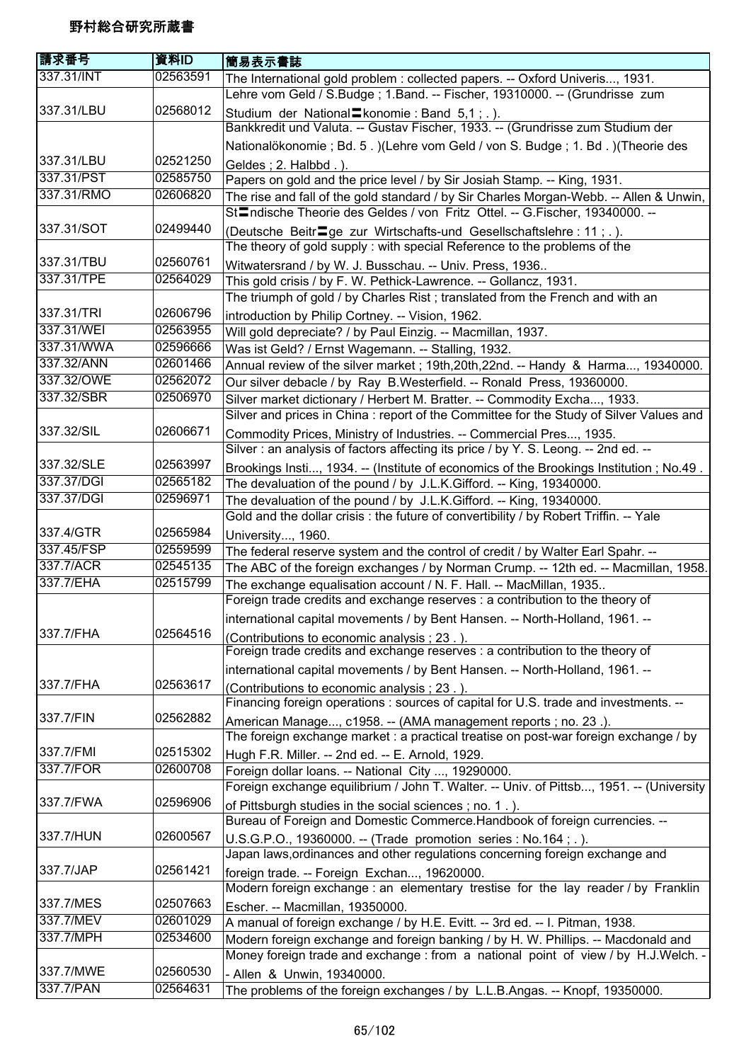| 請求番号       | 資料ID     | 簡易表示書誌                                                                                                                                                                              |
|------------|----------|-------------------------------------------------------------------------------------------------------------------------------------------------------------------------------------|
| 337.31/INT | 02563591 | The International gold problem : collected papers. -- Oxford Univeris, 1931.                                                                                                        |
|            |          | Lehre vom Geld / S.Budge; 1.Band. -- Fischer, 19310000. -- (Grundrisse zum                                                                                                          |
| 337.31/LBU | 02568012 | Studium der National Listenomie: Band 5,1; .).                                                                                                                                      |
|            |          | Bankkredit und Valuta. -- Gustav Fischer, 1933. -- (Grundrisse zum Studium der                                                                                                      |
| 337.31/LBU | 02521250 | Nationalökonomie ; Bd. 5.) (Lehre vom Geld / von S. Budge ; 1. Bd.) (Theorie des                                                                                                    |
| 337.31/PST | 02585750 | Geldes; 2. Halbbd.).                                                                                                                                                                |
|            |          | Papers on gold and the price level / by Sir Josiah Stamp. -- King, 1931.                                                                                                            |
| 337.31/RMO | 02606820 | The rise and fall of the gold standard / by Sir Charles Morgan-Webb. -- Allen & Unwin,<br>St <sup>1</sup> mdische Theorie des Geldes / von Fritz Ottel. -- G. Fischer, 19340000. -- |
| 337.31/SOT | 02499440 |                                                                                                                                                                                     |
|            |          | (Deutsche Beitr <sup>og</sup> ge zur Wirtschafts-und Gesellschaftslehre: 11; .).<br>The theory of gold supply: with special Reference to the problems of the                        |
| 337.31/TBU | 02560761 | Witwatersrand / by W. J. Busschau. -- Univ. Press, 1936                                                                                                                             |
| 337.31/TPE | 02564029 | This gold crisis / by F. W. Pethick-Lawrence. -- Gollancz, 1931.                                                                                                                    |
|            |          | The triumph of gold / by Charles Rist; translated from the French and with an                                                                                                       |
| 337.31/TRI | 02606796 | introduction by Philip Cortney. -- Vision, 1962.                                                                                                                                    |
| 337.31/WEI | 02563955 | Will gold depreciate? / by Paul Einzig. -- Macmillan, 1937.                                                                                                                         |
| 337.31/WWA | 02596666 | Was ist Geld? / Ernst Wagemann. -- Stalling, 1932.                                                                                                                                  |
| 337.32/ANN | 02601466 | Annual review of the silver market; 19th, 20th, 22nd. -- Handy & Harma, 19340000.                                                                                                   |
| 337.32/OWE | 02562072 | Our silver debacle / by Ray B.Westerfield. -- Ronald Press, 19360000.                                                                                                               |
| 337.32/SBR | 02506970 | Silver market dictionary / Herbert M. Bratter. -- Commodity Excha, 1933.                                                                                                            |
|            |          | Silver and prices in China : report of the Committee for the Study of Silver Values and                                                                                             |
| 337.32/SIL | 02606671 | Commodity Prices, Ministry of Industries. -- Commercial Pres, 1935.                                                                                                                 |
|            |          | Silver: an analysis of factors affecting its price / by Y. S. Leong. -- 2nd ed. --                                                                                                  |
| 337.32/SLE | 02563997 | Brookings Insti, 1934. -- (Institute of economics of the Brookings Institution; No.49.                                                                                              |
| 337.37/DGI | 02565182 | The devaluation of the pound / by J.L.K.Gifford. -- King, 19340000.                                                                                                                 |
| 337.37/DGI | 02596971 | The devaluation of the pound / by J.L.K.Gifford. -- King, 19340000.                                                                                                                 |
|            |          | Gold and the dollar crisis : the future of convertibility / by Robert Triffin. -- Yale                                                                                              |
| 337.4/GTR  | 02565984 | University, 1960.                                                                                                                                                                   |
| 337.45/FSP | 02559599 | The federal reserve system and the control of credit / by Walter Earl Spahr. --                                                                                                     |
| 337.7/ACR  | 02545135 | The ABC of the foreign exchanges / by Norman Crump. -- 12th ed. -- Macmillan, 1958.                                                                                                 |
| 337.7/EHA  | 02515799 | The exchange equalisation account / N. F. Hall. -- MacMillan, 1935                                                                                                                  |
|            |          | Foreign trade credits and exchange reserves : a contribution to the theory of                                                                                                       |
|            |          | international capital movements / by Bent Hansen. -- North-Holland, 1961. -                                                                                                         |
| 337.7/FHA  | 02564516 | (Contributions to economic analysis; 23.).                                                                                                                                          |
|            |          | Foreign trade credits and exchange reserves : a contribution to the theory of                                                                                                       |
|            |          | international capital movements / by Bent Hansen. -- North-Holland, 1961. --                                                                                                        |
| 337.7/FHA  | 02563617 | (Contributions to economic analysis ; 23.).                                                                                                                                         |
|            |          | Financing foreign operations : sources of capital for U.S. trade and investments. --                                                                                                |
| 337.7/FIN  | 02562882 | American Manage, c1958. -- (AMA management reports; no. 23.).                                                                                                                       |
|            |          | The foreign exchange market : a practical treatise on post-war foreign exchange / by                                                                                                |
| 337.7/FMI  | 02515302 | Hugh F.R. Miller. -- 2nd ed. -- E. Arnold, 1929.                                                                                                                                    |
| 337.7/FOR  | 02600708 | Foreign dollar loans. -- National City , 19290000.                                                                                                                                  |
|            |          | Foreign exchange equilibrium / John T. Walter. -- Univ. of Pittsb, 1951. -- (University                                                                                             |
| 337.7/FWA  | 02596906 | of Pittsburgh studies in the social sciences; no. 1.).                                                                                                                              |
|            |          | Bureau of Foreign and Domestic Commerce. Handbook of foreign currencies. --                                                                                                         |
| 337.7/HUN  | 02600567 | U.S.G.P.O., 19360000. -- (Trade promotion series : No.164 ; . ).                                                                                                                    |
|            |          | Japan laws, ordinances and other regulations concerning foreign exchange and                                                                                                        |
| 337.7/JAP  | 02561421 | foreign trade. -- Foreign Exchan, 19620000.                                                                                                                                         |
|            |          | Modern foreign exchange : an elementary trestise for the lay reader / by Franklin                                                                                                   |
| 337.7/MES  | 02507663 | Escher. -- Macmillan, 19350000.                                                                                                                                                     |
| 337.7/MEV  | 02601029 | A manual of foreign exchange / by H.E. Evitt. -- 3rd ed. -- I. Pitman, 1938.                                                                                                        |
| 337.7/MPH  | 02534600 | Modern foreign exchange and foreign banking / by H. W. Phillips. -- Macdonald and                                                                                                   |
|            |          | Money foreign trade and exchange : from a national point of view / by H.J.Welch. -                                                                                                  |
| 337.7/MWE  | 02560530 | - Allen & Unwin, 19340000.                                                                                                                                                          |
| 337.7/PAN  | 02564631 | The problems of the foreign exchanges / by L.L.B.Angas. -- Knopf, 19350000.                                                                                                         |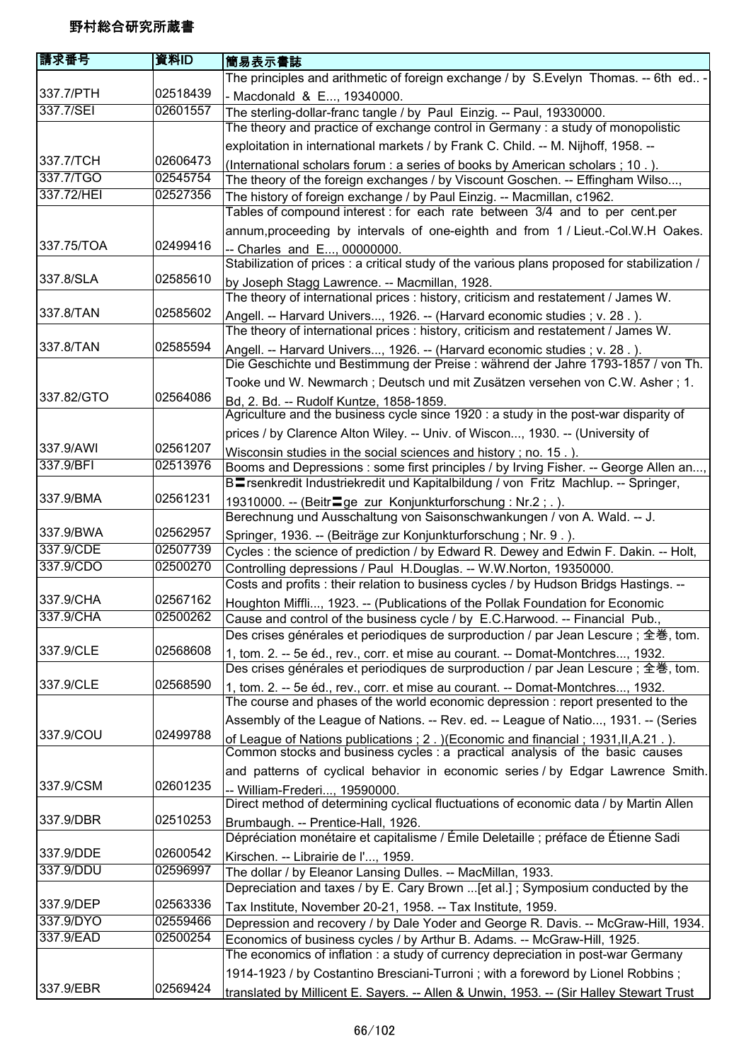| 請求番号       | 資料ID     | 簡易表示書誌                                                                                                                                                        |
|------------|----------|---------------------------------------------------------------------------------------------------------------------------------------------------------------|
|            |          | The principles and arithmetic of foreign exchange / by S. Evelyn Thomas. -- 6th ed -                                                                          |
| 337.7/PTH  | 02518439 | - Macdonald & E, 19340000.                                                                                                                                    |
| 337.7/SEI  | 02601557 | The sterling-dollar-franc tangle / by Paul Einzig. -- Paul, 19330000.                                                                                         |
|            |          | The theory and practice of exchange control in Germany : a study of monopolistic                                                                              |
|            |          | exploitation in international markets / by Frank C. Child. -- M. Nijhoff, 1958. --                                                                            |
| 337.7/TCH  | 02606473 | (International scholars forum : a series of books by American scholars; 10.).                                                                                 |
| 337.7/TGO  | 02545754 | The theory of the foreign exchanges / by Viscount Goschen. -- Effingham Wilso,                                                                                |
| 337.72/HEI | 02527356 | The history of foreign exchange / by Paul Einzig. -- Macmillan, c1962.<br>Tables of compound interest : for each rate between 3/4 and to per cent.per         |
|            |          | annum, proceeding by intervals of one-eighth and from 1 / Lieut.-Col.W.H Oakes.                                                                               |
| 337.75/TOA | 02499416 | -- Charles and E, 00000000.<br>Stabilization of prices : a critical study of the various plans proposed for stabilization /                                   |
| 337.8/SLA  | 02585610 | by Joseph Stagg Lawrence. -- Macmillan, 1928.                                                                                                                 |
|            |          | The theory of international prices : history, criticism and restatement / James W.                                                                            |
| 337.8/TAN  | 02585602 | Angell. -- Harvard Univers, 1926. -- (Harvard economic studies ; v. 28.).                                                                                     |
|            |          | The theory of international prices : history, criticism and restatement / James W.                                                                            |
| 337.8/TAN  | 02585594 | Angell. -- Harvard Univers, 1926. -- (Harvard economic studies ; v. 28.).<br>Die Geschichte und Bestimmung der Preise : während der Jahre 1793-1857 / von Th. |
|            |          | Tooke und W. Newmarch; Deutsch und mit Zusätzen versehen von C.W. Asher; 1.                                                                                   |
| 337.82/GTO | 02564086 | Bd, 2. Bd. -- Rudolf Kuntze, 1858-1859.                                                                                                                       |
|            |          | Agriculture and the business cycle since 1920 : a study in the post-war disparity of                                                                          |
|            |          | prices / by Clarence Alton Wiley. -- Univ. of Wiscon, 1930. -- (University of                                                                                 |
| 337.9/AWI  | 02561207 | Wisconsin studies in the social sciences and history; no. 15.).                                                                                               |
| 337.9/BFI  | 02513976 | Booms and Depressions: some first principles / by Irving Fisher. -- George Allen an,                                                                          |
| 337.9/BMA  | 02561231 | BErsenkredit Industriekredit und Kapitalbildung / von Fritz Machlup. -- Springer,                                                                             |
|            |          | 19310000. -- (Beitr <sup>1</sup> ge zur Konjunkturforschung: Nr.2;.).                                                                                         |
| 337.9/BWA  | 02562957 | Berechnung und Ausschaltung von Saisonschwankungen / von A. Wald. -- J.                                                                                       |
| 337.9/CDE  | 02507739 | Springer, 1936. -- (Beiträge zur Konjunkturforschung; Nr. 9.).                                                                                                |
| 337,9/CDO  | 02500270 | Cycles : the science of prediction / by Edward R. Dewey and Edwin F. Dakin. -- Holt,<br>Controlling depressions / Paul H.Douglas. -- W.W.Norton, 19350000.    |
|            |          | Costs and profits : their relation to business cycles / by Hudson Bridgs Hastings. --                                                                         |
| 337.9/CHA  | 02567162 | Houghton Miffli, 1923. -- (Publications of the Pollak Foundation for Economic                                                                                 |
| 337.9/CHA  | 02500262 | Cause and control of the business cycle / by E.C.Harwood. -- Financial Pub.,                                                                                  |
|            |          | Des crises générales et periodiques de surproduction / par Jean Lescure ; 全巻, tom.                                                                            |
| 337.9/CLE  | 02568608 | 1, tom. 2. -- 5e éd., rev., corr. et mise au courant. -- Domat-Montchres, 1932.                                                                               |
|            |          | Des crises générales et periodiques de surproduction / par Jean Lescure; 全巻, tom.                                                                             |
| 337.9/CLE  | 02568590 | 1, tom. 2. -- 5e éd., rev., corr. et mise au courant. -- Domat-Montchres, 1932.                                                                               |
|            |          | The course and phases of the world economic depression : report presented to the                                                                              |
|            |          | Assembly of the League of Nations. -- Rev. ed. -- League of Natio, 1931. -- (Series                                                                           |
| 337.9/COU  | 02499788 | of League of Nations publications ; 2. ) (Economic and financial ; 1931, II, A.21.).                                                                          |
|            |          | Common stocks and business cycles : a practical analysis of the basic causes                                                                                  |
|            |          | and patterns of cyclical behavior in economic series / by Edgar Lawrence Smith.                                                                               |
| 337.9/CSM  | 02601235 | -- William-Frederi, 19590000.                                                                                                                                 |
|            |          | Direct method of determining cyclical fluctuations of economic data / by Martin Allen                                                                         |
| 337.9/DBR  | 02510253 | Brumbaugh. -- Prentice-Hall, 1926.<br>Dépréciation monétaire et capitalisme / Émile Deletaille ; préface de Étienne Sadi                                      |
| 337.9/DDE  | 02600542 | Kirschen. -- Librairie de l', 1959.                                                                                                                           |
| 337.9/DDU  | 02596997 | The dollar / by Eleanor Lansing Dulles. -- MacMillan, 1933.                                                                                                   |
|            |          | Depreciation and taxes / by E. Cary Brown  [et al.]; Symposium conducted by the                                                                               |
| 337.9/DEP  | 02563336 | Tax Institute, November 20-21, 1958. -- Tax Institute, 1959.                                                                                                  |
| 337.9/DYO  | 02559466 | Depression and recovery / by Dale Yoder and George R. Davis. -- McGraw-Hill, 1934.                                                                            |
| 337.9/EAD  | 02500254 | Economics of business cycles / by Arthur B. Adams. -- McGraw-Hill, 1925.                                                                                      |
|            |          | The economics of inflation : a study of currency depreciation in post-war Germany                                                                             |
|            |          | 1914-1923 / by Costantino Bresciani-Turroni; with a foreword by Lionel Robbins;                                                                               |
| 337.9/EBR  | 02569424 | translated by Millicent E. Sayers. -- Allen & Unwin, 1953. -- (Sir Halley Stewart Trust                                                                       |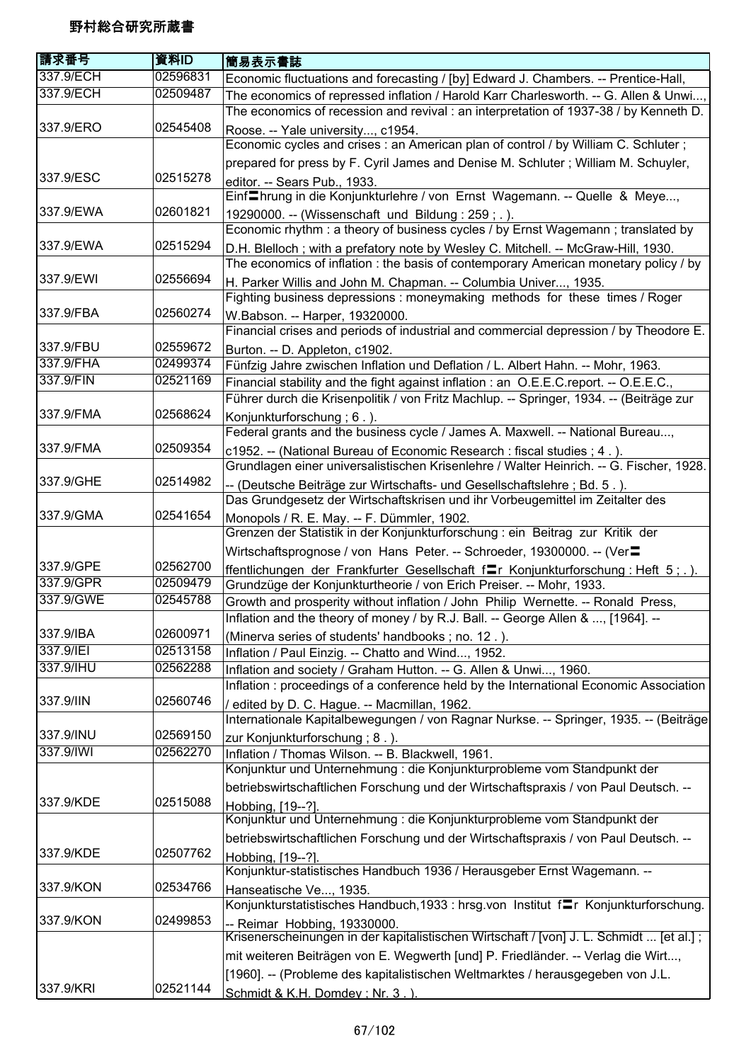| 請求番号      | 資料ID     | 簡易表示書誌                                                                                  |
|-----------|----------|-----------------------------------------------------------------------------------------|
| 337.9/ECH | 02596831 | Economic fluctuations and forecasting / [by] Edward J. Chambers. -- Prentice-Hall,      |
| 337.9/ECH | 02509487 | The economics of repressed inflation / Harold Karr Charlesworth. -- G. Allen & Unwi     |
|           |          | The economics of recession and revival: an interpretation of 1937-38 / by Kenneth D.    |
| 337.9/ERO | 02545408 | Roose. -- Yale university, c1954.                                                       |
|           |          | Economic cycles and crises : an American plan of control / by William C. Schluter;      |
|           |          | prepared for press by F. Cyril James and Denise M. Schluter; William M. Schuyler,       |
| 337.9/ESC | 02515278 | editor. -- Sears Pub., 1933.                                                            |
|           |          | Einf Ihrung in die Konjunkturlehre / von Ernst Wagemann. -- Quelle & Meye,              |
| 337.9/EWA | 02601821 | 19290000. -- (Wissenschaft und Bildung: 259; .).                                        |
|           |          | Economic rhythm: a theory of business cycles / by Ernst Wagemann; translated by         |
| 337.9/EWA | 02515294 | D.H. Blelloch; with a prefatory note by Wesley C. Mitchell. -- McGraw-Hill, 1930.       |
|           |          | The economics of inflation : the basis of contemporary American monetary policy / by    |
| 337.9/EWI | 02556694 | H. Parker Willis and John M. Chapman. -- Columbia Univer, 1935.                         |
|           |          | Fighting business depressions : moneymaking methods for these times / Roger             |
| 337.9/FBA | 02560274 | W.Babson. -- Harper, 19320000.                                                          |
|           |          | Financial crises and periods of industrial and commercial depression / by Theodore E.   |
| 337.9/FBU | 02559672 | Burton. -- D. Appleton, c1902.                                                          |
| 337.9/FHA | 02499374 | Fünfzig Jahre zwischen Inflation und Deflation / L. Albert Hahn. -- Mohr, 1963.         |
| 337.9/FIN | 02521169 | Financial stability and the fight against inflation : an O.E.E.C.report. -- O.E.E.C.,   |
|           |          | Führer durch die Krisenpolitik / von Fritz Machlup. -- Springer, 1934. -- (Beiträge zur |
| 337.9/FMA | 02568624 | Konjunkturforschung; 6.).                                                               |
|           |          | Federal grants and the business cycle / James A. Maxwell. -- National Bureau,           |
| 337.9/FMA | 02509354 | c1952. -- (National Bureau of Economic Research : fiscal studies ; 4.).                 |
|           |          | Grundlagen einer universalistischen Krisenlehre / Walter Heinrich. -- G. Fischer, 1928. |
| 337.9/GHE | 02514982 | -- (Deutsche Beiträge zur Wirtschafts- und Gesellschaftslehre ; Bd. 5.).                |
|           |          | Das Grundgesetz der Wirtschaftskrisen und ihr Vorbeugemittel im Zeitalter des           |
| 337.9/GMA | 02541654 | Monopols / R. E. May. -- F. Dümmler, 1902.                                              |
|           |          | Grenzen der Statistik in der Konjunkturforschung : ein Beitrag zur Kritik der           |
|           |          | Wirtschaftsprognose / von Hans Peter. -- Schroeder, 19300000. -- (Ver=                  |
| 337.9/GPE | 02562700 | ffentlichungen der Frankfurter Gesellschaft flr Konjunkturforschung: Heft 5; .).        |
| 337.9/GPR | 02509479 | Grundzüge der Konjunkturtheorie / von Erich Preiser. -- Mohr, 1933.                     |
| 337.9/GWE | 02545788 | Growth and prosperity without inflation / John Philip Wernette. -- Ronald Press,        |
|           |          | Inflation and the theory of money / by R.J. Ball. -- George Allen & , [1964].           |
| 337.9/IBA | 02600971 | (Minerva series of students' handbooks; no. 12.).                                       |
| 337.9/IEI | 02513158 | Inflation / Paul Einzig. -- Chatto and Wind, 1952.                                      |
| 337.9/IHU | 02562288 | Inflation and society / Graham Hutton. -- G. Allen & Unwi, 1960.                        |
|           |          | Inflation : proceedings of a conference held by the International Economic Association  |
| 337.9/IIN | 02560746 | / edited by D. C. Hague. -- Macmillan, 1962.                                            |
|           |          | Internationale Kapitalbewegungen / von Ragnar Nurkse. -- Springer, 1935. -- (Beiträge   |
| 337.9/INU | 02569150 | zur Konjunkturforschung; 8.).                                                           |
| 337.9/IWI | 02562270 | Inflation / Thomas Wilson. -- B. Blackwell, 1961.                                       |
|           |          | Konjunktur und Unternehmung : die Konjunkturprobleme vom Standpunkt der                 |
|           |          | betriebswirtschaftlichen Forschung und der Wirtschaftspraxis / von Paul Deutsch. --     |
| 337.9/KDE | 02515088 | Hobbing, [19--?].                                                                       |
|           |          | Konjunktur und Unternehmung : die Konjunkturprobleme vom Standpunkt der                 |
|           |          | betriebswirtschaftlichen Forschung und der Wirtschaftspraxis / von Paul Deutsch. --     |
| 337.9/KDE | 02507762 | Hobbing, [19--?].                                                                       |
|           |          | Konjunktur-statistisches Handbuch 1936 / Herausgeber Ernst Wagemann. --                 |
| 337.9/KON | 02534766 | Hanseatische Ve, 1935.                                                                  |
|           |          | Konjunkturstatistisches Handbuch, 1933 : hrsg.von Institut f=r Konjunkturforschung.     |
| 337.9/KON | 02499853 | -- Reimar Hobbing, 19330000.                                                            |
|           |          | Krisenerscheinungen in der kapitalistischen Wirtschaft / [von] J. L. Schmidt  [et al.]; |
|           |          | mit weiteren Beiträgen von E. Wegwerth [und] P. Friedländer. -- Verlag die Wirt,        |
|           |          | [1960]. -- (Probleme des kapitalistischen Weltmarktes / herausgegeben von J.L.          |
| 337.9/KRI | 02521144 | Schmidt & K.H. Domdev: Nr. 3.).                                                         |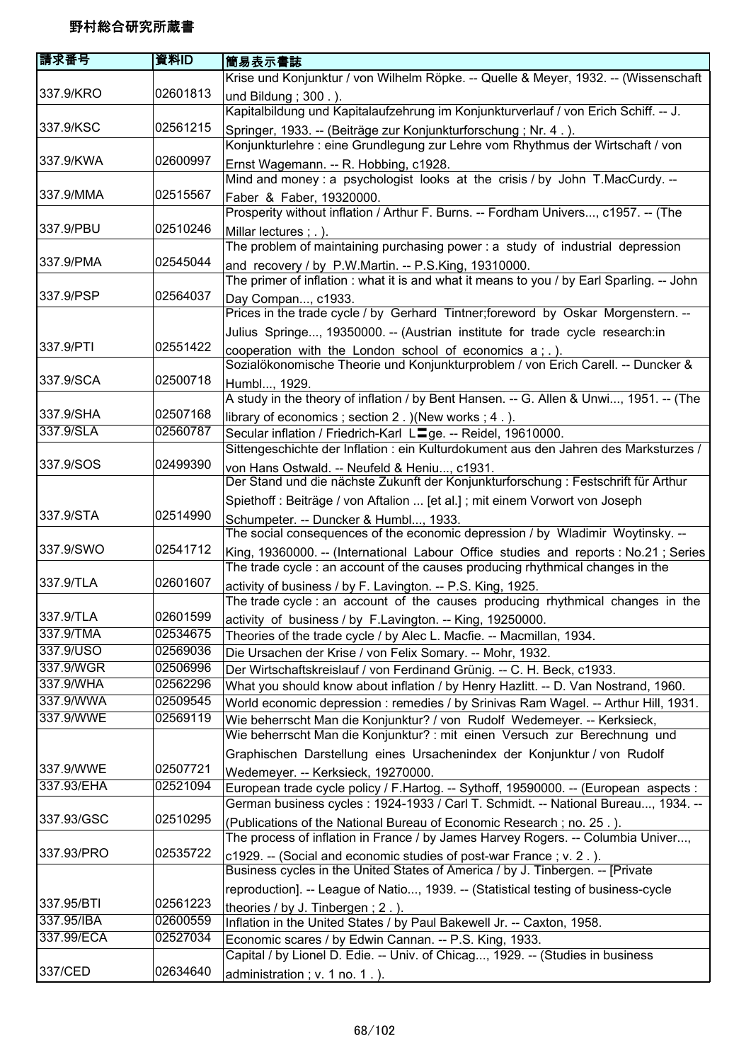| 請求番号       | 資料ID     | 簡易表示書誌                                                                                                                                                               |
|------------|----------|----------------------------------------------------------------------------------------------------------------------------------------------------------------------|
|            |          | Krise und Konjunktur / von Wilhelm Röpke. -- Quelle & Meyer, 1932. -- (Wissenschaft                                                                                  |
| 337.9/KRO  | 02601813 | und Bildung; 300.).                                                                                                                                                  |
|            |          | Kapitalbildung und Kapitalaufzehrung im Konjunkturverlauf / von Erich Schiff. -- J.                                                                                  |
| 337.9/KSC  | 02561215 | Springer, 1933. -- (Beiträge zur Konjunkturforschung; Nr. 4.).                                                                                                       |
|            |          | Konjunkturlehre : eine Grundlegung zur Lehre vom Rhythmus der Wirtschaft / von                                                                                       |
| 337.9/KWA  | 02600997 | Ernst Wagemann. -- R. Hobbing, c1928.                                                                                                                                |
|            |          | Mind and money : a psychologist looks at the crisis / by John T.MacCurdy. --                                                                                         |
| 337.9/MMA  | 02515567 | Faber & Faber, 19320000.                                                                                                                                             |
|            |          | Prosperity without inflation / Arthur F. Burns. -- Fordham Univers, c1957. -- (The                                                                                   |
| 337.9/PBU  | 02510246 | Millar lectures ; . ).                                                                                                                                               |
|            |          | The problem of maintaining purchasing power: a study of industrial depression                                                                                        |
| 337.9/PMA  | 02545044 | and recovery / by P.W.Martin. -- P.S.King, 19310000.                                                                                                                 |
|            |          | The primer of inflation: what it is and what it means to you / by Earl Sparling. -- John                                                                             |
| 337.9/PSP  | 02564037 | Day Compan, c1933.                                                                                                                                                   |
|            |          | Prices in the trade cycle / by Gerhard Tintner; foreword by Oskar Morgenstern. --                                                                                    |
|            |          | Julius Springe, 19350000. -- (Austrian institute for trade cycle research:in                                                                                         |
| 337.9/PTI  | 02551422 | cooperation with the London school of economics a; .).                                                                                                               |
|            |          | Sozialökonomische Theorie und Konjunkturproblem / von Erich Carell. -- Duncker &                                                                                     |
| 337.9/SCA  | 02500718 | Humbl, 1929.                                                                                                                                                         |
|            |          | A study in the theory of inflation / by Bent Hansen. -- G. Allen & Unwi, 1951. -- (The                                                                               |
| 337.9/SHA  | 02507168 | library of economics; section 2. ) (New works; 4.).                                                                                                                  |
| 337.9/SLA  | 02560787 | Secular inflation / Friedrich-Karl L <sup>ord</sup> ge. -- Reidel, 19610000.                                                                                         |
|            |          | Sittengeschichte der Inflation : ein Kulturdokument aus den Jahren des Marksturzes /                                                                                 |
| 337.9/SOS  | 02499390 | von Hans Ostwald. -- Neufeld & Heniu, c1931.                                                                                                                         |
|            |          | Der Stand und die nächste Zukunft der Konjunkturforschung : Festschrift für Arthur                                                                                   |
| 337.9/STA  | 02514990 | Spiethoff : Beiträge / von Aftalion  [et al.] ; mit einem Vorwort von Joseph                                                                                         |
|            |          | Schumpeter. -- Duncker & Humbl, 1933.<br>The social consequences of the economic depression / by Wladimir Woytinsky. --                                              |
| 337.9/SWO  | 02541712 |                                                                                                                                                                      |
|            |          | King, 19360000. -- (International Labour Office studies and reports : No.21; Series<br>The trade cycle: an account of the causes producing rhythmical changes in the |
| 337.9/TLA  | 02601607 | activity of business / by F. Lavington. -- P.S. King, 1925.                                                                                                          |
|            |          | The trade cycle : an account of the causes producing rhythmical changes in the                                                                                       |
| 337.9/TLA  | 02601599 | activity of business / by F.Lavington. -- King, 19250000.                                                                                                            |
| 337.9/TMA  | 02534675 | Theories of the trade cycle / by Alec L. Macfie. -- Macmillan, 1934.                                                                                                 |
| 337.9/USO  | 02569036 | Die Ursachen der Krise / von Felix Somary. -- Mohr, 1932.                                                                                                            |
| 337.9/WGR  | 02506996 | Der Wirtschaftskreislauf / von Ferdinand Grünig. -- C. H. Beck, c1933.                                                                                               |
| 337.9/WHA  | 02562296 | What you should know about inflation / by Henry Hazlitt. -- D. Van Nostrand, 1960.                                                                                   |
| 337.9/WWA  | 02509545 | World economic depression : remedies / by Srinivas Ram Wagel. -- Arthur Hill, 1931.                                                                                  |
| 337.9/WWE  | 02569119 | Wie beherrscht Man die Konjunktur? / von Rudolf Wedemeyer. -- Kerksieck,                                                                                             |
|            |          | Wie beherrscht Man die Konjunktur? : mit einen Versuch zur Berechnung und                                                                                            |
|            |          | Graphischen Darstellung eines Ursachenindex der Konjunktur / von Rudolf                                                                                              |
| 337.9/WWE  | 02507721 | Wedemeyer. -- Kerksieck, 19270000.                                                                                                                                   |
| 337.93/EHA | 02521094 | European trade cycle policy / F.Hartog. -- Sythoff, 19590000. -- (European aspects :                                                                                 |
|            |          | German business cycles : 1924-1933 / Carl T. Schmidt. -- National Bureau, 1934. --                                                                                   |
| 337.93/GSC | 02510295 | (Publications of the National Bureau of Economic Research; no. 25.).                                                                                                 |
|            |          | The process of inflation in France / by James Harvey Rogers. -- Columbia Univer,                                                                                     |
| 337.93/PRO | 02535722 | c1929. -- (Social and economic studies of post-war France; v. 2.).                                                                                                   |
|            |          | Business cycles in the United States of America / by J. Tinbergen. -- [Private                                                                                       |
| 337.95/BTI | 02561223 | reproduction]. -- League of Natio, 1939. -- (Statistical testing of business-cycle                                                                                   |
| 337.95/IBA | 02600559 | theories / by J. Tinbergen; 2.).                                                                                                                                     |
| 337.99/ECA | 02527034 | Inflation in the United States / by Paul Bakewell Jr. -- Caxton, 1958.<br>Economic scares / by Edwin Cannan. -- P.S. King, 1933.                                     |
|            |          | Capital / by Lionel D. Edie. -- Univ. of Chicag, 1929. -- (Studies in business                                                                                       |
| 337/CED    | 02634640 | administration; v. 1 no. 1.).                                                                                                                                        |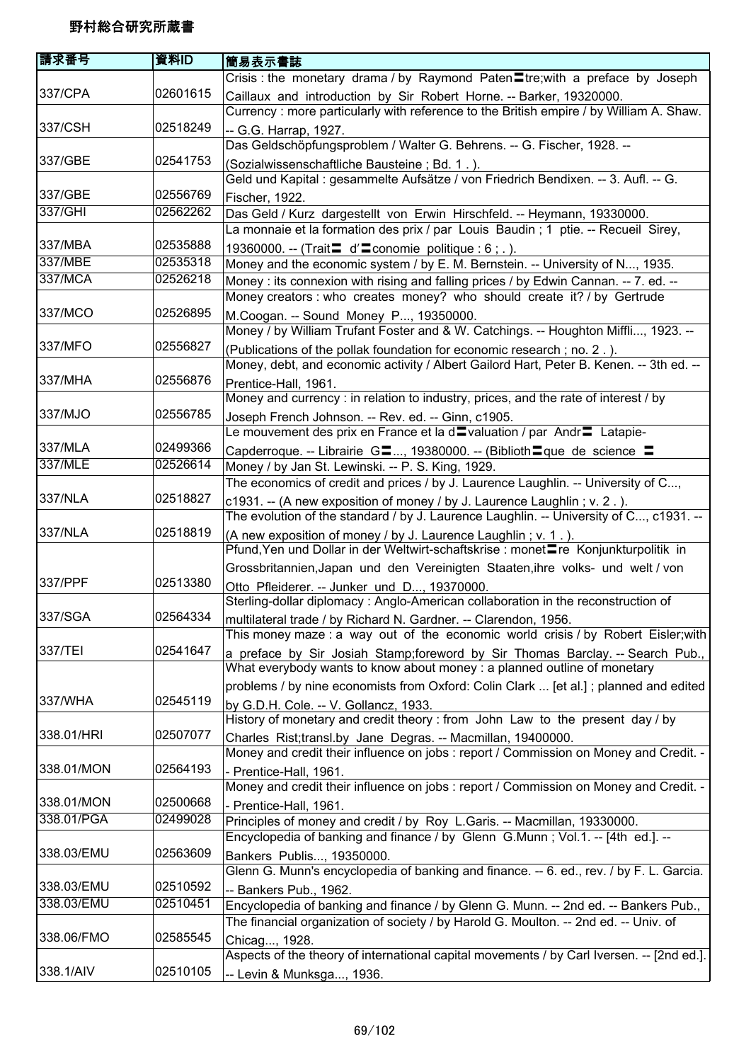| 請求番号       | 資料ID     | 簡易表示書誌                                                                                                                                                          |
|------------|----------|-----------------------------------------------------------------------------------------------------------------------------------------------------------------|
|            |          | Crisis: the monetary drama / by Raymond Paten Etre; with a preface by Joseph                                                                                    |
| 337/CPA    | 02601615 | Caillaux and introduction by Sir Robert Horne. -- Barker, 19320000.                                                                                             |
|            |          | Currency : more particularly with reference to the British empire / by William A. Shaw.                                                                         |
| 337/CSH    | 02518249 | -- G.G. Harrap, 1927.                                                                                                                                           |
|            |          | Das Geldschöpfungsproblem / Walter G. Behrens. -- G. Fischer, 1928. --                                                                                          |
| 337/GBE    | 02541753 | (Sozialwissenschaftliche Bausteine; Bd. 1.).                                                                                                                    |
|            |          | Geld und Kapital : gesammelte Aufsätze / von Friedrich Bendixen. -- 3. Aufl. -- G.                                                                              |
| 337/GBE    | 02556769 | Fischer, 1922.                                                                                                                                                  |
| 337/GHI    | 02562262 | Das Geld / Kurz dargestellt von Erwin Hirschfeld. -- Heymann, 19330000.                                                                                         |
| 337/MBA    | 02535888 | La monnaie et la formation des prix / par Louis Baudin; 1 ptie. -- Recueil Sirey,                                                                               |
| 337/MBE    | 02535318 | 19360000. -- (Trait $\blacksquare$ d' $\blacksquare$ conomie politique : 6 ; . ).                                                                               |
| 337/MCA    | 02526218 | Money and the economic system / by E. M. Bernstein. -- University of N, 1935.                                                                                   |
|            |          | Money : its connexion with rising and falling prices / by Edwin Cannan. -- 7. ed. --<br>Money creators : who creates money? who should create it? / by Gertrude |
| 337/MCO    | 02526895 |                                                                                                                                                                 |
|            |          | M.Coogan. -- Sound Money P, 19350000.<br>Money / by William Trufant Foster and & W. Catchings. -- Houghton Miffli, 1923. --                                     |
| 337/MFO    | 02556827 | (Publications of the pollak foundation for economic research; no. 2.).                                                                                          |
|            |          | Money, debt, and economic activity / Albert Gailord Hart, Peter B. Kenen. -- 3th ed. --                                                                         |
| 337/MHA    | 02556876 | Prentice-Hall, 1961.                                                                                                                                            |
|            |          | Money and currency : in relation to industry, prices, and the rate of interest / by                                                                             |
| 337/MJO    | 02556785 | Joseph French Johnson. -- Rev. ed. -- Ginn, c1905.                                                                                                              |
|            |          | Le mouvement des prix en France et la d <sup>ou</sup> valuation / par Andr <sup>ou</sup> Latapie-                                                               |
| 337/MLA    | 02499366 | Capderroque. -- Librairie G■, 19380000. -- (Biblioth■que de science ■                                                                                           |
| 337/MLE    | 02526614 | Money / by Jan St. Lewinski. -- P. S. King, 1929.                                                                                                               |
|            |          | The economics of credit and prices / by J. Laurence Laughlin. -- University of C,                                                                               |
| 337/NLA    | 02518827 | c1931. -- (A new exposition of money / by J. Laurence Laughlin; v. 2.).                                                                                         |
|            |          | The evolution of the standard / by J. Laurence Laughlin. -- University of C, c1931. --                                                                          |
| 337/NLA    | 02518819 | (A new exposition of money / by J. Laurence Laughlin; v. 1.).                                                                                                   |
|            |          | Pfund, Yen und Dollar in der Weltwirt-schaftskrise : monet■re Konjunkturpolitik in                                                                              |
|            |          | Grossbritannien, Japan und den Vereinigten Staaten, ihre volks- und welt / von                                                                                  |
| 337/PPF    | 02513380 | Otto Pfleiderer. -- Junker und D, 19370000.                                                                                                                     |
|            |          | Sterling-dollar diplomacy: Anglo-American collaboration in the reconstruction of                                                                                |
| 337/SGA    | 02564334 | multilateral trade / by Richard N. Gardner. -- Clarendon, 1956.                                                                                                 |
| 337/TEI    | 02541647 | This money maze : a way out of the economic world crisis / by Robert Eisler; with                                                                               |
|            |          | a preface by Sir Josiah Stamp;foreword by Sir Thomas Barclay. -- Search Pub.,<br>What everybody wants to know about money : a planned outline of monetary       |
|            |          | problems / by nine economists from Oxford: Colin Clark  [et al.]; planned and edited                                                                            |
| 337/WHA    | 02545119 |                                                                                                                                                                 |
|            |          | by G.D.H. Cole. -- V. Gollancz, 1933.<br>History of monetary and credit theory : from John Law to the present day / by                                          |
| 338.01/HRI | 02507077 | Charles Rist;transl.by Jane Degras. -- Macmillan, 19400000.                                                                                                     |
|            |          | Money and credit their influence on jobs : report / Commission on Money and Credit. -                                                                           |
| 338.01/MON | 02564193 | - Prentice-Hall, 1961.                                                                                                                                          |
|            |          | Money and credit their influence on jobs : report / Commission on Money and Credit. -                                                                           |
| 338.01/MON | 02500668 | - Prentice-Hall, 1961.                                                                                                                                          |
| 338.01/PGA | 02499028 | Principles of money and credit / by Roy L.Garis. -- Macmillan, 19330000.                                                                                        |
|            |          | Encyclopedia of banking and finance / by Glenn G.Munn; Vol.1. -- [4th ed.]. --                                                                                  |
| 338.03/EMU | 02563609 | Bankers Publis, 19350000.                                                                                                                                       |
|            |          | Glenn G. Munn's encyclopedia of banking and finance. -- 6. ed., rev. / by F. L. Garcia.                                                                         |
| 338.03/EMU | 02510592 | -- Bankers Pub., 1962.                                                                                                                                          |
| 338.03/EMU | 02510451 | Encyclopedia of banking and finance / by Glenn G. Munn. -- 2nd ed. -- Bankers Pub.,                                                                             |
|            |          | The financial organization of society / by Harold G. Moulton. -- 2nd ed. -- Univ. of                                                                            |
| 338.06/FMO | 02585545 | Chicag, 1928.                                                                                                                                                   |
|            |          | Aspects of the theory of international capital movements / by Carl Iversen. -- [2nd ed.].                                                                       |
| 338.1/AIV  | 02510105 | -- Levin & Munksga, 1936.                                                                                                                                       |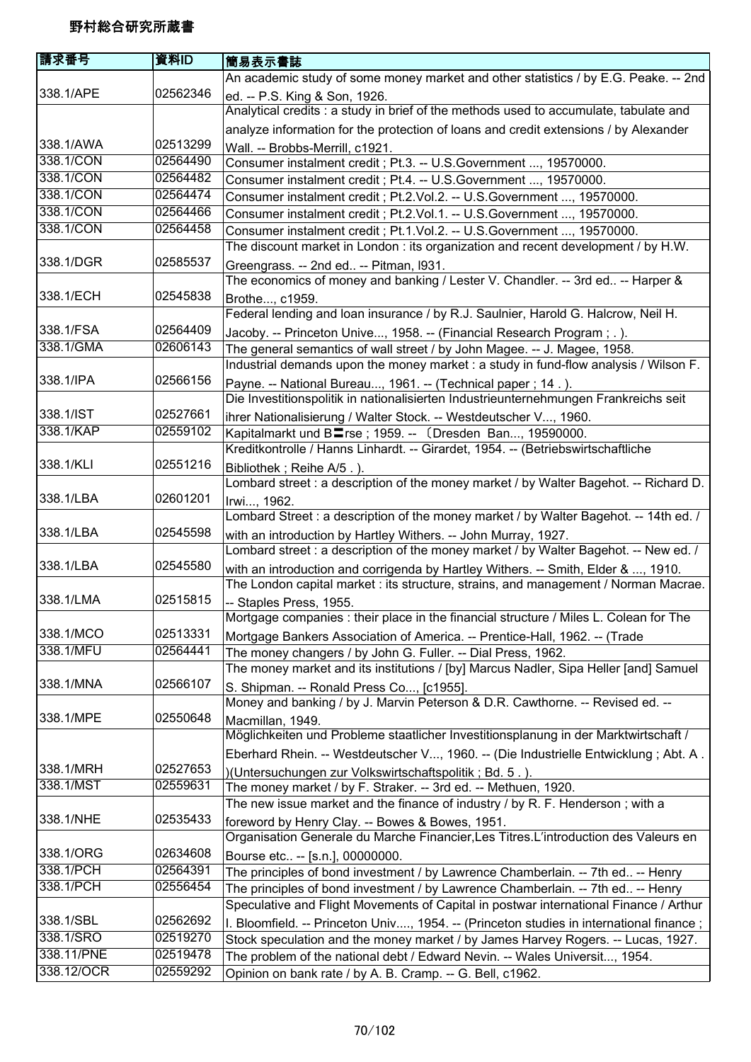| 請求番号       | 資料ID     | 簡易表示書誌                                                                                                                                                     |
|------------|----------|------------------------------------------------------------------------------------------------------------------------------------------------------------|
|            |          | An academic study of some money market and other statistics / by E.G. Peake. -- 2nd                                                                        |
| 338.1/APE  | 02562346 | ed. -- P.S. King & Son, 1926.                                                                                                                              |
|            |          | Analytical credits : a study in brief of the methods used to accumulate, tabulate and                                                                      |
|            |          | analyze information for the protection of loans and credit extensions / by Alexander                                                                       |
| 338.1/AWA  | 02513299 | Wall. -- Brobbs-Merrill, c1921.                                                                                                                            |
| 338.1/CON  | 02564490 | Consumer instalment credit ; Pt.3. -- U.S.Government , 19570000.                                                                                           |
| 338.1/CON  | 02564482 | Consumer instalment credit ; Pt.4. -- U.S.Government , 19570000.                                                                                           |
| 338.1/CON  | 02564474 | Consumer instalment credit ; Pt.2.Vol.2. -- U.S.Government , 19570000.                                                                                     |
| 338.1/CON  | 02564466 | Consumer instalment credit ; Pt.2.Vol.1. -- U.S.Government , 19570000.                                                                                     |
| 338.1/CON  | 02564458 | Consumer instalment credit ; Pt.1.Vol.2. -- U.S.Government , 19570000.                                                                                     |
|            |          | The discount market in London: its organization and recent development / by H.W.                                                                           |
| 338.1/DGR  | 02585537 | Greengrass. -- 2nd ed -- Pitman, I931.                                                                                                                     |
|            |          | The economics of money and banking / Lester V. Chandler. -- 3rd ed -- Harper &                                                                             |
| 338.1/ECH  | 02545838 | Brothe, c1959.                                                                                                                                             |
|            |          | Federal lending and loan insurance / by R.J. Saulnier, Harold G. Halcrow, Neil H.                                                                          |
| 338.1/FSA  | 02564409 | Jacoby. -- Princeton Unive, 1958. -- (Financial Research Program;.).                                                                                       |
| 338.1/GMA  | 02606143 | The general semantics of wall street / by John Magee. -- J. Magee, 1958.                                                                                   |
| 338.1/IPA  |          | Industrial demands upon the money market : a study in fund-flow analysis / Wilson F.                                                                       |
|            | 02566156 | Payne. -- National Bureau, 1961. -- (Technical paper ; 14.).                                                                                               |
| 338.1/IST  | 02527661 | Die Investitionspolitik in nationalisierten Industrieunternehmungen Frankreichs seit                                                                       |
| 338.1/KAP  | 02559102 | ihrer Nationalisierung / Walter Stock. -- Westdeutscher V, 1960.                                                                                           |
|            |          | Kapitalmarkt und B <sup>ra</sup> rse; 1959. -- (Dresden Ban, 19590000.<br>Kreditkontrolle / Hanns Linhardt. -- Girardet, 1954. -- (Betriebswirtschaftliche |
| 338.1/KLI  | 02551216 |                                                                                                                                                            |
|            |          | Bibliothek; Reihe A/5.).<br>Lombard street : a description of the money market / by Walter Bagehot. -- Richard D.                                          |
| 338.1/LBA  | 02601201 |                                                                                                                                                            |
|            |          | Irwi, 1962.<br>Lombard Street : a description of the money market / by Walter Bagehot. -- 14th ed. /                                                       |
| 338.1/LBA  | 02545598 | with an introduction by Hartley Withers. -- John Murray, 1927.                                                                                             |
|            |          | Lombard street : a description of the money market / by Walter Bagehot. -- New ed. /                                                                       |
| 338.1/LBA  | 02545580 | with an introduction and corrigenda by Hartley Withers. -- Smith, Elder & , 1910.                                                                          |
|            |          | The London capital market : its structure, strains, and management / Norman Macrae.                                                                        |
| 338.1/LMA  | 02515815 | -- Staples Press, 1955.                                                                                                                                    |
|            |          | Mortgage companies : their place in the financial structure / Miles L. Colean for The                                                                      |
| 338.1/MCO  | 02513331 | Mortgage Bankers Association of America. -- Prentice-Hall, 1962. -- (Trade                                                                                 |
| 338.1/MFU  | 02564441 | The money changers / by John G. Fuller. -- Dial Press, 1962.                                                                                               |
|            |          | The money market and its institutions / [by] Marcus Nadler, Sipa Heller [and] Samuel                                                                       |
| 338.1/MNA  | 02566107 | S. Shipman. -- Ronald Press Co, [c1955].                                                                                                                   |
|            |          | Money and banking / by J. Marvin Peterson & D.R. Cawthorne. -- Revised ed. --                                                                              |
| 338.1/MPE  | 02550648 | Macmillan, 1949.                                                                                                                                           |
|            |          | Möglichkeiten und Probleme staatlicher Investitionsplanung in der Marktwirtschaft /                                                                        |
|            |          | Eberhard Rhein. -- Westdeutscher V, 1960. -- (Die Industrielle Entwicklung ; Abt. A.                                                                       |
| 338.1/MRH  | 02527653 | )(Untersuchungen zur Volkswirtschaftspolitik; Bd. 5.).                                                                                                     |
| 338.1/MST  | 02559631 | The money market / by F. Straker. -- 3rd ed. -- Methuen, 1920.                                                                                             |
|            |          | The new issue market and the finance of industry / by R. F. Henderson; with a                                                                              |
| 338.1/NHE  | 02535433 | foreword by Henry Clay. -- Bowes & Bowes, 1951.                                                                                                            |
|            |          | Organisation Generale du Marche Financier, Les Titres. L'introduction des Valeurs en                                                                       |
| 338.1/ORG  | 02634608 | Bourse etc -- [s.n.], 00000000.                                                                                                                            |
| 338.1/PCH  | 02564391 | The principles of bond investment / by Lawrence Chamberlain. -- 7th ed -- Henry                                                                            |
| 338.1/PCH  | 02556454 | The principles of bond investment / by Lawrence Chamberlain. -- 7th ed -- Henry                                                                            |
|            |          | Speculative and Flight Movements of Capital in postwar international Finance / Arthur                                                                      |
| 338.1/SBL  | 02562692 | I. Bloomfield. -- Princeton Univ, 1954. -- (Princeton studies in international finance;                                                                    |
| 338.1/SRO  | 02519270 | Stock speculation and the money market / by James Harvey Rogers. -- Lucas, 1927.                                                                           |
| 338.11/PNE | 02519478 | The problem of the national debt / Edward Nevin. -- Wales Universit, 1954.                                                                                 |
| 338.12/OCR | 02559292 | Opinion on bank rate / by A. B. Cramp. -- G. Bell, c1962.                                                                                                  |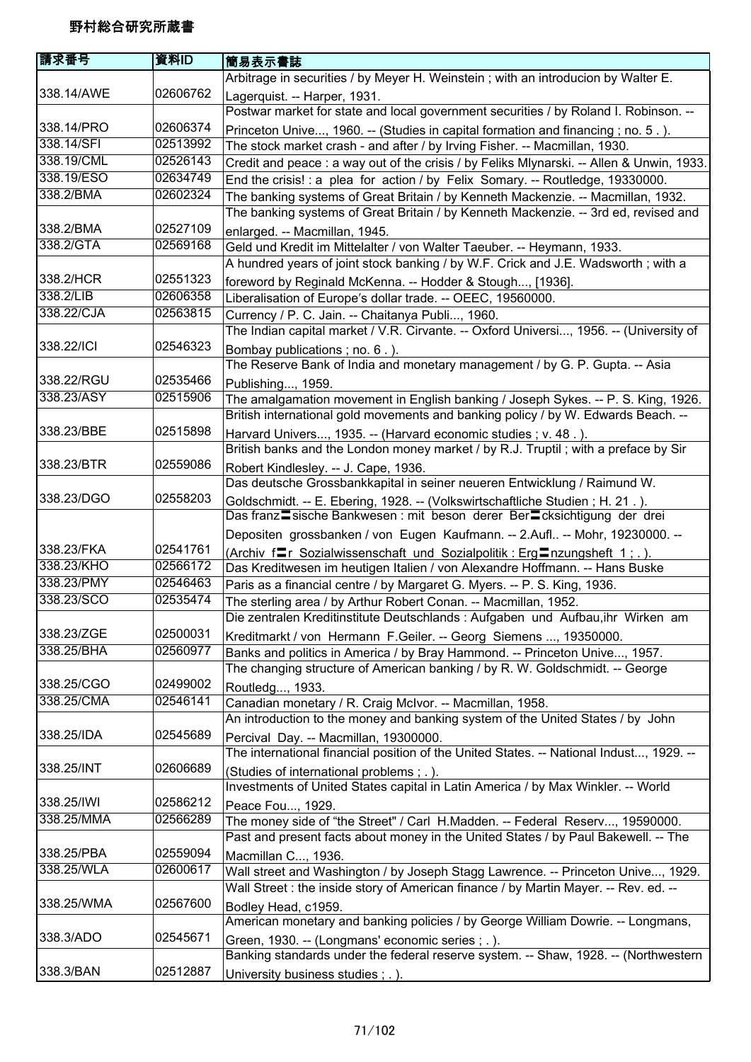| 請求番号       | 資料ID     | 簡易表示書誌                                                                                                                                                    |
|------------|----------|-----------------------------------------------------------------------------------------------------------------------------------------------------------|
|            |          | Arbitrage in securities / by Meyer H. Weinstein; with an introducion by Walter E.                                                                         |
| 338.14/AWE | 02606762 | Lagerquist. -- Harper, 1931.                                                                                                                              |
|            |          | Postwar market for state and local government securities / by Roland I. Robinson. --                                                                      |
| 338.14/PRO | 02606374 | Princeton Unive, 1960. -- (Studies in capital formation and financing; no. 5.).                                                                           |
| 338.14/SFI | 02513992 | The stock market crash - and after / by Irving Fisher. -- Macmillan, 1930.                                                                                |
| 338.19/CML | 02526143 | Credit and peace : a way out of the crisis / by Feliks Mlynarski. -- Allen & Unwin, 1933.                                                                 |
| 338.19/ESO | 02634749 | End the crisis! : a plea for action / by Felix Somary. -- Routledge, 19330000.                                                                            |
| 338.2/BMA  | 02602324 | The banking systems of Great Britain / by Kenneth Mackenzie. -- Macmillan, 1932.                                                                          |
|            |          | The banking systems of Great Britain / by Kenneth Mackenzie. -- 3rd ed, revised and                                                                       |
| 338.2/BMA  | 02527109 | enlarged. -- Macmillan, 1945.                                                                                                                             |
| 338.2/GTA  | 02569168 | Geld und Kredit im Mittelalter / von Walter Taeuber. -- Heymann, 1933.                                                                                    |
|            |          | A hundred years of joint stock banking / by W.F. Crick and J.E. Wadsworth; with a                                                                         |
| 338.2/HCR  | 02551323 | foreword by Reginald McKenna. -- Hodder & Stough, [1936].                                                                                                 |
| 338.2/LIB  | 02606358 | Liberalisation of Europe's dollar trade. -- OEEC, 19560000.                                                                                               |
| 338.22/CJA | 02563815 | Currency / P. C. Jain. -- Chaitanya Publi, 1960.                                                                                                          |
|            |          | The Indian capital market / V.R. Cirvante. -- Oxford Universi, 1956. -- (University of                                                                    |
| 338.22/ICI | 02546323 | Bombay publications; no. 6.).                                                                                                                             |
|            |          | The Reserve Bank of India and monetary management / by G. P. Gupta. -- Asia                                                                               |
| 338.22/RGU | 02535466 | Publishing, 1959.                                                                                                                                         |
| 338.23/ASY | 02515906 | The amalgamation movement in English banking / Joseph Sykes. -- P. S. King, 1926.                                                                         |
|            |          | British international gold movements and banking policy / by W. Edwards Beach. --                                                                         |
| 338.23/BBE | 02515898 | Harvard Univers, 1935. -- (Harvard economic studies ; v. 48.).                                                                                            |
|            |          | British banks and the London money market / by R.J. Truptil; with a preface by Sir                                                                        |
| 338.23/BTR | 02559086 | Robert Kindlesley. -- J. Cape, 1936.                                                                                                                      |
|            |          | Das deutsche Grossbankkapital in seiner neueren Entwicklung / Raimund W.                                                                                  |
| 338.23/DGO | 02558203 | Goldschmidt. -- E. Ebering, 1928. -- (Volkswirtschaftliche Studien; H. 21.).                                                                              |
|            |          | Das franz sische Bankwesen : mit beson derer Ber Ecksichtigung der drei                                                                                   |
|            |          | Depositen grossbanken / von Eugen Kaufmann. -- 2.Aufl -- Mohr, 19230000. --                                                                               |
| 338.23/FKA | 02541761 |                                                                                                                                                           |
| 338.23/KHO | 02566172 | (Archiv frame Sozialwissenschaft und Sozialpolitik: Erg Inzungsheft 1; .).<br>Das Kreditwesen im heutigen Italien / von Alexandre Hoffmann. -- Hans Buske |
| 338.23/PMY | 02546463 | Paris as a financial centre / by Margaret G. Myers. -- P. S. King, 1936.                                                                                  |
| 338.23/SCO | 02535474 | The sterling area / by Arthur Robert Conan. -- Macmillan, 1952.                                                                                           |
|            |          | Die zentralen Kreditinstitute Deutschlands : Aufgaben und Aufbau, ihr Wirken am                                                                           |
| 338.23/ZGE | 02500031 | Kreditmarkt / von Hermann F.Geiler. -- Georg Siemens , 19350000.                                                                                          |
| 338.25/BHA | 02560977 | Banks and politics in America / by Bray Hammond. -- Princeton Unive, 1957.                                                                                |
|            |          | The changing structure of American banking / by R. W. Goldschmidt. -- George                                                                              |
| 338.25/CGO | 02499002 | Routledg, 1933.                                                                                                                                           |
| 338.25/CMA | 02546141 | Canadian monetary / R. Craig McIvor. -- Macmillan, 1958.                                                                                                  |
|            |          | An introduction to the money and banking system of the United States / by John                                                                            |
| 338.25/IDA | 02545689 | Percival Day. -- Macmillan, 19300000.                                                                                                                     |
|            |          | The international financial position of the United States. -- National Indust, 1929. --                                                                   |
| 338.25/INT | 02606689 | (Studies of international problems ; .).                                                                                                                  |
|            |          | Investments of United States capital in Latin America / by Max Winkler. -- World                                                                          |
| 338.25/IWI | 02586212 | Peace Fou, 1929.                                                                                                                                          |
| 338.25/MMA | 02566289 | The money side of "the Street" / Carl H.Madden. -- Federal Reserv, 19590000.                                                                              |
|            |          | Past and present facts about money in the United States / by Paul Bakewell. -- The                                                                        |
| 338.25/PBA | 02559094 | Macmillan C, 1936.                                                                                                                                        |
| 338.25/WLA | 02600617 | Wall street and Washington / by Joseph Stagg Lawrence. -- Princeton Unive, 1929.                                                                          |
|            |          | Wall Street : the inside story of American finance / by Martin Mayer. -- Rev. ed. --                                                                      |
| 338.25/WMA | 02567600 |                                                                                                                                                           |
|            |          | Bodley Head, c1959.<br>American monetary and banking policies / by George William Dowrie. -- Longmans,                                                    |
| 338.3/ADO  | 02545671 |                                                                                                                                                           |
|            |          | Green, 1930. -- (Longmans' economic series; .).                                                                                                           |
| 338.3/BAN  | 02512887 | Banking standards under the federal reserve system. -- Shaw, 1928. -- (Northwestern                                                                       |
|            |          | University business studies; .).                                                                                                                          |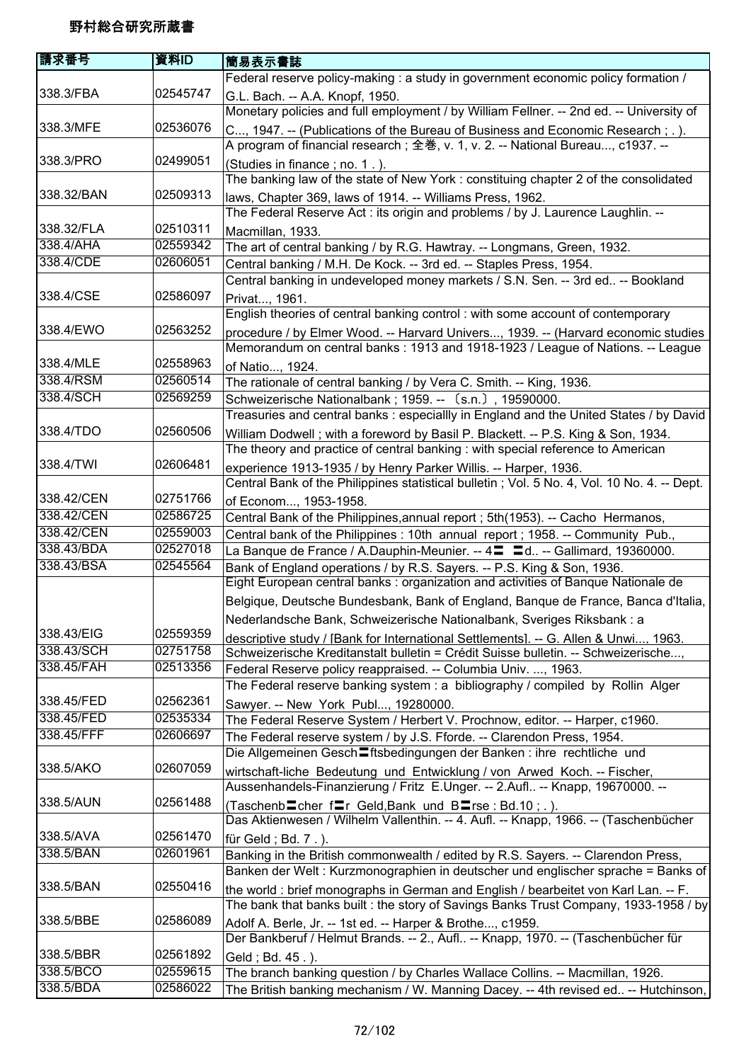| 請求番号       | 資料ID     | 簡易表示書誌                                                                                                                                                                    |
|------------|----------|---------------------------------------------------------------------------------------------------------------------------------------------------------------------------|
|            |          | Federal reserve policy-making : a study in government economic policy formation /                                                                                         |
| 338.3/FBA  | 02545747 | G.L. Bach. -- A.A. Knopf, 1950.<br>Monetary policies and full employment / by William Fellner. -- 2nd ed. -- University of                                                |
| 338.3/MFE  | 02536076 | C, 1947. -- (Publications of the Bureau of Business and Economic Research; .).                                                                                            |
|            |          | A program of financial research ; 全巻, v. 1, v. 2. -- National Bureau, c1937. --                                                                                           |
| 338.3/PRO  | 02499051 | (Studies in finance; no. 1.).                                                                                                                                             |
|            |          | The banking law of the state of New York : constituing chapter 2 of the consolidated                                                                                      |
| 338.32/BAN | 02509313 | laws, Chapter 369, laws of 1914. -- Williams Press, 1962.                                                                                                                 |
|            |          | The Federal Reserve Act : its origin and problems / by J. Laurence Laughlin. --                                                                                           |
| 338.32/FLA | 02510311 | Macmillan, 1933.                                                                                                                                                          |
| 338.4/AHA  | 02559342 | The art of central banking / by R.G. Hawtray. -- Longmans, Green, 1932.                                                                                                   |
| 338.4/CDE  | 02606051 | Central banking / M.H. De Kock. -- 3rd ed. -- Staples Press, 1954.                                                                                                        |
|            |          | Central banking in undeveloped money markets / S.N. Sen. -- 3rd ed -- Bookland                                                                                            |
| 338.4/CSE  | 02586097 | Privat, 1961.                                                                                                                                                             |
|            |          | English theories of central banking control: with some account of contemporary                                                                                            |
| 338.4/EWO  | 02563252 | procedure / by Elmer Wood. -- Harvard Univers, 1939. -- (Harvard economic studies                                                                                         |
|            |          | Memorandum on central banks: 1913 and 1918-1923 / League of Nations. -- League                                                                                            |
| 338.4/MLE  | 02558963 | of Natio, 1924.                                                                                                                                                           |
| 338.4/RSM  | 02560514 | The rationale of central banking / by Vera C. Smith. -- King, 1936.                                                                                                       |
| 338.4/SCH  | 02569259 | Schweizerische Nationalbank; 1959. -- (s.n.), 19590000.                                                                                                                   |
|            |          | Treasuries and central banks : especiallly in England and the United States / by David                                                                                    |
| 338.4/TDO  | 02560506 | William Dodwell; with a foreword by Basil P. Blackett. -- P.S. King & Son, 1934.                                                                                          |
|            |          | The theory and practice of central banking : with special reference to American                                                                                           |
| 338.4/TWI  | 02606481 | experience 1913-1935 / by Henry Parker Willis. -- Harper, 1936.                                                                                                           |
|            |          | Central Bank of the Philippines statistical bulletin; Vol. 5 No. 4, Vol. 10 No. 4. -- Dept.                                                                               |
| 338.42/CEN | 02751766 | of Econom, 1953-1958.                                                                                                                                                     |
| 338.42/CEN | 02586725 | Central Bank of the Philippines, annual report; 5th(1953). -- Cacho Hermanos,                                                                                             |
| 338.42/CEN | 02559003 | Central bank of the Philippines : 10th annual report ; 1958. -- Community Pub.,                                                                                           |
| 338.43/BDA | 02527018 | La Banque de France / A.Dauphin-Meunier. -- 4 <sup>-</sup> = d -- Gallimard, 19360000.                                                                                    |
| 338.43/BSA | 02545564 | Bank of England operations / by R.S. Sayers. -- P.S. King & Son, 1936.<br>Eight European central banks : organization and activities of Banque Nationale de               |
|            |          | Belgique, Deutsche Bundesbank, Bank of England, Banque de France, Banca d'Italia,                                                                                         |
|            |          | Nederlandsche Bank, Schweizerische Nationalbank, Sveriges Riksbank : a                                                                                                    |
| 338.43/EIG | 02559359 | descriptive study / [Bank for International Settlements]. -- G. Allen & Unwi, 1963.                                                                                       |
| 338.43/SCH | 02751758 | Schweizerische Kreditanstalt bulletin = Crédit Suisse bulletin. -- Schweizerische,                                                                                        |
| 338.45/FAH | 02513356 | Federal Reserve policy reappraised. -- Columbia Univ. , 1963.                                                                                                             |
|            |          | The Federal reserve banking system: a bibliography / compiled by Rollin Alger                                                                                             |
| 338.45/FED | 02562361 | Sawyer. -- New York Publ, 19280000.                                                                                                                                       |
| 338.45/FED | 02535334 | The Federal Reserve System / Herbert V. Prochnow, editor. -- Harper, c1960.                                                                                               |
| 338.45/FFF | 02606697 | The Federal reserve system / by J.S. Fforde. -- Clarendon Press, 1954.                                                                                                    |
|            |          | Die Allgemeinen Gesch Eftsbedingungen der Banken : ihre rechtliche und                                                                                                    |
| 338.5/AKO  | 02607059 | wirtschaft-liche Bedeutung und Entwicklung / von Arwed Koch. -- Fischer,                                                                                                  |
|            |          | Aussenhandels-Finanzierung / Fritz E.Unger. -- 2.Aufl -- Knapp, 19670000. --                                                                                              |
| 338.5/AUN  | 02561488 | (Taschenb cher f Ir Geld, Bank und B Irse : Bd. 10 ; . ).<br>Das Aktienwesen / Wilhelm Vallenthin. -- 4. Aufl. -- Knapp, 1966. -- (Taschenbücher                          |
| 338.5/AVA  | 02561470 | für Geld; Bd. 7.).                                                                                                                                                        |
| 338.5/BAN  | 02601961 | Banking in the British commonwealth / edited by R.S. Sayers. -- Clarendon Press,                                                                                          |
|            |          | Banken der Welt : Kurzmonographien in deutscher und englischer sprache = Banks of                                                                                         |
| 338.5/BAN  | 02550416 | the world: brief monographs in German and English / bearbeitet von Karl Lan. -- F.<br>The bank that banks built: the story of Savings Banks Trust Company, 1933-1958 / by |
| 338.5/BBE  | 02586089 | Adolf A. Berle, Jr. -- 1st ed. -- Harper & Brothe, c1959.                                                                                                                 |
|            |          | Der Bankberuf / Helmut Brands. -- 2., Aufl -- Knapp, 1970. -- (Taschenbücher für                                                                                          |
| 338.5/BBR  | 02561892 | Geld; Bd. 45.).                                                                                                                                                           |
| 338.5/BCO  | 02559615 | The branch banking question / by Charles Wallace Collins. -- Macmillan, 1926.                                                                                             |
| 338.5/BDA  | 02586022 | The British banking mechanism / W. Manning Dacey. -- 4th revised ed -- Hutchinson,                                                                                        |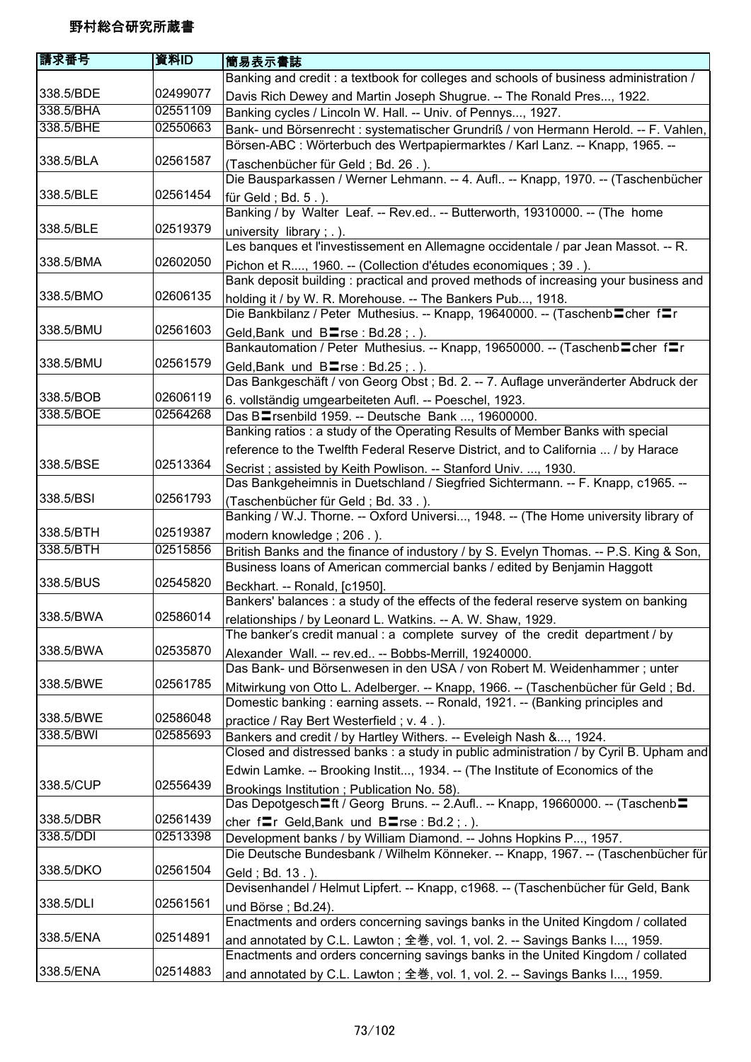| 請求番号      | 資料ID     | 簡易表示書誌                                                                                                                                                         |
|-----------|----------|----------------------------------------------------------------------------------------------------------------------------------------------------------------|
|           |          | Banking and credit: a textbook for colleges and schools of business administration /                                                                           |
| 338.5/BDE | 02499077 | Davis Rich Dewey and Martin Joseph Shugrue. -- The Ronald Pres, 1922.                                                                                          |
| 338.5/BHA | 02551109 | Banking cycles / Lincoln W. Hall. -- Univ. of Pennys, 1927.                                                                                                    |
| 338.5/BHE | 02550663 | Bank- und Börsenrecht : systematischer Grundriß / von Hermann Herold. -- F. Vahlen,                                                                            |
|           |          | Börsen-ABC : Wörterbuch des Wertpapiermarktes / Karl Lanz. -- Knapp, 1965. --                                                                                  |
| 338.5/BLA | 02561587 | (Taschenbücher für Geld; Bd. 26.).                                                                                                                             |
|           |          | Die Bausparkassen / Werner Lehmann. -- 4. Aufl -- Knapp, 1970. -- (Taschenbücher                                                                               |
| 338.5/BLE | 02561454 | für Geld; $Bd. 5.$ ).                                                                                                                                          |
|           |          | Banking / by Walter Leaf. -- Rev.ed -- Butterworth, 19310000. -- (The home                                                                                     |
| 338.5/BLE | 02519379 | university library; .).                                                                                                                                        |
| 338.5/BMA | 02602050 | Les banques et l'investissement en Allemagne occidentale / par Jean Massot. -- R.                                                                              |
|           |          | Pichon et R, 1960. -- (Collection d'études economiques ; 39.).<br>Bank deposit building: practical and proved methods of increasing your business and          |
| 338.5/BMO | 02606135 |                                                                                                                                                                |
|           |          | holding it / by W. R. Morehouse. -- The Bankers Pub, 1918.<br>Die Bankbilanz / Peter Muthesius. -- Knapp, 19640000. -- (Taschenb cher fr                       |
| 338.5/BMU | 02561603 | Geld, Bank und $B = rse : Bd.28$ ; .).                                                                                                                         |
|           |          | Bankautomation / Peter Muthesius. -- Knapp, 19650000. -- (Taschenb <sup>lo</sup> cher flr                                                                      |
| 338.5/BMU | 02561579 | Geld, Bank und $B = rse : Bd.25 ; .$ ).                                                                                                                        |
|           |          | Das Bankgeschäft / von Georg Obst ; Bd. 2. -- 7. Auflage unveränderter Abdruck der                                                                             |
| 338.5/BOB | 02606119 | 6. vollständig umgearbeiteten Aufl. -- Poeschel, 1923.                                                                                                         |
| 338.5/BOE | 02564268 | Das B <sup>-</sup> rsenbild 1959. -- Deutsche Bank , 19600000.                                                                                                 |
|           |          | Banking ratios: a study of the Operating Results of Member Banks with special                                                                                  |
|           |          | reference to the Twelfth Federal Reserve District, and to California  / by Harace                                                                              |
| 338.5/BSE | 02513364 | Secrist; assisted by Keith Powlison. -- Stanford Univ. , 1930.                                                                                                 |
|           |          | Das Bankgeheimnis in Duetschland / Siegfried Sichtermann. -- F. Knapp, c1965. --                                                                               |
| 338.5/BSI | 02561793 | (Taschenbücher für Geld; Bd. 33.).                                                                                                                             |
|           |          | Banking / W.J. Thorne. -- Oxford Universi, 1948. -- (The Home university library of                                                                            |
| 338.5/BTH | 02519387 | modern knowledge; 206.).                                                                                                                                       |
| 338.5/BTH | 02515856 | British Banks and the finance of industory / by S. Evelyn Thomas. -- P.S. King & Son,                                                                          |
| 338.5/BUS | 02545820 | Business loans of American commercial banks / edited by Benjamin Haggott                                                                                       |
|           |          | Beckhart. -- Ronald, [c1950].<br>Bankers' balances : a study of the effects of the federal reserve system on banking                                           |
| 338.5/BWA | 02586014 |                                                                                                                                                                |
|           |          | relationships / by Leonard L. Watkins. -- A. W. Shaw, 1929.<br>The banker's credit manual: a complete survey of the credit department / by                     |
| 338.5/BWA | 02535870 | Alexander Wall. -- rev.ed -- Bobbs-Merrill, 19240000.                                                                                                          |
|           |          | Das Bank- und Börsenwesen in den USA / von Robert M. Weidenhammer; unter                                                                                       |
| 338.5/BWE | 02561785 | Mitwirkung von Otto L. Adelberger. -- Knapp, 1966. -- (Taschenbücher für Geld; Bd.                                                                             |
|           |          | Domestic banking: earning assets. -- Ronald, 1921. -- (Banking principles and                                                                                  |
| 338.5/BWE | 02586048 | practice / Ray Bert Westerfield; v. 4.).                                                                                                                       |
| 338.5/BWI | 02585693 | Bankers and credit / by Hartley Withers. -- Eveleigh Nash &, 1924.                                                                                             |
|           |          | Closed and distressed banks : a study in public administration / by Cyril B. Upham and                                                                         |
|           |          | Edwin Lamke. -- Brooking Instit, 1934. -- (The Institute of Economics of the                                                                                   |
| 338.5/CUP | 02556439 | Brookings Institution; Publication No. 58).                                                                                                                    |
|           |          | Das Depotgesch <sup>-</sup> ft / Georg Bruns. -- 2.Aufl -- Knapp, 19660000. -- (Taschenb <sup>-</sup>                                                          |
| 338.5/DBR | 02561439 | cher fr Geld, Bank und Brse: Bd.2;.).                                                                                                                          |
| 338.5/DDI | 02513398 | Development banks / by William Diamond. -- Johns Hopkins P, 1957.                                                                                              |
|           |          | Die Deutsche Bundesbank / Wilhelm Könneker. -- Knapp, 1967. -- (Taschenbücher für                                                                              |
| 338.5/DKO | 02561504 | Geld ; Bd. 13.).                                                                                                                                               |
|           |          | Devisenhandel / Helmut Lipfert. -- Knapp, c1968. -- (Taschenbücher für Geld, Bank                                                                              |
| 338.5/DLI | 02561561 | und Börse; Bd.24).                                                                                                                                             |
| 338.5/ENA | 02514891 | Enactments and orders concerning savings banks in the United Kingdom / collated                                                                                |
|           |          | and annotated by C.L. Lawton; 全巻, vol. 1, vol. 2. -- Savings Banks I, 1959.<br>Enactments and orders concerning savings banks in the United Kingdom / collated |
| 338.5/ENA | 02514883 | and annotated by C.L. Lawton; 全巻, vol. 1, vol. 2. -- Savings Banks I, 1959.                                                                                    |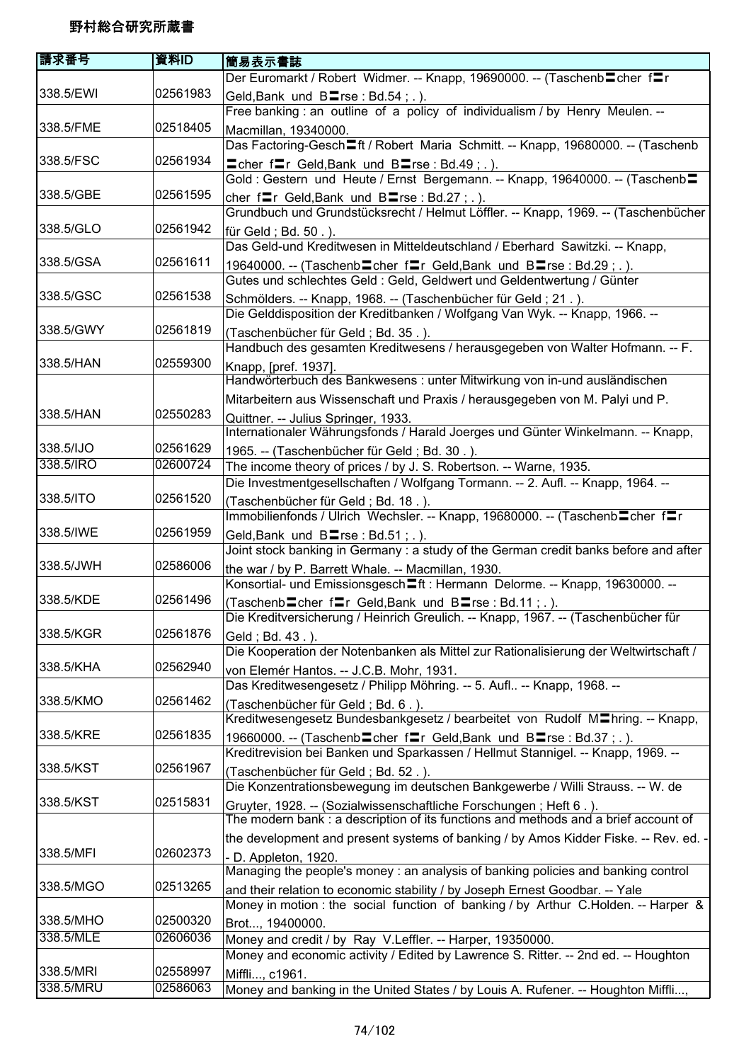| 請求番号      | 資料ID     | 簡易表示書誌                                                                                     |
|-----------|----------|--------------------------------------------------------------------------------------------|
|           |          | Der Euromarkt / Robert Widmer. -- Knapp, 19690000. -- (Taschenb cher fr                    |
| 338.5/EWI | 02561983 | Geld, Bank und BIrse: Bd.54; .).                                                           |
|           |          | Free banking : an outline of a policy of individualism / by Henry Meulen. --               |
| 338.5/FME | 02518405 | Macmillan, 19340000.                                                                       |
|           |          | Das Factoring-Gesch <sup>If</sup> / Robert Maria Schmitt. -- Knapp, 19680000. -- (Taschenb |
| 338.5/FSC | 02561934 | $\equiv$ cher f $\equiv$ r Geld, Bank und B $\equiv$ rse : Bd.49; .).                      |
|           |          | Gold: Gestern und Heute / Ernst Bergemann. -- Knapp, 19640000. -- (Taschenb=               |
| 338.5/GBE | 02561595 | cher $f = r$ Geld, Bank und B $r = rs$ e : Bd. 27 ; . ).                                   |
|           |          | Grundbuch und Grundstücksrecht / Helmut Löffler. -- Knapp, 1969. -- (Taschenbücher         |
| 338.5/GLO | 02561942 | für Geld; Bd. 50.).                                                                        |
|           |          | Das Geld-und Kreditwesen in Mitteldeutschland / Eberhard Sawitzki. -- Knapp,               |
| 338.5/GSA | 02561611 | 19640000. -- (Taschenb Cher friedler Geld, Bank und B Trse: Bd.29;.).                      |
|           |          | Gutes und schlechtes Geld : Geld, Geldwert und Geldentwertung / Günter                     |
| 338.5/GSC | 02561538 | Schmölders. -- Knapp, 1968. -- (Taschenbücher für Geld; 21.).                              |
|           |          | Die Gelddisposition der Kreditbanken / Wolfgang Van Wyk. -- Knapp, 1966. --                |
| 338.5/GWY | 02561819 | (Taschenbücher für Geld; Bd. 35.).                                                         |
|           |          | Handbuch des gesamten Kreditwesens / herausgegeben von Walter Hofmann. -- F.               |
| 338.5/HAN | 02559300 | Knapp, [pref. 1937].                                                                       |
|           |          | Handwörterbuch des Bankwesens : unter Mitwirkung von in-und ausländischen                  |
|           |          | Mitarbeitern aus Wissenschaft und Praxis / herausgegeben von M. Palyi und P.               |
| 338.5/HAN | 02550283 | Quittner. -- Julius Springer, 1933.                                                        |
|           |          | Internationaler Währungsfonds / Harald Joerges und Günter Winkelmann. -- Knapp,            |
| 338.5/IJO | 02561629 | 1965. -- (Taschenbücher für Geld; Bd. 30.).                                                |
| 338.5/IRO | 02600724 | The income theory of prices / by J. S. Robertson. -- Warne, 1935.                          |
|           |          | Die Investmentgesellschaften / Wolfgang Tormann. -- 2. Aufl. -- Knapp, 1964. --            |
| 338.5/ITO | 02561520 | (Taschenbücher für Geld; Bd. 18.).                                                         |
|           |          | Immobilienfonds / Ulrich Wechsler. -- Knapp, 19680000. -- (Taschenb Cher fTr               |
| 338.5/IWE | 02561959 | Geld, Bank und Blrse: Bd.51; .).                                                           |
|           |          | Joint stock banking in Germany : a study of the German credit banks before and after       |
| 338.5/JWH | 02586006 | the war / by P. Barrett Whale. -- Macmillan, 1930.                                         |
|           |          | Konsortial- und Emissionsgesch <sup>th</sup> : Hermann Delorme. -- Knapp, 19630000. --     |
| 338.5/KDE | 02561496 | (Taschenb cher frier Geld, Bank und B rse : Bd.11; .).                                     |
|           |          | Die Kreditversicherung / Heinrich Greulich. -- Knapp, 1967. -- (Taschenbücher für          |
| 338.5/KGR | 02561876 | Geld; Bd. 43.).                                                                            |
|           |          | Die Kooperation der Notenbanken als Mittel zur Rationalisierung der Weltwirtschaft /       |
| 338.5/KHA | 02562940 | von Elemér Hantos. -- J.C.B. Mohr, 1931.                                                   |
|           |          | Das Kreditwesengesetz / Philipp Möhring. -- 5. Aufl -- Knapp, 1968. --                     |
| 338.5/KMO | 02561462 | (Taschenbücher für Geld; Bd. 6.).                                                          |
|           |          | Kreditwesengesetz Bundesbankgesetz / bearbeitet von Rudolf M <sup>n</sup> hring. -- Knapp, |
| 338.5/KRE | 02561835 | 19660000. -- (Taschenb cher frier Geld, Bank und B rse : Bd.37 ; . ).                      |
|           |          | Kreditrevision bei Banken und Sparkassen / Hellmut Stannigel. -- Knapp, 1969. --           |
| 338.5/KST | 02561967 | (Taschenbücher für Geld; Bd. 52.).                                                         |
|           |          | Die Konzentrationsbewegung im deutschen Bankgewerbe / Willi Strauss. -- W. de              |
| 338.5/KST | 02515831 | Gruyter, 1928. -- (Sozialwissenschaftliche Forschungen; Heft 6.).                          |
|           |          | The modern bank: a description of its functions and methods and a brief account of         |
|           |          | the development and present systems of banking / by Amos Kidder Fiske. -- Rev. ed. -       |
| 338.5/MFI | 02602373 | - D. Appleton, 1920.                                                                       |
|           |          | Managing the people's money: an analysis of banking policies and banking control           |
| 338.5/MGO | 02513265 | and their relation to economic stability / by Joseph Ernest Goodbar. -- Yale               |
| 338.5/MHO | 02500320 | Money in motion : the social function of banking / by Arthur C.Holden. -- Harper &         |
| 338.5/MLE | 02606036 | Brot, 19400000.                                                                            |
|           |          | Money and credit / by Ray V.Leffler. -- Harper, 19350000.                                  |
| 338.5/MRI | 02558997 | Money and economic activity / Edited by Lawrence S. Ritter. -- 2nd ed. -- Houghton         |
| 338.5/MRU | 02586063 | Miffli, c1961.                                                                             |
|           |          | Money and banking in the United States / by Louis A. Rufener. -- Houghton Miffli,          |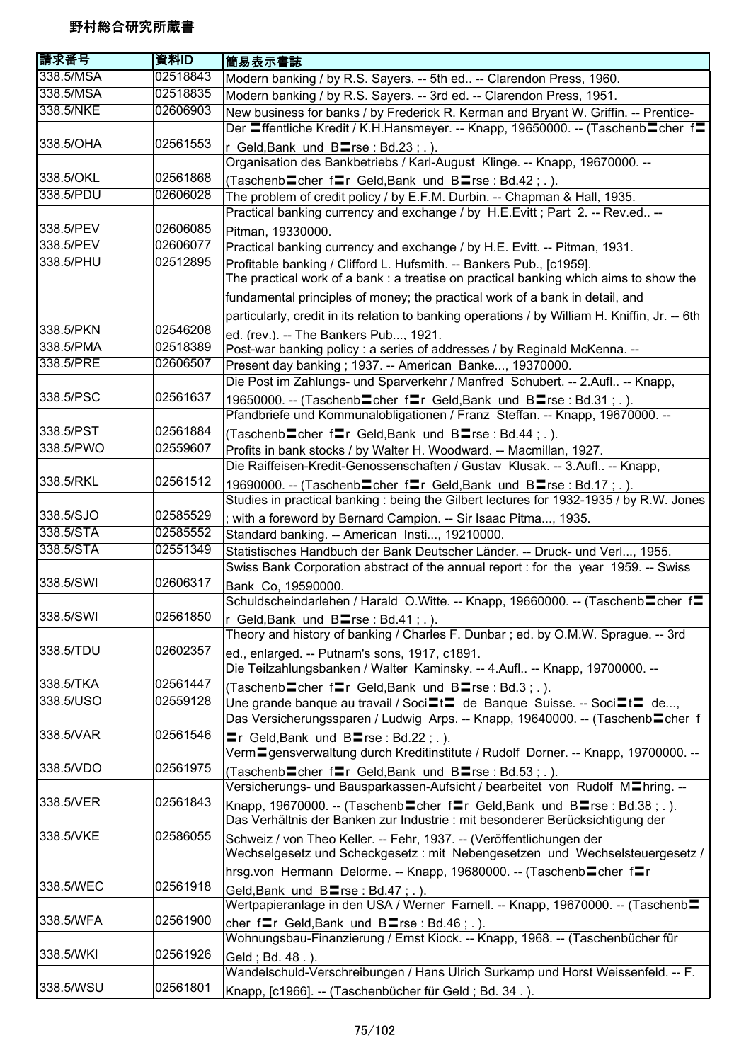| 338.5/MSA<br>02518843<br>Modern banking / by R.S. Sayers. -- 5th ed -- Clarendon Press, 1960.<br>338.5/MSA<br>02518835<br>Modern banking / by R.S. Sayers. -- 3rd ed. -- Clarendon Press, 1951.<br>338.5/NKE<br>02606903<br>New business for banks / by Frederick R. Kerman and Bryant W. Griffin. -- Prentice-<br>Der <b>=ffentliche Kredit / K.H.Hansmeyer.</b> -- Knapp, 19650000. -- (Taschenb <b>=</b> cher f=<br>338.5/OHA<br>02561553<br>r Geld, Bank und $B\equiv$ rse : Bd.23; .).<br>Organisation des Bankbetriebs / Karl-August Klinge. -- Knapp, 19670000. --<br>338.5/OKL<br>02561868<br>(Taschenb cher frier Geld, Bank und B rse : Bd.42; .).<br>338.5/PDU<br>02606028<br>The problem of credit policy / by E.F.M. Durbin. -- Chapman & Hall, 1935.<br>Practical banking currency and exchange / by H.E.Evitt; Part 2. -- Rev.ed --<br>338.5/PEV<br>02606085<br>Pitman, 19330000.<br>338.5/PEV<br>02606077<br>Practical banking currency and exchange / by H.E. Evitt. -- Pitman, 1931.<br>338.5/PHU<br>02512895<br>Profitable banking / Clifford L. Hufsmith. -- Bankers Pub., [c1959].<br>The practical work of a bank : a treatise on practical banking which aims to show the<br>fundamental principles of money; the practical work of a bank in detail, and<br>particularly, credit in its relation to banking operations / by William H. Kniffin, Jr. -- 6th<br>338.5/PKN<br>02546208<br>ed. (rev.). -- The Bankers Pub, 1921.<br>338.5/PMA<br>02518389<br>Post-war banking policy : a series of addresses / by Reginald McKenna. --<br>338.5/PRE<br>02606507<br>Present day banking; 1937. -- American Banke, 19370000.<br>Die Post im Zahlungs- und Sparverkehr / Manfred Schubert. -- 2.Aufl -- Knapp,<br>338.5/PSC<br>02561637<br>19650000. -- (Taschenb cher fr Geld, Bank und B rse : Bd.31; .).<br>Pfandbriefe und Kommunalobligationen / Franz Steffan. -- Knapp, 19670000. --<br>338.5/PST<br>02561884<br>(Taschenb cher fr Geld, Bank und B rse: Bd.44;.).<br>338.5/PWO<br>02559607<br>Profits in bank stocks / by Walter H. Woodward. -- Macmillan, 1927.<br>Die Raiffeisen-Kredit-Genossenschaften / Gustav Klusak. -- 3.Aufl -- Knapp,<br>02561512<br>338.5/RKL<br>19690000. -- (Taschenb cher frier Geld, Bank und Blarse: Bd.17; .).<br>Studies in practical banking : being the Gilbert lectures for 1932-1935 / by R.W. Jones<br>338.5/SJO<br>02585529<br>; with a foreword by Bernard Campion. -- Sir Isaac Pitma, 1935.<br>338.5/STA<br>02585552<br>Standard banking. -- American Insti, 19210000.<br>338.5/STA<br>02551349<br>Statistisches Handbuch der Bank Deutscher Länder. -- Druck- und Verl, 1955.<br>Swiss Bank Corporation abstract of the annual report : for the year 1959. -- Swiss<br>338.5/SWI<br>02606317<br>Bank Co, 19590000.<br>Schuldscheindarlehen / Harald O.Witte. -- Knapp, 19660000. -- (Taschenb cher f=<br>338.5/SWI<br>02561850<br>r Geld, Bank und B <sup>r</sup> se : Bd.41; .).<br>Theory and history of banking / Charles F. Dunbar; ed. by O.M.W. Sprague. -- 3rd<br>02602357<br>338.5/TDU<br>ed., enlarged. -- Putnam's sons, 1917, c1891.<br>Die Teilzahlungsbanken / Walter Kaminsky. -- 4.Aufl -- Knapp, 19700000. --<br>338.5/TKA<br>02561447<br>(Taschenb cher fre Geld, Bank und B sinse : Bd.3; .).<br>338.5/USO<br>02559128<br>Une grande banque au travail / Soci $\equiv t \equiv$ de Banque Suisse. -- Soci $\equiv t \equiv$ de,<br>Das Versicherungssparen / Ludwig Arps. -- Knapp, 19640000. -- (Taschenb Cher f<br>02561546<br>338.5/VAR<br>$\equiv$ r Geld, Bank und B $\equiv$ rse : Bd.22; .).<br>Verm Egensverwaltung durch Kreditinstitute / Rudolf Dorner. -- Knapp, 19700000. --<br>02561975<br>338.5/VDO<br>(Taschenb cher f Ir Geld, Bank und B Irse : Bd. 53; .).<br>Versicherungs- und Bausparkassen-Aufsicht / bearbeitet von Rudolf M <sup>I</sup> hring. --<br>338.5/VER<br>02561843<br>Knapp, 19670000. -- (Taschenb cher fraceld, Bank und B arse: Bd.38;.).<br>Das Verhältnis der Banken zur Industrie : mit besonderer Berücksichtigung der<br>338.5/VKE<br>02586055<br>Schweiz / von Theo Keller. -- Fehr, 1937. -- (Veröffentlichungen der<br>Wechselgesetz und Scheckgesetz : mit Nebengesetzen und Wechselsteuergesetz /<br>hrsg.von Hermann Delorme. -- Knapp, 19680000. -- (Taschenb cher fr<br>338.5/WEC<br>02561918<br>Geld, Bank und Blrse: Bd.47; .).<br>Wertpapieranlage in den USA / Werner Farnell. -- Knapp, 19670000. -- (Taschenb=<br>02561900<br>338.5/WFA<br>cher fr Geld, Bank und Brise: Bd.46; .).<br>Wohnungsbau-Finanzierung / Ernst Kiock. -- Knapp, 1968. -- (Taschenbücher für<br>338.5/WKI<br>02561926<br>Geld; Bd. 48.).<br>Wandelschuld-Verschreibungen / Hans Ulrich Surkamp und Horst Weissenfeld. -- F.<br>02561801<br>338.5/WSU<br>Knapp, [c1966]. -- (Taschenbücher für Geld; Bd. 34.). | 請求番号 | 資料ID | 簡易表示書誌 |
|---------------------------------------------------------------------------------------------------------------------------------------------------------------------------------------------------------------------------------------------------------------------------------------------------------------------------------------------------------------------------------------------------------------------------------------------------------------------------------------------------------------------------------------------------------------------------------------------------------------------------------------------------------------------------------------------------------------------------------------------------------------------------------------------------------------------------------------------------------------------------------------------------------------------------------------------------------------------------------------------------------------------------------------------------------------------------------------------------------------------------------------------------------------------------------------------------------------------------------------------------------------------------------------------------------------------------------------------------------------------------------------------------------------------------------------------------------------------------------------------------------------------------------------------------------------------------------------------------------------------------------------------------------------------------------------------------------------------------------------------------------------------------------------------------------------------------------------------------------------------------------------------------------------------------------------------------------------------------------------------------------------------------------------------------------------------------------------------------------------------------------------------------------------------------------------------------------------------------------------------------------------------------------------------------------------------------------------------------------------------------------------------------------------------------------------------------------------------------------------------------------------------------------------------------------------------------------------------------------------------------------------------------------------------------------------------------------------------------------------------------------------------------------------------------------------------------------------------------------------------------------------------------------------------------------------------------------------------------------------------------------------------------------------------------------------------------------------------------------------------------------------------------------------------------------------------------------------------------------------------------------------------------------------------------------------------------------------------------------------------------------------------------------------------------------------------------------------------------------------------------------------------------------------------------------------------------------------------------------------------------------------------------------------------------------------------------------------------------------------------------------------------------------------------------------------------------------------------------------------------------------------------------------------------------------------------------------------------------------------------------------------------------------------------------------------------------------------------------------------------------------------------------------------------------------------------------------------------------------------------------------------------------------------------------------------------------------------------------------------------------------------------------------------------------------------------------------------------------------------------------------------------------------------------------------------------------------------------------------------------------------------------------------------------------------------------------------------------------------------------------------------------------------------------------------------------------------------|------|------|--------|
|                                                                                                                                                                                                                                                                                                                                                                                                                                                                                                                                                                                                                                                                                                                                                                                                                                                                                                                                                                                                                                                                                                                                                                                                                                                                                                                                                                                                                                                                                                                                                                                                                                                                                                                                                                                                                                                                                                                                                                                                                                                                                                                                                                                                                                                                                                                                                                                                                                                                                                                                                                                                                                                                                                                                                                                                                                                                                                                                                                                                                                                                                                                                                                                                                                                                                                                                                                                                                                                                                                                                                                                                                                                                                                                                                                                                                                                                                                                                                                                                                                                                                                                                                                                                                                                                                                                                                                                                                                                                                                                                                                                                                                                                                                                                                                                                                                       |      |      |        |
|                                                                                                                                                                                                                                                                                                                                                                                                                                                                                                                                                                                                                                                                                                                                                                                                                                                                                                                                                                                                                                                                                                                                                                                                                                                                                                                                                                                                                                                                                                                                                                                                                                                                                                                                                                                                                                                                                                                                                                                                                                                                                                                                                                                                                                                                                                                                                                                                                                                                                                                                                                                                                                                                                                                                                                                                                                                                                                                                                                                                                                                                                                                                                                                                                                                                                                                                                                                                                                                                                                                                                                                                                                                                                                                                                                                                                                                                                                                                                                                                                                                                                                                                                                                                                                                                                                                                                                                                                                                                                                                                                                                                                                                                                                                                                                                                                                       |      |      |        |
|                                                                                                                                                                                                                                                                                                                                                                                                                                                                                                                                                                                                                                                                                                                                                                                                                                                                                                                                                                                                                                                                                                                                                                                                                                                                                                                                                                                                                                                                                                                                                                                                                                                                                                                                                                                                                                                                                                                                                                                                                                                                                                                                                                                                                                                                                                                                                                                                                                                                                                                                                                                                                                                                                                                                                                                                                                                                                                                                                                                                                                                                                                                                                                                                                                                                                                                                                                                                                                                                                                                                                                                                                                                                                                                                                                                                                                                                                                                                                                                                                                                                                                                                                                                                                                                                                                                                                                                                                                                                                                                                                                                                                                                                                                                                                                                                                                       |      |      |        |
|                                                                                                                                                                                                                                                                                                                                                                                                                                                                                                                                                                                                                                                                                                                                                                                                                                                                                                                                                                                                                                                                                                                                                                                                                                                                                                                                                                                                                                                                                                                                                                                                                                                                                                                                                                                                                                                                                                                                                                                                                                                                                                                                                                                                                                                                                                                                                                                                                                                                                                                                                                                                                                                                                                                                                                                                                                                                                                                                                                                                                                                                                                                                                                                                                                                                                                                                                                                                                                                                                                                                                                                                                                                                                                                                                                                                                                                                                                                                                                                                                                                                                                                                                                                                                                                                                                                                                                                                                                                                                                                                                                                                                                                                                                                                                                                                                                       |      |      |        |
|                                                                                                                                                                                                                                                                                                                                                                                                                                                                                                                                                                                                                                                                                                                                                                                                                                                                                                                                                                                                                                                                                                                                                                                                                                                                                                                                                                                                                                                                                                                                                                                                                                                                                                                                                                                                                                                                                                                                                                                                                                                                                                                                                                                                                                                                                                                                                                                                                                                                                                                                                                                                                                                                                                                                                                                                                                                                                                                                                                                                                                                                                                                                                                                                                                                                                                                                                                                                                                                                                                                                                                                                                                                                                                                                                                                                                                                                                                                                                                                                                                                                                                                                                                                                                                                                                                                                                                                                                                                                                                                                                                                                                                                                                                                                                                                                                                       |      |      |        |
|                                                                                                                                                                                                                                                                                                                                                                                                                                                                                                                                                                                                                                                                                                                                                                                                                                                                                                                                                                                                                                                                                                                                                                                                                                                                                                                                                                                                                                                                                                                                                                                                                                                                                                                                                                                                                                                                                                                                                                                                                                                                                                                                                                                                                                                                                                                                                                                                                                                                                                                                                                                                                                                                                                                                                                                                                                                                                                                                                                                                                                                                                                                                                                                                                                                                                                                                                                                                                                                                                                                                                                                                                                                                                                                                                                                                                                                                                                                                                                                                                                                                                                                                                                                                                                                                                                                                                                                                                                                                                                                                                                                                                                                                                                                                                                                                                                       |      |      |        |
|                                                                                                                                                                                                                                                                                                                                                                                                                                                                                                                                                                                                                                                                                                                                                                                                                                                                                                                                                                                                                                                                                                                                                                                                                                                                                                                                                                                                                                                                                                                                                                                                                                                                                                                                                                                                                                                                                                                                                                                                                                                                                                                                                                                                                                                                                                                                                                                                                                                                                                                                                                                                                                                                                                                                                                                                                                                                                                                                                                                                                                                                                                                                                                                                                                                                                                                                                                                                                                                                                                                                                                                                                                                                                                                                                                                                                                                                                                                                                                                                                                                                                                                                                                                                                                                                                                                                                                                                                                                                                                                                                                                                                                                                                                                                                                                                                                       |      |      |        |
|                                                                                                                                                                                                                                                                                                                                                                                                                                                                                                                                                                                                                                                                                                                                                                                                                                                                                                                                                                                                                                                                                                                                                                                                                                                                                                                                                                                                                                                                                                                                                                                                                                                                                                                                                                                                                                                                                                                                                                                                                                                                                                                                                                                                                                                                                                                                                                                                                                                                                                                                                                                                                                                                                                                                                                                                                                                                                                                                                                                                                                                                                                                                                                                                                                                                                                                                                                                                                                                                                                                                                                                                                                                                                                                                                                                                                                                                                                                                                                                                                                                                                                                                                                                                                                                                                                                                                                                                                                                                                                                                                                                                                                                                                                                                                                                                                                       |      |      |        |
|                                                                                                                                                                                                                                                                                                                                                                                                                                                                                                                                                                                                                                                                                                                                                                                                                                                                                                                                                                                                                                                                                                                                                                                                                                                                                                                                                                                                                                                                                                                                                                                                                                                                                                                                                                                                                                                                                                                                                                                                                                                                                                                                                                                                                                                                                                                                                                                                                                                                                                                                                                                                                                                                                                                                                                                                                                                                                                                                                                                                                                                                                                                                                                                                                                                                                                                                                                                                                                                                                                                                                                                                                                                                                                                                                                                                                                                                                                                                                                                                                                                                                                                                                                                                                                                                                                                                                                                                                                                                                                                                                                                                                                                                                                                                                                                                                                       |      |      |        |
|                                                                                                                                                                                                                                                                                                                                                                                                                                                                                                                                                                                                                                                                                                                                                                                                                                                                                                                                                                                                                                                                                                                                                                                                                                                                                                                                                                                                                                                                                                                                                                                                                                                                                                                                                                                                                                                                                                                                                                                                                                                                                                                                                                                                                                                                                                                                                                                                                                                                                                                                                                                                                                                                                                                                                                                                                                                                                                                                                                                                                                                                                                                                                                                                                                                                                                                                                                                                                                                                                                                                                                                                                                                                                                                                                                                                                                                                                                                                                                                                                                                                                                                                                                                                                                                                                                                                                                                                                                                                                                                                                                                                                                                                                                                                                                                                                                       |      |      |        |
|                                                                                                                                                                                                                                                                                                                                                                                                                                                                                                                                                                                                                                                                                                                                                                                                                                                                                                                                                                                                                                                                                                                                                                                                                                                                                                                                                                                                                                                                                                                                                                                                                                                                                                                                                                                                                                                                                                                                                                                                                                                                                                                                                                                                                                                                                                                                                                                                                                                                                                                                                                                                                                                                                                                                                                                                                                                                                                                                                                                                                                                                                                                                                                                                                                                                                                                                                                                                                                                                                                                                                                                                                                                                                                                                                                                                                                                                                                                                                                                                                                                                                                                                                                                                                                                                                                                                                                                                                                                                                                                                                                                                                                                                                                                                                                                                                                       |      |      |        |
|                                                                                                                                                                                                                                                                                                                                                                                                                                                                                                                                                                                                                                                                                                                                                                                                                                                                                                                                                                                                                                                                                                                                                                                                                                                                                                                                                                                                                                                                                                                                                                                                                                                                                                                                                                                                                                                                                                                                                                                                                                                                                                                                                                                                                                                                                                                                                                                                                                                                                                                                                                                                                                                                                                                                                                                                                                                                                                                                                                                                                                                                                                                                                                                                                                                                                                                                                                                                                                                                                                                                                                                                                                                                                                                                                                                                                                                                                                                                                                                                                                                                                                                                                                                                                                                                                                                                                                                                                                                                                                                                                                                                                                                                                                                                                                                                                                       |      |      |        |
|                                                                                                                                                                                                                                                                                                                                                                                                                                                                                                                                                                                                                                                                                                                                                                                                                                                                                                                                                                                                                                                                                                                                                                                                                                                                                                                                                                                                                                                                                                                                                                                                                                                                                                                                                                                                                                                                                                                                                                                                                                                                                                                                                                                                                                                                                                                                                                                                                                                                                                                                                                                                                                                                                                                                                                                                                                                                                                                                                                                                                                                                                                                                                                                                                                                                                                                                                                                                                                                                                                                                                                                                                                                                                                                                                                                                                                                                                                                                                                                                                                                                                                                                                                                                                                                                                                                                                                                                                                                                                                                                                                                                                                                                                                                                                                                                                                       |      |      |        |
|                                                                                                                                                                                                                                                                                                                                                                                                                                                                                                                                                                                                                                                                                                                                                                                                                                                                                                                                                                                                                                                                                                                                                                                                                                                                                                                                                                                                                                                                                                                                                                                                                                                                                                                                                                                                                                                                                                                                                                                                                                                                                                                                                                                                                                                                                                                                                                                                                                                                                                                                                                                                                                                                                                                                                                                                                                                                                                                                                                                                                                                                                                                                                                                                                                                                                                                                                                                                                                                                                                                                                                                                                                                                                                                                                                                                                                                                                                                                                                                                                                                                                                                                                                                                                                                                                                                                                                                                                                                                                                                                                                                                                                                                                                                                                                                                                                       |      |      |        |
|                                                                                                                                                                                                                                                                                                                                                                                                                                                                                                                                                                                                                                                                                                                                                                                                                                                                                                                                                                                                                                                                                                                                                                                                                                                                                                                                                                                                                                                                                                                                                                                                                                                                                                                                                                                                                                                                                                                                                                                                                                                                                                                                                                                                                                                                                                                                                                                                                                                                                                                                                                                                                                                                                                                                                                                                                                                                                                                                                                                                                                                                                                                                                                                                                                                                                                                                                                                                                                                                                                                                                                                                                                                                                                                                                                                                                                                                                                                                                                                                                                                                                                                                                                                                                                                                                                                                                                                                                                                                                                                                                                                                                                                                                                                                                                                                                                       |      |      |        |
|                                                                                                                                                                                                                                                                                                                                                                                                                                                                                                                                                                                                                                                                                                                                                                                                                                                                                                                                                                                                                                                                                                                                                                                                                                                                                                                                                                                                                                                                                                                                                                                                                                                                                                                                                                                                                                                                                                                                                                                                                                                                                                                                                                                                                                                                                                                                                                                                                                                                                                                                                                                                                                                                                                                                                                                                                                                                                                                                                                                                                                                                                                                                                                                                                                                                                                                                                                                                                                                                                                                                                                                                                                                                                                                                                                                                                                                                                                                                                                                                                                                                                                                                                                                                                                                                                                                                                                                                                                                                                                                                                                                                                                                                                                                                                                                                                                       |      |      |        |
|                                                                                                                                                                                                                                                                                                                                                                                                                                                                                                                                                                                                                                                                                                                                                                                                                                                                                                                                                                                                                                                                                                                                                                                                                                                                                                                                                                                                                                                                                                                                                                                                                                                                                                                                                                                                                                                                                                                                                                                                                                                                                                                                                                                                                                                                                                                                                                                                                                                                                                                                                                                                                                                                                                                                                                                                                                                                                                                                                                                                                                                                                                                                                                                                                                                                                                                                                                                                                                                                                                                                                                                                                                                                                                                                                                                                                                                                                                                                                                                                                                                                                                                                                                                                                                                                                                                                                                                                                                                                                                                                                                                                                                                                                                                                                                                                                                       |      |      |        |
|                                                                                                                                                                                                                                                                                                                                                                                                                                                                                                                                                                                                                                                                                                                                                                                                                                                                                                                                                                                                                                                                                                                                                                                                                                                                                                                                                                                                                                                                                                                                                                                                                                                                                                                                                                                                                                                                                                                                                                                                                                                                                                                                                                                                                                                                                                                                                                                                                                                                                                                                                                                                                                                                                                                                                                                                                                                                                                                                                                                                                                                                                                                                                                                                                                                                                                                                                                                                                                                                                                                                                                                                                                                                                                                                                                                                                                                                                                                                                                                                                                                                                                                                                                                                                                                                                                                                                                                                                                                                                                                                                                                                                                                                                                                                                                                                                                       |      |      |        |
|                                                                                                                                                                                                                                                                                                                                                                                                                                                                                                                                                                                                                                                                                                                                                                                                                                                                                                                                                                                                                                                                                                                                                                                                                                                                                                                                                                                                                                                                                                                                                                                                                                                                                                                                                                                                                                                                                                                                                                                                                                                                                                                                                                                                                                                                                                                                                                                                                                                                                                                                                                                                                                                                                                                                                                                                                                                                                                                                                                                                                                                                                                                                                                                                                                                                                                                                                                                                                                                                                                                                                                                                                                                                                                                                                                                                                                                                                                                                                                                                                                                                                                                                                                                                                                                                                                                                                                                                                                                                                                                                                                                                                                                                                                                                                                                                                                       |      |      |        |
|                                                                                                                                                                                                                                                                                                                                                                                                                                                                                                                                                                                                                                                                                                                                                                                                                                                                                                                                                                                                                                                                                                                                                                                                                                                                                                                                                                                                                                                                                                                                                                                                                                                                                                                                                                                                                                                                                                                                                                                                                                                                                                                                                                                                                                                                                                                                                                                                                                                                                                                                                                                                                                                                                                                                                                                                                                                                                                                                                                                                                                                                                                                                                                                                                                                                                                                                                                                                                                                                                                                                                                                                                                                                                                                                                                                                                                                                                                                                                                                                                                                                                                                                                                                                                                                                                                                                                                                                                                                                                                                                                                                                                                                                                                                                                                                                                                       |      |      |        |
|                                                                                                                                                                                                                                                                                                                                                                                                                                                                                                                                                                                                                                                                                                                                                                                                                                                                                                                                                                                                                                                                                                                                                                                                                                                                                                                                                                                                                                                                                                                                                                                                                                                                                                                                                                                                                                                                                                                                                                                                                                                                                                                                                                                                                                                                                                                                                                                                                                                                                                                                                                                                                                                                                                                                                                                                                                                                                                                                                                                                                                                                                                                                                                                                                                                                                                                                                                                                                                                                                                                                                                                                                                                                                                                                                                                                                                                                                                                                                                                                                                                                                                                                                                                                                                                                                                                                                                                                                                                                                                                                                                                                                                                                                                                                                                                                                                       |      |      |        |
|                                                                                                                                                                                                                                                                                                                                                                                                                                                                                                                                                                                                                                                                                                                                                                                                                                                                                                                                                                                                                                                                                                                                                                                                                                                                                                                                                                                                                                                                                                                                                                                                                                                                                                                                                                                                                                                                                                                                                                                                                                                                                                                                                                                                                                                                                                                                                                                                                                                                                                                                                                                                                                                                                                                                                                                                                                                                                                                                                                                                                                                                                                                                                                                                                                                                                                                                                                                                                                                                                                                                                                                                                                                                                                                                                                                                                                                                                                                                                                                                                                                                                                                                                                                                                                                                                                                                                                                                                                                                                                                                                                                                                                                                                                                                                                                                                                       |      |      |        |
|                                                                                                                                                                                                                                                                                                                                                                                                                                                                                                                                                                                                                                                                                                                                                                                                                                                                                                                                                                                                                                                                                                                                                                                                                                                                                                                                                                                                                                                                                                                                                                                                                                                                                                                                                                                                                                                                                                                                                                                                                                                                                                                                                                                                                                                                                                                                                                                                                                                                                                                                                                                                                                                                                                                                                                                                                                                                                                                                                                                                                                                                                                                                                                                                                                                                                                                                                                                                                                                                                                                                                                                                                                                                                                                                                                                                                                                                                                                                                                                                                                                                                                                                                                                                                                                                                                                                                                                                                                                                                                                                                                                                                                                                                                                                                                                                                                       |      |      |        |
|                                                                                                                                                                                                                                                                                                                                                                                                                                                                                                                                                                                                                                                                                                                                                                                                                                                                                                                                                                                                                                                                                                                                                                                                                                                                                                                                                                                                                                                                                                                                                                                                                                                                                                                                                                                                                                                                                                                                                                                                                                                                                                                                                                                                                                                                                                                                                                                                                                                                                                                                                                                                                                                                                                                                                                                                                                                                                                                                                                                                                                                                                                                                                                                                                                                                                                                                                                                                                                                                                                                                                                                                                                                                                                                                                                                                                                                                                                                                                                                                                                                                                                                                                                                                                                                                                                                                                                                                                                                                                                                                                                                                                                                                                                                                                                                                                                       |      |      |        |
|                                                                                                                                                                                                                                                                                                                                                                                                                                                                                                                                                                                                                                                                                                                                                                                                                                                                                                                                                                                                                                                                                                                                                                                                                                                                                                                                                                                                                                                                                                                                                                                                                                                                                                                                                                                                                                                                                                                                                                                                                                                                                                                                                                                                                                                                                                                                                                                                                                                                                                                                                                                                                                                                                                                                                                                                                                                                                                                                                                                                                                                                                                                                                                                                                                                                                                                                                                                                                                                                                                                                                                                                                                                                                                                                                                                                                                                                                                                                                                                                                                                                                                                                                                                                                                                                                                                                                                                                                                                                                                                                                                                                                                                                                                                                                                                                                                       |      |      |        |
|                                                                                                                                                                                                                                                                                                                                                                                                                                                                                                                                                                                                                                                                                                                                                                                                                                                                                                                                                                                                                                                                                                                                                                                                                                                                                                                                                                                                                                                                                                                                                                                                                                                                                                                                                                                                                                                                                                                                                                                                                                                                                                                                                                                                                                                                                                                                                                                                                                                                                                                                                                                                                                                                                                                                                                                                                                                                                                                                                                                                                                                                                                                                                                                                                                                                                                                                                                                                                                                                                                                                                                                                                                                                                                                                                                                                                                                                                                                                                                                                                                                                                                                                                                                                                                                                                                                                                                                                                                                                                                                                                                                                                                                                                                                                                                                                                                       |      |      |        |
|                                                                                                                                                                                                                                                                                                                                                                                                                                                                                                                                                                                                                                                                                                                                                                                                                                                                                                                                                                                                                                                                                                                                                                                                                                                                                                                                                                                                                                                                                                                                                                                                                                                                                                                                                                                                                                                                                                                                                                                                                                                                                                                                                                                                                                                                                                                                                                                                                                                                                                                                                                                                                                                                                                                                                                                                                                                                                                                                                                                                                                                                                                                                                                                                                                                                                                                                                                                                                                                                                                                                                                                                                                                                                                                                                                                                                                                                                                                                                                                                                                                                                                                                                                                                                                                                                                                                                                                                                                                                                                                                                                                                                                                                                                                                                                                                                                       |      |      |        |
|                                                                                                                                                                                                                                                                                                                                                                                                                                                                                                                                                                                                                                                                                                                                                                                                                                                                                                                                                                                                                                                                                                                                                                                                                                                                                                                                                                                                                                                                                                                                                                                                                                                                                                                                                                                                                                                                                                                                                                                                                                                                                                                                                                                                                                                                                                                                                                                                                                                                                                                                                                                                                                                                                                                                                                                                                                                                                                                                                                                                                                                                                                                                                                                                                                                                                                                                                                                                                                                                                                                                                                                                                                                                                                                                                                                                                                                                                                                                                                                                                                                                                                                                                                                                                                                                                                                                                                                                                                                                                                                                                                                                                                                                                                                                                                                                                                       |      |      |        |
|                                                                                                                                                                                                                                                                                                                                                                                                                                                                                                                                                                                                                                                                                                                                                                                                                                                                                                                                                                                                                                                                                                                                                                                                                                                                                                                                                                                                                                                                                                                                                                                                                                                                                                                                                                                                                                                                                                                                                                                                                                                                                                                                                                                                                                                                                                                                                                                                                                                                                                                                                                                                                                                                                                                                                                                                                                                                                                                                                                                                                                                                                                                                                                                                                                                                                                                                                                                                                                                                                                                                                                                                                                                                                                                                                                                                                                                                                                                                                                                                                                                                                                                                                                                                                                                                                                                                                                                                                                                                                                                                                                                                                                                                                                                                                                                                                                       |      |      |        |
|                                                                                                                                                                                                                                                                                                                                                                                                                                                                                                                                                                                                                                                                                                                                                                                                                                                                                                                                                                                                                                                                                                                                                                                                                                                                                                                                                                                                                                                                                                                                                                                                                                                                                                                                                                                                                                                                                                                                                                                                                                                                                                                                                                                                                                                                                                                                                                                                                                                                                                                                                                                                                                                                                                                                                                                                                                                                                                                                                                                                                                                                                                                                                                                                                                                                                                                                                                                                                                                                                                                                                                                                                                                                                                                                                                                                                                                                                                                                                                                                                                                                                                                                                                                                                                                                                                                                                                                                                                                                                                                                                                                                                                                                                                                                                                                                                                       |      |      |        |
|                                                                                                                                                                                                                                                                                                                                                                                                                                                                                                                                                                                                                                                                                                                                                                                                                                                                                                                                                                                                                                                                                                                                                                                                                                                                                                                                                                                                                                                                                                                                                                                                                                                                                                                                                                                                                                                                                                                                                                                                                                                                                                                                                                                                                                                                                                                                                                                                                                                                                                                                                                                                                                                                                                                                                                                                                                                                                                                                                                                                                                                                                                                                                                                                                                                                                                                                                                                                                                                                                                                                                                                                                                                                                                                                                                                                                                                                                                                                                                                                                                                                                                                                                                                                                                                                                                                                                                                                                                                                                                                                                                                                                                                                                                                                                                                                                                       |      |      |        |
|                                                                                                                                                                                                                                                                                                                                                                                                                                                                                                                                                                                                                                                                                                                                                                                                                                                                                                                                                                                                                                                                                                                                                                                                                                                                                                                                                                                                                                                                                                                                                                                                                                                                                                                                                                                                                                                                                                                                                                                                                                                                                                                                                                                                                                                                                                                                                                                                                                                                                                                                                                                                                                                                                                                                                                                                                                                                                                                                                                                                                                                                                                                                                                                                                                                                                                                                                                                                                                                                                                                                                                                                                                                                                                                                                                                                                                                                                                                                                                                                                                                                                                                                                                                                                                                                                                                                                                                                                                                                                                                                                                                                                                                                                                                                                                                                                                       |      |      |        |
|                                                                                                                                                                                                                                                                                                                                                                                                                                                                                                                                                                                                                                                                                                                                                                                                                                                                                                                                                                                                                                                                                                                                                                                                                                                                                                                                                                                                                                                                                                                                                                                                                                                                                                                                                                                                                                                                                                                                                                                                                                                                                                                                                                                                                                                                                                                                                                                                                                                                                                                                                                                                                                                                                                                                                                                                                                                                                                                                                                                                                                                                                                                                                                                                                                                                                                                                                                                                                                                                                                                                                                                                                                                                                                                                                                                                                                                                                                                                                                                                                                                                                                                                                                                                                                                                                                                                                                                                                                                                                                                                                                                                                                                                                                                                                                                                                                       |      |      |        |
|                                                                                                                                                                                                                                                                                                                                                                                                                                                                                                                                                                                                                                                                                                                                                                                                                                                                                                                                                                                                                                                                                                                                                                                                                                                                                                                                                                                                                                                                                                                                                                                                                                                                                                                                                                                                                                                                                                                                                                                                                                                                                                                                                                                                                                                                                                                                                                                                                                                                                                                                                                                                                                                                                                                                                                                                                                                                                                                                                                                                                                                                                                                                                                                                                                                                                                                                                                                                                                                                                                                                                                                                                                                                                                                                                                                                                                                                                                                                                                                                                                                                                                                                                                                                                                                                                                                                                                                                                                                                                                                                                                                                                                                                                                                                                                                                                                       |      |      |        |
|                                                                                                                                                                                                                                                                                                                                                                                                                                                                                                                                                                                                                                                                                                                                                                                                                                                                                                                                                                                                                                                                                                                                                                                                                                                                                                                                                                                                                                                                                                                                                                                                                                                                                                                                                                                                                                                                                                                                                                                                                                                                                                                                                                                                                                                                                                                                                                                                                                                                                                                                                                                                                                                                                                                                                                                                                                                                                                                                                                                                                                                                                                                                                                                                                                                                                                                                                                                                                                                                                                                                                                                                                                                                                                                                                                                                                                                                                                                                                                                                                                                                                                                                                                                                                                                                                                                                                                                                                                                                                                                                                                                                                                                                                                                                                                                                                                       |      |      |        |
|                                                                                                                                                                                                                                                                                                                                                                                                                                                                                                                                                                                                                                                                                                                                                                                                                                                                                                                                                                                                                                                                                                                                                                                                                                                                                                                                                                                                                                                                                                                                                                                                                                                                                                                                                                                                                                                                                                                                                                                                                                                                                                                                                                                                                                                                                                                                                                                                                                                                                                                                                                                                                                                                                                                                                                                                                                                                                                                                                                                                                                                                                                                                                                                                                                                                                                                                                                                                                                                                                                                                                                                                                                                                                                                                                                                                                                                                                                                                                                                                                                                                                                                                                                                                                                                                                                                                                                                                                                                                                                                                                                                                                                                                                                                                                                                                                                       |      |      |        |
|                                                                                                                                                                                                                                                                                                                                                                                                                                                                                                                                                                                                                                                                                                                                                                                                                                                                                                                                                                                                                                                                                                                                                                                                                                                                                                                                                                                                                                                                                                                                                                                                                                                                                                                                                                                                                                                                                                                                                                                                                                                                                                                                                                                                                                                                                                                                                                                                                                                                                                                                                                                                                                                                                                                                                                                                                                                                                                                                                                                                                                                                                                                                                                                                                                                                                                                                                                                                                                                                                                                                                                                                                                                                                                                                                                                                                                                                                                                                                                                                                                                                                                                                                                                                                                                                                                                                                                                                                                                                                                                                                                                                                                                                                                                                                                                                                                       |      |      |        |
|                                                                                                                                                                                                                                                                                                                                                                                                                                                                                                                                                                                                                                                                                                                                                                                                                                                                                                                                                                                                                                                                                                                                                                                                                                                                                                                                                                                                                                                                                                                                                                                                                                                                                                                                                                                                                                                                                                                                                                                                                                                                                                                                                                                                                                                                                                                                                                                                                                                                                                                                                                                                                                                                                                                                                                                                                                                                                                                                                                                                                                                                                                                                                                                                                                                                                                                                                                                                                                                                                                                                                                                                                                                                                                                                                                                                                                                                                                                                                                                                                                                                                                                                                                                                                                                                                                                                                                                                                                                                                                                                                                                                                                                                                                                                                                                                                                       |      |      |        |
|                                                                                                                                                                                                                                                                                                                                                                                                                                                                                                                                                                                                                                                                                                                                                                                                                                                                                                                                                                                                                                                                                                                                                                                                                                                                                                                                                                                                                                                                                                                                                                                                                                                                                                                                                                                                                                                                                                                                                                                                                                                                                                                                                                                                                                                                                                                                                                                                                                                                                                                                                                                                                                                                                                                                                                                                                                                                                                                                                                                                                                                                                                                                                                                                                                                                                                                                                                                                                                                                                                                                                                                                                                                                                                                                                                                                                                                                                                                                                                                                                                                                                                                                                                                                                                                                                                                                                                                                                                                                                                                                                                                                                                                                                                                                                                                                                                       |      |      |        |
|                                                                                                                                                                                                                                                                                                                                                                                                                                                                                                                                                                                                                                                                                                                                                                                                                                                                                                                                                                                                                                                                                                                                                                                                                                                                                                                                                                                                                                                                                                                                                                                                                                                                                                                                                                                                                                                                                                                                                                                                                                                                                                                                                                                                                                                                                                                                                                                                                                                                                                                                                                                                                                                                                                                                                                                                                                                                                                                                                                                                                                                                                                                                                                                                                                                                                                                                                                                                                                                                                                                                                                                                                                                                                                                                                                                                                                                                                                                                                                                                                                                                                                                                                                                                                                                                                                                                                                                                                                                                                                                                                                                                                                                                                                                                                                                                                                       |      |      |        |
|                                                                                                                                                                                                                                                                                                                                                                                                                                                                                                                                                                                                                                                                                                                                                                                                                                                                                                                                                                                                                                                                                                                                                                                                                                                                                                                                                                                                                                                                                                                                                                                                                                                                                                                                                                                                                                                                                                                                                                                                                                                                                                                                                                                                                                                                                                                                                                                                                                                                                                                                                                                                                                                                                                                                                                                                                                                                                                                                                                                                                                                                                                                                                                                                                                                                                                                                                                                                                                                                                                                                                                                                                                                                                                                                                                                                                                                                                                                                                                                                                                                                                                                                                                                                                                                                                                                                                                                                                                                                                                                                                                                                                                                                                                                                                                                                                                       |      |      |        |
|                                                                                                                                                                                                                                                                                                                                                                                                                                                                                                                                                                                                                                                                                                                                                                                                                                                                                                                                                                                                                                                                                                                                                                                                                                                                                                                                                                                                                                                                                                                                                                                                                                                                                                                                                                                                                                                                                                                                                                                                                                                                                                                                                                                                                                                                                                                                                                                                                                                                                                                                                                                                                                                                                                                                                                                                                                                                                                                                                                                                                                                                                                                                                                                                                                                                                                                                                                                                                                                                                                                                                                                                                                                                                                                                                                                                                                                                                                                                                                                                                                                                                                                                                                                                                                                                                                                                                                                                                                                                                                                                                                                                                                                                                                                                                                                                                                       |      |      |        |
|                                                                                                                                                                                                                                                                                                                                                                                                                                                                                                                                                                                                                                                                                                                                                                                                                                                                                                                                                                                                                                                                                                                                                                                                                                                                                                                                                                                                                                                                                                                                                                                                                                                                                                                                                                                                                                                                                                                                                                                                                                                                                                                                                                                                                                                                                                                                                                                                                                                                                                                                                                                                                                                                                                                                                                                                                                                                                                                                                                                                                                                                                                                                                                                                                                                                                                                                                                                                                                                                                                                                                                                                                                                                                                                                                                                                                                                                                                                                                                                                                                                                                                                                                                                                                                                                                                                                                                                                                                                                                                                                                                                                                                                                                                                                                                                                                                       |      |      |        |
|                                                                                                                                                                                                                                                                                                                                                                                                                                                                                                                                                                                                                                                                                                                                                                                                                                                                                                                                                                                                                                                                                                                                                                                                                                                                                                                                                                                                                                                                                                                                                                                                                                                                                                                                                                                                                                                                                                                                                                                                                                                                                                                                                                                                                                                                                                                                                                                                                                                                                                                                                                                                                                                                                                                                                                                                                                                                                                                                                                                                                                                                                                                                                                                                                                                                                                                                                                                                                                                                                                                                                                                                                                                                                                                                                                                                                                                                                                                                                                                                                                                                                                                                                                                                                                                                                                                                                                                                                                                                                                                                                                                                                                                                                                                                                                                                                                       |      |      |        |
|                                                                                                                                                                                                                                                                                                                                                                                                                                                                                                                                                                                                                                                                                                                                                                                                                                                                                                                                                                                                                                                                                                                                                                                                                                                                                                                                                                                                                                                                                                                                                                                                                                                                                                                                                                                                                                                                                                                                                                                                                                                                                                                                                                                                                                                                                                                                                                                                                                                                                                                                                                                                                                                                                                                                                                                                                                                                                                                                                                                                                                                                                                                                                                                                                                                                                                                                                                                                                                                                                                                                                                                                                                                                                                                                                                                                                                                                                                                                                                                                                                                                                                                                                                                                                                                                                                                                                                                                                                                                                                                                                                                                                                                                                                                                                                                                                                       |      |      |        |
|                                                                                                                                                                                                                                                                                                                                                                                                                                                                                                                                                                                                                                                                                                                                                                                                                                                                                                                                                                                                                                                                                                                                                                                                                                                                                                                                                                                                                                                                                                                                                                                                                                                                                                                                                                                                                                                                                                                                                                                                                                                                                                                                                                                                                                                                                                                                                                                                                                                                                                                                                                                                                                                                                                                                                                                                                                                                                                                                                                                                                                                                                                                                                                                                                                                                                                                                                                                                                                                                                                                                                                                                                                                                                                                                                                                                                                                                                                                                                                                                                                                                                                                                                                                                                                                                                                                                                                                                                                                                                                                                                                                                                                                                                                                                                                                                                                       |      |      |        |
|                                                                                                                                                                                                                                                                                                                                                                                                                                                                                                                                                                                                                                                                                                                                                                                                                                                                                                                                                                                                                                                                                                                                                                                                                                                                                                                                                                                                                                                                                                                                                                                                                                                                                                                                                                                                                                                                                                                                                                                                                                                                                                                                                                                                                                                                                                                                                                                                                                                                                                                                                                                                                                                                                                                                                                                                                                                                                                                                                                                                                                                                                                                                                                                                                                                                                                                                                                                                                                                                                                                                                                                                                                                                                                                                                                                                                                                                                                                                                                                                                                                                                                                                                                                                                                                                                                                                                                                                                                                                                                                                                                                                                                                                                                                                                                                                                                       |      |      |        |
|                                                                                                                                                                                                                                                                                                                                                                                                                                                                                                                                                                                                                                                                                                                                                                                                                                                                                                                                                                                                                                                                                                                                                                                                                                                                                                                                                                                                                                                                                                                                                                                                                                                                                                                                                                                                                                                                                                                                                                                                                                                                                                                                                                                                                                                                                                                                                                                                                                                                                                                                                                                                                                                                                                                                                                                                                                                                                                                                                                                                                                                                                                                                                                                                                                                                                                                                                                                                                                                                                                                                                                                                                                                                                                                                                                                                                                                                                                                                                                                                                                                                                                                                                                                                                                                                                                                                                                                                                                                                                                                                                                                                                                                                                                                                                                                                                                       |      |      |        |
|                                                                                                                                                                                                                                                                                                                                                                                                                                                                                                                                                                                                                                                                                                                                                                                                                                                                                                                                                                                                                                                                                                                                                                                                                                                                                                                                                                                                                                                                                                                                                                                                                                                                                                                                                                                                                                                                                                                                                                                                                                                                                                                                                                                                                                                                                                                                                                                                                                                                                                                                                                                                                                                                                                                                                                                                                                                                                                                                                                                                                                                                                                                                                                                                                                                                                                                                                                                                                                                                                                                                                                                                                                                                                                                                                                                                                                                                                                                                                                                                                                                                                                                                                                                                                                                                                                                                                                                                                                                                                                                                                                                                                                                                                                                                                                                                                                       |      |      |        |
|                                                                                                                                                                                                                                                                                                                                                                                                                                                                                                                                                                                                                                                                                                                                                                                                                                                                                                                                                                                                                                                                                                                                                                                                                                                                                                                                                                                                                                                                                                                                                                                                                                                                                                                                                                                                                                                                                                                                                                                                                                                                                                                                                                                                                                                                                                                                                                                                                                                                                                                                                                                                                                                                                                                                                                                                                                                                                                                                                                                                                                                                                                                                                                                                                                                                                                                                                                                                                                                                                                                                                                                                                                                                                                                                                                                                                                                                                                                                                                                                                                                                                                                                                                                                                                                                                                                                                                                                                                                                                                                                                                                                                                                                                                                                                                                                                                       |      |      |        |
|                                                                                                                                                                                                                                                                                                                                                                                                                                                                                                                                                                                                                                                                                                                                                                                                                                                                                                                                                                                                                                                                                                                                                                                                                                                                                                                                                                                                                                                                                                                                                                                                                                                                                                                                                                                                                                                                                                                                                                                                                                                                                                                                                                                                                                                                                                                                                                                                                                                                                                                                                                                                                                                                                                                                                                                                                                                                                                                                                                                                                                                                                                                                                                                                                                                                                                                                                                                                                                                                                                                                                                                                                                                                                                                                                                                                                                                                                                                                                                                                                                                                                                                                                                                                                                                                                                                                                                                                                                                                                                                                                                                                                                                                                                                                                                                                                                       |      |      |        |
|                                                                                                                                                                                                                                                                                                                                                                                                                                                                                                                                                                                                                                                                                                                                                                                                                                                                                                                                                                                                                                                                                                                                                                                                                                                                                                                                                                                                                                                                                                                                                                                                                                                                                                                                                                                                                                                                                                                                                                                                                                                                                                                                                                                                                                                                                                                                                                                                                                                                                                                                                                                                                                                                                                                                                                                                                                                                                                                                                                                                                                                                                                                                                                                                                                                                                                                                                                                                                                                                                                                                                                                                                                                                                                                                                                                                                                                                                                                                                                                                                                                                                                                                                                                                                                                                                                                                                                                                                                                                                                                                                                                                                                                                                                                                                                                                                                       |      |      |        |
|                                                                                                                                                                                                                                                                                                                                                                                                                                                                                                                                                                                                                                                                                                                                                                                                                                                                                                                                                                                                                                                                                                                                                                                                                                                                                                                                                                                                                                                                                                                                                                                                                                                                                                                                                                                                                                                                                                                                                                                                                                                                                                                                                                                                                                                                                                                                                                                                                                                                                                                                                                                                                                                                                                                                                                                                                                                                                                                                                                                                                                                                                                                                                                                                                                                                                                                                                                                                                                                                                                                                                                                                                                                                                                                                                                                                                                                                                                                                                                                                                                                                                                                                                                                                                                                                                                                                                                                                                                                                                                                                                                                                                                                                                                                                                                                                                                       |      |      |        |
|                                                                                                                                                                                                                                                                                                                                                                                                                                                                                                                                                                                                                                                                                                                                                                                                                                                                                                                                                                                                                                                                                                                                                                                                                                                                                                                                                                                                                                                                                                                                                                                                                                                                                                                                                                                                                                                                                                                                                                                                                                                                                                                                                                                                                                                                                                                                                                                                                                                                                                                                                                                                                                                                                                                                                                                                                                                                                                                                                                                                                                                                                                                                                                                                                                                                                                                                                                                                                                                                                                                                                                                                                                                                                                                                                                                                                                                                                                                                                                                                                                                                                                                                                                                                                                                                                                                                                                                                                                                                                                                                                                                                                                                                                                                                                                                                                                       |      |      |        |
|                                                                                                                                                                                                                                                                                                                                                                                                                                                                                                                                                                                                                                                                                                                                                                                                                                                                                                                                                                                                                                                                                                                                                                                                                                                                                                                                                                                                                                                                                                                                                                                                                                                                                                                                                                                                                                                                                                                                                                                                                                                                                                                                                                                                                                                                                                                                                                                                                                                                                                                                                                                                                                                                                                                                                                                                                                                                                                                                                                                                                                                                                                                                                                                                                                                                                                                                                                                                                                                                                                                                                                                                                                                                                                                                                                                                                                                                                                                                                                                                                                                                                                                                                                                                                                                                                                                                                                                                                                                                                                                                                                                                                                                                                                                                                                                                                                       |      |      |        |
|                                                                                                                                                                                                                                                                                                                                                                                                                                                                                                                                                                                                                                                                                                                                                                                                                                                                                                                                                                                                                                                                                                                                                                                                                                                                                                                                                                                                                                                                                                                                                                                                                                                                                                                                                                                                                                                                                                                                                                                                                                                                                                                                                                                                                                                                                                                                                                                                                                                                                                                                                                                                                                                                                                                                                                                                                                                                                                                                                                                                                                                                                                                                                                                                                                                                                                                                                                                                                                                                                                                                                                                                                                                                                                                                                                                                                                                                                                                                                                                                                                                                                                                                                                                                                                                                                                                                                                                                                                                                                                                                                                                                                                                                                                                                                                                                                                       |      |      |        |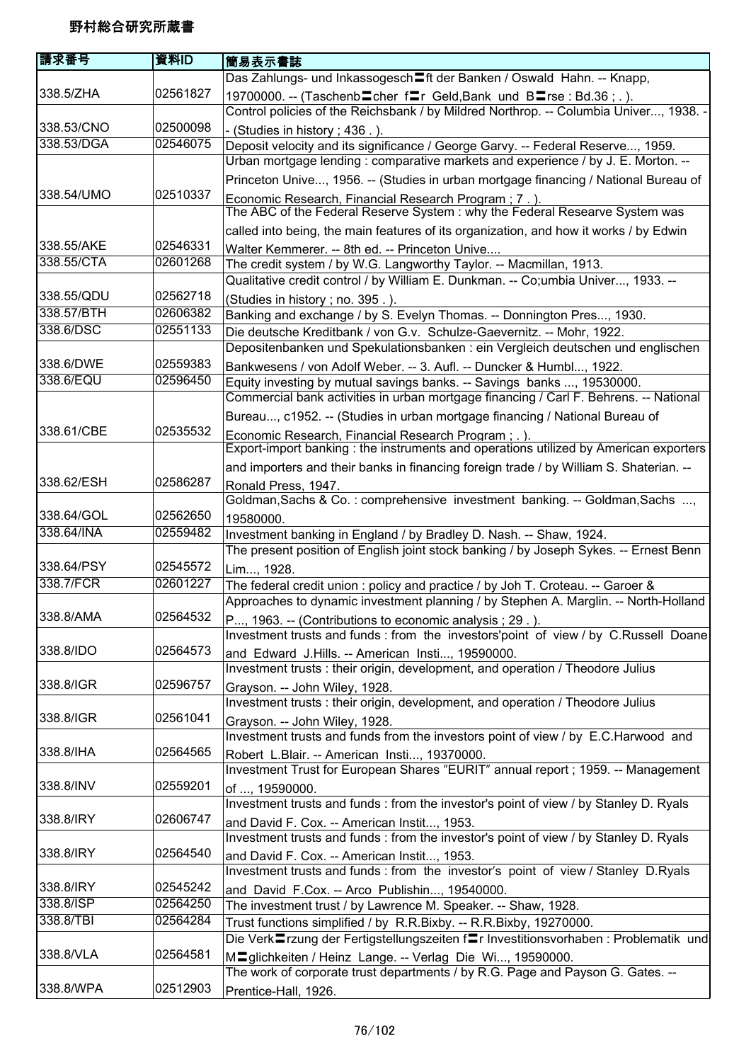| 請求番号       | 資料ID     | 簡易表示書誌                                                                                                                                                          |
|------------|----------|-----------------------------------------------------------------------------------------------------------------------------------------------------------------|
|            |          | Das Zahlungs- und Inkassogesch〓ft der Banken / Oswald Hahn. -- Knapp,                                                                                           |
| 338.5/ZHA  | 02561827 | 19700000. -- (Taschenb cher frier Geld, Bank und Blarse: Bd.36;.).<br>Control policies of the Reichsbank / by Mildred Northrop. -- Columbia Univer, 1938. -     |
| 338.53/CNO | 02500098 | - (Studies in history ; 436.).                                                                                                                                  |
| 338.53/DGA | 02546075 | Deposit velocity and its significance / George Garvy. -- Federal Reserve, 1959.                                                                                 |
|            |          | Urban mortgage lending: comparative markets and experience / by J. E. Morton. --                                                                                |
| 338.54/UMO | 02510337 | Princeton Unive, 1956. -- (Studies in urban mortgage financing / National Bureau of                                                                             |
|            |          | Economic Research, Financial Research Program; 7.).<br>The ABC of the Federal Reserve System : why the Federal Researve System was                              |
|            |          | called into being, the main features of its organization, and how it works / by Edwin                                                                           |
| 338.55/AKE | 02546331 | Walter Kemmerer. -- 8th ed. -- Princeton Unive                                                                                                                  |
| 338.55/CTA | 02601268 | The credit system / by W.G. Langworthy Taylor. -- Macmillan, 1913.                                                                                              |
|            |          | Qualitative credit control / by William E. Dunkman. -- Co;umbia Univer, 1933. --                                                                                |
| 338.55/QDU | 02562718 | (Studies in history; no. 395.).                                                                                                                                 |
| 338.57/BTH | 02606382 | Banking and exchange / by S. Evelyn Thomas. -- Donnington Pres, 1930.                                                                                           |
| 338.6/DSC  | 02551133 | Die deutsche Kreditbank / von G.v. Schulze-Gaevernitz. -- Mohr, 1922.<br>Depositenbanken und Spekulationsbanken : ein Vergleich deutschen und englischen        |
| 338.6/DWE  | 02559383 | Bankwesens / von Adolf Weber. -- 3. Aufl. -- Duncker & Humbl, 1922.                                                                                             |
| 338.6/EQU  | 02596450 | Equity investing by mutual savings banks. -- Savings banks , 19530000.<br>Commercial bank activities in urban mortgage financing / Carl F. Behrens. -- National |
|            |          | Bureau, c1952. -- (Studies in urban mortgage financing / National Bureau of                                                                                     |
| 338.61/CBE | 02535532 | Economic Research, Financial Research Program; .).                                                                                                              |
|            |          | Export-import banking: the instruments and operations utilized by American exporters                                                                            |
|            |          | and importers and their banks in financing foreign trade / by William S. Shaterian. --                                                                          |
| 338.62/ESH | 02586287 | Ronald Press, 1947.                                                                                                                                             |
|            |          | Goldman, Sachs & Co.: comprehensive investment banking. -- Goldman, Sachs ,                                                                                     |
| 338.64/GOL | 02562650 | 19580000.                                                                                                                                                       |
| 338.64/INA | 02559482 | Investment banking in England / by Bradley D. Nash. -- Shaw, 1924.                                                                                              |
|            |          | The present position of English joint stock banking / by Joseph Sykes. -- Ernest Benn                                                                           |
| 338.64/PSY | 02545572 | Lim, 1928.                                                                                                                                                      |
| 338.7/FCR  | 02601227 | The federal credit union : policy and practice / by Joh T. Croteau. -- Garoer &                                                                                 |
|            |          | Approaches to dynamic investment planning / by Stephen A. Marglin. -- North-Holland                                                                             |
| 338.8/AMA  | 02564532 | P, 1963. -- (Contributions to economic analysis; 29.).<br>Investment trusts and funds : from the investors'point of view / by C.Russell Doane                   |
| 338.8/IDO  | 02564573 | and Edward J.Hills. -- American Insti, 19590000.                                                                                                                |
|            |          | Investment trusts : their origin, development, and operation / Theodore Julius                                                                                  |
| 338.8/IGR  | 02596757 | Grayson. -- John Wiley, 1928.                                                                                                                                   |
|            |          | Investment trusts: their origin, development, and operation / Theodore Julius                                                                                   |
| 338.8/IGR  | 02561041 | Grayson. -- John Wiley, 1928.                                                                                                                                   |
|            |          | Investment trusts and funds from the investors point of view / by E.C.Harwood and                                                                               |
| 338.8/IHA  | 02564565 | Robert L.Blair. -- American Insti, 19370000.                                                                                                                    |
| 338.8/INV  | 02559201 | Investment Trust for European Shares "EURIT" annual report ; 1959. -- Management<br>of , 19590000.                                                              |
|            |          | Investment trusts and funds : from the investor's point of view / by Stanley D. Ryals                                                                           |
| 338.8/IRY  | 02606747 | and David F. Cox. -- American Instit, 1953.                                                                                                                     |
|            |          | Investment trusts and funds : from the investor's point of view / by Stanley D. Ryals                                                                           |
| 338.8/IRY  | 02564540 | and David F. Cox. -- American Instit, 1953.                                                                                                                     |
|            |          | Investment trusts and funds : from the investor's point of view / Stanley D.Ryals                                                                               |
| 338.8/IRY  | 02545242 | and David F.Cox. -- Arco Publishin, 19540000.                                                                                                                   |
| 338.8/ISP  | 02564250 | The investment trust / by Lawrence M. Speaker. -- Shaw, 1928.                                                                                                   |
| 338.8/TBI  | 02564284 | Trust functions simplified / by R.R.Bixby. -- R.R.Bixby, 19270000.                                                                                              |
|            |          | Die Verk⊑rzung der Fertigstellungszeiten f⊑r Investitionsvorhaben : Problematik und                                                                             |
| 338.8/VLA  | 02564581 | MIglichkeiten / Heinz Lange. -- Verlag Die Wi, 19590000.<br>The work of corporate trust departments / by R.G. Page and Payson G. Gates. --                      |
| 338.8/WPA  | 02512903 |                                                                                                                                                                 |
|            |          | Prentice-Hall, 1926.                                                                                                                                            |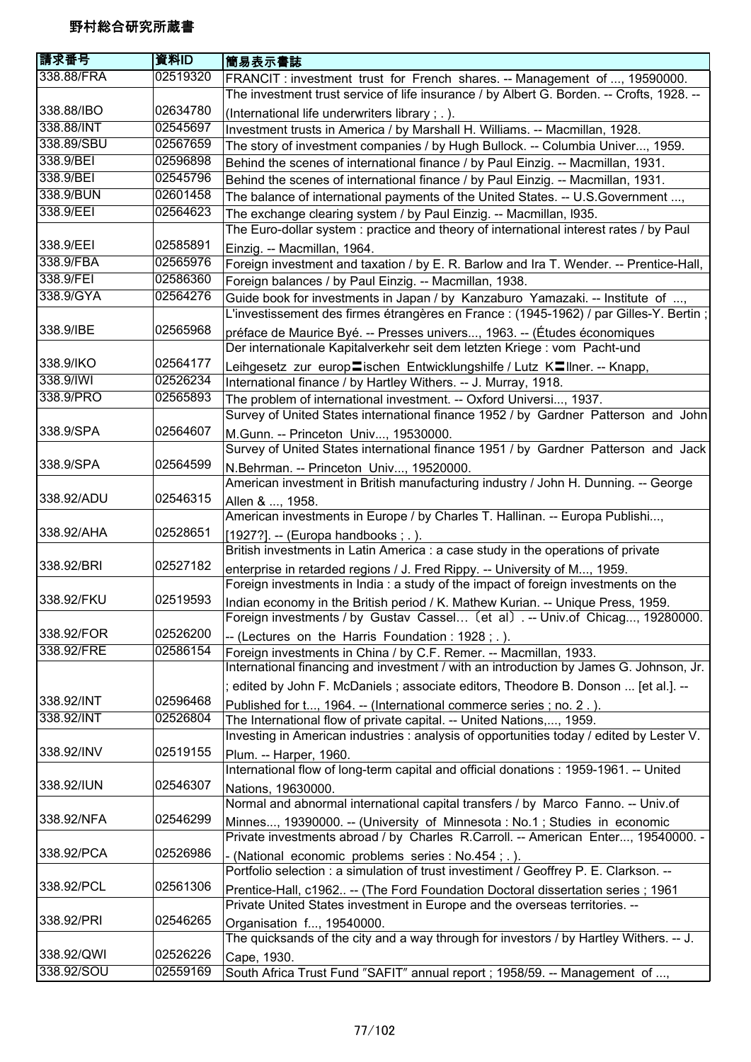| 請求番号       | 資料ID     | 簡易表示書誌                                                                                                                                                          |
|------------|----------|-----------------------------------------------------------------------------------------------------------------------------------------------------------------|
| 338.88/FRA | 02519320 | FRANCIT: investment trust for French shares. -- Management of , 19590000.                                                                                       |
|            |          | The investment trust service of life insurance / by Albert G. Borden. -- Crofts, 1928. --                                                                       |
| 338.88/IBO | 02634780 | (International life underwriters library; .).                                                                                                                   |
| 338.88/INT | 02545697 | Investment trusts in America / by Marshall H. Williams. -- Macmillan, 1928.                                                                                     |
| 338.89/SBU | 02567659 | The story of investment companies / by Hugh Bullock. -- Columbia Univer, 1959.                                                                                  |
| 338.9/BEI  | 02596898 | Behind the scenes of international finance / by Paul Einzig. -- Macmillan, 1931.                                                                                |
| 338.9/BEI  | 02545796 | Behind the scenes of international finance / by Paul Einzig. -- Macmillan, 1931.                                                                                |
| 338.9/BUN  | 02601458 | The balance of international payments of the United States. -- U.S. Government ,                                                                                |
| 338.9/EEI  | 02564623 | The exchange clearing system / by Paul Einzig. -- Macmillan, 1935.                                                                                              |
|            |          | The Euro-dollar system : practice and theory of international interest rates / by Paul                                                                          |
| 338.9/EEI  | 02585891 | Einzig. -- Macmillan, 1964.                                                                                                                                     |
| 338.9/FBA  | 02565976 | Foreign investment and taxation / by E. R. Barlow and Ira T. Wender. -- Prentice-Hall,                                                                          |
| 338.9/FEI  | 02586360 | Foreign balances / by Paul Einzig. -- Macmillan, 1938.                                                                                                          |
| 338.9/GYA  | 02564276 | Guide book for investments in Japan / by Kanzaburo Yamazaki. -- Institute of ,                                                                                  |
|            |          | L'investissement des firmes étrangères en France : (1945-1962) / par Gilles-Y. Bertin ;                                                                         |
| 338.9/IBE  | 02565968 | préface de Maurice Byé. -- Presses univers, 1963. -- (Études économiques                                                                                        |
|            |          | Der internationale Kapitalverkehr seit dem letzten Kriege : vom Pacht-und                                                                                       |
| 338.9/IKO  | 02564177 | Leihgesetz zur europ〓ischen Entwicklungshilfe / Lutz K〓llner. -- Knapp,                                                                                         |
| 338.9/IWI  | 02526234 | International finance / by Hartley Withers. -- J. Murray, 1918.                                                                                                 |
| 338.9/PRO  | 02565893 | The problem of international investment. -- Oxford Universi, 1937.                                                                                              |
|            |          | Survey of United States international finance 1952 / by Gardner Patterson and John                                                                              |
| 338.9/SPA  | 02564607 | M.Gunn. -- Princeton Univ, 19530000.                                                                                                                            |
|            |          | Survey of United States international finance 1951 / by Gardner Patterson and Jack                                                                              |
| 338.9/SPA  | 02564599 | N.Behrman. -- Princeton Univ, 19520000.                                                                                                                         |
|            |          | American investment in British manufacturing industry / John H. Dunning. -- George                                                                              |
| 338.92/ADU | 02546315 | Allen & , 1958.                                                                                                                                                 |
|            |          | American investments in Europe / by Charles T. Hallinan. -- Europa Publishi,                                                                                    |
| 338.92/AHA | 02528651 | [1927?]. -- (Europa handbooks; .).                                                                                                                              |
|            |          | British investments in Latin America : a case study in the operations of private                                                                                |
| 338.92/BRI | 02527182 | enterprise in retarded regions / J. Fred Rippy. -- University of M, 1959.                                                                                       |
|            |          | Foreign investments in India : a study of the impact of foreign investments on the                                                                              |
| 338.92/FKU | 02519593 | Indian economy in the British period / K. Mathew Kurian. -- Unique Press, 1959.                                                                                 |
|            |          | Foreign investments / by Gustav Cassel (et al) .-- Univ.of Chicag, 19280000.                                                                                    |
| 338.92/FOR | 02526200 | -- (Lectures on the Harris Foundation: 1928;.).                                                                                                                 |
| 338.92/FRE | 02586154 | Foreign investments in China / by C.F. Remer. -- Macmillan, 1933.                                                                                               |
|            |          | International financing and investment / with an introduction by James G. Johnson, Jr.                                                                          |
|            |          | ; edited by John F. McDaniels ; associate editors, Theodore B. Donson  [et al.]. --                                                                             |
| 338.92/INT | 02596468 | Published for t, 1964. -- (International commerce series; no. 2.).                                                                                              |
| 338.92/INT | 02526804 | The International flow of private capital. -- United Nations,, 1959.                                                                                            |
|            |          | Investing in American industries : analysis of opportunities today / edited by Lester V.                                                                        |
| 338.92/INV | 02519155 | Plum. -- Harper, 1960.                                                                                                                                          |
|            |          | International flow of long-term capital and official donations : 1959-1961. -- United                                                                           |
| 338.92/IUN | 02546307 | Nations, 19630000.                                                                                                                                              |
|            |          | Normal and abnormal international capital transfers / by Marco Fanno. -- Univ.of                                                                                |
| 338.92/NFA | 02546299 |                                                                                                                                                                 |
|            |          | Minnes, 19390000. -- (University of Minnesota: No.1; Studies in economic<br>Private investments abroad / by Charles R.Carroll. -- American Enter, 19540000. -   |
| 338.92/PCA | 02526986 |                                                                                                                                                                 |
|            |          | (National economic problems series : No.454 ; .).<br>Portfolio selection : a simulation of trust investiment / Geoffrey P. E. Clarkson. --                      |
| 338.92/PCL | 02561306 |                                                                                                                                                                 |
|            |          | Prentice-Hall, c1962 -- (The Ford Foundation Doctoral dissertation series ; 1961<br>Private United States investment in Europe and the overseas territories. -- |
| 338.92/PRI | 02546265 |                                                                                                                                                                 |
|            |          | Organisation f, 19540000.<br>The quicksands of the city and a way through for investors / by Hartley Withers. -- J.                                             |
| 338.92/QWI | 02526226 |                                                                                                                                                                 |
| 338.92/SOU | 02559169 | Cape, 1930.                                                                                                                                                     |
|            |          | South Africa Trust Fund "SAFIT" annual report; 1958/59. -- Management of ,                                                                                      |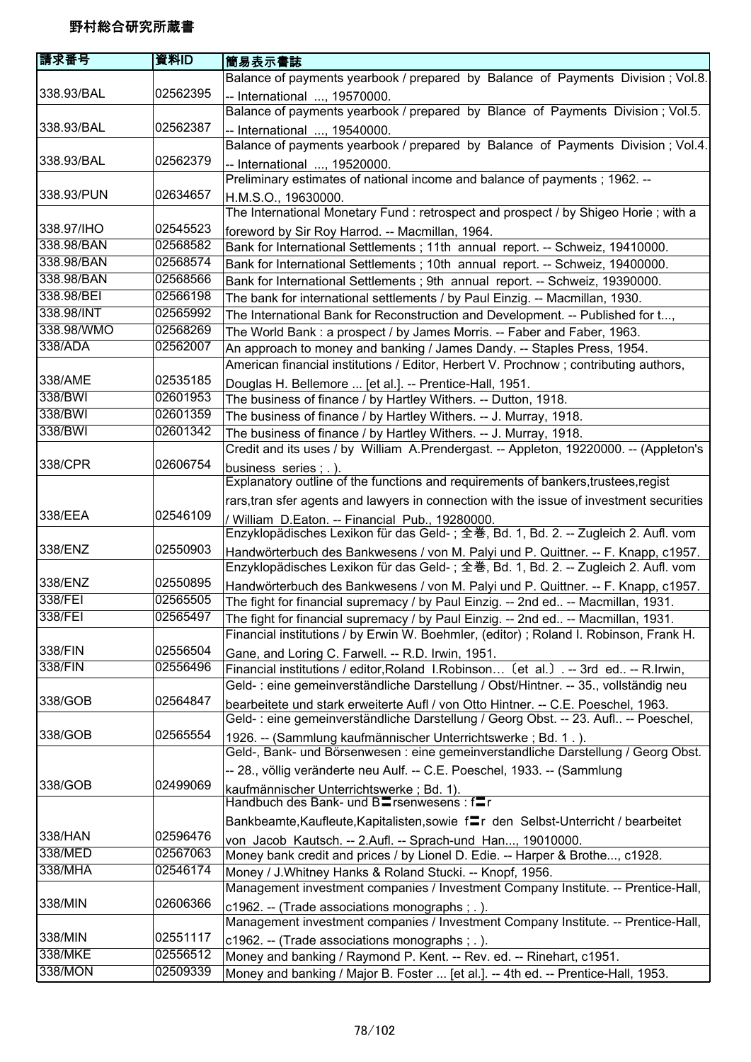| Balance of payments yearbook / prepared by Balance of Payments Division; Vol.8.<br>338.93/BAL<br>02562395<br>-- International , 19570000.<br>Balance of payments yearbook / prepared by Blance of Payments Division; Vol.5.<br>338.93/BAL<br>02562387<br>-- International , 19540000.<br>Balance of payments yearbook / prepared by Balance of Payments Division ; Vol.4.<br>338.93/BAL<br>02562379<br>-- International , 19520000.<br>Preliminary estimates of national income and balance of payments; 1962. --<br>338.93/PUN<br>02634657<br>H.M.S.O., 19630000.<br>The International Monetary Fund: retrospect and prospect / by Shigeo Horie; with a<br>338.97/IHO<br>02545523<br>foreword by Sir Roy Harrod. -- Macmillan, 1964.<br>338.98/BAN<br>02568582<br>Bank for International Settlements; 11th annual report. -- Schweiz, 19410000.<br>338.98/BAN<br>02568574<br>Bank for International Settlements ; 10th annual report. -- Schweiz, 19400000.<br>338.98/BAN<br>02568566<br>Bank for International Settlements ; 9th annual report. -- Schweiz, 19390000.<br>338.98/BEI<br>02566198<br>The bank for international settlements / by Paul Einzig. -- Macmillan, 1930.<br>338.98/INT<br>02565992<br>The International Bank for Reconstruction and Development. -- Published for t,<br>338.98/WMO<br>02568269<br>The World Bank: a prospect / by James Morris. -- Faber and Faber, 1963.<br>338/ADA<br>02562007<br>An approach to money and banking / James Dandy. -- Staples Press, 1954.<br>American financial institutions / Editor, Herbert V. Prochnow; contributing authors,<br>338/AME<br>02535185<br>Douglas H. Bellemore  [et al.]. -- Prentice-Hall, 1951.<br>338/BWI<br>02601953<br>The business of finance / by Hartley Withers. -- Dutton, 1918.<br>338/BWI<br>02601359<br>The business of finance / by Hartley Withers. -- J. Murray, 1918.<br>338/BWI<br>02601342<br>The business of finance / by Hartley Withers. -- J. Murray, 1918.<br>Credit and its uses / by William A.Prendergast. -- Appleton, 19220000. -- (Appleton's<br>338/CPR<br>02606754<br>business series; .).<br>Explanatory outline of the functions and requirements of bankers, trustees, regist<br>rars, tran sfer agents and lawyers in connection with the issue of investment securities<br>338/EEA<br>02546109<br>/ William D.Eaton. -- Financial Pub., 19280000.<br>Enzyklopädisches Lexikon für das Geld-; 全巻, Bd. 1, Bd. 2. -- Zugleich 2. Aufl. vom<br>338/ENZ<br>02550903<br>Handwörterbuch des Bankwesens / von M. Palyi und P. Quittner. -- F. Knapp, c1957.<br>Enzyklopädisches Lexikon für das Geld-; 全巻, Bd. 1, Bd. 2. -- Zugleich 2. Aufl. vom<br>338/ENZ<br>02550895<br>Handwörterbuch des Bankwesens / von M. Palyi und P. Quittner. -- F. Knapp, c1957.<br>338/FEI<br>02565505<br>The fight for financial supremacy / by Paul Einzig. -- 2nd ed -- Macmillan, 1931.<br>338/FEI<br>02565497<br>The fight for financial supremacy / by Paul Einzig. -- 2nd ed -- Macmillan, 1931.<br>Financial institutions / by Erwin W. Boehmler, (editor); Roland I. Robinson, Frank H.<br>02556504<br>338/FIN<br>Gane, and Loring C. Farwell. -- R.D. Irwin, 1951.<br>338/FIN<br>02556496<br>Financial institutions / editor, Roland I. Robinson (et al.) .-- 3rd ed -- R. Irwin,<br>Geld-: eine gemeinverständliche Darstellung / Obst/Hintner. -- 35., vollständig neu<br>338/GOB<br>02564847<br>bearbeitete und stark erweiterte Aufl / von Otto Hintner. -- C.E. Poeschel, 1963.<br>Geld-: eine gemeinverständliche Darstellung / Georg Obst. -- 23. Aufl -- Poeschel,<br>338/GOB<br>02565554<br>1926. -- (Sammlung kaufmännischer Unterrichtswerke; Bd. 1.).<br>Geld-, Bank- und Börsenwesen : eine gemeinverstandliche Darstellung / Georg Obst.<br>-- 28., völlig veränderte neu Aulf. -- C.E. Poeschel, 1933. -- (Sammlung<br>338/GOB<br>02499069<br>kaufmännischer Unterrichtswerke; Bd. 1).<br>Handbuch des Bank- und BI rsenwesens : fr<br>Bankbeamte, Kaufleute, Kapitalisten, sowie framericher Selbst-Unterricht / bearbeitet<br>338/HAN<br>02596476<br>von Jacob Kautsch. -- 2.Aufl. -- Sprach-und Han, 19010000.<br>02567063<br>338/MED<br>Money bank credit and prices / by Lionel D. Edie. -- Harper & Brothe, c1928.<br>338/MHA<br>02546174<br>Money / J. Whitney Hanks & Roland Stucki. -- Knopf, 1956.<br>Management investment companies / Investment Company Institute. -- Prentice-Hall,<br>338/MIN<br>02606366<br>c1962. -- (Trade associations monographs; .).<br>Management investment companies / Investment Company Institute. -- Prentice-Hall,<br>338/MIN<br>02551117<br>c1962. -- (Trade associations monographs ; .).<br>338/MKE<br>02556512<br>Money and banking / Raymond P. Kent. -- Rev. ed. -- Rinehart, c1951. | 請求番号    | 資料ID     | 簡易表示書誌                                                                            |
|---------------------------------------------------------------------------------------------------------------------------------------------------------------------------------------------------------------------------------------------------------------------------------------------------------------------------------------------------------------------------------------------------------------------------------------------------------------------------------------------------------------------------------------------------------------------------------------------------------------------------------------------------------------------------------------------------------------------------------------------------------------------------------------------------------------------------------------------------------------------------------------------------------------------------------------------------------------------------------------------------------------------------------------------------------------------------------------------------------------------------------------------------------------------------------------------------------------------------------------------------------------------------------------------------------------------------------------------------------------------------------------------------------------------------------------------------------------------------------------------------------------------------------------------------------------------------------------------------------------------------------------------------------------------------------------------------------------------------------------------------------------------------------------------------------------------------------------------------------------------------------------------------------------------------------------------------------------------------------------------------------------------------------------------------------------------------------------------------------------------------------------------------------------------------------------------------------------------------------------------------------------------------------------------------------------------------------------------------------------------------------------------------------------------------------------------------------------------------------------------------------------------------------------------------------------------------------------------------------------------------------------------------------------------------------------------------------------------------------------------------------------------------------------------------------------------------------------------------------------------------------------------------------------------------------------------------------------------------------------------------------------------------------------------------------------------------------------------------------------------------------------------------------------------------------------------------------------------------------------------------------------------------------------------------------------------------------------------------------------------------------------------------------------------------------------------------------------------------------------------------------------------------------------------------------------------------------------------------------------------------------------------------------------------------------------------------------------------------------------------------------------------------------------------------------------------------------------------------------------------------------------------------------------------------------------------------------------------------------------------------------------------------------------------------------------------------------------------------------------------------------------------------------------------------------------------------------------------------------------------------------------------------------------------------------------------------------------------------------------------------------------------------------------------------------------------------------------------------------------------------------------------------------------------------------------------------------------------------------------------------------------------------------------------------------------------------------------------------------------------------------|---------|----------|-----------------------------------------------------------------------------------|
|                                                                                                                                                                                                                                                                                                                                                                                                                                                                                                                                                                                                                                                                                                                                                                                                                                                                                                                                                                                                                                                                                                                                                                                                                                                                                                                                                                                                                                                                                                                                                                                                                                                                                                                                                                                                                                                                                                                                                                                                                                                                                                                                                                                                                                                                                                                                                                                                                                                                                                                                                                                                                                                                                                                                                                                                                                                                                                                                                                                                                                                                                                                                                                                                                                                                                                                                                                                                                                                                                                                                                                                                                                                                                                                                                                                                                                                                                                                                                                                                                                                                                                                                                                                                                                                                                                                                                                                                                                                                                                                                                                                                                                                                                                                                                         |         |          |                                                                                   |
|                                                                                                                                                                                                                                                                                                                                                                                                                                                                                                                                                                                                                                                                                                                                                                                                                                                                                                                                                                                                                                                                                                                                                                                                                                                                                                                                                                                                                                                                                                                                                                                                                                                                                                                                                                                                                                                                                                                                                                                                                                                                                                                                                                                                                                                                                                                                                                                                                                                                                                                                                                                                                                                                                                                                                                                                                                                                                                                                                                                                                                                                                                                                                                                                                                                                                                                                                                                                                                                                                                                                                                                                                                                                                                                                                                                                                                                                                                                                                                                                                                                                                                                                                                                                                                                                                                                                                                                                                                                                                                                                                                                                                                                                                                                                                         |         |          |                                                                                   |
|                                                                                                                                                                                                                                                                                                                                                                                                                                                                                                                                                                                                                                                                                                                                                                                                                                                                                                                                                                                                                                                                                                                                                                                                                                                                                                                                                                                                                                                                                                                                                                                                                                                                                                                                                                                                                                                                                                                                                                                                                                                                                                                                                                                                                                                                                                                                                                                                                                                                                                                                                                                                                                                                                                                                                                                                                                                                                                                                                                                                                                                                                                                                                                                                                                                                                                                                                                                                                                                                                                                                                                                                                                                                                                                                                                                                                                                                                                                                                                                                                                                                                                                                                                                                                                                                                                                                                                                                                                                                                                                                                                                                                                                                                                                                                         |         |          |                                                                                   |
|                                                                                                                                                                                                                                                                                                                                                                                                                                                                                                                                                                                                                                                                                                                                                                                                                                                                                                                                                                                                                                                                                                                                                                                                                                                                                                                                                                                                                                                                                                                                                                                                                                                                                                                                                                                                                                                                                                                                                                                                                                                                                                                                                                                                                                                                                                                                                                                                                                                                                                                                                                                                                                                                                                                                                                                                                                                                                                                                                                                                                                                                                                                                                                                                                                                                                                                                                                                                                                                                                                                                                                                                                                                                                                                                                                                                                                                                                                                                                                                                                                                                                                                                                                                                                                                                                                                                                                                                                                                                                                                                                                                                                                                                                                                                                         |         |          |                                                                                   |
|                                                                                                                                                                                                                                                                                                                                                                                                                                                                                                                                                                                                                                                                                                                                                                                                                                                                                                                                                                                                                                                                                                                                                                                                                                                                                                                                                                                                                                                                                                                                                                                                                                                                                                                                                                                                                                                                                                                                                                                                                                                                                                                                                                                                                                                                                                                                                                                                                                                                                                                                                                                                                                                                                                                                                                                                                                                                                                                                                                                                                                                                                                                                                                                                                                                                                                                                                                                                                                                                                                                                                                                                                                                                                                                                                                                                                                                                                                                                                                                                                                                                                                                                                                                                                                                                                                                                                                                                                                                                                                                                                                                                                                                                                                                                                         |         |          |                                                                                   |
|                                                                                                                                                                                                                                                                                                                                                                                                                                                                                                                                                                                                                                                                                                                                                                                                                                                                                                                                                                                                                                                                                                                                                                                                                                                                                                                                                                                                                                                                                                                                                                                                                                                                                                                                                                                                                                                                                                                                                                                                                                                                                                                                                                                                                                                                                                                                                                                                                                                                                                                                                                                                                                                                                                                                                                                                                                                                                                                                                                                                                                                                                                                                                                                                                                                                                                                                                                                                                                                                                                                                                                                                                                                                                                                                                                                                                                                                                                                                                                                                                                                                                                                                                                                                                                                                                                                                                                                                                                                                                                                                                                                                                                                                                                                                                         |         |          |                                                                                   |
|                                                                                                                                                                                                                                                                                                                                                                                                                                                                                                                                                                                                                                                                                                                                                                                                                                                                                                                                                                                                                                                                                                                                                                                                                                                                                                                                                                                                                                                                                                                                                                                                                                                                                                                                                                                                                                                                                                                                                                                                                                                                                                                                                                                                                                                                                                                                                                                                                                                                                                                                                                                                                                                                                                                                                                                                                                                                                                                                                                                                                                                                                                                                                                                                                                                                                                                                                                                                                                                                                                                                                                                                                                                                                                                                                                                                                                                                                                                                                                                                                                                                                                                                                                                                                                                                                                                                                                                                                                                                                                                                                                                                                                                                                                                                                         |         |          |                                                                                   |
|                                                                                                                                                                                                                                                                                                                                                                                                                                                                                                                                                                                                                                                                                                                                                                                                                                                                                                                                                                                                                                                                                                                                                                                                                                                                                                                                                                                                                                                                                                                                                                                                                                                                                                                                                                                                                                                                                                                                                                                                                                                                                                                                                                                                                                                                                                                                                                                                                                                                                                                                                                                                                                                                                                                                                                                                                                                                                                                                                                                                                                                                                                                                                                                                                                                                                                                                                                                                                                                                                                                                                                                                                                                                                                                                                                                                                                                                                                                                                                                                                                                                                                                                                                                                                                                                                                                                                                                                                                                                                                                                                                                                                                                                                                                                                         |         |          |                                                                                   |
|                                                                                                                                                                                                                                                                                                                                                                                                                                                                                                                                                                                                                                                                                                                                                                                                                                                                                                                                                                                                                                                                                                                                                                                                                                                                                                                                                                                                                                                                                                                                                                                                                                                                                                                                                                                                                                                                                                                                                                                                                                                                                                                                                                                                                                                                                                                                                                                                                                                                                                                                                                                                                                                                                                                                                                                                                                                                                                                                                                                                                                                                                                                                                                                                                                                                                                                                                                                                                                                                                                                                                                                                                                                                                                                                                                                                                                                                                                                                                                                                                                                                                                                                                                                                                                                                                                                                                                                                                                                                                                                                                                                                                                                                                                                                                         |         |          |                                                                                   |
|                                                                                                                                                                                                                                                                                                                                                                                                                                                                                                                                                                                                                                                                                                                                                                                                                                                                                                                                                                                                                                                                                                                                                                                                                                                                                                                                                                                                                                                                                                                                                                                                                                                                                                                                                                                                                                                                                                                                                                                                                                                                                                                                                                                                                                                                                                                                                                                                                                                                                                                                                                                                                                                                                                                                                                                                                                                                                                                                                                                                                                                                                                                                                                                                                                                                                                                                                                                                                                                                                                                                                                                                                                                                                                                                                                                                                                                                                                                                                                                                                                                                                                                                                                                                                                                                                                                                                                                                                                                                                                                                                                                                                                                                                                                                                         |         |          |                                                                                   |
|                                                                                                                                                                                                                                                                                                                                                                                                                                                                                                                                                                                                                                                                                                                                                                                                                                                                                                                                                                                                                                                                                                                                                                                                                                                                                                                                                                                                                                                                                                                                                                                                                                                                                                                                                                                                                                                                                                                                                                                                                                                                                                                                                                                                                                                                                                                                                                                                                                                                                                                                                                                                                                                                                                                                                                                                                                                                                                                                                                                                                                                                                                                                                                                                                                                                                                                                                                                                                                                                                                                                                                                                                                                                                                                                                                                                                                                                                                                                                                                                                                                                                                                                                                                                                                                                                                                                                                                                                                                                                                                                                                                                                                                                                                                                                         |         |          |                                                                                   |
|                                                                                                                                                                                                                                                                                                                                                                                                                                                                                                                                                                                                                                                                                                                                                                                                                                                                                                                                                                                                                                                                                                                                                                                                                                                                                                                                                                                                                                                                                                                                                                                                                                                                                                                                                                                                                                                                                                                                                                                                                                                                                                                                                                                                                                                                                                                                                                                                                                                                                                                                                                                                                                                                                                                                                                                                                                                                                                                                                                                                                                                                                                                                                                                                                                                                                                                                                                                                                                                                                                                                                                                                                                                                                                                                                                                                                                                                                                                                                                                                                                                                                                                                                                                                                                                                                                                                                                                                                                                                                                                                                                                                                                                                                                                                                         |         |          |                                                                                   |
|                                                                                                                                                                                                                                                                                                                                                                                                                                                                                                                                                                                                                                                                                                                                                                                                                                                                                                                                                                                                                                                                                                                                                                                                                                                                                                                                                                                                                                                                                                                                                                                                                                                                                                                                                                                                                                                                                                                                                                                                                                                                                                                                                                                                                                                                                                                                                                                                                                                                                                                                                                                                                                                                                                                                                                                                                                                                                                                                                                                                                                                                                                                                                                                                                                                                                                                                                                                                                                                                                                                                                                                                                                                                                                                                                                                                                                                                                                                                                                                                                                                                                                                                                                                                                                                                                                                                                                                                                                                                                                                                                                                                                                                                                                                                                         |         |          |                                                                                   |
|                                                                                                                                                                                                                                                                                                                                                                                                                                                                                                                                                                                                                                                                                                                                                                                                                                                                                                                                                                                                                                                                                                                                                                                                                                                                                                                                                                                                                                                                                                                                                                                                                                                                                                                                                                                                                                                                                                                                                                                                                                                                                                                                                                                                                                                                                                                                                                                                                                                                                                                                                                                                                                                                                                                                                                                                                                                                                                                                                                                                                                                                                                                                                                                                                                                                                                                                                                                                                                                                                                                                                                                                                                                                                                                                                                                                                                                                                                                                                                                                                                                                                                                                                                                                                                                                                                                                                                                                                                                                                                                                                                                                                                                                                                                                                         |         |          |                                                                                   |
|                                                                                                                                                                                                                                                                                                                                                                                                                                                                                                                                                                                                                                                                                                                                                                                                                                                                                                                                                                                                                                                                                                                                                                                                                                                                                                                                                                                                                                                                                                                                                                                                                                                                                                                                                                                                                                                                                                                                                                                                                                                                                                                                                                                                                                                                                                                                                                                                                                                                                                                                                                                                                                                                                                                                                                                                                                                                                                                                                                                                                                                                                                                                                                                                                                                                                                                                                                                                                                                                                                                                                                                                                                                                                                                                                                                                                                                                                                                                                                                                                                                                                                                                                                                                                                                                                                                                                                                                                                                                                                                                                                                                                                                                                                                                                         |         |          |                                                                                   |
|                                                                                                                                                                                                                                                                                                                                                                                                                                                                                                                                                                                                                                                                                                                                                                                                                                                                                                                                                                                                                                                                                                                                                                                                                                                                                                                                                                                                                                                                                                                                                                                                                                                                                                                                                                                                                                                                                                                                                                                                                                                                                                                                                                                                                                                                                                                                                                                                                                                                                                                                                                                                                                                                                                                                                                                                                                                                                                                                                                                                                                                                                                                                                                                                                                                                                                                                                                                                                                                                                                                                                                                                                                                                                                                                                                                                                                                                                                                                                                                                                                                                                                                                                                                                                                                                                                                                                                                                                                                                                                                                                                                                                                                                                                                                                         |         |          |                                                                                   |
|                                                                                                                                                                                                                                                                                                                                                                                                                                                                                                                                                                                                                                                                                                                                                                                                                                                                                                                                                                                                                                                                                                                                                                                                                                                                                                                                                                                                                                                                                                                                                                                                                                                                                                                                                                                                                                                                                                                                                                                                                                                                                                                                                                                                                                                                                                                                                                                                                                                                                                                                                                                                                                                                                                                                                                                                                                                                                                                                                                                                                                                                                                                                                                                                                                                                                                                                                                                                                                                                                                                                                                                                                                                                                                                                                                                                                                                                                                                                                                                                                                                                                                                                                                                                                                                                                                                                                                                                                                                                                                                                                                                                                                                                                                                                                         |         |          |                                                                                   |
|                                                                                                                                                                                                                                                                                                                                                                                                                                                                                                                                                                                                                                                                                                                                                                                                                                                                                                                                                                                                                                                                                                                                                                                                                                                                                                                                                                                                                                                                                                                                                                                                                                                                                                                                                                                                                                                                                                                                                                                                                                                                                                                                                                                                                                                                                                                                                                                                                                                                                                                                                                                                                                                                                                                                                                                                                                                                                                                                                                                                                                                                                                                                                                                                                                                                                                                                                                                                                                                                                                                                                                                                                                                                                                                                                                                                                                                                                                                                                                                                                                                                                                                                                                                                                                                                                                                                                                                                                                                                                                                                                                                                                                                                                                                                                         |         |          |                                                                                   |
|                                                                                                                                                                                                                                                                                                                                                                                                                                                                                                                                                                                                                                                                                                                                                                                                                                                                                                                                                                                                                                                                                                                                                                                                                                                                                                                                                                                                                                                                                                                                                                                                                                                                                                                                                                                                                                                                                                                                                                                                                                                                                                                                                                                                                                                                                                                                                                                                                                                                                                                                                                                                                                                                                                                                                                                                                                                                                                                                                                                                                                                                                                                                                                                                                                                                                                                                                                                                                                                                                                                                                                                                                                                                                                                                                                                                                                                                                                                                                                                                                                                                                                                                                                                                                                                                                                                                                                                                                                                                                                                                                                                                                                                                                                                                                         |         |          |                                                                                   |
|                                                                                                                                                                                                                                                                                                                                                                                                                                                                                                                                                                                                                                                                                                                                                                                                                                                                                                                                                                                                                                                                                                                                                                                                                                                                                                                                                                                                                                                                                                                                                                                                                                                                                                                                                                                                                                                                                                                                                                                                                                                                                                                                                                                                                                                                                                                                                                                                                                                                                                                                                                                                                                                                                                                                                                                                                                                                                                                                                                                                                                                                                                                                                                                                                                                                                                                                                                                                                                                                                                                                                                                                                                                                                                                                                                                                                                                                                                                                                                                                                                                                                                                                                                                                                                                                                                                                                                                                                                                                                                                                                                                                                                                                                                                                                         |         |          |                                                                                   |
|                                                                                                                                                                                                                                                                                                                                                                                                                                                                                                                                                                                                                                                                                                                                                                                                                                                                                                                                                                                                                                                                                                                                                                                                                                                                                                                                                                                                                                                                                                                                                                                                                                                                                                                                                                                                                                                                                                                                                                                                                                                                                                                                                                                                                                                                                                                                                                                                                                                                                                                                                                                                                                                                                                                                                                                                                                                                                                                                                                                                                                                                                                                                                                                                                                                                                                                                                                                                                                                                                                                                                                                                                                                                                                                                                                                                                                                                                                                                                                                                                                                                                                                                                                                                                                                                                                                                                                                                                                                                                                                                                                                                                                                                                                                                                         |         |          |                                                                                   |
|                                                                                                                                                                                                                                                                                                                                                                                                                                                                                                                                                                                                                                                                                                                                                                                                                                                                                                                                                                                                                                                                                                                                                                                                                                                                                                                                                                                                                                                                                                                                                                                                                                                                                                                                                                                                                                                                                                                                                                                                                                                                                                                                                                                                                                                                                                                                                                                                                                                                                                                                                                                                                                                                                                                                                                                                                                                                                                                                                                                                                                                                                                                                                                                                                                                                                                                                                                                                                                                                                                                                                                                                                                                                                                                                                                                                                                                                                                                                                                                                                                                                                                                                                                                                                                                                                                                                                                                                                                                                                                                                                                                                                                                                                                                                                         |         |          |                                                                                   |
|                                                                                                                                                                                                                                                                                                                                                                                                                                                                                                                                                                                                                                                                                                                                                                                                                                                                                                                                                                                                                                                                                                                                                                                                                                                                                                                                                                                                                                                                                                                                                                                                                                                                                                                                                                                                                                                                                                                                                                                                                                                                                                                                                                                                                                                                                                                                                                                                                                                                                                                                                                                                                                                                                                                                                                                                                                                                                                                                                                                                                                                                                                                                                                                                                                                                                                                                                                                                                                                                                                                                                                                                                                                                                                                                                                                                                                                                                                                                                                                                                                                                                                                                                                                                                                                                                                                                                                                                                                                                                                                                                                                                                                                                                                                                                         |         |          |                                                                                   |
|                                                                                                                                                                                                                                                                                                                                                                                                                                                                                                                                                                                                                                                                                                                                                                                                                                                                                                                                                                                                                                                                                                                                                                                                                                                                                                                                                                                                                                                                                                                                                                                                                                                                                                                                                                                                                                                                                                                                                                                                                                                                                                                                                                                                                                                                                                                                                                                                                                                                                                                                                                                                                                                                                                                                                                                                                                                                                                                                                                                                                                                                                                                                                                                                                                                                                                                                                                                                                                                                                                                                                                                                                                                                                                                                                                                                                                                                                                                                                                                                                                                                                                                                                                                                                                                                                                                                                                                                                                                                                                                                                                                                                                                                                                                                                         |         |          |                                                                                   |
|                                                                                                                                                                                                                                                                                                                                                                                                                                                                                                                                                                                                                                                                                                                                                                                                                                                                                                                                                                                                                                                                                                                                                                                                                                                                                                                                                                                                                                                                                                                                                                                                                                                                                                                                                                                                                                                                                                                                                                                                                                                                                                                                                                                                                                                                                                                                                                                                                                                                                                                                                                                                                                                                                                                                                                                                                                                                                                                                                                                                                                                                                                                                                                                                                                                                                                                                                                                                                                                                                                                                                                                                                                                                                                                                                                                                                                                                                                                                                                                                                                                                                                                                                                                                                                                                                                                                                                                                                                                                                                                                                                                                                                                                                                                                                         |         |          |                                                                                   |
|                                                                                                                                                                                                                                                                                                                                                                                                                                                                                                                                                                                                                                                                                                                                                                                                                                                                                                                                                                                                                                                                                                                                                                                                                                                                                                                                                                                                                                                                                                                                                                                                                                                                                                                                                                                                                                                                                                                                                                                                                                                                                                                                                                                                                                                                                                                                                                                                                                                                                                                                                                                                                                                                                                                                                                                                                                                                                                                                                                                                                                                                                                                                                                                                                                                                                                                                                                                                                                                                                                                                                                                                                                                                                                                                                                                                                                                                                                                                                                                                                                                                                                                                                                                                                                                                                                                                                                                                                                                                                                                                                                                                                                                                                                                                                         |         |          |                                                                                   |
|                                                                                                                                                                                                                                                                                                                                                                                                                                                                                                                                                                                                                                                                                                                                                                                                                                                                                                                                                                                                                                                                                                                                                                                                                                                                                                                                                                                                                                                                                                                                                                                                                                                                                                                                                                                                                                                                                                                                                                                                                                                                                                                                                                                                                                                                                                                                                                                                                                                                                                                                                                                                                                                                                                                                                                                                                                                                                                                                                                                                                                                                                                                                                                                                                                                                                                                                                                                                                                                                                                                                                                                                                                                                                                                                                                                                                                                                                                                                                                                                                                                                                                                                                                                                                                                                                                                                                                                                                                                                                                                                                                                                                                                                                                                                                         |         |          |                                                                                   |
|                                                                                                                                                                                                                                                                                                                                                                                                                                                                                                                                                                                                                                                                                                                                                                                                                                                                                                                                                                                                                                                                                                                                                                                                                                                                                                                                                                                                                                                                                                                                                                                                                                                                                                                                                                                                                                                                                                                                                                                                                                                                                                                                                                                                                                                                                                                                                                                                                                                                                                                                                                                                                                                                                                                                                                                                                                                                                                                                                                                                                                                                                                                                                                                                                                                                                                                                                                                                                                                                                                                                                                                                                                                                                                                                                                                                                                                                                                                                                                                                                                                                                                                                                                                                                                                                                                                                                                                                                                                                                                                                                                                                                                                                                                                                                         |         |          |                                                                                   |
|                                                                                                                                                                                                                                                                                                                                                                                                                                                                                                                                                                                                                                                                                                                                                                                                                                                                                                                                                                                                                                                                                                                                                                                                                                                                                                                                                                                                                                                                                                                                                                                                                                                                                                                                                                                                                                                                                                                                                                                                                                                                                                                                                                                                                                                                                                                                                                                                                                                                                                                                                                                                                                                                                                                                                                                                                                                                                                                                                                                                                                                                                                                                                                                                                                                                                                                                                                                                                                                                                                                                                                                                                                                                                                                                                                                                                                                                                                                                                                                                                                                                                                                                                                                                                                                                                                                                                                                                                                                                                                                                                                                                                                                                                                                                                         |         |          |                                                                                   |
|                                                                                                                                                                                                                                                                                                                                                                                                                                                                                                                                                                                                                                                                                                                                                                                                                                                                                                                                                                                                                                                                                                                                                                                                                                                                                                                                                                                                                                                                                                                                                                                                                                                                                                                                                                                                                                                                                                                                                                                                                                                                                                                                                                                                                                                                                                                                                                                                                                                                                                                                                                                                                                                                                                                                                                                                                                                                                                                                                                                                                                                                                                                                                                                                                                                                                                                                                                                                                                                                                                                                                                                                                                                                                                                                                                                                                                                                                                                                                                                                                                                                                                                                                                                                                                                                                                                                                                                                                                                                                                                                                                                                                                                                                                                                                         |         |          |                                                                                   |
|                                                                                                                                                                                                                                                                                                                                                                                                                                                                                                                                                                                                                                                                                                                                                                                                                                                                                                                                                                                                                                                                                                                                                                                                                                                                                                                                                                                                                                                                                                                                                                                                                                                                                                                                                                                                                                                                                                                                                                                                                                                                                                                                                                                                                                                                                                                                                                                                                                                                                                                                                                                                                                                                                                                                                                                                                                                                                                                                                                                                                                                                                                                                                                                                                                                                                                                                                                                                                                                                                                                                                                                                                                                                                                                                                                                                                                                                                                                                                                                                                                                                                                                                                                                                                                                                                                                                                                                                                                                                                                                                                                                                                                                                                                                                                         |         |          |                                                                                   |
|                                                                                                                                                                                                                                                                                                                                                                                                                                                                                                                                                                                                                                                                                                                                                                                                                                                                                                                                                                                                                                                                                                                                                                                                                                                                                                                                                                                                                                                                                                                                                                                                                                                                                                                                                                                                                                                                                                                                                                                                                                                                                                                                                                                                                                                                                                                                                                                                                                                                                                                                                                                                                                                                                                                                                                                                                                                                                                                                                                                                                                                                                                                                                                                                                                                                                                                                                                                                                                                                                                                                                                                                                                                                                                                                                                                                                                                                                                                                                                                                                                                                                                                                                                                                                                                                                                                                                                                                                                                                                                                                                                                                                                                                                                                                                         |         |          |                                                                                   |
|                                                                                                                                                                                                                                                                                                                                                                                                                                                                                                                                                                                                                                                                                                                                                                                                                                                                                                                                                                                                                                                                                                                                                                                                                                                                                                                                                                                                                                                                                                                                                                                                                                                                                                                                                                                                                                                                                                                                                                                                                                                                                                                                                                                                                                                                                                                                                                                                                                                                                                                                                                                                                                                                                                                                                                                                                                                                                                                                                                                                                                                                                                                                                                                                                                                                                                                                                                                                                                                                                                                                                                                                                                                                                                                                                                                                                                                                                                                                                                                                                                                                                                                                                                                                                                                                                                                                                                                                                                                                                                                                                                                                                                                                                                                                                         |         |          |                                                                                   |
|                                                                                                                                                                                                                                                                                                                                                                                                                                                                                                                                                                                                                                                                                                                                                                                                                                                                                                                                                                                                                                                                                                                                                                                                                                                                                                                                                                                                                                                                                                                                                                                                                                                                                                                                                                                                                                                                                                                                                                                                                                                                                                                                                                                                                                                                                                                                                                                                                                                                                                                                                                                                                                                                                                                                                                                                                                                                                                                                                                                                                                                                                                                                                                                                                                                                                                                                                                                                                                                                                                                                                                                                                                                                                                                                                                                                                                                                                                                                                                                                                                                                                                                                                                                                                                                                                                                                                                                                                                                                                                                                                                                                                                                                                                                                                         |         |          |                                                                                   |
|                                                                                                                                                                                                                                                                                                                                                                                                                                                                                                                                                                                                                                                                                                                                                                                                                                                                                                                                                                                                                                                                                                                                                                                                                                                                                                                                                                                                                                                                                                                                                                                                                                                                                                                                                                                                                                                                                                                                                                                                                                                                                                                                                                                                                                                                                                                                                                                                                                                                                                                                                                                                                                                                                                                                                                                                                                                                                                                                                                                                                                                                                                                                                                                                                                                                                                                                                                                                                                                                                                                                                                                                                                                                                                                                                                                                                                                                                                                                                                                                                                                                                                                                                                                                                                                                                                                                                                                                                                                                                                                                                                                                                                                                                                                                                         |         |          |                                                                                   |
|                                                                                                                                                                                                                                                                                                                                                                                                                                                                                                                                                                                                                                                                                                                                                                                                                                                                                                                                                                                                                                                                                                                                                                                                                                                                                                                                                                                                                                                                                                                                                                                                                                                                                                                                                                                                                                                                                                                                                                                                                                                                                                                                                                                                                                                                                                                                                                                                                                                                                                                                                                                                                                                                                                                                                                                                                                                                                                                                                                                                                                                                                                                                                                                                                                                                                                                                                                                                                                                                                                                                                                                                                                                                                                                                                                                                                                                                                                                                                                                                                                                                                                                                                                                                                                                                                                                                                                                                                                                                                                                                                                                                                                                                                                                                                         |         |          |                                                                                   |
|                                                                                                                                                                                                                                                                                                                                                                                                                                                                                                                                                                                                                                                                                                                                                                                                                                                                                                                                                                                                                                                                                                                                                                                                                                                                                                                                                                                                                                                                                                                                                                                                                                                                                                                                                                                                                                                                                                                                                                                                                                                                                                                                                                                                                                                                                                                                                                                                                                                                                                                                                                                                                                                                                                                                                                                                                                                                                                                                                                                                                                                                                                                                                                                                                                                                                                                                                                                                                                                                                                                                                                                                                                                                                                                                                                                                                                                                                                                                                                                                                                                                                                                                                                                                                                                                                                                                                                                                                                                                                                                                                                                                                                                                                                                                                         |         |          |                                                                                   |
|                                                                                                                                                                                                                                                                                                                                                                                                                                                                                                                                                                                                                                                                                                                                                                                                                                                                                                                                                                                                                                                                                                                                                                                                                                                                                                                                                                                                                                                                                                                                                                                                                                                                                                                                                                                                                                                                                                                                                                                                                                                                                                                                                                                                                                                                                                                                                                                                                                                                                                                                                                                                                                                                                                                                                                                                                                                                                                                                                                                                                                                                                                                                                                                                                                                                                                                                                                                                                                                                                                                                                                                                                                                                                                                                                                                                                                                                                                                                                                                                                                                                                                                                                                                                                                                                                                                                                                                                                                                                                                                                                                                                                                                                                                                                                         |         |          |                                                                                   |
|                                                                                                                                                                                                                                                                                                                                                                                                                                                                                                                                                                                                                                                                                                                                                                                                                                                                                                                                                                                                                                                                                                                                                                                                                                                                                                                                                                                                                                                                                                                                                                                                                                                                                                                                                                                                                                                                                                                                                                                                                                                                                                                                                                                                                                                                                                                                                                                                                                                                                                                                                                                                                                                                                                                                                                                                                                                                                                                                                                                                                                                                                                                                                                                                                                                                                                                                                                                                                                                                                                                                                                                                                                                                                                                                                                                                                                                                                                                                                                                                                                                                                                                                                                                                                                                                                                                                                                                                                                                                                                                                                                                                                                                                                                                                                         |         |          |                                                                                   |
|                                                                                                                                                                                                                                                                                                                                                                                                                                                                                                                                                                                                                                                                                                                                                                                                                                                                                                                                                                                                                                                                                                                                                                                                                                                                                                                                                                                                                                                                                                                                                                                                                                                                                                                                                                                                                                                                                                                                                                                                                                                                                                                                                                                                                                                                                                                                                                                                                                                                                                                                                                                                                                                                                                                                                                                                                                                                                                                                                                                                                                                                                                                                                                                                                                                                                                                                                                                                                                                                                                                                                                                                                                                                                                                                                                                                                                                                                                                                                                                                                                                                                                                                                                                                                                                                                                                                                                                                                                                                                                                                                                                                                                                                                                                                                         |         |          |                                                                                   |
|                                                                                                                                                                                                                                                                                                                                                                                                                                                                                                                                                                                                                                                                                                                                                                                                                                                                                                                                                                                                                                                                                                                                                                                                                                                                                                                                                                                                                                                                                                                                                                                                                                                                                                                                                                                                                                                                                                                                                                                                                                                                                                                                                                                                                                                                                                                                                                                                                                                                                                                                                                                                                                                                                                                                                                                                                                                                                                                                                                                                                                                                                                                                                                                                                                                                                                                                                                                                                                                                                                                                                                                                                                                                                                                                                                                                                                                                                                                                                                                                                                                                                                                                                                                                                                                                                                                                                                                                                                                                                                                                                                                                                                                                                                                                                         |         |          |                                                                                   |
|                                                                                                                                                                                                                                                                                                                                                                                                                                                                                                                                                                                                                                                                                                                                                                                                                                                                                                                                                                                                                                                                                                                                                                                                                                                                                                                                                                                                                                                                                                                                                                                                                                                                                                                                                                                                                                                                                                                                                                                                                                                                                                                                                                                                                                                                                                                                                                                                                                                                                                                                                                                                                                                                                                                                                                                                                                                                                                                                                                                                                                                                                                                                                                                                                                                                                                                                                                                                                                                                                                                                                                                                                                                                                                                                                                                                                                                                                                                                                                                                                                                                                                                                                                                                                                                                                                                                                                                                                                                                                                                                                                                                                                                                                                                                                         |         |          |                                                                                   |
|                                                                                                                                                                                                                                                                                                                                                                                                                                                                                                                                                                                                                                                                                                                                                                                                                                                                                                                                                                                                                                                                                                                                                                                                                                                                                                                                                                                                                                                                                                                                                                                                                                                                                                                                                                                                                                                                                                                                                                                                                                                                                                                                                                                                                                                                                                                                                                                                                                                                                                                                                                                                                                                                                                                                                                                                                                                                                                                                                                                                                                                                                                                                                                                                                                                                                                                                                                                                                                                                                                                                                                                                                                                                                                                                                                                                                                                                                                                                                                                                                                                                                                                                                                                                                                                                                                                                                                                                                                                                                                                                                                                                                                                                                                                                                         |         |          |                                                                                   |
|                                                                                                                                                                                                                                                                                                                                                                                                                                                                                                                                                                                                                                                                                                                                                                                                                                                                                                                                                                                                                                                                                                                                                                                                                                                                                                                                                                                                                                                                                                                                                                                                                                                                                                                                                                                                                                                                                                                                                                                                                                                                                                                                                                                                                                                                                                                                                                                                                                                                                                                                                                                                                                                                                                                                                                                                                                                                                                                                                                                                                                                                                                                                                                                                                                                                                                                                                                                                                                                                                                                                                                                                                                                                                                                                                                                                                                                                                                                                                                                                                                                                                                                                                                                                                                                                                                                                                                                                                                                                                                                                                                                                                                                                                                                                                         |         |          |                                                                                   |
|                                                                                                                                                                                                                                                                                                                                                                                                                                                                                                                                                                                                                                                                                                                                                                                                                                                                                                                                                                                                                                                                                                                                                                                                                                                                                                                                                                                                                                                                                                                                                                                                                                                                                                                                                                                                                                                                                                                                                                                                                                                                                                                                                                                                                                                                                                                                                                                                                                                                                                                                                                                                                                                                                                                                                                                                                                                                                                                                                                                                                                                                                                                                                                                                                                                                                                                                                                                                                                                                                                                                                                                                                                                                                                                                                                                                                                                                                                                                                                                                                                                                                                                                                                                                                                                                                                                                                                                                                                                                                                                                                                                                                                                                                                                                                         |         |          |                                                                                   |
|                                                                                                                                                                                                                                                                                                                                                                                                                                                                                                                                                                                                                                                                                                                                                                                                                                                                                                                                                                                                                                                                                                                                                                                                                                                                                                                                                                                                                                                                                                                                                                                                                                                                                                                                                                                                                                                                                                                                                                                                                                                                                                                                                                                                                                                                                                                                                                                                                                                                                                                                                                                                                                                                                                                                                                                                                                                                                                                                                                                                                                                                                                                                                                                                                                                                                                                                                                                                                                                                                                                                                                                                                                                                                                                                                                                                                                                                                                                                                                                                                                                                                                                                                                                                                                                                                                                                                                                                                                                                                                                                                                                                                                                                                                                                                         |         |          |                                                                                   |
|                                                                                                                                                                                                                                                                                                                                                                                                                                                                                                                                                                                                                                                                                                                                                                                                                                                                                                                                                                                                                                                                                                                                                                                                                                                                                                                                                                                                                                                                                                                                                                                                                                                                                                                                                                                                                                                                                                                                                                                                                                                                                                                                                                                                                                                                                                                                                                                                                                                                                                                                                                                                                                                                                                                                                                                                                                                                                                                                                                                                                                                                                                                                                                                                                                                                                                                                                                                                                                                                                                                                                                                                                                                                                                                                                                                                                                                                                                                                                                                                                                                                                                                                                                                                                                                                                                                                                                                                                                                                                                                                                                                                                                                                                                                                                         |         |          |                                                                                   |
|                                                                                                                                                                                                                                                                                                                                                                                                                                                                                                                                                                                                                                                                                                                                                                                                                                                                                                                                                                                                                                                                                                                                                                                                                                                                                                                                                                                                                                                                                                                                                                                                                                                                                                                                                                                                                                                                                                                                                                                                                                                                                                                                                                                                                                                                                                                                                                                                                                                                                                                                                                                                                                                                                                                                                                                                                                                                                                                                                                                                                                                                                                                                                                                                                                                                                                                                                                                                                                                                                                                                                                                                                                                                                                                                                                                                                                                                                                                                                                                                                                                                                                                                                                                                                                                                                                                                                                                                                                                                                                                                                                                                                                                                                                                                                         |         |          |                                                                                   |
|                                                                                                                                                                                                                                                                                                                                                                                                                                                                                                                                                                                                                                                                                                                                                                                                                                                                                                                                                                                                                                                                                                                                                                                                                                                                                                                                                                                                                                                                                                                                                                                                                                                                                                                                                                                                                                                                                                                                                                                                                                                                                                                                                                                                                                                                                                                                                                                                                                                                                                                                                                                                                                                                                                                                                                                                                                                                                                                                                                                                                                                                                                                                                                                                                                                                                                                                                                                                                                                                                                                                                                                                                                                                                                                                                                                                                                                                                                                                                                                                                                                                                                                                                                                                                                                                                                                                                                                                                                                                                                                                                                                                                                                                                                                                                         |         |          |                                                                                   |
|                                                                                                                                                                                                                                                                                                                                                                                                                                                                                                                                                                                                                                                                                                                                                                                                                                                                                                                                                                                                                                                                                                                                                                                                                                                                                                                                                                                                                                                                                                                                                                                                                                                                                                                                                                                                                                                                                                                                                                                                                                                                                                                                                                                                                                                                                                                                                                                                                                                                                                                                                                                                                                                                                                                                                                                                                                                                                                                                                                                                                                                                                                                                                                                                                                                                                                                                                                                                                                                                                                                                                                                                                                                                                                                                                                                                                                                                                                                                                                                                                                                                                                                                                                                                                                                                                                                                                                                                                                                                                                                                                                                                                                                                                                                                                         |         |          |                                                                                   |
|                                                                                                                                                                                                                                                                                                                                                                                                                                                                                                                                                                                                                                                                                                                                                                                                                                                                                                                                                                                                                                                                                                                                                                                                                                                                                                                                                                                                                                                                                                                                                                                                                                                                                                                                                                                                                                                                                                                                                                                                                                                                                                                                                                                                                                                                                                                                                                                                                                                                                                                                                                                                                                                                                                                                                                                                                                                                                                                                                                                                                                                                                                                                                                                                                                                                                                                                                                                                                                                                                                                                                                                                                                                                                                                                                                                                                                                                                                                                                                                                                                                                                                                                                                                                                                                                                                                                                                                                                                                                                                                                                                                                                                                                                                                                                         |         |          |                                                                                   |
|                                                                                                                                                                                                                                                                                                                                                                                                                                                                                                                                                                                                                                                                                                                                                                                                                                                                                                                                                                                                                                                                                                                                                                                                                                                                                                                                                                                                                                                                                                                                                                                                                                                                                                                                                                                                                                                                                                                                                                                                                                                                                                                                                                                                                                                                                                                                                                                                                                                                                                                                                                                                                                                                                                                                                                                                                                                                                                                                                                                                                                                                                                                                                                                                                                                                                                                                                                                                                                                                                                                                                                                                                                                                                                                                                                                                                                                                                                                                                                                                                                                                                                                                                                                                                                                                                                                                                                                                                                                                                                                                                                                                                                                                                                                                                         |         |          |                                                                                   |
|                                                                                                                                                                                                                                                                                                                                                                                                                                                                                                                                                                                                                                                                                                                                                                                                                                                                                                                                                                                                                                                                                                                                                                                                                                                                                                                                                                                                                                                                                                                                                                                                                                                                                                                                                                                                                                                                                                                                                                                                                                                                                                                                                                                                                                                                                                                                                                                                                                                                                                                                                                                                                                                                                                                                                                                                                                                                                                                                                                                                                                                                                                                                                                                                                                                                                                                                                                                                                                                                                                                                                                                                                                                                                                                                                                                                                                                                                                                                                                                                                                                                                                                                                                                                                                                                                                                                                                                                                                                                                                                                                                                                                                                                                                                                                         |         |          |                                                                                   |
|                                                                                                                                                                                                                                                                                                                                                                                                                                                                                                                                                                                                                                                                                                                                                                                                                                                                                                                                                                                                                                                                                                                                                                                                                                                                                                                                                                                                                                                                                                                                                                                                                                                                                                                                                                                                                                                                                                                                                                                                                                                                                                                                                                                                                                                                                                                                                                                                                                                                                                                                                                                                                                                                                                                                                                                                                                                                                                                                                                                                                                                                                                                                                                                                                                                                                                                                                                                                                                                                                                                                                                                                                                                                                                                                                                                                                                                                                                                                                                                                                                                                                                                                                                                                                                                                                                                                                                                                                                                                                                                                                                                                                                                                                                                                                         |         |          |                                                                                   |
|                                                                                                                                                                                                                                                                                                                                                                                                                                                                                                                                                                                                                                                                                                                                                                                                                                                                                                                                                                                                                                                                                                                                                                                                                                                                                                                                                                                                                                                                                                                                                                                                                                                                                                                                                                                                                                                                                                                                                                                                                                                                                                                                                                                                                                                                                                                                                                                                                                                                                                                                                                                                                                                                                                                                                                                                                                                                                                                                                                                                                                                                                                                                                                                                                                                                                                                                                                                                                                                                                                                                                                                                                                                                                                                                                                                                                                                                                                                                                                                                                                                                                                                                                                                                                                                                                                                                                                                                                                                                                                                                                                                                                                                                                                                                                         | 338/MON | 02509339 | Money and banking / Major B. Foster  [et al.]. -- 4th ed. -- Prentice-Hall, 1953. |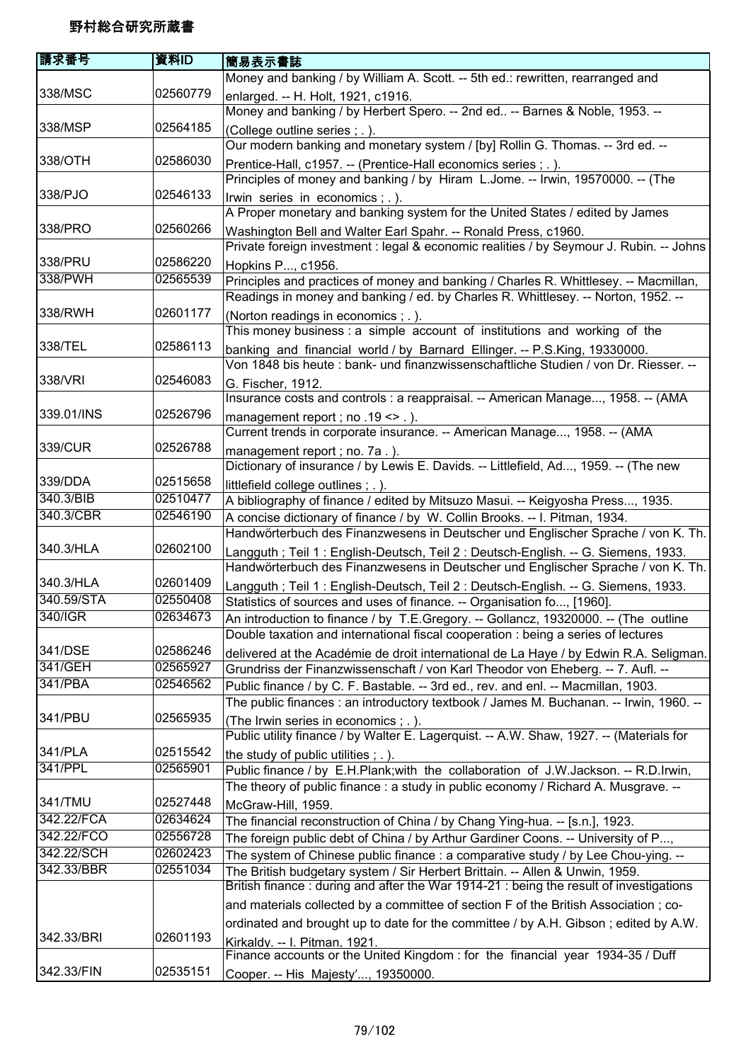| 請求番号       | 資料ID     | 簡易表示書誌                                                                                  |
|------------|----------|-----------------------------------------------------------------------------------------|
|            |          | Money and banking / by William A. Scott. -- 5th ed.: rewritten, rearranged and          |
| 338/MSC    | 02560779 | enlarged. -- H. Holt, 1921, c1916.                                                      |
|            |          | Money and banking / by Herbert Spero. -- 2nd ed -- Barnes & Noble, 1953. --             |
| 338/MSP    | 02564185 | (College outline series ; .).                                                           |
|            |          | Our modern banking and monetary system / [by] Rollin G. Thomas. -- 3rd ed. --           |
| 338/OTH    | 02586030 | Prentice-Hall, c1957. -- (Prentice-Hall economics series ; . ).                         |
|            |          | Principles of money and banking / by Hiram L.Jome. -- Irwin, 19570000. -- (The          |
| 338/PJO    | 02546133 | Irwin series in economics; .).                                                          |
|            |          | A Proper monetary and banking system for the United States / edited by James            |
| 338/PRO    | 02560266 | Washington Bell and Walter Earl Spahr. -- Ronald Press, c1960.                          |
|            |          | Private foreign investment : legal & economic realities / by Seymour J. Rubin. -- Johns |
| 338/PRU    | 02586220 | Hopkins P, c1956.                                                                       |
| 338/PWH    | 02565539 | Principles and practices of money and banking / Charles R. Whittlesey. -- Macmillan,    |
|            |          | Readings in money and banking / ed. by Charles R. Whittlesey. -- Norton, 1952. --       |
| 338/RWH    | 02601177 | (Norton readings in economics; .).                                                      |
|            |          | This money business : a simple account of institutions and working of the               |
| 338/TEL    | 02586113 | banking and financial world / by Barnard Ellinger. -- P.S.King, 19330000.               |
|            |          | Von 1848 bis heute : bank- und finanzwissenschaftliche Studien / von Dr. Riesser. --    |
| 338/VRI    | 02546083 | G. Fischer, 1912.                                                                       |
|            |          | Insurance costs and controls : a reappraisal. -- American Manage, 1958. -- (AMA         |
| 339.01/INS | 02526796 | management report; no .19 <> .).                                                        |
|            |          | Current trends in corporate insurance. -- American Manage, 1958. -- (AMA                |
| 339/CUR    | 02526788 | management report; no. 7a.).                                                            |
|            |          | Dictionary of insurance / by Lewis E. Davids. -- Littlefield, Ad, 1959. -- (The new     |
| 339/DDA    | 02515658 | littlefield college outlines; .).                                                       |
| 340.3/BIB  | 02510477 | A bibliography of finance / edited by Mitsuzo Masui. -- Keigyosha Press, 1935.          |
| 340.3/CBR  | 02546190 | A concise dictionary of finance / by W. Collin Brooks. -- I. Pitman, 1934.              |
|            |          | Handwörterbuch des Finanzwesens in Deutscher und Englischer Sprache / von K. Th.        |
| 340.3/HLA  | 02602100 | Langguth; Teil 1: English-Deutsch, Teil 2: Deutsch-English. -- G. Siemens, 1933.        |
|            |          | Handwörterbuch des Finanzwesens in Deutscher und Englischer Sprache / von K. Th.        |
| 340.3/HLA  | 02601409 | Langguth; Teil 1: English-Deutsch, Teil 2: Deutsch-English. -- G. Siemens, 1933.        |
| 340.59/STA | 02550408 | Statistics of sources and uses of finance. -- Organisation fo, [1960].                  |
| 340/IGR    | 02634673 | An introduction to finance / by T.E.Gregory. -- Gollancz, 19320000. -- (The outline     |
|            |          | Double taxation and international fiscal cooperation : being a series of lectures       |
| 341/DSE    | 02586246 | delivered at the Académie de droit international de La Haye / by Edwin R.A. Seligman.   |
| 341/GEH    | 02565927 | Grundriss der Finanzwissenschaft / von Karl Theodor von Eheberg. -- 7. Aufl. --         |
| 341/PBA    | 02546562 | Public finance / by C. F. Bastable. -- 3rd ed., rev. and enl. -- Macmillan, 1903.       |
|            |          | The public finances : an introductory textbook / James M. Buchanan. -- Irwin, 1960. --  |
| 341/PBU    | 02565935 | (The Irwin series in economics ; .).                                                    |
|            |          | Public utility finance / by Walter E. Lagerquist. -- A.W. Shaw, 1927. -- (Materials for |
| 341/PLA    | 02515542 | the study of public utilities $;$ $\ldots$ ).                                           |
| 341/PPL    | 02565901 | Public finance / by E.H.Plank; with the collaboration of J.W.Jackson. -- R.D.Irwin,     |
|            |          | The theory of public finance: a study in public economy / Richard A. Musgrave. --       |
| 341/TMU    | 02527448 | McGraw-Hill, 1959.                                                                      |
| 342.22/FCA | 02634624 | The financial reconstruction of China / by Chang Ying-hua. -- [s.n.], 1923.             |
| 342.22/FCO | 02556728 | The foreign public debt of China / by Arthur Gardiner Coons. -- University of P,        |
| 342.22/SCH | 02602423 | The system of Chinese public finance : a comparative study / by Lee Chou-ying. --       |
| 342.33/BBR | 02551034 | The British budgetary system / Sir Herbert Brittain. -- Allen & Unwin, 1959.            |
|            |          | British finance: during and after the War 1914-21 : being the result of investigations  |
|            |          | and materials collected by a committee of section F of the British Association; co-     |
|            |          | ordinated and brought up to date for the committee / by A.H. Gibson; edited by A.W.     |
| 342.33/BRI | 02601193 | Kirkaldy. -- I. Pitman, 1921.                                                           |
|            |          | Finance accounts or the United Kingdom : for the financial year 1934-35 / Duff          |
| 342.33/FIN | 02535151 | Cooper. -- His Majesty', 19350000.                                                      |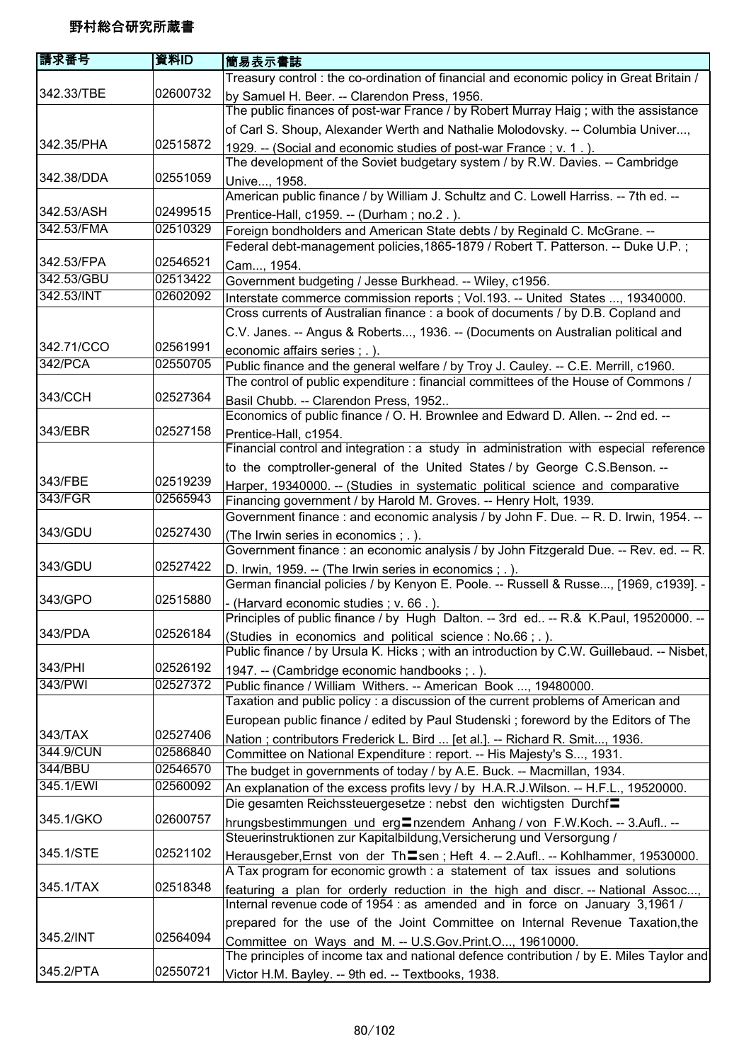| 請求番号                  | 資料ID     | 簡易表示書誌                                                                                                                                                                    |
|-----------------------|----------|---------------------------------------------------------------------------------------------------------------------------------------------------------------------------|
|                       |          | Treasury control: the co-ordination of financial and economic policy in Great Britain /                                                                                   |
| 342.33/TBE            | 02600732 | by Samuel H. Beer. -- Clarendon Press, 1956.<br>The public finances of post-war France / by Robert Murray Haig; with the assistance                                       |
|                       |          | of Carl S. Shoup, Alexander Werth and Nathalie Molodovsky. -- Columbia Univer,                                                                                            |
| 342.35/PHA            | 02515872 | 1929. -- (Social and economic studies of post-war France; v. 1.).<br>The development of the Soviet budgetary system / by R.W. Davies. -- Cambridge                        |
| 342.38/DDA            | 02551059 | Unive, 1958.                                                                                                                                                              |
|                       |          | American public finance / by William J. Schultz and C. Lowell Harriss. -- 7th ed. --                                                                                      |
| 342.53/ASH            | 02499515 | Prentice-Hall, c1959. -- (Durham; no.2.).                                                                                                                                 |
| 342.53/FMA            | 02510329 | Foreign bondholders and American State debts / by Reginald C. McGrane. --                                                                                                 |
|                       |          | Federal debt-management policies, 1865-1879 / Robert T. Patterson. -- Duke U.P.;                                                                                          |
| 342.53/FPA            | 02546521 | Cam, 1954.                                                                                                                                                                |
| 342.53/GBU            | 02513422 | Government budgeting / Jesse Burkhead. -- Wiley, c1956.                                                                                                                   |
| 342.53/INT            | 02602092 | Interstate commerce commission reports ; Vol.193. -- United States , 19340000.                                                                                            |
|                       |          | Cross currents of Australian finance : a book of documents / by D.B. Copland and                                                                                          |
|                       |          | C.V. Janes. -- Angus & Roberts, 1936. -- (Documents on Australian political and                                                                                           |
| 342.71/CCO<br>342/PCA | 02561991 | economic affairs series ; . ).                                                                                                                                            |
|                       | 02550705 | Public finance and the general welfare / by Troy J. Cauley. -- C.E. Merrill, c1960.<br>The control of public expenditure : financial committees of the House of Commons / |
| 343/CCH               | 02527364 | Basil Chubb. -- Clarendon Press, 1952                                                                                                                                     |
|                       |          | Economics of public finance / O. H. Brownlee and Edward D. Allen. -- 2nd ed. --                                                                                           |
| 343/EBR               | 02527158 | Prentice-Hall, c1954.                                                                                                                                                     |
|                       |          | Financial control and integration : a study in administration with especial reference                                                                                     |
|                       |          | to the comptroller-general of the United States / by George C.S.Benson. --                                                                                                |
| 343/FBE               | 02519239 | Harper, 19340000. -- (Studies in systematic political science and comparative                                                                                             |
| 343/FGR               | 02565943 | Financing government / by Harold M. Groves. -- Henry Holt, 1939.                                                                                                          |
|                       |          | Government finance : and economic analysis / by John F. Due. -- R. D. Irwin, 1954. --                                                                                     |
| 343/GDU               | 02527430 | (The Irwin series in economics ; . ).                                                                                                                                     |
|                       |          | Government finance : an economic analysis / by John Fitzgerald Due. -- Rev. ed. -- R.                                                                                     |
| 343/GDU               | 02527422 | D. Irwin, 1959. -- (The Irwin series in economics ; . ).<br>German financial policies / by Kenyon E. Poole. -- Russell & Russe, [1969, c1939]. -                          |
| 343/GPO               | 02515880 | - (Harvard economic studies; v. 66.).<br>Principles of public finance / by Hugh Dalton. -- 3rd ed -- R.& K.Paul, 19520000. -                                              |
| 343/PDA               | 02526184 | (Studies in economics and political science: No.66; .).                                                                                                                   |
|                       |          | Public finance / by Ursula K. Hicks; with an introduction by C.W. Guillebaud. -- Nisbet,                                                                                  |
| 343/PHI               | 02526192 | 1947. -- (Cambridge economic handbooks ; .).                                                                                                                              |
| 343/PWI               | 02527372 | Public finance / William Withers. -- American Book , 19480000.                                                                                                            |
|                       |          | Taxation and public policy: a discussion of the current problems of American and                                                                                          |
|                       |          | European public finance / edited by Paul Studenski; foreword by the Editors of The                                                                                        |
| 343/TAX               | 02527406 | Nation; contributors Frederick L. Bird  [et al.]. -- Richard R. Smit, 1936.                                                                                               |
| 344.9/CUN             | 02586840 | Committee on National Expenditure : report. -- His Majesty's S, 1931.                                                                                                     |
| 344/BBU               | 02546570 | The budget in governments of today / by A.E. Buck. -- Macmillan, 1934.                                                                                                    |
| 345.1/EWI             | 02560092 | An explanation of the excess profits levy / by H.A.R.J.Wilson. -- H.F.L., 19520000.                                                                                       |
|                       |          | Die gesamten Reichssteuergesetze : nebst den wichtigsten Durchf=                                                                                                          |
| 345.1/GKO             | 02600757 | hrungsbestimmungen und erg $\equiv$ nzendem Anhang / von F.W.Koch. -- 3.Aufl --                                                                                           |
|                       |          | Steuerinstruktionen zur Kapitalbildung, Versicherung und Versorgung /                                                                                                     |
| 345.1/STE             | 02521102 | Herausgeber, Ernst von der Th=sen; Heft 4. -- 2. Aufl -- Kohlhammer, 19530000.                                                                                            |
|                       |          | A Tax program for economic growth : a statement of tax issues and solutions                                                                                               |
| 345.1/TAX             | 02518348 | featuring a plan for orderly reduction in the high and discr. -- National Assoc,                                                                                          |
|                       |          | Internal revenue code of 1954 : as amended and in force on January 3,1961 /                                                                                               |
|                       |          | prepared for the use of the Joint Committee on Internal Revenue Taxation, the                                                                                             |
| 345.2/INT             | 02564094 | Committee on Ways and M. -- U.S.Gov.Print.O, 19610000.                                                                                                                    |
|                       |          | The principles of income tax and national defence contribution / by E. Miles Taylor and                                                                                   |
| 345.2/PTA             | 02550721 | Victor H.M. Bayley. -- 9th ed. -- Textbooks, 1938.                                                                                                                        |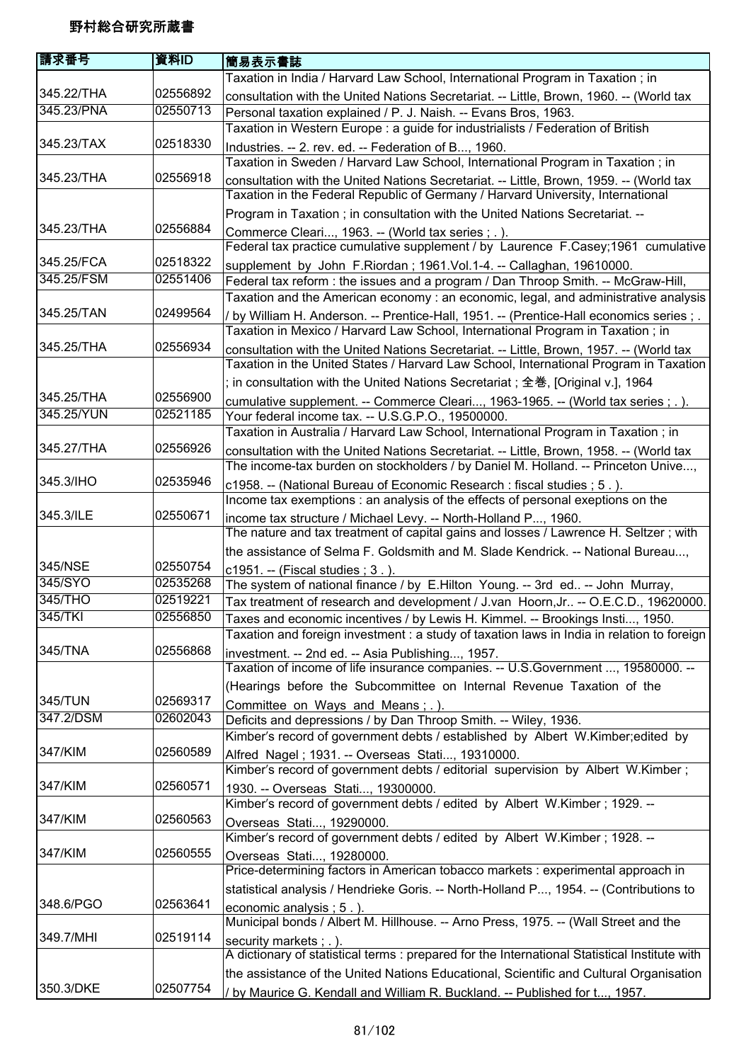| 請求番号                 | 資料ID                 | 簡易表示書誌                                                                                                                 |
|----------------------|----------------------|------------------------------------------------------------------------------------------------------------------------|
|                      |                      | Taxation in India / Harvard Law School, International Program in Taxation; in                                          |
| 345.22/THA           | 02556892             | consultation with the United Nations Secretariat. -- Little, Brown, 1960. -- (World tax                                |
| 345.23/PNA           | 02550713             | Personal taxation explained / P. J. Naish. -- Evans Bros, 1963.                                                        |
|                      |                      | Taxation in Western Europe : a guide for industrialists / Federation of British                                        |
| 345.23/TAX           | 02518330             | Industries. -- 2. rev. ed. -- Federation of B, 1960.                                                                   |
|                      |                      | Taxation in Sweden / Harvard Law School, International Program in Taxation; in                                         |
| 345.23/THA           | 02556918             | consultation with the United Nations Secretariat. -- Little, Brown, 1959. -- (World tax                                |
|                      |                      | Taxation in the Federal Republic of Germany / Harvard University, International                                        |
|                      |                      | Program in Taxation; in consultation with the United Nations Secretariat. --                                           |
| 345.23/THA           | 02556884             | Commerce Cleari, 1963. -- (World tax series ; .).                                                                      |
|                      |                      | Federal tax practice cumulative supplement / by Laurence F.Casey;1961 cumulative                                       |
| 345.25/FCA           | 02518322             | supplement by John F.Riordan; 1961.Vol.1-4. -- Callaghan, 19610000.                                                    |
| 345.25/FSM           | 02551406             | Federal tax reform : the issues and a program / Dan Throop Smith. -- McGraw-Hill,                                      |
|                      |                      | Taxation and the American economy: an economic, legal, and administrative analysis                                     |
| 345.25/TAN           | 02499564             | / by William H. Anderson. -- Prentice-Hall, 1951. -- (Prentice-Hall economics series; .                                |
|                      |                      | Taxation in Mexico / Harvard Law School, International Program in Taxation; in                                         |
| 345.25/THA           | 02556934             | consultation with the United Nations Secretariat. -- Little, Brown, 1957. -- (World tax                                |
|                      |                      | Taxation in the United States / Harvard Law School, International Program in Taxation                                  |
|                      |                      | ; in consultation with the United Nations Secretariat; 全巻, [Original v.], 1964                                         |
| 345.25/THA           | 02556900             | cumulative supplement. -- Commerce Cleari, 1963-1965. -- (World tax series; .).                                        |
| 345.25/YUN           | 02521185             | Your federal income tax. -- U.S.G.P.O., 19500000.                                                                      |
|                      |                      | Taxation in Australia / Harvard Law School, International Program in Taxation; in                                      |
| 345.27/THA           | 02556926             | consultation with the United Nations Secretariat. -- Little, Brown, 1958. -- (World tax                                |
|                      |                      | The income-tax burden on stockholders / by Daniel M. Holland. -- Princeton Unive,                                      |
| 345.3/IHO            | 02535946             | c1958. -- (National Bureau of Economic Research : fiscal studies ; 5.).                                                |
|                      |                      | Income tax exemptions : an analysis of the effects of personal exeptions on the                                        |
| 345.3/ILE            | 02550671             | income tax structure / Michael Levy. -- North-Holland P, 1960.                                                         |
|                      |                      | The nature and tax treatment of capital gains and losses / Lawrence H. Seltzer; with                                   |
|                      |                      | the assistance of Selma F. Goldsmith and M. Slade Kendrick. -- National Bureau,                                        |
| 345/NSE              | 02550754             | c1951. -- (Fiscal studies ; 3.).                                                                                       |
| 345/SYO              | 02535268             | The system of national finance / by E.Hilton Young. -- 3rd ed -- John Murray,                                          |
| 345/THO              | 02519221             | Tax treatment of research and development / J.van Hoorn, Jr -- O.E.C.D., 19620000.                                     |
| 345/TKI              | 02556850             | Taxes and economic incentives / by Lewis H. Kimmel. -- Brookings Insti, 1950.                                          |
|                      |                      | Taxation and foreign investment : a study of taxation laws in India in relation to foreign                             |
| 345/TNA              | 02556868             | investment. -- 2nd ed. -- Asia Publishing, 1957.                                                                       |
|                      |                      | Taxation of income of life insurance companies. -- U.S.Government , 19580000. --                                       |
|                      |                      | (Hearings before the Subcommittee on Internal Revenue Taxation of the                                                  |
| 345/TUN<br>347.2/DSM | 02569317<br>02602043 | Committee on Ways and Means; .).                                                                                       |
|                      |                      | Deficits and depressions / by Dan Throop Smith. -- Wiley, 1936.                                                        |
| 347/KIM              | 02560589             | Kimber's record of government debts / established by Albert W.Kimber; edited by                                        |
|                      |                      | Alfred Nagel; 1931. -- Overseas Stati, 19310000.                                                                       |
| 347/KIM              | 02560571             | Kimber's record of government debts / editorial supervision by Albert W.Kimber;                                        |
|                      |                      | 1930. -- Overseas Stati, 19300000.<br>Kimber's record of government debts / edited by Albert W.Kimber; 1929. --        |
| 347/KIM              | 02560563             |                                                                                                                        |
|                      |                      | Overseas Stati, 19290000.<br>Kimber's record of government debts / edited by Albert W.Kimber; 1928. --                 |
| 347/KIM              | 02560555             |                                                                                                                        |
|                      |                      | Overseas Stati, 19280000.<br>Price-determining factors in American tobacco markets : experimental approach in          |
|                      |                      |                                                                                                                        |
| 348.6/PGO            | 02563641             | statistical analysis / Hendrieke Goris. -- North-Holland P, 1954. -- (Contributions to                                 |
|                      |                      | economic analysis; 5.).<br>Municipal bonds / Albert M. Hillhouse. -- Arno Press, 1975. -- (Wall Street and the         |
| 349.7/MHI            | 02519114             |                                                                                                                        |
|                      |                      | security markets; .).<br>A dictionary of statistical terms : prepared for the International Statistical Institute with |
|                      |                      | the assistance of the United Nations Educational, Scientific and Cultural Organisation                                 |
| 350.3/DKE            | 02507754             |                                                                                                                        |
|                      |                      | / by Maurice G. Kendall and William R. Buckland. -- Published for t, 1957.                                             |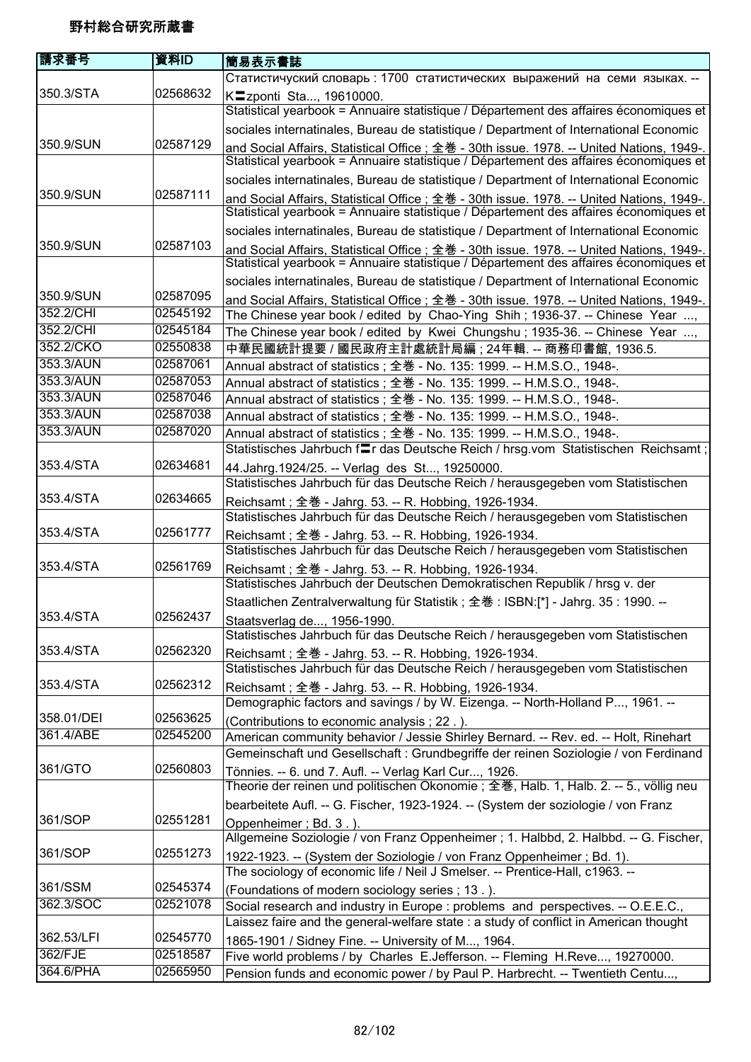| 請求番号       | 資料ID     | 簡易表示書誌                                                                                                                                                                            |
|------------|----------|-----------------------------------------------------------------------------------------------------------------------------------------------------------------------------------|
|            |          | Статистичуский словарь: 1700 статистических выражений на семи языках. --                                                                                                          |
| 350.3/STA  | 02568632 | K <sup>-</sup> zponti Sta, 19610000.                                                                                                                                              |
|            |          | Statistical yearbook = Annuaire statistique / Département des affaires économiques et                                                                                             |
|            |          | sociales internatinales, Bureau de statistique / Department of International Economic                                                                                             |
| 350.9/SUN  | 02587129 | and Social Affairs, Statistical Office; 全巻 - 30th issue. 1978. -- United Nations, 1949-.                                                                                          |
|            |          | Statistical yearbook = Annuaire statistique / Département des affaires économiques et                                                                                             |
|            |          | sociales internatinales, Bureau de statistique / Department of International Economic                                                                                             |
| 350.9/SUN  | 02587111 | and Social Affairs, Statistical Office; 全巻 - 30th issue. 1978. -- United Nations, 1949-.<br>Statistical yearbook = Annuaire statistique / Département des affaires économiques et |
|            |          | sociales internatinales, Bureau de statistique / Department of International Economic                                                                                             |
| 350.9/SUN  | 02587103 | and Social Affairs, Statistical Office ; 全巻 - 30th issue. 1978. -- United Nations, 1949-.                                                                                         |
|            |          | Statistical yearbook = Annuaire statistique / Département des affaires économiques et                                                                                             |
| 350.9/SUN  | 02587095 | sociales internatinales, Bureau de statistique / Department of International Economic                                                                                             |
| 352.2/CHI  | 02545192 | and Social Affairs, Statistical Office ; 全巻 - 30th issue. 1978. -- United Nations, 1949-.                                                                                         |
| 352.2/CHI  | 02545184 | The Chinese year book / edited by Chao-Ying Shih; 1936-37. -- Chinese Year ,<br>The Chinese year book / edited by Kwei Chungshu; 1935-36. -- Chinese Year ,                       |
| 352.2/CKO  | 02550838 | 中華民國統計提要 / 國民政府主計處統計局編 ; 24年輯. -- 商務印書館, 1936.5.                                                                                                                                  |
| 353.3/AUN  | 02587061 | Annual abstract of statistics; 全巻 - No. 135: 1999. -- H.M.S.O., 1948-.                                                                                                            |
| 353.3/AUN  | 02587053 | Annual abstract of statistics; 全巻 - No. 135: 1999. -- H.M.S.O., 1948-.                                                                                                            |
| 353.3/AUN  | 02587046 | Annual abstract of statistics; 全巻 - No. 135: 1999. -- H.M.S.O., 1948-.                                                                                                            |
| 353.3/AUN  | 02587038 | Annual abstract of statistics; 全巻 - No. 135: 1999. -- H.M.S.O., 1948-.                                                                                                            |
| 353.3/AUN  | 02587020 | Annual abstract of statistics; 全巻 - No. 135: 1999. -- H.M.S.O., 1948-.                                                                                                            |
|            |          | Statistisches Jahrbuch flr das Deutsche Reich / hrsg.vom Statistischen Reichsamt;                                                                                                 |
| 353.4/STA  | 02634681 | 44. Jahrg. 1924/25. -- Verlag des St, 19250000.                                                                                                                                   |
|            |          | Statistisches Jahrbuch für das Deutsche Reich / herausgegeben vom Statistischen                                                                                                   |
| 353.4/STA  | 02634665 | Reichsamt; 全巻 - Jahrg. 53. -- R. Hobbing, 1926-1934.                                                                                                                              |
|            |          | Statistisches Jahrbuch für das Deutsche Reich / herausgegeben vom Statistischen                                                                                                   |
| 353.4/STA  | 02561777 | Reichsamt; 全巻 - Jahrg. 53. -- R. Hobbing, 1926-1934.                                                                                                                              |
|            |          | Statistisches Jahrbuch für das Deutsche Reich / herausgegeben vom Statistischen                                                                                                   |
| 353.4/STA  | 02561769 | Reichsamt; 全巻 - Jahrg. 53. -- R. Hobbing, 1926-1934.                                                                                                                              |
|            |          | Statistisches Jahrbuch der Deutschen Demokratischen Republik / hrsg v. der                                                                                                        |
|            |          | Staatlichen Zentralverwaltung für Statistik; 全巻: ISBN:[*] - Jahrg. 35: 1990. --                                                                                                   |
| 353.4/STA  | 02562437 | Staatsverlag de, 1956-1990.                                                                                                                                                       |
|            |          | Statistisches Jahrbuch für das Deutsche Reich / herausgegeben vom Statistischen                                                                                                   |
| 353.4/STA  | 02562320 | Reichsamt; 全巻 - Jahrg. 53. -- R. Hobbing, 1926-1934.                                                                                                                              |
|            |          | Statistisches Jahrbuch für das Deutsche Reich / herausgegeben vom Statistischen                                                                                                   |
| 353.4/STA  | 02562312 | Reichsamt; 全巻 - Jahrg. 53. -- R. Hobbing, 1926-1934.<br>Demographic factors and savings / by W. Eizenga. -- North-Holland P, 1961. --                                             |
| 358.01/DEI | 02563625 | (Contributions to economic analysis; 22.).                                                                                                                                        |
| 361.4/ABE  | 02545200 | American community behavior / Jessie Shirley Bernard. -- Rev. ed. -- Holt, Rinehart                                                                                               |
|            |          | Gemeinschaft und Gesellschaft : Grundbegriffe der reinen Soziologie / von Ferdinand                                                                                               |
| 361/GTO    | 02560803 | Tönnies. -- 6. und 7. Aufl. -- Verlag Karl Cur, 1926.                                                                                                                             |
|            |          | Theorie der reinen und politischen Ökonomie ; 全巻, Halb. 1, Halb. 2. -- 5., völlig neu                                                                                             |
|            |          | bearbeitete Aufl. -- G. Fischer, 1923-1924. -- (System der soziologie / von Franz                                                                                                 |
| 361/SOP    | 02551281 | Oppenheimer; Bd. 3.).                                                                                                                                                             |
|            |          | Allgemeine Soziologie / von Franz Oppenheimer ; 1. Halbbd, 2. Halbbd. -- G. Fischer,                                                                                              |
| 361/SOP    | 02551273 | 1922-1923. -- (System der Soziologie / von Franz Oppenheimer ; Bd. 1).<br>The sociology of economic life / Neil J Smelser. -- Prentice-Hall, c1963. --                            |
| 361/SSM    | 02545374 | (Foundations of modern sociology series; 13.).                                                                                                                                    |
| 362.3/SOC  | 02521078 | Social research and industry in Europe : problems and perspectives. -- O.E.E.C.,                                                                                                  |
|            |          | Laissez faire and the general-welfare state : a study of conflict in American thought                                                                                             |
| 362.53/LFI | 02545770 | 1865-1901 / Sidney Fine. -- University of M, 1964.                                                                                                                                |
| 362/FJE    | 02518587 | Five world problems / by Charles E.Jefferson. -- Fleming H.Reve, 19270000.                                                                                                        |
| 364.6/PHA  | 02565950 | Pension funds and economic power / by Paul P. Harbrecht. -- Twentieth Centu,                                                                                                      |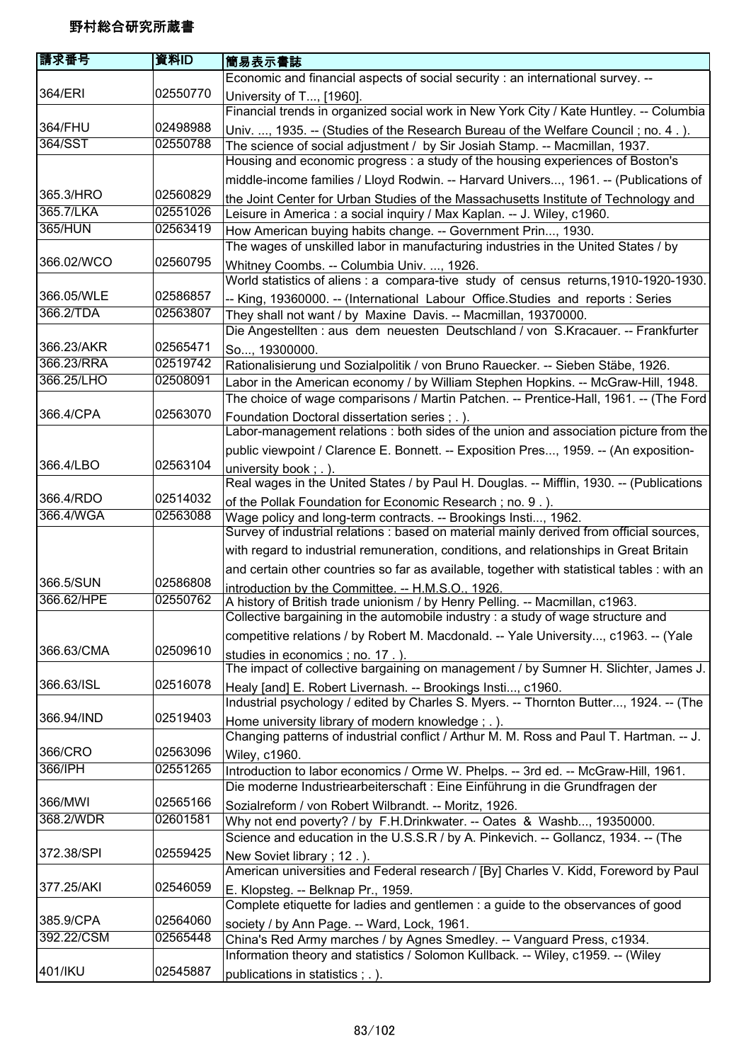| 請求番号                   | 資料ID                 | 簡易表示書誌                                                                                                                                                     |
|------------------------|----------------------|------------------------------------------------------------------------------------------------------------------------------------------------------------|
|                        |                      | Economic and financial aspects of social security : an international survey. --                                                                            |
| 364/ERI                | 02550770             | University of T, [1960].                                                                                                                                   |
|                        |                      | Financial trends in organized social work in New York City / Kate Huntley. -- Columbia                                                                     |
| 364/FHU                | 02498988             | Univ. , 1935. -- (Studies of the Research Bureau of the Welfare Council; no. 4.).                                                                          |
| 364/SST                | 02550788             | The science of social adjustment / by Sir Josiah Stamp. -- Macmillan, 1937.                                                                                |
|                        |                      | Housing and economic progress : a study of the housing experiences of Boston's                                                                             |
|                        |                      | middle-income families / Lloyd Rodwin. -- Harvard Univers, 1961. -- (Publications of                                                                       |
| 365.3/HRO              | 02560829             | the Joint Center for Urban Studies of the Massachusetts Institute of Technology and                                                                        |
| 365.7/LKA              | 02551026             | Leisure in America : a social inquiry / Max Kaplan. -- J. Wiley, c1960.                                                                                    |
| <b>365/HUN</b>         | 02563419             | How American buying habits change. -- Government Prin, 1930.                                                                                               |
| 366.02/WCO             | 02560795             | The wages of unskilled labor in manufacturing industries in the United States / by                                                                         |
|                        |                      | Whitney Coombs. -- Columbia Univ. , 1926.<br>World statistics of aliens : a compara-tive study of census returns, 1910-1920-1930.                          |
| 366.05/WLE             | 02586857             | -- King, 19360000. -- (International Labour Office.Studies and reports: Series                                                                             |
| 366.2/TDA              | 02563807             | They shall not want / by Maxine Davis. -- Macmillan, 19370000.                                                                                             |
|                        |                      | Die Angestellten : aus dem neuesten Deutschland / von S.Kracauer. -- Frankfurter                                                                           |
| 366.23/AKR             | 02565471             | So, 19300000.                                                                                                                                              |
| 366.23/RRA             | 02519742             | Rationalisierung und Sozialpolitik / von Bruno Rauecker. -- Sieben Stäbe, 1926.                                                                            |
| 366.25/LHO             | 02508091             | Labor in the American economy / by William Stephen Hopkins. -- McGraw-Hill, 1948.                                                                          |
|                        |                      | The choice of wage comparisons / Martin Patchen. -- Prentice-Hall, 1961. -- (The Ford                                                                      |
| 366.4/CPA              | 02563070             | Foundation Doctoral dissertation series; .).                                                                                                               |
|                        |                      | Labor-management relations : both sides of the union and association picture from the                                                                      |
|                        |                      | public viewpoint / Clarence E. Bonnett. -- Exposition Pres, 1959. -- (An exposition-                                                                       |
| 366.4/LBO              | 02563104             | university book; .).                                                                                                                                       |
|                        |                      | Real wages in the United States / by Paul H. Douglas. -- Mifflin, 1930. -- (Publications                                                                   |
| 366.4/RDO<br>366.4/WGA | 02514032<br>02563088 | of the Pollak Foundation for Economic Research; no. 9.).                                                                                                   |
|                        |                      | Wage policy and long-term contracts. -- Brookings Insti, 1962.<br>Survey of industrial relations : based on material mainly derived from official sources, |
|                        |                      | with regard to industrial remuneration, conditions, and relationships in Great Britain                                                                     |
|                        |                      | and certain other countries so far as available, together with statistical tables : with an                                                                |
| 366.5/SUN              | 02586808             | introduction by the Committee. -- H.M.S.O., 1926.                                                                                                          |
| 366.62/HPE             | 02550762             | A history of British trade unionism / by Henry Pelling. -- Macmillan, c1963.                                                                               |
|                        |                      | Collective bargaining in the automobile industry : a study of wage structure and                                                                           |
|                        |                      | competitive relations / by Robert M. Macdonald. -- Yale University, c1963. -- (Yale                                                                        |
| 366.63/CMA             | 02509610             | studies in economics; no. 17.).                                                                                                                            |
|                        |                      | The impact of collective bargaining on management / by Sumner H. Slichter, James J.                                                                        |
| 366.63/ISL             | 02516078             | Healy [and] E. Robert Livernash. -- Brookings Insti, c1960.                                                                                                |
|                        |                      | Industrial psychology / edited by Charles S. Myers. -- Thornton Butter, 1924. -- (The                                                                      |
| 366.94/IND             | 02519403             | Home university library of modern knowledge; .).                                                                                                           |
| 366/CRO                | 02563096             | Changing patterns of industrial conflict / Arthur M. M. Ross and Paul T. Hartman. -- J.                                                                    |
| 366/IPH                | 02551265             | Wiley, c1960.<br>Introduction to labor economics / Orme W. Phelps. -- 3rd ed. -- McGraw-Hill, 1961.                                                        |
|                        |                      | Die moderne Industriearbeiterschaft : Eine Einführung in die Grundfragen der                                                                               |
| 366/MWI                | 02565166             | Sozialreform / von Robert Wilbrandt. -- Moritz, 1926.                                                                                                      |
| 368.2/WDR              | 02601581             | Why not end poverty? / by F.H.Drinkwater. -- Oates & Washb, 19350000.                                                                                      |
|                        |                      | Science and education in the U.S.S.R / by A. Pinkevich. -- Gollancz, 1934. -- (The                                                                         |
| 372.38/SPI             | 02559425             | New Soviet library; 12.).                                                                                                                                  |
|                        |                      | American universities and Federal research / [By] Charles V. Kidd, Foreword by Paul                                                                        |
| 377.25/AKI             | 02546059             | E. Klopsteg. -- Belknap Pr., 1959.                                                                                                                         |
|                        |                      | Complete etiquette for ladies and gentlemen : a guide to the observances of good                                                                           |
| 385.9/CPA              | 02564060             | society / by Ann Page. -- Ward, Lock, 1961.                                                                                                                |
| 392.22/CSM             | 02565448             | China's Red Army marches / by Agnes Smedley. -- Vanguard Press, c1934.                                                                                     |
|                        |                      | Information theory and statistics / Solomon Kullback. -- Wiley, c1959. -- (Wiley                                                                           |
| 401/IKU                | 02545887             | publications in statistics ; . ).                                                                                                                          |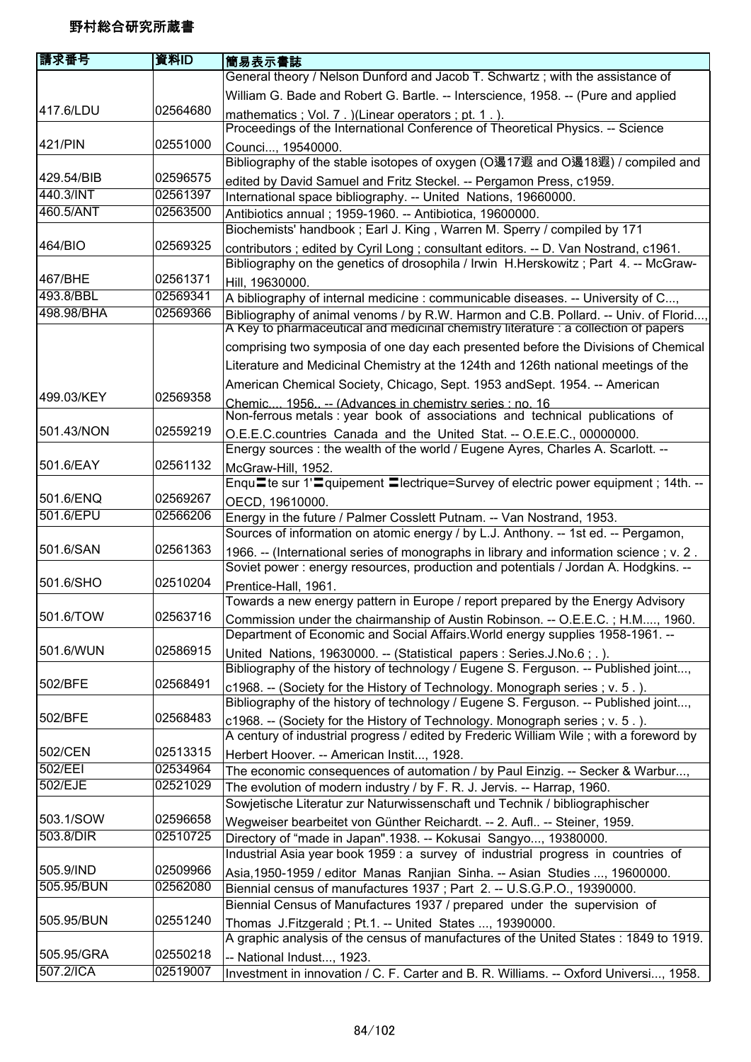| 請求番号       | 資料ID     | 簡易表示書誌                                                                                                                                                                                                                                             |
|------------|----------|----------------------------------------------------------------------------------------------------------------------------------------------------------------------------------------------------------------------------------------------------|
|            |          | General theory / Nelson Dunford and Jacob T. Schwartz; with the assistance of                                                                                                                                                                      |
|            |          | William G. Bade and Robert G. Bartle. -- Interscience, 1958. -- (Pure and applied                                                                                                                                                                  |
| 417.6/LDU  | 02564680 | mathematics; Vol. 7. )(Linear operators; pt. 1.).<br>Proceedings of the International Conference of Theoretical Physics. -- Science                                                                                                                |
| 421/PIN    | 02551000 | Counci, 19540000.<br>Bibliography of the stable isotopes of oxygen (O遏17遐 and O遏18遐) / compiled and                                                                                                                                                |
| 429.54/BIB | 02596575 | edited by David Samuel and Fritz Steckel. -- Pergamon Press, c1959.                                                                                                                                                                                |
| 440.3/INT  | 02561397 | International space bibliography. -- United Nations, 19660000.                                                                                                                                                                                     |
| 460.5/ANT  | 02563500 | Antibiotics annual ; 1959-1960. -- Antibiotica, 19600000.                                                                                                                                                                                          |
|            |          | Biochemists' handbook ; Earl J. King, Warren M. Sperry / compiled by 171                                                                                                                                                                           |
| 464/BIO    | 02569325 | contributors; edited by Cyril Long; consultant editors. -- D. Van Nostrand, c1961.                                                                                                                                                                 |
|            |          | Bibliography on the genetics of drosophila / Irwin H.Herskowitz; Part 4. -- McGraw-                                                                                                                                                                |
| 467/BHE    | 02561371 | Hill, 19630000.                                                                                                                                                                                                                                    |
| 493.8/BBL  | 02569341 | A bibliography of internal medicine: communicable diseases. -- University of C,                                                                                                                                                                    |
| 498.98/BHA | 02569366 | Bibliography of animal venoms / by R.W. Harmon and C.B. Pollard. -- Univ. of Florid<br>A Key to pharmaceutical and medicinal chemistry literature : a collection of papers                                                                         |
|            |          | comprising two symposia of one day each presented before the Divisions of Chemical                                                                                                                                                                 |
|            |          | Literature and Medicinal Chemistry at the 124th and 126th national meetings of the                                                                                                                                                                 |
|            |          | American Chemical Society, Chicago, Sept. 1953 and Sept. 1954. -- American                                                                                                                                                                         |
| 499.03/KEY | 02569358 | Chemic 1956 -- (Advances in chemistry series : no. 16<br>Non-ferrous metals : year book of associations and technical publications of                                                                                                              |
| 501.43/NON | 02559219 | O.E.E.C.countries Canada and the United Stat. -- O.E.E.C., 00000000.                                                                                                                                                                               |
|            |          | Energy sources : the wealth of the world / Eugene Ayres, Charles A. Scarlott. --                                                                                                                                                                   |
| 501.6/EAY  | 02561132 | McGraw-Hill, 1952.                                                                                                                                                                                                                                 |
|            |          | Enqu≡te sur 1'≡quipement ≡lectrique=Survey of electric power equipment ; 14th. --                                                                                                                                                                  |
| 501.6/ENQ  | 02569267 | OECD, 19610000.                                                                                                                                                                                                                                    |
| 501.6/EPU  | 02566206 | Energy in the future / Palmer Cosslett Putnam. -- Van Nostrand, 1953.                                                                                                                                                                              |
|            |          | Sources of information on atomic energy / by L.J. Anthony. -- 1st ed. -- Pergamon,                                                                                                                                                                 |
| 501.6/SAN  | 02561363 | 1966. -- (International series of monographs in library and information science; v. 2.<br>Soviet power : energy resources, production and potentials / Jordan A. Hodgkins. --                                                                      |
| 501.6/SHO  | 02510204 | Prentice-Hall, 1961.                                                                                                                                                                                                                               |
| 501.6/TOW  | 02563716 | Towards a new energy pattern in Europe / report prepared by the Energy Advisory<br>Commission under the chairmanship of Austin Robinson. -- O.E.E.C.; H.M, 1960.<br>Department of Economic and Social Affairs. World energy supplies 1958-1961. -- |
| 501.6/WUN  | 02586915 |                                                                                                                                                                                                                                                    |
|            |          | United Nations, 19630000. -- (Statistical papers : Series.J.No.6;.).<br>Bibliography of the history of technology / Eugene S. Ferguson. -- Published joint,                                                                                        |
| 502/BFE    | 02568491 | c1968. -- (Society for the History of Technology. Monograph series; v. 5.).                                                                                                                                                                        |
|            |          | Bibliography of the history of technology / Eugene S. Ferguson. -- Published joint,                                                                                                                                                                |
| 502/BFE    | 02568483 | c1968. -- (Society for the History of Technology. Monograph series; v. 5.).                                                                                                                                                                        |
|            |          | A century of industrial progress / edited by Frederic William Wile; with a foreword by                                                                                                                                                             |
| 502/CEN    | 02513315 | Herbert Hoover. -- American Instit, 1928.                                                                                                                                                                                                          |
| 502/EEI    | 02534964 | The economic consequences of automation / by Paul Einzig. -- Secker & Warbur,                                                                                                                                                                      |
| 502/EJE    | 02521029 | The evolution of modern industry / by F. R. J. Jervis. -- Harrap, 1960.                                                                                                                                                                            |
|            |          | Sowjetische Literatur zur Naturwissenschaft und Technik / bibliographischer                                                                                                                                                                        |
| 503.1/SOW  | 02596658 | Wegweiser bearbeitet von Günther Reichardt. -- 2. Aufl -- Steiner, 1959.                                                                                                                                                                           |
| 503.8/DIR  | 02510725 | Directory of "made in Japan".1938. -- Kokusai Sangyo, 19380000.                                                                                                                                                                                    |
|            |          | Industrial Asia year book 1959 : a survey of industrial progress in countries of                                                                                                                                                                   |
| 505.9/IND  | 02509966 | Asia, 1950-1959 / editor Manas Ranjian Sinha. -- Asian Studies , 19600000.                                                                                                                                                                         |
| 505.95/BUN | 02562080 | Biennial census of manufactures 1937; Part 2. -- U.S.G.P.O., 19390000.                                                                                                                                                                             |
|            |          | Biennial Census of Manufactures 1937 / prepared under the supervision of                                                                                                                                                                           |
| 505.95/BUN | 02551240 | Thomas J.Fitzgerald; Pt.1. -- United States , 19390000.                                                                                                                                                                                            |
|            |          | A graphic analysis of the census of manufactures of the United States : 1849 to 1919.                                                                                                                                                              |
| 505.95/GRA | 02550218 | -- National Indust, 1923.                                                                                                                                                                                                                          |
| 507.2/ICA  | 02519007 | Investment in innovation / C. F. Carter and B. R. Williams. -- Oxford Universi, 1958.                                                                                                                                                              |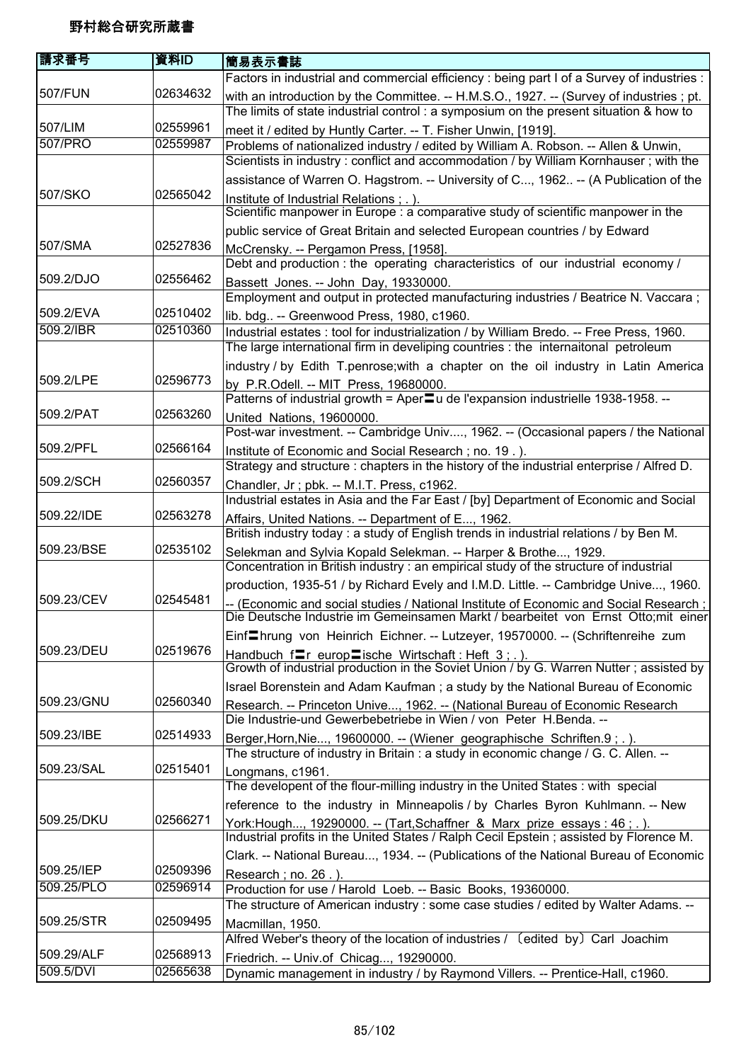| 請求番号       | 資料ID     | 簡易表示書誌                                                                                                                                                                        |
|------------|----------|-------------------------------------------------------------------------------------------------------------------------------------------------------------------------------|
|            |          | Factors in industrial and commercial efficiency : being part I of a Survey of industries :                                                                                    |
| 507/FUN    | 02634632 | with an introduction by the Committee. -- H.M.S.O., 1927. -- (Survey of industries; pt.                                                                                       |
|            |          | The limits of state industrial control: a symposium on the present situation & how to                                                                                         |
| 507/LIM    | 02559961 | meet it / edited by Huntly Carter. -- T. Fisher Unwin, [1919].                                                                                                                |
| 507/PRO    | 02559987 | Problems of nationalized industry / edited by William A. Robson. -- Allen & Unwin,                                                                                            |
|            |          | Scientists in industry: conflict and accommodation / by William Kornhauser; with the                                                                                          |
|            |          | assistance of Warren O. Hagstrom. -- University of C, 1962 -- (A Publication of the                                                                                           |
| 507/SKO    | 02565042 | Institute of Industrial Relations; .).                                                                                                                                        |
|            |          | Scientific manpower in Europe : a comparative study of scientific manpower in the                                                                                             |
|            |          | public service of Great Britain and selected European countries / by Edward                                                                                                   |
| 507/SMA    | 02527836 | McCrensky. -- Pergamon Press, [1958].                                                                                                                                         |
| 509.2/DJO  | 02556462 | Debt and production : the operating characteristics of our industrial economy /                                                                                               |
|            |          | Bassett Jones. -- John Day, 19330000.<br>Employment and output in protected manufacturing industries / Beatrice N. Vaccara;                                                   |
| 509.2/EVA  | 02510402 |                                                                                                                                                                               |
| 509.2/IBR  | 02510360 | lib. bdg -- Greenwood Press, 1980, c1960.<br>Industrial estates : tool for industrialization / by William Bredo. -- Free Press, 1960.                                         |
|            |          | The large international firm in develiping countries : the internaitonal petroleum                                                                                            |
|            |          | industry / by Edith T.penrose; with a chapter on the oil industry in Latin America                                                                                            |
| 509.2/LPE  | 02596773 | by P.R.Odell. -- MIT Press, 19680000.                                                                                                                                         |
|            |          | Patterns of industrial growth = Aper u de l'expansion industrielle 1938-1958. --                                                                                              |
| 509.2/PAT  | 02563260 | United Nations, 19600000.                                                                                                                                                     |
|            |          | Post-war investment. -- Cambridge Univ, 1962. -- (Occasional papers / the National                                                                                            |
| 509.2/PFL  | 02566164 | Institute of Economic and Social Research; no. 19.).                                                                                                                          |
|            |          | Strategy and structure : chapters in the history of the industrial enterprise / Alfred D.                                                                                     |
| 509.2/SCH  | 02560357 | Chandler, Jr; pbk. -- M.I.T. Press, c1962.                                                                                                                                    |
|            |          | Industrial estates in Asia and the Far East / [by] Department of Economic and Social                                                                                          |
| 509.22/IDE | 02563278 | Affairs, United Nations. -- Department of E, 1962.                                                                                                                            |
|            |          | British industry today : a study of English trends in industrial relations / by Ben M.                                                                                        |
| 509.23/BSE | 02535102 | Selekman and Sylvia Kopald Selekman. -- Harper & Brothe, 1929.                                                                                                                |
|            |          | Concentration in British industry : an empirical study of the structure of industrial                                                                                         |
|            |          | production, 1935-51 / by Richard Evely and I.M.D. Little. -- Cambridge Unive, 1960.                                                                                           |
| 509.23/CEV | 02545481 | -- (Economic and social studies / National Institute of Economic and Social Research ;  <br>Die Deutsche Industrie im Gemeinsamen Markt / bearbeitet von Ernst Otto;mit einer |
|            |          |                                                                                                                                                                               |
| 509.23/DEU | 02519676 | Einf <sup>I</sup> hrung von Heinrich Eichner. -- Lutzeyer, 19570000. -- (Schriftenreihe zum                                                                                   |
|            |          | Handbuch $f = r$ europ $r = 1$ ische Wirtschaft: Heft 3; .).<br>Growth of industrial production in the Soviet Union / by G. Warren Nutter; assisted by                        |
|            |          | Israel Borenstein and Adam Kaufman; a study by the National Bureau of Economic                                                                                                |
| 509.23/GNU | 02560340 | Research. -- Princeton Unive, 1962. -- (National Bureau of Economic Research                                                                                                  |
|            |          | Die Industrie-und Gewerbebetriebe in Wien / von Peter H.Benda. --                                                                                                             |
| 509.23/IBE | 02514933 | Berger, Horn, Nie, 19600000. -- (Wiener geographische Schriften. 9; .).                                                                                                       |
|            |          | The structure of industry in Britain : a study in economic change / G. C. Allen. --                                                                                           |
| 509.23/SAL | 02515401 | Longmans, c1961.                                                                                                                                                              |
|            |          | The developent of the flour-milling industry in the United States : with special                                                                                              |
|            |          | reference to the industry in Minneapolis / by Charles Byron Kuhlmann. -- New                                                                                                  |
| 509.25/DKU | 02566271 | York:Hough, 19290000. -- (Tart, Schaffner & Marx prize essays : 46 ; . ).                                                                                                     |
|            |          | Industrial profits in the United States / Ralph Cecil Epstein; assisted by Florence M.                                                                                        |
|            |          | Clark. -- National Bureau, 1934. -- (Publications of the National Bureau of Economic                                                                                          |
| 509.25/IEP | 02509396 | Research; no. 26.).                                                                                                                                                           |
| 509.25/PLO | 02596914 | Production for use / Harold Loeb. -- Basic Books, 19360000.                                                                                                                   |
| 509.25/STR | 02509495 | The structure of American industry : some case studies / edited by Walter Adams. --                                                                                           |
|            |          | Macmillan, 1950.<br>Alfred Weber's theory of the location of industries / (edited by) Carl Joachim                                                                            |
| 509.29/ALF | 02568913 |                                                                                                                                                                               |
| 509.5/DVI  | 02565638 | Friedrich. -- Univ.of Chicag, 19290000.<br>Dynamic management in industry / by Raymond Villers. -- Prentice-Hall, c1960.                                                      |
|            |          |                                                                                                                                                                               |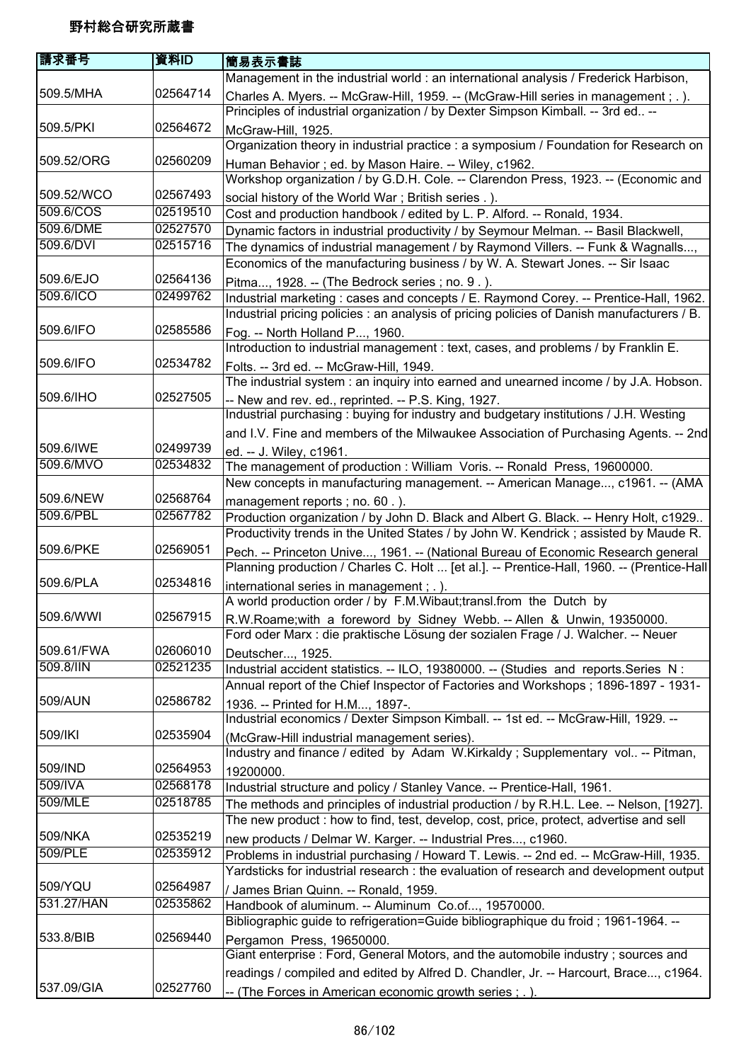| 請求番号       | 資料ID     | 簡易表示書誌                                                                                     |
|------------|----------|--------------------------------------------------------------------------------------------|
|            |          | Management in the industrial world : an international analysis / Frederick Harbison,       |
| 509.5/MHA  | 02564714 | Charles A. Myers. -- McGraw-Hill, 1959. -- (McGraw-Hill series in management ; . ).        |
|            |          | Principles of industrial organization / by Dexter Simpson Kimball. -- 3rd ed --            |
| 509.5/PKI  | 02564672 | McGraw-Hill, 1925.                                                                         |
|            |          | Organization theory in industrial practice : a symposium / Foundation for Research on      |
| 509.52/ORG | 02560209 | Human Behavior; ed. by Mason Haire. -- Wiley, c1962.                                       |
|            |          | Workshop organization / by G.D.H. Cole. -- Clarendon Press, 1923. -- (Economic and         |
| 509.52/WCO | 02567493 | social history of the World War; British series .).                                        |
| 509.6/COS  | 02519510 | Cost and production handbook / edited by L. P. Alford. -- Ronald, 1934.                    |
| 509.6/DME  | 02527570 | Dynamic factors in industrial productivity / by Seymour Melman. -- Basil Blackwell,        |
| 509.6/DVI  | 02515716 | The dynamics of industrial management / by Raymond Villers. -- Funk & Wagnalls,            |
|            |          | Economics of the manufacturing business / by W. A. Stewart Jones. -- Sir Isaac             |
| 509.6/EJO  | 02564136 | Pitma, 1928. -- (The Bedrock series ; no. 9.).                                             |
| 509.6/ICO  | 02499762 | Industrial marketing: cases and concepts / E. Raymond Corey. -- Prentice-Hall, 1962.       |
|            |          | Industrial pricing policies : an analysis of pricing policies of Danish manufacturers / B. |
| 509.6/IFO  | 02585586 | Fog. -- North Holland P, 1960.                                                             |
|            |          | Introduction to industrial management : text, cases, and problems / by Franklin E.         |
| 509.6/IFO  | 02534782 | Folts. -- 3rd ed. -- McGraw-Hill, 1949.                                                    |
|            |          | The industrial system: an inquiry into earned and unearned income / by J.A. Hobson.        |
| 509.6/IHO  | 02527505 | -- New and rev. ed., reprinted. -- P.S. King, 1927.                                        |
|            |          | Industrial purchasing: buying for industry and budgetary institutions / J.H. Westing       |
|            |          | and I.V. Fine and members of the Milwaukee Association of Purchasing Agents. -- 2nd        |
| 509.6/IWE  | 02499739 | ed. -- J. Wiley, c1961.                                                                    |
| 509.6/MVO  | 02534832 | The management of production: William Voris. -- Ronald Press, 19600000.                    |
|            |          | New concepts in manufacturing management. -- American Manage, c1961. -- (AMA               |
| 509.6/NEW  | 02568764 | management reports; no. 60.).                                                              |
| 509.6/PBL  | 02567782 | Production organization / by John D. Black and Albert G. Black. -- Henry Holt, c1929       |
|            |          | Productivity trends in the United States / by John W. Kendrick ; assisted by Maude R.      |
| 509.6/PKE  | 02569051 | Pech. -- Princeton Unive, 1961. -- (National Bureau of Economic Research general           |
|            |          | Planning production / Charles C. Holt  [et al.]. -- Prentice-Hall, 1960. -- (Prentice-Hall |
| 509.6/PLA  | 02534816 | international series in management; .).                                                    |
|            |          | A world production order / by F.M.Wibaut; transl. from the Dutch by                        |
| 509.6/WWI  | 02567915 | R.W.Roame; with a foreword by Sidney Webb. -- Allen & Unwin, 19350000.                     |
|            |          | Ford oder Marx : die praktische Lösung der sozialen Frage / J. Walcher. -- Neuer           |
| 509.61/FWA | 02606010 | Deutscher, 1925.                                                                           |
| 509.8/IIN  | 02521235 | Industrial accident statistics. -- ILO, 19380000. -- (Studies and reports. Series N:       |
|            |          | Annual report of the Chief Inspector of Factories and Workshops; 1896-1897 - 1931-         |
| 509/AUN    | 02586782 | 1936. -- Printed for H.M, 1897-.                                                           |
|            |          | Industrial economics / Dexter Simpson Kimball. -- 1st ed. -- McGraw-Hill, 1929. --         |
| 509/IKI    | 02535904 | (McGraw-Hill industrial management series).                                                |
|            |          | Industry and finance / edited by Adam W.Kirkaldy; Supplementary vol -- Pitman,             |
| 509/IND    | 02564953 | 19200000.                                                                                  |
| 509/IVA    | 02568178 | Industrial structure and policy / Stanley Vance. -- Prentice-Hall, 1961.                   |
| 509/MLE    | 02518785 | The methods and principles of industrial production / by R.H.L. Lee. -- Nelson, [1927].    |
|            |          | The new product: how to find, test, develop, cost, price, protect, advertise and sell      |
| 509/NKA    | 02535219 | new products / Delmar W. Karger. -- Industrial Pres, c1960.                                |
| 509/PLE    | 02535912 | Problems in industrial purchasing / Howard T. Lewis. -- 2nd ed. -- McGraw-Hill, 1935.      |
|            |          | Yardsticks for industrial research : the evaluation of research and development output     |
| 509/YQU    | 02564987 | / James Brian Quinn. -- Ronald, 1959.                                                      |
| 531.27/HAN | 02535862 | Handbook of aluminum. -- Aluminum Co.of, 19570000.                                         |
|            |          | Bibliographic guide to refrigeration=Guide bibliographique du froid; 1961-1964. --         |
| 533.8/BIB  | 02569440 | Pergamon Press, 19650000.                                                                  |
|            |          | Giant enterprise : Ford, General Motors, and the automobile industry; sources and          |
|            |          | readings / compiled and edited by Alfred D. Chandler, Jr. -- Harcourt, Brace, c1964.       |
| 537.09/GIA | 02527760 | -- (The Forces in American economic growth series ; .).                                    |
|            |          |                                                                                            |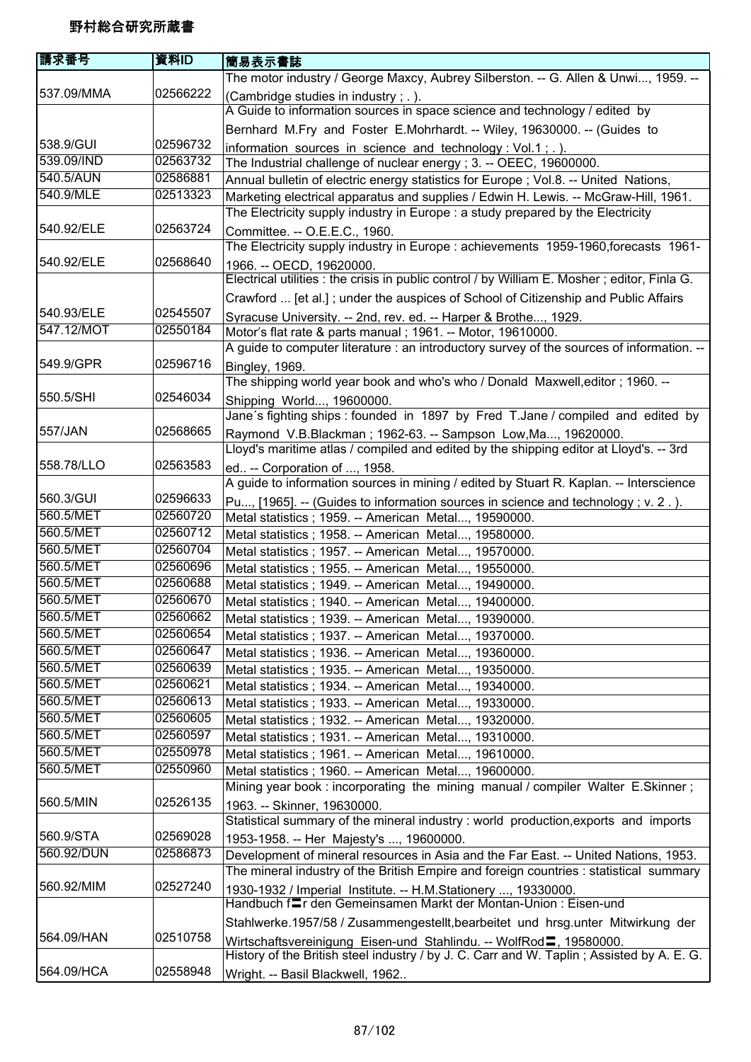| 請求番号                   | 資料ID                 | 簡易表示書誌                                                                                                                                                                        |
|------------------------|----------------------|-------------------------------------------------------------------------------------------------------------------------------------------------------------------------------|
|                        |                      | The motor industry / George Maxcy, Aubrey Silberston. -- G. Allen & Unwi, 1959. --                                                                                            |
| 537.09/MMA             | 02566222             | (Cambridge studies in industry; .).                                                                                                                                           |
|                        |                      | A Guide to information sources in space science and technology / edited by                                                                                                    |
|                        |                      | Bernhard M.Fry and Foster E.Mohrhardt. -- Wiley, 19630000. -- (Guides to                                                                                                      |
| 538.9/GUI              | 02596732             | information sources in science and technology: Vol.1; .).                                                                                                                     |
| 539.09/IND             | 02563732             | The Industrial challenge of nuclear energy; 3. -- OEEC, 19600000.                                                                                                             |
| 540.5/AUN              | 02586881             | Annual bulletin of electric energy statistics for Europe; Vol.8. -- United Nations,                                                                                           |
| 540.9/MLE              | 02513323             | Marketing electrical apparatus and supplies / Edwin H. Lewis. -- McGraw-Hill, 1961.                                                                                           |
|                        |                      | The Electricity supply industry in Europe: a study prepared by the Electricity                                                                                                |
| 540.92/ELE             | 02563724             | Committee. -- O.E.E.C., 1960.                                                                                                                                                 |
|                        |                      | The Electricity supply industry in Europe : achievements 1959-1960, forecasts 1961-                                                                                           |
| 540.92/ELE             | 02568640             | 1966. -- OECD, 19620000.                                                                                                                                                      |
|                        |                      | Electrical utilities : the crisis in public control / by William E. Mosher ; editor, Finla G.                                                                                 |
|                        |                      | Crawford  [et al.]; under the auspices of School of Citizenship and Public Affairs                                                                                            |
| 540.93/ELE             | 02545507             | Syracuse University. -- 2nd, rev. ed. -- Harper & Brothe, 1929.                                                                                                               |
| 547.12/MOT             | 02550184             | Motor's flat rate & parts manual; 1961. -- Motor, 19610000.                                                                                                                   |
|                        |                      | A guide to computer literature : an introductory survey of the sources of information. --                                                                                     |
| 549.9/GPR              | 02596716             | <b>Bingley, 1969.</b>                                                                                                                                                         |
|                        |                      | The shipping world year book and who's who / Donald Maxwell, editor; 1960. --                                                                                                 |
| 550.5/SHI              | 02546034             | Shipping World, 19600000.                                                                                                                                                     |
|                        |                      | Jane's fighting ships : founded in 1897 by Fred T.Jane / compiled and edited by                                                                                               |
| 557/JAN                | 02568665             | Raymond V.B.Blackman; 1962-63. -- Sampson Low, Ma, 19620000.                                                                                                                  |
|                        |                      | Lloyd's maritime atlas / compiled and edited by the shipping editor at Lloyd's. -- 3rd                                                                                        |
| 558.78/LLO             | 02563583             | ed -- Corporation of , 1958.                                                                                                                                                  |
|                        |                      | A guide to information sources in mining / edited by Stuart R. Kaplan. -- Interscience                                                                                        |
| 560.3/GUI              | 02596633             | Pu, [1965]. -- (Guides to information sources in science and technology; v. 2.).                                                                                              |
| 560.5/MET              | 02560720             | Metal statistics ; 1959. -- American Metal, 19590000.                                                                                                                         |
| 560.5/MET              | 02560712             | Metal statistics ; 1958. -- American Metal, 19580000.                                                                                                                         |
| 560.5/MET              | 02560704             | Metal statistics ; 1957. -- American Metal, 19570000.                                                                                                                         |
| 560.5/MET              | 02560696             | Metal statistics ; 1955. -- American Metal, 19550000.                                                                                                                         |
| 560.5/MET              | 02560688             | Metal statistics ; 1949. -- American Metal, 19490000.                                                                                                                         |
| 560.5/MET              | 02560670             | Metal statistics ; 1940. -- American Metal, 19400000.                                                                                                                         |
| 560.5/MET              | 02560662             | Metal statistics ; 1939. -- American Metal, 19390000.                                                                                                                         |
| 560.5/MET              | 02560654             | Metal statistics ; 1937. -- American Metal, 19370000.                                                                                                                         |
| 560.5/MET              | 02560647             | Metal statistics ; 1936. -- American Metal, 19360000.                                                                                                                         |
| 560.5/MET              | 02560639             | Metal statistics ; 1935. -- American Metal, 19350000.                                                                                                                         |
| 560.5/MET              | 02560621             | Metal statistics; 1934. -- American Metal, 19340000.                                                                                                                          |
| 560.5/MET              | 02560613<br>02560605 | Metal statistics; 1933. -- American Metal, 19330000.                                                                                                                          |
| 560.5/MET<br>560.5/MET | 02560597             | Metal statistics ; 1932. -- American Metal, 19320000.                                                                                                                         |
| 560.5/MET              | 02550978             | Metal statistics ; 1931. -- American Metal, 19310000.                                                                                                                         |
| 560.5/MET              | 02550960             | Metal statistics ; 1961. -- American Metal, 19610000.                                                                                                                         |
|                        |                      | Metal statistics ; 1960. -- American Metal, 19600000.                                                                                                                         |
| 560.5/MIN              | 02526135             | Mining year book : incorporating the mining manual / compiler Walter E.Skinner;                                                                                               |
|                        |                      | 1963. -- Skinner, 19630000.<br>Statistical summary of the mineral industry : world production, exports and imports                                                            |
| 560.9/STA              | 02569028             |                                                                                                                                                                               |
| 560.92/DUN             | 02586873             | 1953-1958. -- Her Majesty's , 19600000.                                                                                                                                       |
|                        |                      | Development of mineral resources in Asia and the Far East. -- United Nations, 1953.<br>The mineral industry of the British Empire and foreign countries : statistical summary |
| 560.92/MIM             | 02527240             |                                                                                                                                                                               |
|                        |                      | 1930-1932 / Imperial Institute. -- H.M.Stationery , 19330000.<br>Handbuch fir den Gemeinsamen Markt der Montan-Union: Eisen-und                                               |
|                        |                      |                                                                                                                                                                               |
| 564.09/HAN             | 02510758             | Stahlwerke.1957/58 / Zusammengestellt, bearbeitet und hrsg. unter Mitwirkung der                                                                                              |
|                        |                      | Wirtschaftsvereinigung Eisen-und Stahlindu. -- WolfRod <sup>1</sup> , 19580000.<br>History of the British steel industry / by J. C. Carr and W. Taplin; Assisted by A. E. G.  |
| 564.09/HCA             | 02558948             |                                                                                                                                                                               |
|                        |                      | Wright. -- Basil Blackwell, 1962                                                                                                                                              |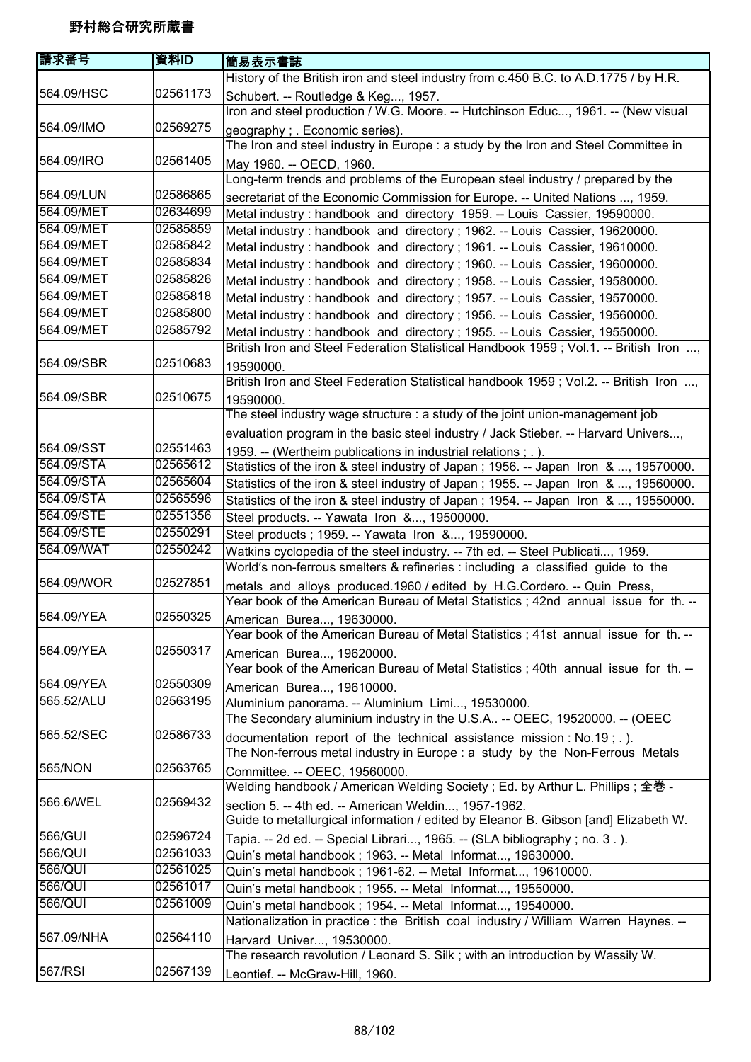| History of the British iron and steel industry from c.450 B.C. to A.D.1775 / by H.R.<br>564.09/HSC<br>02561173<br>Schubert. -- Routledge & Keg, 1957.<br>Iron and steel production / W.G. Moore. -- Hutchinson Educ, 1961. -- (New visual<br>564.09/IMO<br>02569275<br>geography; Economic series).<br>The Iron and steel industry in Europe : a study by the Iron and Steel Committee in<br>564.09/IRO<br>02561405<br>May 1960. -- OECD, 1960.<br>Long-term trends and problems of the European steel industry / prepared by the<br>02586865<br>564.09/LUN<br>secretariat of the Economic Commission for Europe. -- United Nations , 1959.<br>564.09/MET<br>02634699<br>Metal industry: handbook and directory 1959. -- Louis Cassier, 19590000.<br>564.09/MET<br>02585859<br>Metal industry: handbook and directory; 1962. -- Louis Cassier, 19620000.<br>564.09/MET<br>02585842<br>Metal industry: handbook and directory; 1961. -- Louis Cassier, 19610000.<br>564.09/MET<br>02585834<br>Metal industry: handbook and directory; 1960. -- Louis Cassier, 19600000.<br>564.09/MET<br>02585826<br>Metal industry: handbook and directory; 1958. -- Louis Cassier, 19580000.<br>564.09/MET<br>02585818<br>Metal industry: handbook and directory; 1957. -- Louis Cassier, 19570000.<br>02585800<br>564.09/MET<br>Metal industry: handbook and directory; 1956. -- Louis Cassier, 19560000.<br>564.09/MET<br>02585792<br>Metal industry: handbook and directory; 1955. -- Louis Cassier, 19550000.<br>British Iron and Steel Federation Statistical Handbook 1959; Vol.1. -- British Iron ,<br>564.09/SBR<br>02510683<br>19590000.<br>British Iron and Steel Federation Statistical handbook 1959; Vol.2. -- British Iron ,<br>564.09/SBR<br>02510675<br>19590000.<br>The steel industry wage structure : a study of the joint union-management job<br>evaluation program in the basic steel industry / Jack Stieber. -- Harvard Univers,<br>564.09/SST<br>02551463<br>1959. -- (Wertheim publications in industrial relations; .).<br>564.09/STA<br>02565612<br>Statistics of the iron & steel industry of Japan; 1956. -- Japan Iron & , 19570000.<br>564.09/STA<br>02565604<br>Statistics of the iron & steel industry of Japan; 1955. -- Japan Iron & , 19560000.<br>564.09/STA<br>02565596<br>Statistics of the iron & steel industry of Japan; 1954. -- Japan Iron & , 19550000.<br>564.09/STE<br>02551356<br>Steel products. -- Yawata Iron &, 19500000.<br>564.09/STE<br>02550291<br>Steel products ; 1959. -- Yawata Iron &, 19590000.<br>564.09/WAT<br>02550242<br>Watkins cyclopedia of the steel industry. -- 7th ed. -- Steel Publicati, 1959.<br>World's non-ferrous smelters & refineries : including a classified guide to the<br>564.09/WOR<br>02527851<br>metals and alloys produced.1960 / edited by H.G.Cordero. -- Quin Press,<br>Year book of the American Bureau of Metal Statistics; 42nd annual issue for th. --<br>564.09/YEA<br>02550325<br>American Burea, 19630000.<br>Year book of the American Bureau of Metal Statistics; 41st annual issue for th. --<br>564.09/YEA<br>02550317<br>American Burea, 19620000.<br>Year book of the American Bureau of Metal Statistics; 40th annual issue for th. --<br>02550309<br>564.09/YEA<br>American Burea, 19610000.<br>565.52/ALU<br>02563195<br>Aluminium panorama. -- Aluminium Limi, 19530000.<br>The Secondary aluminium industry in the U.S.A -- OEEC, 19520000. -- (OEEC<br>565.52/SEC<br>02586733<br>documentation report of the technical assistance mission : $No.19$ ; .).<br>The Non-ferrous metal industry in Europe : a study by the Non-Ferrous Metals<br>565/NON<br>02563765<br>Committee. -- OEEC, 19560000.<br>Welding handbook / American Welding Society; Ed. by Arthur L. Phillips; 全巻 -<br>566.6/WEL<br>02569432<br>section 5. -- 4th ed. -- American Weldin, 1957-1962.<br>Guide to metallurgical information / edited by Eleanor B. Gibson [and] Elizabeth W.<br>566/GUI<br>02596724<br>Tapia. -- 2d ed. -- Special Librari, 1965. -- (SLA bibliography ; no. 3.).<br>566/QUI<br>02561033<br>Quin's metal handbook; 1963. -- Metal Informat, 19630000.<br>566/QUI<br>02561025<br>Quin's metal handbook; 1961-62. -- Metal Informat, 19610000.<br>566/QUI<br>02561017<br>Quin's metal handbook; 1955. -- Metal Informat, 19550000.<br>566/QUI<br>02561009<br>Quin's metal handbook; 1954. -- Metal Informat, 19540000.<br>Nationalization in practice : the British coal industry / William Warren Haynes. --<br>567.09/NHA<br>02564110<br>Harvard Univer, 19530000.<br>The research revolution / Leonard S. Silk; with an introduction by Wassily W.<br>567/RSI<br>02567139<br>Leontief. -- McGraw-Hill, 1960. | 請求番号 | 資料ID | 簡易表示書誌 |
|--------------------------------------------------------------------------------------------------------------------------------------------------------------------------------------------------------------------------------------------------------------------------------------------------------------------------------------------------------------------------------------------------------------------------------------------------------------------------------------------------------------------------------------------------------------------------------------------------------------------------------------------------------------------------------------------------------------------------------------------------------------------------------------------------------------------------------------------------------------------------------------------------------------------------------------------------------------------------------------------------------------------------------------------------------------------------------------------------------------------------------------------------------------------------------------------------------------------------------------------------------------------------------------------------------------------------------------------------------------------------------------------------------------------------------------------------------------------------------------------------------------------------------------------------------------------------------------------------------------------------------------------------------------------------------------------------------------------------------------------------------------------------------------------------------------------------------------------------------------------------------------------------------------------------------------------------------------------------------------------------------------------------------------------------------------------------------------------------------------------------------------------------------------------------------------------------------------------------------------------------------------------------------------------------------------------------------------------------------------------------------------------------------------------------------------------------------------------------------------------------------------------------------------------------------------------------------------------------------------------------------------------------------------------------------------------------------------------------------------------------------------------------------------------------------------------------------------------------------------------------------------------------------------------------------------------------------------------------------------------------------------------------------------------------------------------------------------------------------------------------------------------------------------------------------------------------------------------------------------------------------------------------------------------------------------------------------------------------------------------------------------------------------------------------------------------------------------------------------------------------------------------------------------------------------------------------------------------------------------------------------------------------------------------------------------------------------------------------------------------------------------------------------------------------------------------------------------------------------------------------------------------------------------------------------------------------------------------------------------------------------------------------------------------------------------------------------------------------------------------------------------------------------------------------------------------------------------------------------------------------------------------------------------------------------------------------------------------------------------------------------------------------------------------------------------------------------------------------------------------------------------------------------------------------------------------------------------------------------------------------------------------------------------------------------------------------------------|------|------|--------|
|                                                                                                                                                                                                                                                                                                                                                                                                                                                                                                                                                                                                                                                                                                                                                                                                                                                                                                                                                                                                                                                                                                                                                                                                                                                                                                                                                                                                                                                                                                                                                                                                                                                                                                                                                                                                                                                                                                                                                                                                                                                                                                                                                                                                                                                                                                                                                                                                                                                                                                                                                                                                                                                                                                                                                                                                                                                                                                                                                                                                                                                                                                                                                                                                                                                                                                                                                                                                                                                                                                                                                                                                                                                                                                                                                                                                                                                                                                                                                                                                                                                                                                                                                                                                                                                                                                                                                                                                                                                                                                                                                                                                                                                                                                              |      |      |        |
|                                                                                                                                                                                                                                                                                                                                                                                                                                                                                                                                                                                                                                                                                                                                                                                                                                                                                                                                                                                                                                                                                                                                                                                                                                                                                                                                                                                                                                                                                                                                                                                                                                                                                                                                                                                                                                                                                                                                                                                                                                                                                                                                                                                                                                                                                                                                                                                                                                                                                                                                                                                                                                                                                                                                                                                                                                                                                                                                                                                                                                                                                                                                                                                                                                                                                                                                                                                                                                                                                                                                                                                                                                                                                                                                                                                                                                                                                                                                                                                                                                                                                                                                                                                                                                                                                                                                                                                                                                                                                                                                                                                                                                                                                                              |      |      |        |
|                                                                                                                                                                                                                                                                                                                                                                                                                                                                                                                                                                                                                                                                                                                                                                                                                                                                                                                                                                                                                                                                                                                                                                                                                                                                                                                                                                                                                                                                                                                                                                                                                                                                                                                                                                                                                                                                                                                                                                                                                                                                                                                                                                                                                                                                                                                                                                                                                                                                                                                                                                                                                                                                                                                                                                                                                                                                                                                                                                                                                                                                                                                                                                                                                                                                                                                                                                                                                                                                                                                                                                                                                                                                                                                                                                                                                                                                                                                                                                                                                                                                                                                                                                                                                                                                                                                                                                                                                                                                                                                                                                                                                                                                                                              |      |      |        |
|                                                                                                                                                                                                                                                                                                                                                                                                                                                                                                                                                                                                                                                                                                                                                                                                                                                                                                                                                                                                                                                                                                                                                                                                                                                                                                                                                                                                                                                                                                                                                                                                                                                                                                                                                                                                                                                                                                                                                                                                                                                                                                                                                                                                                                                                                                                                                                                                                                                                                                                                                                                                                                                                                                                                                                                                                                                                                                                                                                                                                                                                                                                                                                                                                                                                                                                                                                                                                                                                                                                                                                                                                                                                                                                                                                                                                                                                                                                                                                                                                                                                                                                                                                                                                                                                                                                                                                                                                                                                                                                                                                                                                                                                                                              |      |      |        |
|                                                                                                                                                                                                                                                                                                                                                                                                                                                                                                                                                                                                                                                                                                                                                                                                                                                                                                                                                                                                                                                                                                                                                                                                                                                                                                                                                                                                                                                                                                                                                                                                                                                                                                                                                                                                                                                                                                                                                                                                                                                                                                                                                                                                                                                                                                                                                                                                                                                                                                                                                                                                                                                                                                                                                                                                                                                                                                                                                                                                                                                                                                                                                                                                                                                                                                                                                                                                                                                                                                                                                                                                                                                                                                                                                                                                                                                                                                                                                                                                                                                                                                                                                                                                                                                                                                                                                                                                                                                                                                                                                                                                                                                                                                              |      |      |        |
|                                                                                                                                                                                                                                                                                                                                                                                                                                                                                                                                                                                                                                                                                                                                                                                                                                                                                                                                                                                                                                                                                                                                                                                                                                                                                                                                                                                                                                                                                                                                                                                                                                                                                                                                                                                                                                                                                                                                                                                                                                                                                                                                                                                                                                                                                                                                                                                                                                                                                                                                                                                                                                                                                                                                                                                                                                                                                                                                                                                                                                                                                                                                                                                                                                                                                                                                                                                                                                                                                                                                                                                                                                                                                                                                                                                                                                                                                                                                                                                                                                                                                                                                                                                                                                                                                                                                                                                                                                                                                                                                                                                                                                                                                                              |      |      |        |
|                                                                                                                                                                                                                                                                                                                                                                                                                                                                                                                                                                                                                                                                                                                                                                                                                                                                                                                                                                                                                                                                                                                                                                                                                                                                                                                                                                                                                                                                                                                                                                                                                                                                                                                                                                                                                                                                                                                                                                                                                                                                                                                                                                                                                                                                                                                                                                                                                                                                                                                                                                                                                                                                                                                                                                                                                                                                                                                                                                                                                                                                                                                                                                                                                                                                                                                                                                                                                                                                                                                                                                                                                                                                                                                                                                                                                                                                                                                                                                                                                                                                                                                                                                                                                                                                                                                                                                                                                                                                                                                                                                                                                                                                                                              |      |      |        |
|                                                                                                                                                                                                                                                                                                                                                                                                                                                                                                                                                                                                                                                                                                                                                                                                                                                                                                                                                                                                                                                                                                                                                                                                                                                                                                                                                                                                                                                                                                                                                                                                                                                                                                                                                                                                                                                                                                                                                                                                                                                                                                                                                                                                                                                                                                                                                                                                                                                                                                                                                                                                                                                                                                                                                                                                                                                                                                                                                                                                                                                                                                                                                                                                                                                                                                                                                                                                                                                                                                                                                                                                                                                                                                                                                                                                                                                                                                                                                                                                                                                                                                                                                                                                                                                                                                                                                                                                                                                                                                                                                                                                                                                                                                              |      |      |        |
|                                                                                                                                                                                                                                                                                                                                                                                                                                                                                                                                                                                                                                                                                                                                                                                                                                                                                                                                                                                                                                                                                                                                                                                                                                                                                                                                                                                                                                                                                                                                                                                                                                                                                                                                                                                                                                                                                                                                                                                                                                                                                                                                                                                                                                                                                                                                                                                                                                                                                                                                                                                                                                                                                                                                                                                                                                                                                                                                                                                                                                                                                                                                                                                                                                                                                                                                                                                                                                                                                                                                                                                                                                                                                                                                                                                                                                                                                                                                                                                                                                                                                                                                                                                                                                                                                                                                                                                                                                                                                                                                                                                                                                                                                                              |      |      |        |
|                                                                                                                                                                                                                                                                                                                                                                                                                                                                                                                                                                                                                                                                                                                                                                                                                                                                                                                                                                                                                                                                                                                                                                                                                                                                                                                                                                                                                                                                                                                                                                                                                                                                                                                                                                                                                                                                                                                                                                                                                                                                                                                                                                                                                                                                                                                                                                                                                                                                                                                                                                                                                                                                                                                                                                                                                                                                                                                                                                                                                                                                                                                                                                                                                                                                                                                                                                                                                                                                                                                                                                                                                                                                                                                                                                                                                                                                                                                                                                                                                                                                                                                                                                                                                                                                                                                                                                                                                                                                                                                                                                                                                                                                                                              |      |      |        |
|                                                                                                                                                                                                                                                                                                                                                                                                                                                                                                                                                                                                                                                                                                                                                                                                                                                                                                                                                                                                                                                                                                                                                                                                                                                                                                                                                                                                                                                                                                                                                                                                                                                                                                                                                                                                                                                                                                                                                                                                                                                                                                                                                                                                                                                                                                                                                                                                                                                                                                                                                                                                                                                                                                                                                                                                                                                                                                                                                                                                                                                                                                                                                                                                                                                                                                                                                                                                                                                                                                                                                                                                                                                                                                                                                                                                                                                                                                                                                                                                                                                                                                                                                                                                                                                                                                                                                                                                                                                                                                                                                                                                                                                                                                              |      |      |        |
|                                                                                                                                                                                                                                                                                                                                                                                                                                                                                                                                                                                                                                                                                                                                                                                                                                                                                                                                                                                                                                                                                                                                                                                                                                                                                                                                                                                                                                                                                                                                                                                                                                                                                                                                                                                                                                                                                                                                                                                                                                                                                                                                                                                                                                                                                                                                                                                                                                                                                                                                                                                                                                                                                                                                                                                                                                                                                                                                                                                                                                                                                                                                                                                                                                                                                                                                                                                                                                                                                                                                                                                                                                                                                                                                                                                                                                                                                                                                                                                                                                                                                                                                                                                                                                                                                                                                                                                                                                                                                                                                                                                                                                                                                                              |      |      |        |
|                                                                                                                                                                                                                                                                                                                                                                                                                                                                                                                                                                                                                                                                                                                                                                                                                                                                                                                                                                                                                                                                                                                                                                                                                                                                                                                                                                                                                                                                                                                                                                                                                                                                                                                                                                                                                                                                                                                                                                                                                                                                                                                                                                                                                                                                                                                                                                                                                                                                                                                                                                                                                                                                                                                                                                                                                                                                                                                                                                                                                                                                                                                                                                                                                                                                                                                                                                                                                                                                                                                                                                                                                                                                                                                                                                                                                                                                                                                                                                                                                                                                                                                                                                                                                                                                                                                                                                                                                                                                                                                                                                                                                                                                                                              |      |      |        |
|                                                                                                                                                                                                                                                                                                                                                                                                                                                                                                                                                                                                                                                                                                                                                                                                                                                                                                                                                                                                                                                                                                                                                                                                                                                                                                                                                                                                                                                                                                                                                                                                                                                                                                                                                                                                                                                                                                                                                                                                                                                                                                                                                                                                                                                                                                                                                                                                                                                                                                                                                                                                                                                                                                                                                                                                                                                                                                                                                                                                                                                                                                                                                                                                                                                                                                                                                                                                                                                                                                                                                                                                                                                                                                                                                                                                                                                                                                                                                                                                                                                                                                                                                                                                                                                                                                                                                                                                                                                                                                                                                                                                                                                                                                              |      |      |        |
|                                                                                                                                                                                                                                                                                                                                                                                                                                                                                                                                                                                                                                                                                                                                                                                                                                                                                                                                                                                                                                                                                                                                                                                                                                                                                                                                                                                                                                                                                                                                                                                                                                                                                                                                                                                                                                                                                                                                                                                                                                                                                                                                                                                                                                                                                                                                                                                                                                                                                                                                                                                                                                                                                                                                                                                                                                                                                                                                                                                                                                                                                                                                                                                                                                                                                                                                                                                                                                                                                                                                                                                                                                                                                                                                                                                                                                                                                                                                                                                                                                                                                                                                                                                                                                                                                                                                                                                                                                                                                                                                                                                                                                                                                                              |      |      |        |
|                                                                                                                                                                                                                                                                                                                                                                                                                                                                                                                                                                                                                                                                                                                                                                                                                                                                                                                                                                                                                                                                                                                                                                                                                                                                                                                                                                                                                                                                                                                                                                                                                                                                                                                                                                                                                                                                                                                                                                                                                                                                                                                                                                                                                                                                                                                                                                                                                                                                                                                                                                                                                                                                                                                                                                                                                                                                                                                                                                                                                                                                                                                                                                                                                                                                                                                                                                                                                                                                                                                                                                                                                                                                                                                                                                                                                                                                                                                                                                                                                                                                                                                                                                                                                                                                                                                                                                                                                                                                                                                                                                                                                                                                                                              |      |      |        |
|                                                                                                                                                                                                                                                                                                                                                                                                                                                                                                                                                                                                                                                                                                                                                                                                                                                                                                                                                                                                                                                                                                                                                                                                                                                                                                                                                                                                                                                                                                                                                                                                                                                                                                                                                                                                                                                                                                                                                                                                                                                                                                                                                                                                                                                                                                                                                                                                                                                                                                                                                                                                                                                                                                                                                                                                                                                                                                                                                                                                                                                                                                                                                                                                                                                                                                                                                                                                                                                                                                                                                                                                                                                                                                                                                                                                                                                                                                                                                                                                                                                                                                                                                                                                                                                                                                                                                                                                                                                                                                                                                                                                                                                                                                              |      |      |        |
|                                                                                                                                                                                                                                                                                                                                                                                                                                                                                                                                                                                                                                                                                                                                                                                                                                                                                                                                                                                                                                                                                                                                                                                                                                                                                                                                                                                                                                                                                                                                                                                                                                                                                                                                                                                                                                                                                                                                                                                                                                                                                                                                                                                                                                                                                                                                                                                                                                                                                                                                                                                                                                                                                                                                                                                                                                                                                                                                                                                                                                                                                                                                                                                                                                                                                                                                                                                                                                                                                                                                                                                                                                                                                                                                                                                                                                                                                                                                                                                                                                                                                                                                                                                                                                                                                                                                                                                                                                                                                                                                                                                                                                                                                                              |      |      |        |
|                                                                                                                                                                                                                                                                                                                                                                                                                                                                                                                                                                                                                                                                                                                                                                                                                                                                                                                                                                                                                                                                                                                                                                                                                                                                                                                                                                                                                                                                                                                                                                                                                                                                                                                                                                                                                                                                                                                                                                                                                                                                                                                                                                                                                                                                                                                                                                                                                                                                                                                                                                                                                                                                                                                                                                                                                                                                                                                                                                                                                                                                                                                                                                                                                                                                                                                                                                                                                                                                                                                                                                                                                                                                                                                                                                                                                                                                                                                                                                                                                                                                                                                                                                                                                                                                                                                                                                                                                                                                                                                                                                                                                                                                                                              |      |      |        |
|                                                                                                                                                                                                                                                                                                                                                                                                                                                                                                                                                                                                                                                                                                                                                                                                                                                                                                                                                                                                                                                                                                                                                                                                                                                                                                                                                                                                                                                                                                                                                                                                                                                                                                                                                                                                                                                                                                                                                                                                                                                                                                                                                                                                                                                                                                                                                                                                                                                                                                                                                                                                                                                                                                                                                                                                                                                                                                                                                                                                                                                                                                                                                                                                                                                                                                                                                                                                                                                                                                                                                                                                                                                                                                                                                                                                                                                                                                                                                                                                                                                                                                                                                                                                                                                                                                                                                                                                                                                                                                                                                                                                                                                                                                              |      |      |        |
|                                                                                                                                                                                                                                                                                                                                                                                                                                                                                                                                                                                                                                                                                                                                                                                                                                                                                                                                                                                                                                                                                                                                                                                                                                                                                                                                                                                                                                                                                                                                                                                                                                                                                                                                                                                                                                                                                                                                                                                                                                                                                                                                                                                                                                                                                                                                                                                                                                                                                                                                                                                                                                                                                                                                                                                                                                                                                                                                                                                                                                                                                                                                                                                                                                                                                                                                                                                                                                                                                                                                                                                                                                                                                                                                                                                                                                                                                                                                                                                                                                                                                                                                                                                                                                                                                                                                                                                                                                                                                                                                                                                                                                                                                                              |      |      |        |
|                                                                                                                                                                                                                                                                                                                                                                                                                                                                                                                                                                                                                                                                                                                                                                                                                                                                                                                                                                                                                                                                                                                                                                                                                                                                                                                                                                                                                                                                                                                                                                                                                                                                                                                                                                                                                                                                                                                                                                                                                                                                                                                                                                                                                                                                                                                                                                                                                                                                                                                                                                                                                                                                                                                                                                                                                                                                                                                                                                                                                                                                                                                                                                                                                                                                                                                                                                                                                                                                                                                                                                                                                                                                                                                                                                                                                                                                                                                                                                                                                                                                                                                                                                                                                                                                                                                                                                                                                                                                                                                                                                                                                                                                                                              |      |      |        |
|                                                                                                                                                                                                                                                                                                                                                                                                                                                                                                                                                                                                                                                                                                                                                                                                                                                                                                                                                                                                                                                                                                                                                                                                                                                                                                                                                                                                                                                                                                                                                                                                                                                                                                                                                                                                                                                                                                                                                                                                                                                                                                                                                                                                                                                                                                                                                                                                                                                                                                                                                                                                                                                                                                                                                                                                                                                                                                                                                                                                                                                                                                                                                                                                                                                                                                                                                                                                                                                                                                                                                                                                                                                                                                                                                                                                                                                                                                                                                                                                                                                                                                                                                                                                                                                                                                                                                                                                                                                                                                                                                                                                                                                                                                              |      |      |        |
|                                                                                                                                                                                                                                                                                                                                                                                                                                                                                                                                                                                                                                                                                                                                                                                                                                                                                                                                                                                                                                                                                                                                                                                                                                                                                                                                                                                                                                                                                                                                                                                                                                                                                                                                                                                                                                                                                                                                                                                                                                                                                                                                                                                                                                                                                                                                                                                                                                                                                                                                                                                                                                                                                                                                                                                                                                                                                                                                                                                                                                                                                                                                                                                                                                                                                                                                                                                                                                                                                                                                                                                                                                                                                                                                                                                                                                                                                                                                                                                                                                                                                                                                                                                                                                                                                                                                                                                                                                                                                                                                                                                                                                                                                                              |      |      |        |
|                                                                                                                                                                                                                                                                                                                                                                                                                                                                                                                                                                                                                                                                                                                                                                                                                                                                                                                                                                                                                                                                                                                                                                                                                                                                                                                                                                                                                                                                                                                                                                                                                                                                                                                                                                                                                                                                                                                                                                                                                                                                                                                                                                                                                                                                                                                                                                                                                                                                                                                                                                                                                                                                                                                                                                                                                                                                                                                                                                                                                                                                                                                                                                                                                                                                                                                                                                                                                                                                                                                                                                                                                                                                                                                                                                                                                                                                                                                                                                                                                                                                                                                                                                                                                                                                                                                                                                                                                                                                                                                                                                                                                                                                                                              |      |      |        |
|                                                                                                                                                                                                                                                                                                                                                                                                                                                                                                                                                                                                                                                                                                                                                                                                                                                                                                                                                                                                                                                                                                                                                                                                                                                                                                                                                                                                                                                                                                                                                                                                                                                                                                                                                                                                                                                                                                                                                                                                                                                                                                                                                                                                                                                                                                                                                                                                                                                                                                                                                                                                                                                                                                                                                                                                                                                                                                                                                                                                                                                                                                                                                                                                                                                                                                                                                                                                                                                                                                                                                                                                                                                                                                                                                                                                                                                                                                                                                                                                                                                                                                                                                                                                                                                                                                                                                                                                                                                                                                                                                                                                                                                                                                              |      |      |        |
|                                                                                                                                                                                                                                                                                                                                                                                                                                                                                                                                                                                                                                                                                                                                                                                                                                                                                                                                                                                                                                                                                                                                                                                                                                                                                                                                                                                                                                                                                                                                                                                                                                                                                                                                                                                                                                                                                                                                                                                                                                                                                                                                                                                                                                                                                                                                                                                                                                                                                                                                                                                                                                                                                                                                                                                                                                                                                                                                                                                                                                                                                                                                                                                                                                                                                                                                                                                                                                                                                                                                                                                                                                                                                                                                                                                                                                                                                                                                                                                                                                                                                                                                                                                                                                                                                                                                                                                                                                                                                                                                                                                                                                                                                                              |      |      |        |
|                                                                                                                                                                                                                                                                                                                                                                                                                                                                                                                                                                                                                                                                                                                                                                                                                                                                                                                                                                                                                                                                                                                                                                                                                                                                                                                                                                                                                                                                                                                                                                                                                                                                                                                                                                                                                                                                                                                                                                                                                                                                                                                                                                                                                                                                                                                                                                                                                                                                                                                                                                                                                                                                                                                                                                                                                                                                                                                                                                                                                                                                                                                                                                                                                                                                                                                                                                                                                                                                                                                                                                                                                                                                                                                                                                                                                                                                                                                                                                                                                                                                                                                                                                                                                                                                                                                                                                                                                                                                                                                                                                                                                                                                                                              |      |      |        |
|                                                                                                                                                                                                                                                                                                                                                                                                                                                                                                                                                                                                                                                                                                                                                                                                                                                                                                                                                                                                                                                                                                                                                                                                                                                                                                                                                                                                                                                                                                                                                                                                                                                                                                                                                                                                                                                                                                                                                                                                                                                                                                                                                                                                                                                                                                                                                                                                                                                                                                                                                                                                                                                                                                                                                                                                                                                                                                                                                                                                                                                                                                                                                                                                                                                                                                                                                                                                                                                                                                                                                                                                                                                                                                                                                                                                                                                                                                                                                                                                                                                                                                                                                                                                                                                                                                                                                                                                                                                                                                                                                                                                                                                                                                              |      |      |        |
|                                                                                                                                                                                                                                                                                                                                                                                                                                                                                                                                                                                                                                                                                                                                                                                                                                                                                                                                                                                                                                                                                                                                                                                                                                                                                                                                                                                                                                                                                                                                                                                                                                                                                                                                                                                                                                                                                                                                                                                                                                                                                                                                                                                                                                                                                                                                                                                                                                                                                                                                                                                                                                                                                                                                                                                                                                                                                                                                                                                                                                                                                                                                                                                                                                                                                                                                                                                                                                                                                                                                                                                                                                                                                                                                                                                                                                                                                                                                                                                                                                                                                                                                                                                                                                                                                                                                                                                                                                                                                                                                                                                                                                                                                                              |      |      |        |
|                                                                                                                                                                                                                                                                                                                                                                                                                                                                                                                                                                                                                                                                                                                                                                                                                                                                                                                                                                                                                                                                                                                                                                                                                                                                                                                                                                                                                                                                                                                                                                                                                                                                                                                                                                                                                                                                                                                                                                                                                                                                                                                                                                                                                                                                                                                                                                                                                                                                                                                                                                                                                                                                                                                                                                                                                                                                                                                                                                                                                                                                                                                                                                                                                                                                                                                                                                                                                                                                                                                                                                                                                                                                                                                                                                                                                                                                                                                                                                                                                                                                                                                                                                                                                                                                                                                                                                                                                                                                                                                                                                                                                                                                                                              |      |      |        |
|                                                                                                                                                                                                                                                                                                                                                                                                                                                                                                                                                                                                                                                                                                                                                                                                                                                                                                                                                                                                                                                                                                                                                                                                                                                                                                                                                                                                                                                                                                                                                                                                                                                                                                                                                                                                                                                                                                                                                                                                                                                                                                                                                                                                                                                                                                                                                                                                                                                                                                                                                                                                                                                                                                                                                                                                                                                                                                                                                                                                                                                                                                                                                                                                                                                                                                                                                                                                                                                                                                                                                                                                                                                                                                                                                                                                                                                                                                                                                                                                                                                                                                                                                                                                                                                                                                                                                                                                                                                                                                                                                                                                                                                                                                              |      |      |        |
|                                                                                                                                                                                                                                                                                                                                                                                                                                                                                                                                                                                                                                                                                                                                                                                                                                                                                                                                                                                                                                                                                                                                                                                                                                                                                                                                                                                                                                                                                                                                                                                                                                                                                                                                                                                                                                                                                                                                                                                                                                                                                                                                                                                                                                                                                                                                                                                                                                                                                                                                                                                                                                                                                                                                                                                                                                                                                                                                                                                                                                                                                                                                                                                                                                                                                                                                                                                                                                                                                                                                                                                                                                                                                                                                                                                                                                                                                                                                                                                                                                                                                                                                                                                                                                                                                                                                                                                                                                                                                                                                                                                                                                                                                                              |      |      |        |
|                                                                                                                                                                                                                                                                                                                                                                                                                                                                                                                                                                                                                                                                                                                                                                                                                                                                                                                                                                                                                                                                                                                                                                                                                                                                                                                                                                                                                                                                                                                                                                                                                                                                                                                                                                                                                                                                                                                                                                                                                                                                                                                                                                                                                                                                                                                                                                                                                                                                                                                                                                                                                                                                                                                                                                                                                                                                                                                                                                                                                                                                                                                                                                                                                                                                                                                                                                                                                                                                                                                                                                                                                                                                                                                                                                                                                                                                                                                                                                                                                                                                                                                                                                                                                                                                                                                                                                                                                                                                                                                                                                                                                                                                                                              |      |      |        |
|                                                                                                                                                                                                                                                                                                                                                                                                                                                                                                                                                                                                                                                                                                                                                                                                                                                                                                                                                                                                                                                                                                                                                                                                                                                                                                                                                                                                                                                                                                                                                                                                                                                                                                                                                                                                                                                                                                                                                                                                                                                                                                                                                                                                                                                                                                                                                                                                                                                                                                                                                                                                                                                                                                                                                                                                                                                                                                                                                                                                                                                                                                                                                                                                                                                                                                                                                                                                                                                                                                                                                                                                                                                                                                                                                                                                                                                                                                                                                                                                                                                                                                                                                                                                                                                                                                                                                                                                                                                                                                                                                                                                                                                                                                              |      |      |        |
|                                                                                                                                                                                                                                                                                                                                                                                                                                                                                                                                                                                                                                                                                                                                                                                                                                                                                                                                                                                                                                                                                                                                                                                                                                                                                                                                                                                                                                                                                                                                                                                                                                                                                                                                                                                                                                                                                                                                                                                                                                                                                                                                                                                                                                                                                                                                                                                                                                                                                                                                                                                                                                                                                                                                                                                                                                                                                                                                                                                                                                                                                                                                                                                                                                                                                                                                                                                                                                                                                                                                                                                                                                                                                                                                                                                                                                                                                                                                                                                                                                                                                                                                                                                                                                                                                                                                                                                                                                                                                                                                                                                                                                                                                                              |      |      |        |
|                                                                                                                                                                                                                                                                                                                                                                                                                                                                                                                                                                                                                                                                                                                                                                                                                                                                                                                                                                                                                                                                                                                                                                                                                                                                                                                                                                                                                                                                                                                                                                                                                                                                                                                                                                                                                                                                                                                                                                                                                                                                                                                                                                                                                                                                                                                                                                                                                                                                                                                                                                                                                                                                                                                                                                                                                                                                                                                                                                                                                                                                                                                                                                                                                                                                                                                                                                                                                                                                                                                                                                                                                                                                                                                                                                                                                                                                                                                                                                                                                                                                                                                                                                                                                                                                                                                                                                                                                                                                                                                                                                                                                                                                                                              |      |      |        |
|                                                                                                                                                                                                                                                                                                                                                                                                                                                                                                                                                                                                                                                                                                                                                                                                                                                                                                                                                                                                                                                                                                                                                                                                                                                                                                                                                                                                                                                                                                                                                                                                                                                                                                                                                                                                                                                                                                                                                                                                                                                                                                                                                                                                                                                                                                                                                                                                                                                                                                                                                                                                                                                                                                                                                                                                                                                                                                                                                                                                                                                                                                                                                                                                                                                                                                                                                                                                                                                                                                                                                                                                                                                                                                                                                                                                                                                                                                                                                                                                                                                                                                                                                                                                                                                                                                                                                                                                                                                                                                                                                                                                                                                                                                              |      |      |        |
|                                                                                                                                                                                                                                                                                                                                                                                                                                                                                                                                                                                                                                                                                                                                                                                                                                                                                                                                                                                                                                                                                                                                                                                                                                                                                                                                                                                                                                                                                                                                                                                                                                                                                                                                                                                                                                                                                                                                                                                                                                                                                                                                                                                                                                                                                                                                                                                                                                                                                                                                                                                                                                                                                                                                                                                                                                                                                                                                                                                                                                                                                                                                                                                                                                                                                                                                                                                                                                                                                                                                                                                                                                                                                                                                                                                                                                                                                                                                                                                                                                                                                                                                                                                                                                                                                                                                                                                                                                                                                                                                                                                                                                                                                                              |      |      |        |
|                                                                                                                                                                                                                                                                                                                                                                                                                                                                                                                                                                                                                                                                                                                                                                                                                                                                                                                                                                                                                                                                                                                                                                                                                                                                                                                                                                                                                                                                                                                                                                                                                                                                                                                                                                                                                                                                                                                                                                                                                                                                                                                                                                                                                                                                                                                                                                                                                                                                                                                                                                                                                                                                                                                                                                                                                                                                                                                                                                                                                                                                                                                                                                                                                                                                                                                                                                                                                                                                                                                                                                                                                                                                                                                                                                                                                                                                                                                                                                                                                                                                                                                                                                                                                                                                                                                                                                                                                                                                                                                                                                                                                                                                                                              |      |      |        |
|                                                                                                                                                                                                                                                                                                                                                                                                                                                                                                                                                                                                                                                                                                                                                                                                                                                                                                                                                                                                                                                                                                                                                                                                                                                                                                                                                                                                                                                                                                                                                                                                                                                                                                                                                                                                                                                                                                                                                                                                                                                                                                                                                                                                                                                                                                                                                                                                                                                                                                                                                                                                                                                                                                                                                                                                                                                                                                                                                                                                                                                                                                                                                                                                                                                                                                                                                                                                                                                                                                                                                                                                                                                                                                                                                                                                                                                                                                                                                                                                                                                                                                                                                                                                                                                                                                                                                                                                                                                                                                                                                                                                                                                                                                              |      |      |        |
|                                                                                                                                                                                                                                                                                                                                                                                                                                                                                                                                                                                                                                                                                                                                                                                                                                                                                                                                                                                                                                                                                                                                                                                                                                                                                                                                                                                                                                                                                                                                                                                                                                                                                                                                                                                                                                                                                                                                                                                                                                                                                                                                                                                                                                                                                                                                                                                                                                                                                                                                                                                                                                                                                                                                                                                                                                                                                                                                                                                                                                                                                                                                                                                                                                                                                                                                                                                                                                                                                                                                                                                                                                                                                                                                                                                                                                                                                                                                                                                                                                                                                                                                                                                                                                                                                                                                                                                                                                                                                                                                                                                                                                                                                                              |      |      |        |
|                                                                                                                                                                                                                                                                                                                                                                                                                                                                                                                                                                                                                                                                                                                                                                                                                                                                                                                                                                                                                                                                                                                                                                                                                                                                                                                                                                                                                                                                                                                                                                                                                                                                                                                                                                                                                                                                                                                                                                                                                                                                                                                                                                                                                                                                                                                                                                                                                                                                                                                                                                                                                                                                                                                                                                                                                                                                                                                                                                                                                                                                                                                                                                                                                                                                                                                                                                                                                                                                                                                                                                                                                                                                                                                                                                                                                                                                                                                                                                                                                                                                                                                                                                                                                                                                                                                                                                                                                                                                                                                                                                                                                                                                                                              |      |      |        |
|                                                                                                                                                                                                                                                                                                                                                                                                                                                                                                                                                                                                                                                                                                                                                                                                                                                                                                                                                                                                                                                                                                                                                                                                                                                                                                                                                                                                                                                                                                                                                                                                                                                                                                                                                                                                                                                                                                                                                                                                                                                                                                                                                                                                                                                                                                                                                                                                                                                                                                                                                                                                                                                                                                                                                                                                                                                                                                                                                                                                                                                                                                                                                                                                                                                                                                                                                                                                                                                                                                                                                                                                                                                                                                                                                                                                                                                                                                                                                                                                                                                                                                                                                                                                                                                                                                                                                                                                                                                                                                                                                                                                                                                                                                              |      |      |        |
|                                                                                                                                                                                                                                                                                                                                                                                                                                                                                                                                                                                                                                                                                                                                                                                                                                                                                                                                                                                                                                                                                                                                                                                                                                                                                                                                                                                                                                                                                                                                                                                                                                                                                                                                                                                                                                                                                                                                                                                                                                                                                                                                                                                                                                                                                                                                                                                                                                                                                                                                                                                                                                                                                                                                                                                                                                                                                                                                                                                                                                                                                                                                                                                                                                                                                                                                                                                                                                                                                                                                                                                                                                                                                                                                                                                                                                                                                                                                                                                                                                                                                                                                                                                                                                                                                                                                                                                                                                                                                                                                                                                                                                                                                                              |      |      |        |
|                                                                                                                                                                                                                                                                                                                                                                                                                                                                                                                                                                                                                                                                                                                                                                                                                                                                                                                                                                                                                                                                                                                                                                                                                                                                                                                                                                                                                                                                                                                                                                                                                                                                                                                                                                                                                                                                                                                                                                                                                                                                                                                                                                                                                                                                                                                                                                                                                                                                                                                                                                                                                                                                                                                                                                                                                                                                                                                                                                                                                                                                                                                                                                                                                                                                                                                                                                                                                                                                                                                                                                                                                                                                                                                                                                                                                                                                                                                                                                                                                                                                                                                                                                                                                                                                                                                                                                                                                                                                                                                                                                                                                                                                                                              |      |      |        |
|                                                                                                                                                                                                                                                                                                                                                                                                                                                                                                                                                                                                                                                                                                                                                                                                                                                                                                                                                                                                                                                                                                                                                                                                                                                                                                                                                                                                                                                                                                                                                                                                                                                                                                                                                                                                                                                                                                                                                                                                                                                                                                                                                                                                                                                                                                                                                                                                                                                                                                                                                                                                                                                                                                                                                                                                                                                                                                                                                                                                                                                                                                                                                                                                                                                                                                                                                                                                                                                                                                                                                                                                                                                                                                                                                                                                                                                                                                                                                                                                                                                                                                                                                                                                                                                                                                                                                                                                                                                                                                                                                                                                                                                                                                              |      |      |        |
|                                                                                                                                                                                                                                                                                                                                                                                                                                                                                                                                                                                                                                                                                                                                                                                                                                                                                                                                                                                                                                                                                                                                                                                                                                                                                                                                                                                                                                                                                                                                                                                                                                                                                                                                                                                                                                                                                                                                                                                                                                                                                                                                                                                                                                                                                                                                                                                                                                                                                                                                                                                                                                                                                                                                                                                                                                                                                                                                                                                                                                                                                                                                                                                                                                                                                                                                                                                                                                                                                                                                                                                                                                                                                                                                                                                                                                                                                                                                                                                                                                                                                                                                                                                                                                                                                                                                                                                                                                                                                                                                                                                                                                                                                                              |      |      |        |
|                                                                                                                                                                                                                                                                                                                                                                                                                                                                                                                                                                                                                                                                                                                                                                                                                                                                                                                                                                                                                                                                                                                                                                                                                                                                                                                                                                                                                                                                                                                                                                                                                                                                                                                                                                                                                                                                                                                                                                                                                                                                                                                                                                                                                                                                                                                                                                                                                                                                                                                                                                                                                                                                                                                                                                                                                                                                                                                                                                                                                                                                                                                                                                                                                                                                                                                                                                                                                                                                                                                                                                                                                                                                                                                                                                                                                                                                                                                                                                                                                                                                                                                                                                                                                                                                                                                                                                                                                                                                                                                                                                                                                                                                                                              |      |      |        |
|                                                                                                                                                                                                                                                                                                                                                                                                                                                                                                                                                                                                                                                                                                                                                                                                                                                                                                                                                                                                                                                                                                                                                                                                                                                                                                                                                                                                                                                                                                                                                                                                                                                                                                                                                                                                                                                                                                                                                                                                                                                                                                                                                                                                                                                                                                                                                                                                                                                                                                                                                                                                                                                                                                                                                                                                                                                                                                                                                                                                                                                                                                                                                                                                                                                                                                                                                                                                                                                                                                                                                                                                                                                                                                                                                                                                                                                                                                                                                                                                                                                                                                                                                                                                                                                                                                                                                                                                                                                                                                                                                                                                                                                                                                              |      |      |        |
|                                                                                                                                                                                                                                                                                                                                                                                                                                                                                                                                                                                                                                                                                                                                                                                                                                                                                                                                                                                                                                                                                                                                                                                                                                                                                                                                                                                                                                                                                                                                                                                                                                                                                                                                                                                                                                                                                                                                                                                                                                                                                                                                                                                                                                                                                                                                                                                                                                                                                                                                                                                                                                                                                                                                                                                                                                                                                                                                                                                                                                                                                                                                                                                                                                                                                                                                                                                                                                                                                                                                                                                                                                                                                                                                                                                                                                                                                                                                                                                                                                                                                                                                                                                                                                                                                                                                                                                                                                                                                                                                                                                                                                                                                                              |      |      |        |
|                                                                                                                                                                                                                                                                                                                                                                                                                                                                                                                                                                                                                                                                                                                                                                                                                                                                                                                                                                                                                                                                                                                                                                                                                                                                                                                                                                                                                                                                                                                                                                                                                                                                                                                                                                                                                                                                                                                                                                                                                                                                                                                                                                                                                                                                                                                                                                                                                                                                                                                                                                                                                                                                                                                                                                                                                                                                                                                                                                                                                                                                                                                                                                                                                                                                                                                                                                                                                                                                                                                                                                                                                                                                                                                                                                                                                                                                                                                                                                                                                                                                                                                                                                                                                                                                                                                                                                                                                                                                                                                                                                                                                                                                                                              |      |      |        |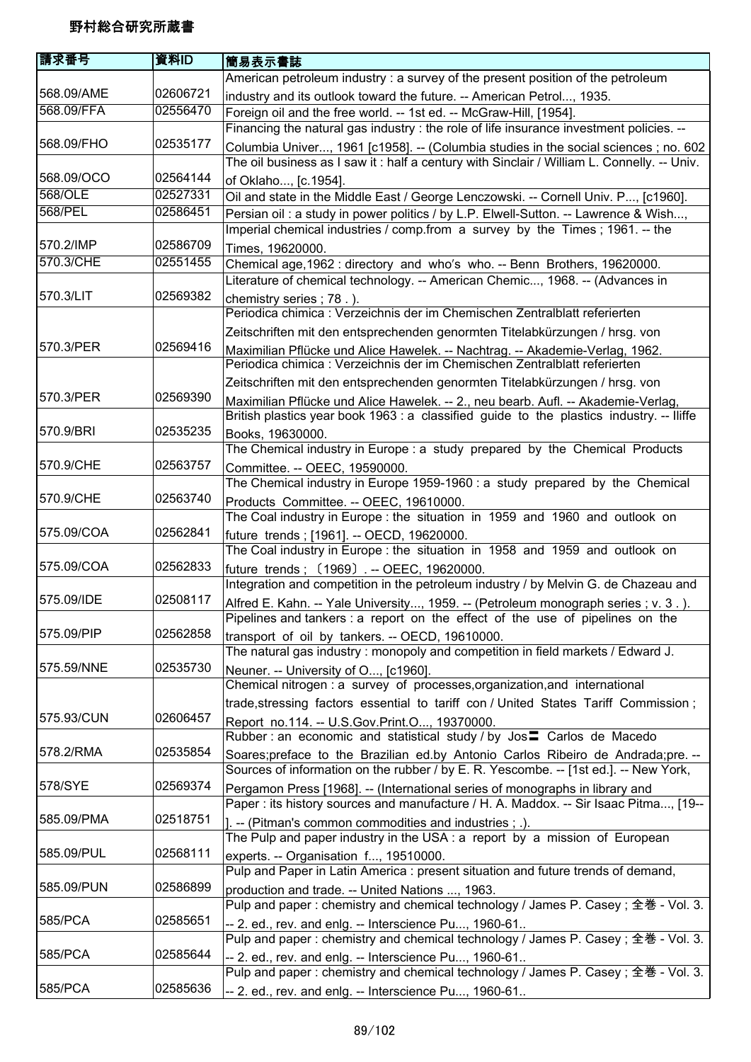| 請求番号       | 資料ID     | 簡易表示書誌                                                                                     |
|------------|----------|--------------------------------------------------------------------------------------------|
|            |          | American petroleum industry: a survey of the present position of the petroleum             |
| 568.09/AME | 02606721 | industry and its outlook toward the future. -- American Petrol, 1935.                      |
| 568.09/FFA | 02556470 | Foreign oil and the free world. -- 1st ed. -- McGraw-Hill, [1954].                         |
|            |          | Financing the natural gas industry : the role of life insurance investment policies. --    |
| 568.09/FHO | 02535177 | Columbia Univer, 1961 [c1958]. -- (Columbia studies in the social sciences ; no. 602       |
|            |          | The oil business as I saw it: half a century with Sinclair / William L. Connelly. -- Univ. |
| 568.09/OCO | 02564144 | of Oklaho, [c.1954].                                                                       |
| 568/OLE    | 02527331 | Oil and state in the Middle East / George Lenczowski. -- Cornell Univ. P, [c1960].         |
| 568/PEL    | 02586451 | Persian oil : a study in power politics / by L.P. Elwell-Sutton. -- Lawrence & Wish,       |
|            |          | Imperial chemical industries / comp.from a survey by the Times; 1961. -- the               |
| 570.2/IMP  | 02586709 | Times, 19620000.                                                                           |
| 570.3/CHE  | 02551455 | Chemical age, 1962 : directory and who's who. -- Benn Brothers, 19620000.                  |
|            |          | Literature of chemical technology. -- American Chemic, 1968. -- (Advances in               |
| 570.3/LIT  | 02569382 | chemistry series; 78.).                                                                    |
|            |          | Periodica chimica : Verzeichnis der im Chemischen Zentralblatt referierten                 |
|            |          | Zeitschriften mit den entsprechenden genormten Titelabkürzungen / hrsg. von                |
| 570.3/PER  | 02569416 | Maximilian Pflücke und Alice Hawelek. -- Nachtrag. -- Akademie-Verlag, 1962.               |
|            |          | Periodica chimica : Verzeichnis der im Chemischen Zentralblatt referierten                 |
|            |          | Zeitschriften mit den entsprechenden genormten Titelabkürzungen / hrsg. von                |
| 570.3/PER  | 02569390 | Maximilian Pflücke und Alice Hawelek. -- 2., neu bearb. Aufl. -- Akademie-Verlag,          |
|            |          | British plastics year book 1963 : a classified guide to the plastics industry. -- Iliffe   |
| 570.9/BRI  | 02535235 | Books, 19630000.                                                                           |
|            |          | The Chemical industry in Europe : a study prepared by the Chemical Products                |
| 570.9/CHE  | 02563757 | Committee. -- OEEC, 19590000.                                                              |
|            |          | The Chemical industry in Europe 1959-1960 : a study prepared by the Chemical               |
| 570.9/CHE  | 02563740 | Products Committee. -- OEEC, 19610000.                                                     |
|            |          | The Coal industry in Europe : the situation in 1959 and 1960 and outlook on                |
| 575.09/COA | 02562841 | future trends ; [1961]. -- OECD, 19620000.                                                 |
|            |          | The Coal industry in Europe : the situation in 1958 and 1959 and outlook on                |
| 575.09/COA | 02562833 | future trends; (1969) .-- OEEC, 19620000.                                                  |
|            |          | Integration and competition in the petroleum industry / by Melvin G. de Chazeau and        |
| 575.09/IDE | 02508117 | Alfred E. Kahn. -- Yale University, 1959. -- (Petroleum monograph series ; v. 3.).         |
|            |          | Pipelines and tankers : a report on the effect of the use of pipelines on the              |
| 575.09/PIP | 02562858 | transport of oil by tankers. -- OECD, 19610000.                                            |
|            |          | The natural gas industry: monopoly and competition in field markets / Edward J.            |
| 575.59/NNE | 02535730 | Neuner. -- University of O, [c1960].                                                       |
|            |          | Chemical nitrogen : a survey of processes, organization, and international                 |
|            |          | trade, stressing factors essential to tariff con / United States Tariff Commission;        |
| 575.93/CUN | 02606457 | Report no.114. -- U.S.Gov.Print.O, 19370000.                                               |
|            |          | Rubber: an economic and statistical study / by Jos <sup>1</sup> Carlos de Macedo           |
| 578.2/RMA  | 02535854 | Soares; preface to the Brazilian ed.by Antonio Carlos Ribeiro de Andrada; pre. --          |
|            |          | Sources of information on the rubber / by E. R. Yescombe. -- [1st ed.]. -- New York,       |
| 578/SYE    | 02569374 | Pergamon Press [1968]. -- (International series of monographs in library and               |
|            |          | Paper: its history sources and manufacture / H. A. Maddox. -- Sir Isaac Pitma, [19--       |
| 585.09/PMA | 02518751 | ]. -- (Pitman's common commodities and industries ; .).                                    |
|            |          | The Pulp and paper industry in the USA : a report by a mission of European                 |
| 585.09/PUL | 02568111 | experts. -- Organisation f, 19510000.                                                      |
|            |          | Pulp and Paper in Latin America : present situation and future trends of demand,           |
| 585.09/PUN | 02586899 | production and trade. -- United Nations , 1963.                                            |
|            |          | Pulp and paper : chemistry and chemical technology / James P. Casey ; 全巻 - Vol. 3.         |
| 585/PCA    | 02585651 | -- 2. ed., rev. and enlg. -- Interscience Pu, 1960-61                                      |
|            |          | Pulp and paper : chemistry and chemical technology / James P. Casey; 全巻 - Vol. 3.          |
| 585/PCA    | 02585644 | -- 2. ed., rev. and enlg. -- Interscience Pu, 1960-61                                      |
|            |          | Pulp and paper : chemistry and chemical technology / James P. Casey; 全巻 - Vol. 3.          |
| 585/PCA    | 02585636 | -- 2. ed., rev. and enlg. -- Interscience Pu, 1960-61                                      |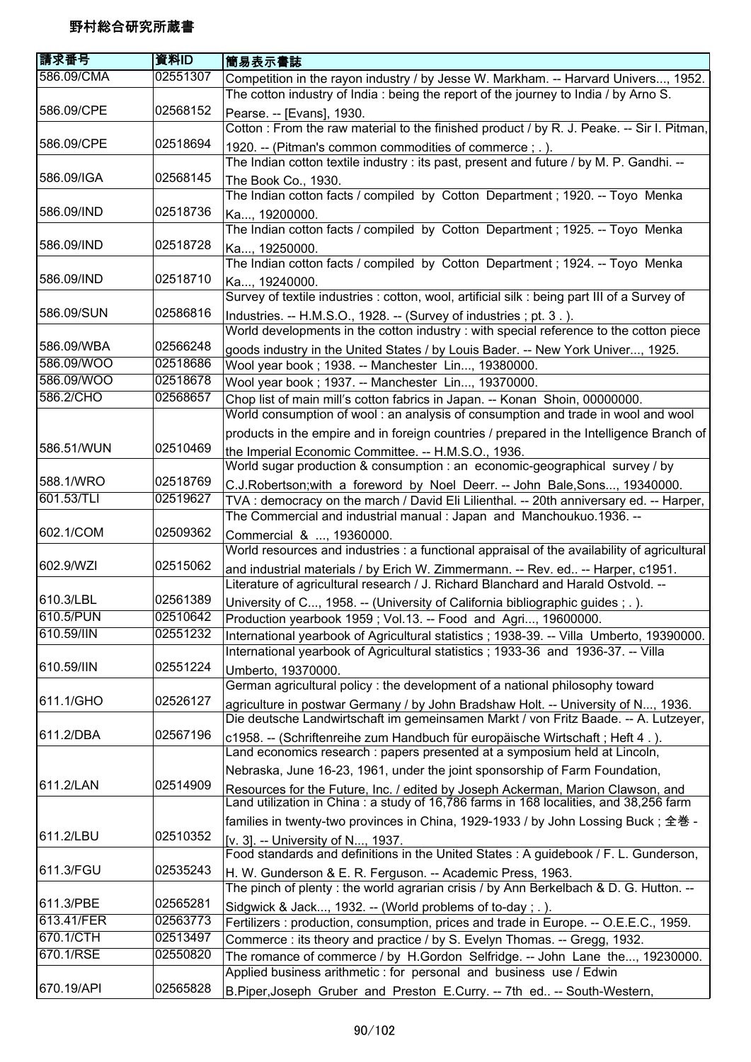| 請求番号       | 資料ID     | 簡易表示書誌                                                                                                                                            |
|------------|----------|---------------------------------------------------------------------------------------------------------------------------------------------------|
| 586.09/CMA | 02551307 | Competition in the rayon industry / by Jesse W. Markham. -- Harvard Univers, 1952.                                                                |
|            |          | The cotton industry of India: being the report of the journey to India / by Arno S.                                                               |
| 586.09/CPE | 02568152 | Pearse. -- [Evans], 1930.                                                                                                                         |
|            |          | Cotton : From the raw material to the finished product / by R. J. Peake. -- Sir I. Pitman,                                                        |
| 586.09/CPE | 02518694 |                                                                                                                                                   |
|            |          | 1920. -- (Pitman's common commodities of commerce; .).<br>The Indian cotton textile industry : its past, present and future / by M. P. Gandhi. -- |
| 586.09/IGA | 02568145 |                                                                                                                                                   |
|            |          | The Book Co., 1930.<br>The Indian cotton facts / compiled by Cotton Department; 1920. -- Toyo Menka                                               |
| 586.09/IND | 02518736 |                                                                                                                                                   |
|            |          | Ka, 19200000.                                                                                                                                     |
| 586.09/IND | 02518728 | The Indian cotton facts / compiled by Cotton Department; 1925. -- Toyo Menka                                                                      |
|            |          | Ka, 19250000.<br>The Indian cotton facts / compiled by Cotton Department ; 1924. -- Toyo Menka                                                    |
|            |          |                                                                                                                                                   |
| 586.09/IND | 02518710 | Ka, 19240000.                                                                                                                                     |
|            |          | Survey of textile industries : cotton, wool, artificial silk : being part III of a Survey of                                                      |
| 586.09/SUN | 02586816 | Industries. -- H.M.S.O., 1928. -- (Survey of industries; pt. 3.).                                                                                 |
|            |          | World developments in the cotton industry : with special reference to the cotton piece                                                            |
| 586.09/WBA | 02566248 | goods industry in the United States / by Louis Bader. -- New York Univer, 1925.                                                                   |
| 586.09/WOO | 02518686 | Wool year book ; 1938. -- Manchester Lin, 19380000.                                                                                               |
| 586.09/WOO | 02518678 | Wool year book ; 1937. -- Manchester Lin, 19370000.                                                                                               |
| 586.2/CHO  | 02568657 | Chop list of main mill's cotton fabrics in Japan. -- Konan Shoin, 00000000.                                                                       |
|            |          | World consumption of wool: an analysis of consumption and trade in wool and wool                                                                  |
|            |          | products in the empire and in foreign countries / prepared in the Intelligence Branch of                                                          |
| 586.51/WUN | 02510469 | the Imperial Economic Committee. -- H.M.S.O., 1936.                                                                                               |
|            |          | World sugar production & consumption : an economic-geographical survey / by                                                                       |
| 588.1/WRO  | 02518769 | C.J.Robertson; with a foreword by Noel Deerr. -- John Bale, Sons, 19340000.                                                                       |
| 601.53/TLI | 02519627 | TVA : democracy on the march / David Eli Lilienthal. -- 20th anniversary ed. -- Harper,                                                           |
|            |          | The Commercial and industrial manual : Japan and Manchoukuo.1936. --                                                                              |
| 602.1/COM  | 02509362 | Commercial & , 19360000.                                                                                                                          |
|            |          | World resources and industries : a functional appraisal of the availability of agricultural                                                       |
| 602.9/WZI  | 02515062 | and industrial materials / by Erich W. Zimmermann. -- Rev. ed -- Harper, c1951.                                                                   |
|            |          | Literature of agricultural research / J. Richard Blanchard and Harald Ostvold. --                                                                 |
| 610.3/LBL  | 02561389 | University of C, 1958. -- (University of California bibliographic guides ; . ).                                                                   |
| 610.5/PUN  | 02510642 | Production yearbook 1959; Vol.13. -- Food and Agri, 19600000.                                                                                     |
| 610.59/IIN | 02551232 | International yearbook of Agricultural statistics ; 1938-39. -- Villa Umberto, 19390000.                                                          |
|            |          | International yearbook of Agricultural statistics; 1933-36 and 1936-37. -- Villa                                                                  |
| 610.59/IIN | 02551224 | Umberto, 19370000.                                                                                                                                |
|            |          | German agricultural policy: the development of a national philosophy toward                                                                       |
| 611.1/GHO  | 02526127 | agriculture in postwar Germany / by John Bradshaw Holt. -- University of N, 1936.                                                                 |
|            |          | Die deutsche Landwirtschaft im gemeinsamen Markt / von Fritz Baade. -- A. Lutzeyer,                                                               |
| 611.2/DBA  | 02567196 | c1958. -- (Schriftenreihe zum Handbuch für europäische Wirtschaft; Heft 4.).                                                                      |
|            |          | Land economics research : papers presented at a symposium held at Lincoln,                                                                        |
|            |          | Nebraska, June 16-23, 1961, under the joint sponsorship of Farm Foundation,                                                                       |
| 611.2/LAN  | 02514909 | Resources for the Future, Inc. / edited by Joseph Ackerman, Marion Clawson, and                                                                   |
|            |          | Land utilization in China: a study of 16,786 farms in 168 localities, and 38,256 farm                                                             |
|            |          | families in twenty-two provinces in China, 1929-1933 / by John Lossing Buck; 全巻 -                                                                 |
| 611.2/LBU  | 02510352 | [v. 3]. -- University of N, 1937.                                                                                                                 |
|            |          | Food standards and definitions in the United States : A guidebook / F. L. Gunderson,                                                              |
| 611.3/FGU  | 02535243 | H. W. Gunderson & E. R. Ferguson. -- Academic Press, 1963.                                                                                        |
|            |          | The pinch of plenty : the world agrarian crisis / by Ann Berkelbach & D. G. Hutton. --                                                            |
| 611.3/PBE  | 02565281 | Sidgwick & Jack, 1932. -- (World problems of to-day; .).                                                                                          |
| 613.41/FER | 02563773 | Fertilizers : production, consumption, prices and trade in Europe. -- O.E.E.C., 1959.                                                             |
| 670.1/CTH  | 02513497 | Commerce : its theory and practice / by S. Evelyn Thomas. -- Gregg, 1932.                                                                         |
| 670.1/RSE  | 02550820 | The romance of commerce / by H.Gordon Selfridge. -- John Lane the, 19230000.                                                                      |
|            |          | Applied business arithmetic : for personal and business use / Edwin                                                                               |
| 670.19/API | 02565828 | B.Piper, Joseph Gruber and Preston E.Curry. -- 7th ed -- South-Western,                                                                           |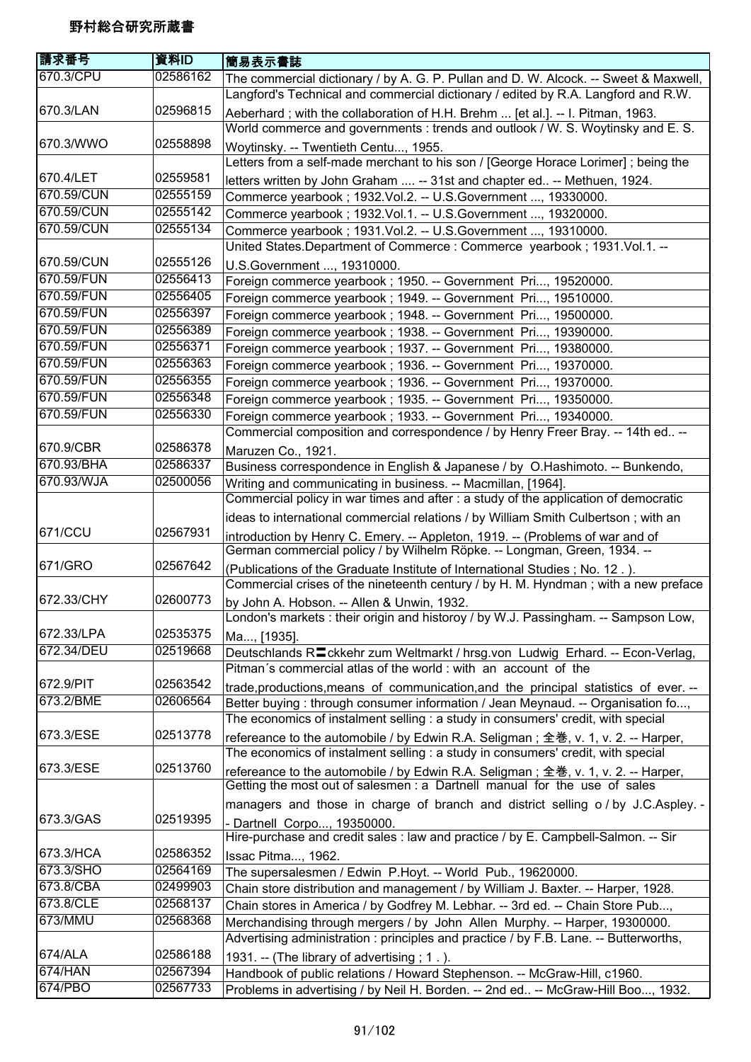| <b>請求番号</b>             | 資料ID                 | 簡易表示書誌                                                                                                                                                            |
|-------------------------|----------------------|-------------------------------------------------------------------------------------------------------------------------------------------------------------------|
| 670.3/CPU               | 02586162             | The commercial dictionary / by A. G. P. Pullan and D. W. Alcock. -- Sweet & Maxwell,                                                                              |
|                         |                      | Langford's Technical and commercial dictionary / edited by R.A. Langford and R.W.                                                                                 |
| 670.3/LAN               | 02596815             | Aeberhard; with the collaboration of H.H. Brehm  [et al.]. -- I. Pitman, 1963.                                                                                    |
|                         |                      | World commerce and governments : trends and outlook / W. S. Woytinsky and E. S.                                                                                   |
| 670.3/WWO               | 02558898             | Woytinsky. -- Twentieth Centu, 1955.                                                                                                                              |
|                         |                      | Letters from a self-made merchant to his son / [George Horace Lorimer]; being the                                                                                 |
| 670.4/LET               | 02559581             | letters written by John Graham  -- 31st and chapter ed -- Methuen, 1924.                                                                                          |
| 670.59/CUN              | 02555159             | Commerce yearbook; 1932.Vol.2. -- U.S.Government , 19330000.                                                                                                      |
| 670.59/CUN              | 02555142             | Commerce yearbook ; 1932.Vol.1. -- U.S.Government , 19320000.                                                                                                     |
| 670.59/CUN              | 02555134             | Commerce yearbook; 1931.Vol.2. -- U.S. Government , 19310000.                                                                                                     |
|                         |                      | United States.Department of Commerce: Commerce yearbook; 1931.Vol.1. --                                                                                           |
| 670.59/CUN              | 02555126             | U.S.Government , 19310000.                                                                                                                                        |
| 670.59/FUN              | 02556413             | Foreign commerce yearbook; 1950. -- Government Pri, 19520000.                                                                                                     |
| 670.59/FUN              | 02556405             | Foreign commerce yearbook; 1949. -- Government Pri, 19510000.                                                                                                     |
| 670.59/FUN              | 02556397             | Foreign commerce yearbook; 1948. -- Government Pri, 19500000.                                                                                                     |
| 670.59/FUN              | 02556389             | Foreign commerce yearbook ; 1938. -- Government Pri, 19390000.                                                                                                    |
| 670.59/FUN              | 02556371             | Foreign commerce yearbook; 1937. -- Government Pri, 19380000.                                                                                                     |
| 670.59/FUN              | 02556363             | Foreign commerce yearbook; 1936. -- Government Pri, 19370000.                                                                                                     |
| 670.59/FUN              | 02556355             | Foreign commerce yearbook; 1936. -- Government Pri, 19370000.                                                                                                     |
| 670.59/FUN              | 02556348<br>02556330 | Foreign commerce yearbook; 1935. -- Government Pri, 19350000.                                                                                                     |
| 670.59/FUN              |                      | Foreign commerce yearbook; 1933. -- Government Pri, 19340000.                                                                                                     |
|                         |                      | Commercial composition and correspondence / by Henry Freer Bray. -- 14th ed --                                                                                    |
| 670.9/CBR<br>670.93/BHA | 02586378<br>02586337 | Maruzen Co., 1921.                                                                                                                                                |
| 670.93/WJA              | 02500056             | Business correspondence in English & Japanese / by O.Hashimoto. -- Bunkendo,                                                                                      |
|                         |                      | Writing and communicating in business. -- Macmillan, [1964].                                                                                                      |
|                         |                      | Commercial policy in war times and after : a study of the application of democratic                                                                               |
| 671/CCU                 | 02567931             | ideas to international commercial relations / by William Smith Culbertson; with an                                                                                |
|                         |                      | introduction by Henry C. Emery. -- Appleton, 1919. -- (Problems of war and of                                                                                     |
| 671/GRO                 | 02567642             | German commercial policy / by Wilhelm Röpke. -- Longman, Green, 1934. --                                                                                          |
|                         |                      | (Publications of the Graduate Institute of International Studies; No. 12.).<br>Commercial crises of the nineteenth century / by H. M. Hyndman; with a new preface |
| 672.33/CHY              | 02600773             |                                                                                                                                                                   |
|                         |                      | by John A. Hobson. -- Allen & Unwin, 1932.<br>London's markets : their origin and historoy / by W.J. Passingham. -- Sampson Low,                                  |
| 672.33/LPA              | 02535375             |                                                                                                                                                                   |
| 672.34/DEU              | 02519668             | Ma, [1935].<br>Deutschlands R <sup>1</sup> ckkehr zum Weltmarkt / hrsg.von Ludwig Erhard. -- Econ-Verlag,                                                         |
|                         |                      | Pitman's commercial atlas of the world : with an account of the                                                                                                   |
| 672.9/PIT               | 02563542             | trade, productions, means of communication, and the principal statistics of ever. --                                                                              |
| 673.2/BME               | 02606564             | Better buying: through consumer information / Jean Meynaud. -- Organisation fo,                                                                                   |
|                         |                      | The economics of instalment selling : a study in consumers' credit, with special                                                                                  |
| 673.3/ESE               | 02513778             | refereance to the automobile / by Edwin R.A. Seligman; 全巻, v. 1, v. 2. -- Harper,                                                                                 |
|                         |                      | The economics of instalment selling : a study in consumers' credit, with special                                                                                  |
| 673.3/ESE               | 02513760             | refereance to the automobile / by Edwin R.A. Seligman; 全巻, v. 1, v. 2. -- Harper,                                                                                 |
|                         |                      | Getting the most out of salesmen : a Dartnell manual for the use of sales                                                                                         |
|                         |                      | managers and those in charge of branch and district selling o/by J.C.Aspley. -                                                                                    |
| 673.3/GAS               | 02519395             | - Dartnell Corpo, 19350000.                                                                                                                                       |
|                         |                      | Hire-purchase and credit sales : law and practice / by E. Campbell-Salmon. -- Sir                                                                                 |
| 673.3/HCA               | 02586352             | Issac Pitma, 1962.                                                                                                                                                |
| 673.3/SHO               | 02564169             | The supersalesmen / Edwin P.Hoyt. -- World Pub., 19620000.                                                                                                        |
| 673.8/CBA               | 02499903             | Chain store distribution and management / by William J. Baxter. -- Harper, 1928.                                                                                  |
| 673.8/CLE               | 02568137             | Chain stores in America / by Godfrey M. Lebhar. -- 3rd ed. -- Chain Store Pub,                                                                                    |
| 673/MMU                 | 02568368             | Merchandising through mergers / by John Allen Murphy. -- Harper, 19300000.                                                                                        |
|                         |                      | Advertising administration: principles and practice / by F.B. Lane. -- Butterworths,                                                                              |
| 674/ALA                 | 02586188             | 1931. -- (The library of advertising; 1.).                                                                                                                        |
| 674/HAN                 | 02567394             | Handbook of public relations / Howard Stephenson. -- McGraw-Hill, c1960.                                                                                          |
| 674/PBO                 | 02567733             | Problems in advertising / by Neil H. Borden. -- 2nd ed -- McGraw-Hill Boo, 1932.                                                                                  |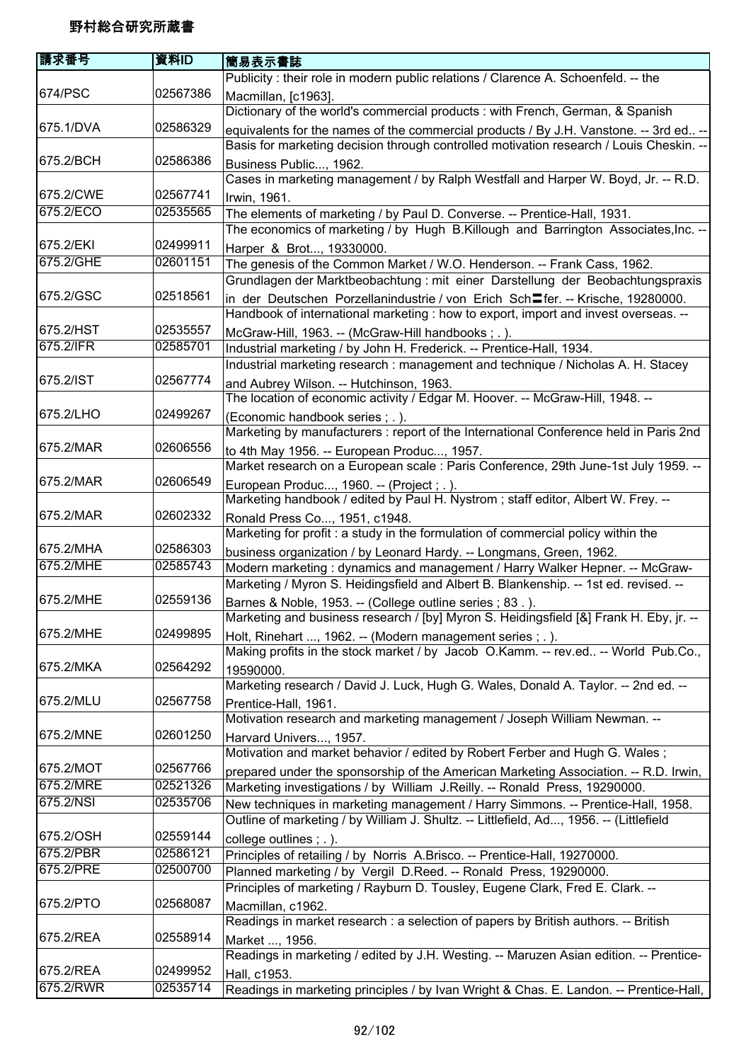| 請求番号      | 資料ID     | 簡易表示書誌                                                                                       |
|-----------|----------|----------------------------------------------------------------------------------------------|
|           |          | Publicity : their role in modern public relations / Clarence A. Schoenfeld. -- the           |
| 674/PSC   | 02567386 | Macmillan, [c1963].                                                                          |
|           |          | Dictionary of the world's commercial products : with French, German, & Spanish               |
| 675.1/DVA | 02586329 | equivalents for the names of the commercial products / By J.H. Vanstone. -- 3rd ed --        |
|           |          | Basis for marketing decision through controlled motivation research / Louis Cheskin. --      |
| 675.2/BCH | 02586386 | Business Public, 1962.                                                                       |
|           |          | Cases in marketing management / by Ralph Westfall and Harper W. Boyd, Jr. -- R.D.            |
| 675.2/CWE | 02567741 | Irwin, 1961.                                                                                 |
| 675.2/ECO | 02535565 | The elements of marketing / by Paul D. Converse. -- Prentice-Hall, 1931.                     |
|           |          | The economics of marketing / by Hugh B.Killough and Barrington Associates, Inc. --           |
| 675.2/EKI | 02499911 | Harper & Brot, 19330000.                                                                     |
| 675.2/GHE | 02601151 | The genesis of the Common Market / W.O. Henderson. -- Frank Cass, 1962.                      |
|           |          | Grundlagen der Marktbeobachtung : mit einer Darstellung der Beobachtungspraxis               |
| 675.2/GSC | 02518561 | in der Deutschen Porzellanindustrie / von Erich Sch <sup>ter</sup> er. -- Krische, 19280000. |
|           |          | Handbook of international marketing : how to export, import and invest overseas. --          |
| 675.2/HST | 02535557 | McGraw-Hill, 1963. -- (McGraw-Hill handbooks; .).                                            |
| 675.2/IFR | 02585701 | Industrial marketing / by John H. Frederick. -- Prentice-Hall, 1934.                         |
|           |          | Industrial marketing research : management and technique / Nicholas A. H. Stacey             |
| 675.2/IST | 02567774 | and Aubrey Wilson. -- Hutchinson, 1963.                                                      |
|           |          | The location of economic activity / Edgar M. Hoover. -- McGraw-Hill, 1948. --                |
| 675.2/LHO | 02499267 | (Economic handbook series ; .).                                                              |
|           |          | Marketing by manufacturers : report of the International Conference held in Paris 2nd        |
| 675.2/MAR | 02606556 | to 4th May 1956. -- European Produc, 1957.                                                   |
|           |          | Market research on a European scale : Paris Conference, 29th June-1st July 1959. --          |
| 675.2/MAR | 02606549 | European Produc, 1960. -- (Project; .).                                                      |
|           |          | Marketing handbook / edited by Paul H. Nystrom; staff editor, Albert W. Frey. --             |
| 675.2/MAR | 02602332 | Ronald Press Co, 1951, c1948.                                                                |
|           |          | Marketing for profit : a study in the formulation of commercial policy within the            |
| 675.2/MHA | 02586303 | business organization / by Leonard Hardy. -- Longmans, Green, 1962.                          |
| 675.2/MHE | 02585743 | Modern marketing: dynamics and management / Harry Walker Hepner. -- McGraw-                  |
|           |          | Marketing / Myron S. Heidingsfield and Albert B. Blankenship. -- 1st ed. revised. --         |
| 675.2/MHE | 02559136 | Barnes & Noble, 1953. -- (College outline series ; 83.).                                     |
|           |          | Marketing and business research / [by] Myron S. Heidingsfield [&] Frank H. Eby, jr. -        |
| 675.2/MHE | 02499895 | Holt, Rinehart , 1962. -- (Modern management series ; .).                                    |
|           |          | Making profits in the stock market / by Jacob O.Kamm. -- rev.ed -- World Pub.Co.,            |
| 675.2/MKA | 02564292 | 19590000.                                                                                    |
|           |          | Marketing research / David J. Luck, Hugh G. Wales, Donald A. Taylor. -- 2nd ed. --           |
| 675.2/MLU | 02567758 | Prentice-Hall, 1961.                                                                         |
|           |          | Motivation research and marketing management / Joseph William Newman. --                     |
| 675.2/MNE | 02601250 | Harvard Univers, 1957.                                                                       |
|           |          | Motivation and market behavior / edited by Robert Ferber and Hugh G. Wales;                  |
| 675.2/MOT | 02567766 | prepared under the sponsorship of the American Marketing Association. -- R.D. Irwin,         |
| 675.2/MRE | 02521326 | Marketing investigations / by William J.Reilly. -- Ronald Press, 19290000.                   |
| 675.2/NSI | 02535706 | New techniques in marketing management / Harry Simmons. -- Prentice-Hall, 1958.              |
|           |          | Outline of marketing / by William J. Shultz. -- Littlefield, Ad, 1956. -- (Littlefield       |
| 675.2/OSH | 02559144 | college outlines; .).                                                                        |
| 675.2/PBR | 02586121 | Principles of retailing / by Norris A.Brisco. -- Prentice-Hall, 19270000.                    |
| 675.2/PRE | 02500700 | Planned marketing / by Vergil D.Reed. -- Ronald Press, 19290000.                             |
|           |          | Principles of marketing / Rayburn D. Tousley, Eugene Clark, Fred E. Clark. --                |
| 675.2/PTO | 02568087 | Macmillan, c1962.                                                                            |
|           |          | Readings in market research : a selection of papers by British authors. -- British           |
| 675.2/REA | 02558914 | Market , 1956.                                                                               |
|           |          | Readings in marketing / edited by J.H. Westing. -- Maruzen Asian edition. -- Prentice-       |
| 675.2/REA | 02499952 | Hall, c1953.                                                                                 |
| 675.2/RWR | 02535714 | Readings in marketing principles / by Ivan Wright & Chas. E. Landon. -- Prentice-Hall,       |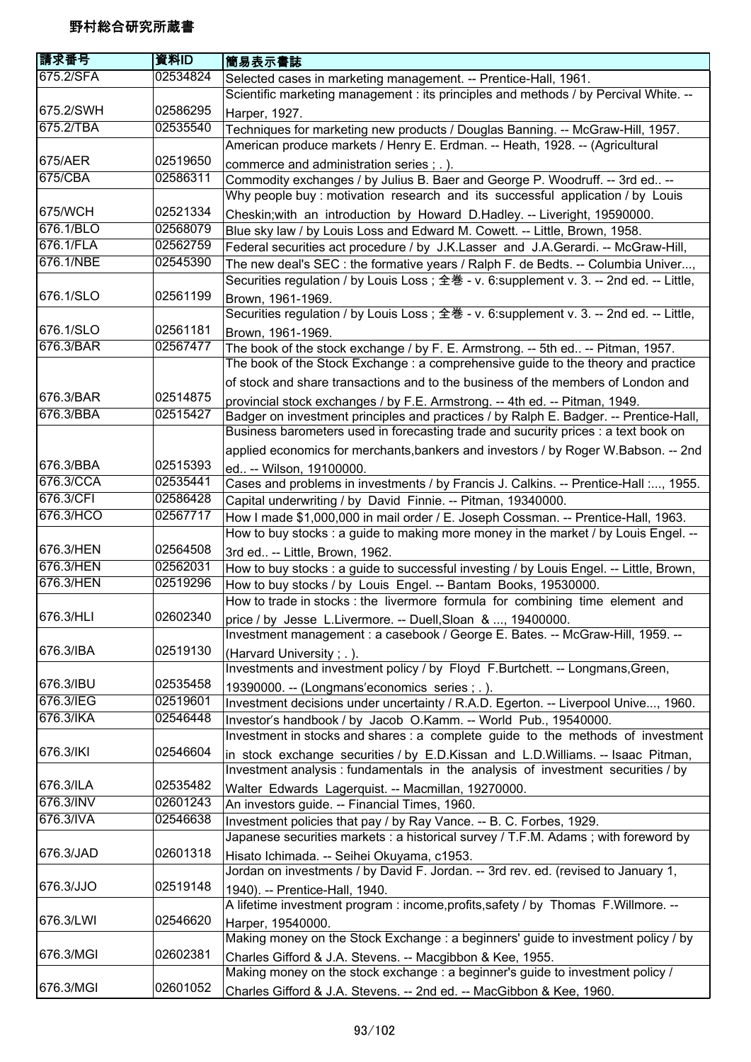| 請求番号      | 資料ID     | 簡易表示書誌                                                                                  |
|-----------|----------|-----------------------------------------------------------------------------------------|
| 675.2/SFA | 02534824 | Selected cases in marketing management. -- Prentice-Hall, 1961.                         |
|           |          | Scientific marketing management : its principles and methods / by Percival White. --    |
| 675.2/SWH | 02586295 | Harper, 1927.                                                                           |
| 675.2/TBA | 02535540 | Techniques for marketing new products / Douglas Banning. -- McGraw-Hill, 1957.          |
|           |          | American produce markets / Henry E. Erdman. -- Heath, 1928. -- (Agricultural            |
| 675/AER   | 02519650 | commerce and administration series; .).                                                 |
| 675/CBA   | 02586311 | Commodity exchanges / by Julius B. Baer and George P. Woodruff. -- 3rd ed --            |
|           |          | Why people buy : motivation research and its successful application / by Louis          |
| 675/WCH   | 02521334 | Cheskin; with an introduction by Howard D.Hadley. -- Liveright, 19590000.               |
| 676.1/BLO | 02568079 | Blue sky law / by Louis Loss and Edward M. Cowett. -- Little, Brown, 1958.              |
| 676.1/FLA | 02562759 | Federal securities act procedure / by J.K.Lasser and J.A.Gerardi. -- McGraw-Hill,       |
| 676.1/NBE | 02545390 | The new deal's SEC: the formative years / Ralph F. de Bedts. -- Columbia Univer,        |
|           |          | Securities regulation / by Louis Loss; 全巻 - v. 6:supplement v. 3. -- 2nd ed. -- Little, |
| 676.1/SLO | 02561199 | Brown, 1961-1969.                                                                       |
|           |          | Securities regulation / by Louis Loss; 全巻 - v. 6:supplement v. 3. -- 2nd ed. -- Little, |
| 676.1/SLO | 02561181 | Brown, 1961-1969.                                                                       |
| 676.3/BAR | 02567477 | The book of the stock exchange / by F. E. Armstrong. -- 5th ed -- Pitman, 1957.         |
|           |          | The book of the Stock Exchange: a comprehensive guide to the theory and practice        |
|           |          | of stock and share transactions and to the business of the members of London and        |
| 676.3/BAR | 02514875 | provincial stock exchanges / by F.E. Armstrong. -- 4th ed. -- Pitman, 1949.             |
| 676.3/BBA | 02515427 | Badger on investment principles and practices / by Ralph E. Badger. -- Prentice-Hall,   |
|           |          | Business barometers used in forecasting trade and sucurity prices : a text book on      |
|           |          | applied economics for merchants, bankers and investors / by Roger W.Babson. -- 2nd      |
| 676.3/BBA | 02515393 | ed -- Wilson, 19100000.                                                                 |
| 676.3/CCA | 02535441 | Cases and problems in investments / by Francis J. Calkins. -- Prentice-Hall :, 1955.    |
| 676.3/CFI | 02586428 | Capital underwriting / by David Finnie. -- Pitman, 19340000.                            |
| 676.3/HCO | 02567717 | How I made \$1,000,000 in mail order / E. Joseph Cossman. -- Prentice-Hall, 1963.       |
|           |          | How to buy stocks : a guide to making more money in the market / by Louis Engel. --     |
| 676.3/HEN | 02564508 | 3rd ed -- Little, Brown, 1962.                                                          |
| 676.3/HEN | 02562031 | How to buy stocks : a guide to successful investing / by Louis Engel. -- Little, Brown, |
| 676.3/HEN | 02519296 | How to buy stocks / by Louis Engel. -- Bantam Books, 19530000.                          |
|           |          | How to trade in stocks : the livermore formula for combining time element and           |
| 676.3/HLI | 02602340 | price / by Jesse L.Livermore. -- Duell, Sloan & , 19400000.                             |
|           |          | Investment management : a casebook / George E. Bates. -- McGraw-Hill, 1959. --          |
| 676.3/IBA | 02519130 | (Harvard University; .).                                                                |
|           |          | Investments and investment policy / by Floyd F.Burtchett. -- Longmans, Green,           |
| 676.3/IBU | 02535458 | 19390000. -- (Longmans'economics series; .).                                            |
| 676.3/IEG | 02519601 | Investment decisions under uncertainty / R.A.D. Egerton. -- Liverpool Unive, 1960.      |
| 676.3/IKA | 02546448 | Investor's handbook / by Jacob O.Kamm. -- World Pub., 19540000.                         |
|           |          | Investment in stocks and shares : a complete guide to the methods of investment         |
| 676.3/IKI | 02546604 | in stock exchange securities / by E.D.Kissan and L.D.Williams. -- Isaac Pitman,         |
|           |          | Investment analysis: fundamentals in the analysis of investment securities / by         |
| 676.3/ILA | 02535482 | Walter Edwards Lagerquist. -- Macmillan, 19270000.                                      |
| 676.3/INV | 02601243 | An investors guide. -- Financial Times, 1960.                                           |
| 676.3/IVA | 02546638 | Investment policies that pay / by Ray Vance. -- B. C. Forbes, 1929.                     |
|           |          | Japanese securities markets : a historical survey / T.F.M. Adams ; with foreword by     |
| 676.3/JAD | 02601318 | Hisato Ichimada. -- Seihei Okuyama, c1953.                                              |
|           |          | Jordan on investments / by David F. Jordan. -- 3rd rev. ed. (revised to January 1,      |
| 676.3/JJO | 02519148 | 1940). -- Prentice-Hall, 1940.                                                          |
|           |          | A lifetime investment program : income, profits, safety / by Thomas F. Willmore. --     |
| 676.3/LWI | 02546620 | Harper, 19540000.                                                                       |
|           |          | Making money on the Stock Exchange : a beginners' guide to investment policy / by       |
| 676.3/MGI | 02602381 | Charles Gifford & J.A. Stevens. -- Macgibbon & Kee, 1955.                               |
|           |          | Making money on the stock exchange : a beginner's guide to investment policy /          |
| 676.3/MGI | 02601052 | Charles Gifford & J.A. Stevens. -- 2nd ed. -- MacGibbon & Kee, 1960.                    |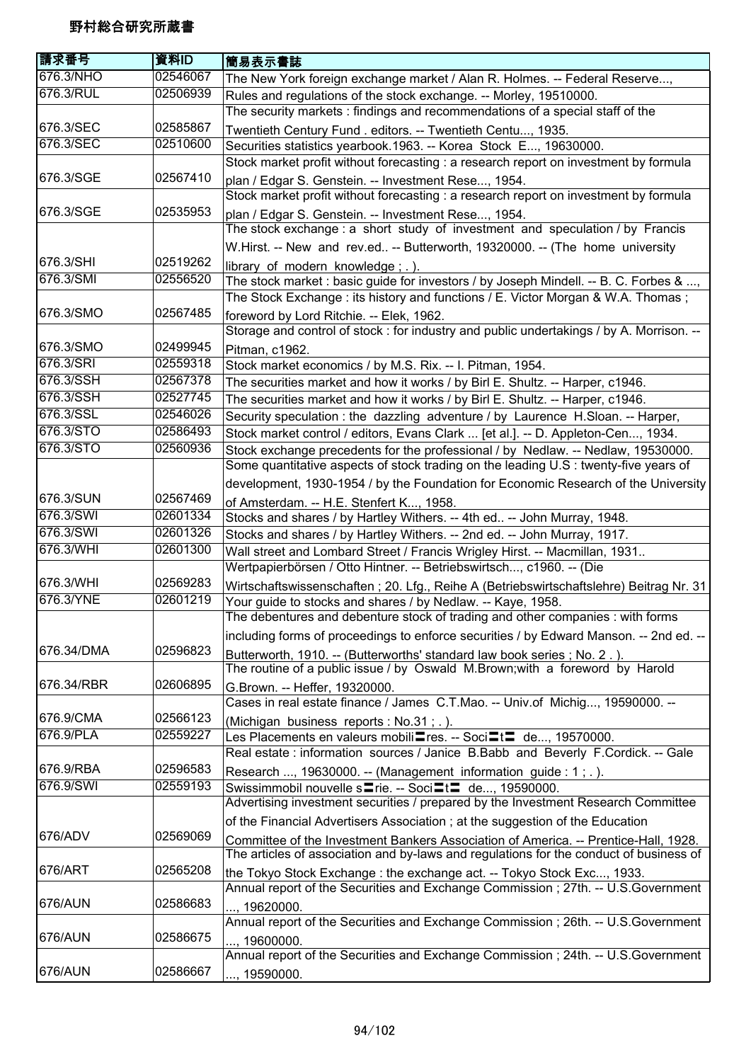| 請求番号       | 資料ID     | 簡易表示書誌                                                                                          |
|------------|----------|-------------------------------------------------------------------------------------------------|
| 676.3/NHO  | 02546067 | The New York foreign exchange market / Alan R. Holmes. -- Federal Reserve,                      |
| 676.3/RUL  | 02506939 | Rules and regulations of the stock exchange. -- Morley, 19510000.                               |
|            |          | The security markets: findings and recommendations of a special staff of the                    |
| 676.3/SEC  | 02585867 | Twentieth Century Fund . editors. -- Twentieth Centu, 1935.                                     |
| 676.3/SEC  | 02510600 | Securities statistics yearbook.1963. -- Korea Stock E, 19630000.                                |
|            |          | Stock market profit without forecasting : a research report on investment by formula            |
| 676.3/SGE  | 02567410 | plan / Edgar S. Genstein. -- Investment Rese, 1954.                                             |
|            |          | Stock market profit without forecasting : a research report on investment by formula            |
| 676.3/SGE  | 02535953 | plan / Edgar S. Genstein. -- Investment Rese, 1954.                                             |
|            |          | The stock exchange : a short study of investment and speculation / by Francis                   |
|            |          | W.Hirst. -- New and rev.ed -- Butterworth, 19320000. -- (The home university                    |
| 676.3/SHI  | 02519262 | library of modern knowledge; .).                                                                |
| 676.3/SMI  | 02556520 | The stock market : basic guide for investors / by Joseph Mindell. -- B. C. Forbes & ,           |
|            |          | The Stock Exchange : its history and functions / E. Victor Morgan & W.A. Thomas ;               |
| 676.3/SMO  | 02567485 | foreword by Lord Ritchie. -- Elek, 1962.                                                        |
|            |          | Storage and control of stock : for industry and public undertakings / by A. Morrison. --        |
| 676.3/SMO  | 02499945 | Pitman, c1962.                                                                                  |
| 676.3/SRI  | 02559318 | Stock market economics / by M.S. Rix. -- I. Pitman, 1954.                                       |
| 676.3/SSH  | 02567378 | The securities market and how it works / by Birl E. Shultz. -- Harper, c1946.                   |
| 676.3/SSH  | 02527745 | The securities market and how it works / by Birl E. Shultz. -- Harper, c1946.                   |
| 676.3/SSL  | 02546026 | Security speculation: the dazzling adventure / by Laurence H.Sloan. -- Harper,                  |
| 676.3/STO  | 02586493 | Stock market control / editors, Evans Clark  [et al.]. -- D. Appleton-Cen, 1934.                |
| 676.3/STO  | 02560936 | Stock exchange precedents for the professional / by Nedlaw. -- Nedlaw, 19530000.                |
|            |          | Some quantitative aspects of stock trading on the leading U.S : twenty-five years of            |
|            |          | development, 1930-1954 / by the Foundation for Economic Research of the University              |
| 676.3/SUN  | 02567469 | of Amsterdam. -- H.E. Stenfert K, 1958.                                                         |
| 676.3/SWI  | 02601334 | Stocks and shares / by Hartley Withers. -- 4th ed -- John Murray, 1948.                         |
| 676.3/SWI  | 02601326 | Stocks and shares / by Hartley Withers. -- 2nd ed. -- John Murray, 1917.                        |
| 676.3/WHI  | 02601300 | Wall street and Lombard Street / Francis Wrigley Hirst. -- Macmillan, 1931                      |
|            |          | Wertpapierbörsen / Otto Hintner. -- Betriebswirtsch, c1960. -- (Die                             |
| 676.3/WHI  | 02569283 | Wirtschaftswissenschaften; 20. Lfg., Reihe A (Betriebswirtschaftslehre) Beitrag Nr. 31          |
| 676.3/YNE  | 02601219 | Your guide to stocks and shares / by Nedlaw. -- Kaye, 1958.                                     |
|            |          | The debentures and debenture stock of trading and other companies : with forms                  |
|            |          | including forms of proceedings to enforce securities / by Edward Manson. -- 2nd ed. --          |
| 676.34/DMA | 02596823 | Butterworth, 1910. -- (Butterworths' standard law book series; No. 2.).                         |
|            |          | The routine of a public issue / by Oswald M.Brown;with a foreword by Harold                     |
| 676.34/RBR | 02606895 | G.Brown. -- Heffer, 19320000.                                                                   |
|            |          | Cases in real estate finance / James C.T.Mao. -- Univ.of Michig, 19590000. --                   |
| 676.9/CMA  | 02566123 | (Michigan business reports: No.31; .).                                                          |
| 676.9/PLA  | 02559227 | Les Placements en valeurs mobili≣res. -- Soci≡t≡ de, 19570000.                                  |
|            |          | Real estate : information sources / Janice B.Babb and Beverly F.Cordick. -- Gale                |
| 676.9/RBA  | 02596583 | Research , 19630000. -- (Management information guide : 1; .).                                  |
| 676.9/SWI  | 02559193 | Swissimmobil nouvelle s <sup>-</sup> rie. -- Soci <sup>-1</sup> de, 19590000.                   |
|            |          | Advertising investment securities / prepared by the Investment Research Committee               |
| 676/ADV    | 02569069 | of the Financial Advertisers Association; at the suggestion of the Education                    |
|            |          | Committee of the Investment Bankers Association of America. -- Prentice-Hall, 1928.             |
|            | 02565208 | The articles of association and by-laws and regulations for the conduct of business of          |
| 676/ART    |          | the Tokyo Stock Exchange: the exchange act. -- Tokyo Stock Exc, 1933.                           |
| 676/AUN    | 02586683 | Annual report of the Securities and Exchange Commission; 27th. -- U.S.Government                |
|            |          | , 19620000.                                                                                     |
| 676/AUN    | 02586675 | Annual report of the Securities and Exchange Commission; 26th. -- U.S.Government                |
|            |          | , 19600000.<br>Annual report of the Securities and Exchange Commission; 24th. -- U.S.Government |
| 676/AUN    | 02586667 |                                                                                                 |
|            |          | , 19590000.                                                                                     |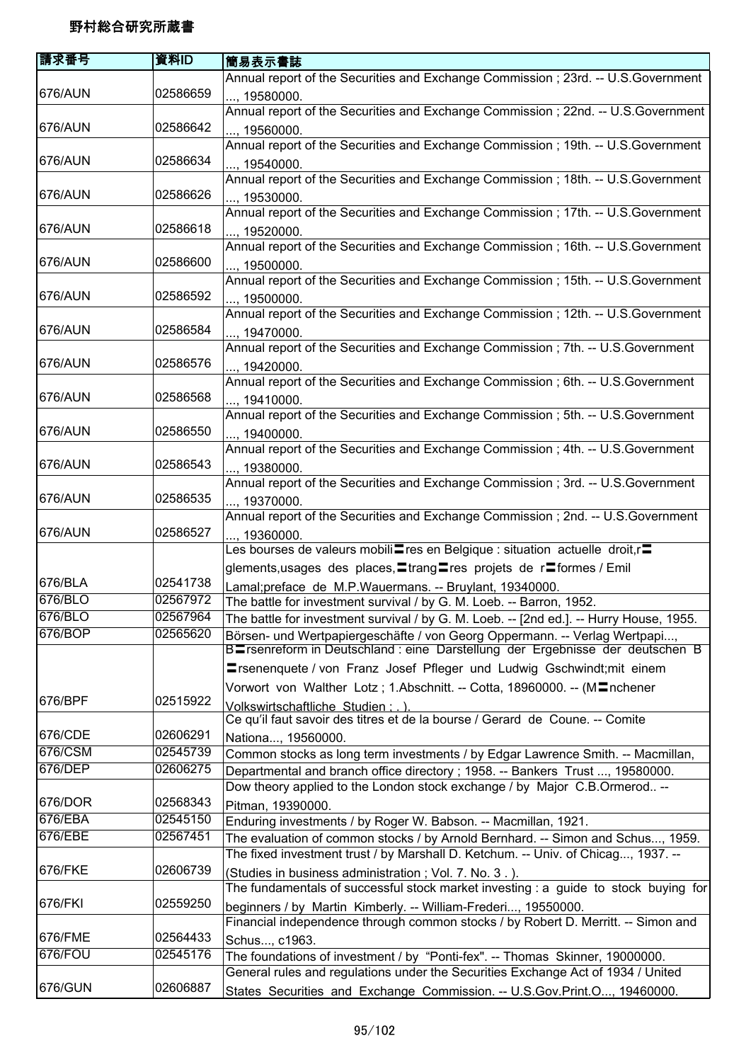| 請求番号               | 資料ID                 | 簡易表示書誌                                                                                                                                            |
|--------------------|----------------------|---------------------------------------------------------------------------------------------------------------------------------------------------|
|                    |                      | Annual report of the Securities and Exchange Commission; 23rd. -- U.S.Government                                                                  |
| 676/AUN            | 02586659             | , 19580000.                                                                                                                                       |
|                    |                      | Annual report of the Securities and Exchange Commission ; 22nd. -- U.S.Government                                                                 |
| 676/AUN            | 02586642             | , 19560000.                                                                                                                                       |
|                    |                      | Annual report of the Securities and Exchange Commission; 19th. -- U.S.Government                                                                  |
| 676/AUN            | 02586634             | , 19540000.                                                                                                                                       |
|                    |                      | Annual report of the Securities and Exchange Commission; 18th. -- U.S.Government                                                                  |
| 676/AUN            | 02586626             | , 19530000.                                                                                                                                       |
|                    |                      | Annual report of the Securities and Exchange Commission; 17th. -- U.S.Government                                                                  |
| 676/AUN            | 02586618             | , 19520000.                                                                                                                                       |
|                    |                      | Annual report of the Securities and Exchange Commission; 16th. -- U.S.Government                                                                  |
| 676/AUN            | 02586600             | , 19500000.                                                                                                                                       |
|                    |                      | Annual report of the Securities and Exchange Commission; 15th. -- U.S.Government                                                                  |
| 676/AUN            | 02586592             | , 19500000.                                                                                                                                       |
|                    |                      | Annual report of the Securities and Exchange Commission; 12th. -- U.S.Government                                                                  |
| 676/AUN            | 02586584             | , 19470000.                                                                                                                                       |
|                    |                      | Annual report of the Securities and Exchange Commission; 7th. -- U.S.Government                                                                   |
| 676/AUN            | 02586576             | , 19420000.                                                                                                                                       |
|                    |                      | Annual report of the Securities and Exchange Commission; 6th. -- U.S. Government                                                                  |
| 676/AUN            | 02586568             | , 19410000.                                                                                                                                       |
| 676/AUN            | 02586550             | Annual report of the Securities and Exchange Commission; 5th. -- U.S.Government                                                                   |
|                    |                      | , 19400000.<br>Annual report of the Securities and Exchange Commission; 4th. -- U.S.Government                                                    |
| 676/AUN            | 02586543             |                                                                                                                                                   |
|                    |                      | , 19380000.<br>Annual report of the Securities and Exchange Commission ; 3rd. -- U.S. Government                                                  |
| 676/AUN            | 02586535             | , 19370000.                                                                                                                                       |
|                    |                      | Annual report of the Securities and Exchange Commission ; 2nd. -- U.S.Government                                                                  |
| 676/AUN            | 02586527             | , 19360000.                                                                                                                                       |
|                    |                      | Les bourses de valeurs mobili res en Belgique : situation actuelle droit,r =                                                                      |
|                    |                      | glements, usages des places, Etrang Eres projets de rEformes / Emil                                                                               |
| 676/BLA            | 02541738             | Lamal;preface de M.P.Wauermans. -- Bruylant, 19340000.                                                                                            |
| 676/BLO            | 02567972             | The battle for investment survival / by G. M. Loeb. -- Barron, 1952.                                                                              |
| 676/BLO            | 02567964             | The battle for investment survival / by G. M. Loeb. -- [2nd ed.]. -- Hurry House, 1955.                                                           |
| 676/BOP            | 02565620             | Börsen- und Wertpapiergeschäfte / von Georg Oppermann. -- Verlag Wertpapi,                                                                        |
|                    |                      | B=rsenreform in Deutschland : eine Darstellung der Ergebnisse der deutschen B                                                                     |
|                    |                      | <b>Einsenenquete / von Franz Josef Pfleger und Ludwig Gschwindt; mit einem</b>                                                                    |
|                    |                      | Vorwort von Walther Lotz; 1.Abschnitt. -- Cotta, 18960000. -- (MInchener                                                                          |
| 676/BPF            | 02515922             | Volkswirtschaftliche Studien : . ).                                                                                                               |
|                    |                      | Ce qu'il faut savoir des titres et de la bourse / Gerard de Coune. -- Comite                                                                      |
| 676/CDE<br>676/CSM | 02606291<br>02545739 | Nationa, 19560000.                                                                                                                                |
| 676/DEP            | 02606275             | Common stocks as long term investments / by Edgar Lawrence Smith. -- Macmillan,                                                                   |
|                    |                      | Departmental and branch office directory ; 1958. -- Bankers Trust , 19580000.                                                                     |
| 676/DOR            | 02568343             | Dow theory applied to the London stock exchange / by Major C.B.Ormerod --                                                                         |
| 676/EBA            | 02545150             | Pitman, 19390000.                                                                                                                                 |
| 676/EBE            | 02567451             | Enduring investments / by Roger W. Babson. -- Macmillan, 1921.<br>The evaluation of common stocks / by Arnold Bernhard. -- Simon and Schus, 1959. |
|                    |                      | The fixed investment trust / by Marshall D. Ketchum. -- Univ. of Chicag, 1937. --                                                                 |
| 676/FKE            | 02606739             | (Studies in business administration; Vol. 7. No. 3.).                                                                                             |
|                    |                      | The fundamentals of successful stock market investing : a guide to stock buying for                                                               |
| 676/FKI            | 02559250             | beginners / by Martin Kimberly. -- William-Frederi, 19550000.                                                                                     |
|                    |                      | Financial independence through common stocks / by Robert D. Merritt. -- Simon and                                                                 |
| 676/FME            | 02564433             | Schus, c1963.                                                                                                                                     |
| 676/FOU            | 02545176             | The foundations of investment / by "Ponti-fex". -- Thomas Skinner, 19000000.                                                                      |
|                    |                      | General rules and regulations under the Securities Exchange Act of 1934 / United                                                                  |
| 676/GUN            | 02606887             | States Securities and Exchange Commission. -- U.S.Gov.Print.O, 19460000.                                                                          |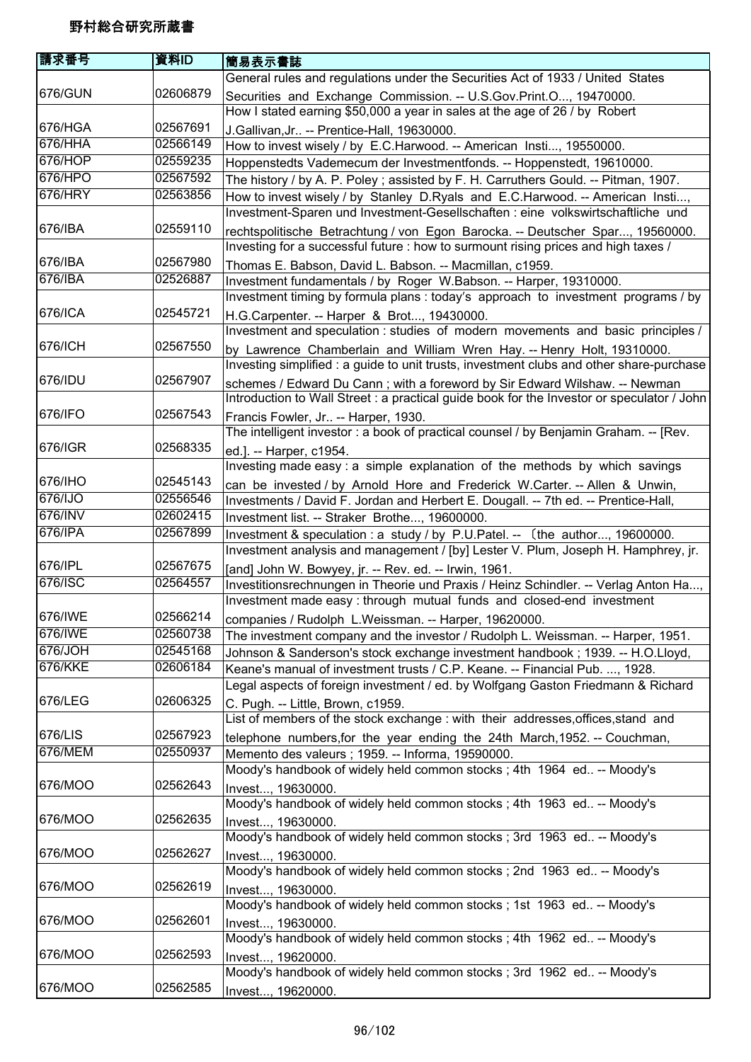| 請求番号           | 資料ID     | 簡易表示書誌                                                                                                                                                                   |
|----------------|----------|--------------------------------------------------------------------------------------------------------------------------------------------------------------------------|
|                |          | General rules and regulations under the Securities Act of 1933 / United States                                                                                           |
| 676/GUN        | 02606879 | Securities and Exchange Commission. -- U.S.Gov.Print.O, 19470000.<br>How I stated earning \$50,000 a year in sales at the age of 26 / by Robert                          |
| 676/HGA        | 02567691 | J.Gallivan, Jr -- Prentice-Hall, 19630000.                                                                                                                               |
| 676/HHA        | 02566149 | How to invest wisely / by E.C.Harwood. -- American Insti, 19550000.                                                                                                      |
| 676/HOP        | 02559235 | Hoppenstedts Vademecum der Investmentfonds. -- Hoppenstedt, 19610000.                                                                                                    |
| 676/HPO        | 02567592 | The history / by A. P. Poley; assisted by F. H. Carruthers Gould. -- Pitman, 1907.                                                                                       |
| 676/HRY        | 02563856 | How to invest wisely / by Stanley D.Ryals and E.C.Harwood. -- American Insti,                                                                                            |
|                |          | Investment-Sparen und Investment-Gesellschaften : eine volkswirtschaftliche und                                                                                          |
| 676/IBA        | 02559110 | rechtspolitische Betrachtung / von Egon Barocka. -- Deutscher Spar, 19560000.<br>Investing for a successful future : how to surmount rising prices and high taxes /      |
| 676/IBA        | 02567980 | Thomas E. Babson, David L. Babson. -- Macmillan, c1959.                                                                                                                  |
| 676/IBA        | 02526887 | Investment fundamentals / by Roger W.Babson. -- Harper, 19310000.                                                                                                        |
| 676/ICA        | 02545721 | Investment timing by formula plans: today's approach to investment programs / by<br>H.G.Carpenter. -- Harper & Brot, 19430000.                                           |
|                |          | Investment and speculation : studies of modern movements and basic principles /                                                                                          |
| 676/ICH        | 02567550 | by Lawrence Chamberlain and William Wren Hay. -- Henry Holt, 19310000.                                                                                                   |
|                |          | Investing simplified : a guide to unit trusts, investment clubs and other share-purchase                                                                                 |
| 676/IDU        | 02567907 | schemes / Edward Du Cann; with a foreword by Sir Edward Wilshaw. -- Newman<br>Introduction to Wall Street : a practical guide book for the Investor or speculator / John |
| 676/IFO        | 02567543 | Francis Fowler, Jr -- Harper, 1930.                                                                                                                                      |
|                |          | The intelligent investor : a book of practical counsel / by Benjamin Graham. -- [Rev.                                                                                    |
| 676/IGR        | 02568335 | ed.]. -- Harper, c1954.<br>Investing made easy: a simple explanation of the methods by which savings                                                                     |
| 676/IHO        | 02545143 | can be invested / by Arnold Hore and Frederick W.Carter. -- Allen & Unwin,                                                                                               |
| 676/IJO        | 02556546 | Investments / David F. Jordan and Herbert E. Dougall. -- 7th ed. -- Prentice-Hall,                                                                                       |
| 676/INV        | 02602415 | Investment list. -- Straker Brothe, 19600000.                                                                                                                            |
| 676/IPA        | 02567899 | Investment & speculation : a study / by P.U.Patel. -- (the author, 19600000.                                                                                             |
|                |          | Investment analysis and management / [by] Lester V. Plum, Joseph H. Hamphrey, jr.                                                                                        |
| 676/IPL        | 02567675 | [and] John W. Bowyey, jr. -- Rev. ed. -- Irwin, 1961.                                                                                                                    |
| 676/ISC        | 02564557 | Investitionsrechnungen in Theorie und Praxis / Heinz Schindler. -- Verlag Anton Ha,                                                                                      |
|                |          | Investment made easy : through mutual funds and closed-end investment                                                                                                    |
| 676/IWE        | 02566214 | companies / Rudolph L.Weissman. -- Harper, 19620000.                                                                                                                     |
| 676/IWE        | 02560738 | The investment company and the investor / Rudolph L. Weissman. -- Harper, 1951.                                                                                          |
| 676/JOH        | 02545168 | Johnson & Sanderson's stock exchange investment handbook ; 1939. -- H.O.Lloyd,                                                                                           |
| <b>676/KKE</b> | 02606184 | Keane's manual of investment trusts / C.P. Keane. -- Financial Pub. , 1928.                                                                                              |
| 676/LEG        | 02606325 | Legal aspects of foreign investment / ed. by Wolfgang Gaston Friedmann & Richard                                                                                         |
|                |          | C. Pugh. -- Little, Brown, c1959.                                                                                                                                        |
| 676/LIS        | 02567923 | List of members of the stock exchange : with their addresses, offices, stand and                                                                                         |
| 676/MEM        | 02550937 | telephone numbers, for the year ending the 24th March, 1952. -- Couchman,                                                                                                |
|                |          | Memento des valeurs ; 1959. -- Informa, 19590000.                                                                                                                        |
| 676/MOO        | 02562643 | Moody's handbook of widely held common stocks ; 4th 1964 ed -- Moody's<br>Invest, 19630000.                                                                              |
| 676/MOO        | 02562635 | Moody's handbook of widely held common stocks; 4th 1963 ed -- Moody's<br>Invest, 19630000.                                                                               |
|                |          | Moody's handbook of widely held common stocks; 3rd 1963 ed -- Moody's                                                                                                    |
| 676/MOO        | 02562627 | Invest, 19630000.                                                                                                                                                        |
|                |          | Moody's handbook of widely held common stocks; 2nd 1963 ed -- Moody's                                                                                                    |
| 676/MOO        | 02562619 | Invest, 19630000.                                                                                                                                                        |
|                |          | Moody's handbook of widely held common stocks; 1st 1963 ed -- Moody's                                                                                                    |
| 676/MOO        | 02562601 | Invest, 19630000.                                                                                                                                                        |
|                |          | Moody's handbook of widely held common stocks; 4th 1962 ed -- Moody's                                                                                                    |
| 676/MOO        | 02562593 | Invest, 19620000.                                                                                                                                                        |
|                |          | Moody's handbook of widely held common stocks; 3rd 1962 ed -- Moody's                                                                                                    |
| 676/MOO        | 02562585 | Invest, 19620000.                                                                                                                                                        |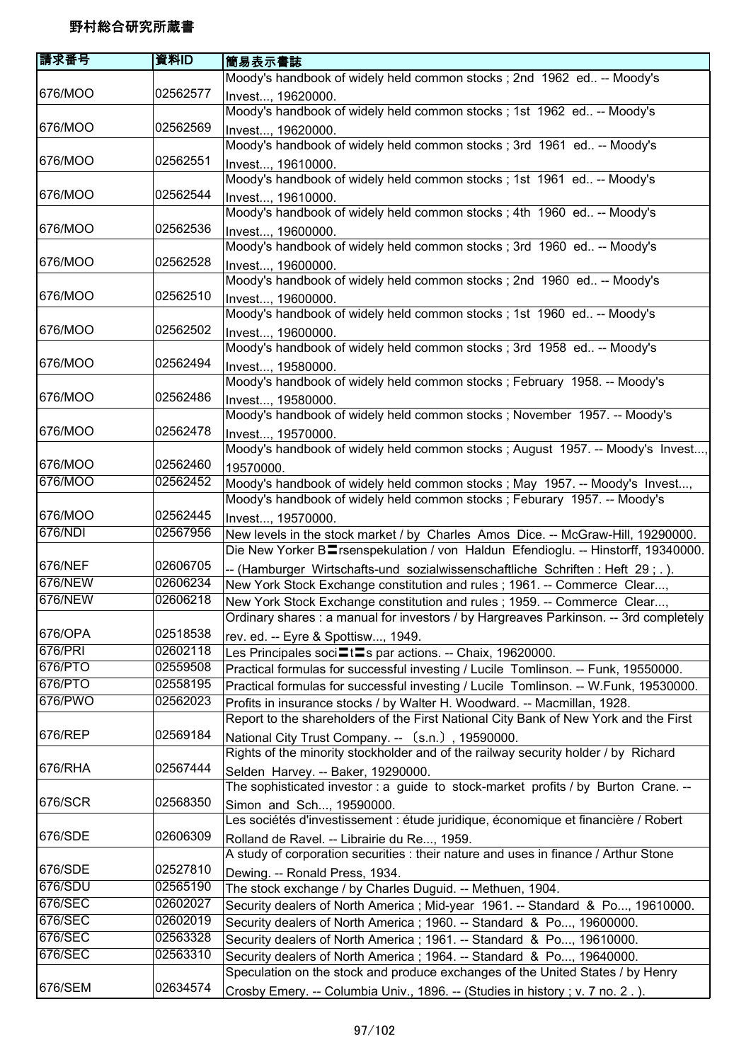| 請求番号    | 資料ID     | 簡易表示書誌                                                                                         |
|---------|----------|------------------------------------------------------------------------------------------------|
|         |          | Moody's handbook of widely held common stocks ; 2nd 1962 ed -- Moody's                         |
| 676/MOO | 02562577 | Invest, 19620000.                                                                              |
|         |          | Moody's handbook of widely held common stocks; 1st 1962 ed -- Moody's                          |
| 676/MOO | 02562569 | Invest, 19620000.                                                                              |
|         |          | Moody's handbook of widely held common stocks; 3rd 1961 ed -- Moody's                          |
| 676/MOO | 02562551 | Invest, 19610000.                                                                              |
|         |          | Moody's handbook of widely held common stocks; 1st 1961 ed -- Moody's                          |
| 676/MOO | 02562544 | Invest, 19610000.                                                                              |
|         |          | Moody's handbook of widely held common stocks ; 4th 1960 ed -- Moody's                         |
| 676/MOO | 02562536 | Invest, 19600000.                                                                              |
|         |          | Moody's handbook of widely held common stocks; 3rd 1960 ed -- Moody's                          |
| 676/MOO | 02562528 | Invest, 19600000.                                                                              |
|         |          | Moody's handbook of widely held common stocks; 2nd 1960 ed -- Moody's                          |
| 676/MOO | 02562510 | Invest, 19600000.                                                                              |
|         |          | Moody's handbook of widely held common stocks; 1st 1960 ed -- Moody's                          |
| 676/MOO | 02562502 | Invest, 19600000.                                                                              |
|         |          | Moody's handbook of widely held common stocks; 3rd 1958 ed -- Moody's                          |
| 676/MOO | 02562494 | Invest, 19580000.                                                                              |
|         |          | Moody's handbook of widely held common stocks; February 1958. -- Moody's                       |
| 676/MOO | 02562486 | Invest, 19580000.                                                                              |
|         |          | Moody's handbook of widely held common stocks; November 1957. -- Moody's                       |
| 676/MOO | 02562478 | Invest, 19570000.                                                                              |
|         |          | Moody's handbook of widely held common stocks; August 1957. -- Moody's Invest,                 |
| 676/MOO | 02562460 | 19570000.                                                                                      |
| 676/MOO | 02562452 | Moody's handbook of widely held common stocks; May 1957. -- Moody's Invest,                    |
|         |          | Moody's handbook of widely held common stocks; Feburary 1957. -- Moody's                       |
| 676/MOO | 02562445 | Invest, 19570000.                                                                              |
| 676/NDI | 02567956 | New levels in the stock market / by Charles Amos Dice. -- McGraw-Hill, 19290000.               |
|         |          | Die New Yorker B <sup>T</sup> rsenspekulation / von Haldun Efendioglu. -- Hinstorff, 19340000. |
| 676/NEF | 02606705 | -- (Hamburger Wirtschafts-und sozialwissenschaftliche Schriften: Heft 29; .).                  |
| 676/NEW | 02606234 | New York Stock Exchange constitution and rules; 1961. -- Commerce Clear,                       |
| 676/NEW | 02606218 | New York Stock Exchange constitution and rules ; 1959. -- Commerce Clear,                      |
|         |          | Ordinary shares : a manual for investors / by Hargreaves Parkinson. -- 3rd completely          |
| 676/OPA | 02518538 | rev. ed. -- Eyre & Spottisw, 1949.                                                             |
| 676/PRI | 02602118 | Les Principales soci $\blacksquare$ t $\blacksquare$ s par actions. -- Chaix, 19620000.        |
| 676/PTO | 02559508 | Practical formulas for successful investing / Lucile Tomlinson. -- Funk, 19550000.             |
| 676/PTO | 02558195 | Practical formulas for successful investing / Lucile Tomlinson. -- W.Funk, 19530000.           |
| 676/PWO | 02562023 | Profits in insurance stocks / by Walter H. Woodward. -- Macmillan, 1928.                       |
|         |          | Report to the shareholders of the First National City Bank of New York and the First           |
| 676/REP | 02569184 | National City Trust Company. -- (s.n.), 19590000.                                              |
|         |          | Rights of the minority stockholder and of the railway security holder / by Richard             |
| 676/RHA | 02567444 | Selden Harvey. -- Baker, 19290000.                                                             |
|         |          | The sophisticated investor: a guide to stock-market profits / by Burton Crane. --              |
| 676/SCR | 02568350 | Simon and Sch, 19590000.                                                                       |
|         |          | Les sociétés d'investissement : étude juridique, économique et financière / Robert             |
| 676/SDE | 02606309 | Rolland de Ravel. -- Librairie du Re, 1959.                                                    |
|         |          | A study of corporation securities : their nature and uses in finance / Arthur Stone            |
| 676/SDE | 02527810 | Dewing. -- Ronald Press, 1934.                                                                 |
| 676/SDU | 02565190 | The stock exchange / by Charles Duguid. -- Methuen, 1904.                                      |
| 676/SEC | 02602027 | Security dealers of North America ; Mid-year 1961. -- Standard & Po, 19610000.                 |
| 676/SEC | 02602019 | Security dealers of North America; 1960. -- Standard & Po, 19600000.                           |
| 676/SEC | 02563328 | Security dealers of North America; 1961. -- Standard & Po, 19610000.                           |
| 676/SEC | 02563310 | Security dealers of North America; 1964. -- Standard & Po, 19640000.                           |
|         |          | Speculation on the stock and produce exchanges of the United States / by Henry                 |
| 676/SEM | 02634574 | Crosby Emery. -- Columbia Univ., 1896. -- (Studies in history ; v. 7 no. 2.).                  |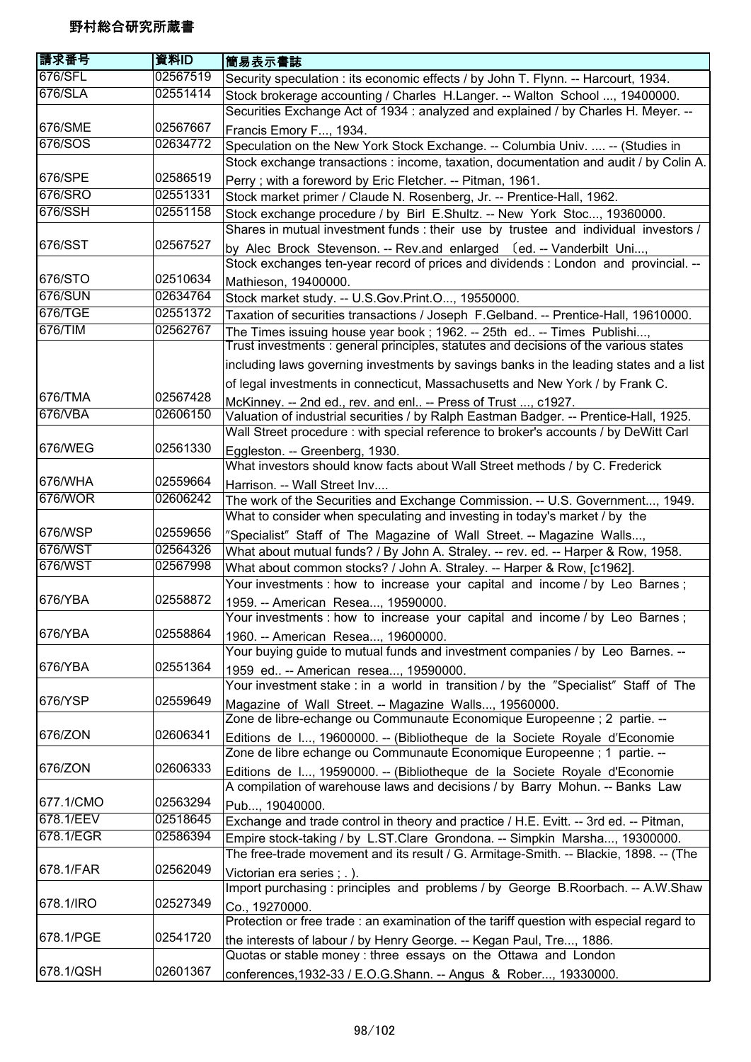| 請求番号      | 資料ID     | 簡易表示書誌                                                                                                                                                                        |
|-----------|----------|-------------------------------------------------------------------------------------------------------------------------------------------------------------------------------|
| 676/SFL   | 02567519 | Security speculation : its economic effects / by John T. Flynn. -- Harcourt, 1934.                                                                                            |
| 676/SLA   | 02551414 | Stock brokerage accounting / Charles H.Langer. -- Walton School , 19400000.<br>Securities Exchange Act of 1934 : analyzed and explained / by Charles H. Meyer. --             |
| 676/SME   | 02567667 | Francis Emory F, 1934.                                                                                                                                                        |
| 676/SOS   | 02634772 | Speculation on the New York Stock Exchange. -- Columbia Univ.  -- (Studies in                                                                                                 |
|           |          | Stock exchange transactions : income, taxation, documentation and audit / by Colin A.                                                                                         |
| 676/SPE   | 02586519 | Perry; with a foreword by Eric Fletcher. -- Pitman, 1961.                                                                                                                     |
| 676/SRO   | 02551331 | Stock market primer / Claude N. Rosenberg, Jr. -- Prentice-Hall, 1962.                                                                                                        |
| 676/SSH   | 02551158 | Stock exchange procedure / by Birl E.Shultz. -- New York Stoc, 19360000.<br>Shares in mutual investment funds : their use by trustee and individual investors /               |
| 676/SST   | 02567527 |                                                                                                                                                                               |
|           |          | by Alec Brock Stevenson. -- Rev.and enlarged (ed. -- Vanderbilt Uni,<br>Stock exchanges ten-year record of prices and dividends : London and provincial. --                   |
| 676/STO   | 02510634 | Mathieson, 19400000.                                                                                                                                                          |
| 676/SUN   | 02634764 | Stock market study. -- U.S.Gov.Print.O, 19550000.                                                                                                                             |
| 676/TGE   | 02551372 | Taxation of securities transactions / Joseph F. Gelband. -- Prentice-Hall, 19610000.                                                                                          |
| 676/TIM   | 02562767 | The Times issuing house year book; 1962. -- 25th ed -- Times Publishi,<br>Trust investments : general principles, statutes and decisions of the various states                |
|           |          | including laws governing investments by savings banks in the leading states and a list                                                                                        |
|           |          | of legal investments in connecticut, Massachusetts and New York / by Frank C.                                                                                                 |
| 676/TMA   | 02567428 | McKinney. -- 2nd ed., rev. and enl -- Press of Trust , c1927.                                                                                                                 |
| 676/VBA   | 02606150 | Valuation of industrial securities / by Ralph Eastman Badger. -- Prentice-Hall, 1925.<br>Wall Street procedure : with special reference to broker's accounts / by DeWitt Carl |
| 676/WEG   | 02561330 |                                                                                                                                                                               |
|           |          | Eggleston. -- Greenberg, 1930.<br>What investors should know facts about Wall Street methods / by C. Frederick                                                                |
| 676/WHA   | 02559664 |                                                                                                                                                                               |
| 676/WOR   | 02606242 | Harrison. -- Wall Street Inv                                                                                                                                                  |
|           |          | The work of the Securities and Exchange Commission. -- U.S. Government, 1949.<br>What to consider when speculating and investing in today's market / by the                   |
| 676/WSP   | 02559656 | "Specialist" Staff of The Magazine of Wall Street. -- Magazine Walls,                                                                                                         |
| 676/WST   | 02564326 | What about mutual funds? / By John A. Straley. -- rev. ed. -- Harper & Row, 1958.                                                                                             |
| 676/WST   | 02567998 | What about common stocks? / John A. Straley. -- Harper & Row, [c1962].<br>Your investments : how to increase your capital and income / by Leo Barnes;                         |
| 676/YBA   | 02558872 | 1959. -- American Resea, 19590000.                                                                                                                                            |
|           |          | Your investments : how to increase your capital and income / by Leo Barnes;                                                                                                   |
| 676/YBA   | 02558864 | 1960. -- American Resea, 19600000.                                                                                                                                            |
|           |          | Your buying guide to mutual funds and investment companies / by Leo Barnes. --                                                                                                |
| 676/YBA   | 02551364 | 1959 ed -- American resea, 19590000.                                                                                                                                          |
|           |          | Your investment stake : in a world in transition / by the "Specialist" Staff of The                                                                                           |
| 676/YSP   | 02559649 | Magazine of Wall Street. -- Magazine Walls, 19560000.                                                                                                                         |
|           |          | Zone de libre-echange ou Communaute Economique Europeenne ; 2 partie. --                                                                                                      |
| 676/ZON   | 02606341 | Editions de I, 19600000. -- (Bibliotheque de la Societe Royale d'Economie<br>Zone de libre echange ou Communaute Economique Europeenne ; 1 partie. --                         |
| 676/ZON   | 02606333 | Editions de I, 19590000. -- (Bibliotheque de la Societe Royale d'Economie<br>A compilation of warehouse laws and decisions / by Barry Mohun. -- Banks Law                     |
| 677.1/CMO | 02563294 | Pub, 19040000.                                                                                                                                                                |
| 678.1/EEV | 02518645 | Exchange and trade control in theory and practice / H.E. Evitt. -- 3rd ed. -- Pitman,                                                                                         |
| 678.1/EGR | 02586394 | Empire stock-taking / by L.ST.Clare Grondona. -- Simpkin Marsha, 19300000.                                                                                                    |
|           |          | The free-trade movement and its result / G. Armitage-Smith. -- Blackie, 1898. -- (The                                                                                         |
| 678.1/FAR | 02562049 | Victorian era series ; .).                                                                                                                                                    |
|           |          | Import purchasing : principles and problems / by George B.Roorbach. -- A.W.Shaw                                                                                               |
| 678.1/IRO | 02527349 | Co., 19270000.                                                                                                                                                                |
|           |          | Protection or free trade : an examination of the tariff question with especial regard to                                                                                      |
| 678.1/PGE | 02541720 | the interests of labour / by Henry George. -- Kegan Paul, Tre, 1886.<br>Quotas or stable money: three essays on the Ottawa and London                                         |
| 678.1/QSH | 02601367 | conferences, 1932-33 / E.O.G.Shann. -- Angus & Rober, 19330000.                                                                                                               |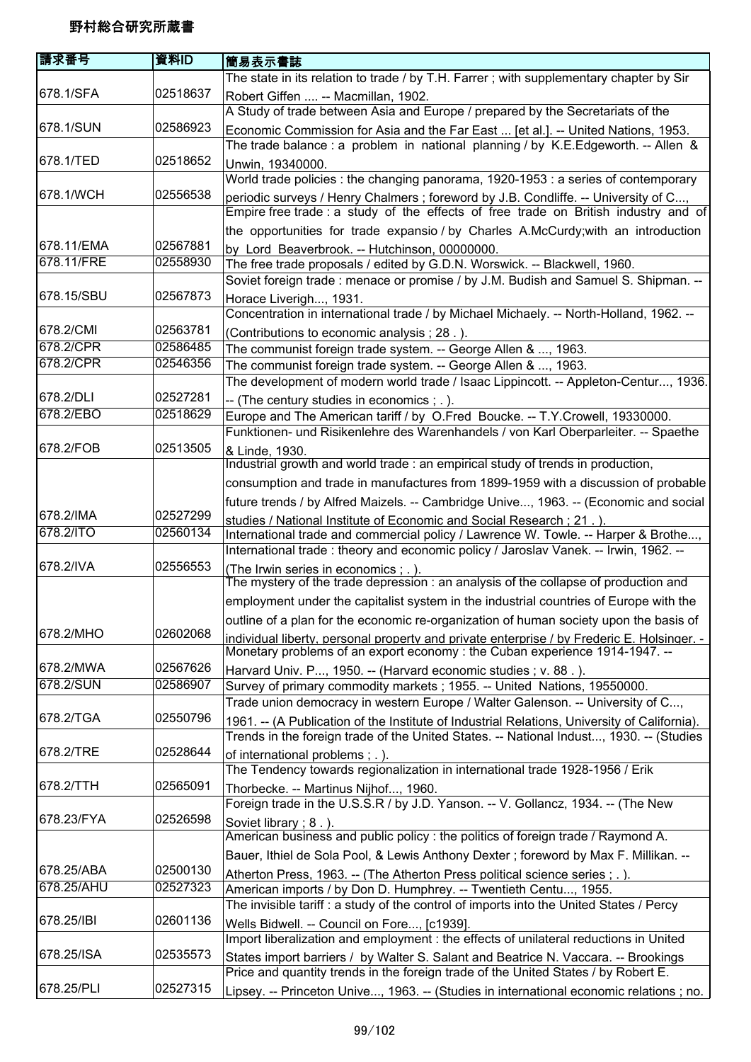| 請求番号       | 資料ID     | 簡易表示書誌                                                                                                                                                                   |
|------------|----------|--------------------------------------------------------------------------------------------------------------------------------------------------------------------------|
|            |          | The state in its relation to trade / by T.H. Farrer; with supplementary chapter by Sir                                                                                   |
| 678.1/SFA  | 02518637 | Robert Giffen  -- Macmillan, 1902.                                                                                                                                       |
|            |          | A Study of trade between Asia and Europe / prepared by the Secretariats of the                                                                                           |
| 678.1/SUN  | 02586923 | Economic Commission for Asia and the Far East  [et al.]. -- United Nations, 1953.                                                                                        |
|            |          | The trade balance : a problem in national planning / by K.E.Edgeworth. -- Allen &                                                                                        |
| 678.1/TED  | 02518652 | Unwin, 19340000.                                                                                                                                                         |
|            |          | World trade policies : the changing panorama, 1920-1953 : a series of contemporary                                                                                       |
| 678.1/WCH  | 02556538 | periodic surveys / Henry Chalmers; foreword by J.B. Condliffe. -- University of C,                                                                                       |
|            |          | Empire free trade : a study of the effects of free trade on British industry and of                                                                                      |
|            |          | the opportunities for trade expansio / by Charles A.McCurdy; with an introduction                                                                                        |
| 678.11/EMA | 02567881 | by Lord Beaverbrook. -- Hutchinson, 00000000.                                                                                                                            |
| 678.11/FRE | 02558930 | The free trade proposals / edited by G.D.N. Worswick. -- Blackwell, 1960.                                                                                                |
|            |          | Soviet foreign trade: menace or promise / by J.M. Budish and Samuel S. Shipman. --                                                                                       |
| 678.15/SBU | 02567873 | Horace Liverigh, 1931.                                                                                                                                                   |
|            |          | Concentration in international trade / by Michael Michaely. -- North-Holland, 1962. --                                                                                   |
| 678.2/CMI  | 02563781 | (Contributions to economic analysis; 28.).                                                                                                                               |
| 678.2/CPR  | 02586485 | The communist foreign trade system. -- George Allen & , 1963.                                                                                                            |
| 678.2/CPR  | 02546356 | The communist foreign trade system. -- George Allen & , 1963.                                                                                                            |
|            |          | The development of modern world trade / Isaac Lippincott. -- Appleton-Centur, 1936.                                                                                      |
| 678.2/DLI  | 02527281 | -- (The century studies in economics ; .).                                                                                                                               |
| 678.2/EBO  | 02518629 | Europe and The American tariff / by O.Fred Boucke. -- T.Y.Crowell, 19330000.                                                                                             |
|            |          | Funktionen- und Risikenlehre des Warenhandels / von Karl Oberparleiter. -- Spaethe                                                                                       |
| 678.2/FOB  | 02513505 | & Linde, 1930.                                                                                                                                                           |
|            |          | Industrial growth and world trade: an empirical study of trends in production,                                                                                           |
|            |          | consumption and trade in manufactures from 1899-1959 with a discussion of probable                                                                                       |
| 678.2/IMA  | 02527299 | future trends / by Alfred Maizels. -- Cambridge Unive, 1963. -- (Economic and social                                                                                     |
| 678.2/ITO  | 02560134 | studies / National Institute of Economic and Social Research ; 21                                                                                                        |
|            |          | International trade and commercial policy / Lawrence W. Towle. -- Harper & Brothe,                                                                                       |
| 678.2/IVA  | 02556553 | International trade: theory and economic policy / Jaroslav Vanek. -- Irwin, 1962. --                                                                                     |
|            |          | (The Irwin series in economics ; .).<br>The mystery of the trade depression: an analysis of the collapse of production and                                               |
|            |          | employment under the capitalist system in the industrial countries of Europe with the                                                                                    |
|            |          | outline of a plan for the economic re-organization of human society upon the basis of                                                                                    |
| 678.2/MHO  | 02602068 |                                                                                                                                                                          |
|            |          | individual liberty, personal property and private enterprise / by Frederic E. Holsinger. -<br>Monetary problems of an export economy: the Cuban experience 1914-1947. -- |
| 678.2/MWA  | 02567626 | Harvard Univ. P, 1950. -- (Harvard economic studies; v. 88.).                                                                                                            |
| 678.2/SUN  | 02586907 | Survey of primary commodity markets; 1955. -- United Nations, 19550000.                                                                                                  |
|            |          | Trade union democracy in western Europe / Walter Galenson. -- University of C,                                                                                           |
| 678.2/TGA  | 02550796 | 1961. -- (A Publication of the Institute of Industrial Relations, University of California).                                                                             |
|            |          | Trends in the foreign trade of the United States. -- National Indust, 1930. -- (Studies                                                                                  |
| 678.2/TRE  | 02528644 | of international problems; .).                                                                                                                                           |
|            |          | The Tendency towards regionalization in international trade 1928-1956 / Erik                                                                                             |
| 678.2/TTH  | 02565091 | Thorbecke. -- Martinus Nijhof, 1960.                                                                                                                                     |
|            |          | Foreign trade in the U.S.S.R / by J.D. Yanson. -- V. Gollancz, 1934. -- (The New                                                                                         |
| 678.23/FYA | 02526598 | Soviet library; 8.).                                                                                                                                                     |
|            |          | American business and public policy : the politics of foreign trade / Raymond A.                                                                                         |
|            |          | Bauer, Ithiel de Sola Pool, & Lewis Anthony Dexter; foreword by Max F. Millikan. --                                                                                      |
| 678.25/ABA | 02500130 | Atherton Press, 1963. -- (The Atherton Press political science series ; . ).                                                                                             |
| 678.25/AHU | 02527323 | American imports / by Don D. Humphrey. -- Twentieth Centu, 1955.                                                                                                         |
|            |          | The invisible tariff: a study of the control of imports into the United States / Percy                                                                                   |
| 678.25/IBI | 02601136 | Wells Bidwell. -- Council on Fore, [c1939].                                                                                                                              |
|            |          | Import liberalization and employment : the effects of unilateral reductions in United                                                                                    |
| 678.25/ISA | 02535573 | States import barriers / by Walter S. Salant and Beatrice N. Vaccara. -- Brookings                                                                                       |
|            |          | Price and quantity trends in the foreign trade of the United States / by Robert E.                                                                                       |
| 678.25/PLI | 02527315 | Lipsey. -- Princeton Unive, 1963. -- (Studies in international economic relations ; no.                                                                                  |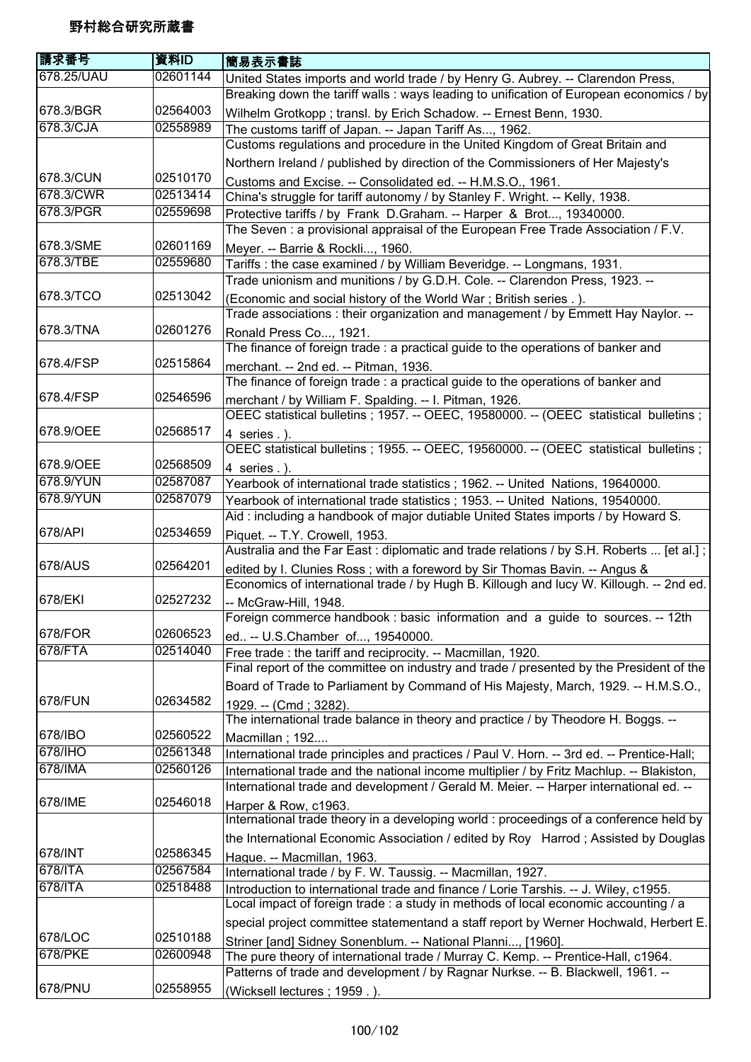| 請求番号       | 資料ID     | 簡易表示書誌                                                                                    |
|------------|----------|-------------------------------------------------------------------------------------------|
| 678.25/UAU | 02601144 | United States imports and world trade / by Henry G. Aubrey. -- Clarendon Press,           |
|            |          | Breaking down the tariff walls: ways leading to unification of European economics / by    |
| 678.3/BGR  | 02564003 | Wilhelm Grotkopp; transl. by Erich Schadow. -- Ernest Benn, 1930.                         |
| 678.3/CJA  | 02558989 | The customs tariff of Japan. -- Japan Tariff As, 1962.                                    |
|            |          | Customs regulations and procedure in the United Kingdom of Great Britain and              |
|            |          | Northern Ireland / published by direction of the Commissioners of Her Majesty's           |
| 678.3/CUN  | 02510170 | Customs and Excise. -- Consolidated ed. -- H.M.S.O., 1961.                                |
| 678.3/CWR  | 02513414 | China's struggle for tariff autonomy / by Stanley F. Wright. -- Kelly, 1938.              |
| 678.3/PGR  | 02559698 | Protective tariffs / by Frank D.Graham. -- Harper & Brot, 19340000.                       |
|            |          | The Seven: a provisional appraisal of the European Free Trade Association / F.V.          |
| 678.3/SME  | 02601169 | Meyer. -- Barrie & Rockli, 1960.                                                          |
| 678.3/TBE  | 02559680 | Tariffs: the case examined / by William Beveridge. -- Longmans, 1931.                     |
|            |          | Trade unionism and munitions / by G.D.H. Cole. -- Clarendon Press, 1923. --               |
| 678.3/TCO  | 02513042 | (Economic and social history of the World War; British series .).                         |
|            |          | Trade associations: their organization and management / by Emmett Hay Naylor. --          |
| 678.3/TNA  | 02601276 | Ronald Press Co, 1921.                                                                    |
|            |          | The finance of foreign trade : a practical guide to the operations of banker and          |
| 678.4/FSP  | 02515864 | merchant. -- 2nd ed. -- Pitman, 1936.                                                     |
|            |          | The finance of foreign trade : a practical guide to the operations of banker and          |
| 678.4/FSP  | 02546596 | merchant / by William F. Spalding. -- I. Pitman, 1926.                                    |
|            |          | OEEC statistical bulletins ; 1957. -- OEEC, 19580000. -- (OEEC statistical bulletins ;    |
| 678.9/OEE  | 02568517 | 4 series .).                                                                              |
|            |          | OEEC statistical bulletins; 1955. -- OEEC, 19560000. -- (OEEC statistical bulletins;      |
| 678.9/OEE  | 02568509 | 4 series .).                                                                              |
| 678.9/YUN  | 02587087 | Yearbook of international trade statistics; 1962. -- United Nations, 19640000.            |
| 678.9/YUN  | 02587079 | Yearbook of international trade statistics; 1953. -- United Nations, 19540000.            |
|            |          | Aid: including a handbook of major dutiable United States imports / by Howard S.          |
| 678/API    | 02534659 | Piquet. -- T.Y. Crowell, 1953.                                                            |
|            |          | Australia and the Far East: diplomatic and trade relations / by S.H. Roberts  [et al.];   |
| 678/AUS    | 02564201 | edited by I. Clunies Ross; with a foreword by Sir Thomas Bavin. -- Angus &                |
|            |          | Economics of international trade / by Hugh B. Killough and lucy W. Killough. -- 2nd ed.   |
| 678/EKI    | 02527232 | -- McGraw-Hill, 1948.                                                                     |
|            |          | Foreign commerce handbook : basic information and a guide to sources. --<br>12th          |
| 678/FOR    | 02606523 | ed -- U.S.Chamber of, 19540000.                                                           |
| 678/FTA    | 02514040 | Free trade: the tariff and reciprocity. -- Macmillan, 1920.                               |
|            |          | Final report of the committee on industry and trade / presented by the President of the   |
|            |          | Board of Trade to Parliament by Command of His Majesty, March, 1929. -- H.M.S.O.,         |
| 678/FUN    | 02634582 | 1929. -- (Cmd; 3282).                                                                     |
|            |          | The international trade balance in theory and practice / by Theodore H. Boggs. --         |
| 678/IBO    | 02560522 | Macmillan; 192                                                                            |
| 678/IHO    | 02561348 | International trade principles and practices / Paul V. Horn. -- 3rd ed. -- Prentice-Hall; |
| 678/IMA    | 02560126 | International trade and the national income multiplier / by Fritz Machlup. -- Blakiston,  |
|            |          | International trade and development / Gerald M. Meier. -- Harper international ed. --     |
| 678/IME    | 02546018 | Harper & Row, c1963.                                                                      |
|            |          | International trade theory in a developing world : proceedings of a conference held by    |
|            |          | the International Economic Association / edited by Roy Harrod; Assisted by Douglas        |
| 678/INT    | 02586345 | Hague. -- Macmillan, 1963.                                                                |
| 678/ITA    | 02567584 | International trade / by F. W. Taussig. -- Macmillan, 1927.                               |
| 678/ITA    | 02518488 | Introduction to international trade and finance / Lorie Tarshis. -- J. Wiley, c1955.      |
|            |          | Local impact of foreign trade : a study in methods of local economic accounting / a       |
|            |          | special project committee statementand a staff report by Werner Hochwald, Herbert E.      |
| 678/LOC    | 02510188 | Striner [and] Sidney Sonenblum. -- National Planni, [1960].                               |
| 678/PKE    | 02600948 | The pure theory of international trade / Murray C. Kemp. -- Prentice-Hall, c1964.         |
|            |          | Patterns of trade and development / by Ragnar Nurkse. -- B. Blackwell, 1961. --           |
| 678/PNU    | 02558955 | (Wicksell lectures; 1959.).                                                               |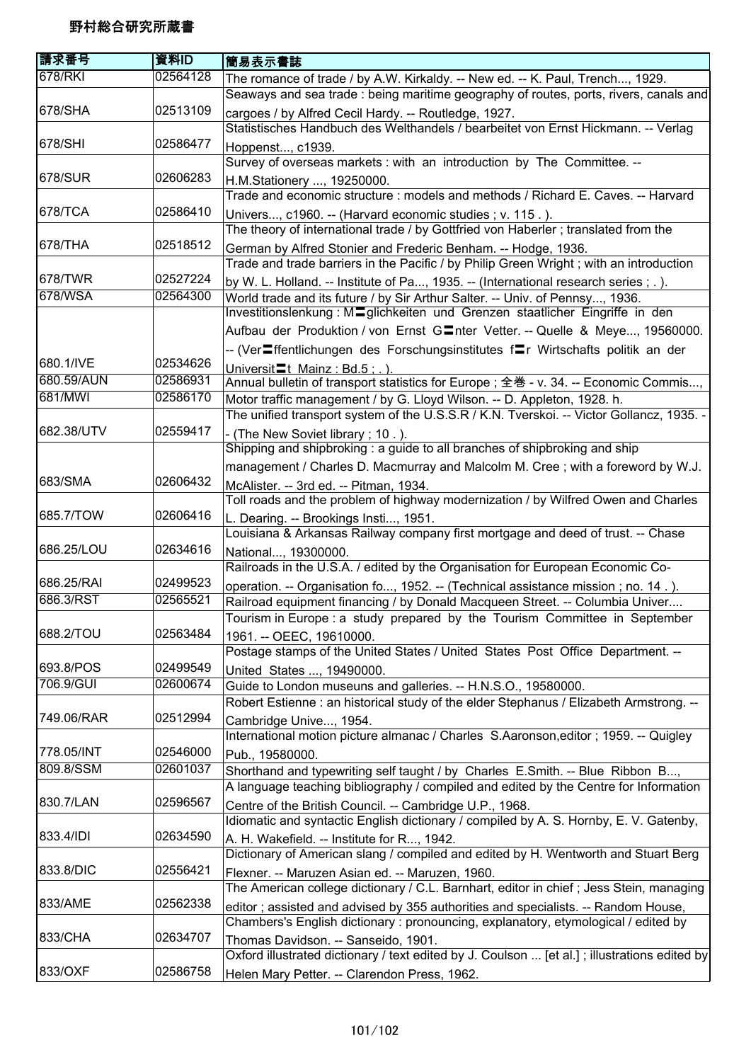| 請求番号       | 資料ID     | 簡易表示書誌                                                                                       |
|------------|----------|----------------------------------------------------------------------------------------------|
| 678/RKI    | 02564128 | The romance of trade / by A.W. Kirkaldy. -- New ed. -- K. Paul, Trench, 1929.                |
|            |          | Seaways and sea trade : being maritime geography of routes, ports, rivers, canals and        |
| 678/SHA    | 02513109 | cargoes / by Alfred Cecil Hardy. -- Routledge, 1927.                                         |
|            |          | Statistisches Handbuch des Welthandels / bearbeitet von Ernst Hickmann. -- Verlag            |
| 678/SHI    | 02586477 | Hoppenst, c1939.                                                                             |
|            |          | Survey of overseas markets : with an introduction by The Committee. --                       |
| 678/SUR    | 02606283 | H.M.Stationery , 19250000.                                                                   |
|            |          | Trade and economic structure: models and methods / Richard E. Caves. -- Harvard              |
| 678/TCA    | 02586410 | Univers, c1960. -- (Harvard economic studies ; v. 115.).                                     |
|            |          | The theory of international trade / by Gottfried von Haberler; translated from the           |
| 678/THA    | 02518512 | German by Alfred Stonier and Frederic Benham. -- Hodge, 1936.                                |
|            |          | Trade and trade barriers in the Pacific / by Philip Green Wright; with an introduction       |
| 678/TWR    | 02527224 | by W. L. Holland. -- Institute of Pa, 1935. -- (International research series ; . ).         |
| 678/WSA    | 02564300 | World trade and its future / by Sir Arthur Salter. -- Univ. of Pennsy, 1936.                 |
|            |          | Investitionslenkung: Maglichkeiten und Grenzen staatlicher Eingriffe in den                  |
|            |          | Aufbau der Produktion / von Ernst GInter Vetter. -- Quelle & Meye, 19560000.                 |
|            |          | -- (VerIffentlichungen des Forschungsinstitutes fIr Wirtschafts politik an der               |
| 680.1/IVE  | 02534626 | Universit <sup>-</sup> t Mainz: Bd.5:.).                                                     |
| 680.59/AUN | 02586931 | Annual bulletin of transport statistics for Europe; 全巻 - v. 34. -- Economic Commis,          |
| 681/MWI    | 02586170 | Motor traffic management / by G. Lloyd Wilson. -- D. Appleton, 1928. h.                      |
|            |          | The unified transport system of the U.S.S.R / K.N. Tverskoi. -- Victor Gollancz, 1935. -     |
| 682.38/UTV | 02559417 | - (The New Soviet library; 10.).                                                             |
|            |          | Shipping and shipbroking : a guide to all branches of shipbroking and ship                   |
|            |          | management / Charles D. Macmurray and Malcolm M. Cree ; with a foreword by W.J.              |
| 683/SMA    | 02606432 | McAlister. -- 3rd ed. -- Pitman, 1934.                                                       |
|            |          | Toll roads and the problem of highway modernization / by Wilfred Owen and Charles            |
| 685.7/TOW  | 02606416 | L. Dearing. -- Brookings Insti, 1951.                                                        |
|            |          | Louisiana & Arkansas Railway company first mortgage and deed of trust. -- Chase              |
| 686.25/LOU | 02634616 | National, 19300000.                                                                          |
|            |          | Railroads in the U.S.A. / edited by the Organisation for European Economic Co-               |
| 686.25/RAI | 02499523 | operation. -- Organisation fo, 1952. -- (Technical assistance mission ; no. 14.).            |
| 686.3/RST  | 02565521 | Railroad equipment financing / by Donald Macqueen Street. -- Columbia Univer                 |
|            |          | Tourism in Europe : a study prepared by the Tourism Committee in September                   |
| 688.2/TOU  | 02563484 | 1961. -- OEEC, 19610000.                                                                     |
|            |          | Postage stamps of the United States / United States Post Office Department. --               |
| 693.8/POS  | 02499549 | United States , 19490000.                                                                    |
| 706.9/GUI  | 02600674 | Guide to London museuns and galleries. -- H.N.S.O., 19580000.                                |
|            |          | Robert Estienne : an historical study of the elder Stephanus / Elizabeth Armstrong. --       |
| 749.06/RAR | 02512994 | Cambridge Unive, 1954.                                                                       |
|            |          | International motion picture almanac / Charles S.Aaronson, editor; 1959. -- Quigley          |
| 778.05/INT | 02546000 | Pub., 19580000.                                                                              |
| 809.8/SSM  | 02601037 | Shorthand and typewriting self taught / by Charles E.Smith. -- Blue Ribbon B,                |
|            |          | A language teaching bibliography / compiled and edited by the Centre for Information         |
| 830.7/LAN  | 02596567 | Centre of the British Council. -- Cambridge U.P., 1968.                                      |
|            |          | Idiomatic and syntactic English dictionary / compiled by A. S. Hornby, E. V. Gatenby,        |
| 833.4/IDI  | 02634590 | A. H. Wakefield. -- Institute for R, 1942.                                                   |
|            |          | Dictionary of American slang / compiled and edited by H. Wentworth and Stuart Berg           |
| 833.8/DIC  | 02556421 | Flexner. -- Maruzen Asian ed. -- Maruzen, 1960.                                              |
|            |          | The American college dictionary / C.L. Barnhart, editor in chief; Jess Stein, managing       |
| 833/AME    | 02562338 | editor; assisted and advised by 355 authorities and specialists. -- Random House,            |
|            |          | Chambers's English dictionary: pronouncing, explanatory, etymological / edited by            |
| 833/CHA    | 02634707 | Thomas Davidson. -- Sanseido, 1901.                                                          |
|            |          | Oxford illustrated dictionary / text edited by J. Coulson  [et al.]; illustrations edited by |
| 833/OXF    | 02586758 | Helen Mary Petter. -- Clarendon Press, 1962.                                                 |